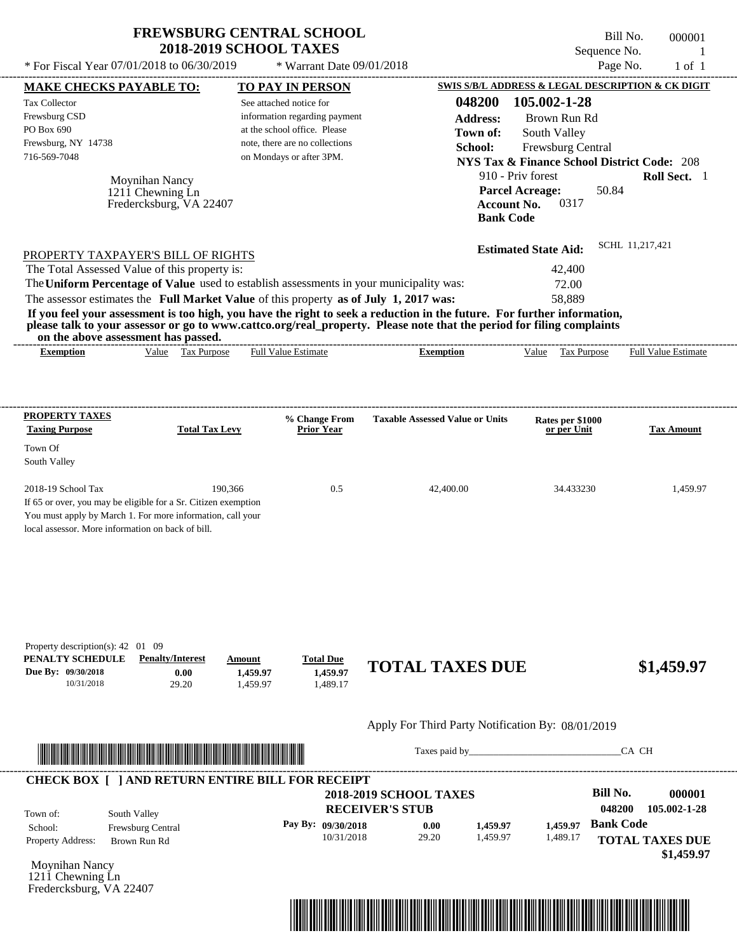| <b>FREWSBURG CENTRAL SCHOOL</b> |
|---------------------------------|
| <b>2018-2019 SCHOOL TAXES</b>   |

Bill No. 000001 Sequence No. 1  $*$  For Fiscal Year 07/01/2018 to 06/30/2019  $*$  Warrant Date 09/01/2018 Page No. 1 of 1

| <b>Tax Collector</b><br>Frewsburg CSD<br>PO Box 690<br>Frewsburg, NY 14738<br>716-569-7048 | <b>MAKE CHECKS PAYABLE TO:</b><br>Moynihan Nancy                                                                                                                                                                                                                                                                                                                                 | <b>TO PAY IN PERSON</b><br>See attached notice for<br>information regarding payment<br>at the school office. Please<br>note, there are no collections<br>on Mondays or after 3PM. |                                  | School:                                                             | 048200<br><b>Address:</b><br>Town of:<br>910 - Priv forest<br><b>Parcel Acreage:</b> | SWIS S/B/L ADDRESS & LEGAL DESCRIPTION & CK DIGIT<br>105.002-1-28<br>Brown Run Rd<br>South Valley<br>Frewsburg Central<br><b>NYS Tax &amp; Finance School District Code: 208</b> | 50.84            | Roll Sect. 1                         |
|--------------------------------------------------------------------------------------------|----------------------------------------------------------------------------------------------------------------------------------------------------------------------------------------------------------------------------------------------------------------------------------------------------------------------------------------------------------------------------------|-----------------------------------------------------------------------------------------------------------------------------------------------------------------------------------|----------------------------------|---------------------------------------------------------------------|--------------------------------------------------------------------------------------|----------------------------------------------------------------------------------------------------------------------------------------------------------------------------------|------------------|--------------------------------------|
|                                                                                            | 1211 Chewning Ln<br>Fredercksburg, VA 22407                                                                                                                                                                                                                                                                                                                                      |                                                                                                                                                                                   |                                  |                                                                     | <b>Account No.</b><br><b>Bank Code</b>                                               | 0317                                                                                                                                                                             |                  |                                      |
|                                                                                            | PROPERTY TAXPAYER'S BILL OF RIGHTS                                                                                                                                                                                                                                                                                                                                               |                                                                                                                                                                                   |                                  |                                                                     |                                                                                      | <b>Estimated State Aid:</b>                                                                                                                                                      | SCHL 11,217,421  |                                      |
|                                                                                            | The Total Assessed Value of this property is:                                                                                                                                                                                                                                                                                                                                    |                                                                                                                                                                                   |                                  |                                                                     |                                                                                      | 42,400                                                                                                                                                                           |                  |                                      |
|                                                                                            | The Uniform Percentage of Value used to establish assessments in your municipality was:                                                                                                                                                                                                                                                                                          |                                                                                                                                                                                   |                                  |                                                                     |                                                                                      | 72.00                                                                                                                                                                            |                  |                                      |
|                                                                                            | The assessor estimates the Full Market Value of this property as of July 1, 2017 was:<br>If you feel your assessment is too high, you have the right to seek a reduction in the future. For further information,<br>please talk to your assessor or go to www.cattco.org/real_property. Please note that the period for filing complaints<br>on the above assessment has passed. |                                                                                                                                                                                   |                                  |                                                                     |                                                                                      | 58,889                                                                                                                                                                           |                  |                                      |
| <b>Exemption</b>                                                                           | Value Tax Purpose                                                                                                                                                                                                                                                                                                                                                                | <b>Full Value Estimate</b>                                                                                                                                                        |                                  | <b>Exemption</b>                                                    |                                                                                      | Value Tax Purpose                                                                                                                                                                |                  | <b>Full Value Estimate</b>           |
| <b>PROPERTY TAXES</b><br><b>Taxing Purpose</b>                                             | <b>Total Tax Levy</b>                                                                                                                                                                                                                                                                                                                                                            | % Change From<br><b>Prior Year</b>                                                                                                                                                |                                  | <b>Taxable Assessed Value or Units</b>                              |                                                                                      | Rates per \$1000<br>or per Unit                                                                                                                                                  |                  | <b>Tax Amount</b>                    |
| Town Of<br>South Valley                                                                    |                                                                                                                                                                                                                                                                                                                                                                                  |                                                                                                                                                                                   |                                  |                                                                     |                                                                                      |                                                                                                                                                                                  |                  |                                      |
| 2018-19 School Tax                                                                         | 190,366<br>If 65 or over, you may be eligible for a Sr. Citizen exemption<br>You must apply by March 1. For more information, call your<br>local assessor. More information on back of bill.                                                                                                                                                                                     |                                                                                                                                                                                   | 0.5                              | 42,400.00                                                           |                                                                                      | 34.433230                                                                                                                                                                        |                  | 1,459.97                             |
| Property description(s): 42 01 09<br>PENALTY SCHEDULE<br>Due By: 09/30/2018<br>10/31/2018  | <b>Penalty/Interest</b><br>0.00<br>29.20                                                                                                                                                                                                                                                                                                                                         | <b>Total Due</b><br>Amount<br>1,459.97<br>1,459.97                                                                                                                                | 1,459.97<br>1,489.17             | <b>TOTAL TAXES DUE</b>                                              |                                                                                      |                                                                                                                                                                                  |                  | \$1,459.97                           |
|                                                                                            |                                                                                                                                                                                                                                                                                                                                                                                  |                                                                                                                                                                                   |                                  | Apply For Third Party Notification By: 08/01/2019                   |                                                                                      |                                                                                                                                                                                  |                  |                                      |
|                                                                                            | <u> Indian American State and The Communication of the Communication of the Communication of the Communication of the Communication of the Communication of the Communication of the Communication of the Communication of the C</u>                                                                                                                                             |                                                                                                                                                                                   |                                  |                                                                     |                                                                                      |                                                                                                                                                                                  | CA CH            |                                      |
|                                                                                            | <b>CHECK BOX [ ] AND RETURN ENTIRE BILL FOR RECEIPT</b>                                                                                                                                                                                                                                                                                                                          |                                                                                                                                                                                   |                                  |                                                                     |                                                                                      |                                                                                                                                                                                  | <b>Bill No.</b>  |                                      |
| Town of:                                                                                   | South Valley                                                                                                                                                                                                                                                                                                                                                                     |                                                                                                                                                                                   |                                  | <b>2018-2019 SCHOOL TAXES</b><br><b>RECEIVER'S STUB</b>             |                                                                                      |                                                                                                                                                                                  | 048200           | 000001<br>105.002-1-28               |
| School:<br>Property Address:                                                               | Frewsburg Central<br>Brown Run Rd                                                                                                                                                                                                                                                                                                                                                |                                                                                                                                                                                   | Pay By: 09/30/2018<br>10/31/2018 | 0.00<br>29.20                                                       | 1,459.97<br>1,459.97                                                                 | 1,459.97<br>1,489.17                                                                                                                                                             | <b>Bank Code</b> | <b>TOTAL TAXES DUE</b><br>\$1,459.97 |
| Moynihan Nancy<br>$121\text{ i}$ Chewning Ln<br>Fredercksburg, VA 22407                    |                                                                                                                                                                                                                                                                                                                                                                                  |                                                                                                                                                                                   |                                  |                                                                     |                                                                                      |                                                                                                                                                                                  |                  |                                      |
|                                                                                            |                                                                                                                                                                                                                                                                                                                                                                                  |                                                                                                                                                                                   |                                  | <u> 1989 - Andrea Stadt Britain, Amerikaansk politiker (* 1958)</u> |                                                                                      |                                                                                                                                                                                  |                  |                                      |

----------------------------------------------------------------------------------------------------------------------------------------------------------------------------------------------------

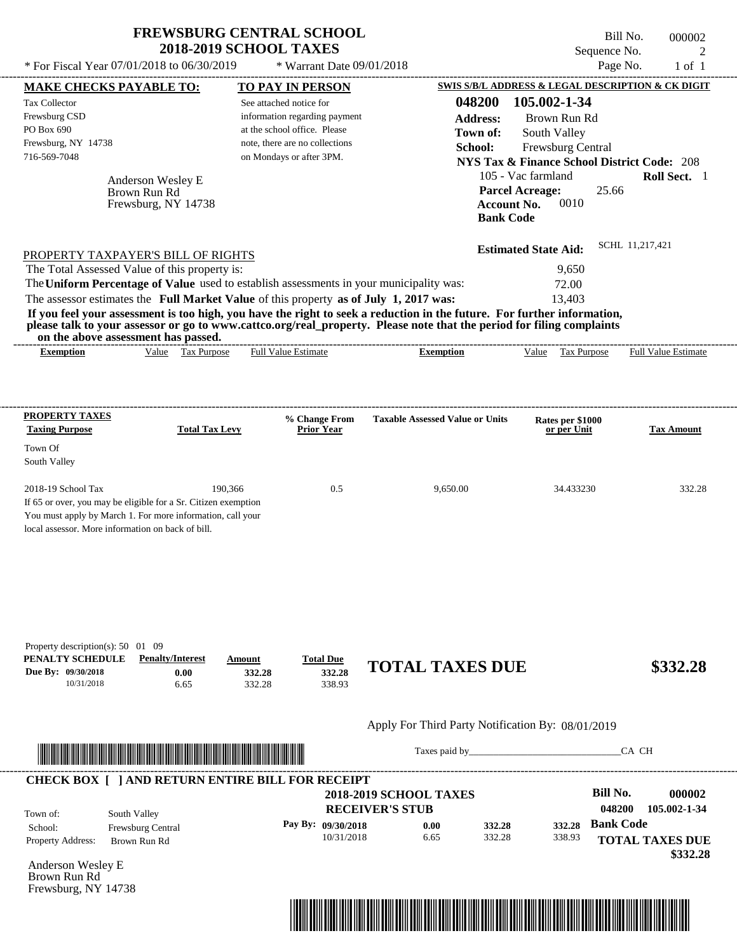| <b>FREWSBURG CENTRAL SCHOOL</b> |
|---------------------------------|
| <b>2018-2019 SCHOOL TAXES</b>   |

 $*$  Warrant Date 09/01/2018

 $*$  For Fiscal Year 07/01/2018 to 06/30/2019

Bill No. 000002 Sequence No. 2<br>Page No. 2 1 of 1

| <b>MAKE CHECKS PAYABLE TO:</b>                        |                                                                                                                              |                       | <b>TO PAY IN PERSON</b>        |                                                                                                                                                                                                                                      | <b>SWIS S/B/L ADDRESS &amp; LEGAL DESCRIPTION &amp; CK DIGIT</b> |                  |                        |
|-------------------------------------------------------|------------------------------------------------------------------------------------------------------------------------------|-----------------------|--------------------------------|--------------------------------------------------------------------------------------------------------------------------------------------------------------------------------------------------------------------------------------|------------------------------------------------------------------|------------------|------------------------|
| <b>Tax Collector</b>                                  |                                                                                                                              |                       | See attached notice for        | 048200                                                                                                                                                                                                                               | 105.002-1-34                                                     |                  |                        |
| Frewsburg CSD                                         |                                                                                                                              |                       | information regarding payment  | <b>Address:</b>                                                                                                                                                                                                                      | Brown Run Rd                                                     |                  |                        |
| PO Box 690                                            |                                                                                                                              |                       | at the school office. Please   | Town of:                                                                                                                                                                                                                             | South Valley                                                     |                  |                        |
| Frewsburg, NY 14738                                   |                                                                                                                              |                       | note, there are no collections | School:                                                                                                                                                                                                                              | Frewsburg Central                                                |                  |                        |
| 716-569-7048                                          |                                                                                                                              |                       | on Mondays or after 3PM.       |                                                                                                                                                                                                                                      | <b>NYS Tax &amp; Finance School District Code: 208</b>           |                  |                        |
|                                                       | Anderson Wesley E                                                                                                            |                       |                                |                                                                                                                                                                                                                                      | 105 - Vac farmland                                               |                  | Roll Sect. 1           |
|                                                       | Brown Run Rd                                                                                                                 |                       |                                |                                                                                                                                                                                                                                      | <b>Parcel Acreage:</b>                                           | 25.66            |                        |
|                                                       | Frewsburg, NY 14738                                                                                                          |                       |                                |                                                                                                                                                                                                                                      | 0010<br><b>Account No.</b>                                       |                  |                        |
|                                                       |                                                                                                                              |                       |                                |                                                                                                                                                                                                                                      | <b>Bank Code</b>                                                 |                  |                        |
|                                                       |                                                                                                                              |                       |                                |                                                                                                                                                                                                                                      | <b>Estimated State Aid:</b>                                      | SCHL 11,217,421  |                        |
|                                                       | PROPERTY TAXPAYER'S BILL OF RIGHTS<br>The Total Assessed Value of this property is:                                          |                       |                                |                                                                                                                                                                                                                                      | 9,650                                                            |                  |                        |
|                                                       |                                                                                                                              |                       |                                | The Uniform Percentage of Value used to establish assessments in your municipality was:                                                                                                                                              | 72.00                                                            |                  |                        |
|                                                       |                                                                                                                              |                       |                                | The assessor estimates the Full Market Value of this property as of July 1, 2017 was:                                                                                                                                                | 13,403                                                           |                  |                        |
|                                                       |                                                                                                                              |                       |                                | If you feel your assessment is too high, you have the right to seek a reduction in the future. For further information,                                                                                                              |                                                                  |                  |                        |
|                                                       |                                                                                                                              |                       |                                | please talk to your assessor or go to www.cattco.org/real_property. Please note that the period for filing complaints                                                                                                                |                                                                  |                  |                        |
| <b>Exemption</b>                                      | on the above assessment has passed.<br>Value Tax Purpose                                                                     |                       | <b>Full Value Estimate</b>     | <b>Exemption</b>                                                                                                                                                                                                                     | Value Tax Purpose Full Value Estimate                            |                  |                        |
|                                                       |                                                                                                                              |                       |                                |                                                                                                                                                                                                                                      |                                                                  |                  |                        |
|                                                       |                                                                                                                              |                       |                                |                                                                                                                                                                                                                                      |                                                                  |                  |                        |
| <b>PROPERTY TAXES</b>                                 |                                                                                                                              |                       | % Change From                  | <b>Taxable Assessed Value or Units</b>                                                                                                                                                                                               | Rates per \$1000                                                 |                  |                        |
| <b>Taxing Purpose</b>                                 |                                                                                                                              | <b>Total Tax Levy</b> | <b>Prior Year</b>              |                                                                                                                                                                                                                                      | or per Unit                                                      |                  | <b>Tax Amount</b>      |
| Town Of                                               |                                                                                                                              |                       |                                |                                                                                                                                                                                                                                      |                                                                  |                  |                        |
| South Valley                                          |                                                                                                                              |                       |                                |                                                                                                                                                                                                                                      |                                                                  |                  |                        |
|                                                       |                                                                                                                              |                       |                                |                                                                                                                                                                                                                                      |                                                                  |                  |                        |
| 2018-19 School Tax                                    |                                                                                                                              | 190,366               | 0.5                            | 9,650.00                                                                                                                                                                                                                             | 34.433230                                                        |                  | 332.28                 |
|                                                       | If 65 or over, you may be eligible for a Sr. Citizen exemption<br>You must apply by March 1. For more information, call your |                       |                                |                                                                                                                                                                                                                                      |                                                                  |                  |                        |
|                                                       | local assessor. More information on back of bill.                                                                            |                       |                                |                                                                                                                                                                                                                                      |                                                                  |                  |                        |
|                                                       |                                                                                                                              |                       |                                |                                                                                                                                                                                                                                      |                                                                  |                  |                        |
|                                                       |                                                                                                                              |                       |                                |                                                                                                                                                                                                                                      |                                                                  |                  |                        |
|                                                       |                                                                                                                              |                       |                                |                                                                                                                                                                                                                                      |                                                                  |                  |                        |
|                                                       |                                                                                                                              |                       |                                |                                                                                                                                                                                                                                      |                                                                  |                  |                        |
|                                                       |                                                                                                                              |                       |                                |                                                                                                                                                                                                                                      |                                                                  |                  |                        |
|                                                       |                                                                                                                              |                       |                                |                                                                                                                                                                                                                                      |                                                                  |                  |                        |
| Property description(s): 50 01 09<br>PENALTY SCHEDULE | <b>Penalty/Interest</b>                                                                                                      | Amount                | <b>Total Due</b>               |                                                                                                                                                                                                                                      |                                                                  |                  |                        |
| Due By: 09/30/2018                                    | 0.00                                                                                                                         | 332.28                | 332.28                         | <b>TOTAL TAXES DUE</b>                                                                                                                                                                                                               |                                                                  |                  | \$332.28               |
| 10/31/2018                                            | 6.65                                                                                                                         | 332.28                | 338.93                         |                                                                                                                                                                                                                                      |                                                                  |                  |                        |
|                                                       |                                                                                                                              |                       |                                | Apply For Third Party Notification By: 08/01/2019                                                                                                                                                                                    |                                                                  |                  |                        |
|                                                       |                                                                                                                              |                       |                                |                                                                                                                                                                                                                                      |                                                                  |                  |                        |
|                                                       | <u> 1999 - Paris Andrews, Amerikaansk filozof fan de Fryske kanton fan de Fryske kanton fan de Berger fan de Frys</u>        |                       |                                |                                                                                                                                                                                                                                      | Taxes paid by                                                    | CA CH            |                        |
|                                                       | <b>CHECK BOX [ ] AND RETURN ENTIRE BILL FOR RECEIPT</b>                                                                      |                       |                                |                                                                                                                                                                                                                                      |                                                                  |                  |                        |
|                                                       |                                                                                                                              |                       |                                | <b>2018-2019 SCHOOL TAXES</b>                                                                                                                                                                                                        |                                                                  | <b>Bill No.</b>  | 000002                 |
| Town of:                                              | South Valley                                                                                                                 |                       |                                | <b>RECEIVER'S STUB</b>                                                                                                                                                                                                               |                                                                  | 048200           | 105.002-1-34           |
| School:                                               | Frewsburg Central                                                                                                            |                       | Pay By: 09/30/2018             | 0.00                                                                                                                                                                                                                                 | 332.28<br>332.28                                                 | <b>Bank Code</b> |                        |
| Property Address:                                     | Brown Run Rd                                                                                                                 |                       | 10/31/2018                     | 6.65                                                                                                                                                                                                                                 | 332.28<br>338.93                                                 |                  | <b>TOTAL TAXES DUE</b> |
|                                                       |                                                                                                                              |                       |                                |                                                                                                                                                                                                                                      |                                                                  |                  | \$332.28               |
| Anderson Wesley E                                     |                                                                                                                              |                       |                                |                                                                                                                                                                                                                                      |                                                                  |                  |                        |
| Brown Run Rd                                          |                                                                                                                              |                       |                                |                                                                                                                                                                                                                                      |                                                                  |                  |                        |
| Frewsburg, NY 14738                                   |                                                                                                                              |                       |                                |                                                                                                                                                                                                                                      |                                                                  |                  |                        |
|                                                       |                                                                                                                              |                       |                                | <u> 1999 - 1999 - 1999 - 1999 - 1999 - 1999 - 1999 - 1999 - 1999 - 1999 - 1999 - 1999 - 1999 - 1999 - 1999 - 1999 - 1999 - 1999 - 1999 - 1999 - 1999 - 1999 - 1999 - 1999 - 1999 - 1999 - 1999 - 1999 - 1999 - 1999 - 1999 - 199</u> |                                                                  |                  |                        |

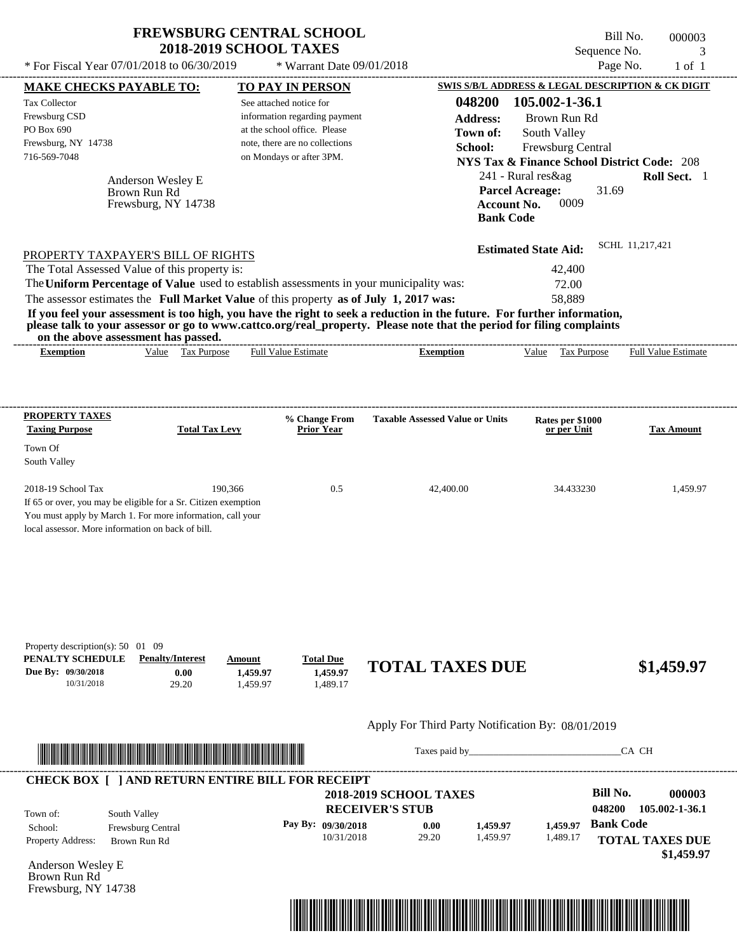| <b>FREWSBURG CENTRAL SCHOOL</b> |  |
|---------------------------------|--|
| <b>2018-2019 SCHOOL TAXES</b>   |  |

Bill No. 000003 Sequence No. 3<br>Page No. 3 1 of 1  $*$  For Fiscal Year 07/01/2018 to 06/30/2019  $*$  Warrant Date 09/01/2018 Page No. 1 of 1

| <b>MAKE CHECKS PAYABLE TO:</b>                                                      |                                   |                       |          | <b>TO PAY IN PERSON</b>                                    |                                                                                                                         |                                        |                                                        |                  | SWIS S/B/L ADDRESS & LEGAL DESCRIPTION & CK DIGIT |
|-------------------------------------------------------------------------------------|-----------------------------------|-----------------------|----------|------------------------------------------------------------|-------------------------------------------------------------------------------------------------------------------------|----------------------------------------|--------------------------------------------------------|------------------|---------------------------------------------------|
| <b>Tax Collector</b>                                                                |                                   |                       |          | See attached notice for                                    |                                                                                                                         | 048200                                 | 105.002-1-36.1                                         |                  |                                                   |
| Frewsburg CSD                                                                       |                                   |                       |          | information regarding payment                              |                                                                                                                         | <b>Address:</b>                        | Brown Run Rd                                           |                  |                                                   |
| PO Box 690                                                                          |                                   |                       |          | at the school office. Please                               |                                                                                                                         | Town of:                               | South Valley                                           |                  |                                                   |
| Frewsburg, NY 14738<br>716-569-7048                                                 |                                   |                       |          | note, there are no collections<br>on Mondays or after 3PM. |                                                                                                                         | School:                                | Frewsburg Central                                      |                  |                                                   |
|                                                                                     |                                   |                       |          |                                                            |                                                                                                                         |                                        | <b>NYS Tax &amp; Finance School District Code: 208</b> |                  |                                                   |
|                                                                                     | Anderson Wesley E                 |                       |          |                                                            |                                                                                                                         |                                        | 241 - Rural res&ag                                     |                  | Roll Sect. 1                                      |
|                                                                                     | Brown Run Rd                      |                       |          |                                                            |                                                                                                                         |                                        | <b>Parcel Acreage:</b>                                 | 31.69            |                                                   |
|                                                                                     | Frewsburg, NY 14738               |                       |          |                                                            |                                                                                                                         | <b>Account No.</b><br><b>Bank Code</b> | 0009                                                   |                  |                                                   |
|                                                                                     |                                   |                       |          |                                                            |                                                                                                                         |                                        |                                                        |                  |                                                   |
|                                                                                     |                                   |                       |          |                                                            |                                                                                                                         |                                        | <b>Estimated State Aid:</b>                            |                  | SCHL 11,217,421                                   |
| PROPERTY TAXPAYER'S BILL OF RIGHTS<br>The Total Assessed Value of this property is: |                                   |                       |          |                                                            |                                                                                                                         |                                        | 42,400                                                 |                  |                                                   |
|                                                                                     |                                   |                       |          |                                                            | The Uniform Percentage of Value used to establish assessments in your municipality was:                                 |                                        | 72.00                                                  |                  |                                                   |
|                                                                                     |                                   |                       |          |                                                            | The assessor estimates the Full Market Value of this property as of July 1, 2017 was:                                   |                                        | 58,889                                                 |                  |                                                   |
|                                                                                     |                                   |                       |          |                                                            | If you feel your assessment is too high, you have the right to seek a reduction in the future. For further information, |                                        |                                                        |                  |                                                   |
| on the above assessment has passed.                                                 |                                   |                       |          |                                                            | please talk to your assessor or go to www.cattco.org/real_property. Please note that the period for filing complaints   |                                        |                                                        |                  |                                                   |
| <b>Exemption</b>                                                                    |                                   | Value Tax Purpose     |          | <b>Full Value Estimate</b>                                 | <b>Exemption</b>                                                                                                        |                                        | Value Tax Purpose                                      |                  | <b>Full Value Estimate</b>                        |
|                                                                                     |                                   |                       |          |                                                            |                                                                                                                         |                                        |                                                        |                  |                                                   |
|                                                                                     |                                   |                       |          |                                                            |                                                                                                                         |                                        |                                                        |                  |                                                   |
| <b>PROPERTY TAXES</b>                                                               |                                   |                       |          | % Change From                                              | <b>Taxable Assessed Value or Units</b>                                                                                  |                                        | Rates per \$1000                                       |                  |                                                   |
| <b>Taxing Purpose</b>                                                               |                                   | <b>Total Tax Levy</b> |          | <b>Prior Year</b>                                          |                                                                                                                         |                                        | or per Unit                                            |                  | <b>Tax Amount</b>                                 |
| Town Of                                                                             |                                   |                       |          |                                                            |                                                                                                                         |                                        |                                                        |                  |                                                   |
| South Valley                                                                        |                                   |                       |          |                                                            |                                                                                                                         |                                        |                                                        |                  |                                                   |
| 2018-19 School Tax                                                                  |                                   | 190,366               |          | 0.5                                                        | 42,400.00                                                                                                               |                                        | 34.433230                                              |                  | 1,459.97                                          |
| If 65 or over, you may be eligible for a Sr. Citizen exemption                      |                                   |                       |          |                                                            |                                                                                                                         |                                        |                                                        |                  |                                                   |
| You must apply by March 1. For more information, call your                          |                                   |                       |          |                                                            |                                                                                                                         |                                        |                                                        |                  |                                                   |
| local assessor. More information on back of bill.                                   |                                   |                       |          |                                                            |                                                                                                                         |                                        |                                                        |                  |                                                   |
|                                                                                     |                                   |                       |          |                                                            |                                                                                                                         |                                        |                                                        |                  |                                                   |
|                                                                                     |                                   |                       |          |                                                            |                                                                                                                         |                                        |                                                        |                  |                                                   |
|                                                                                     |                                   |                       |          |                                                            |                                                                                                                         |                                        |                                                        |                  |                                                   |
|                                                                                     |                                   |                       |          |                                                            |                                                                                                                         |                                        |                                                        |                  |                                                   |
|                                                                                     |                                   |                       |          |                                                            |                                                                                                                         |                                        |                                                        |                  |                                                   |
| Property description(s): 50 01 09<br>PENALTY SCHEDULE                               | <b>Penalty/Interest</b>           |                       | Amount   | <b>Total Due</b>                                           |                                                                                                                         |                                        |                                                        |                  |                                                   |
| Due By: 09/30/2018                                                                  |                                   | 0.00                  | 1,459.97 | 1,459.97                                                   | <b>TOTAL TAXES DUE</b>                                                                                                  |                                        |                                                        |                  | \$1,459.97                                        |
| 10/31/2018                                                                          |                                   | 29.20                 | 1,459.97 | 1,489.17                                                   |                                                                                                                         |                                        |                                                        |                  |                                                   |
|                                                                                     |                                   |                       |          |                                                            |                                                                                                                         |                                        |                                                        |                  |                                                   |
|                                                                                     |                                   |                       |          |                                                            | Apply For Third Party Notification By: 08/01/2019                                                                       |                                        |                                                        |                  |                                                   |
| <u> Indian American State (Indian American State Indian American Sta</u>            |                                   |                       |          |                                                            |                                                                                                                         |                                        |                                                        |                  | CA CH                                             |
|                                                                                     |                                   |                       |          |                                                            |                                                                                                                         |                                        |                                                        |                  |                                                   |
|                                                                                     |                                   |                       |          | <b>CHECK BOX [ ] AND RETURN ENTIRE BILL FOR RECEIPT</b>    | <b>2018-2019 SCHOOL TAXES</b>                                                                                           |                                        |                                                        | <b>Bill No.</b>  | 000003                                            |
|                                                                                     |                                   |                       |          |                                                            | <b>RECEIVER'S STUB</b>                                                                                                  |                                        |                                                        | 048200           | 105.002-1-36.1                                    |
| Town of:                                                                            | South Valley                      |                       |          | Pay By: 09/30/2018                                         | 0.00                                                                                                                    | 1,459.97                               | 1,459.97                                               | <b>Bank Code</b> |                                                   |
| School:<br>Property Address:                                                        | Frewsburg Central<br>Brown Run Rd |                       |          | 10/31/2018                                                 | 29.20                                                                                                                   | 1,459.97                               | 1,489.17                                               |                  | <b>TOTAL TAXES DUE</b>                            |
|                                                                                     |                                   |                       |          |                                                            |                                                                                                                         |                                        |                                                        |                  | \$1,459.97                                        |
| Anderson Wesley E                                                                   |                                   |                       |          |                                                            |                                                                                                                         |                                        |                                                        |                  |                                                   |
| Brown Run Rd<br>Frewsburg, NY 14738                                                 |                                   |                       |          |                                                            |                                                                                                                         |                                        |                                                        |                  |                                                   |
|                                                                                     |                                   |                       |          |                                                            |                                                                                                                         |                                        |                                                        |                  |                                                   |
|                                                                                     |                                   |                       |          |                                                            |                                                                                                                         |                                        |                                                        |                  |                                                   |
|                                                                                     |                                   |                       |          |                                                            |                                                                                                                         |                                        |                                                        |                  |                                                   |

----------------------------------------------------------------------------------------------------------------------------------------------------------------------------------------------------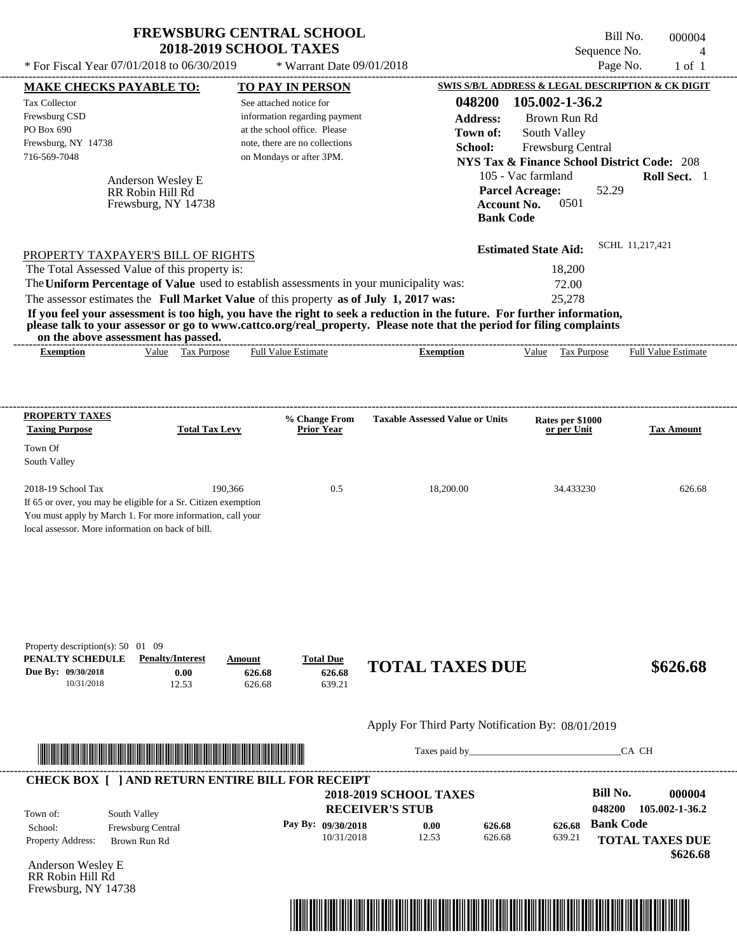| <b>FREWSBURG CENTRAL SCHOOL</b><br><b>2018-2019 SCHOOL TAXES</b> |                             |  |
|------------------------------------------------------------------|-----------------------------|--|
| * For Fiscal Year $07/01/2018$ to $06/30/2019$                   | $*$ Warrant Date 09/01/2018 |  |

Bill No. 000004 Sequence No. 4<br>Page No. 1 of 1

| <b>MAKE CHECKS PAYABLE TO:</b><br><b>Tax Collector</b>                                |                                                                                                                                                                                                                                      | See attached notice for | <b>TO PAY IN PERSON</b>                                       | 048200                                                                                                                                                                                                                                           | 105.002-1-36.2              | SWIS S/B/L ADDRESS & LEGAL DESCRIPTION & CK DIGIT      |
|---------------------------------------------------------------------------------------|--------------------------------------------------------------------------------------------------------------------------------------------------------------------------------------------------------------------------------------|-------------------------|---------------------------------------------------------------|--------------------------------------------------------------------------------------------------------------------------------------------------------------------------------------------------------------------------------------------------|-----------------------------|--------------------------------------------------------|
| Frewsburg CSD<br>PO Box 690                                                           |                                                                                                                                                                                                                                      |                         | information regarding payment<br>at the school office. Please | <b>Address:</b>                                                                                                                                                                                                                                  | Brown Run Rd                |                                                        |
| Frewsburg, NY 14738                                                                   |                                                                                                                                                                                                                                      |                         | note, there are no collections                                | Town of:                                                                                                                                                                                                                                         | South Valley                |                                                        |
| 716-569-7048                                                                          |                                                                                                                                                                                                                                      |                         | on Mondays or after 3PM.                                      | School:                                                                                                                                                                                                                                          | Frewsburg Central           | <b>NYS Tax &amp; Finance School District Code: 208</b> |
|                                                                                       |                                                                                                                                                                                                                                      |                         |                                                               |                                                                                                                                                                                                                                                  | 105 - Vac farmland          | Roll Sect. 1                                           |
|                                                                                       | Anderson Wesley E<br>RR Robin Hill Rd                                                                                                                                                                                                |                         |                                                               |                                                                                                                                                                                                                                                  | <b>Parcel Acreage:</b>      | 52.29                                                  |
|                                                                                       | Frewsburg, NY 14738                                                                                                                                                                                                                  |                         |                                                               |                                                                                                                                                                                                                                                  | 0501<br><b>Account No.</b>  |                                                        |
|                                                                                       |                                                                                                                                                                                                                                      |                         |                                                               |                                                                                                                                                                                                                                                  | <b>Bank Code</b>            |                                                        |
|                                                                                       | PROPERTY TAXPAYER'S BILL OF RIGHTS                                                                                                                                                                                                   |                         |                                                               |                                                                                                                                                                                                                                                  | <b>Estimated State Aid:</b> | SCHL 11,217,421                                        |
| The Total Assessed Value of this property is:                                         |                                                                                                                                                                                                                                      |                         |                                                               |                                                                                                                                                                                                                                                  | 18,200                      |                                                        |
|                                                                                       |                                                                                                                                                                                                                                      |                         |                                                               | The Uniform Percentage of Value used to establish assessments in your municipality was:                                                                                                                                                          | 72.00                       |                                                        |
| The assessor estimates the Full Market Value of this property as of July 1, 2017 was: |                                                                                                                                                                                                                                      |                         |                                                               |                                                                                                                                                                                                                                                  | 25,278                      |                                                        |
|                                                                                       |                                                                                                                                                                                                                                      |                         |                                                               | If you feel your assessment is too high, you have the right to seek a reduction in the future. For further information,<br>please talk to your assessor or go to www.cattco.org/real_property. Please note that the period for filing complaints |                             |                                                        |
| on the above assessment has passed.<br><b>Exemption</b>                               | Value Tax Purpose                                                                                                                                                                                                                    |                         | Full Value Estimate                                           | <b>Exemption</b>                                                                                                                                                                                                                                 | Value Tax Purpose           | <b>Full Value Estimate</b>                             |
|                                                                                       |                                                                                                                                                                                                                                      |                         |                                                               |                                                                                                                                                                                                                                                  |                             |                                                        |
|                                                                                       |                                                                                                                                                                                                                                      |                         |                                                               |                                                                                                                                                                                                                                                  |                             |                                                        |
| <b>PROPERTY TAXES</b>                                                                 |                                                                                                                                                                                                                                      |                         | % Change From                                                 | <b>Taxable Assessed Value or Units</b>                                                                                                                                                                                                           | Rates per \$1000            |                                                        |
| <b>Taxing Purpose</b>                                                                 | <b>Total Tax Levy</b>                                                                                                                                                                                                                |                         | <b>Prior Year</b>                                             |                                                                                                                                                                                                                                                  | or per Unit                 | <b>Tax Amount</b>                                      |
| Town Of                                                                               |                                                                                                                                                                                                                                      |                         |                                                               |                                                                                                                                                                                                                                                  |                             |                                                        |
| South Valley                                                                          |                                                                                                                                                                                                                                      |                         |                                                               |                                                                                                                                                                                                                                                  |                             |                                                        |
| 2018-19 School Tax                                                                    |                                                                                                                                                                                                                                      | 190,366                 | 0.5                                                           | 18,200.00                                                                                                                                                                                                                                        | 34.433230                   | 626.68                                                 |
| If 65 or over, you may be eligible for a Sr. Citizen exemption                        |                                                                                                                                                                                                                                      |                         |                                                               |                                                                                                                                                                                                                                                  |                             |                                                        |
| You must apply by March 1. For more information, call your                            |                                                                                                                                                                                                                                      |                         |                                                               |                                                                                                                                                                                                                                                  |                             |                                                        |
| local assessor. More information on back of bill.                                     |                                                                                                                                                                                                                                      |                         |                                                               |                                                                                                                                                                                                                                                  |                             |                                                        |
|                                                                                       |                                                                                                                                                                                                                                      |                         |                                                               |                                                                                                                                                                                                                                                  |                             |                                                        |
|                                                                                       |                                                                                                                                                                                                                                      |                         |                                                               |                                                                                                                                                                                                                                                  |                             |                                                        |
|                                                                                       |                                                                                                                                                                                                                                      |                         |                                                               |                                                                                                                                                                                                                                                  |                             |                                                        |
|                                                                                       |                                                                                                                                                                                                                                      |                         |                                                               |                                                                                                                                                                                                                                                  |                             |                                                        |
|                                                                                       |                                                                                                                                                                                                                                      |                         |                                                               |                                                                                                                                                                                                                                                  |                             |                                                        |
| Property description(s): 50 01 09                                                     |                                                                                                                                                                                                                                      |                         |                                                               |                                                                                                                                                                                                                                                  |                             |                                                        |
| PENALTY SCHEDULE                                                                      | <b>Penalty/Interest</b>                                                                                                                                                                                                              | Amount                  | <b>Total Due</b>                                              | <b>TOTAL TAXES DUE</b>                                                                                                                                                                                                                           |                             | \$626.68                                               |
| Due By: 09/30/2018<br>10/31/2018                                                      | 0.00<br>12.53                                                                                                                                                                                                                        | 626.68<br>626.68        | 626.68<br>639.21                                              |                                                                                                                                                                                                                                                  |                             |                                                        |
|                                                                                       |                                                                                                                                                                                                                                      |                         |                                                               |                                                                                                                                                                                                                                                  |                             |                                                        |
|                                                                                       |                                                                                                                                                                                                                                      |                         |                                                               | Apply For Third Party Notification By: 08/01/2019                                                                                                                                                                                                |                             |                                                        |
|                                                                                       |                                                                                                                                                                                                                                      |                         |                                                               |                                                                                                                                                                                                                                                  |                             |                                                        |
|                                                                                       | <u> In the second contract of the second contract of the second contract of the second contract of the second contract of the second contract of the second contract of the second contract of the second contract of the second</u> |                         |                                                               |                                                                                                                                                                                                                                                  |                             | CA CH                                                  |
|                                                                                       | <b>CHECK BOX [ ] AND RETURN ENTIRE BILL FOR RECEIPT</b>                                                                                                                                                                              |                         |                                                               |                                                                                                                                                                                                                                                  |                             |                                                        |
|                                                                                       |                                                                                                                                                                                                                                      |                         |                                                               | <b>2018-2019 SCHOOL TAXES</b>                                                                                                                                                                                                                    |                             | <b>Bill No.</b><br>000004                              |
| Town of:                                                                              | South Valley                                                                                                                                                                                                                         |                         |                                                               | <b>RECEIVER'S STUB</b>                                                                                                                                                                                                                           |                             | 048200<br>105.002-1-36.2                               |
| School:                                                                               | Frewsburg Central                                                                                                                                                                                                                    |                         | Pay By: 09/30/2018                                            | 0.00                                                                                                                                                                                                                                             | 626.68<br>626.68            | <b>Bank Code</b>                                       |
| Property Address:                                                                     | Brown Run Rd                                                                                                                                                                                                                         |                         | 10/31/2018                                                    | 12.53                                                                                                                                                                                                                                            | 626.68<br>639.21            | <b>TOTAL TAXES DUE</b>                                 |
| Anderson Wesley E                                                                     |                                                                                                                                                                                                                                      |                         |                                                               |                                                                                                                                                                                                                                                  |                             | \$626.68                                               |
| RR Robin Hill Rd                                                                      |                                                                                                                                                                                                                                      |                         |                                                               |                                                                                                                                                                                                                                                  |                             |                                                        |
| Frewsburg, NY 14738                                                                   |                                                                                                                                                                                                                                      |                         |                                                               |                                                                                                                                                                                                                                                  |                             |                                                        |
|                                                                                       |                                                                                                                                                                                                                                      |                         |                                                               |                                                                                                                                                                                                                                                  |                             |                                                        |
|                                                                                       |                                                                                                                                                                                                                                      |                         |                                                               |                                                                                                                                                                                                                                                  |                             |                                                        |

----------------------------------------------------------------------------------------------------------------------------------------------------------------------------------------------------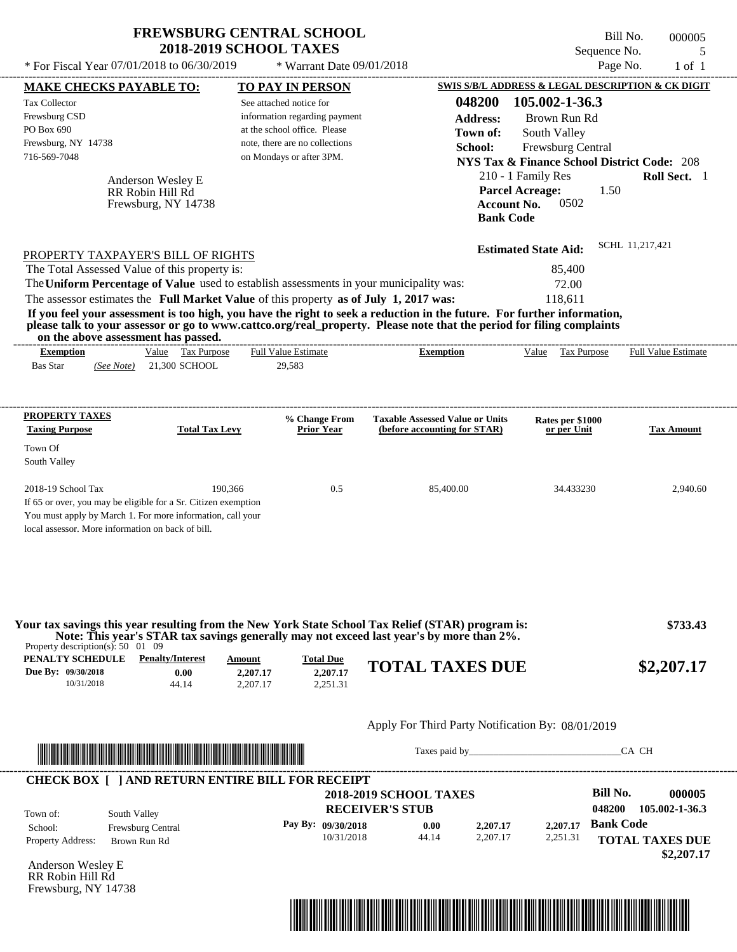|                                                                                                                              | <b>FREWSBURG CENTRAL SCHOOL</b><br><b>2018-2019 SCHOOL TAXES</b>                                                                                                                                                                                 |                                        | Sequence No.                                           | Bill No.                   | 000005<br>5 |
|------------------------------------------------------------------------------------------------------------------------------|--------------------------------------------------------------------------------------------------------------------------------------------------------------------------------------------------------------------------------------------------|----------------------------------------|--------------------------------------------------------|----------------------------|-------------|
| * For Fiscal Year $07/01/2018$ to $06/30/2019$                                                                               | * Warrant Date $09/01/2018$                                                                                                                                                                                                                      |                                        | Page No.                                               |                            | $1$ of $1$  |
| <b>MAKE CHECKS PAYABLE TO:</b>                                                                                               | TO PAY IN PERSON                                                                                                                                                                                                                                 |                                        | SWIS S/B/L ADDRESS & LEGAL DESCRIPTION & CK DIGIT      |                            |             |
| <b>Tax Collector</b>                                                                                                         | See attached notice for                                                                                                                                                                                                                          | 048200                                 | 105.002-1-36.3                                         |                            |             |
| Frewsburg CSD                                                                                                                | information regarding payment                                                                                                                                                                                                                    | Address:                               | Brown Run Rd                                           |                            |             |
| PO Box 690                                                                                                                   | at the school office. Please                                                                                                                                                                                                                     | Town of:                               | South Valley                                           |                            |             |
| Frewsburg, NY 14738                                                                                                          | note, there are no collections                                                                                                                                                                                                                   | School:                                | Frewsburg Central                                      |                            |             |
| 716-569-7048                                                                                                                 | on Mondays or after 3PM.                                                                                                                                                                                                                         |                                        | <b>NYS Tax &amp; Finance School District Code: 208</b> |                            |             |
| Anderson Wesley E                                                                                                            |                                                                                                                                                                                                                                                  |                                        | 210 - 1 Family Res                                     | Roll Sect. 1               |             |
| RR Robin Hill Rd                                                                                                             |                                                                                                                                                                                                                                                  |                                        | <b>Parcel Acreage:</b><br>1.50                         |                            |             |
| Frewsburg, NY 14738                                                                                                          |                                                                                                                                                                                                                                                  | Account No.<br><b>Bank Code</b>        | 0502                                                   |                            |             |
|                                                                                                                              |                                                                                                                                                                                                                                                  |                                        | <b>Estimated State Aid:</b>                            | SCHL 11,217,421            |             |
| PROPERTY TAXPAYER'S BILL OF RIGHTS<br>The Total Assessed Value of this property is:                                          |                                                                                                                                                                                                                                                  |                                        | 85,400                                                 |                            |             |
|                                                                                                                              | The Uniform Percentage of Value used to establish assessments in your municipality was:                                                                                                                                                          |                                        | 72.00                                                  |                            |             |
|                                                                                                                              |                                                                                                                                                                                                                                                  |                                        |                                                        |                            |             |
|                                                                                                                              |                                                                                                                                                                                                                                                  |                                        |                                                        |                            |             |
| The assessor estimates the Full Market Value of this property as of July 1, 2017 was:<br>on the above assessment has passed. | If you feel your assessment is too high, you have the right to seek a reduction in the future. For further information,<br>please talk to your assessor or go to www.cattco.org/real_property. Please note that the period for filing complaints |                                        | 118.611                                                |                            |             |
| Value Tax Purpose<br><b>Exemption</b>                                                                                        | <b>Full Value Estimate</b>                                                                                                                                                                                                                       | <b>Exemption</b>                       | Value<br><b>Tax Purpose</b>                            | <b>Full Value Estimate</b> |             |
| <b>Bas Star</b><br>21,300 SCHOOL<br>(See Note)                                                                               | 29.583                                                                                                                                                                                                                                           |                                        |                                                        |                            |             |
| <b>PROPERTY TAXES</b>                                                                                                        | % Change From                                                                                                                                                                                                                                    | <b>Taxable Assessed Value or Units</b> | Rates per \$1000                                       |                            |             |

| 2018-19 School Tax                                             | 190.366 | 0.5 | 85,400.00 | 34.433230 | 2,940.60 |
|----------------------------------------------------------------|---------|-----|-----------|-----------|----------|
| If 65 or over, you may be eligible for a Sr. Citizen exemption |         |     |           |           |          |
| You must apply by March 1. For more information, call your     |         |     |           |           |          |
| local assessor. More information on back of bill.              |         |     |           |           |          |
|                                                                |         |     |           |           |          |
|                                                                |         |     |           |           |          |

| Property description(s): $50 \quad 01 \quad 09$ |                         |          |                  | Your tax savings this year resulting from the New York State School Tax Relief (STAR) program is:<br>Note: This year's STAR tax savings generally may not exceed last year's by more than 2%.                                 | \$733.43   |
|-------------------------------------------------|-------------------------|----------|------------------|-------------------------------------------------------------------------------------------------------------------------------------------------------------------------------------------------------------------------------|------------|
| PENALTY SCHEDULE                                | <b>Penalty/Interest</b> | Amount   | <b>Total Due</b> |                                                                                                                                                                                                                               |            |
| Due By: 09/30/2018                              | 0.00                    | 2,207.17 | 2,207.17         | <b>TOTAL TAXES DUE</b>                                                                                                                                                                                                        | \$2,207.17 |
| 10/31/2018                                      | 44.14                   | 2.207.17 | 2.251.31         |                                                                                                                                                                                                                               |            |
|                                                 |                         |          |                  | Apply For Third Party Notification By: 08/01/2019                                                                                                                                                                             |            |
|                                                 |                         |          |                  | Taxes paid by Taxes and the same state of the same state of the same state of the same state of the same state of the same state of the same state of the same state of the same state of the same state of the same state of | CA CH      |

#### **RECEIVER'S STUB Bill No. 000005 Bank Code 2,207.17** Property Address: Brown Run Rd South Valley School: Frewsburg Central **TOTAL TAXES DUE \$2,207.17 2018-2019 SCHOOL TAXES 048200 105.002-1-36.3 Pay By: 09/30/2018** 10/31/2018 44.14 **0.00** 2,207.17 **2,207.17** 2,251.31 Town of: **CHECK BOX [ ] AND RETURN ENTIRE BILL FOR RECEIPT**

Anderson Wesley E RR Robin Hill Rd Frewsburg, NY 14738

Town Of South Valley

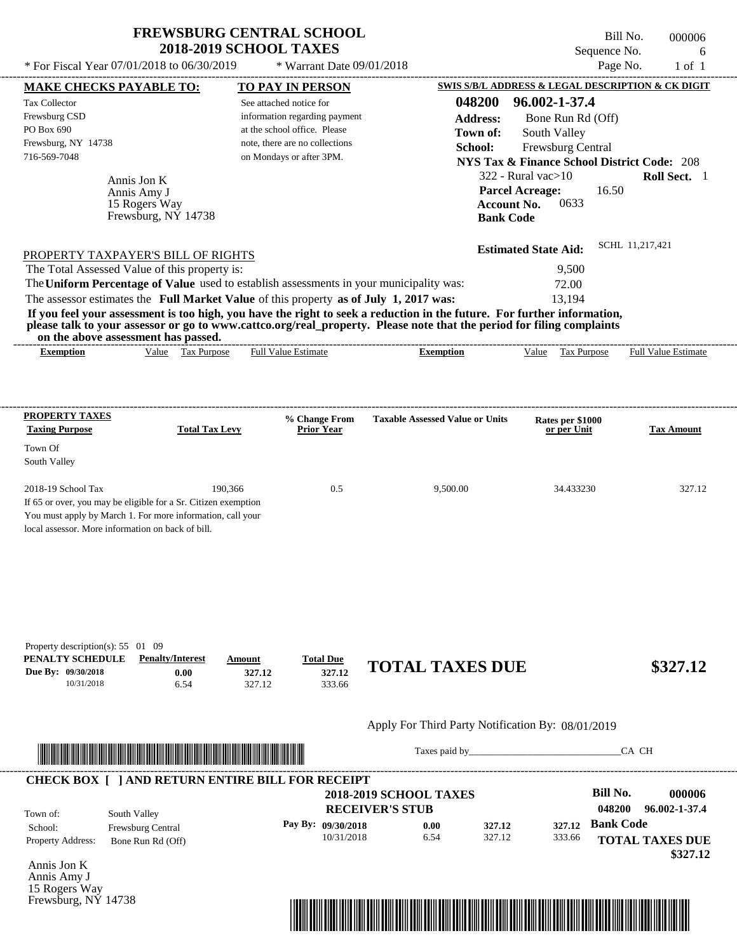$*$  For Fiscal Year 07/01/2018 to 06/30/2019

 $*$  Warrant Date 09/01/2018

Bill No. 000006 Sequence No. 6<br>Page No. 1 of 1

| <b>MAKE CHECKS PAYABLE TO:</b>                                                        |                                                                | <b>TO PAY IN PERSON</b>        |                               |                                                                                                                                                                                                                                                  |                    | SWIS S/B/L ADDRESS & LEGAL DESCRIPTION & CK DIGIT      |                  |                        |
|---------------------------------------------------------------------------------------|----------------------------------------------------------------|--------------------------------|-------------------------------|--------------------------------------------------------------------------------------------------------------------------------------------------------------------------------------------------------------------------------------------------|--------------------|--------------------------------------------------------|------------------|------------------------|
| <b>Tax Collector</b>                                                                  |                                                                | See attached notice for        |                               |                                                                                                                                                                                                                                                  | 048200             | 96.002-1-37.4                                          |                  |                        |
| Frewsburg CSD                                                                         |                                                                |                                | information regarding payment |                                                                                                                                                                                                                                                  | <b>Address:</b>    | Bone Run Rd (Off)                                      |                  |                        |
| PO Box 690                                                                            |                                                                | at the school office. Please   |                               |                                                                                                                                                                                                                                                  | Town of:           | South Valley                                           |                  |                        |
| Frewsburg, NY 14738                                                                   |                                                                | note, there are no collections |                               |                                                                                                                                                                                                                                                  | School:            | Frewsburg Central                                      |                  |                        |
| 716-569-7048                                                                          |                                                                | on Mondays or after 3PM.       |                               |                                                                                                                                                                                                                                                  |                    | <b>NYS Tax &amp; Finance School District Code: 208</b> |                  |                        |
|                                                                                       | Annis Jon K                                                    |                                |                               |                                                                                                                                                                                                                                                  |                    | $322$ - Rural vac $>10$                                |                  | Roll Sect. 1           |
|                                                                                       | Annis Amy J                                                    |                                |                               |                                                                                                                                                                                                                                                  |                    | <b>Parcel Acreage:</b>                                 | 16.50            |                        |
|                                                                                       | 15 Rogers Way                                                  |                                |                               |                                                                                                                                                                                                                                                  | <b>Account No.</b> | 0633                                                   |                  |                        |
|                                                                                       | Frewsburg, NY 14738                                            |                                |                               |                                                                                                                                                                                                                                                  | <b>Bank Code</b>   |                                                        |                  |                        |
|                                                                                       |                                                                |                                |                               |                                                                                                                                                                                                                                                  |                    |                                                        | SCHL 11,217,421  |                        |
| PROPERTY TAXPAYER'S BILL OF RIGHTS                                                    |                                                                |                                |                               |                                                                                                                                                                                                                                                  |                    | <b>Estimated State Aid:</b>                            |                  |                        |
| The Total Assessed Value of this property is:                                         |                                                                |                                |                               |                                                                                                                                                                                                                                                  |                    | 9,500                                                  |                  |                        |
|                                                                                       |                                                                |                                |                               | The Uniform Percentage of Value used to establish assessments in your municipality was:                                                                                                                                                          |                    | 72.00                                                  |                  |                        |
| The assessor estimates the Full Market Value of this property as of July 1, 2017 was: |                                                                |                                |                               |                                                                                                                                                                                                                                                  |                    | 13,194                                                 |                  |                        |
|                                                                                       |                                                                |                                |                               | If you feel your assessment is too high, you have the right to seek a reduction in the future. For further information,<br>please talk to your assessor or go to www.cattco.org/real_property. Please note that the period for filing complaints |                    |                                                        |                  |                        |
| <b>Exemption</b>                                                                      | on the above assessment has passed.<br>Value Tax Purpose       | <b>Full Value Estimate</b>     |                               | <b>Exemption</b>                                                                                                                                                                                                                                 |                    | Value Tax Purpose Full Value Estimate                  |                  |                        |
|                                                                                       |                                                                |                                |                               |                                                                                                                                                                                                                                                  |                    |                                                        |                  |                        |
|                                                                                       |                                                                |                                |                               |                                                                                                                                                                                                                                                  |                    |                                                        |                  |                        |
| <b>PROPERTY TAXES</b>                                                                 |                                                                |                                | % Change From                 | <b>Taxable Assessed Value or Units</b>                                                                                                                                                                                                           |                    | Rates per \$1000                                       |                  |                        |
| <b>Taxing Purpose</b>                                                                 | <b>Total Tax Levy</b>                                          |                                | <b>Prior Year</b>             |                                                                                                                                                                                                                                                  |                    | or per Unit                                            |                  | <b>Tax Amount</b>      |
| Town Of                                                                               |                                                                |                                |                               |                                                                                                                                                                                                                                                  |                    |                                                        |                  |                        |
| South Valley                                                                          |                                                                |                                |                               |                                                                                                                                                                                                                                                  |                    |                                                        |                  |                        |
|                                                                                       |                                                                |                                |                               |                                                                                                                                                                                                                                                  |                    |                                                        |                  |                        |
| 2018-19 School Tax                                                                    |                                                                | 190,366                        | 0.5                           | 9,500.00                                                                                                                                                                                                                                         |                    | 34.433230                                              |                  | 327.12                 |
|                                                                                       | If 65 or over, you may be eligible for a Sr. Citizen exemption |                                |                               |                                                                                                                                                                                                                                                  |                    |                                                        |                  |                        |
| You must apply by March 1. For more information, call your                            |                                                                |                                |                               |                                                                                                                                                                                                                                                  |                    |                                                        |                  |                        |
| local assessor. More information on back of bill.                                     |                                                                |                                |                               |                                                                                                                                                                                                                                                  |                    |                                                        |                  |                        |
|                                                                                       |                                                                |                                |                               |                                                                                                                                                                                                                                                  |                    |                                                        |                  |                        |
|                                                                                       |                                                                |                                |                               |                                                                                                                                                                                                                                                  |                    |                                                        |                  |                        |
|                                                                                       |                                                                |                                |                               |                                                                                                                                                                                                                                                  |                    |                                                        |                  |                        |
|                                                                                       |                                                                |                                |                               |                                                                                                                                                                                                                                                  |                    |                                                        |                  |                        |
|                                                                                       |                                                                |                                |                               |                                                                                                                                                                                                                                                  |                    |                                                        |                  |                        |
| Property description(s): $55 \quad 01 \quad 09$<br>PENALTY SCHEDULE                   | <b>Penalty/Interest</b>                                        | Amount                         | <b>Total Due</b>              |                                                                                                                                                                                                                                                  |                    |                                                        |                  |                        |
| Due By: 09/30/2018                                                                    | 0.00                                                           | 327.12                         | 327.12                        | <b>TOTAL TAXES DUE</b>                                                                                                                                                                                                                           |                    |                                                        |                  | \$327.12               |
| 10/31/2018                                                                            | 6.54                                                           | 327.12                         | 333.66                        |                                                                                                                                                                                                                                                  |                    |                                                        |                  |                        |
|                                                                                       |                                                                |                                |                               |                                                                                                                                                                                                                                                  |                    |                                                        |                  |                        |
|                                                                                       |                                                                |                                |                               | Apply For Third Party Notification By: 08/01/2019                                                                                                                                                                                                |                    |                                                        |                  |                        |
|                                                                                       |                                                                |                                |                               |                                                                                                                                                                                                                                                  |                    | Taxes paid by                                          |                  | CA CH                  |
|                                                                                       |                                                                |                                |                               |                                                                                                                                                                                                                                                  |                    |                                                        |                  |                        |
| <b>CHECK BOX [ ] AND RETURN ENTIRE BILL FOR RECEIPT</b>                               |                                                                |                                |                               | <b>2018-2019 SCHOOL TAXES</b>                                                                                                                                                                                                                    |                    |                                                        | <b>Bill No.</b>  | 000006                 |
|                                                                                       |                                                                |                                |                               |                                                                                                                                                                                                                                                  |                    |                                                        | 048200           | 96.002-1-37.4          |
| Town of:                                                                              | South Valley                                                   |                                |                               | <b>RECEIVER'S STUB</b>                                                                                                                                                                                                                           |                    |                                                        |                  |                        |
| School:                                                                               | Frewsburg Central                                              |                                | Pay By: 09/30/2018            | 0.00                                                                                                                                                                                                                                             | 327.12             | 327.12                                                 | <b>Bank Code</b> |                        |
| <b>Property Address:</b>                                                              | Bone Run Rd (Off)                                              |                                | 10/31/2018                    | 6.54                                                                                                                                                                                                                                             | 327.12             | 333.66                                                 |                  | <b>TOTAL TAXES DUE</b> |
|                                                                                       |                                                                |                                |                               |                                                                                                                                                                                                                                                  |                    |                                                        |                  | \$327.12               |
| Annis Jon K<br>Annis Amy J                                                            |                                                                |                                |                               |                                                                                                                                                                                                                                                  |                    |                                                        |                  |                        |
| 15 Rogers Way                                                                         |                                                                |                                |                               |                                                                                                                                                                                                                                                  |                    |                                                        |                  |                        |
| Frewsburg, NY 14738                                                                   |                                                                |                                |                               |                                                                                                                                                                                                                                                  |                    |                                                        |                  |                        |

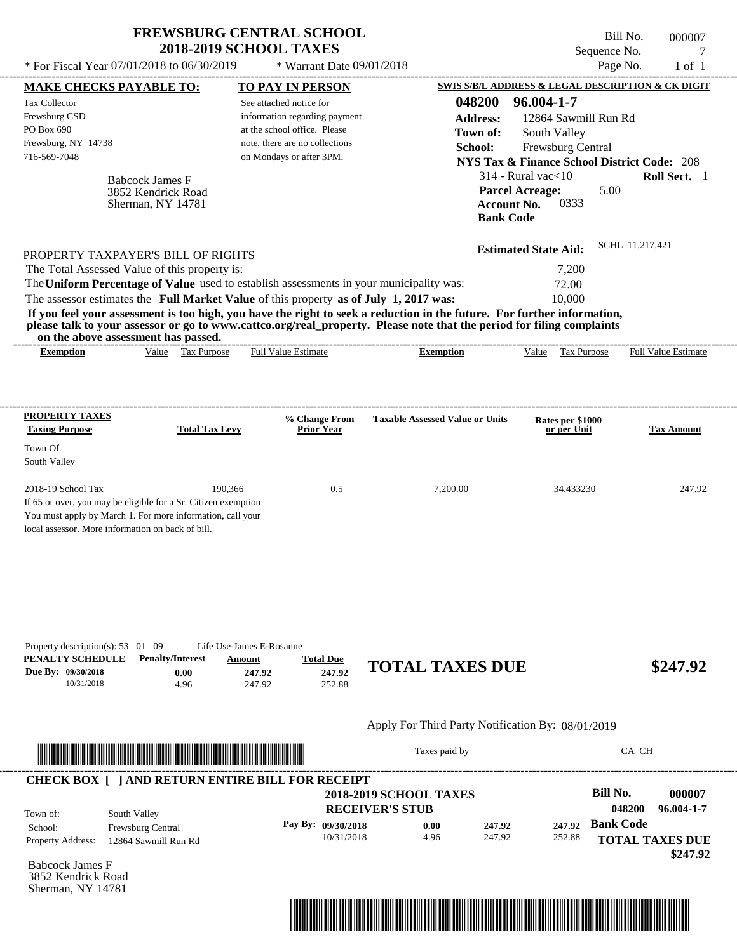| <b>FREWSBURG CENTRAL SCHOOL</b>              |                             |
|----------------------------------------------|-----------------------------|
| <b>2018-2019 SCHOOL TAXES</b>                |                             |
| $*$ For Fiscal Year 07/01/2018 to 06/30/2019 | $*$ Warrant Date 09/01/2018 |

Sherman, NY 14781

Bill No. 000007 Sequence No. 7<br>Page No. 1 of 1

| <b>MAKE CHECKS PAYABLE TO:</b>                                      |                                                                                         | <b>TO PAY IN PERSON</b>            |                                    |                                                                                                                         | SWIS S/B/L ADDRESS & LEGAL DESCRIPTION & CK DIGIT      |                  |                            |
|---------------------------------------------------------------------|-----------------------------------------------------------------------------------------|------------------------------------|------------------------------------|-------------------------------------------------------------------------------------------------------------------------|--------------------------------------------------------|------------------|----------------------------|
| Tax Collector                                                       |                                                                                         | See attached notice for            |                                    | 048200                                                                                                                  | 96.004-1-7                                             |                  |                            |
| Frewsburg CSD                                                       |                                                                                         | information regarding payment      |                                    | <b>Address:</b>                                                                                                         | 12864 Sawmill Run Rd                                   |                  |                            |
| PO Box 690                                                          |                                                                                         | at the school office. Please       |                                    | Town of:                                                                                                                | South Valley                                           |                  |                            |
| Frewsburg, NY 14738                                                 |                                                                                         | note, there are no collections     |                                    | School:                                                                                                                 | Frewsburg Central                                      |                  |                            |
| 716-569-7048                                                        |                                                                                         | on Mondays or after 3PM.           |                                    |                                                                                                                         |                                                        |                  |                            |
|                                                                     |                                                                                         |                                    |                                    |                                                                                                                         | <b>NYS Tax &amp; Finance School District Code: 208</b> |                  |                            |
|                                                                     | <b>Babcock James F</b>                                                                  |                                    |                                    |                                                                                                                         | $314$ - Rural vac $<$ 10                               |                  | Roll Sect. 1               |
|                                                                     | 3852 Kendrick Road                                                                      |                                    |                                    |                                                                                                                         | <b>Parcel Acreage:</b>                                 | 5.00             |                            |
|                                                                     | Sherman, NY 14781                                                                       |                                    |                                    |                                                                                                                         | 0333<br><b>Account No.</b>                             |                  |                            |
|                                                                     |                                                                                         |                                    |                                    |                                                                                                                         | <b>Bank Code</b>                                       |                  |                            |
|                                                                     |                                                                                         |                                    |                                    |                                                                                                                         | <b>Estimated State Aid:</b>                            | SCHL 11,217,421  |                            |
|                                                                     | PROPERTY TAXPAYER'S BILL OF RIGHTS<br>The Total Assessed Value of this property is:     |                                    |                                    |                                                                                                                         | 7,200                                                  |                  |                            |
|                                                                     | The Uniform Percentage of Value used to establish assessments in your municipality was: |                                    |                                    |                                                                                                                         | 72.00                                                  |                  |                            |
|                                                                     | The assessor estimates the Full Market Value of this property as of July 1, 2017 was:   |                                    |                                    |                                                                                                                         | 10,000                                                 |                  |                            |
|                                                                     |                                                                                         |                                    |                                    | If you feel your assessment is too high, you have the right to seek a reduction in the future. For further information, |                                                        |                  |                            |
|                                                                     |                                                                                         |                                    |                                    | please talk to your assessor or go to www.cattco.org/real_property. Please note that the period for filing complaints   |                                                        |                  |                            |
| <b>Exemption</b>                                                    | on the above assessment has passed.<br>Value Tax Purpose                                | <b>Full Value Estimate</b>         |                                    | <b>Exemption</b>                                                                                                        | Value Tax Purpose                                      |                  | <b>Full Value Estimate</b> |
|                                                                     |                                                                                         |                                    |                                    |                                                                                                                         |                                                        |                  |                            |
| <b>PROPERTY TAXES</b>                                               |                                                                                         |                                    |                                    |                                                                                                                         |                                                        |                  |                            |
| <b>Taxing Purpose</b>                                               | <b>Total Tax Levy</b>                                                                   |                                    | % Change From<br><b>Prior Year</b> | <b>Taxable Assessed Value or Units</b>                                                                                  | Rates per \$1000<br>or per Unit                        |                  | <b>Tax Amount</b>          |
| Town Of                                                             |                                                                                         |                                    |                                    |                                                                                                                         |                                                        |                  |                            |
| South Valley                                                        |                                                                                         |                                    |                                    |                                                                                                                         |                                                        |                  |                            |
|                                                                     |                                                                                         |                                    |                                    |                                                                                                                         |                                                        |                  |                            |
| 2018-19 School Tax                                                  | 190,366                                                                                 |                                    | 0.5                                | 7,200.00                                                                                                                | 34.433230                                              |                  | 247.92                     |
|                                                                     | If 65 or over, you may be eligible for a Sr. Citizen exemption                          |                                    |                                    |                                                                                                                         |                                                        |                  |                            |
|                                                                     | You must apply by March 1. For more information, call your                              |                                    |                                    |                                                                                                                         |                                                        |                  |                            |
| local assessor. More information on back of bill.                   |                                                                                         |                                    |                                    |                                                                                                                         |                                                        |                  |                            |
|                                                                     |                                                                                         |                                    |                                    |                                                                                                                         |                                                        |                  |                            |
|                                                                     |                                                                                         |                                    |                                    |                                                                                                                         |                                                        |                  |                            |
| Property description(s): $53 \quad 01 \quad 09$<br>PENALTY SCHEDULE | <b>Penalty/Interest</b>                                                                 | Life Use-James E-Rosanne<br>Amount | <b>Total Due</b>                   |                                                                                                                         |                                                        |                  |                            |
| Due By: 09/30/2018                                                  | 0.00                                                                                    | 247.92                             | 247.92                             | <b>TOTAL TAXES DUE</b>                                                                                                  |                                                        |                  | \$247.92                   |
| 10/31/2018                                                          | 4.96                                                                                    | 247.92                             | 252.88                             |                                                                                                                         |                                                        |                  |                            |
|                                                                     |                                                                                         |                                    |                                    | Apply For Third Party Notification By: 08/01/2019                                                                       |                                                        |                  |                            |
|                                                                     |                                                                                         |                                    |                                    |                                                                                                                         |                                                        |                  |                            |
|                                                                     |                                                                                         |                                    |                                    |                                                                                                                         |                                                        | CA CH            |                            |
|                                                                     | <b>CHECK BOX [ ] AND RETURN ENTIRE BILL FOR RECEIPT</b>                                 |                                    |                                    |                                                                                                                         |                                                        |                  |                            |
|                                                                     |                                                                                         |                                    |                                    | <b>2018-2019 SCHOOL TAXES</b>                                                                                           |                                                        | <b>Bill No.</b>  | 000007                     |
|                                                                     |                                                                                         |                                    | <b>RECEIVER'S STUB</b>             |                                                                                                                         |                                                        | 048200           | 96.004-1-7                 |
| Town of:                                                            | South Valley                                                                            |                                    |                                    | 0.00                                                                                                                    | 247.92<br>247.92                                       | <b>Bank Code</b> |                            |
|                                                                     |                                                                                         |                                    |                                    |                                                                                                                         |                                                        |                  |                            |
|                                                                     | Frewsburg Central                                                                       |                                    | Pay By: 09/30/2018                 |                                                                                                                         |                                                        |                  |                            |
| School:                                                             | 12864 Sawmill Run Rd                                                                    |                                    | 10/31/2018                         | 4.96                                                                                                                    | 247.92<br>252.88                                       |                  | <b>TOTAL TAXES DUE</b>     |
| Property Address:<br><b>Babcock James F</b>                         |                                                                                         |                                    |                                    |                                                                                                                         |                                                        |                  | \$247.92                   |

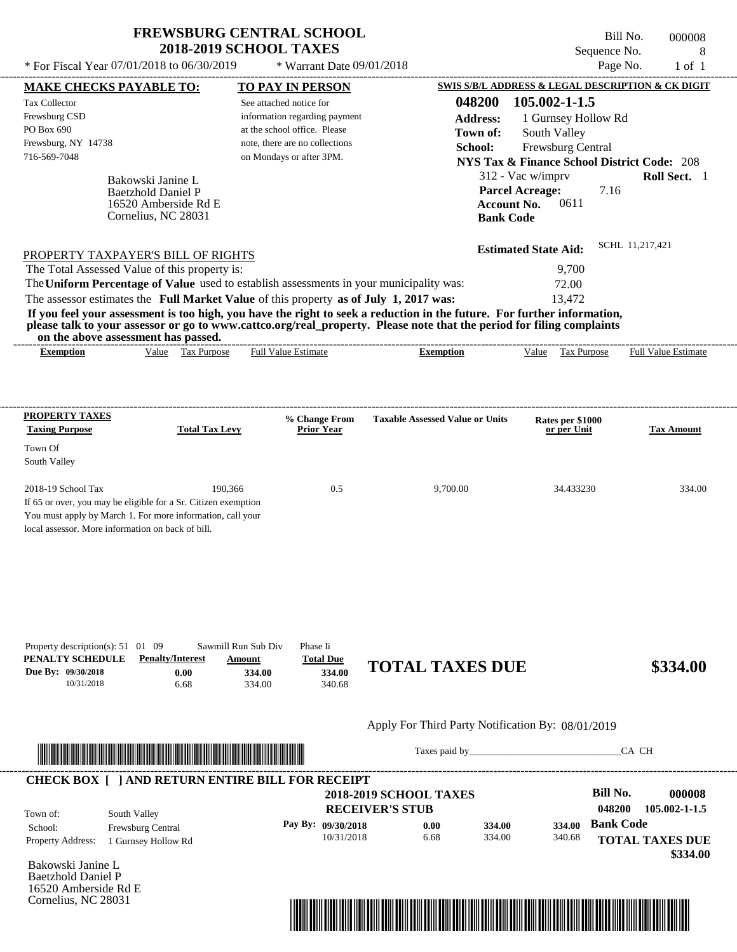Cornelius, NC 28031

Bill No. 000008 Sequence No. 8<br>Page No. 1 of 1

|                                                                                                                                                                                                                                                                                                                                                                                                                                                                                                                                                                                                                                                                                                                                                            | * For Fiscal Year 07/01/2018 to 06/30/2019<br>* Warrant Date 09/01/2018                                                                                |                                                                                            | Page No.                                                                                                                                                                                                                                                      | $1$ of $1$                      |
|------------------------------------------------------------------------------------------------------------------------------------------------------------------------------------------------------------------------------------------------------------------------------------------------------------------------------------------------------------------------------------------------------------------------------------------------------------------------------------------------------------------------------------------------------------------------------------------------------------------------------------------------------------------------------------------------------------------------------------------------------------|--------------------------------------------------------------------------------------------------------------------------------------------------------|--------------------------------------------------------------------------------------------|---------------------------------------------------------------------------------------------------------------------------------------------------------------------------------------------------------------------------------------------------------------|---------------------------------|
| <b>MAKE CHECKS PAYABLE TO:</b>                                                                                                                                                                                                                                                                                                                                                                                                                                                                                                                                                                                                                                                                                                                             | <b>TO PAY IN PERSON</b>                                                                                                                                |                                                                                            | SWIS S/B/L ADDRESS & LEGAL DESCRIPTION & CK DIGIT                                                                                                                                                                                                             |                                 |
| Tax Collector<br>Frewsburg CSD<br>PO Box 690<br>Frewsburg, NY 14738<br>716-569-7048<br>Bakowski Janine L<br><b>Baetzhold Daniel P</b><br>16520 Amberside Rd E<br>Cornelius, NC 28031<br>PROPERTY TAXPAYER'S BILL OF RIGHTS<br>The Total Assessed Value of this property is:<br>The Uniform Percentage of Value used to establish assessments in your municipality was:<br>The assessor estimates the Full Market Value of this property as of July 1, 2017 was:<br>If you feel your assessment is too high, you have the right to seek a reduction in the future. For further information,<br>please talk to your assessor or go to www.cattco.org/real_property. Please note that the period for filing complaints<br>on the above assessment has passed. | See attached notice for<br>information regarding payment<br>at the school office. Please<br>note, there are no collections<br>on Mondays or after 3PM. | 048200<br><b>Address:</b><br>Town of:<br>School:<br><b>Account No.</b><br><b>Bank Code</b> | 105.002-1-1.5<br>1 Gurnsey Hollow Rd<br>South Valley<br>Frewsburg Central<br><b>NYS Tax &amp; Finance School District Code: 208</b><br>312 - Vac w/imprv<br><b>Parcel Acreage:</b><br>7.16<br>0611<br><b>Estimated State Aid:</b><br>9,700<br>72.00<br>13,472 | Roll Sect. 1<br>SCHL 11,217,421 |
| Value Tax Purpose<br><b>Exemption</b>                                                                                                                                                                                                                                                                                                                                                                                                                                                                                                                                                                                                                                                                                                                      | <b>Full Value Estimate</b>                                                                                                                             | <b>Exemption</b>                                                                           | Value Tax Purpose                                                                                                                                                                                                                                             | <b>Full Value Estimate</b>      |
| <b>PROPERTY TAXES</b><br><b>Taxing Purpose</b><br><b>Total Tax Levy</b><br>Town Of<br>South Valley<br>2018-19 School Tax<br>190,366                                                                                                                                                                                                                                                                                                                                                                                                                                                                                                                                                                                                                        | % Change From<br><b>Prior Year</b><br>0.5                                                                                                              | <b>Taxable Assessed Value or Units</b><br>9,700.00                                         | Rates per \$1000<br>or per Unit<br>34.433230                                                                                                                                                                                                                  | <b>Tax Amount</b><br>334.00     |
| If 65 or over, you may be eligible for a Sr. Citizen exemption<br>You must apply by March 1. For more information, call your<br>local assessor. More information on back of bill.<br>Property description(s): $51 \quad 01 \quad 09$<br>PENALTY SCHEDULE<br><b>Penalty/Interest</b><br>Due By: 09/30/2018<br>0.00<br>10/31/2018<br>6.68                                                                                                                                                                                                                                                                                                                                                                                                                    | Sawmill Run Sub Div<br>Phase Ii<br><b>Total Due</b><br>Amount<br>334.00<br>334.00<br>334.00<br>340.68                                                  | <b>TOTAL TAXES DUE</b>                                                                     |                                                                                                                                                                                                                                                               | \$334.00                        |
|                                                                                                                                                                                                                                                                                                                                                                                                                                                                                                                                                                                                                                                                                                                                                            |                                                                                                                                                        | Apply For Third Party Notification By: 08/01/2019                                          |                                                                                                                                                                                                                                                               |                                 |
|                                                                                                                                                                                                                                                                                                                                                                                                                                                                                                                                                                                                                                                                                                                                                            |                                                                                                                                                        |                                                                                            |                                                                                                                                                                                                                                                               |                                 |
| <u> In the second contract of the second contract of the second contract of the second contract of the second contract of the second contract of the second contract of the second contract of the second contract of the second</u>                                                                                                                                                                                                                                                                                                                                                                                                                                                                                                                       |                                                                                                                                                        | Taxes paid by                                                                              |                                                                                                                                                                                                                                                               | CA CH                           |

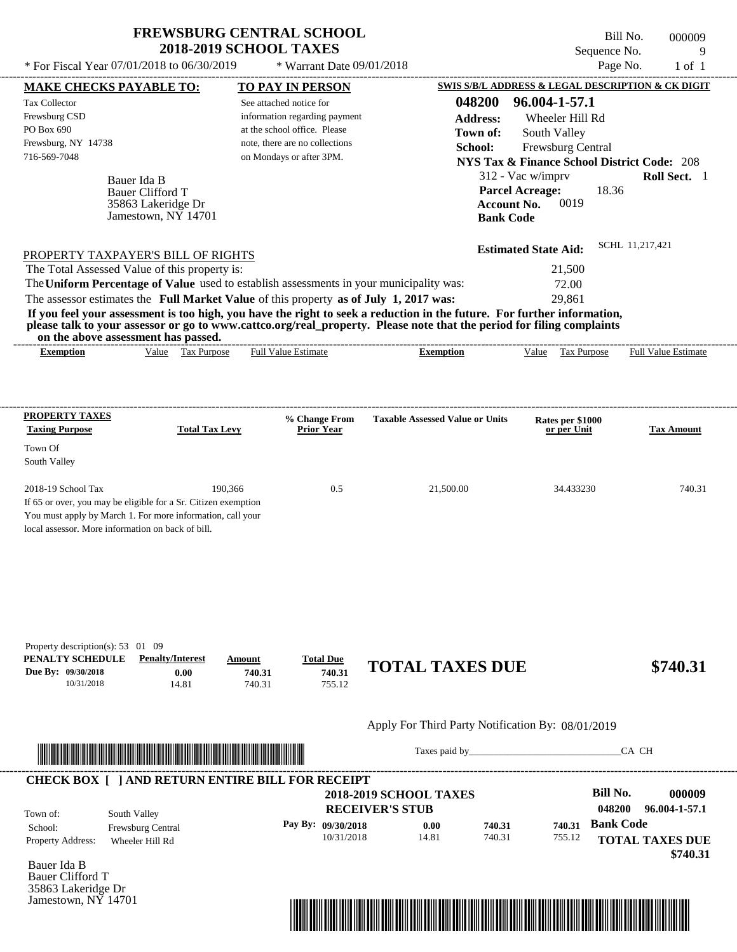---------------------------------------------------------------------------------------------------------------------------------------------------------------------------------------------------- Bauer Ida B If 65 or over, you may be eligible for a Sr. Citizen exemption You must apply by March 1. For more information, call your local assessor. More information on back of bill. Sequence No. 9 \* For Fiscal Year  $07/01/2018$  to  $06/30/2019$  \* Warrant Date  $09/01/2018$  Page No. 1 of 1 **MAKE CHECKS PAYABLE TO: TO PAY IN PERSON SWIS S/B/L ADDRESS & LEGAL DESCRIPTION & CK DIGIT 048200 96.004-1-57.1 Address:** Wheeler Hill Rd South Valley **School:** Frewsburg Central **NYS Tax & Finance School District Code:** 208 312 - Vac w/imprv **Roll Sect.** 1 18.36 **Account No. 0019 Bank Code Estimated State Aid:** SCHL 11,217,421 PROPERTY TAXPAYER'S BILL OF RIGHTS The assessor estimates the **Full Market Value** of this property **as of July 1, 2017 was:** 29,861 The Total Assessed Value of this property is: 21,500 The **Uniform Percentage of Value** used to establish assessments in your municipality was: 72.00 **If you feel your assessment is too high, you have the right to seek a reduction in the future. For further information, please talk to your assessor or go to www.cattco.org/real\_property. Please note that the period for filing complaints on the above assessment has passed. Exemption** Value Tax Purpose **PROPERTY TAXES Taxing Purpose Total Tax Levy Prior Year % Change From Taxable Assessed Value or Units or per Unit Rates per \$1000 Tax Amount PENALTY SCHEDULE Penalty/Interest Amount Total Due Due By: 09/30/2018** 10/31/2018 14.81 **0.00** 740.31 **740.31** 755.12 **740.31 TOTAL TAXES DUE \$740.31** Apply For Third Party Notification By: 08/01/2019 See attached notice for information regarding payment at the school office. Please note, there are no collections Tax Collector Frewsburg CSD PO Box 690 Frewsburg, NY 14738 \* Warrant Date 09/01/2018 716-569-7048 on Mondays or after 3PM. **Parcel Acreage:** South Valley 2018-19 School Tax 190,366 190,366 0.5 21,500.00 34.433230 740.31 Bauer Clifford T Full Value Estimate Taxes paid by\_\_\_\_\_\_\_\_\_\_\_\_\_\_\_\_\_\_\_\_\_\_\_\_\_\_\_\_\_\_\_CA CH ---------------------------------------------------------------------------------------------------------------------------------------------------------------------------------------------------- ---------------------------------------------------------------------------------------------------------------------------------------------------------------------------------------------------- Property description(s): 53 01 09 **Town of:** 35863 Lakeridge Dr Jamestown, NY 14701 **Exemption** Value Tax Purpose Full Value Estimate ---------------------------------------------------------------------------------------------------------------------------------------------------------------------------------------------------- **CHECK BOX [ ] AND RETURN ENTIRE BILL FOR RECEIPT** \*04820000000900000000074031\*

| Town of:                 | South Valley             |                    | <b>2018-2019 SCHOOL TAXES</b><br><b>RECEIVER'S STUB</b> |        |        | Bill No.<br>048200 | 000009<br>96.004-1-57.1 |
|--------------------------|--------------------------|--------------------|---------------------------------------------------------|--------|--------|--------------------|-------------------------|
| School:                  | <b>Frewsburg Central</b> | Pay By: 09/30/2018 | 0.00                                                    | 740.31 | 740.31 | <b>Bank Code</b>   |                         |
| <b>Property Address:</b> | Wheeler Hill Rd          | 10/31/2018         | 14.81                                                   | 740.31 | 755.12 |                    | <b>TOTAL TAXES DUE</b>  |
|                          |                          |                    |                                                         |        |        |                    | \$740.31                |

Bauer Ida B Bauer Clifford T 35863 Lakeridge Dr Jamestown, NY 14701

Town Of



Bill No. 000009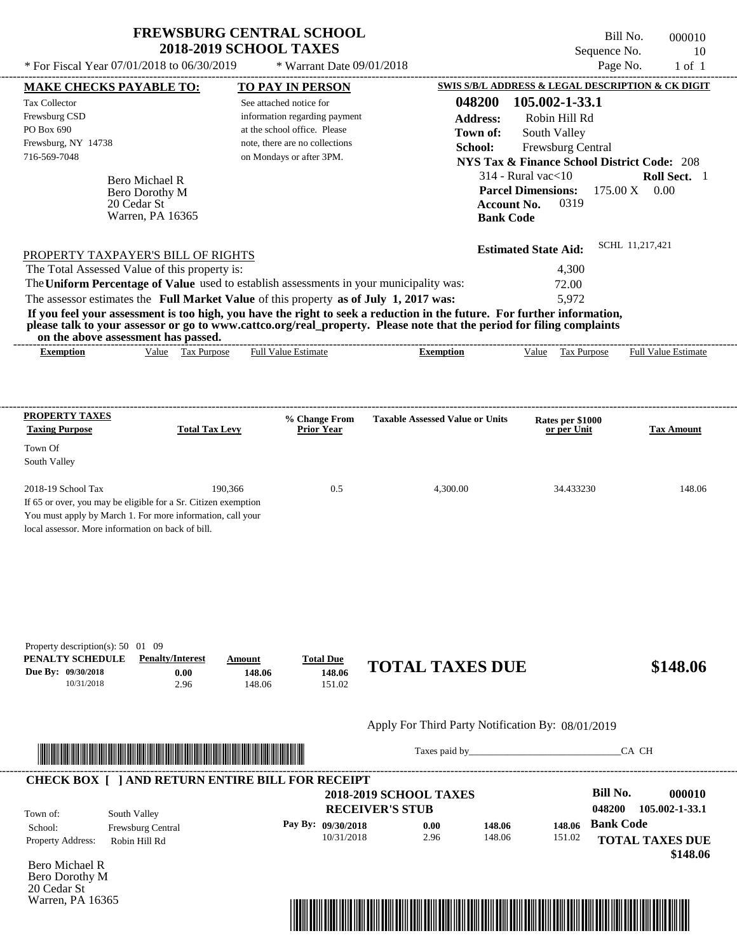\* Warrant Date 09/01/2018

Bill No. 000010 Sequence No. 10

---------------------------------------------------------------------------------------------------------------------------------------------------------------------------------------------------- Bero Michael R If 65 or over, you may be eligible for a Sr. Citizen exemption You must apply by March 1. For more information, call your local assessor. More information on back of bill. \* For Fiscal Year  $07/01/2018$  to  $06/30/2019$  \* Warrant Date  $09/01/2018$  Page No. 1 of 1 **MAKE CHECKS PAYABLE TO: TO PAY IN PERSON SWIS S/B/L ADDRESS & LEGAL DESCRIPTION & CK DIGIT 048200 105.002-1-33.1 Address:** Robin Hill Rd South Valley **School:** Frewsburg Central **NYS Tax & Finance School District Code:** 208 314 - Rural vac<10 **Roll Sect.** 1 175.00 X 0.00 **Account No.** 0319 **Bank Code Estimated State Aid:** SCHL 11,217,421 PROPERTY TAXPAYER'S BILL OF RIGHTS The assessor estimates the **Full Market Value** of this property **as of July 1, 2017 was:** 5,972 The Total Assessed Value of this property is: 4,300 The **Uniform Percentage of Value** used to establish assessments in your municipality was: 72.00 **If you feel your assessment is too high, you have the right to seek a reduction in the future. For further information, please talk to your assessor or go to www.cattco.org/real\_property. Please note that the period for filing complaints on the above assessment has passed. Exemption** Value Tax Purpose **PROPERTY TAXES Taxing Purpose Total Tax Levy Prior Year % Change From Taxable Assessed Value or Units or per Unit Rates per \$1000 Tax Amount PENALTY SCHEDULE Penalty/Interest Amount Total Due Due By: 09/30/2018** 10/31/2018 2.96 **0.00** 148.06 **148.06** 151.02 **148.06 TOTAL TAXES DUE \$148.06** Apply For Third Party Notification By: 08/01/2019 **RECEIVER'S STUB Bill No. 000010 Bank Code** Property Address: Robin Hill Rd South Valley School: Frewsburg Central **TOTAL TAXES DUE \$148.06** See attached notice for information regarding payment at the school office. Please note, there are no collections Tax Collector Frewsburg CSD PO Box 690 Frewsburg, NY 14738  **2018-2019 SCHOOL TAXES** 716-569-7048 on Mondays or after 3PM. **Parcel Dimensions:** Town Of South Valley 2018-19 School Tax 190,366 190,366 0.5 4,300.00 34.433230 148.06 **048200 105.002-1-33.1 Pay By: 09/30/2018** 10/31/2018 2.96 **0.00** 148.06 **148.06** 151.02 **148.06** Bero Dorothy M Full Value Estimate Taxes paid by Taxes and by Taxes paid by Taxes and by Taxes and by Taxes and the CA CH ---------------------------------------------------------------------------------------------------------------------------------------------------------------------------------------------------- ---------------------------------------------------------------------------------------------------------------------------------------------------------------------------------------------------- Property description(s): 50 01 09 Town of: **Town of:** 20 Cedar St Warren, PA 16365 **Exemption** Value Tax Purpose Full Value Estimate ---------------------------------------------------------------------------------------------------------------------------------------------------------------------------------------------------- **CHECK BOX [ ] AND RETURN ENTIRE BILL FOR RECEIPT** \*04820000001000000000014806\*

Bero Michael R Bero Dorothy M 20 Cedar St Warren, PA 16365

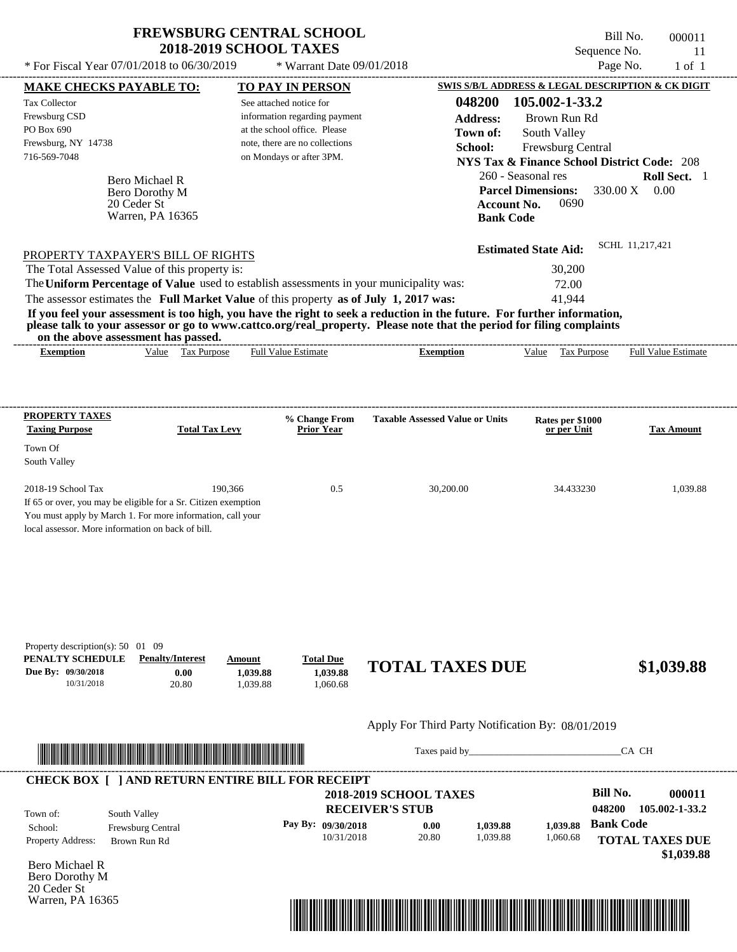Warren, PA 16365

\* Warrant Date 09/01/2018

---------------------------------------------------------------------------------------------------------------------------------------------------------------------------------------------------- Bill No. 000011 Sequence No. 11 \* For Fiscal Year  $07/01/2018$  to  $06/30/2019$  \* Warrant Date  $09/01/2018$  Page No. 1 of 1 **MAKE CHECKS PAYABLE TO: TO PAY IN PERSON SWIS S/B/L ADDRESS & LEGAL DESCRIPTION & CK DIGIT**

| Tax Collector<br>Frewsburg CSD<br>PO Box 690<br>Frewsburg, NY 14738<br>716-569-7048                                                                                                                     | Bero Michael R<br>Bero Dorothy M<br>20 Ceder St<br>Warren, PA 16365                                                                                                                                                                                                                                            | See attached notice for        | information regarding payment<br>at the school office. Please<br>note, there are no collections<br>on Mondays or after 3PM. | 048200<br><b>Address:</b><br>Town of:<br>School:<br><b>Bank Code</b>                                                                                                                                                                             | 105.002-1-33.2<br>Brown Run Rd<br>South Valley<br>Frewsburg Central<br>260 - Seasonal res<br><b>Parcel Dimensions:</b><br><b>Account No.</b><br>0690 | <b>NYS Tax &amp; Finance School District Code: 208</b><br>Roll Sect. 1<br>0.00<br>330.00 X |
|---------------------------------------------------------------------------------------------------------------------------------------------------------------------------------------------------------|----------------------------------------------------------------------------------------------------------------------------------------------------------------------------------------------------------------------------------------------------------------------------------------------------------------|--------------------------------|-----------------------------------------------------------------------------------------------------------------------------|--------------------------------------------------------------------------------------------------------------------------------------------------------------------------------------------------------------------------------------------------|------------------------------------------------------------------------------------------------------------------------------------------------------|--------------------------------------------------------------------------------------------|
|                                                                                                                                                                                                         | PROPERTY TAXPAYER'S BILL OF RIGHTS<br>The Total Assessed Value of this property is:<br>The Uniform Percentage of Value used to establish assessments in your municipality was:<br>The assessor estimates the Full Market Value of this property as of July 1, 2017 was:<br>on the above assessment has passed. |                                |                                                                                                                             | If you feel your assessment is too high, you have the right to seek a reduction in the future. For further information,<br>please talk to your assessor or go to www.cattco.org/real_property. Please note that the period for filing complaints | <b>Estimated State Aid:</b><br>30,200<br>72.00<br>41,944                                                                                             | SCHL 11,217,421                                                                            |
| <b>Exemption</b>                                                                                                                                                                                        | Value Tax Purpose                                                                                                                                                                                                                                                                                              |                                | <b>Full Value Estimate</b>                                                                                                  | <b>Exemption</b>                                                                                                                                                                                                                                 | Value Tax Purpose                                                                                                                                    | <b>Full Value Estimate</b>                                                                 |
| PROPERTY TAXES<br><b>Taxing Purpose</b>                                                                                                                                                                 | <b>Total Tax Levy</b>                                                                                                                                                                                                                                                                                          |                                | % Change From<br><b>Prior Year</b>                                                                                          | <b>Taxable Assessed Value or Units</b>                                                                                                                                                                                                           | Rates per \$1000<br>or per Unit                                                                                                                      | <b>Tax Amount</b>                                                                          |
| Town Of<br>South Valley                                                                                                                                                                                 |                                                                                                                                                                                                                                                                                                                |                                |                                                                                                                             |                                                                                                                                                                                                                                                  |                                                                                                                                                      |                                                                                            |
| 2018-19 School Tax<br>If 65 or over, you may be eligible for a Sr. Citizen exemption<br>You must apply by March 1. For more information, call your<br>local assessor. More information on back of bill. | 190,366                                                                                                                                                                                                                                                                                                        |                                | 0.5                                                                                                                         | 30,200.00                                                                                                                                                                                                                                        | 34.433230                                                                                                                                            | 1,039.88                                                                                   |
| Property description(s): 50 01 09<br>PENALTY SCHEDULE<br>Due By: 09/30/2018<br>10/31/2018                                                                                                               | <b>Penalty/Interest</b><br>0.00<br>20.80                                                                                                                                                                                                                                                                       | Amount<br>1,039.88<br>1,039.88 | <b>Total Due</b><br>1,039.88<br>1,060.68                                                                                    | <b>TOTAL TAXES DUE</b>                                                                                                                                                                                                                           |                                                                                                                                                      | \$1,039.88                                                                                 |
|                                                                                                                                                                                                         |                                                                                                                                                                                                                                                                                                                |                                |                                                                                                                             | Apply For Third Party Notification By: 08/01/2019                                                                                                                                                                                                |                                                                                                                                                      |                                                                                            |
|                                                                                                                                                                                                         |                                                                                                                                                                                                                                                                                                                |                                |                                                                                                                             |                                                                                                                                                                                                                                                  |                                                                                                                                                      | CA CH                                                                                      |
| <b>CHECK BOX [ ] AND RETURN ENTIRE BILL FOR RECEIPT</b>                                                                                                                                                 |                                                                                                                                                                                                                                                                                                                |                                |                                                                                                                             |                                                                                                                                                                                                                                                  |                                                                                                                                                      |                                                                                            |
|                                                                                                                                                                                                         |                                                                                                                                                                                                                                                                                                                |                                |                                                                                                                             | <b>2018-2019 SCHOOL TAXES</b>                                                                                                                                                                                                                    |                                                                                                                                                      | <b>Bill No.</b><br>000011                                                                  |
| Town of:                                                                                                                                                                                                | South Valley                                                                                                                                                                                                                                                                                                   |                                |                                                                                                                             | <b>RECEIVER'S STUB</b>                                                                                                                                                                                                                           |                                                                                                                                                      | 048200<br>105.002-1-33.2                                                                   |
| School:<br>Property Address:                                                                                                                                                                            | Frewsburg Central<br>Brown Run Rd                                                                                                                                                                                                                                                                              |                                | Pay By: 09/30/2018<br>10/31/2018                                                                                            | 0.00<br>1,039.88<br>20.80<br>1,039.88                                                                                                                                                                                                            | 1,039.88<br>1,060.68                                                                                                                                 | <b>Bank Code</b><br><b>TOTAL TAXES DUE</b><br>\$1,039.88                                   |
| <b>Bero Michael R</b><br>Bero Dorothy M<br>20 Ceder St                                                                                                                                                  |                                                                                                                                                                                                                                                                                                                |                                |                                                                                                                             |                                                                                                                                                                                                                                                  |                                                                                                                                                      |                                                                                            |

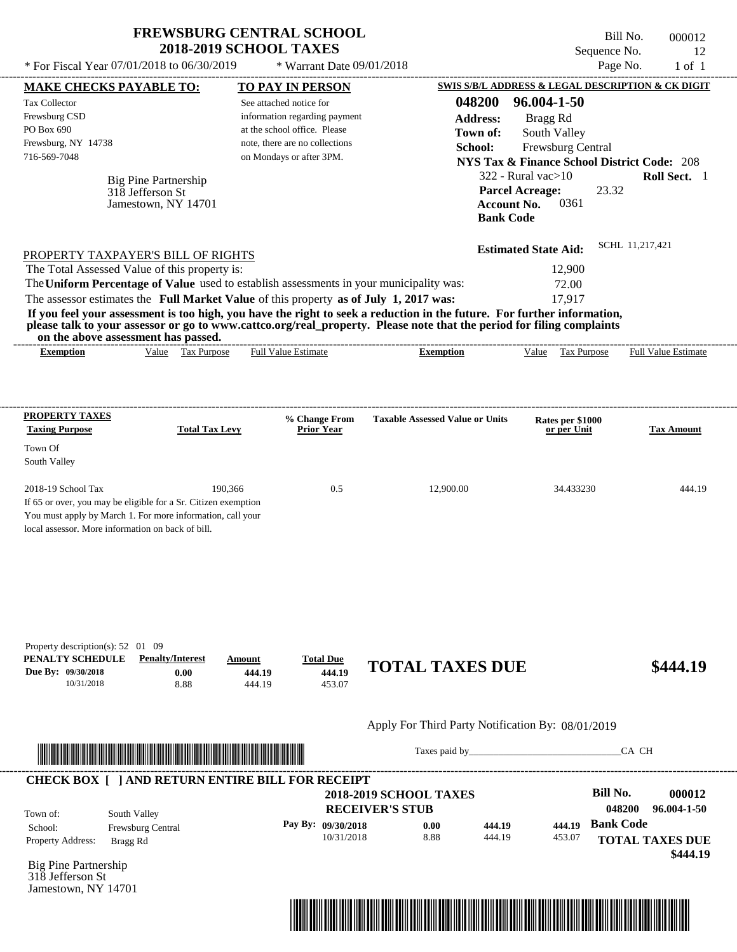| <b>FREWSBURG CENTRAL SCHOOL</b> |
|---------------------------------|
| <b>2018-2019 SCHOOL TAXES</b>   |

 $*$  Warrant Date 09/01/2018

Bill No. 000012 Sequence No. 12 \* For Fiscal Year  $07/01/2018$  to  $06/30/2019$  \* Warrant Date  $09/01/2018$  Page No. 1 of 1

| <b>MAKE CHECKS PAYABLE TO:</b>                                                                                  |                                 |                  | <b>TO PAY IN PERSON</b>            |                                                                                                                                                                                                                                                  | SWIS S/B/L ADDRESS & LEGAL DESCRIPTION & CK DIGIT      |                  |                                    |
|-----------------------------------------------------------------------------------------------------------------|---------------------------------|------------------|------------------------------------|--------------------------------------------------------------------------------------------------------------------------------------------------------------------------------------------------------------------------------------------------|--------------------------------------------------------|------------------|------------------------------------|
| <b>Tax Collector</b>                                                                                            |                                 |                  | See attached notice for            | 048200                                                                                                                                                                                                                                           | 96.004-1-50                                            |                  |                                    |
| Frewsburg CSD                                                                                                   |                                 |                  | information regarding payment      | <b>Address:</b>                                                                                                                                                                                                                                  | Bragg Rd                                               |                  |                                    |
| PO Box 690                                                                                                      |                                 |                  | at the school office. Please       | Town of:                                                                                                                                                                                                                                         | South Valley                                           |                  |                                    |
| Frewsburg, NY 14738                                                                                             |                                 |                  | note, there are no collections     | School:                                                                                                                                                                                                                                          | Frewsburg Central                                      |                  |                                    |
| 716-569-7048                                                                                                    |                                 |                  | on Mondays or after 3PM.           |                                                                                                                                                                                                                                                  | <b>NYS Tax &amp; Finance School District Code: 208</b> |                  |                                    |
|                                                                                                                 | Big Pine Partnership            |                  |                                    |                                                                                                                                                                                                                                                  | $322$ - Rural vac $>10$                                |                  | Roll Sect. 1                       |
|                                                                                                                 | 318 Jefferson St                |                  |                                    |                                                                                                                                                                                                                                                  | <b>Parcel Acreage:</b>                                 | 23.32            |                                    |
|                                                                                                                 | Jamestown, NY 14701             |                  |                                    |                                                                                                                                                                                                                                                  | 0361<br><b>Account No.</b>                             |                  |                                    |
|                                                                                                                 |                                 |                  |                                    |                                                                                                                                                                                                                                                  | <b>Bank Code</b>                                       |                  |                                    |
|                                                                                                                 |                                 |                  |                                    |                                                                                                                                                                                                                                                  | <b>Estimated State Aid:</b>                            | SCHL 11.217.421  |                                    |
| PROPERTY TAXPAYER'S BILL OF RIGHTS<br>The Total Assessed Value of this property is:                             |                                 |                  |                                    |                                                                                                                                                                                                                                                  | 12,900                                                 |                  |                                    |
| The Uniform Percentage of Value used to establish assessments in your municipality was:                         |                                 |                  |                                    |                                                                                                                                                                                                                                                  | 72.00                                                  |                  |                                    |
| The assessor estimates the Full Market Value of this property as of July 1, 2017 was:                           |                                 |                  |                                    |                                                                                                                                                                                                                                                  | 17,917                                                 |                  |                                    |
|                                                                                                                 |                                 |                  |                                    | If you feel your assessment is too high, you have the right to seek a reduction in the future. For further information,<br>please talk to your assessor or go to www.cattco.org/real_property. Please note that the period for filing complaints |                                                        |                  |                                    |
| on the above assessment has passed.                                                                             |                                 |                  |                                    |                                                                                                                                                                                                                                                  |                                                        |                  |                                    |
| <b>Exemption</b>                                                                                                | Value Tax Purpose               |                  | <b>Full Value Estimate</b>         | <b>Exemption</b>                                                                                                                                                                                                                                 | Value Tax Purpose Full Value Estimate                  |                  |                                    |
| <b>PROPERTY TAXES</b><br><b>Taxing Purpose</b>                                                                  | <b>Total Tax Levy</b>           |                  | % Change From<br><b>Prior Year</b> | <b>Taxable Assessed Value or Units</b>                                                                                                                                                                                                           | Rates per \$1000<br>or per Unit                        |                  | <b>Tax Amount</b>                  |
| Town Of                                                                                                         |                                 |                  |                                    |                                                                                                                                                                                                                                                  |                                                        |                  |                                    |
| South Valley                                                                                                    |                                 |                  |                                    |                                                                                                                                                                                                                                                  |                                                        |                  |                                    |
| 2018-19 School Tax<br>If 65 or over, you may be eligible for a Sr. Citizen exemption                            |                                 | 190,366          | 0.5                                | 12,900.00                                                                                                                                                                                                                                        | 34.433230                                              |                  | 444.19                             |
| You must apply by March 1. For more information, call your<br>local assessor. More information on back of bill. |                                 |                  |                                    |                                                                                                                                                                                                                                                  |                                                        |                  |                                    |
|                                                                                                                 |                                 |                  |                                    |                                                                                                                                                                                                                                                  |                                                        |                  |                                    |
| Property description(s): $52 \quad 01 \quad 09$<br>PENALTY SCHEDULE<br>Due By: 09/30/2018                       | <b>Penalty/Interest</b><br>0.00 | Amount<br>444.19 | <b>Total Due</b><br>444.19         | <b>TOTAL TAXES DUE</b>                                                                                                                                                                                                                           |                                                        |                  | \$444.19                           |
| 10/31/2018                                                                                                      | 8.88                            | 444.19           | 453.07                             |                                                                                                                                                                                                                                                  |                                                        |                  |                                    |
|                                                                                                                 |                                 |                  |                                    | Apply For Third Party Notification By: 08/01/2019                                                                                                                                                                                                |                                                        |                  |                                    |
|                                                                                                                 |                                 |                  |                                    |                                                                                                                                                                                                                                                  | Taxes paid by                                          | CA CH            |                                    |
| <b>CHECK BOX [ ] AND RETURN ENTIRE BILL FOR RECEIPT</b>                                                         |                                 |                  |                                    |                                                                                                                                                                                                                                                  |                                                        |                  |                                    |
|                                                                                                                 |                                 |                  |                                    | <b>2018-2019 SCHOOL TAXES</b>                                                                                                                                                                                                                    |                                                        | <b>Bill No.</b>  | 000012                             |
| Town of:                                                                                                        | South Valley                    |                  |                                    | <b>RECEIVER'S STUB</b>                                                                                                                                                                                                                           |                                                        | 048200           | 96.004-1-50                        |
| School:                                                                                                         | Frewsburg Central               |                  | Pay By: 09/30/2018                 | 0.00                                                                                                                                                                                                                                             | 444.19<br>444.19                                       | <b>Bank Code</b> |                                    |
| <b>Property Address:</b><br>Bragg Rd                                                                            |                                 |                  | 10/31/2018                         | 8.88                                                                                                                                                                                                                                             | 444.19<br>453.07                                       |                  | <b>TOTAL TAXES DUE</b><br>\$444.19 |
| <b>Big Pine Partnership</b><br>318 Jefferson St                                                                 |                                 |                  |                                    |                                                                                                                                                                                                                                                  |                                                        |                  |                                    |
| Jamestown, NY 14701                                                                                             |                                 |                  |                                    |                                                                                                                                                                                                                                                  |                                                        |                  |                                    |

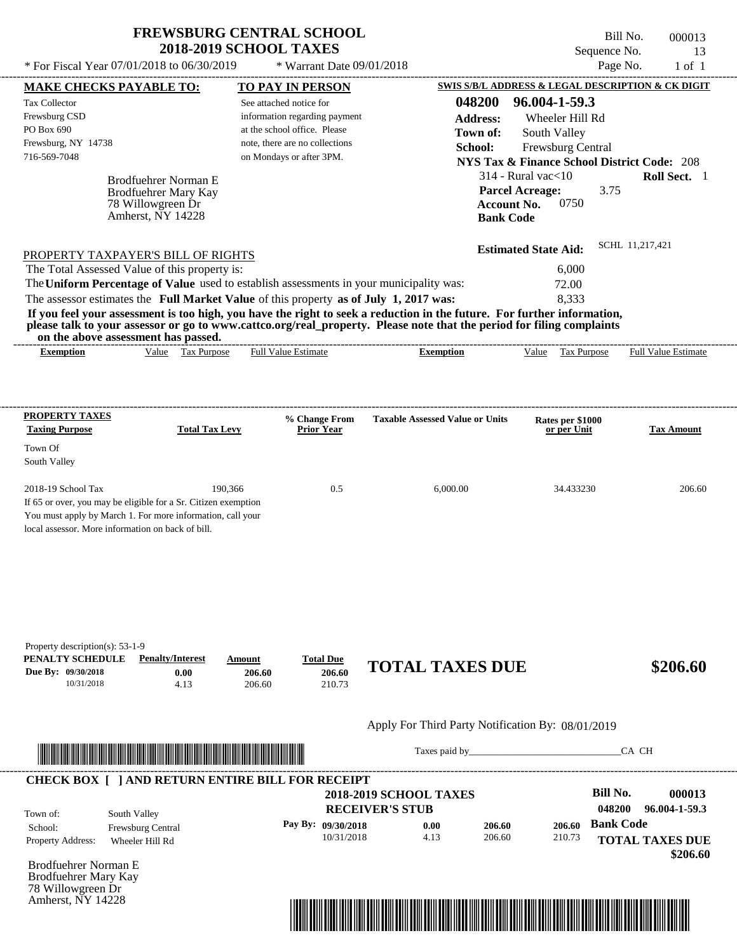\* For Fiscal Year  $07/01/2018$  to  $06/30/2019$  \* Warrant Date  $09/01/2018$  Page No. 1 of 1

 $*$  Warrant Date 09/01/2018

---------------------------------------------------------------------------------------------------------------------------------------------------------------------------------------------------- Bill No. 000013 Sequence No. 13

| <b>MAKE CHECKS PAYABLE TO:</b>                                                                                                           |                                   |                         | <b>TO PAY IN PERSON</b>            |                                                                                                                         |                    |                                 |                  | SWIS S/B/L ADDRESS & LEGAL DESCRIPTION & CK DIGIT      |
|------------------------------------------------------------------------------------------------------------------------------------------|-----------------------------------|-------------------------|------------------------------------|-------------------------------------------------------------------------------------------------------------------------|--------------------|---------------------------------|------------------|--------------------------------------------------------|
| <b>Tax Collector</b>                                                                                                                     |                                   | See attached notice for |                                    |                                                                                                                         | 048200             | 96.004-1-59.3                   |                  |                                                        |
| Frewsburg CSD                                                                                                                            |                                   |                         | information regarding payment      |                                                                                                                         | <b>Address:</b>    | Wheeler Hill Rd                 |                  |                                                        |
| PO Box 690                                                                                                                               |                                   |                         | at the school office. Please       |                                                                                                                         | Town of:           | South Valley                    |                  |                                                        |
| Frewsburg, NY 14738                                                                                                                      |                                   |                         | note, there are no collections     | School:                                                                                                                 |                    | Frewsburg Central               |                  |                                                        |
| 716-569-7048                                                                                                                             |                                   |                         | on Mondays or after 3PM.           |                                                                                                                         |                    |                                 |                  | <b>NYS Tax &amp; Finance School District Code: 208</b> |
|                                                                                                                                          | Brodfuehrer Norman E              |                         |                                    |                                                                                                                         |                    | $314$ - Rural vac $<$ 10        |                  | Roll Sect. 1                                           |
|                                                                                                                                          | Brodfuehrer Mary Kay              |                         |                                    |                                                                                                                         |                    | <b>Parcel Acreage:</b>          | 3.75             |                                                        |
|                                                                                                                                          | 78 Willowgreen Dr                 |                         |                                    |                                                                                                                         | <b>Account No.</b> | 0750                            |                  |                                                        |
|                                                                                                                                          | Amherst, NY 14228                 |                         |                                    |                                                                                                                         | <b>Bank Code</b>   |                                 |                  |                                                        |
|                                                                                                                                          |                                   |                         |                                    |                                                                                                                         |                    | <b>Estimated State Aid:</b>     |                  | SCHL 11,217,421                                        |
| PROPERTY TAXPAYER'S BILL OF RIGHTS                                                                                                       |                                   |                         |                                    |                                                                                                                         |                    |                                 |                  |                                                        |
| The Total Assessed Value of this property is:<br>The Uniform Percentage of Value used to establish assessments in your municipality was: |                                   |                         |                                    |                                                                                                                         |                    | 6,000                           |                  |                                                        |
| The assessor estimates the Full Market Value of this property as of July 1, 2017 was:                                                    |                                   |                         |                                    |                                                                                                                         |                    | 72.00<br>8,333                  |                  |                                                        |
|                                                                                                                                          |                                   |                         |                                    | If you feel your assessment is too high, you have the right to seek a reduction in the future. For further information, |                    |                                 |                  |                                                        |
| on the above assessment has passed.                                                                                                      |                                   |                         |                                    | please talk to your assessor or go to www.cattco.org/real_property. Please note that the period for filing complaints   |                    |                                 |                  |                                                        |
| <b>Exemption</b>                                                                                                                         | Value Tax Purpose                 |                         | Full Value Estimate                | <b>Exemption</b>                                                                                                        |                    | Value Tax Purpose               |                  | <b>Full Value Estimate</b>                             |
|                                                                                                                                          |                                   |                         |                                    |                                                                                                                         |                    |                                 |                  |                                                        |
|                                                                                                                                          |                                   |                         |                                    |                                                                                                                         |                    |                                 |                  |                                                        |
| <b>PROPERTY TAXES</b><br><b>Taxing Purpose</b>                                                                                           | <b>Total Tax Levy</b>             |                         | % Change From<br><b>Prior Year</b> | <b>Taxable Assessed Value or Units</b>                                                                                  |                    | Rates per \$1000<br>or per Unit |                  | <b>Tax Amount</b>                                      |
| Town Of                                                                                                                                  |                                   |                         |                                    |                                                                                                                         |                    |                                 |                  |                                                        |
| South Valley                                                                                                                             |                                   |                         |                                    |                                                                                                                         |                    |                                 |                  |                                                        |
|                                                                                                                                          |                                   |                         |                                    |                                                                                                                         |                    |                                 |                  |                                                        |
| 2018-19 School Tax                                                                                                                       | 190,366                           |                         | 0.5                                | 6,000.00                                                                                                                |                    | 34.433230                       |                  | 206.60                                                 |
| If 65 or over, you may be eligible for a Sr. Citizen exemption                                                                           |                                   |                         |                                    |                                                                                                                         |                    |                                 |                  |                                                        |
| You must apply by March 1. For more information, call your                                                                               |                                   |                         |                                    |                                                                                                                         |                    |                                 |                  |                                                        |
| local assessor. More information on back of bill.                                                                                        |                                   |                         |                                    |                                                                                                                         |                    |                                 |                  |                                                        |
|                                                                                                                                          |                                   |                         |                                    |                                                                                                                         |                    |                                 |                  |                                                        |
|                                                                                                                                          |                                   |                         |                                    |                                                                                                                         |                    |                                 |                  |                                                        |
|                                                                                                                                          |                                   |                         |                                    |                                                                                                                         |                    |                                 |                  |                                                        |
|                                                                                                                                          |                                   |                         |                                    |                                                                                                                         |                    |                                 |                  |                                                        |
|                                                                                                                                          |                                   |                         |                                    |                                                                                                                         |                    |                                 |                  |                                                        |
| Property description(s): $53-1-9$                                                                                                        |                                   |                         |                                    |                                                                                                                         |                    |                                 |                  |                                                        |
| PENALTY SCHEDULE                                                                                                                         | <b>Penalty/Interest</b>           | Amount                  | <b>Total Due</b>                   | <b>TOTAL TAXES DUE</b>                                                                                                  |                    |                                 |                  | \$206.60                                               |
| Due By: 09/30/2018<br>10/31/2018                                                                                                         | 0.00<br>4.13                      | 206.60<br>206.60        | 206.60<br>210.73                   |                                                                                                                         |                    |                                 |                  |                                                        |
|                                                                                                                                          |                                   |                         |                                    |                                                                                                                         |                    |                                 |                  |                                                        |
|                                                                                                                                          |                                   |                         |                                    | Apply For Third Party Notification By: 08/01/2019                                                                       |                    |                                 |                  |                                                        |
|                                                                                                                                          |                                   |                         |                                    |                                                                                                                         |                    |                                 |                  |                                                        |
|                                                                                                                                          |                                   |                         |                                    |                                                                                                                         |                    |                                 |                  | CA CH                                                  |
|                                                                                                                                          |                                   |                         |                                    |                                                                                                                         |                    |                                 |                  |                                                        |
| <b>CHECK BOX [ ] AND RETURN ENTIRE BILL FOR RECEIPT</b>                                                                                  |                                   |                         |                                    | <b>2018-2019 SCHOOL TAXES</b>                                                                                           |                    |                                 | <b>Bill No.</b>  | 000013                                                 |
|                                                                                                                                          |                                   |                         |                                    | <b>RECEIVER'S STUB</b>                                                                                                  |                    |                                 | 048200           | 96.004-1-59.3                                          |
| Town of:<br>School:                                                                                                                      | South Valley<br>Frewsburg Central |                         | Pay By: 09/30/2018                 | 0.00                                                                                                                    | 206.60             | 206.60                          | <b>Bank Code</b> |                                                        |
| Property Address:                                                                                                                        | Wheeler Hill Rd                   |                         | 10/31/2018                         | 4.13                                                                                                                    | 206.60             | 210.73                          |                  | <b>TOTAL TAXES DUE</b>                                 |
|                                                                                                                                          |                                   |                         |                                    |                                                                                                                         |                    |                                 |                  | \$206.60                                               |
| <b>Brodfuehrer Norman E</b>                                                                                                              |                                   |                         |                                    |                                                                                                                         |                    |                                 |                  |                                                        |
| Brodfuehrer Mary Kay<br>78 Willowgreen Dr                                                                                                |                                   |                         |                                    |                                                                                                                         |                    |                                 |                  |                                                        |
| Amherst, NY 14228                                                                                                                        |                                   |                         |                                    |                                                                                                                         |                    |                                 |                  |                                                        |
|                                                                                                                                          |                                   |                         |                                    |                                                                                                                         |                    |                                 |                  |                                                        |
|                                                                                                                                          |                                   |                         |                                    |                                                                                                                         |                    |                                 |                  |                                                        |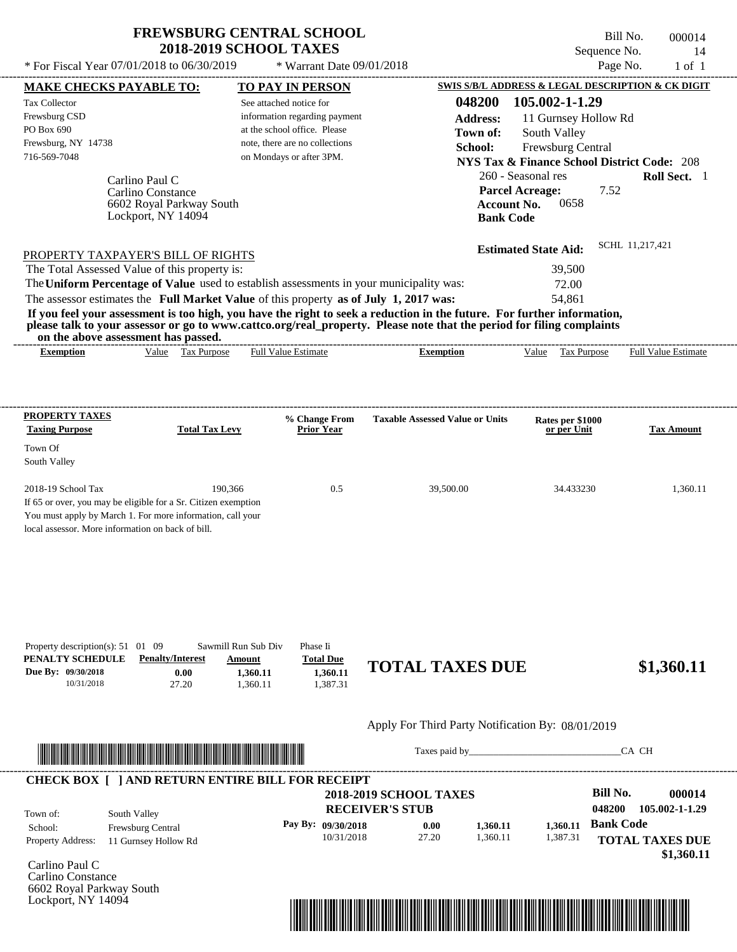$*$  For Fiscal Year 07/01/2018 to 06/30/2019

 $*$  Warrant Date 09/01/2018

| <b>MAKE CHECKS PAYABLE TO:</b>                                      |                                                                                                                         |                               | <b>TO PAY IN PERSON</b>        |                                                   |                    |                                                        |                  | <b>SWIS S/B/L ADDRESS &amp; LEGAL DESCRIPTION &amp; CK DIGIT</b> |
|---------------------------------------------------------------------|-------------------------------------------------------------------------------------------------------------------------|-------------------------------|--------------------------------|---------------------------------------------------|--------------------|--------------------------------------------------------|------------------|------------------------------------------------------------------|
| <b>Tax Collector</b>                                                |                                                                                                                         | See attached notice for       |                                |                                                   | 048200             | 105.002-1-1.29                                         |                  |                                                                  |
| Frewsburg CSD                                                       |                                                                                                                         |                               | information regarding payment  |                                                   | <b>Address:</b>    | 11 Gurnsey Hollow Rd                                   |                  |                                                                  |
| PO Box 690                                                          |                                                                                                                         |                               | at the school office. Please   |                                                   | Town of:           | South Valley                                           |                  |                                                                  |
| Frewsburg, NY 14738                                                 |                                                                                                                         |                               | note, there are no collections |                                                   | School:            | Frewsburg Central                                      |                  |                                                                  |
| 716-569-7048                                                        |                                                                                                                         |                               | on Mondays or after 3PM.       |                                                   |                    | <b>NYS Tax &amp; Finance School District Code: 208</b> |                  |                                                                  |
|                                                                     |                                                                                                                         |                               |                                |                                                   |                    | 260 - Seasonal res                                     |                  | Roll Sect. 1                                                     |
|                                                                     | Carlino Paul C                                                                                                          |                               |                                |                                                   |                    | <b>Parcel Acreage:</b>                                 | 7.52             |                                                                  |
|                                                                     | Carlino Constance<br>6602 Royal Parkway South                                                                           |                               |                                |                                                   | <b>Account No.</b> | 0658                                                   |                  |                                                                  |
|                                                                     | Lockport, NY 14094                                                                                                      |                               |                                |                                                   | <b>Bank Code</b>   |                                                        |                  |                                                                  |
|                                                                     |                                                                                                                         |                               |                                |                                                   |                    |                                                        |                  |                                                                  |
|                                                                     | PROPERTY TAXPAYER'S BILL OF RIGHTS                                                                                      |                               |                                |                                                   |                    | <b>Estimated State Aid:</b>                            |                  | SCHL 11.217.421                                                  |
|                                                                     | The Total Assessed Value of this property is:                                                                           |                               |                                |                                                   |                    | 39,500                                                 |                  |                                                                  |
|                                                                     | The Uniform Percentage of Value used to establish assessments in your municipality was:                                 |                               |                                |                                                   |                    | 72.00                                                  |                  |                                                                  |
|                                                                     | The assessor estimates the Full Market Value of this property as of July 1, 2017 was:                                   |                               |                                |                                                   |                    | 54,861                                                 |                  |                                                                  |
|                                                                     | If you feel your assessment is too high, you have the right to seek a reduction in the future. For further information, |                               |                                |                                                   |                    |                                                        |                  |                                                                  |
|                                                                     | please talk to your assessor or go to www.cattco.org/real_property. Please note that the period for filing complaints   |                               |                                |                                                   |                    |                                                        |                  |                                                                  |
| <b>Exemption</b>                                                    | on the above assessment has passed.<br>Value Tax Purpose                                                                |                               | <b>Full Value Estimate</b>     | <b>Exemption</b>                                  |                    |                                                        |                  | Value Tax Purpose Full Value Estimate                            |
|                                                                     |                                                                                                                         |                               |                                |                                                   |                    |                                                        |                  |                                                                  |
|                                                                     |                                                                                                                         |                               |                                |                                                   |                    |                                                        |                  |                                                                  |
| <b>PROPERTY TAXES</b>                                               |                                                                                                                         |                               | % Change From                  | <b>Taxable Assessed Value or Units</b>            |                    |                                                        |                  |                                                                  |
| <b>Taxing Purpose</b>                                               | <b>Total Tax Levy</b>                                                                                                   |                               | <b>Prior Year</b>              |                                                   |                    | Rates per \$1000<br>or per Unit                        |                  | Tax Amount                                                       |
| Town Of                                                             |                                                                                                                         |                               |                                |                                                   |                    |                                                        |                  |                                                                  |
| South Valley                                                        |                                                                                                                         |                               |                                |                                                   |                    |                                                        |                  |                                                                  |
| 2018-19 School Tax                                                  |                                                                                                                         | 190,366                       | 0.5                            | 39,500.00                                         |                    | 34.433230                                              |                  | 1,360.11                                                         |
|                                                                     | If 65 or over, you may be eligible for a Sr. Citizen exemption                                                          |                               |                                |                                                   |                    |                                                        |                  |                                                                  |
|                                                                     | You must apply by March 1. For more information, call your                                                              |                               |                                |                                                   |                    |                                                        |                  |                                                                  |
| local assessor. More information on back of bill.                   |                                                                                                                         |                               |                                |                                                   |                    |                                                        |                  |                                                                  |
|                                                                     |                                                                                                                         |                               |                                |                                                   |                    |                                                        |                  |                                                                  |
|                                                                     |                                                                                                                         |                               |                                |                                                   |                    |                                                        |                  |                                                                  |
|                                                                     |                                                                                                                         |                               |                                |                                                   |                    |                                                        |                  |                                                                  |
|                                                                     |                                                                                                                         |                               |                                |                                                   |                    |                                                        |                  |                                                                  |
|                                                                     |                                                                                                                         |                               |                                |                                                   |                    |                                                        |                  |                                                                  |
| Property description(s): $51 \quad 01 \quad 09$<br>PENALTY SCHEDULE | <b>Penalty/Interest</b>                                                                                                 | Sawmill Run Sub Div<br>Amount | Phase Ii<br><b>Total Due</b>   |                                                   |                    |                                                        |                  |                                                                  |
| Due By: 09/30/2018                                                  | 0.00                                                                                                                    | 1,360.11                      | 1,360.11                       | <b>TOTAL TAXES DUE</b>                            |                    |                                                        |                  | \$1,360.11                                                       |
| 10/31/2018                                                          | 27.20                                                                                                                   | 1,360.11                      | 1,387.31                       |                                                   |                    |                                                        |                  |                                                                  |
|                                                                     |                                                                                                                         |                               |                                | Apply For Third Party Notification By: 08/01/2019 |                    |                                                        |                  |                                                                  |
|                                                                     |                                                                                                                         |                               |                                |                                                   |                    |                                                        |                  |                                                                  |
|                                                                     | <u> TAN DI BILININ DI BILININ DI BILININ DI BILININ DI BILININ DI BILININ DI BILININ DI BILININ DI BILININ DI BI</u>    |                               |                                |                                                   |                    | Taxes paid by                                          |                  | CA CH                                                            |
|                                                                     | <b>CHECK BOX [ ] AND RETURN ENTIRE BILL FOR RECEIPT</b>                                                                 |                               |                                |                                                   |                    |                                                        |                  |                                                                  |
|                                                                     |                                                                                                                         |                               |                                | <b>2018-2019 SCHOOL TAXES</b>                     |                    |                                                        | <b>Bill No.</b>  | 000014                                                           |
| Town of:                                                            | South Valley                                                                                                            |                               |                                | <b>RECEIVER'S STUB</b>                            |                    |                                                        | 048200           | 105.002-1-1.29                                                   |
| School:                                                             | Frewsburg Central                                                                                                       |                               | Pay By: 09/30/2018             | 0.00                                              | 1,360.11           | 1,360.11                                               | <b>Bank Code</b> |                                                                  |
| <b>Property Address:</b>                                            | 11 Gurnsey Hollow Rd                                                                                                    |                               | 10/31/2018                     | 27.20                                             | 1,360.11           | 1,387.31                                               |                  | <b>TOTAL TAXES DUE</b>                                           |
|                                                                     |                                                                                                                         |                               |                                |                                                   |                    |                                                        |                  | \$1,360.11                                                       |
| Carlino Paul C                                                      |                                                                                                                         |                               |                                |                                                   |                    |                                                        |                  |                                                                  |
| Carlino Constance                                                   |                                                                                                                         |                               |                                |                                                   |                    |                                                        |                  |                                                                  |
| 6602 Royal Parkway South                                            |                                                                                                                         |                               |                                |                                                   |                    |                                                        |                  |                                                                  |
| Lockport, NY 14094                                                  |                                                                                                                         |                               |                                |                                                   |                    |                                                        |                  |                                                                  |

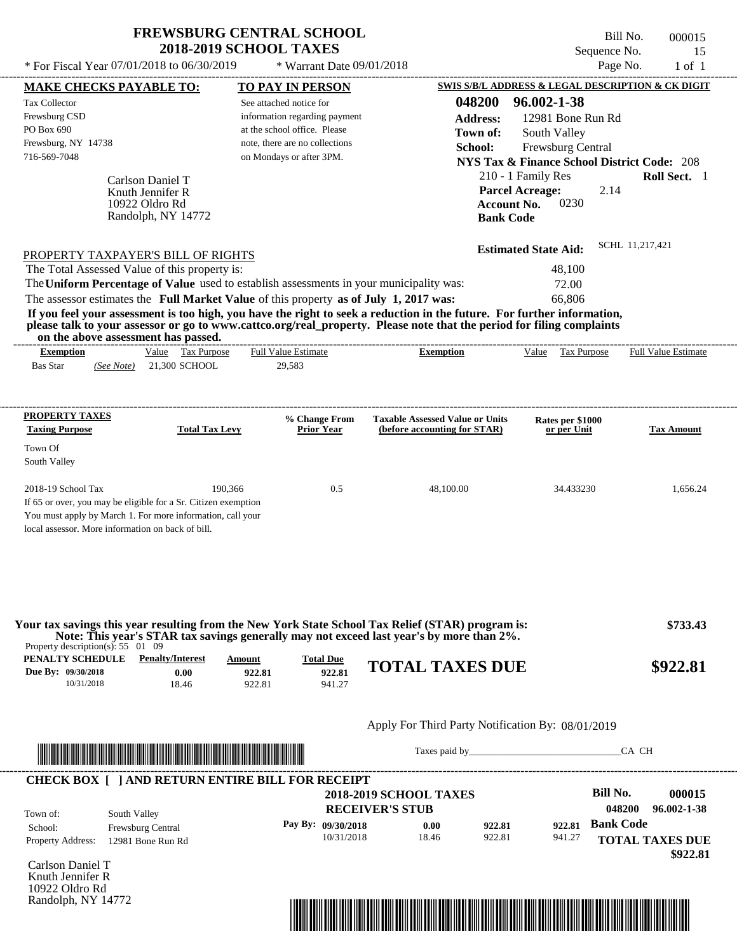\* For Fiscal Year  $07/01/2018$  to  $06/30/2019$  \* Warrant Date  $09/01/2018$  Page No. 1 of 1

 $*$  Warrant Date 09/01/2018

|                                                 | <b>MAKE CHECKS PAYABLE TO:</b>                                                                                                                                                                                                       |                       | <b>TO PAY IN PERSON</b>                                  |                                                                                                                         | <b>SWIS S/B/L ADDRESS &amp; LEGAL DESCRIPTION &amp; CK DIGIT</b> |                        |
|-------------------------------------------------|--------------------------------------------------------------------------------------------------------------------------------------------------------------------------------------------------------------------------------------|-----------------------|----------------------------------------------------------|-------------------------------------------------------------------------------------------------------------------------|------------------------------------------------------------------|------------------------|
| <b>Tax Collector</b><br>Frewsburg CSD           |                                                                                                                                                                                                                                      |                       | See attached notice for<br>information regarding payment | 048200<br><b>Address:</b>                                                                                               | 96.002-1-38<br>12981 Bone Run Rd                                 |                        |
| PO Box 690                                      |                                                                                                                                                                                                                                      |                       | at the school office. Please                             | Town of:                                                                                                                | South Valley                                                     |                        |
| Frewsburg, NY 14738                             |                                                                                                                                                                                                                                      |                       | note, there are no collections                           | School:                                                                                                                 | Frewsburg Central                                                |                        |
| 716-569-7048                                    |                                                                                                                                                                                                                                      |                       | on Mondays or after 3PM.                                 |                                                                                                                         | <b>NYS Tax &amp; Finance School District Code: 208</b>           |                        |
|                                                 | Carlson Daniel T                                                                                                                                                                                                                     |                       |                                                          |                                                                                                                         | 210 - 1 Family Res                                               | Roll Sect. 1           |
|                                                 | Knuth Jennifer R                                                                                                                                                                                                                     |                       |                                                          |                                                                                                                         | <b>Parcel Acreage:</b><br>2.14                                   |                        |
|                                                 | 10922 Oldro Rd                                                                                                                                                                                                                       |                       |                                                          | <b>Account No.</b>                                                                                                      | 0230                                                             |                        |
|                                                 | Randolph, NY 14772                                                                                                                                                                                                                   |                       |                                                          | <b>Bank Code</b>                                                                                                        |                                                                  |                        |
|                                                 |                                                                                                                                                                                                                                      |                       |                                                          |                                                                                                                         |                                                                  | SCHL 11,217,421        |
|                                                 | PROPERTY TAXPAYER'S BILL OF RIGHTS<br>The Total Assessed Value of this property is:                                                                                                                                                  |                       |                                                          |                                                                                                                         | <b>Estimated State Aid:</b><br>48,100                            |                        |
|                                                 |                                                                                                                                                                                                                                      |                       |                                                          | The Uniform Percentage of Value used to establish assessments in your municipality was:                                 | 72.00                                                            |                        |
|                                                 | The assessor estimates the Full Market Value of this property as of July 1, 2017 was:                                                                                                                                                |                       |                                                          |                                                                                                                         | 66,806                                                           |                        |
|                                                 |                                                                                                                                                                                                                                      |                       |                                                          | If you feel your assessment is too high, you have the right to seek a reduction in the future. For further information, |                                                                  |                        |
|                                                 | on the above assessment has passed.                                                                                                                                                                                                  |                       |                                                          | please talk to your assessor or go to www.cattco.org/real_property. Please note that the period for filing complaints   |                                                                  |                        |
| <b>Exemption</b>                                | Value Tax Purpose                                                                                                                                                                                                                    |                       | <b>Full Value Estimate</b>                               | <b>Exemption</b>                                                                                                        | Value Tax Purpose Full Value Estimate                            |                        |
| <b>Bas Star</b>                                 | (See Note) 21,300 SCHOOL                                                                                                                                                                                                             |                       | 29,583                                                   |                                                                                                                         |                                                                  |                        |
| <b>PROPERTY TAXES</b>                           |                                                                                                                                                                                                                                      |                       |                                                          | <b>Taxable Assessed Value or Units</b>                                                                                  |                                                                  |                        |
| <b>Taxing Purpose</b>                           |                                                                                                                                                                                                                                      | <b>Total Tax Levy</b> | % Change From<br><b>Prior Year</b>                       | (before accounting for STAR)                                                                                            | Rates per \$1000<br>or per Unit                                  | <b>Tax Amount</b>      |
| Town Of                                         |                                                                                                                                                                                                                                      |                       |                                                          |                                                                                                                         |                                                                  |                        |
| South Valley                                    |                                                                                                                                                                                                                                      |                       |                                                          |                                                                                                                         |                                                                  |                        |
| 2018-19 School Tax                              |                                                                                                                                                                                                                                      | 190,366               | 0.5                                                      | 48,100.00                                                                                                               | 34.433230                                                        | 1,656.24               |
|                                                 | If 65 or over, you may be eligible for a Sr. Citizen exemption<br>You must apply by March 1. For more information, call your                                                                                                         |                       |                                                          |                                                                                                                         |                                                                  |                        |
|                                                 | local assessor. More information on back of bill.                                                                                                                                                                                    |                       |                                                          |                                                                                                                         |                                                                  |                        |
|                                                 |                                                                                                                                                                                                                                      |                       |                                                          |                                                                                                                         |                                                                  |                        |
|                                                 |                                                                                                                                                                                                                                      |                       |                                                          |                                                                                                                         |                                                                  |                        |
|                                                 |                                                                                                                                                                                                                                      |                       |                                                          | Your tax savings this year resulting from the New York State School Tax Relief (STAR) program is:                       |                                                                  | \$733.43               |
| Property description(s): $55 \quad 01 \quad 09$ |                                                                                                                                                                                                                                      |                       |                                                          | Note: This year's STAR tax savings generally may not exceed last year's by more than 2%.                                |                                                                  |                        |
| PENALTY SCHEDULE                                | <b>Penalty/Interest</b>                                                                                                                                                                                                              | Amount                | <b>Total Due</b>                                         | <b>TOTAL TAXES DUE</b>                                                                                                  |                                                                  | \$922.81               |
| Due By: 09/30/2018                              | 0.00                                                                                                                                                                                                                                 | 922.81                | 922.81                                                   |                                                                                                                         |                                                                  |                        |
| 10/31/2018                                      | 18.46                                                                                                                                                                                                                                | 922.81                | 941.27                                                   |                                                                                                                         |                                                                  |                        |
|                                                 |                                                                                                                                                                                                                                      |                       |                                                          | Apply For Third Party Notification By: 08/01/2019                                                                       |                                                                  |                        |
|                                                 |                                                                                                                                                                                                                                      |                       |                                                          |                                                                                                                         |                                                                  | CA CH                  |
|                                                 | <u> Indian American State and The Communication of the Communication of the Communication of the Communication of the Communication of the Communication of the Communication of the Communication of the Communication of the C</u> |                       |                                                          |                                                                                                                         |                                                                  |                        |
|                                                 | <b>CHECK BOX [ ] AND RETURN ENTIRE BILL FOR RECEIPT</b>                                                                                                                                                                              |                       |                                                          | <b>2018-2019 SCHOOL TAXES</b>                                                                                           | <b>Bill No.</b>                                                  | 000015                 |
|                                                 |                                                                                                                                                                                                                                      |                       |                                                          | <b>RECEIVER'S STUB</b>                                                                                                  |                                                                  | 048200<br>96.002-1-38  |
| Town of:                                        | South Valley                                                                                                                                                                                                                         |                       | Pay By: 09/30/2018                                       | 922.81<br>0.00                                                                                                          | <b>Bank Code</b><br>922.81                                       |                        |
| School:<br>Property Address:                    | Frewsburg Central<br>12981 Bone Run Rd                                                                                                                                                                                               |                       | 10/31/2018                                               | 18.46<br>922.81                                                                                                         | 941.27                                                           | <b>TOTAL TAXES DUE</b> |
|                                                 |                                                                                                                                                                                                                                      |                       |                                                          |                                                                                                                         |                                                                  | \$922.81               |
| Carlson Daniel T                                |                                                                                                                                                                                                                                      |                       |                                                          |                                                                                                                         |                                                                  |                        |
| Knuth Jennifer R                                |                                                                                                                                                                                                                                      |                       |                                                          |                                                                                                                         |                                                                  |                        |
| 10922 Oldro Rd<br>Randolph, NY 14772            |                                                                                                                                                                                                                                      |                       |                                                          |                                                                                                                         |                                                                  |                        |
|                                                 |                                                                                                                                                                                                                                      |                       |                                                          | <u> 1989 - Andrea Stadt British, fransk politik (d. 1989)</u>                                                           |                                                                  |                        |
|                                                 |                                                                                                                                                                                                                                      |                       |                                                          |                                                                                                                         |                                                                  |                        |
|                                                 |                                                                                                                                                                                                                                      |                       |                                                          |                                                                                                                         |                                                                  |                        |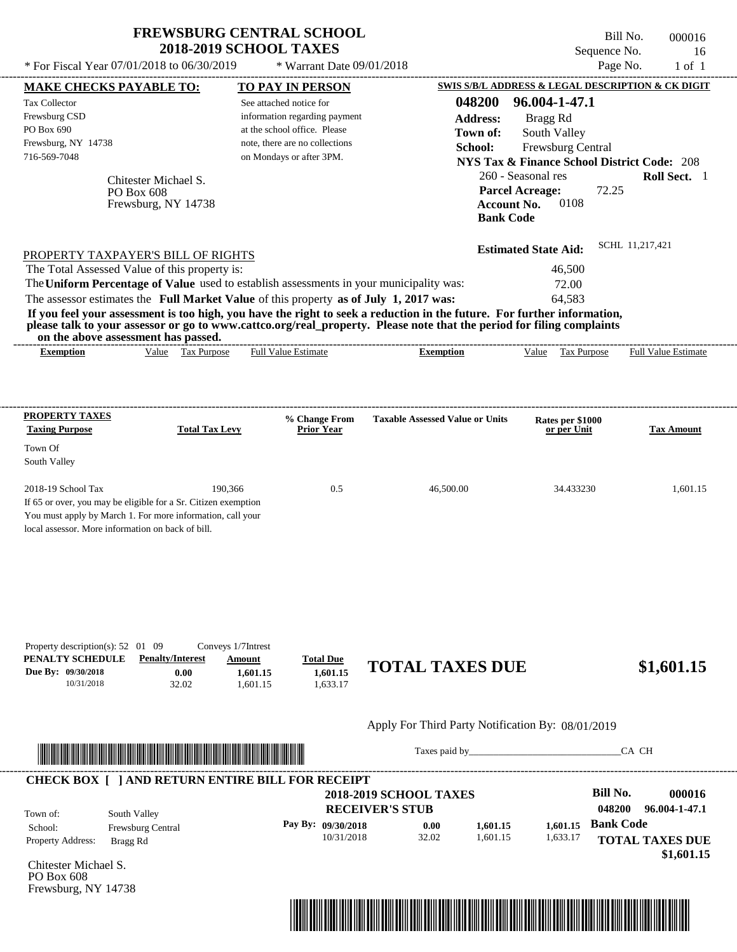| <b>FREWSBURG CENTRAL SCHOOL</b> |
|---------------------------------|
| <b>2018-2019 SCHOOL TAXES</b>   |

Bill No. 000016 Sequence No. 16  $*$  For Fiscal Year 07/01/2018 to 06/30/2019  $*$  Warrant Date 09/01/2018 Page No. 1 of 1

| <b>MAKE CHECKS PAYABLE TO:</b>                                                        |                                                          |                                     | <b>TO PAY IN PERSON</b>            |                                                                                                                         |                                 | <b>SWIS S/B/L ADDRESS &amp; LEGAL DESCRIPTION &amp; CK DIGIT</b> |
|---------------------------------------------------------------------------------------|----------------------------------------------------------|-------------------------------------|------------------------------------|-------------------------------------------------------------------------------------------------------------------------|---------------------------------|------------------------------------------------------------------|
| <b>Tax Collector</b>                                                                  |                                                          |                                     | See attached notice for            | 048200                                                                                                                  | 96.004-1-47.1                   |                                                                  |
| Frewsburg CSD                                                                         |                                                          |                                     | information regarding payment      | <b>Address:</b>                                                                                                         | Bragg Rd                        |                                                                  |
| PO Box 690                                                                            |                                                          |                                     | at the school office. Please       | Town of:                                                                                                                | South Valley                    |                                                                  |
| Frewsburg, NY 14738                                                                   |                                                          |                                     | note, there are no collections     | School:                                                                                                                 | Frewsburg Central               |                                                                  |
| 716-569-7048                                                                          |                                                          |                                     | on Mondays or after 3PM.           |                                                                                                                         |                                 | <b>NYS Tax &amp; Finance School District Code: 208</b>           |
|                                                                                       | Chitester Michael S.                                     |                                     |                                    |                                                                                                                         | 260 - Seasonal res              | Roll Sect. 1                                                     |
|                                                                                       | PO Box 608                                               |                                     |                                    |                                                                                                                         | <b>Parcel Acreage:</b>          | 72.25                                                            |
|                                                                                       | Frewsburg, NY 14738                                      |                                     |                                    |                                                                                                                         | 0108<br><b>Account No.</b>      |                                                                  |
|                                                                                       |                                                          |                                     |                                    |                                                                                                                         | <b>Bank Code</b>                |                                                                  |
|                                                                                       |                                                          |                                     |                                    |                                                                                                                         | <b>Estimated State Aid:</b>     | SCHL 11.217.421                                                  |
| PROPERTY TAXPAYER'S BILL OF RIGHTS<br>The Total Assessed Value of this property is:   |                                                          |                                     |                                    |                                                                                                                         | 46,500                          |                                                                  |
|                                                                                       |                                                          |                                     |                                    | The Uniform Percentage of Value used to establish assessments in your municipality was:                                 | 72.00                           |                                                                  |
| The assessor estimates the Full Market Value of this property as of July 1, 2017 was: |                                                          |                                     |                                    |                                                                                                                         | 64,583                          |                                                                  |
|                                                                                       |                                                          |                                     |                                    | If you feel your assessment is too high, you have the right to seek a reduction in the future. For further information, |                                 |                                                                  |
|                                                                                       |                                                          |                                     |                                    | please talk to your assessor or go to www.cattco.org/real_property. Please note that the period for filing complaints   |                                 |                                                                  |
|                                                                                       | on the above assessment has passed.<br>Value Tax Purpose |                                     | <b>Full Value Estimate</b>         | <b>Exemption</b>                                                                                                        | Value Tax Purpose               | <b>Full Value Estimate</b>                                       |
| <b>Exemption</b>                                                                      |                                                          |                                     |                                    |                                                                                                                         |                                 |                                                                  |
|                                                                                       |                                                          |                                     |                                    |                                                                                                                         |                                 |                                                                  |
|                                                                                       |                                                          |                                     |                                    |                                                                                                                         |                                 |                                                                  |
| <b>PROPERTY TAXES</b><br><b>Taxing Purpose</b>                                        | <b>Total Tax Levy</b>                                    |                                     | % Change From<br><b>Prior Year</b> | <b>Taxable Assessed Value or Units</b>                                                                                  | Rates per \$1000<br>or per Unit | Tax Amount                                                       |
|                                                                                       |                                                          |                                     |                                    |                                                                                                                         |                                 |                                                                  |
| Town Of                                                                               |                                                          |                                     |                                    |                                                                                                                         |                                 |                                                                  |
| South Valley                                                                          |                                                          |                                     |                                    |                                                                                                                         |                                 |                                                                  |
| 2018-19 School Tax                                                                    |                                                          | 190,366                             | 0.5                                | 46,500.00                                                                                                               | 34.433230                       | 1,601.15                                                         |
| If 65 or over, you may be eligible for a Sr. Citizen exemption                        |                                                          |                                     |                                    |                                                                                                                         |                                 |                                                                  |
| You must apply by March 1. For more information, call your                            |                                                          |                                     |                                    |                                                                                                                         |                                 |                                                                  |
| local assessor. More information on back of bill.                                     |                                                          |                                     |                                    |                                                                                                                         |                                 |                                                                  |
|                                                                                       |                                                          |                                     |                                    |                                                                                                                         |                                 |                                                                  |
|                                                                                       |                                                          |                                     |                                    |                                                                                                                         |                                 |                                                                  |
|                                                                                       |                                                          |                                     |                                    |                                                                                                                         |                                 |                                                                  |
|                                                                                       |                                                          |                                     |                                    |                                                                                                                         |                                 |                                                                  |
| Property description(s): $52 \quad 01 \quad 09$<br>PENALTY SCHEDULE                   | <b>Penalty/Interest</b>                                  | Conveys 1/7Intrest<br><b>Amount</b> | <b>Total Due</b>                   |                                                                                                                         |                                 |                                                                  |
| Due By: 09/30/2018                                                                    | 0.00                                                     | 1,601.15                            | 1,601.15                           | <b>TOTAL TAXES DUE</b>                                                                                                  |                                 | \$1,601.15                                                       |
| 10/31/2018                                                                            | 32.02                                                    | 1,601.15                            | 1,633.17                           |                                                                                                                         |                                 |                                                                  |
|                                                                                       |                                                          |                                     |                                    |                                                                                                                         |                                 |                                                                  |
|                                                                                       |                                                          |                                     |                                    | Apply For Third Party Notification By: 08/01/2019                                                                       |                                 |                                                                  |
|                                                                                       |                                                          |                                     |                                    | Taxes paid by                                                                                                           |                                 | CA CH                                                            |
| <b>CHECK BOX [ ] AND RETURN ENTIRE BILL FOR RECEIPT</b>                               |                                                          |                                     |                                    |                                                                                                                         |                                 |                                                                  |
|                                                                                       |                                                          |                                     |                                    | <b>2018-2019 SCHOOL TAXES</b>                                                                                           |                                 | <b>Bill No.</b><br>000016                                        |
| Town of:                                                                              | South Valley                                             |                                     |                                    | <b>RECEIVER'S STUB</b>                                                                                                  |                                 | 048200<br>96.004-1-47.1                                          |
| School:                                                                               | Frewsburg Central                                        |                                     | Pay By: 09/30/2018                 | 0.00<br>1,601.15                                                                                                        | 1,601.15                        | <b>Bank Code</b>                                                 |
| Property Address:                                                                     | Bragg Rd                                                 |                                     | 10/31/2018                         | 32.02<br>1,601.15                                                                                                       | 1,633.17                        | <b>TOTAL TAXES DUE</b>                                           |
|                                                                                       |                                                          |                                     |                                    |                                                                                                                         |                                 | \$1,601.15                                                       |
| Chitester Michael S.<br>PO Box 608                                                    |                                                          |                                     |                                    |                                                                                                                         |                                 |                                                                  |
| Frewsburg, NY 14738                                                                   |                                                          |                                     |                                    |                                                                                                                         |                                 |                                                                  |
|                                                                                       |                                                          |                                     |                                    |                                                                                                                         |                                 |                                                                  |

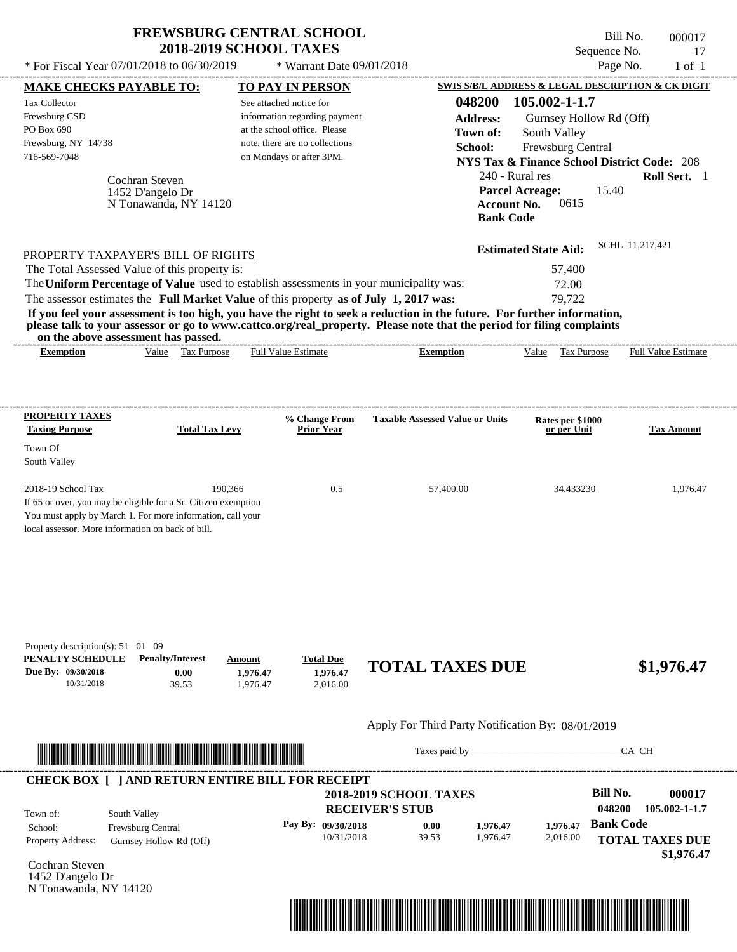See attached notice for information regarding payment at the school office. Please note, there are no collections

Tax Collector Frewsburg CSD PO Box 690

Frewsburg, NY 14738

Cochran Steven

1452 D'angelo Dr

N Tonawanda, NY 14120

716-569-7048 on Mondays or after 3PM.

---------------------------------------------------------------------------------------------------------------------------------------------------------------------------------------------------- Bill No. 000017 Sequence No. 17  $*$  For Fiscal Year 07/01/2018 to 06/30/2019  $*$  Warrant Date 09/01/2018 Page No. 1 of 1 **MAKE CHECKS PAYABLE TO: TO PAY IN PERSON SWIS S/B/L ADDRESS & LEGAL DESCRIPTION & CK DIGIT 048200 105.002-1-1.7 Address:** Gurnsey Hollow Rd (Off) South Valley **School:** Frewsburg Central **NYS Tax & Finance School District Code:** 208 240 - Rural res **Roll Sect.** 1 15.40 **Account No.** 0615 **Bank Code Parcel Acreage: Town of:**

| PROPERTY TAXPAYER'S BILL OF RIGHTS                                                                                    | <b>Estimated State Aid:</b> | SCHL 11,217,421 |
|-----------------------------------------------------------------------------------------------------------------------|-----------------------------|-----------------|
| The Total Assessed Value of this property is:                                                                         | 57,400                      |                 |
| The Uniform Percentage of Value used to establish assessments in your municipality was:                               | 72.00                       |                 |
| The assessor estimates the Full Market Value of this property as of July 1, 2017 was:                                 | 79.722                      |                 |
| If you feel your accessment is too high you have the wight to seek a reduction in the future. For further information |                             |                 |

**If you feel your assessment is too high, you have the right to seek a reduction in the future. For further information, please talk to your assessor or go to www.cattco.org/real\_property. Please note that the period for filing complaints on the above assessment has passed.**

| vu uv     |       | . азэсээнісні наз базэса. |                  |         |      |                |                             |
|-----------|-------|---------------------------|------------------|---------|------|----------------|-----------------------------|
| Exemption | Value | 'ax<br><b>Purpose</b>     | -Estimate<br>Ful | emption | alue | <b>Purpose</b> | Full $V$<br>Estimate<br>alu |
|           |       |                           |                  |         |      |                |                             |

| <b>PROPERTY TAXES</b><br><b>Taxing Purpose</b>                 | <b>Total Tax Levy</b> | % Change From<br><b>Prior Year</b> | <b>Taxable Assessed Value or Units</b> | Rates per \$1000<br>or per Unit | <b>Tax Amount</b> |
|----------------------------------------------------------------|-----------------------|------------------------------------|----------------------------------------|---------------------------------|-------------------|
| Town Of<br>South Valley                                        |                       |                                    |                                        |                                 |                   |
| $2018-19$ School Tax                                           | 190,366               | 0.5                                | 57,400.00                              | 34.433230                       | 1,976.47          |
| If 65 or over, you may be eligible for a Sr. Citizen exemption |                       |                                    |                                        |                                 |                   |
| You must apply by March 1. For more information, call your     |                       |                                    |                                        |                                 |                   |
| local assessor. More information on back of bill.              |                       |                                    |                                        |                                 |                   |

| Property description(s): $51 \quad 01 \quad 09$ |                         |          |                  |                        |            |
|-------------------------------------------------|-------------------------|----------|------------------|------------------------|------------|
| PENALTY SCHEDULE                                | <b>Penalty/Interest</b> | Amount   | <b>Total Due</b> |                        |            |
| Due By: 09/30/2018                              | 0.00                    | 1.976.47 | 1.976.47         | <b>TOTAL TAXES DUE</b> | \$1,976.47 |
| 10/31/2018                                      | 39.53                   | .976.47  | 2.016.00         |                        |            |
|                                                 |                         |          |                  |                        |            |

## Apply For Third Party Notification By: 08/01/2019



Taxes paid by\_\_\_\_\_\_\_\_\_\_\_\_\_\_\_\_\_\_\_\_\_\_\_\_\_\_\_\_\_\_\_CA CH

|                          | <b>CHECK BOX [ ] AND RETURN ENTIRE BILL FOR RECEIPT</b> | <b>2018-2019 SCHOOL TAXES</b> |       |          |          | Bill No.         | 000017                 |
|--------------------------|---------------------------------------------------------|-------------------------------|-------|----------|----------|------------------|------------------------|
| Town of:                 | South Valley                                            | <b>RECEIVER'S STUB</b>        |       |          |          | 048200           | 105.002-1-1.7          |
| School:                  | <b>Frewsburg Central</b>                                | Pay By: $09/30/2018$          | 0.00  | 1.976.47 | 1.976.47 | <b>Bank Code</b> |                        |
| <b>Property Address:</b> | Gurnsey Hollow Rd (Off)                                 | 10/31/2018                    | 39.53 | 1.976.47 | 2,016.00 |                  | <b>TOTAL TAXES DUE</b> |
|                          |                                                         |                               |       |          |          |                  | \$1,976.47             |

Cochran Steven 1452 D'angelo Dr N Tonawanda, NY 14120

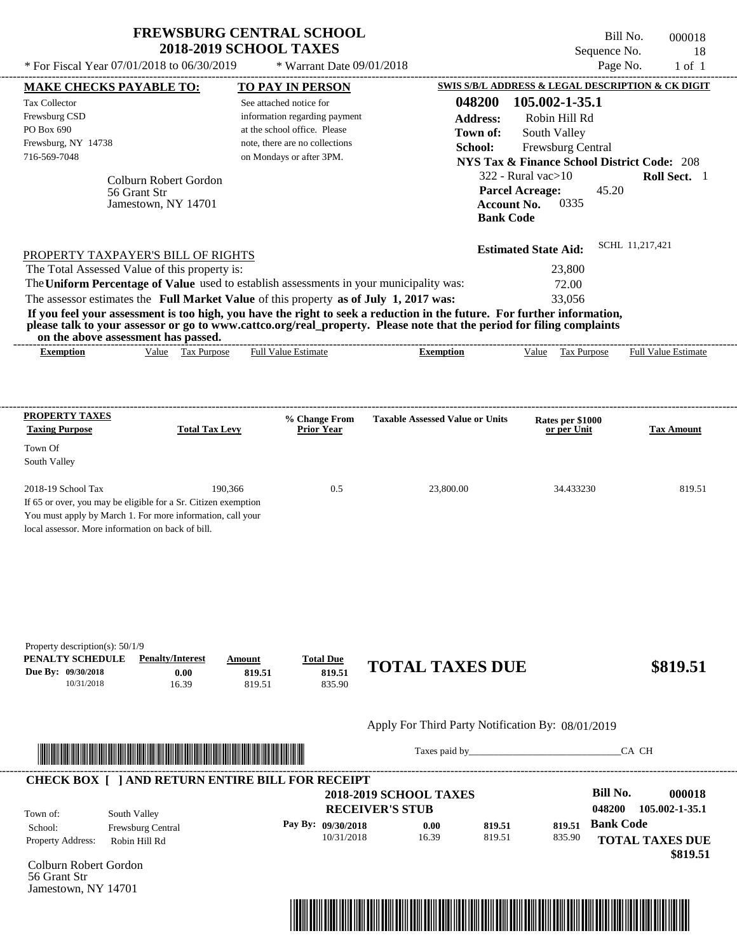| <b>FREWSBURG CENTRAL SCHOOL</b> |
|---------------------------------|
| <b>2018-2019 SCHOOL TAXES</b>   |

Bill No. 000018 Sequence No. 18 \* For Fiscal Year 07/01/2018 to 06/30/2019 <br> **EXECUTE:** \* Warrant Date 09/01/2018<br> **MAKE CHECKS PAVARI E TO:** TO PAV IN PERSON SWIS S/B/L ADDRESS & LEGAL DESCRIPTION & CK DIGIT

| <b>MAKE CHECKS PAYABLE TO:</b><br><b>Tax Collector</b><br>Frewsburg CSD<br>PO Box 690                                                                                                                                                |                                                              | <b>TO PAY IN PERSON</b><br>See attached notice for<br>information regarding payment<br>at the school office. Please |                                      |                                                                                                                                                                                                                                                  | 048200<br><b>Address:</b>              | 105.002-1-35.1<br>Robin Hill Rd                                                             |                  | SWIS S/B/L ADDRESS & LEGAL DESCRIPTION & CK DIGIT |
|--------------------------------------------------------------------------------------------------------------------------------------------------------------------------------------------------------------------------------------|--------------------------------------------------------------|---------------------------------------------------------------------------------------------------------------------|--------------------------------------|--------------------------------------------------------------------------------------------------------------------------------------------------------------------------------------------------------------------------------------------------|----------------------------------------|---------------------------------------------------------------------------------------------|------------------|---------------------------------------------------|
| Frewsburg, NY 14738<br>716-569-7048                                                                                                                                                                                                  |                                                              | note, there are no collections<br>on Mondays or after 3PM.                                                          |                                      |                                                                                                                                                                                                                                                  | Town of:<br>School:                    | South Valley<br>Frewsburg Central<br><b>NYS Tax &amp; Finance School District Code: 208</b> |                  |                                                   |
|                                                                                                                                                                                                                                      | Colburn Robert Gordon<br>56 Grant Str<br>Jamestown, NY 14701 |                                                                                                                     |                                      |                                                                                                                                                                                                                                                  | <b>Account No.</b><br><b>Bank Code</b> | $322$ - Rural vac $>10$<br><b>Parcel Acreage:</b><br>0335                                   | 45.20            | Roll Sect. 1                                      |
| PROPERTY TAXPAYER'S BILL OF RIGHTS                                                                                                                                                                                                   |                                                              |                                                                                                                     |                                      |                                                                                                                                                                                                                                                  |                                        | <b>Estimated State Aid:</b>                                                                 | SCHL 11,217,421  |                                                   |
| The Total Assessed Value of this property is:<br>The Uniform Percentage of Value used to establish assessments in your municipality was:                                                                                             |                                                              |                                                                                                                     |                                      |                                                                                                                                                                                                                                                  |                                        | 23,800                                                                                      |                  |                                                   |
| The assessor estimates the Full Market Value of this property as of July 1, 2017 was:<br>on the above assessment has passed.                                                                                                         |                                                              |                                                                                                                     |                                      | If you feel your assessment is too high, you have the right to seek a reduction in the future. For further information,<br>please talk to your assessor or go to www.cattco.org/real_property. Please note that the period for filing complaints |                                        | 72.00<br>33,056                                                                             |                  |                                                   |
| <b>Exemption</b>                                                                                                                                                                                                                     | Value Tax Purpose                                            | Full Value Estimate                                                                                                 |                                      | <b>Exemption</b>                                                                                                                                                                                                                                 |                                        | Value Tax Purpose                                                                           |                  | <b>Full Value Estimate</b>                        |
| <b>PROPERTY TAXES</b>                                                                                                                                                                                                                |                                                              |                                                                                                                     |                                      | <b>Taxable Assessed Value or Units</b>                                                                                                                                                                                                           |                                        |                                                                                             |                  |                                                   |
| <b>Taxing Purpose</b><br>Town Of                                                                                                                                                                                                     | <b>Total Tax Levy</b>                                        |                                                                                                                     | % Change From<br><b>Prior Year</b>   |                                                                                                                                                                                                                                                  |                                        | Rates per \$1000<br>or per Unit                                                             |                  | <b>Tax Amount</b>                                 |
| South Valley                                                                                                                                                                                                                         |                                                              |                                                                                                                     |                                      |                                                                                                                                                                                                                                                  |                                        |                                                                                             |                  |                                                   |
| 2018-19 School Tax<br>If 65 or over, you may be eligible for a Sr. Citizen exemption<br>You must apply by March 1. For more information, call your<br>local assessor. More information on back of bill.                              | 190,366                                                      |                                                                                                                     | 0.5                                  | 23,800.00                                                                                                                                                                                                                                        |                                        | 34.433230                                                                                   |                  | 819.51                                            |
| Property description(s): $50/1/9$<br>PENALTY SCHEDULE<br>Due By: 09/30/2018<br>10/31/2018                                                                                                                                            | <b>Penalty/Interest</b><br>0.00<br>16.39                     | Amount<br>819.51<br>819.51                                                                                          | <b>Total Due</b><br>819.51<br>835.90 | <b>TOTAL TAXES DUE</b>                                                                                                                                                                                                                           |                                        |                                                                                             |                  | \$819.51                                          |
|                                                                                                                                                                                                                                      |                                                              |                                                                                                                     |                                      | Apply For Third Party Notification By: 08/01/2019                                                                                                                                                                                                |                                        |                                                                                             |                  |                                                   |
| <u> Indian American State and The Communication of the Communication of the Communication of the Communication of the Communication of the Communication of the Communication of the Communication of the Communication of the C</u> |                                                              |                                                                                                                     |                                      |                                                                                                                                                                                                                                                  |                                        |                                                                                             | CA CH            |                                                   |
| <b>CHECK BOX [ ] AND RETURN ENTIRE BILL FOR RECEIPT</b>                                                                                                                                                                              |                                                              |                                                                                                                     |                                      | <b>2018-2019 SCHOOL TAXES</b>                                                                                                                                                                                                                    |                                        |                                                                                             | <b>Bill No.</b>  | 000018                                            |
| South Valley<br>Town of:                                                                                                                                                                                                             |                                                              |                                                                                                                     |                                      | <b>RECEIVER'S STUB</b>                                                                                                                                                                                                                           |                                        |                                                                                             | 048200           | 105.002-1-35.1                                    |
| School:<br>Property Address:                                                                                                                                                                                                         | Frewsburg Central<br>Robin Hill Rd                           |                                                                                                                     | Pay By: 09/30/2018<br>10/31/2018     | 0.00<br>16.39                                                                                                                                                                                                                                    | 819.51<br>819.51                       | 819.51<br>835.90                                                                            | <b>Bank Code</b> | <b>TOTAL TAXES DUE</b><br>\$819.51                |
| Colburn Robert Gordon<br>56 Grant Str<br>Jamestown, NY 14701                                                                                                                                                                         |                                                              |                                                                                                                     |                                      |                                                                                                                                                                                                                                                  |                                        |                                                                                             |                  |                                                   |
|                                                                                                                                                                                                                                      |                                                              |                                                                                                                     |                                      |                                                                                                                                                                                                                                                  |                                        |                                                                                             |                  |                                                   |
|                                                                                                                                                                                                                                      |                                                              |                                                                                                                     |                                      |                                                                                                                                                                                                                                                  |                                        |                                                                                             |                  |                                                   |

----------------------------------------------------------------------------------------------------------------------------------------------------------------------------------------------------

\* Warrant Date 09/01/2018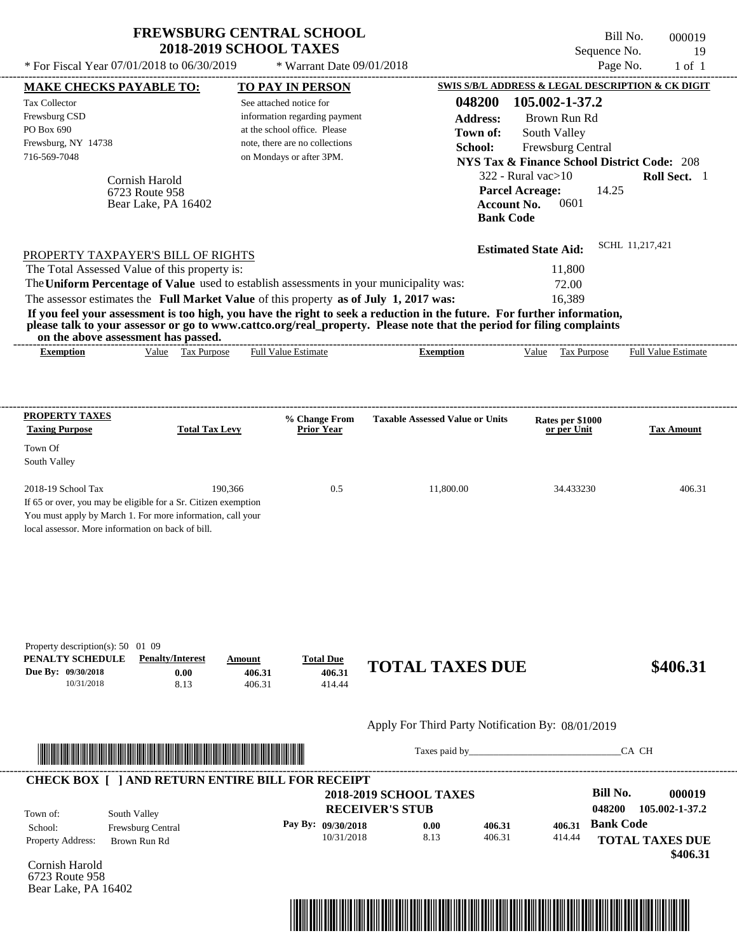| <b>FREWSBURG CENTRAL SCHOOL</b> |  |
|---------------------------------|--|
| <b>2018-2019 SCHOOL TAXES</b>   |  |

Bill No. 000019 Sequence No. 19<br>Page No. 1 of 1  $*$  For Fiscal Year 07/01/2018 to 06/30/2019  $*$  Warrant Date 09/01/2018 Page No. 1 of 1

| <b>MAKE CHECKS PAYABLE TO:</b>                                                                                                                                                    |                                         |                            | <b>TO PAY IN PERSON</b>              |                                                                                                                         |                                 | SWIS S/B/L ADDRESS & LEGAL DESCRIPTION & CK DIGIT      |          |
|-----------------------------------------------------------------------------------------------------------------------------------------------------------------------------------|-----------------------------------------|----------------------------|--------------------------------------|-------------------------------------------------------------------------------------------------------------------------|---------------------------------|--------------------------------------------------------|----------|
| <b>Tax Collector</b>                                                                                                                                                              |                                         |                            | See attached notice for              | 048200                                                                                                                  | 105.002-1-37.2                  |                                                        |          |
| Frewsburg CSD                                                                                                                                                                     |                                         |                            | information regarding payment        | <b>Address:</b>                                                                                                         | Brown Run Rd                    |                                                        |          |
| PO Box 690                                                                                                                                                                        |                                         |                            | at the school office. Please         | Town of:                                                                                                                | South Valley                    |                                                        |          |
| Frewsburg, NY 14738                                                                                                                                                               |                                         |                            | note, there are no collections       | School:                                                                                                                 | Frewsburg Central               |                                                        |          |
| 716-569-7048                                                                                                                                                                      |                                         |                            | on Mondays or after 3PM.             |                                                                                                                         |                                 | <b>NYS Tax &amp; Finance School District Code: 208</b> |          |
|                                                                                                                                                                                   | Cornish Harold                          |                            |                                      |                                                                                                                         | $322$ - Rural vac $>10$         | Roll Sect. 1                                           |          |
|                                                                                                                                                                                   | 6723 Route 958                          |                            |                                      |                                                                                                                         | <b>Parcel Acreage:</b>          | 14.25                                                  |          |
|                                                                                                                                                                                   | Bear Lake, PA 16402                     |                            |                                      |                                                                                                                         | 0601<br><b>Account No.</b>      |                                                        |          |
|                                                                                                                                                                                   |                                         |                            |                                      | <b>Bank Code</b>                                                                                                        |                                 |                                                        |          |
|                                                                                                                                                                                   |                                         |                            |                                      |                                                                                                                         | <b>Estimated State Aid:</b>     | SCHL 11,217,421                                        |          |
| PROPERTY TAXPAYER'S BILL OF RIGHTS<br>The Total Assessed Value of this property is:                                                                                               |                                         |                            |                                      |                                                                                                                         | 11,800                          |                                                        |          |
|                                                                                                                                                                                   |                                         |                            |                                      | The Uniform Percentage of Value used to establish assessments in your municipality was:                                 | 72.00                           |                                                        |          |
| The assessor estimates the Full Market Value of this property as of July 1, 2017 was:                                                                                             |                                         |                            |                                      |                                                                                                                         | 16,389                          |                                                        |          |
|                                                                                                                                                                                   |                                         |                            |                                      | If you feel your assessment is too high, you have the right to seek a reduction in the future. For further information, |                                 |                                                        |          |
|                                                                                                                                                                                   |                                         |                            |                                      | please talk to your assessor or go to www.cattco.org/real_property. Please note that the period for filing complaints   |                                 |                                                        |          |
|                                                                                                                                                                                   | on the above assessment has passed.     |                            |                                      |                                                                                                                         |                                 |                                                        |          |
| <b>Exemption</b>                                                                                                                                                                  | Value Tax Purpose                       |                            | <b>Full Value Estimate</b>           | <b>Exemption</b>                                                                                                        |                                 | Value Tax Purpose Full Value Estimate                  |          |
| <b>PROPERTY TAXES</b><br><b>Taxing Purpose</b>                                                                                                                                    | <b>Total Tax Levy</b>                   |                            | % Change From<br><b>Prior Year</b>   | <b>Taxable Assessed Value or Units</b>                                                                                  | Rates per \$1000<br>or per Unit | <b>Tax Amount</b>                                      |          |
| Town Of                                                                                                                                                                           |                                         |                            |                                      |                                                                                                                         |                                 |                                                        |          |
| South Valley                                                                                                                                                                      |                                         |                            |                                      |                                                                                                                         |                                 |                                                        |          |
| 2018-19 School Tax                                                                                                                                                                |                                         | 190,366                    | 0.5                                  | 11,800.00                                                                                                               | 34.433230                       |                                                        | 406.31   |
| If 65 or over, you may be eligible for a Sr. Citizen exemption<br>You must apply by March 1. For more information, call your<br>local assessor. More information on back of bill. |                                         |                            |                                      |                                                                                                                         |                                 |                                                        |          |
| Property description(s): 50 01 09<br>PENALTY SCHEDULE<br>Due By: 09/30/2018<br>10/31/2018                                                                                         | <b>Penalty/Interest</b><br>0.00<br>8.13 | Amount<br>406.31<br>406.31 | <b>Total Due</b><br>406.31<br>414.44 | <b>TOTAL TAXES DUE</b>                                                                                                  |                                 |                                                        | \$406.31 |
|                                                                                                                                                                                   |                                         |                            |                                      | Apply For Third Party Notification By: 08/01/2019                                                                       |                                 |                                                        |          |
|                                                                                                                                                                                   |                                         |                            |                                      | Taxes paid by                                                                                                           |                                 | CA CH                                                  |          |
| <b>CHECK BOX [ ] AND RETURN ENTIRE BILL FOR RECEIPT</b>                                                                                                                           |                                         |                            |                                      |                                                                                                                         |                                 |                                                        |          |
|                                                                                                                                                                                   |                                         |                            |                                      | <b>2018-2019 SCHOOL TAXES</b>                                                                                           |                                 | <b>Bill No.</b>                                        | 000019   |
| Town of:                                                                                                                                                                          | South Valley                            |                            |                                      | <b>RECEIVER'S STUB</b>                                                                                                  |                                 | 048200<br>105.002-1-37.2                               |          |
| School:                                                                                                                                                                           | Frewsburg Central                       |                            | Pay By: 09/30/2018                   | 0.00<br>406.31                                                                                                          | 406.31                          | <b>Bank Code</b>                                       |          |
| Property Address:                                                                                                                                                                 | Brown Run Rd                            |                            | 10/31/2018                           | 8.13<br>406.31                                                                                                          | 414.44                          | <b>TOTAL TAXES DUE</b>                                 | \$406.31 |
| Cornish Harold<br>6723 Route 958<br>Bear Lake, PA 16402                                                                                                                           |                                         |                            |                                      |                                                                                                                         |                                 |                                                        |          |

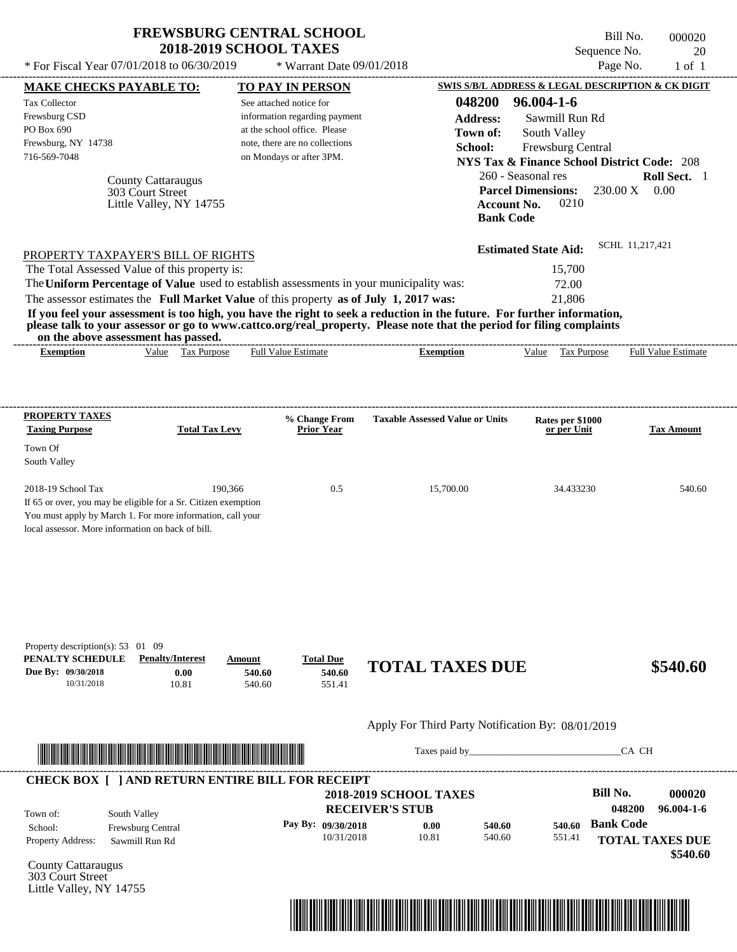| <b>FREWSBURG CENTRAL SCHOOL</b> |
|---------------------------------|
| <b>2018-2019 SCHOOL TAXES</b>   |

Bill No. 000020 Sequence No. 20  $*$  For Fiscal Year 07/01/2018 to 06/30/2019  $*$  Warrant Date 09/01/2018 Page No. 1 of 1

|                                                                                                                                                                                                                                      | <b>MAKE CHECKS PAYABLE TO:</b> |         | <b>TO PAY IN PERSON</b>            |                                                                                                                         | <b>SWIS S/B/L ADDRESS &amp; LEGAL DESCRIPTION &amp; CK DIGIT</b> |                                                            |
|--------------------------------------------------------------------------------------------------------------------------------------------------------------------------------------------------------------------------------------|--------------------------------|---------|------------------------------------|-------------------------------------------------------------------------------------------------------------------------|------------------------------------------------------------------|------------------------------------------------------------|
| <b>Tax Collector</b>                                                                                                                                                                                                                 |                                |         | See attached notice for            | 048200                                                                                                                  | 96.004-1-6                                                       |                                                            |
| Frewsburg CSD                                                                                                                                                                                                                        |                                |         | information regarding payment      | <b>Address:</b>                                                                                                         | Sawmill Run Rd                                                   |                                                            |
| PO Box 690                                                                                                                                                                                                                           |                                |         | at the school office. Please       | Town of:                                                                                                                | South Valley                                                     |                                                            |
| Frewsburg, NY 14738                                                                                                                                                                                                                  |                                |         | note, there are no collections     | School:                                                                                                                 | Frewsburg Central                                                |                                                            |
| 716-569-7048                                                                                                                                                                                                                         |                                |         | on Mondays or after 3PM.           |                                                                                                                         |                                                                  | <b>NYS Tax &amp; Finance School District Code: 208</b>     |
|                                                                                                                                                                                                                                      | <b>County Cattaraugus</b>      |         |                                    |                                                                                                                         | 260 - Seasonal res                                               | Roll Sect. 1                                               |
|                                                                                                                                                                                                                                      | 303 Court Street               |         |                                    |                                                                                                                         | <b>Parcel Dimensions:</b>                                        | $230.00 \text{ X}$ 0.00                                    |
|                                                                                                                                                                                                                                      | Little Valley, NY 14755        |         |                                    |                                                                                                                         | 0210<br><b>Account No.</b>                                       |                                                            |
|                                                                                                                                                                                                                                      |                                |         |                                    |                                                                                                                         | <b>Bank Code</b>                                                 |                                                            |
|                                                                                                                                                                                                                                      |                                |         |                                    |                                                                                                                         | <b>Estimated State Aid:</b>                                      | SCHL 11.217.421                                            |
| PROPERTY TAXPAYER'S BILL OF RIGHTS<br>The Total Assessed Value of this property is:                                                                                                                                                  |                                |         |                                    |                                                                                                                         | 15,700                                                           |                                                            |
|                                                                                                                                                                                                                                      |                                |         |                                    | The Uniform Percentage of Value used to establish assessments in your municipality was:                                 | 72.00                                                            |                                                            |
| The assessor estimates the Full Market Value of this property as of July 1, 2017 was:                                                                                                                                                |                                |         |                                    |                                                                                                                         | 21,806                                                           |                                                            |
|                                                                                                                                                                                                                                      |                                |         |                                    | If you feel your assessment is too high, you have the right to seek a reduction in the future. For further information, |                                                                  |                                                            |
|                                                                                                                                                                                                                                      |                                |         |                                    | please talk to your assessor or go to www.cattco.org/real_property. Please note that the period for filing complaints   |                                                                  |                                                            |
| on the above assessment has passed.<br><b>Exemption</b>                                                                                                                                                                              | Value Tax Purpose              |         | <b>Full Value Estimate</b>         | <b>Exemption</b>                                                                                                        |                                                                  | Value Tax Purpose Full Value Estimate                      |
|                                                                                                                                                                                                                                      |                                |         |                                    |                                                                                                                         |                                                                  |                                                            |
|                                                                                                                                                                                                                                      |                                |         |                                    |                                                                                                                         |                                                                  |                                                            |
| <b>PROPERTY TAXES</b>                                                                                                                                                                                                                |                                |         |                                    |                                                                                                                         |                                                                  |                                                            |
| <b>Taxing Purpose</b>                                                                                                                                                                                                                | <b>Total Tax Levy</b>          |         | % Change From<br><b>Prior Year</b> | <b>Taxable Assessed Value or Units</b>                                                                                  | Rates per \$1000<br>or per Unit                                  | <b>Tax Amount</b>                                          |
| Town Of                                                                                                                                                                                                                              |                                |         |                                    |                                                                                                                         |                                                                  |                                                            |
| South Valley                                                                                                                                                                                                                         |                                |         |                                    |                                                                                                                         |                                                                  |                                                            |
| 2018-19 School Tax                                                                                                                                                                                                                   |                                | 190,366 | 0.5                                | 15,700.00                                                                                                               | 34.433230                                                        | 540.60                                                     |
| If 65 or over, you may be eligible for a Sr. Citizen exemption                                                                                                                                                                       |                                |         |                                    |                                                                                                                         |                                                                  |                                                            |
| You must apply by March 1. For more information, call your                                                                                                                                                                           |                                |         |                                    |                                                                                                                         |                                                                  |                                                            |
|                                                                                                                                                                                                                                      |                                |         |                                    |                                                                                                                         |                                                                  |                                                            |
| local assessor. More information on back of bill.                                                                                                                                                                                    |                                |         |                                    |                                                                                                                         |                                                                  |                                                            |
|                                                                                                                                                                                                                                      |                                |         |                                    |                                                                                                                         |                                                                  |                                                            |
|                                                                                                                                                                                                                                      |                                |         |                                    |                                                                                                                         |                                                                  |                                                            |
|                                                                                                                                                                                                                                      |                                |         |                                    |                                                                                                                         |                                                                  |                                                            |
|                                                                                                                                                                                                                                      |                                |         |                                    |                                                                                                                         |                                                                  |                                                            |
| Property description(s): $53 \quad 01 \quad 09$                                                                                                                                                                                      |                                |         |                                    |                                                                                                                         |                                                                  |                                                            |
| PENALTY SCHEDULE                                                                                                                                                                                                                     | <b>Penalty/Interest</b>        | Amount  | <b>Total Due</b>                   |                                                                                                                         |                                                                  |                                                            |
|                                                                                                                                                                                                                                      | 0.00                           | 540.60  | 540.60                             | <b>TOTAL TAXES DUE</b>                                                                                                  |                                                                  |                                                            |
| 10/31/2018                                                                                                                                                                                                                           | 10.81                          | 540.60  | 551.41                             |                                                                                                                         |                                                                  |                                                            |
| Due By: 09/30/2018                                                                                                                                                                                                                   |                                |         |                                    | Apply For Third Party Notification By: 08/01/2019                                                                       |                                                                  | \$540.60                                                   |
|                                                                                                                                                                                                                                      |                                |         |                                    |                                                                                                                         |                                                                  |                                                            |
| <u> Indian American State and The Communication of the Communication of the Communication of the Communication of the Communication of the Communication of the Communication of the Communication of the Communication of the C</u> |                                |         |                                    |                                                                                                                         | Taxes paid by                                                    | CA CH                                                      |
| <b>CHECK BOX [ ] AND RETURN ENTIRE BILL FOR RECEIPT</b>                                                                                                                                                                              |                                |         |                                    |                                                                                                                         |                                                                  |                                                            |
|                                                                                                                                                                                                                                      |                                |         |                                    | <b>2018-2019 SCHOOL TAXES</b>                                                                                           |                                                                  | Bill No.                                                   |
| Town of:                                                                                                                                                                                                                             | South Valley                   |         |                                    | <b>RECEIVER'S STUB</b>                                                                                                  |                                                                  | 048200                                                     |
| School:                                                                                                                                                                                                                              | Frewsburg Central              |         | Pay By: 09/30/2018                 | 0.00<br>540.60                                                                                                          | 540.60                                                           | <b>Bank Code</b>                                           |
| <b>Property Address:</b>                                                                                                                                                                                                             | Sawmill Run Rd                 |         | 10/31/2018                         | 10.81<br>540.60                                                                                                         | 551.41                                                           |                                                            |
|                                                                                                                                                                                                                                      |                                |         |                                    |                                                                                                                         |                                                                  |                                                            |
| <b>County Cattaraugus</b><br>303 Court Street                                                                                                                                                                                        |                                |         |                                    |                                                                                                                         |                                                                  | 000020<br>96.004-1-6<br><b>TOTAL TAXES DUE</b><br>\$540.60 |

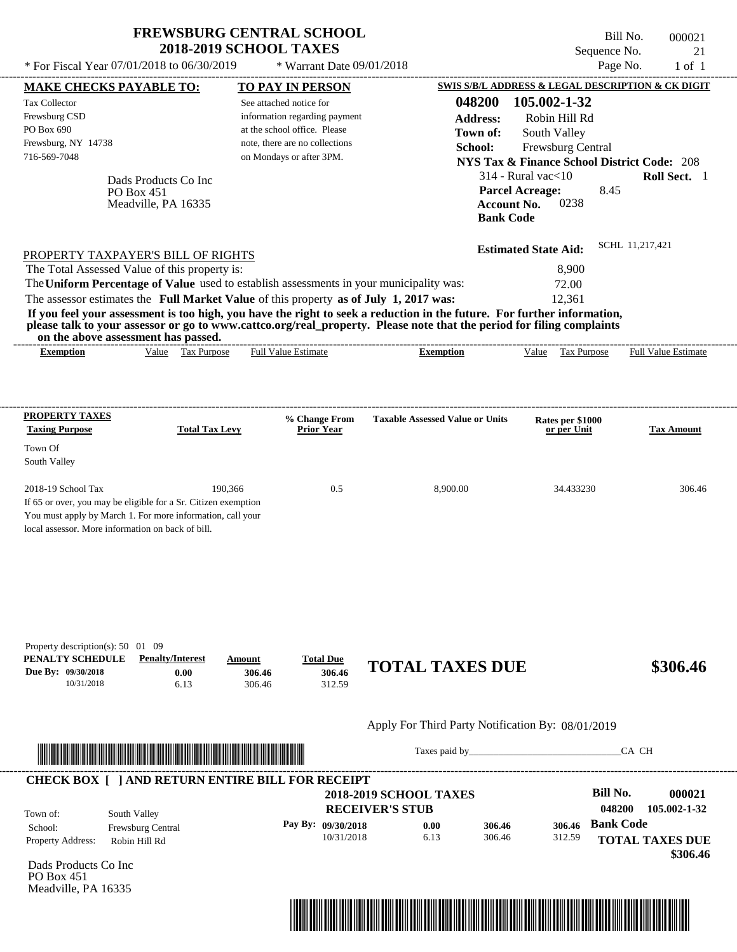\* Warrant Date 09/01/2018

---------------------------------------------------------------------------------------------------------------------------------------------------------------------------------------------------- Bill No. 000021 Sequence No. 21<br>Page No. 21 of 1 \* For Fiscal Year  $07/01/2018$  to  $06/30/2019$  \* Warrant Date  $09/01/2018$  Page No. 1 of 1

| <b>MAKE CHECKS PAYABLE TO:</b><br><b>Tax Collector</b><br>Frewsburg CSD<br>PO Box 690<br>Frewsburg, NY 14738<br>716-569-7048                                                                            |                                                                                                                                                                                                                                      | <b>TO PAY IN PERSON</b><br>See attached notice for<br>information regarding payment<br>at the school office. Please<br>note, there are no collections<br>on Mondays or after 3PM. |                                      | 048200<br><b>Address:</b><br>Town of:<br>School:                                                                                                                                                                                                 | 105.002-1-32<br>Robin Hill Rd<br>South Valley<br>Frewsburg Central                                   | SWIS S/B/L ADDRESS & LEGAL DESCRIPTION & CK DIGIT<br><b>NYS Tax &amp; Finance School District Code: 208</b> |
|---------------------------------------------------------------------------------------------------------------------------------------------------------------------------------------------------------|--------------------------------------------------------------------------------------------------------------------------------------------------------------------------------------------------------------------------------------|-----------------------------------------------------------------------------------------------------------------------------------------------------------------------------------|--------------------------------------|--------------------------------------------------------------------------------------------------------------------------------------------------------------------------------------------------------------------------------------------------|------------------------------------------------------------------------------------------------------|-------------------------------------------------------------------------------------------------------------|
|                                                                                                                                                                                                         | Dads Products Co Inc<br>PO Box 451<br>Meadville, PA 16335                                                                                                                                                                            |                                                                                                                                                                                   |                                      |                                                                                                                                                                                                                                                  | $314$ - Rural vac $<$ 10<br><b>Parcel Acreage:</b><br>0238<br><b>Account No.</b><br><b>Bank Code</b> | Roll Sect. 1<br>8.45                                                                                        |
| PROPERTY TAXPAYER'S BILL OF RIGHTS<br>The Total Assessed Value of this property is:<br>The Uniform Percentage of Value used to establish assessments in your municipality was:                          |                                                                                                                                                                                                                                      |                                                                                                                                                                                   |                                      |                                                                                                                                                                                                                                                  | <b>Estimated State Aid:</b><br>8,900<br>72.00                                                        | SCHL 11,217,421                                                                                             |
| The assessor estimates the Full Market Value of this property as of July 1, 2017 was:                                                                                                                   | on the above assessment has passed.                                                                                                                                                                                                  |                                                                                                                                                                                   |                                      | If you feel your assessment is too high, you have the right to seek a reduction in the future. For further information,<br>please talk to your assessor or go to www.cattco.org/real_property. Please note that the period for filing complaints | 12,361                                                                                               |                                                                                                             |
| <b>Exemption</b>                                                                                                                                                                                        | Value Tax Purpose                                                                                                                                                                                                                    | Full Value Estimate                                                                                                                                                               |                                      | <b>Exemption</b>                                                                                                                                                                                                                                 | Value Tax Purpose                                                                                    | <b>Full Value Estimate</b>                                                                                  |
| <b>PROPERTY TAXES</b><br><b>Taxing Purpose</b>                                                                                                                                                          | <b>Total Tax Levy</b>                                                                                                                                                                                                                | % Change From<br><b>Prior Year</b>                                                                                                                                                |                                      | <b>Taxable Assessed Value or Units</b>                                                                                                                                                                                                           | Rates per \$1000<br>or per Unit                                                                      | <b>Tax Amount</b>                                                                                           |
| Town Of<br>South Valley                                                                                                                                                                                 |                                                                                                                                                                                                                                      |                                                                                                                                                                                   |                                      |                                                                                                                                                                                                                                                  |                                                                                                      |                                                                                                             |
| 2018-19 School Tax<br>If 65 or over, you may be eligible for a Sr. Citizen exemption<br>You must apply by March 1. For more information, call your<br>local assessor. More information on back of bill. |                                                                                                                                                                                                                                      | 190,366                                                                                                                                                                           | 0.5                                  | 8,900.00                                                                                                                                                                                                                                         | 34.433230                                                                                            | 306.46                                                                                                      |
| Property description(s): 50 01 09<br>PENALTY SCHEDULE<br>Due By: 09/30/2018<br>10/31/2018                                                                                                               | <b>Penalty/Interest</b><br>0.00<br>6.13                                                                                                                                                                                              | <b>Total Due</b><br>Amount<br>306.46<br>306.46                                                                                                                                    | 306.46<br>312.59                     | <b>TOTAL TAXES DUE</b>                                                                                                                                                                                                                           |                                                                                                      | \$306.46                                                                                                    |
|                                                                                                                                                                                                         |                                                                                                                                                                                                                                      |                                                                                                                                                                                   |                                      | Apply For Third Party Notification By: 08/01/2019                                                                                                                                                                                                |                                                                                                      |                                                                                                             |
|                                                                                                                                                                                                         | <u> In the second contract of the second contract of the second contract of the second contract of the second contract of the second contract of the second contract of the second contract of the second contract of the second</u> |                                                                                                                                                                                   |                                      |                                                                                                                                                                                                                                                  |                                                                                                      | CA CH                                                                                                       |
| <b>CHECK BOX [ ] AND RETURN ENTIRE BILL FOR RECEIPT</b>                                                                                                                                                 |                                                                                                                                                                                                                                      |                                                                                                                                                                                   |                                      | <b>2018-2019 SCHOOL TAXES</b>                                                                                                                                                                                                                    |                                                                                                      | <b>Bill No.</b><br>000021                                                                                   |
| Town of:<br>School:<br>Property Address:                                                                                                                                                                | South Valley<br>Frewsburg Central<br>Robin Hill Rd                                                                                                                                                                                   | Pay By: 09/30/2018                                                                                                                                                                | <b>RECEIVER'S STUB</b><br>10/31/2018 | 0.00<br>306.46<br>6.13<br>306.46                                                                                                                                                                                                                 | 306.46<br>312.59                                                                                     | 048200<br>105.002-1-32<br><b>Bank Code</b><br><b>TOTAL TAXES DUE</b><br>\$306.46                            |
| Dads Products Co Inc<br>PO Box 451<br>Meadville, PA 16335                                                                                                                                               |                                                                                                                                                                                                                                      |                                                                                                                                                                                   |                                      |                                                                                                                                                                                                                                                  |                                                                                                      |                                                                                                             |
|                                                                                                                                                                                                         |                                                                                                                                                                                                                                      |                                                                                                                                                                                   |                                      |                                                                                                                                                                                                                                                  |                                                                                                      |                                                                                                             |
|                                                                                                                                                                                                         |                                                                                                                                                                                                                                      |                                                                                                                                                                                   |                                      |                                                                                                                                                                                                                                                  |                                                                                                      |                                                                                                             |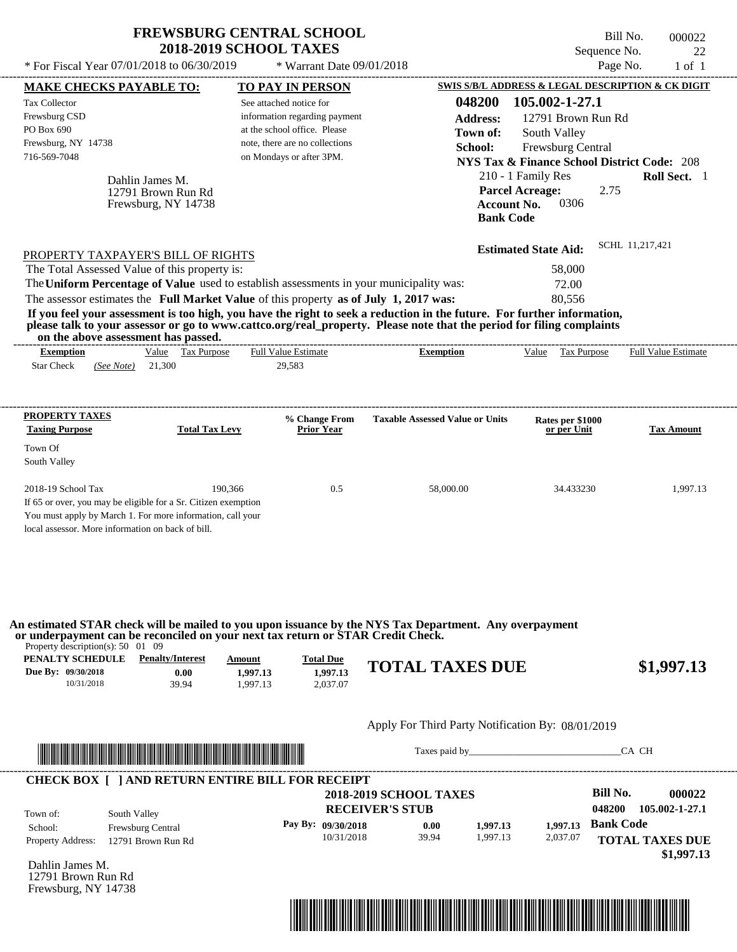|                                                                                                                                                                                                                                                                         | <b>FREWSBURG CENTRAL SCHOOL</b><br><b>2018-2019 SCHOOL TAXES</b> |                                                                                                                                                        |                                                                                                                         | Sequence No.                                                                                                                                                                                                              | Bill No.<br>000022<br>22   |
|-------------------------------------------------------------------------------------------------------------------------------------------------------------------------------------------------------------------------------------------------------------------------|------------------------------------------------------------------|--------------------------------------------------------------------------------------------------------------------------------------------------------|-------------------------------------------------------------------------------------------------------------------------|---------------------------------------------------------------------------------------------------------------------------------------------------------------------------------------------------------------------------|----------------------------|
| * For Fiscal Year 07/01/2018 to 06/30/2019                                                                                                                                                                                                                              |                                                                  | * Warrant Date 09/01/2018                                                                                                                              |                                                                                                                         | Page No.                                                                                                                                                                                                                  | $1$ of $1$                 |
| <b>MAKE CHECKS PAYABLE TO:</b>                                                                                                                                                                                                                                          |                                                                  | <b>TO PAY IN PERSON</b>                                                                                                                                |                                                                                                                         | SWIS S/B/L ADDRESS & LEGAL DESCRIPTION & CK DIGIT                                                                                                                                                                         |                            |
| <b>Tax Collector</b><br>Frewsburg CSD<br>PO Box 690<br>Frewsburg, NY 14738<br>716-569-7048<br>Dahlin James M.                                                                                                                                                           | 12791 Brown Run Rd<br>Frewsburg, NY 14738                        | See attached notice for<br>information regarding payment<br>at the school office. Please<br>note, there are no collections<br>on Mondays or after 3PM. | 048200<br><b>Address:</b><br>Town of:<br>School:<br><b>Bank Code</b>                                                    | 105.002-1-27.1<br>12791 Brown Run Rd<br>South Valley<br>Frewsburg Central<br><b>NYS Tax &amp; Finance School District Code: 208</b><br>210 - 1 Family Res<br><b>Parcel Acreage:</b><br>2.75<br>0306<br><b>Account No.</b> | Roll Sect. 1               |
| PROPERTY TAXPAYER'S BILL OF RIGHTS<br>The Total Assessed Value of this property is:<br>The Uniform Percentage of Value used to establish assessments in your municipality was:<br>The assessor estimates the Full Market Value of this property as of July 1, 2017 was: |                                                                  |                                                                                                                                                        | If you feel your assessment is too high, you have the right to seek a reduction in the future. For further information, | <b>Estimated State Aid:</b><br>58,000<br>72.00<br>80.556                                                                                                                                                                  | SCHL 11,217,421            |
| on the above assessment has passed.                                                                                                                                                                                                                                     |                                                                  |                                                                                                                                                        | please talk to your assessor or go to www.cattco.org/real_property. Please note that the period for filing complaints   |                                                                                                                                                                                                                           |                            |
| <b>Exemption</b><br><b>Star Check</b><br>(See Note)                                                                                                                                                                                                                     | Value Tax Purpose<br>21,300                                      | <b>Full Value Estimate</b><br>29,583                                                                                                                   | <b>Exemption</b>                                                                                                        | Value<br>Tax Purpose                                                                                                                                                                                                      | <b>Full Value Estimate</b> |
| PROPERTY TAXES<br><b>Taxing Purpose</b><br>Town Of<br>South Valley                                                                                                                                                                                                      | <b>Total Tax Levy</b>                                            | % Change From<br><b>Prior Year</b>                                                                                                                     | <b>Taxable Assessed Value or Units</b>                                                                                  | Rates per \$1000<br>or per Unit                                                                                                                                                                                           | <b>Tax Amount</b>          |
| 2018-19 School Tax                                                                                                                                                                                                                                                      | 190,366                                                          | 0.5                                                                                                                                                    | 58,000.00                                                                                                               | 34.433230                                                                                                                                                                                                                 | 1,997.13                   |

If 65 or over, you may be eligible for a Sr. Citizen exemption You must apply by March 1. For more information, call your

local assessor. More information on back of bill.

**An estimated STAR check will be mailed to you upon issuance by the NYS Tax Department. Any overpayment or underpayment can be reconciled on your next tax return or STAR Credit Check.**

Property description(s): 50 01 09

| PENALTY SCHEDULE   | <b>Penalty/Interest</b> | Amount   | <b>Total Due</b> | <b>TOTAL TAXES DUE</b> |            |
|--------------------|-------------------------|----------|------------------|------------------------|------------|
| Due By: 09/30/2018 | $0.00\,$                | 1.997.13 | 1.997.13         |                        | \$1,997.13 |
| 10/31/2018         | 39.94                   | .997.13  | 2.037.07         |                        |            |

#### Apply For Third Party Notification By: 08/01/2019



Taxes paid by\_\_\_\_\_\_\_\_\_\_\_\_\_\_\_\_\_\_\_\_\_\_\_\_\_\_\_\_\_\_\_CA CH

| Town of:                 | South Valley             | <b>2018-2019 SCHOOL TAXES</b><br><b>RECEIVER'S STUB</b> |       |          |          | Bill No.<br>048200 | 000022<br>105.002-1-27.1 |
|--------------------------|--------------------------|---------------------------------------------------------|-------|----------|----------|--------------------|--------------------------|
| School:                  | <b>Frewsburg Central</b> | Pay By: $09/30/2018$                                    | 0.00  | 1.997.13 | 1.997.13 | <b>Bank Code</b>   |                          |
| <b>Property Address:</b> | 12791 Brown Run Rd       | 10/31/2018                                              | 39.94 | 1.997.13 | 2,037.07 |                    | <b>TOTAL TAXES DUE</b>   |

Dahlin James M. 12791 Brown Run Rd Frewsburg, NY 14738

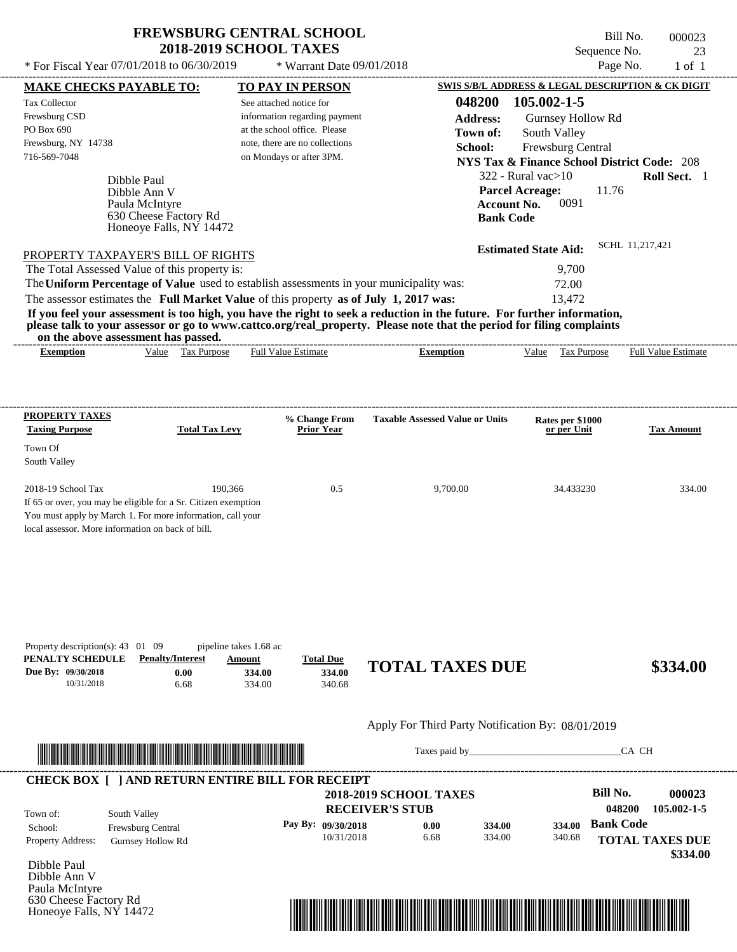Honeoye Falls, NY 14472

Bill No. 000023 Sequence No. 23<br>Page No. 1 of 1

| * For Fiscal Year 07/01/2018 to 06/30/2019                                                                                                                                                                                           |                         |                                                               | * Warrant Date 09/01/2018     |                                                   |                                                                             | Page No.         | $1$ of $1$                 |
|--------------------------------------------------------------------------------------------------------------------------------------------------------------------------------------------------------------------------------------|-------------------------|---------------------------------------------------------------|-------------------------------|---------------------------------------------------|-----------------------------------------------------------------------------|------------------|----------------------------|
| <b>MAKE CHECKS PAYABLE TO:</b>                                                                                                                                                                                                       |                         | <b>TO PAY IN PERSON</b>                                       |                               |                                                   | SWIS S/B/L ADDRESS & LEGAL DESCRIPTION & CK DIGIT                           |                  |                            |
| Tax Collector                                                                                                                                                                                                                        |                         | See attached notice for                                       |                               | 048200                                            | 105.002-1-5                                                                 |                  |                            |
| Frewsburg CSD<br>PO Box 690                                                                                                                                                                                                          |                         | information regarding payment<br>at the school office. Please |                               | <b>Address:</b>                                   | Gurnsey Hollow Rd                                                           |                  |                            |
| Frewsburg, NY 14738                                                                                                                                                                                                                  |                         | note, there are no collections                                |                               | Town of:                                          | South Valley                                                                |                  |                            |
| 716-569-7048                                                                                                                                                                                                                         |                         | on Mondays or after 3PM.                                      |                               | School:                                           | Frewsburg Central<br><b>NYS Tax &amp; Finance School District Code: 208</b> |                  |                            |
|                                                                                                                                                                                                                                      |                         |                                                               |                               |                                                   | $322$ - Rural vac $>10$                                                     |                  | Roll Sect. 1               |
| Dibble Paul<br>Dibble Ann V                                                                                                                                                                                                          |                         |                                                               |                               |                                                   | <b>Parcel Acreage:</b>                                                      | 11.76            |                            |
| Paula McIntyre                                                                                                                                                                                                                       |                         |                                                               |                               |                                                   | 0091<br><b>Account No.</b>                                                  |                  |                            |
|                                                                                                                                                                                                                                      | 630 Cheese Factory Rd   |                                                               |                               |                                                   | <b>Bank Code</b>                                                            |                  |                            |
|                                                                                                                                                                                                                                      | Honeoye Falls, NY 14472 |                                                               |                               |                                                   |                                                                             |                  |                            |
| PROPERTY TAXPAYER'S BILL OF RIGHTS                                                                                                                                                                                                   |                         |                                                               |                               |                                                   | <b>Estimated State Aid:</b>                                                 | SCHL 11,217,421  |                            |
| The Total Assessed Value of this property is:                                                                                                                                                                                        |                         |                                                               |                               |                                                   | 9,700                                                                       |                  |                            |
| The Uniform Percentage of Value used to establish assessments in your municipality was:                                                                                                                                              |                         |                                                               |                               |                                                   | 72.00                                                                       |                  |                            |
| The assessor estimates the Full Market Value of this property as of July 1, 2017 was:                                                                                                                                                |                         |                                                               |                               |                                                   | 13,472                                                                      |                  |                            |
| If you feel your assessment is too high, you have the right to seek a reduction in the future. For further information,                                                                                                              |                         |                                                               |                               |                                                   |                                                                             |                  |                            |
| please talk to your assessor or go to www.cattco.org/real_property. Please note that the period for filing complaints<br>on the above assessment has passed.                                                                         |                         |                                                               |                               |                                                   |                                                                             |                  |                            |
| <b>Exemption</b>                                                                                                                                                                                                                     | Value Tax Purpose       | <b>Full Value Estimate</b>                                    |                               | <b>Exemption</b>                                  | Value Tax Purpose                                                           |                  | <b>Full Value Estimate</b> |
|                                                                                                                                                                                                                                      |                         |                                                               |                               |                                                   |                                                                             |                  |                            |
|                                                                                                                                                                                                                                      |                         |                                                               |                               |                                                   |                                                                             |                  |                            |
|                                                                                                                                                                                                                                      |                         |                                                               |                               |                                                   |                                                                             |                  |                            |
| <b>PROPERTY TAXES</b>                                                                                                                                                                                                                |                         | % Change From                                                 |                               | <b>Taxable Assessed Value or Units</b>            | Rates per \$1000                                                            |                  |                            |
| <b>Taxing Purpose</b>                                                                                                                                                                                                                | <b>Total Tax Levy</b>   | <b>Prior Year</b>                                             |                               |                                                   | or per Unit                                                                 |                  | <b>Tax Amount</b>          |
| Town Of                                                                                                                                                                                                                              |                         |                                                               |                               |                                                   |                                                                             |                  |                            |
| South Valley                                                                                                                                                                                                                         |                         |                                                               |                               |                                                   |                                                                             |                  |                            |
|                                                                                                                                                                                                                                      |                         |                                                               |                               |                                                   |                                                                             |                  |                            |
| 2018-19 School Tax<br>If 65 or over, you may be eligible for a Sr. Citizen exemption                                                                                                                                                 | 190,366                 | 0.5                                                           |                               | 9,700.00                                          | 34.433230                                                                   |                  | 334.00                     |
| You must apply by March 1. For more information, call your                                                                                                                                                                           |                         |                                                               |                               |                                                   |                                                                             |                  |                            |
| local assessor. More information on back of bill.                                                                                                                                                                                    |                         |                                                               |                               |                                                   |                                                                             |                  |                            |
|                                                                                                                                                                                                                                      |                         |                                                               |                               |                                                   |                                                                             |                  |                            |
|                                                                                                                                                                                                                                      |                         |                                                               |                               |                                                   |                                                                             |                  |                            |
|                                                                                                                                                                                                                                      |                         |                                                               |                               |                                                   |                                                                             |                  |                            |
|                                                                                                                                                                                                                                      |                         |                                                               |                               |                                                   |                                                                             |                  |                            |
|                                                                                                                                                                                                                                      |                         |                                                               |                               |                                                   |                                                                             |                  |                            |
|                                                                                                                                                                                                                                      |                         |                                                               |                               |                                                   |                                                                             |                  |                            |
| Property description(s): 43 01 09                                                                                                                                                                                                    | pipeline takes 1.68 ac  |                                                               |                               |                                                   |                                                                             |                  |                            |
| PENALTY SCHEDULE                                                                                                                                                                                                                     | <b>Penalty/Interest</b> | <b>Total Due</b><br>Amount                                    |                               | <b>TOTAL TAXES DUE</b>                            |                                                                             |                  | \$334.00                   |
| Due By: 09/30/2018                                                                                                                                                                                                                   | 0.00                    | 334.00<br>334.00                                              |                               |                                                   |                                                                             |                  |                            |
| 10/31/2018                                                                                                                                                                                                                           | 6.68                    | 334.00<br>340.68                                              |                               |                                                   |                                                                             |                  |                            |
|                                                                                                                                                                                                                                      |                         |                                                               |                               |                                                   |                                                                             |                  |                            |
|                                                                                                                                                                                                                                      |                         |                                                               |                               | Apply For Third Party Notification By: 08/01/2019 |                                                                             |                  |                            |
|                                                                                                                                                                                                                                      |                         |                                                               |                               | Taxes paid by                                     |                                                                             | CA CH            |                            |
| <u> In the second contract of the second contract of the second contract of the second contract of the second contract of the second contract of the second contract of the second contract of the second contract of the second</u> |                         |                                                               |                               |                                                   |                                                                             |                  |                            |
| <b>CHECK BOX [ ] AND RETURN ENTIRE BILL FOR RECEIPT</b>                                                                                                                                                                              |                         |                                                               |                               |                                                   |                                                                             |                  |                            |
|                                                                                                                                                                                                                                      |                         |                                                               | <b>2018-2019 SCHOOL TAXES</b> |                                                   |                                                                             | <b>Bill No.</b>  | 000023                     |
| South Valley<br>Town of:                                                                                                                                                                                                             |                         |                                                               | <b>RECEIVER'S STUB</b>        |                                                   |                                                                             | 048200           | 105.002-1-5                |
| Frewsburg Central<br>School:                                                                                                                                                                                                         |                         | Pay By: 09/30/2018                                            |                               | 0.00<br>334.00                                    | 334.00                                                                      | <b>Bank Code</b> |                            |
| Property Address:                                                                                                                                                                                                                    | Gurnsey Hollow Rd       |                                                               | 10/31/2018                    | 6.68<br>334.00                                    | 340.68                                                                      |                  | <b>TOTAL TAXES DUE</b>     |
|                                                                                                                                                                                                                                      |                         |                                                               |                               |                                                   |                                                                             |                  | \$334.00                   |
| Dibble Paul<br>Dibble Ann V                                                                                                                                                                                                          |                         |                                                               |                               |                                                   |                                                                             |                  |                            |
| Paula McIntyre                                                                                                                                                                                                                       |                         |                                                               |                               |                                                   |                                                                             |                  |                            |
| 630 Cheese Factory Rd                                                                                                                                                                                                                |                         |                                                               |                               |                                                   |                                                                             |                  |                            |

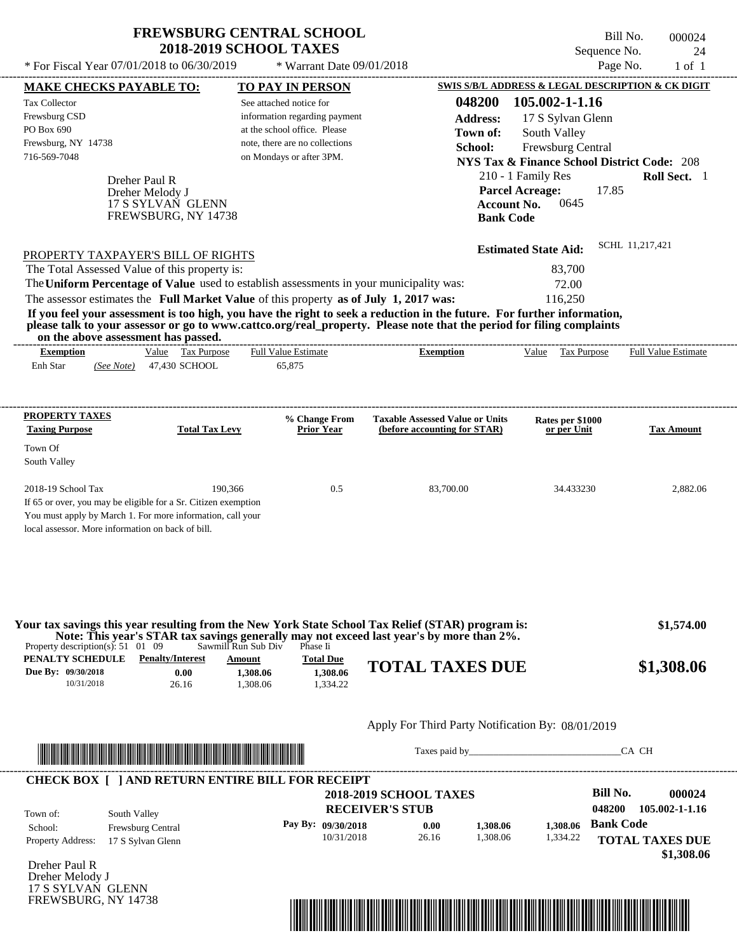See attached notice for information regarding payment at the school office. Please note, there are no collections

716-569-7048 on Mondays or after 3PM.

Tax Collector Frewsburg CSD PO Box 690

Frewsburg, NY 14738

---------------------------------------------------------------------------------------------------------------------------------------------------------------------------------------------------- Sequence No. 24  $*$  For Fiscal Year 07/01/2018 to 06/30/2019  $*$  Warrant Date 09/01/2018 Page No. 1 of 1 **MAKE CHECKS PAYABLE TO: TO PAY IN PERSON SWIS S/B/L ADDRESS & LEGAL DESCRIPTION & CK DIGIT 048200 105.002-1-1.16 Address:** 17 S Sylvan Glenn South Valley **School:** Frewsburg Central **NYS Tax & Finance School District Code:** 208 **Town of:**

|                                                                                         | $1110$ Tax $\alpha$ Phiance School District Coue. 200 |                     |
|-----------------------------------------------------------------------------------------|-------------------------------------------------------|---------------------|
| Dreher Paul R                                                                           | 210 - 1 Family Res                                    | <b>Roll Sect.</b> 1 |
| Dreher Melody J                                                                         | <b>Parcel Acreage:</b>                                | 17.85               |
| 17 S SYLVAN GLENN                                                                       | Account No. $0645$                                    |                     |
| FREWSBURG, NY 14738                                                                     | <b>Bank Code</b>                                      |                     |
|                                                                                         |                                                       |                     |
|                                                                                         | <b>Estimated State Aid:</b>                           | SCHL 11,217,421     |
| PROPERTY TAXPAYER'S BILL OF RIGHTS                                                      |                                                       |                     |
| The Total Assessed Value of this property is:                                           | 83.700                                                |                     |
| The Uniform Percentage of Value used to establish assessments in your municipality was: | 72.00                                                 |                     |
| The assessor estimates the Full Market Value of this property as of July 1, 2017 was:   | 116.250                                               |                     |

**If you feel your assessment is too high, you have the right to seek a reduction in the future. For further information, please talk to your assessor or go to www.cattco.org/real\_property. Please note that the period for filing complaints on the above assessment has passed.** ----------------------------------------------------------------------------------------------------------------------------------------------------------------------------------------------------

| <b>Exemption</b> |            | Tax Purpose<br>Value | <b>Full Value Estimate</b> | <b>Exemption</b> | Value | Tax Purpose | <b>Full Value Estimate</b> |
|------------------|------------|----------------------|----------------------------|------------------|-------|-------------|----------------------------|
| Enh Star         | (See Note) | 47,430 SCHOOL        | 65.875                     |                  |       |             |                            |
|                  |            |                      |                            |                  |       |             |                            |

| <b>PROPERTY TAXES</b><br><b>Taxing Purpose</b>    | <b>Total Tax Levy</b>                                          | % Change From<br><b>Prior Year</b> | <b>Taxable Assessed Value or Units</b><br>(before accounting for STAR) | Rates per \$1000<br>or per Unit | <b>Tax Amount</b> |
|---------------------------------------------------|----------------------------------------------------------------|------------------------------------|------------------------------------------------------------------------|---------------------------------|-------------------|
| Town Of<br>South Valley                           |                                                                |                                    |                                                                        |                                 |                   |
| $2018-19$ School Tax                              | 190.366                                                        | 0.5                                | 83,700.00                                                              | 34.433230                       | 2.882.06          |
|                                                   | If 65 or over, you may be eligible for a Sr. Citizen exemption |                                    |                                                                        |                                 |                   |
|                                                   | You must apply by March 1. For more information, call your     |                                    |                                                                        |                                 |                   |
| local assessor. More information on back of bill. |                                                                |                                    |                                                                        |                                 |                   |

|                                                 |                         |                     |                  | Your tax savings this year resulting from the New York State School Tax Relief (STAR) program is:<br>Note: This year's STAR tax savings generally may not exceed last year's by more than 2%. | \$1,574.00 |
|-------------------------------------------------|-------------------------|---------------------|------------------|-----------------------------------------------------------------------------------------------------------------------------------------------------------------------------------------------|------------|
| Property description(s): $51 \quad 01 \quad 09$ |                         | Sawmill Run Sub Div | Phase Ii         |                                                                                                                                                                                               |            |
| PENALTY SCHEDULE                                | <b>Penalty/Interest</b> | Amount              | <b>Total Due</b> | <b>TOTAL TAXES DUE</b>                                                                                                                                                                        |            |
| Due By: 09/30/2018                              | 0.00                    | .308.06             | 1.308.06         |                                                                                                                                                                                               | \$1,308.06 |
| 10/31/2018                                      | 26.16                   | .308.06             | .334.22          |                                                                                                                                                                                               |            |

#### Apply For Third Party Notification By: 08/01/2019



Taxes paid by\_\_\_\_\_\_\_\_\_\_\_\_\_\_\_\_\_\_\_\_\_\_\_\_\_\_\_\_\_\_\_CA CH

| <b>RECEIVER'S STUB</b><br>South Valley<br>Town of:<br><b>Bank Code</b><br>Pay By: $09/30/2018$<br>1.308.06<br>1,308.06<br>0.00<br>Frewsburg Central<br>School: |  |
|----------------------------------------------------------------------------------------------------------------------------------------------------------------|--|
|                                                                                                                                                                |  |
| 1.308.06<br>10/31/2018<br>1,334.22<br>26.16<br><b>TOTAL TAXES DUE</b><br><b>Property Address:</b><br>17 S Sylvan Glenn                                         |  |

Dreher Paul R Dreher Melody J 17 S SYLVAN GLENN FREWSBURG, NY 14738



Bill No. 000024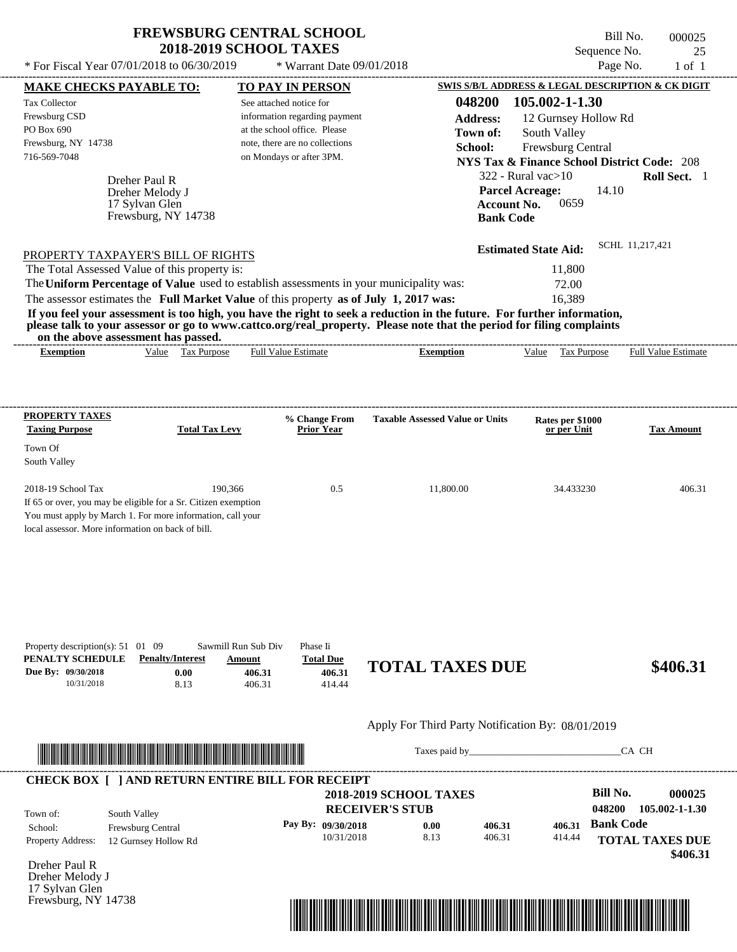---------------------------------------------------------------------------------------------------------------------------------------------------------------------------------------------------- Dreher Paul R If 65 or over, you may be eligible for a Sr. Citizen exemption You must apply by March 1. For more information, call your local assessor. More information on back of bill. \* For Fiscal Year  $07/01/2018$  to  $06/30/2019$  \* Warrant Date  $09/01/2018$  Page No. 1 of 1 **MAKE CHECKS PAYABLE TO: TO PAY IN PERSON SWIS S/B/L ADDRESS & LEGAL DESCRIPTION & CK DIGIT 048200 105.002-1-1.30 Address:** 12 Gurnsey Hollow Rd South Valley **School:** Frewsburg Central **NYS Tax & Finance School District Code:** 208 322 - Rural vac>10 **Roll Sect.** 1 14.10 **Account No.** 0659 **Bank Code Estimated State Aid:** SCHL 11,217,421 PROPERTY TAXPAYER'S BILL OF RIGHTS The assessor estimates the **Full Market Value** of this property **as of July 1, 2017 was:** 16,389 The Total Assessed Value of this property is: 11,800 The **Uniform Percentage of Value** used to establish assessments in your municipality was: 72.00 **If you feel your assessment is too high, you have the right to seek a reduction in the future. For further information, please talk to your assessor or go to www.cattco.org/real\_property. Please note that the period for filing complaints on the above assessment has passed. Exemption** Value Tax Purpose **PROPERTY TAXES Taxing Purpose Total Tax Levy Prior Year % Change From Taxable Assessed Value or Units or per Unit Rates per \$1000 Tax Amount PENALTY SCHEDULE Penalty/Interest Amount Total Due Due By: 09/30/2018** 10/31/2018 8.13 **0.00** 406.31 **406.31** 414.44 **406.31 TOTAL TAXES DUE \$406.31** Apply For Third Party Notification By: 08/01/2019 **RECEIVER'S STUB Bill No. 000025 Bank Code** Property Address: 12 Gurnsey Hollow Rd South Valley School: Frewsburg Central **TOTAL TAXES DUE** See attached notice for information regarding payment at the school office. Please note, there are no collections Tax Collector Frewsburg CSD PO Box 690 Frewsburg, NY 14738 \* Warrant Date 09/01/2018  **2018-2019 SCHOOL TAXES** 716-569-7048 on Mondays or after 3PM. **Parcel Acreage:** Town Of South Valley 2018-19 School Tax 190,366 190,366 0.5 11,800.00 34.433230 406.31 **048200 105.002-1-1.30 Pay By: 09/30/2018** 10/31/2018 8.13 **0.00** 406.31 **406.31** 414.44 **406.31** Dreher Melody J Full Value Estimate Taxes paid by Taxes and by Taxes paid by Taxes and by Taxes and by Taxes and the CA CH ---------------------------------------------------------------------------------------------------------------------------------------------------------------------------------------------------- ---------------------------------------------------------------------------------------------------------------------------------------------------------------------------------------------------- Property description(s): 51 01 09 Sawmill Run Sub Div Phase Ii Town of: **Town of:** 17 Sylvan Glen Frewsburg, NY 14738 **Exemption** Value Tax Purpose Full Value Estimate ---------------------------------------------------------------------------------------------------------------------------------------------------------------------------------------------------- **CHECK BOX [ ] AND RETURN ENTIRE BILL FOR RECEIPT** \*04820000002500000000040631\*

Dreher Paul R Dreher Melody J 17 Sylvan Glen Frewsburg, NY 14738



 **\$406.31**

Bill No. 000025 Sequence No. 25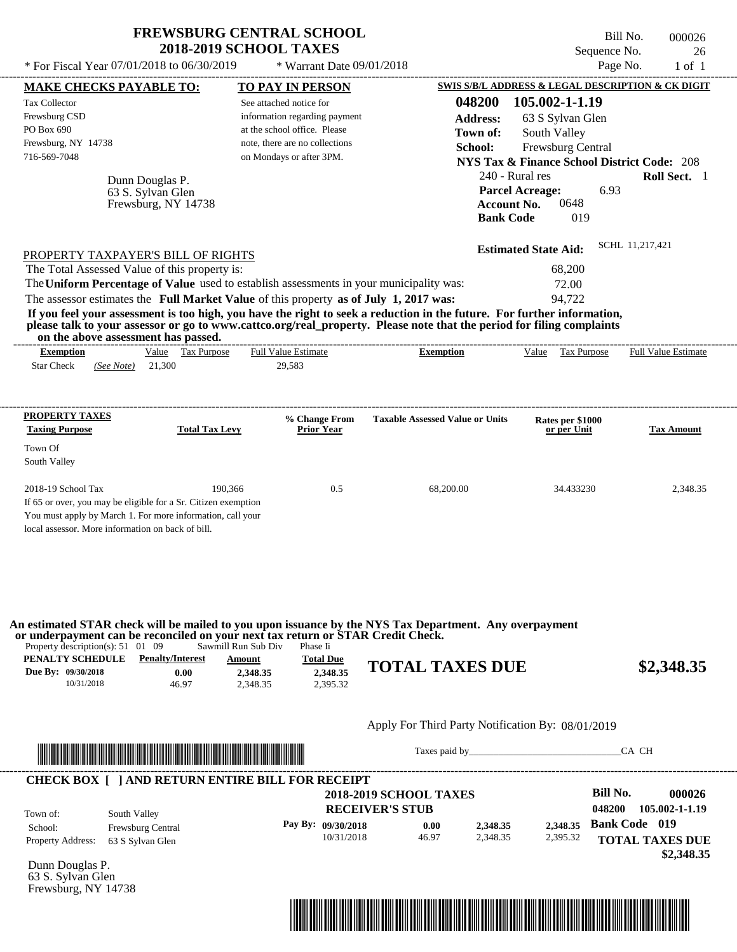\* For Fiscal Year  $07/01/2018$  to  $06/30/2019$   $\bullet$  Warrant Date  $09/01/2018$  Page No. 1 of 1

\* Warrant Date 09/01/2018

---------------------------------------------------------------------------------------------------------------------------------------------------------------------------------------------------- Dunn Douglas P. If 65 or over, you may be eligible for a Sr. Citizen exemption You must apply by March 1. For more information, call your local assessor. More information on back of bill. **MAKE CHECKS PAYABLE TO: TO PAY IN PERSON SWIS S/B/L ADDRESS & LEGAL DESCRIPTION & CK DIGIT 048200 105.002-1-1.19 Address:** 63 S Sylvan Glen South Valley **School:** Frewsburg Central **NYS Tax & Finance School District Code:** 208 240 - Rural res **Roll Sect.** 1 6.93 **Account No.** 0648 **Bank Code** 019 **Estimated State Aid:** SCHL 11,217,421 PROPERTY TAXPAYER'S BILL OF RIGHTS The assessor estimates the **Full Market Value** of this property **as of July 1, 2017 was:** 94,722 The Total Assessed Value of this property is: 68,200 The **Uniform Percentage of Value** used to establish assessments in your municipality was: 72.00 **If you feel your assessment is too high, you have the right to seek a reduction in the future. For further information, please talk to your assessor or go to www.cattco.org/real\_property. Please note that the period for filing complaints on the above assessment has passed. Exemption** Value Tax Purpose **PROPERTY TAXES Taxing Purpose Total Tax Levy Prior Year % Change From Taxable Assessed Value or Units or per Unit Rates per \$1000 Tax Amount PENALTY SCHEDULE Penalty/Interest Amount Total Due Due By: 09/30/2018** 10/31/2018 46.97 **0.00** 2,348.35 **2,348.35** 2,395.32 **2,348.35 TOTAL TAXES DUE \$2,348.35** Apply For Third Party Notification By: 08/01/2019 **RECEIVER'S STUB Bill No. 000026 Bank Code 019** Property Address: 63 S Sylvan Glen South Valley School: Frewsburg Central **TOTAL TAXES DUE** Star Check 21,300 *(See Note)* 29,583 See attached notice for information regarding payment at the school office. Please note, there are no collections Tax Collector Frewsburg CSD PO Box 690 Frewsburg, NY 14738  **2018-2019 SCHOOL TAXES** 716-569-7048 on Mondays or after 3PM. **Parcel Acreage:** Town Of South Valley 2018-19 School Tax 2,348.35 190,366 190,366 0.5 68,200.00 34.433230 2,348.35 **048200 105.002-1-1.19 Pay By: 09/30/2018** 10/31/2018 46.97 **0.00** 2,348.35 **2,348.35** 2,395.32 **2,348.35** 63 S. Sylvan Glen Full Value Estimate Taxes paid by Taxes and by Taxes paid by Taxes and by Taxes and by Taxes and the CA CH ---------------------------------------------------------------------------------------------------------------------------------------------------------------------------------------------------- ---------------------------------------------------------------------------------------------------------------------------------------------------------------------------------------------------- Property description(s): 51 01 09 Sawmill Run Sub Div Phase Ii Town of: **Town of:** Frewsburg, NY 14738 **Exemption** Value Tax Purpose Full Value Estimate ---------------------------------------------------------------------------------------------------------------------------------------------------------------------------------------------------- **CHECK BOX [ ] AND RETURN ENTIRE BILL FOR RECEIPT** \*04820000002600000000234835\* **An estimated STAR check will be mailed to you upon issuance by the NYS Tax Department. Any overpayment or underpayment can be reconciled on your next tax return or STAR Credit Check.**

Dunn Douglas P. 63 S. Sylvan Glen Frewsburg, NY 14738



Bill No. 000026 Sequence No. 26

 **\$2,348.35**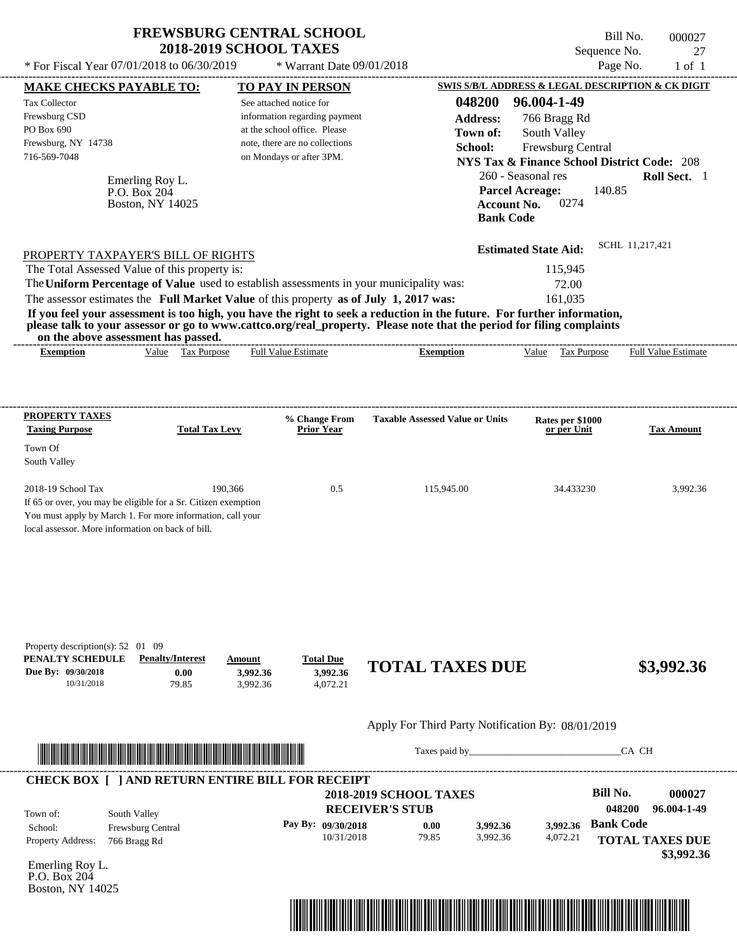| <b>FREWSBURG CENTRAL SCHOOL</b>                |                             |  |  |  |  |  |  |
|------------------------------------------------|-----------------------------|--|--|--|--|--|--|
| <b>2018-2019 SCHOOL TAXES</b>                  |                             |  |  |  |  |  |  |
| * For Fiscal Year $07/01/2018$ to $06/30/2019$ | * Warrant Date $09/01/2018$ |  |  |  |  |  |  |

---------------------------------------------------------------------------------------------------------------------------------------------------------------------------------------------------- Bill No. 000027 Sequence No. 27

| <b>MAKE CHECKS PAYABLE TO:</b>                                                        |                                                         | <b>TO PAY IN PERSON</b>        |                                    |                                                                                                                         |                             |                                 | SWIS S/B/L ADDRESS & LEGAL DESCRIPTION & CK DIGIT      |
|---------------------------------------------------------------------------------------|---------------------------------------------------------|--------------------------------|------------------------------------|-------------------------------------------------------------------------------------------------------------------------|-----------------------------|---------------------------------|--------------------------------------------------------|
| Tax Collector                                                                         |                                                         | See attached notice for        |                                    | 048200                                                                                                                  | 96.004-1-49                 |                                 |                                                        |
| Frewsburg CSD                                                                         |                                                         |                                | information regarding payment      | <b>Address:</b>                                                                                                         |                             | 766 Bragg Rd                    |                                                        |
| PO Box 690                                                                            |                                                         | at the school office. Please   |                                    | Town of:                                                                                                                |                             | South Valley                    |                                                        |
| Frewsburg, NY 14738                                                                   |                                                         | note, there are no collections |                                    | School:                                                                                                                 |                             | Frewsburg Central               |                                                        |
| 716-569-7048                                                                          |                                                         | on Mondays or after 3PM.       |                                    |                                                                                                                         |                             |                                 | <b>NYS Tax &amp; Finance School District Code: 208</b> |
|                                                                                       | Emerling Roy L.                                         |                                |                                    |                                                                                                                         | 260 - Seasonal res          |                                 | Roll Sect. 1                                           |
|                                                                                       | P.O. Box 204                                            |                                |                                    |                                                                                                                         | <b>Parcel Acreage:</b>      |                                 | 140.85                                                 |
|                                                                                       | Boston, NY 14025                                        |                                |                                    |                                                                                                                         | <b>Account No.</b>          | 0274                            |                                                        |
|                                                                                       |                                                         |                                |                                    |                                                                                                                         | <b>Bank Code</b>            |                                 |                                                        |
|                                                                                       |                                                         |                                |                                    |                                                                                                                         |                             |                                 | SCHL 11,217,421                                        |
| PROPERTY TAXPAYER'S BILL OF RIGHTS                                                    |                                                         |                                |                                    |                                                                                                                         | <b>Estimated State Aid:</b> |                                 |                                                        |
| The Total Assessed Value of this property is:                                         |                                                         |                                |                                    |                                                                                                                         |                             | 115,945                         |                                                        |
|                                                                                       |                                                         |                                |                                    | The Uniform Percentage of Value used to establish assessments in your municipality was:                                 |                             | 72.00                           |                                                        |
| The assessor estimates the Full Market Value of this property as of July 1, 2017 was: |                                                         |                                |                                    |                                                                                                                         |                             | 161.035                         |                                                        |
|                                                                                       |                                                         |                                |                                    | If you feel your assessment is too high, you have the right to seek a reduction in the future. For further information, |                             |                                 |                                                        |
|                                                                                       | on the above assessment has passed.                     |                                |                                    | please talk to your assessor or go to www.cattco.org/real_property. Please note that the period for filing complaints   |                             |                                 |                                                        |
| <b>Exemption</b>                                                                      | Value Tax Purpose                                       | <b>Full Value Estimate</b>     |                                    | <b>Exemption</b>                                                                                                        | Value                       | Tax Purpose                     | Full Value Estimate                                    |
|                                                                                       |                                                         |                                |                                    |                                                                                                                         |                             |                                 |                                                        |
|                                                                                       |                                                         |                                |                                    |                                                                                                                         |                             |                                 |                                                        |
|                                                                                       |                                                         |                                |                                    |                                                                                                                         |                             |                                 |                                                        |
| PROPERTY TAXES                                                                        |                                                         |                                |                                    |                                                                                                                         |                             |                                 |                                                        |
| <b>Taxing Purpose</b>                                                                 | <b>Total Tax Levy</b>                                   |                                | % Change From<br><b>Prior Year</b> | <b>Taxable Assessed Value or Units</b>                                                                                  |                             | Rates per \$1000<br>or per Unit | <b>Tax Amount</b>                                      |
| Town Of                                                                               |                                                         |                                |                                    |                                                                                                                         |                             |                                 |                                                        |
| South Valley                                                                          |                                                         |                                |                                    |                                                                                                                         |                             |                                 |                                                        |
|                                                                                       |                                                         |                                |                                    |                                                                                                                         |                             |                                 |                                                        |
| 2018-19 School Tax                                                                    |                                                         | 190,366                        | 0.5                                | 115,945.00                                                                                                              |                             | 34.433230                       | 3,992.36                                               |
| If 65 or over, you may be eligible for a Sr. Citizen exemption                        |                                                         |                                |                                    |                                                                                                                         |                             |                                 |                                                        |
| You must apply by March 1. For more information, call your                            |                                                         |                                |                                    |                                                                                                                         |                             |                                 |                                                        |
| local assessor. More information on back of bill.                                     |                                                         |                                |                                    |                                                                                                                         |                             |                                 |                                                        |
|                                                                                       |                                                         |                                |                                    |                                                                                                                         |                             |                                 |                                                        |
|                                                                                       |                                                         |                                |                                    |                                                                                                                         |                             |                                 |                                                        |
|                                                                                       |                                                         |                                |                                    |                                                                                                                         |                             |                                 |                                                        |
|                                                                                       |                                                         |                                |                                    |                                                                                                                         |                             |                                 |                                                        |
|                                                                                       |                                                         |                                |                                    |                                                                                                                         |                             |                                 |                                                        |
|                                                                                       |                                                         |                                |                                    |                                                                                                                         |                             |                                 |                                                        |
| Property description(s): 52 01 09                                                     |                                                         |                                |                                    |                                                                                                                         |                             |                                 |                                                        |
| PENALTY SCHEDULE                                                                      | <b>Penalty/Interest</b>                                 | Amount                         | <b>Total Due</b>                   |                                                                                                                         |                             |                                 |                                                        |
| Due By: 09/30/2018                                                                    | 0.00                                                    | 3,992.36                       | 3,992.36                           | <b>TOTAL TAXES DUE</b>                                                                                                  |                             |                                 | \$3,992.36                                             |
| 10/31/2018                                                                            | 79.85                                                   | 3,992.36                       | 4,072.21                           |                                                                                                                         |                             |                                 |                                                        |
|                                                                                       |                                                         |                                |                                    |                                                                                                                         |                             |                                 |                                                        |
|                                                                                       |                                                         |                                |                                    |                                                                                                                         |                             |                                 |                                                        |
|                                                                                       |                                                         |                                |                                    | Apply For Third Party Notification By: 08/01/2019                                                                       |                             |                                 |                                                        |
|                                                                                       |                                                         |                                |                                    |                                                                                                                         |                             |                                 | CA CH                                                  |
|                                                                                       |                                                         |                                |                                    |                                                                                                                         |                             |                                 |                                                        |
|                                                                                       | <b>CHECK BOX [ ] AND RETURN ENTIRE BILL FOR RECEIPT</b> |                                |                                    |                                                                                                                         |                             |                                 |                                                        |
|                                                                                       |                                                         |                                |                                    | <b>2018-2019 SCHOOL TAXES</b>                                                                                           |                             |                                 | <b>Bill No.</b><br>000027                              |
|                                                                                       |                                                         |                                |                                    | <b>RECEIVER'S STUB</b>                                                                                                  |                             |                                 | 048200<br>96.004-1-49                                  |
| Town of:<br>School:                                                                   | South Valley                                            |                                | Pay By: 09/30/2018                 | 0.00                                                                                                                    | 3,992.36                    | 3.992.36                        | <b>Bank Code</b>                                       |
| Property Address:                                                                     | Frewsburg Central<br>766 Bragg Rd                       |                                | 10/31/2018                         | 79.85                                                                                                                   | 3,992.36                    | 4,072.21                        | <b>TOTAL TAXES DUE</b>                                 |
|                                                                                       |                                                         |                                |                                    |                                                                                                                         |                             |                                 | \$3,992.36                                             |
| Emerling Roy L.                                                                       |                                                         |                                |                                    |                                                                                                                         |                             |                                 |                                                        |
| P.O. Box 204                                                                          |                                                         |                                |                                    |                                                                                                                         |                             |                                 |                                                        |
| Boston, NY 14025                                                                      |                                                         |                                |                                    |                                                                                                                         |                             |                                 |                                                        |
|                                                                                       |                                                         |                                |                                    |                                                                                                                         |                             |                                 |                                                        |
|                                                                                       |                                                         |                                |                                    |                                                                                                                         |                             |                                 |                                                        |
|                                                                                       |                                                         |                                |                                    |                                                                                                                         |                             |                                 |                                                        |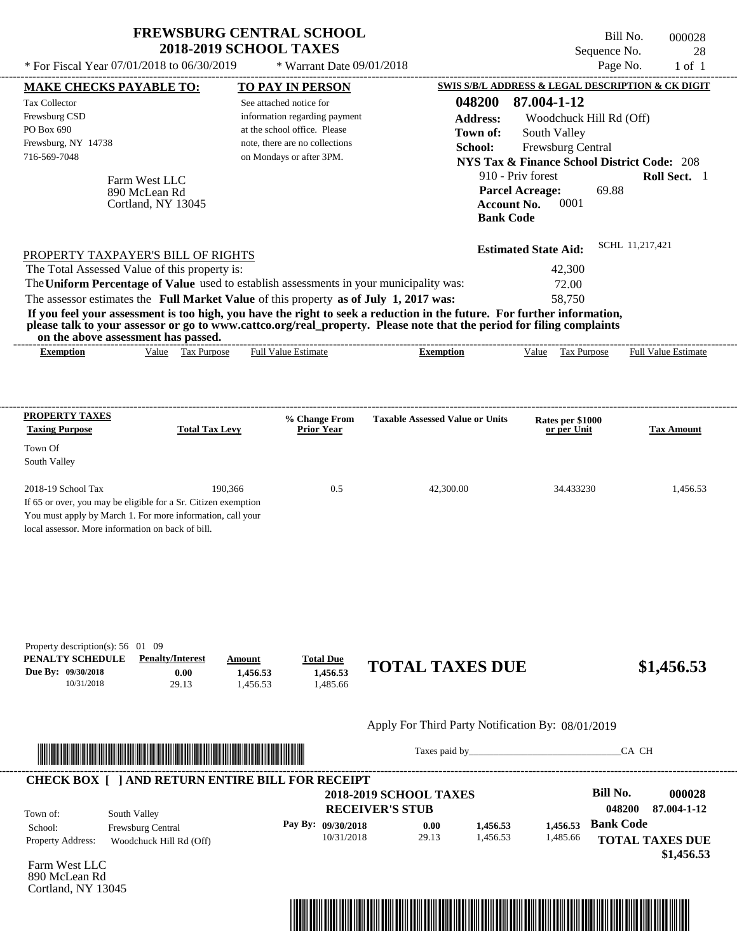|       |                                                                                                                                                                                                |                                                                                                                                                                                                                                                                                                                                  |                                                                                                                                                                                                                                                                                                                            |                                                                                                                                                          | <b>Full Value Estimate</b>                                                                                                                                                                                                                                                                                                                                                                                                                                                                                                   |
|-------|------------------------------------------------------------------------------------------------------------------------------------------------------------------------------------------------|----------------------------------------------------------------------------------------------------------------------------------------------------------------------------------------------------------------------------------------------------------------------------------------------------------------------------------|----------------------------------------------------------------------------------------------------------------------------------------------------------------------------------------------------------------------------------------------------------------------------------------------------------------------------|----------------------------------------------------------------------------------------------------------------------------------------------------------|------------------------------------------------------------------------------------------------------------------------------------------------------------------------------------------------------------------------------------------------------------------------------------------------------------------------------------------------------------------------------------------------------------------------------------------------------------------------------------------------------------------------------|
|       |                                                                                                                                                                                                |                                                                                                                                                                                                                                                                                                                                  |                                                                                                                                                                                                                                                                                                                            |                                                                                                                                                          |                                                                                                                                                                                                                                                                                                                                                                                                                                                                                                                              |
|       |                                                                                                                                                                                                |                                                                                                                                                                                                                                                                                                                                  |                                                                                                                                                                                                                                                                                                                            |                                                                                                                                                          |                                                                                                                                                                                                                                                                                                                                                                                                                                                                                                                              |
|       |                                                                                                                                                                                                |                                                                                                                                                                                                                                                                                                                                  |                                                                                                                                                                                                                                                                                                                            |                                                                                                                                                          |                                                                                                                                                                                                                                                                                                                                                                                                                                                                                                                              |
|       |                                                                                                                                                                                                |                                                                                                                                                                                                                                                                                                                                  |                                                                                                                                                                                                                                                                                                                            |                                                                                                                                                          |                                                                                                                                                                                                                                                                                                                                                                                                                                                                                                                              |
|       |                                                                                                                                                                                                |                                                                                                                                                                                                                                                                                                                                  |                                                                                                                                                                                                                                                                                                                            |                                                                                                                                                          |                                                                                                                                                                                                                                                                                                                                                                                                                                                                                                                              |
|       |                                                                                                                                                                                                |                                                                                                                                                                                                                                                                                                                                  |                                                                                                                                                                                                                                                                                                                            |                                                                                                                                                          |                                                                                                                                                                                                                                                                                                                                                                                                                                                                                                                              |
|       |                                                                                                                                                                                                |                                                                                                                                                                                                                                                                                                                                  | 0001                                                                                                                                                                                                                                                                                                                       |                                                                                                                                                          |                                                                                                                                                                                                                                                                                                                                                                                                                                                                                                                              |
|       |                                                                                                                                                                                                |                                                                                                                                                                                                                                                                                                                                  |                                                                                                                                                                                                                                                                                                                            |                                                                                                                                                          | Roll Sect. 1                                                                                                                                                                                                                                                                                                                                                                                                                                                                                                                 |
|       |                                                                                                                                                                                                |                                                                                                                                                                                                                                                                                                                                  |                                                                                                                                                                                                                                                                                                                            |                                                                                                                                                          |                                                                                                                                                                                                                                                                                                                                                                                                                                                                                                                              |
|       |                                                                                                                                                                                                |                                                                                                                                                                                                                                                                                                                                  |                                                                                                                                                                                                                                                                                                                            |                                                                                                                                                          |                                                                                                                                                                                                                                                                                                                                                                                                                                                                                                                              |
|       |                                                                                                                                                                                                |                                                                                                                                                                                                                                                                                                                                  |                                                                                                                                                                                                                                                                                                                            |                                                                                                                                                          |                                                                                                                                                                                                                                                                                                                                                                                                                                                                                                                              |
|       |                                                                                                                                                                                                |                                                                                                                                                                                                                                                                                                                                  |                                                                                                                                                                                                                                                                                                                            |                                                                                                                                                          |                                                                                                                                                                                                                                                                                                                                                                                                                                                                                                                              |
|       |                                                                                                                                                                                                |                                                                                                                                                                                                                                                                                                                                  |                                                                                                                                                                                                                                                                                                                            |                                                                                                                                                          |                                                                                                                                                                                                                                                                                                                                                                                                                                                                                                                              |
|       |                                                                                                                                                                                                |                                                                                                                                                                                                                                                                                                                                  |                                                                                                                                                                                                                                                                                                                            |                                                                                                                                                          |                                                                                                                                                                                                                                                                                                                                                                                                                                                                                                                              |
|       |                                                                                                                                                                                                |                                                                                                                                                                                                                                                                                                                                  |                                                                                                                                                                                                                                                                                                                            |                                                                                                                                                          | $1$ of $1$                                                                                                                                                                                                                                                                                                                                                                                                                                                                                                                   |
|       |                                                                                                                                                                                                |                                                                                                                                                                                                                                                                                                                                  |                                                                                                                                                                                                                                                                                                                            |                                                                                                                                                          | 28                                                                                                                                                                                                                                                                                                                                                                                                                                                                                                                           |
|       |                                                                                                                                                                                                |                                                                                                                                                                                                                                                                                                                                  |                                                                                                                                                                                                                                                                                                                            |                                                                                                                                                          | 000028                                                                                                                                                                                                                                                                                                                                                                                                                                                                                                                       |
| Value | * For Fiscal Year $07/01/2018$ to $06/30/2019$<br><b>MAKE CHECKS PAYABLE TO:</b><br>Farm West LLC<br>890 McLean Rd<br>Cortland, NY 13045<br>on the above assessment has passed.<br>Tax Purpose | <b>2018-2019 SCHOOL TAXES</b><br>TO PAY IN PERSON<br>See attached notice for<br>information regarding payment<br>at the school office. Please<br>note, there are no collections<br>on Mondays or after 3PM.<br>PROPERTY TAXPAYER'S BILL OF RIGHTS<br>The Total Assessed Value of this property is:<br><b>Full Value Estimate</b> | <b>FREWSBURG CENTRAL SCHOOL</b><br>* Warrant Date $09/01/2018$<br>048200<br><b>Address:</b><br>Town of:<br>School:<br>The Uniform Percentage of Value used to establish assessments in your municipality was:<br>The assessor estimates the Full Market Value of this property as of July 1, 2017 was:<br><b>Exemption</b> | 87.004-1-12<br>910 - Priv forest<br><b>Parcel Acreage:</b><br>Account No.<br><b>Bank Code</b><br><b>Estimated State Aid:</b><br>42,300<br>72.00<br>Value | Bill No.<br>Sequence No.<br>Page No.<br>SWIS S/B/L ADDRESS & LEGAL DESCRIPTION & CK DIGIT<br>Woodchuck Hill Rd (Off)<br>South Valley<br>Frewsburg Central<br><b>NYS Tax &amp; Finance School District Code: 208</b><br>69.88<br>SCHL 11,217,421<br>58.750<br>If you feel your assessment is too high, you have the right to seek a reduction in the future. For further information,<br>please talk to your assessor or go to www.cattco.org/real_property. Please note that the period for filing complaints<br>Tax Purpose |

| Property description(s): $56 \quad 01 \quad 09$ |                         |          |                  |                        |            |
|-------------------------------------------------|-------------------------|----------|------------------|------------------------|------------|
| PENALTY SCHEDULE                                | <b>Penalty/Interest</b> | Amount   | <b>Total Due</b> |                        |            |
| Due By: 09/30/2018                              | $0.00\,$                | 1.456.53 | 1.456.53         | <b>TOTAL TAXES DUE</b> | \$1,456.53 |
| 10/31/2018                                      | 29.13                   | .456.53  | .485.66          |                        |            |
|                                                 |                         |          |                  |                        |            |

2018-19 School Tax 190,366 0.5 42,300.00 34.433230 1,456.53

#### Apply For Third Party Notification By: 08/01/2019



If 65 or over, you may be eligible for a Sr. Citizen exemption You must apply by March 1. For more information, call your

local assessor. More information on back of bill.

Town Of South Valley

Taxes paid by\_\_\_\_\_\_\_\_\_\_\_\_\_\_\_\_\_\_\_\_\_\_\_\_\_\_\_\_\_\_\_CA CH

| 048200                 |          |          |       | <b>RECEIVER'S STUB</b> | South Valley             | Town of:                 |
|------------------------|----------|----------|-------|------------------------|--------------------------|--------------------------|
| <b>Bank Code</b>       | 1.456.53 | 1.456.53 | 0.00  | Pay By: $09/30/2018$   | <b>Frewsburg Central</b> | School:                  |
| <b>TOTAL TAXES DUE</b> | 1,485.66 | 1,456.53 | 29.13 | 10/31/2018             | Woodchuck Hill Rd (Off)  | <b>Property Address:</b> |
|                        |          |          |       |                        |                          |                          |

Farm West LLC 890 McLean Rd Cortland, NY 13045

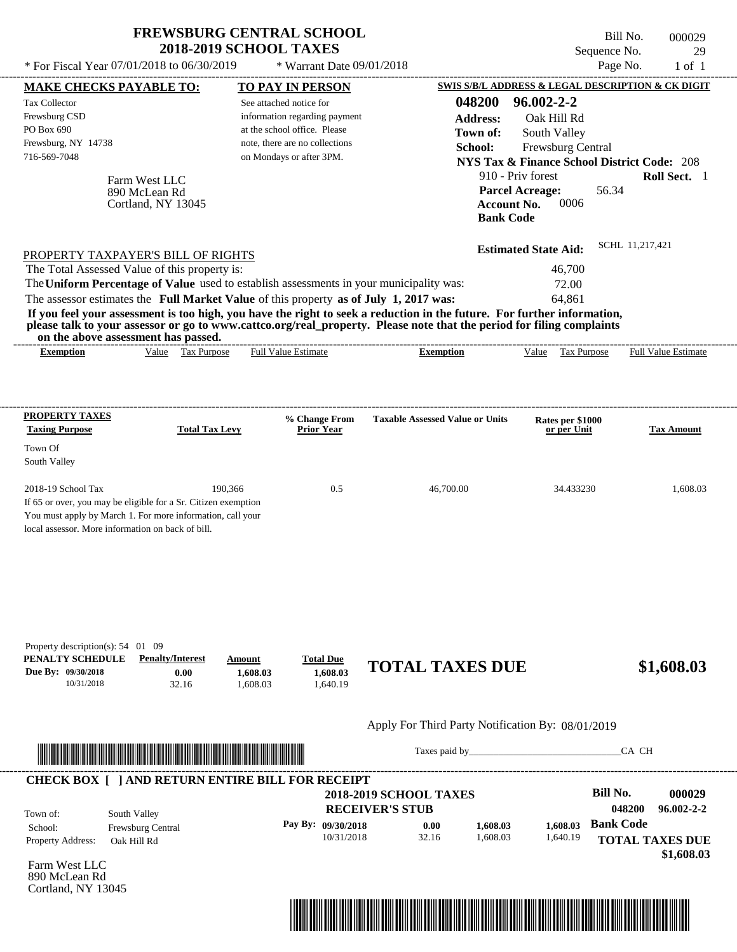|                                                                                                                                                                                                                                                                                                                                                                                                                                                                                       | <b>FREWSBURG CENTRAL SCHOOL</b><br><b>2018-2019 SCHOOL TAXES</b>                                                                                       |                                                  | Sequence No.                                                                                                                   | Bill No.<br>000029<br>29   |
|---------------------------------------------------------------------------------------------------------------------------------------------------------------------------------------------------------------------------------------------------------------------------------------------------------------------------------------------------------------------------------------------------------------------------------------------------------------------------------------|--------------------------------------------------------------------------------------------------------------------------------------------------------|--------------------------------------------------|--------------------------------------------------------------------------------------------------------------------------------|----------------------------|
| * For Fiscal Year 07/01/2018 to 06/30/2019                                                                                                                                                                                                                                                                                                                                                                                                                                            | * Warrant Date 09/01/2018                                                                                                                              |                                                  |                                                                                                                                | Page No.<br>$1$ of $1$     |
| <b>MAKE CHECKS PAYABLE TO:</b>                                                                                                                                                                                                                                                                                                                                                                                                                                                        | TO PAY IN PERSON                                                                                                                                       |                                                  | SWIS S/B/L ADDRESS & LEGAL DESCRIPTION & CK DIGIT                                                                              |                            |
| <b>Tax Collector</b><br>Frewsburg CSD<br>PO Box 690<br>Frewsburg, NY 14738<br>716-569-7048                                                                                                                                                                                                                                                                                                                                                                                            | See attached notice for<br>information regarding payment<br>at the school office. Please<br>note, there are no collections<br>on Mondays or after 3PM. | 048200<br><b>Address:</b><br>Town of:<br>School: | $96.002 - 2 - 2$<br>Oak Hill Rd<br>South Valley<br>Frewsburg Central<br><b>NYS Tax &amp; Finance School District Code: 208</b> |                            |
| Farm West LLC<br>890 McLean Rd<br>Cortland, NY 13045                                                                                                                                                                                                                                                                                                                                                                                                                                  |                                                                                                                                                        | <b>Bank Code</b>                                 | 910 - Priv forest<br><b>Parcel Acreage:</b><br>56.34<br>0006<br><b>Account No.</b>                                             | Roll Sect. 1               |
| PROPERTY TAXPAYER'S BILL OF RIGHTS                                                                                                                                                                                                                                                                                                                                                                                                                                                    |                                                                                                                                                        |                                                  | <b>Estimated State Aid:</b>                                                                                                    | SCHL 11,217,421            |
| The Total Assessed Value of this property is:<br>The Uniform Percentage of Value used to establish assessments in your municipality was:<br>The assessor estimates the Full Market Value of this property as of July 1, 2017 was:<br>If you feel your assessment is too high, you have the right to seek a reduction in the future. For further information,<br>please talk to your assessor or go to www.cattco.org/real_property. Please note that the period for filing complaints |                                                                                                                                                        |                                                  | 46,700<br>72.00<br>64,861                                                                                                      |                            |
|                                                                                                                                                                                                                                                                                                                                                                                                                                                                                       |                                                                                                                                                        |                                                  |                                                                                                                                |                            |
| on the above assessment has passed.<br>Value Tax Purpose<br><b>Exemption</b>                                                                                                                                                                                                                                                                                                                                                                                                          | Full Value Estimate                                                                                                                                    | <b>Exemption</b>                                 | Value Tax Purpose                                                                                                              | <b>Full Value Estimate</b> |
| PROPERTY TAXES<br><b>Taxing Purpose</b><br><b>Total Tax Levy</b><br>Town Of<br>South Valley                                                                                                                                                                                                                                                                                                                                                                                           | % Change From<br><b>Prior Year</b>                                                                                                                     | <b>Taxable Assessed Value or Units</b>           | Rates per \$1000<br>or per Unit                                                                                                | <b>Tax Amount</b>          |
| 2018-19 School Tax<br>If 65 or over, you may be eligible for a Sr. Citizen exemption<br>You must apply by March 1. For more information, call your<br>local assessor. More information on back of bill.                                                                                                                                                                                                                                                                               | 190,366<br>0.5                                                                                                                                         | 46,700.00                                        | 34.433230                                                                                                                      | 1,608.03                   |

#### Apply For Third Party Notification By: 08/01/2019



Taxes paid by\_\_\_\_\_\_\_\_\_\_\_\_\_\_\_\_\_\_\_\_\_\_\_\_\_\_\_\_\_\_\_CA CH



Farm West LLC 890 McLean Rd Cortland, NY 13045

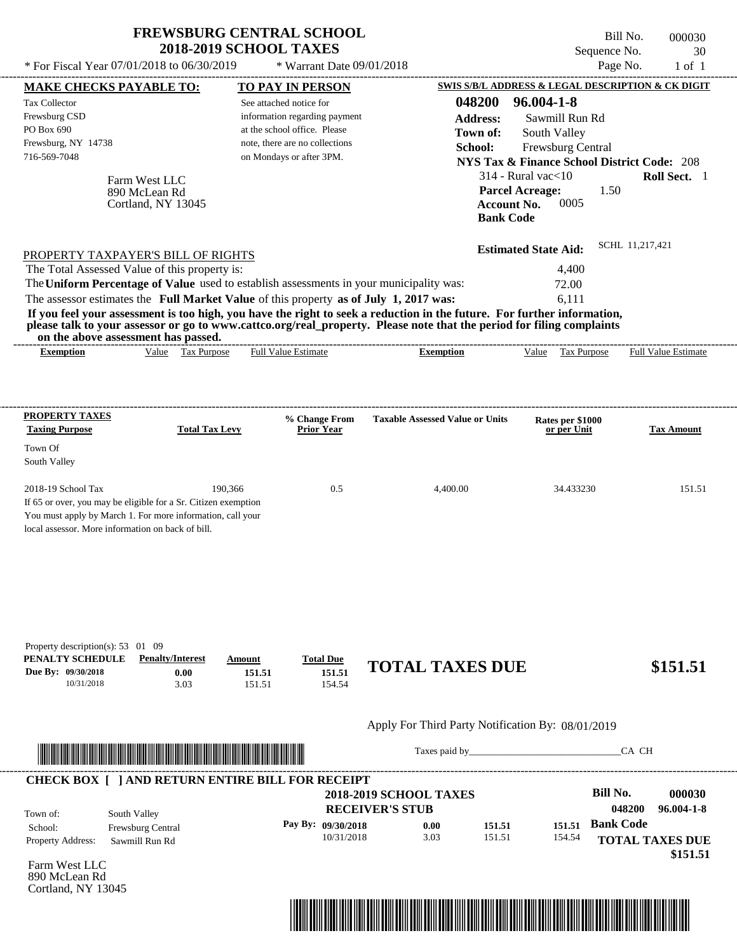| * For Fiscal Year $07/01/2018$ to $06/30/2019$ | <b>FREWSBURG CENTRAL SCHOOL</b><br><b>2018-2019 SCHOOL TAXES</b><br>$*$ Warrant Date 09/01/2018 |        | Bill No.<br>Sequence No.<br>Page No.              | 000030<br>30<br>1 of 1 |
|------------------------------------------------|-------------------------------------------------------------------------------------------------|--------|---------------------------------------------------|------------------------|
| <b>MAKE CHECKS PAYABLE TO:</b>                 | <b>TO PAY IN PERSON</b>                                                                         |        | SWIS S/B/L ADDRESS & LEGAL DESCRIPTION & CK DIGIT |                        |
| Tax Collector                                  | See attached notice for                                                                         | 048200 | 96.004-1-8                                        |                        |

information regarding payment at the school office. Please note, there are no collections

| Frewsburg, NY 14738<br>716-569-7048                                                                                                                                                                     |                                                                                         | note, there are no collections<br>on Mondays or after 3PM. | <b>School:</b>                                                                                                                            | <b>Frewsburg Central</b><br>NYS Tax & Finance School District Code: 208<br>$314$ - Rural vac $<$ 10 | Roll Sect. 1               |
|---------------------------------------------------------------------------------------------------------------------------------------------------------------------------------------------------------|-----------------------------------------------------------------------------------------|------------------------------------------------------------|-------------------------------------------------------------------------------------------------------------------------------------------|-----------------------------------------------------------------------------------------------------|----------------------------|
|                                                                                                                                                                                                         | Farm West LLC<br>890 McLean Rd<br>Cortland, NY 13045                                    |                                                            | <b>Bank Code</b>                                                                                                                          | <b>Parcel Acreage:</b><br>0005<br>Account No.                                                       | 1.50                       |
| PROPERTY TAXPAYER'S BILL OF RIGHTS                                                                                                                                                                      |                                                                                         |                                                            |                                                                                                                                           | <b>Estimated State Aid:</b>                                                                         | SCHL 11,217,421            |
| The Total Assessed Value of this property is:                                                                                                                                                           |                                                                                         |                                                            |                                                                                                                                           | 4,400                                                                                               |                            |
|                                                                                                                                                                                                         | The Uniform Percentage of Value used to establish assessments in your municipality was: |                                                            |                                                                                                                                           | 72.00                                                                                               |                            |
|                                                                                                                                                                                                         | The assessor estimates the Full Market Value of this property as of July 1, 2017 was:   |                                                            |                                                                                                                                           | 6.111                                                                                               |                            |
| on the above assessment has passed.<br><b>Exemption</b>                                                                                                                                                 | Tax Purpose<br>Value                                                                    | <b>Full Value Estimate</b>                                 | please talk to your assessor or go to www.cattco.org/real_property. Please note that the period for filing complaints<br><b>Exemption</b> | Value<br>Tax Purpose                                                                                | <b>Full Value Estimate</b> |
| PROPERTY TAXES<br><b>Taxing Purpose</b>                                                                                                                                                                 | <b>Total Tax Levy</b>                                                                   | % Change From<br><b>Prior Year</b>                         | <b>Taxable Assessed Value or Units</b>                                                                                                    | Rates per \$1000<br>or per Unit                                                                     | <b>Tax Amount</b>          |
| Town Of<br>South Valley                                                                                                                                                                                 |                                                                                         |                                                            |                                                                                                                                           |                                                                                                     |                            |
| 2018-19 School Tax<br>If 65 or over, you may be eligible for a Sr. Citizen exemption<br>You must apply by March 1. For more information, call your<br>local assessor. More information on back of bill. | 190.366                                                                                 | 0.5                                                        | 4.400.00                                                                                                                                  | 34.433230                                                                                           | 151.51                     |

| Property description(s): $53 \quad 01 \quad 09$ |                         |        |                  |                        |          |
|-------------------------------------------------|-------------------------|--------|------------------|------------------------|----------|
| PENALTY SCHEDULE                                | <b>Penalty/Interest</b> | Amount | <b>Total Due</b> |                        |          |
| Due By: 09/30/2018                              | $0.00\,$                | 151.51 | 151.51           | <b>TOTAL TAXES DUE</b> | \$151.51 |
| 10/31/2018                                      | 3.03                    | 151.51 | 154.54           |                        |          |

#### Apply For Third Party Notification By: 08/01/2019



Taxes paid by\_\_\_\_\_\_\_\_\_\_\_\_\_\_\_\_\_\_\_\_\_\_\_\_\_\_\_\_\_\_\_CA CH

**Address:** Sawmill Run Rd

**Town of:**

South Valley

|                          |                          | <b>2018-2019 SCHOOL TAXES</b> |      |        |        | <b>Bill No.</b>        | 000030     |
|--------------------------|--------------------------|-------------------------------|------|--------|--------|------------------------|------------|
| Town of:                 | South Valley             | <b>RECEIVER'S STUB</b>        |      |        |        | 048200                 | 96.004-1-8 |
| School:                  | <b>Frewsburg Central</b> | Pay By: $09/30/2018$          | 0.00 | 151.51 | 151.51 | <b>Bank Code</b>       |            |
| <b>Property Address:</b> | Sawmill Run Rd           | 10/31/2018                    | 3.03 | 151.51 | 154.54 | <b>TOTAL TAXES DUE</b> |            |

Farm West LLC 890 McLean Rd Cortland, NY 13045

Frewsburg CSD PO Box 690

Frewsburg, NY 14738

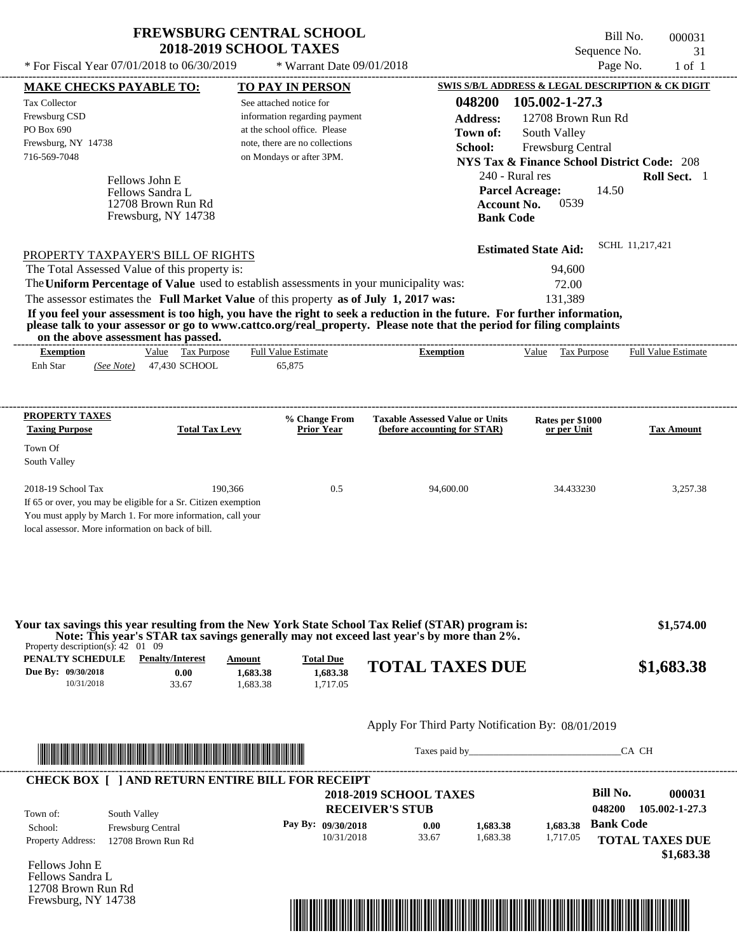\* For Fiscal Year 07/01/2018 to 06/30/2019  $*$  Warrant Date 09/01/2018 Page No. 1 of 1

 $*$  Warrant Date 09/01/2018

Bill No. 000031 Sequence No. 31<br>Page No. 31<br>of 1

| <b>MAKE CHECKS PAYABLE TO:</b>                                                                                        |                                                                                       |               | <b>TO PAY IN PERSON</b>              |                                                                                                                                                                                               | SWIS S/B/L ADDRESS & LEGAL DESCRIPTION & CK DIGIT      |                                                        |
|-----------------------------------------------------------------------------------------------------------------------|---------------------------------------------------------------------------------------|---------------|--------------------------------------|-----------------------------------------------------------------------------------------------------------------------------------------------------------------------------------------------|--------------------------------------------------------|--------------------------------------------------------|
| <b>Tax Collector</b>                                                                                                  |                                                                                       |               | See attached notice for              | 048200                                                                                                                                                                                        | 105.002-1-27.3                                         |                                                        |
| Frewsburg CSD                                                                                                         |                                                                                       |               | information regarding payment        | <b>Address:</b>                                                                                                                                                                               | 12708 Brown Run Rd                                     |                                                        |
| PO Box 690                                                                                                            |                                                                                       |               | at the school office. Please         | Town of:                                                                                                                                                                                      | South Valley                                           |                                                        |
| Frewsburg, NY 14738                                                                                                   |                                                                                       |               | note, there are no collections       | School:                                                                                                                                                                                       | Frewsburg Central                                      |                                                        |
| 716-569-7048                                                                                                          |                                                                                       |               | on Mondays or after 3PM.             |                                                                                                                                                                                               | <b>NYS Tax &amp; Finance School District Code: 208</b> |                                                        |
|                                                                                                                       | Fellows John E                                                                        |               |                                      | 240 - Rural res                                                                                                                                                                               |                                                        | Roll Sect. 1                                           |
|                                                                                                                       | Fellows Sandra L                                                                      |               |                                      | <b>Parcel Acreage:</b>                                                                                                                                                                        | 14.50                                                  |                                                        |
|                                                                                                                       | 12708 Brown Run Rd                                                                    |               |                                      | <b>Account No.</b>                                                                                                                                                                            | 0539                                                   |                                                        |
|                                                                                                                       | Frewsburg, NY 14738                                                                   |               |                                      | <b>Bank Code</b>                                                                                                                                                                              |                                                        |                                                        |
|                                                                                                                       |                                                                                       |               |                                      |                                                                                                                                                                                               |                                                        |                                                        |
|                                                                                                                       | PROPERTY TAXPAYER'S BILL OF RIGHTS                                                    |               |                                      |                                                                                                                                                                                               | <b>Estimated State Aid:</b>                            | SCHL 11,217,421                                        |
|                                                                                                                       | The Total Assessed Value of this property is:                                         |               |                                      |                                                                                                                                                                                               | 94,600                                                 |                                                        |
|                                                                                                                       |                                                                                       |               |                                      | The Uniform Percentage of Value used to establish assessments in your municipality was:                                                                                                       | 72.00                                                  |                                                        |
|                                                                                                                       | The assessor estimates the Full Market Value of this property as of July 1, 2017 was: |               |                                      |                                                                                                                                                                                               | 131,389                                                |                                                        |
|                                                                                                                       |                                                                                       |               |                                      | If you feel your assessment is too high, you have the right to seek a reduction in the future. For further information,                                                                       |                                                        |                                                        |
|                                                                                                                       |                                                                                       |               |                                      | please talk to your assessor or go to www.cattco.org/real_property. Please note that the period for filing complaints                                                                         |                                                        |                                                        |
|                                                                                                                       | on the above assessment has passed.<br>Value Tax Purpose                              |               |                                      |                                                                                                                                                                                               |                                                        |                                                        |
| <b>Exemption</b><br>Enh Star                                                                                          | (See Note) 47,430 SCHOOL                                                              |               | <b>Full Value Estimate</b><br>65,875 | <b>Exemption</b>                                                                                                                                                                              | Value Tax Purpose                                      | <b>Full Value Estimate</b>                             |
|                                                                                                                       |                                                                                       |               |                                      |                                                                                                                                                                                               |                                                        |                                                        |
|                                                                                                                       |                                                                                       |               |                                      |                                                                                                                                                                                               |                                                        |                                                        |
|                                                                                                                       |                                                                                       |               |                                      |                                                                                                                                                                                               |                                                        |                                                        |
| <b>PROPERTY TAXES</b><br><b>Taxing Purpose</b>                                                                        | <b>Total Tax Levy</b>                                                                 |               | % Change From<br><b>Prior Year</b>   | <b>Taxable Assessed Value or Units</b><br>(before accounting for STAR)                                                                                                                        | Rates per \$1000<br>or per Unit                        | <b>Tax Amount</b>                                      |
|                                                                                                                       |                                                                                       |               |                                      |                                                                                                                                                                                               |                                                        |                                                        |
| Town Of                                                                                                               |                                                                                       |               |                                      |                                                                                                                                                                                               |                                                        |                                                        |
| South Valley                                                                                                          |                                                                                       |               |                                      |                                                                                                                                                                                               |                                                        |                                                        |
| 2018-19 School Tax                                                                                                    |                                                                                       | 190,366       | 0.5                                  | 94,600.00                                                                                                                                                                                     | 34.433230                                              | 3,257.38                                               |
|                                                                                                                       | If 65 or over, you may be eligible for a Sr. Citizen exemption                        |               |                                      |                                                                                                                                                                                               |                                                        |                                                        |
|                                                                                                                       | You must apply by March 1. For more information, call your                            |               |                                      |                                                                                                                                                                                               |                                                        |                                                        |
| local assessor. More information on back of bill.                                                                     |                                                                                       |               |                                      |                                                                                                                                                                                               |                                                        |                                                        |
|                                                                                                                       |                                                                                       |               |                                      |                                                                                                                                                                                               |                                                        |                                                        |
|                                                                                                                       |                                                                                       |               |                                      |                                                                                                                                                                                               |                                                        |                                                        |
|                                                                                                                       |                                                                                       |               |                                      |                                                                                                                                                                                               |                                                        |                                                        |
|                                                                                                                       |                                                                                       |               |                                      |                                                                                                                                                                                               |                                                        |                                                        |
|                                                                                                                       |                                                                                       |               |                                      |                                                                                                                                                                                               |                                                        |                                                        |
|                                                                                                                       |                                                                                       |               |                                      | Your tax savings this year resulting from the New York State School Tax Relief (STAR) program is:<br>Note: This year's STAR tax savings generally may not exceed last year's by more than 2%. |                                                        | \$1,574.00                                             |
| Property description(s): $42 \quad 01 \quad 09$                                                                       |                                                                                       |               |                                      |                                                                                                                                                                                               |                                                        |                                                        |
| PENALTY SCHEDULE                                                                                                      | <b>Penalty/Interest</b>                                                               | <b>Amount</b> | <b>Total Due</b>                     | <b>TOTAL TAXES DUE</b>                                                                                                                                                                        |                                                        |                                                        |
| Due By: 09/30/2018                                                                                                    | 0.00                                                                                  | 1,683.38      | 1,683.38                             |                                                                                                                                                                                               |                                                        | \$1,683.38                                             |
| 10/31/2018                                                                                                            | 33.67                                                                                 | 1,683.38      | 1,717.05                             |                                                                                                                                                                                               |                                                        |                                                        |
|                                                                                                                       |                                                                                       |               |                                      |                                                                                                                                                                                               |                                                        |                                                        |
|                                                                                                                       |                                                                                       |               |                                      | Apply For Third Party Notification By: 08/01/2019                                                                                                                                             |                                                        |                                                        |
|                                                                                                                       |                                                                                       |               |                                      |                                                                                                                                                                                               |                                                        |                                                        |
|                                                                                                                       |                                                                                       |               |                                      |                                                                                                                                                                                               |                                                        | CA CH                                                  |
|                                                                                                                       |                                                                                       |               |                                      |                                                                                                                                                                                               |                                                        |                                                        |
| <u> HAN DEN DER HAN DER HAN DER HAN DER HAN DER HAN DER HAN DER HAN DER HAN DER HAN DER HAN DER HAN DER HAN DER H</u> |                                                                                       |               |                                      |                                                                                                                                                                                               |                                                        |                                                        |
|                                                                                                                       | <b>CHECK BOX [ ] AND RETURN ENTIRE BILL FOR RECEIPT</b>                               |               |                                      |                                                                                                                                                                                               |                                                        |                                                        |
|                                                                                                                       |                                                                                       |               |                                      | <b>2018-2019 SCHOOL TAXES</b>                                                                                                                                                                 | <b>Bill No.</b>                                        |                                                        |
|                                                                                                                       |                                                                                       |               |                                      | <b>RECEIVER'S STUB</b>                                                                                                                                                                        | 048200                                                 |                                                        |
| Town of:<br>School:                                                                                                   | South Valley<br>Frewsburg Central                                                     |               | Pay By: 09/30/2018                   | 0.00<br>1,683.38                                                                                                                                                                              | 1,683.38                                               | 000031<br><b>Bank Code</b>                             |
| <b>Property Address:</b>                                                                                              | 12708 Brown Run Rd                                                                    |               | 10/31/2018                           | 33.67<br>1,683.38                                                                                                                                                                             | 1,717.05                                               |                                                        |
|                                                                                                                       |                                                                                       |               |                                      |                                                                                                                                                                                               |                                                        |                                                        |
|                                                                                                                       |                                                                                       |               |                                      |                                                                                                                                                                                               |                                                        |                                                        |
|                                                                                                                       |                                                                                       |               |                                      |                                                                                                                                                                                               |                                                        |                                                        |
|                                                                                                                       |                                                                                       |               |                                      |                                                                                                                                                                                               |                                                        | 105.002-1-27.3<br><b>TOTAL TAXES DUE</b><br>\$1,683.38 |
| Fellows John E<br>Fellows Sandra L<br>12708 Brown Run Rd<br>Frewsburg, NY 14738                                       |                                                                                       |               |                                      | <u> 1989 - Johann Stoff, Amerikaansk politiker († 1958)</u>                                                                                                                                   |                                                        |                                                        |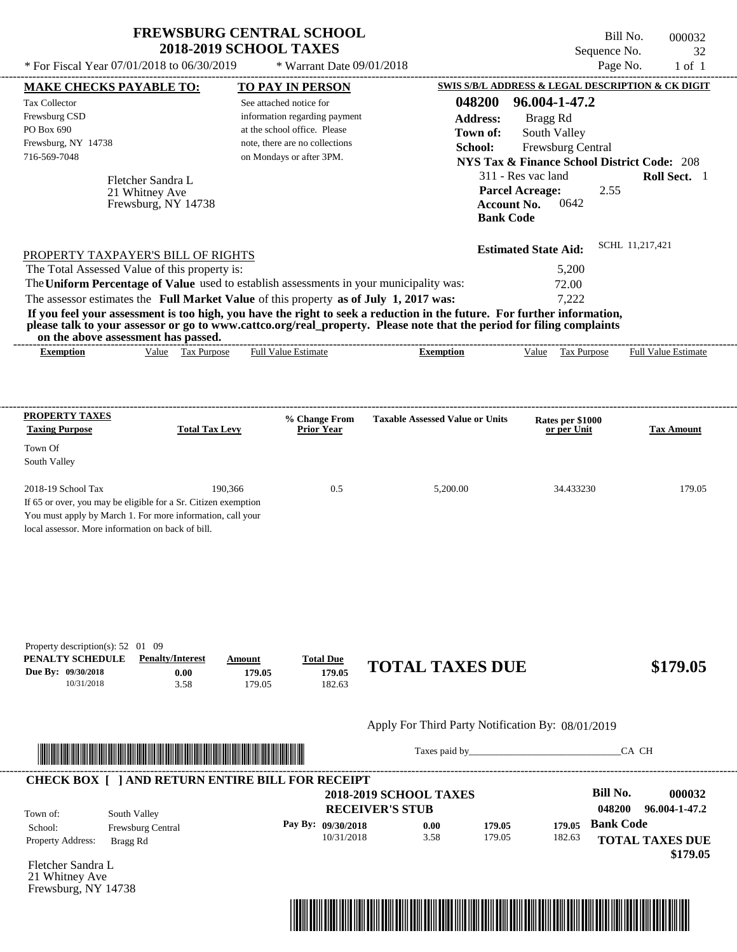| <b>FREWSBURG CENTRAL SCHOOL</b> |
|---------------------------------|
| <b>2018-2019 SCHOOL TAXES</b>   |

\* Warrant Date 09/01/2018

 $*$  For Fiscal Year 07/01/2018 to 06/30/2019

Bill No. 000032 Sequence No. 32<br>Page No. 1 of 1

----------------------------------------------------------------------------------------------------------------------------------------------------------------------------------------------------

| <b>MAKE CHECKS PAYABLE TO:</b>                                                                                                                                                                                                       |                         |         | <b>TO PAY IN PERSON</b>                                    |                                                                                                                         |                                                | SWIS S/B/L ADDRESS & LEGAL DESCRIPTION & CK DIGIT      |
|--------------------------------------------------------------------------------------------------------------------------------------------------------------------------------------------------------------------------------------|-------------------------|---------|------------------------------------------------------------|-------------------------------------------------------------------------------------------------------------------------|------------------------------------------------|--------------------------------------------------------|
| <b>Tax Collector</b>                                                                                                                                                                                                                 |                         |         | See attached notice for                                    | 048200                                                                                                                  | 96.004-1-47.2                                  |                                                        |
| Frewsburg CSD                                                                                                                                                                                                                        |                         |         | information regarding payment                              | <b>Address:</b>                                                                                                         | Bragg Rd                                       |                                                        |
| PO Box 690                                                                                                                                                                                                                           |                         |         | at the school office. Please                               | Town of:                                                                                                                | South Valley                                   |                                                        |
| Frewsburg, NY 14738<br>716-569-7048                                                                                                                                                                                                  |                         |         | note, there are no collections<br>on Mondays or after 3PM. | School:                                                                                                                 | Frewsburg Central                              |                                                        |
|                                                                                                                                                                                                                                      |                         |         |                                                            |                                                                                                                         |                                                | <b>NYS Tax &amp; Finance School District Code: 208</b> |
|                                                                                                                                                                                                                                      | Fletcher Sandra L       |         |                                                            |                                                                                                                         | 311 - Res vac land                             | Roll Sect. 1                                           |
|                                                                                                                                                                                                                                      | 21 Whitney Ave          |         |                                                            |                                                                                                                         | <b>Parcel Acreage:</b>                         | 2.55                                                   |
|                                                                                                                                                                                                                                      | Frewsburg, NY 14738     |         |                                                            |                                                                                                                         | 0642<br><b>Account No.</b><br><b>Bank Code</b> |                                                        |
|                                                                                                                                                                                                                                      |                         |         |                                                            |                                                                                                                         |                                                |                                                        |
|                                                                                                                                                                                                                                      |                         |         |                                                            |                                                                                                                         | <b>Estimated State Aid:</b>                    | SCHL 11,217,421                                        |
| PROPERTY TAXPAYER'S BILL OF RIGHTS                                                                                                                                                                                                   |                         |         |                                                            |                                                                                                                         |                                                |                                                        |
| The Total Assessed Value of this property is:                                                                                                                                                                                        |                         |         |                                                            | The Uniform Percentage of Value used to establish assessments in your municipality was:                                 | 5,200<br>72.00                                 |                                                        |
| The assessor estimates the Full Market Value of this property as of July 1, 2017 was:                                                                                                                                                |                         |         |                                                            |                                                                                                                         | 7,222                                          |                                                        |
|                                                                                                                                                                                                                                      |                         |         |                                                            | If you feel your assessment is too high, you have the right to seek a reduction in the future. For further information, |                                                |                                                        |
| on the above assessment has passed.                                                                                                                                                                                                  |                         |         |                                                            | please talk to your assessor or go to www.cattco.org/real_property. Please note that the period for filing complaints   |                                                |                                                        |
| <b>Exemption</b>                                                                                                                                                                                                                     | Value Tax Purpose       |         | Full Value Estimate                                        | <b>Exemption</b>                                                                                                        | Value Tax Purpose                              | <b>Full Value Estimate</b>                             |
|                                                                                                                                                                                                                                      |                         |         |                                                            |                                                                                                                         |                                                |                                                        |
|                                                                                                                                                                                                                                      |                         |         |                                                            |                                                                                                                         |                                                |                                                        |
| <b>PROPERTY TAXES</b>                                                                                                                                                                                                                |                         |         | % Change From                                              | <b>Taxable Assessed Value or Units</b>                                                                                  | Rates per \$1000                               |                                                        |
| <b>Taxing Purpose</b>                                                                                                                                                                                                                | <b>Total Tax Levy</b>   |         | <b>Prior Year</b>                                          |                                                                                                                         | or per Unit                                    | <b>Tax Amount</b>                                      |
| Town Of                                                                                                                                                                                                                              |                         |         |                                                            |                                                                                                                         |                                                |                                                        |
| South Valley                                                                                                                                                                                                                         |                         |         |                                                            |                                                                                                                         |                                                |                                                        |
| 2018-19 School Tax                                                                                                                                                                                                                   |                         | 190,366 | 0.5                                                        | 5,200.00                                                                                                                | 34.433230                                      | 179.05                                                 |
| If 65 or over, you may be eligible for a Sr. Citizen exemption                                                                                                                                                                       |                         |         |                                                            |                                                                                                                         |                                                |                                                        |
| You must apply by March 1. For more information, call your                                                                                                                                                                           |                         |         |                                                            |                                                                                                                         |                                                |                                                        |
| local assessor. More information on back of bill.                                                                                                                                                                                    |                         |         |                                                            |                                                                                                                         |                                                |                                                        |
|                                                                                                                                                                                                                                      |                         |         |                                                            |                                                                                                                         |                                                |                                                        |
|                                                                                                                                                                                                                                      |                         |         |                                                            |                                                                                                                         |                                                |                                                        |
|                                                                                                                                                                                                                                      |                         |         |                                                            |                                                                                                                         |                                                |                                                        |
|                                                                                                                                                                                                                                      |                         |         |                                                            |                                                                                                                         |                                                |                                                        |
|                                                                                                                                                                                                                                      |                         |         |                                                            |                                                                                                                         |                                                |                                                        |
|                                                                                                                                                                                                                                      |                         |         |                                                            |                                                                                                                         |                                                |                                                        |
| Property description(s): 52 01 09<br>PENALTY SCHEDULE                                                                                                                                                                                | <b>Penalty/Interest</b> | Amount  | <b>Total Due</b>                                           |                                                                                                                         |                                                |                                                        |
| Due By: 09/30/2018                                                                                                                                                                                                                   | 0.00                    | 179.05  | 179.05                                                     | <b>TOTAL TAXES DUE</b>                                                                                                  |                                                | \$179.05                                               |
| 10/31/2018                                                                                                                                                                                                                           | 3.58                    | 179.05  | 182.63                                                     |                                                                                                                         |                                                |                                                        |
|                                                                                                                                                                                                                                      |                         |         |                                                            |                                                                                                                         |                                                |                                                        |
|                                                                                                                                                                                                                                      |                         |         |                                                            | Apply For Third Party Notification By: 08/01/2019                                                                       |                                                |                                                        |
|                                                                                                                                                                                                                                      |                         |         |                                                            |                                                                                                                         |                                                | CA CH                                                  |
| <u> In the second contract of the second contract of the second contract of the second contract of the second contract of the second contract of the second contract of the second contract of the second contract of the second</u> |                         |         |                                                            |                                                                                                                         |                                                |                                                        |
| <b>CHECK BOX [ ] AND RETURN ENTIRE BILL FOR RECEIPT</b>                                                                                                                                                                              |                         |         |                                                            |                                                                                                                         |                                                |                                                        |
|                                                                                                                                                                                                                                      |                         |         |                                                            | <b>2018-2019 SCHOOL TAXES</b>                                                                                           |                                                | <b>Bill No.</b><br>000032                              |
| Town of:                                                                                                                                                                                                                             | South Valley            |         |                                                            | <b>RECEIVER'S STUB</b>                                                                                                  |                                                | 048200<br>96.004-1-47.2                                |
| School:                                                                                                                                                                                                                              | Frewsburg Central       |         | Pay By: 09/30/2018                                         | 0.00<br>179.05                                                                                                          | 179.05                                         | <b>Bank Code</b>                                       |
| Property Address:                                                                                                                                                                                                                    | Bragg Rd                |         | 10/31/2018                                                 | 3.58<br>179.05                                                                                                          | 182.63                                         | <b>TOTAL TAXES DUE</b>                                 |
|                                                                                                                                                                                                                                      |                         |         |                                                            |                                                                                                                         |                                                | \$179.05                                               |
| Fletcher Sandra L<br>21 Whitney Ave                                                                                                                                                                                                  |                         |         |                                                            |                                                                                                                         |                                                |                                                        |
| Frewsburg, NY 14738                                                                                                                                                                                                                  |                         |         |                                                            |                                                                                                                         |                                                |                                                        |
|                                                                                                                                                                                                                                      |                         |         |                                                            |                                                                                                                         |                                                |                                                        |
|                                                                                                                                                                                                                                      |                         |         |                                                            |                                                                                                                         |                                                |                                                        |
|                                                                                                                                                                                                                                      |                         |         |                                                            |                                                                                                                         |                                                |                                                        |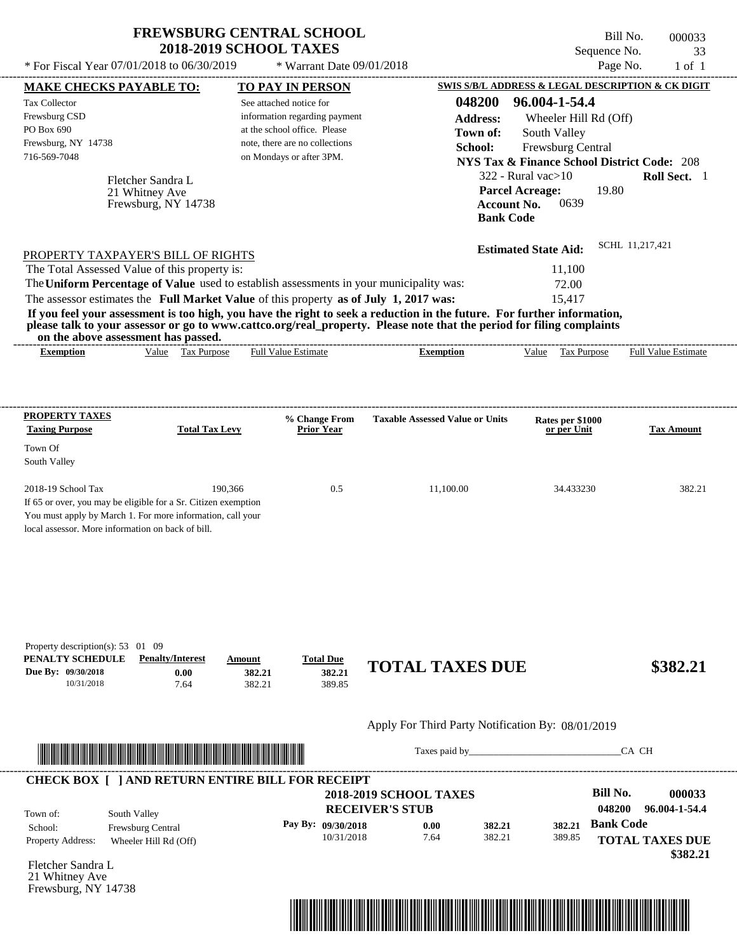| <b>FREWSBURG CENTRAL SCHOOL</b> |
|---------------------------------|
| <b>2018-2019 SCHOOL TAXES</b>   |

PO Box 690

Town Of

Fletcher Sandra L

Frewsburg, NY 14738

21 Whitney Ave

Town of:

Property Address: Wheeler Hill Rd (Off)

School: Frewsburg Central

---------------------------------------------------------------------------------------------------------------------------------------------------------------------------------------------------- Fletcher Sandra L If 65 or over, you may be eligible for a Sr. Citizen exemption You must apply by March 1. For more information, call your local assessor. More information on back of bill. Sequence No. 33  $*$  For Fiscal Year 07/01/2018 to 06/30/2019  $*$  Warrant Date 09/01/2018 Page No. 1 of 1 **MAKE CHECKS PAYABLE TO: TO PAY IN PERSON SWIS S/B/L ADDRESS & LEGAL DESCRIPTION & CK DIGIT 048200 96.004-1-54.4 Address:** Wheeler Hill Rd (Off) South Valley **School:** Frewsburg Central **NYS Tax & Finance School District Code:** 208 322 - Rural vac>10 **Roll Sect.** 1 19.80 **Account No.** 0639 **Bank Code Estimated State Aid:** SCHL 11,217,421 PROPERTY TAXPAYER'S BILL OF RIGHTS The assessor estimates the **Full Market Value** of this property **as of July 1, 2017 was:** 15,417 The Total Assessed Value of this property is: 11,100 The **Uniform Percentage of Value** used to establish assessments in your municipality was: 72.00 **If you feel your assessment is too high, you have the right to seek a reduction in the future. For further information, please talk to your assessor or go to www.cattco.org/real\_property. Please note that the period for filing complaints on the above assessment has passed. Exemption** Value Tax Purpose **PROPERTY TAXES Taxing Purpose Total Tax Levy Prior Year % Change From Taxable Assessed Value or Units or per Unit Rates per \$1000 Tax Amount PENALTY SCHEDULE Penalty/Interest Amount Total Due Due By: 09/30/2018** 10/31/2018 7.64 **0.00** 382.21 **382.21** 389.85 **382.21 TOTAL TAXES DUE \$382.21** Apply For Third Party Notification By: 08/01/2019 **RECEIVER'S STUB Bill No. 000033** South Valley See attached notice for information regarding payment at the school office. Please note, there are no collections Tax Collector Frewsburg CSD Frewsburg, NY 14738  **2018-2019 SCHOOL TAXES** 716-569-7048 on Mondays or after 3PM. **Parcel Acreage:** South Valley 2018-19 School Tax 190,366 0.5 11,100.00 34.433230 382.21 **048200 96.004-1-54.4** 21 Whitney Ave Full Value Estimate Taxes paid by\_\_\_\_\_\_\_\_\_\_\_\_\_\_\_\_\_\_\_\_\_\_\_\_\_\_\_\_\_\_\_CA CH ---------------------------------------------------------------------------------------------------------------------------------------------------------------------------------------------------- ---------------------------------------------------------------------------------------------------------------------------------------------------------------------------------------------------- Property description(s): 53 01 09 **Town of:** Frewsburg, NY 14738 **Exemption** Value Tax Purpose Full Value Estimate ---------------------------------------------------------------------------------------------------------------------------------------------------------------------------------------------------- **CHECK BOX [ ] AND RETURN ENTIRE BILL FOR RECEIPT** \*04820000003300000000038221\*

**Pay By: 09/30/2018**

10/31/2018 7.64

**0.00**

382.21 **382.21**

\*04820000003300000000038221\*

Bill No. 000033

**Bank Code**

389.85 **382.21**

**TOTAL TAXES DUE**

 **\$382.21**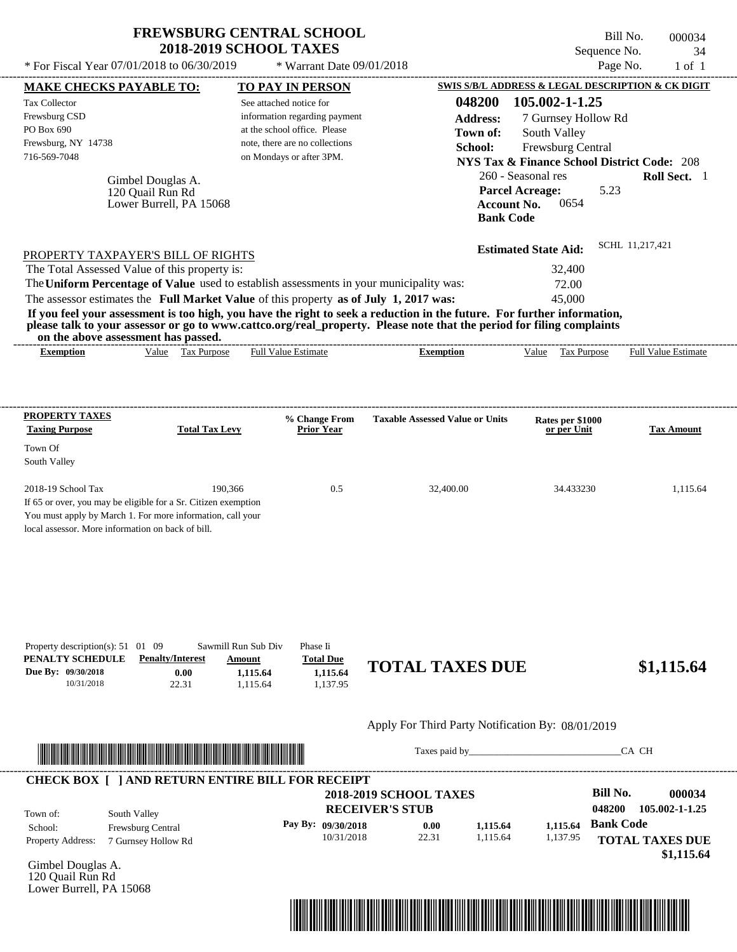Bill No. 000034 Sequence No. 34 \* For Fiscal Year  $07/01/2018$  to  $06/30/2019$  \* Warrant Date  $09/01/2018$  Page No. 1 of 1

| PO Box 690<br>Frewsburg, NY 14738<br>716-569-7048                                         | Gimbel Douglas A.<br>120 Quail Run Rd<br>Lower Burrell, PA 15068                                                                                                                                                                     | See attached notice for<br>information regarding payment<br>at the school office. Please<br>note, there are no collections<br>on Mondays or after 3PM.                           | 048200<br><b>Address:</b><br>Town of:<br>School:<br><b>Parcel Acreage:</b><br><b>Account No.</b><br><b>Bank Code</b>                                                                                                                             | 105.002-1-1.25<br>7 Gurnsey Hollow Rd<br>South Valley<br>Frewsburg Central<br><b>NYS Tax &amp; Finance School District Code: 208</b><br>260 - Seasonal res<br>5.23<br>0654 | Roll Sect. 1                         |
|-------------------------------------------------------------------------------------------|--------------------------------------------------------------------------------------------------------------------------------------------------------------------------------------------------------------------------------------|----------------------------------------------------------------------------------------------------------------------------------------------------------------------------------|--------------------------------------------------------------------------------------------------------------------------------------------------------------------------------------------------------------------------------------------------|----------------------------------------------------------------------------------------------------------------------------------------------------------------------------|--------------------------------------|
| on the above assessment has passed.                                                       | PROPERTY TAXPAYER'S BILL OF RIGHTS<br>The Total Assessed Value of this property is:                                                                                                                                                  | The Uniform Percentage of Value used to establish assessments in your municipality was:<br>The assessor estimates the Full Market Value of this property as of July 1, 2017 was: | If you feel your assessment is too high, you have the right to seek a reduction in the future. For further information,<br>please talk to your assessor or go to www.cattco.org/real_property. Please note that the period for filing complaints | <b>Estimated State Aid:</b><br>32,400<br>72.00<br>45,000                                                                                                                   | SCHL 11,217,421                      |
| <b>Exemption</b>                                                                          | Value Tax Purpose                                                                                                                                                                                                                    | <b>Full Value Estimate</b>                                                                                                                                                       | <b>Exemption</b>                                                                                                                                                                                                                                 | Value Tax Purpose                                                                                                                                                          | <b>Full Value Estimate</b>           |
| <b>PROPERTY TAXES</b><br><b>Taxing Purpose</b>                                            | <b>Total Tax Levy</b>                                                                                                                                                                                                                | % Change From<br><b>Prior Year</b>                                                                                                                                               | <b>Taxable Assessed Value or Units</b>                                                                                                                                                                                                           | Rates per \$1000<br>or per Unit                                                                                                                                            | <b>Tax Amount</b>                    |
| Town Of<br>South Valley                                                                   |                                                                                                                                                                                                                                      |                                                                                                                                                                                  |                                                                                                                                                                                                                                                  |                                                                                                                                                                            |                                      |
| 2018-19 School Tax<br>local assessor. More information on back of bill.                   | 190,366<br>If 65 or over, you may be eligible for a Sr. Citizen exemption<br>You must apply by March 1. For more information, call your                                                                                              | 0.5                                                                                                                                                                              | 32,400.00                                                                                                                                                                                                                                        | 34.433230                                                                                                                                                                  | 1,115.64                             |
|                                                                                           | Sawmill Run Sub Div                                                                                                                                                                                                                  | Phase Ii                                                                                                                                                                         |                                                                                                                                                                                                                                                  |                                                                                                                                                                            |                                      |
| 10/31/2018                                                                                | <b>Penalty/Interest</b><br>Amount<br>0.00<br>22.31                                                                                                                                                                                   | <b>Total Due</b><br>1,115.64<br>1,115.64<br>1,115.64<br>1,137.95                                                                                                                 | <b>TOTAL TAXES DUE</b>                                                                                                                                                                                                                           |                                                                                                                                                                            | \$1,115.64                           |
|                                                                                           |                                                                                                                                                                                                                                      |                                                                                                                                                                                  | Apply For Third Party Notification By: 08/01/2019                                                                                                                                                                                                |                                                                                                                                                                            |                                      |
| Property description(s): $51 \quad 01 \quad 09$<br>PENALTY SCHEDULE<br>Due By: 09/30/2018 |                                                                                                                                                                                                                                      |                                                                                                                                                                                  |                                                                                                                                                                                                                                                  |                                                                                                                                                                            | CA CH                                |
|                                                                                           | <u> In the second contract of the second contract of the second contract of the second contract of the second contract of the second contract of the second contract of the second contract of the second contract of the second</u> | <b>CHECK BOX [ ] AND RETURN ENTIRE BILL FOR RECEIPT</b>                                                                                                                          | 2018-2019 SCHOOL TAXES                                                                                                                                                                                                                           | <b>Bill No.</b>                                                                                                                                                            | 000034                               |
| South Valley<br>Town of:<br>School:<br>Property Address:                                  | Frewsburg Central<br>7 Gurnsey Hollow Rd                                                                                                                                                                                             | Pay By: 09/30/2018<br>10/31/2018                                                                                                                                                 | <b>RECEIVER'S STUB</b><br>0.00<br>1,115.64<br>22.31<br>1,115.64                                                                                                                                                                                  | 048200<br><b>Bank Code</b><br>1,115.64<br>1,137.95                                                                                                                         | 105.002-1-1.25                       |
| Gimbel Douglas A.<br>120 Quail Run Rd<br>Lower Burrell, PA 15068                          |                                                                                                                                                                                                                                      |                                                                                                                                                                                  |                                                                                                                                                                                                                                                  |                                                                                                                                                                            | <b>TOTAL TAXES DUE</b><br>\$1,115.64 |

----------------------------------------------------------------------------------------------------------------------------------------------------------------------------------------------------

**MAKE CHECKS PAYABLE TO: TO PAY IN PERSON SWIS S/B/L ADDRESS & LEGAL DESCRIPTION & CK DIGIT**

 $*$  Warrant Date 09/01/2018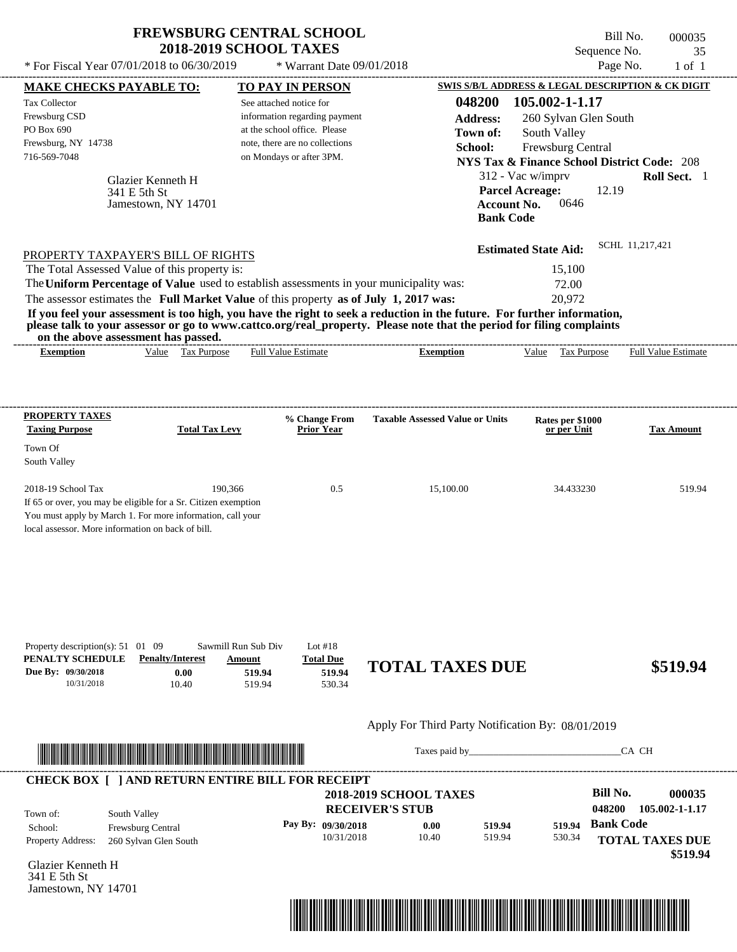| <b>FREWSBURG CENTRAL SCHOOL</b> |
|---------------------------------|
| <b>2018-2019 SCHOOL TAXES</b>   |

Bill No. 000035 Sequence No. 35

| * For Fiscal Year 07/01/2018 to 06/30/2019                                                                                                                                                                                                                                                                     |                                                                                               | * Warrant Date 09/01/2018                                                                                                                              |                                                                                                                                                                                                                                                  |                                                                                                                                                                               | Page No.<br>$1$ of $1$                                                                                          |
|----------------------------------------------------------------------------------------------------------------------------------------------------------------------------------------------------------------------------------------------------------------------------------------------------------------|-----------------------------------------------------------------------------------------------|--------------------------------------------------------------------------------------------------------------------------------------------------------|--------------------------------------------------------------------------------------------------------------------------------------------------------------------------------------------------------------------------------------------------|-------------------------------------------------------------------------------------------------------------------------------------------------------------------------------|-----------------------------------------------------------------------------------------------------------------|
| <b>MAKE CHECKS PAYABLE TO:</b>                                                                                                                                                                                                                                                                                 |                                                                                               | <b>TO PAY IN PERSON</b>                                                                                                                                |                                                                                                                                                                                                                                                  |                                                                                                                                                                               | SWIS S/B/L ADDRESS & LEGAL DESCRIPTION & CK DIGIT                                                               |
| Tax Collector<br>Frewsburg CSD<br>PO Box 690<br>Frewsburg, NY 14738<br>716-569-7048<br>Glazier Kenneth H<br>341 E 5th St                                                                                                                                                                                       | Jamestown, NY 14701                                                                           | See attached notice for<br>information regarding payment<br>at the school office. Please<br>note, there are no collections<br>on Mondays or after 3PM. | 048200<br><b>Address:</b><br>Town of:<br>School:                                                                                                                                                                                                 | 105.002-1-1.17<br>260 Sylvan Glen South<br>South Valley<br>Frewsburg Central<br>312 - Vac w/imprv<br><b>Parcel Acreage:</b><br><b>Account No.</b><br>0646<br><b>Bank Code</b> | <b>NYS Tax &amp; Finance School District Code: 208</b><br>Roll Sect. 1<br>12.19                                 |
| PROPERTY TAXPAYER'S BILL OF RIGHTS<br>The Total Assessed Value of this property is:<br>The Uniform Percentage of Value used to establish assessments in your municipality was:<br>The assessor estimates the Full Market Value of this property as of July 1, 2017 was:<br>on the above assessment has passed. |                                                                                               |                                                                                                                                                        | If you feel your assessment is too high, you have the right to seek a reduction in the future. For further information,<br>please talk to your assessor or go to www.cattco.org/real_property. Please note that the period for filing complaints | <b>Estimated State Aid:</b><br>15,100<br>72.00<br>20,972                                                                                                                      | SCHL 11,217,421                                                                                                 |
| <b>Exemption</b>                                                                                                                                                                                                                                                                                               | Value Tax Purpose                                                                             | <b>Full Value Estimate</b>                                                                                                                             | <b>Exemption</b>                                                                                                                                                                                                                                 | Value Tax Purpose                                                                                                                                                             | <b>Full Value Estimate</b>                                                                                      |
| <b>PROPERTY TAXES</b><br><b>Taxing Purpose</b><br>Town Of                                                                                                                                                                                                                                                      | <b>Total Tax Levy</b>                                                                         | % Change From<br><b>Prior Year</b>                                                                                                                     | <b>Taxable Assessed Value or Units</b>                                                                                                                                                                                                           | Rates per \$1000<br>or per Unit                                                                                                                                               | <b>Tax Amount</b>                                                                                               |
| South Valley<br>2018-19 School Tax<br>If 65 or over, you may be eligible for a Sr. Citizen exemption<br>You must apply by March 1. For more information, call your<br>local assessor. More information on back of bill.                                                                                        | 190,366                                                                                       | 0.5                                                                                                                                                    | 15,100.00                                                                                                                                                                                                                                        | 34.433230                                                                                                                                                                     | 519.94                                                                                                          |
| Property description(s): $51 \quad 01 \quad 09$<br>PENALTY SCHEDULE<br>Due By: 09/30/2018<br>10/31/2018                                                                                                                                                                                                        | Sawmill Run Sub Div<br><b>Penalty/Interest</b><br>Amount<br>0.00<br>519.94<br>10.40<br>519.94 | Lot $#18$<br><b>Total Due</b><br>519.94<br>530.34                                                                                                      | <b>TOTAL TAXES DUE</b>                                                                                                                                                                                                                           |                                                                                                                                                                               | \$519.94                                                                                                        |
|                                                                                                                                                                                                                                                                                                                |                                                                                               |                                                                                                                                                        | Apply For Third Party Notification By: 08/01/2019                                                                                                                                                                                                |                                                                                                                                                                               |                                                                                                                 |
| <u> Indian American American Indian American Indian American Indian American Indian American Indian American Indian</u>                                                                                                                                                                                        |                                                                                               |                                                                                                                                                        |                                                                                                                                                                                                                                                  |                                                                                                                                                                               | CA CH                                                                                                           |
| <b>CHECK BOX [ ] AND RETURN ENTIRE BILL FOR RECEIPT</b><br>South Valley<br>Town of:<br>School:<br>Frewsburg Central<br>Property Address:<br>260 Sylvan Glen South<br>Glazier Kenneth H<br>341 E 5th St<br>Jamestown, NY 14701                                                                                  |                                                                                               | Pay By: 09/30/2018<br>10/31/2018                                                                                                                       | <b>2018-2019 SCHOOL TAXES</b><br><b>RECEIVER'S STUB</b><br>0.00<br>519.94<br>10.40<br>519.94                                                                                                                                                     | 530.34                                                                                                                                                                        | <b>Bill No.</b><br>000035<br>048200<br>105.002-1-1.17<br>519.94 Bank Code<br><b>TOTAL TAXES DUE</b><br>\$519.94 |

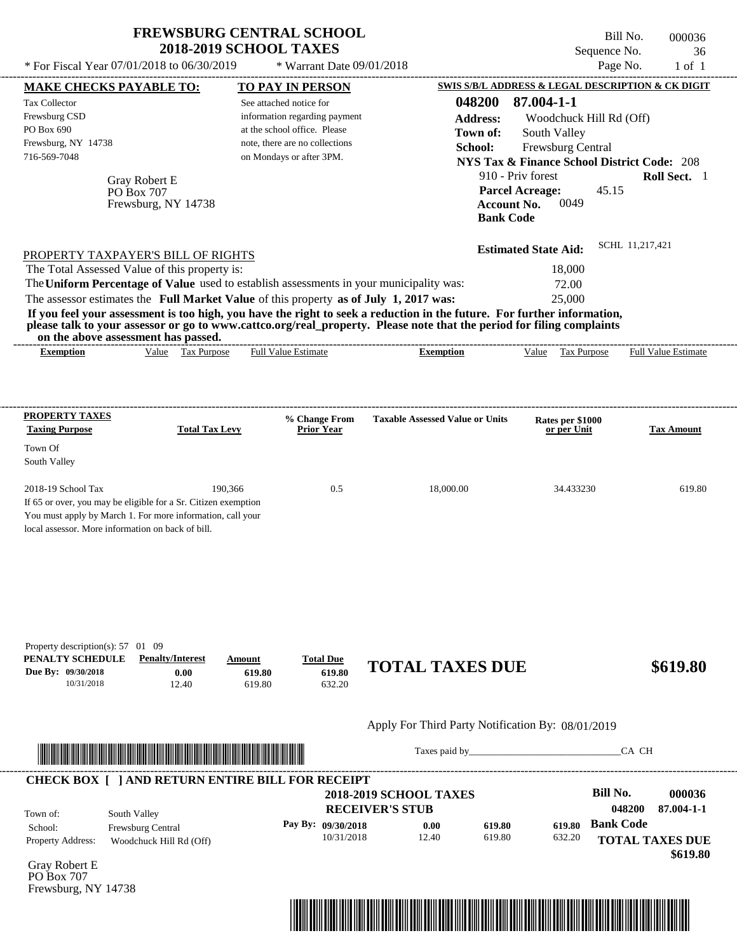|                                                                                                                                                                                                                                                                                                                                                                                                                                                                                                                                                                    | <b>2018-2019 SCHOOL TAXES</b>                                                                                                                                              |                                    |                                                                      |                                                                                                                                                                                                                   | Bill No.<br>000036<br>Sequence No.<br>36 |
|--------------------------------------------------------------------------------------------------------------------------------------------------------------------------------------------------------------------------------------------------------------------------------------------------------------------------------------------------------------------------------------------------------------------------------------------------------------------------------------------------------------------------------------------------------------------|----------------------------------------------------------------------------------------------------------------------------------------------------------------------------|------------------------------------|----------------------------------------------------------------------|-------------------------------------------------------------------------------------------------------------------------------------------------------------------------------------------------------------------|------------------------------------------|
| * For Fiscal Year 07/01/2018 to 06/30/2019                                                                                                                                                                                                                                                                                                                                                                                                                                                                                                                         |                                                                                                                                                                            | * Warrant Date 09/01/2018          |                                                                      | SWIS S/B/L ADDRESS & LEGAL DESCRIPTION & CK DIGIT                                                                                                                                                                 | Page No.<br>$1$ of $1$                   |
| <b>MAKE CHECKS PAYABLE TO:</b><br><b>Tax Collector</b><br>Frewsburg CSD<br>PO Box 690<br>Frewsburg, NY 14738<br>716-569-7048<br>Gray Robert E<br>PO Box 707<br>Frewsburg, NY 14738                                                                                                                                                                                                                                                                                                                                                                                 | TO PAY IN PERSON<br>See attached notice for<br>information regarding payment<br>at the school office. Please<br>note, there are no collections<br>on Mondays or after 3PM. |                                    | 048200<br><b>Address:</b><br>Town of:<br>School:<br><b>Bank Code</b> | 87.004-1-1<br>Woodchuck Hill Rd (Off)<br>South Valley<br>Frewsburg Central<br><b>NYS Tax &amp; Finance School District Code: 208</b><br>910 - Priv forest<br><b>Parcel Acreage:</b><br><b>Account No.</b><br>0049 | Roll Sect. 1<br>45.15                    |
| PROPERTY TAXPAYER'S BILL OF RIGHTS<br>The Total Assessed Value of this property is:<br>The Uniform Percentage of Value used to establish assessments in your municipality was:<br>The assessor estimates the Full Market Value of this property as of July 1, 2017 was:<br>If you feel your assessment is too high, you have the right to seek a reduction in the future. For further information,<br>please talk to your assessor or go to www.cattco.org/real_property. Please note that the period for filing complaints<br>on the above assessment has passed. |                                                                                                                                                                            |                                    |                                                                      | 18,000<br>72.00<br>25,000                                                                                                                                                                                         |                                          |
| Value Tax Purpose<br><b>Exemption</b>                                                                                                                                                                                                                                                                                                                                                                                                                                                                                                                              | <b>Full Value Estimate</b>                                                                                                                                                 | ________________________           | <b>Exemption</b>                                                     | Value Tax Purpose                                                                                                                                                                                                 | Full Value Estimate                      |
| PROPERTY TAXES<br><b>Taxing Purpose</b><br>Town Of<br>South Valley                                                                                                                                                                                                                                                                                                                                                                                                                                                                                                 | <b>Total Tax Levy</b>                                                                                                                                                      | % Change From<br><b>Prior Year</b> | <b>Taxable Assessed Value or Units</b>                               | Rates per \$1000<br>or per Unit                                                                                                                                                                                   | <b>Tax Amount</b>                        |
| 2018-19 School Tax                                                                                                                                                                                                                                                                                                                                                                                                                                                                                                                                                 | 190.366                                                                                                                                                                    | 0.5                                | 18,000.00                                                            | 34.433230                                                                                                                                                                                                         | 619.80                                   |

| Property description(s): $57 \quad 01 \quad 09$ |                         |        |                  |                        |          |
|-------------------------------------------------|-------------------------|--------|------------------|------------------------|----------|
| PENALTY SCHEDULE                                | <b>Penalty/Interest</b> | Amount | <b>Total Due</b> |                        |          |
| Due By: 09/30/2018                              | $0.00\,$                | 619.80 | 619.80           | <b>TOTAL TAXES DUE</b> | \$619.80 |
| 10/31/2018                                      | 12.40                   | 619.80 | 632.20           |                        |          |

# Apply For Third Party Notification By: 08/01/2019



Taxes paid by\_\_\_\_\_\_\_\_\_\_\_\_\_\_\_\_\_\_\_\_\_\_\_\_\_\_\_\_\_\_\_CA CH

| Town of:                            | South Valley                                        | <b>2018-2019 SCHOOL TAXES</b><br><b>RECEIVER'S STUB</b> |               | Bill No.<br>048200 | 000036<br>87.004-1-1 |                  |                        |
|-------------------------------------|-----------------------------------------------------|---------------------------------------------------------|---------------|--------------------|----------------------|------------------|------------------------|
| School:<br><b>Property Address:</b> | <b>Frewsburg Central</b><br>Woodchuck Hill Rd (Off) | Pay By: $09/30/2018$<br>10/31/2018                      | 0.00<br>12.40 | 619.80<br>619.80   | 619.80<br>632.20     | <b>Bank Code</b> | <b>TOTAL TAXES DUE</b> |

Gray Robert E PO Box 707 Frewsburg, NY 14738

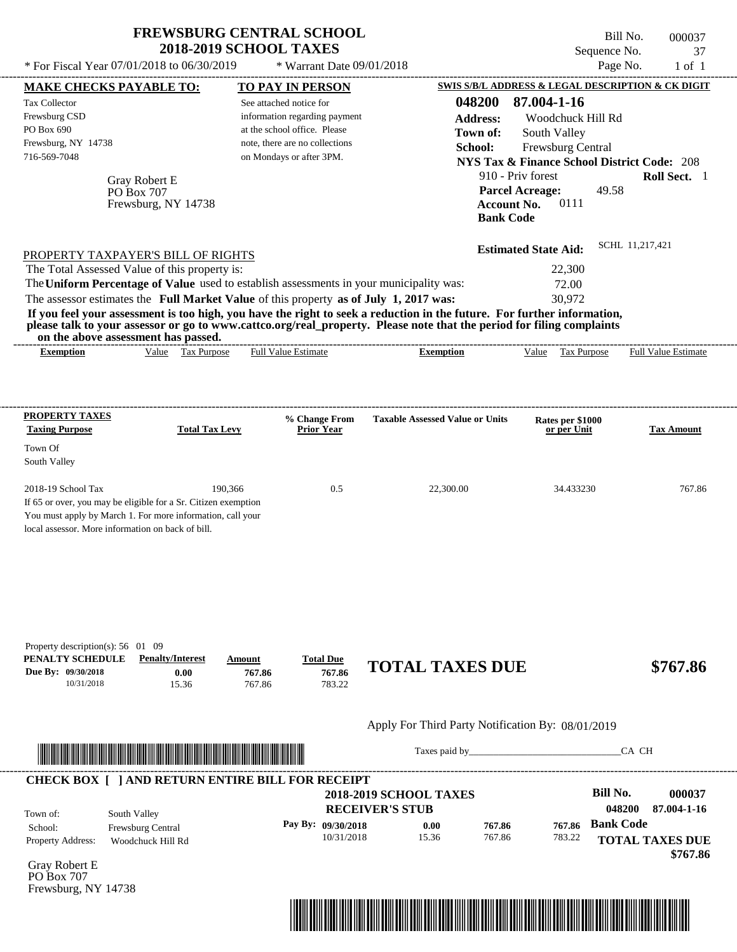| <b>FREWSBURG CENTRAL SCHOOL</b> |  |
|---------------------------------|--|
| <b>2018-2019 SCHOOL TAXES</b>   |  |

 $*$  For Fiscal Year 07/01/2018 to 06/30/2019  $*$  Warrant Date 09/01/2018 Page No. 1 of 1

Bill No. 000037 Sequence No. 37

 **\$767.86**

---------------------------------------------------------------------------------------------------------------------------------------------------------------------------------------------------- Gray Robert E If 65 or over, you may be eligible for a Sr. Citizen exemption You must apply by March 1. For more information, call your local assessor. More information on back of bill. **MAKE CHECKS PAYABLE TO: TO PAY IN PERSON SWIS S/B/L ADDRESS & LEGAL DESCRIPTION & CK DIGIT 048200 87.004-1-16 Address:** Woodchuck Hill Rd South Valley **School:** Frewsburg Central **NYS Tax & Finance School District Code:** 208 910 - Priv forest **Roll Sect.** 1 49.58 **Account No.** 0111 **Bank Code Estimated State Aid:** SCHL 11,217,421 PROPERTY TAXPAYER'S BILL OF RIGHTS The assessor estimates the **Full Market Value** of this property **as of July 1, 2017 was:** 30,972 The Total Assessed Value of this property is: 22,300 The **Uniform Percentage of Value** used to establish assessments in your municipality was: 72.00 **If you feel your assessment is too high, you have the right to seek a reduction in the future. For further information, please talk to your assessor or go to www.cattco.org/real\_property. Please note that the period for filing complaints on the above assessment has passed. Exemption** Value Tax Purpose **PROPERTY TAXES Taxing Purpose Total Tax Levy Prior Year % Change From Taxable Assessed Value or Units or per Unit Rates per \$1000 Tax Amount PENALTY SCHEDULE Penalty/Interest Amount Total Due Due By: 09/30/2018** 10/31/2018 15.36 **0.00** 767.86 **767.86** 783.22 **767.86 TOTAL TAXES DUE \$767.86** Apply For Third Party Notification By: 08/01/2019 **RECEIVER'S STUB Bill No. 000037 Bank Code** Property Address: Woodchuck Hill Rd South Valley School: Frewsburg Central **TOTAL TAXES DUE** See attached notice for information regarding payment at the school office. Please note, there are no collections Tax Collector Frewsburg CSD PO Box 690 Frewsburg, NY 14738  **2018-2019 SCHOOL TAXES** 716-569-7048 on Mondays or after 3PM. **Parcel Acreage:** Town Of South Valley 2018-19 School Tax 190,366 190,366 0.5 22,300.00 34.433230 767.86 **048200 87.004-1-16 Pay By: 09/30/2018** 10/31/2018 15.36 **0.00** 767.86 **767.86** 783.22 **767.86** PO Box 707 Full Value Estimate Taxes paid by\_\_\_\_\_\_\_\_\_\_\_\_\_\_\_\_\_\_\_\_\_\_\_\_\_\_\_\_\_\_\_CA CH ---------------------------------------------------------------------------------------------------------------------------------------------------------------------------------------------------- ---------------------------------------------------------------------------------------------------------------------------------------------------------------------------------------------------- Property description(s): 56 01 09 Town of: **Town of:** Frewsburg, NY 14738 **Exemption** Value Tax Purpose Full Value Estimate ---------------------------------------------------------------------------------------------------------------------------------------------------------------------------------------------------- **CHECK BOX [ ] AND RETURN ENTIRE BILL FOR RECEIPT** \*04820000003700000000076786\*

Gray Robert E PO Box 707 Frewsburg, NY 14738

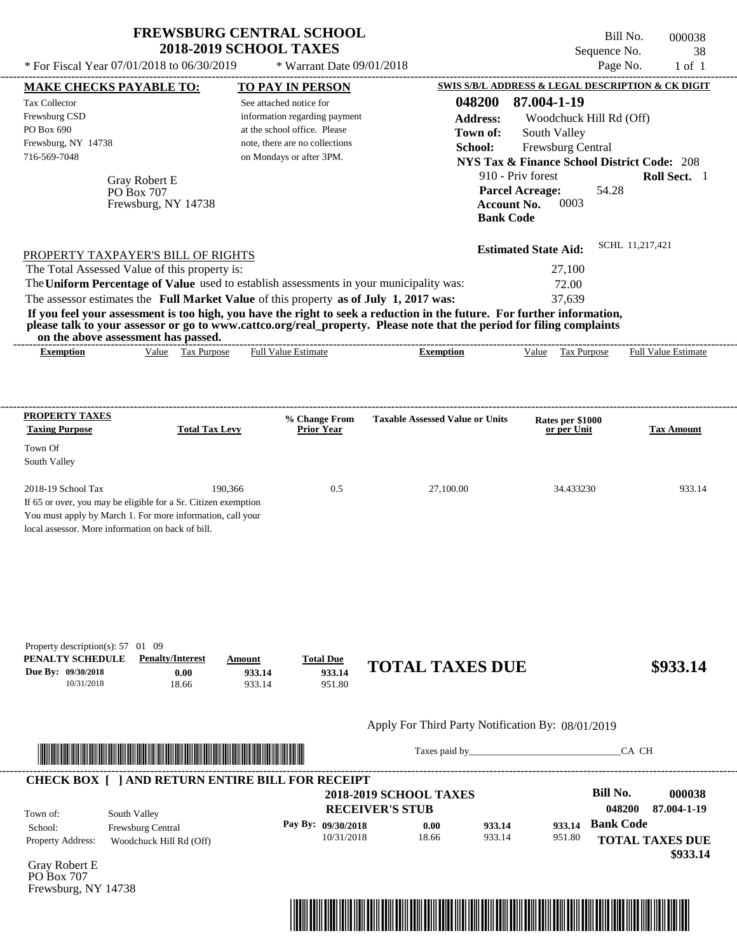| * For Fiscal Year 07/01/2018 to 06/30/2019                                                                                                                                                | <b>FREWSBURG CENTRAL SCHOOL</b><br><b>2018-2019 SCHOOL TAXES</b><br>* Warrant Date 09/01/2018                                                                                     | Bill No.<br>000038<br>Sequence No.<br>38<br>Page No.<br>$1$ of $1$                                                                                                                                                                                                                                                                                                                     |
|-------------------------------------------------------------------------------------------------------------------------------------------------------------------------------------------|-----------------------------------------------------------------------------------------------------------------------------------------------------------------------------------|----------------------------------------------------------------------------------------------------------------------------------------------------------------------------------------------------------------------------------------------------------------------------------------------------------------------------------------------------------------------------------------|
| <b>MAKE CHECKS PAYABLE TO:</b><br><b>Tax Collector</b><br>Frewsburg CSD<br>PO Box 690<br>Frewsburg, NY 14738<br>716-569-7048<br>Gray Robert E<br><b>PO Box 707</b><br>Frewsburg, NY 14738 | <b>TO PAY IN PERSON</b><br>See attached notice for<br>information regarding payment<br>at the school office. Please<br>note, there are no collections<br>on Mondays or after 3PM. | SWIS S/B/L ADDRESS & LEGAL DESCRIPTION & CK DIGIT<br>048200<br>87.004-1-19<br><b>Address:</b><br>Woodchuck Hill Rd (Off)<br>South Valley<br>Town of:<br>School:<br><b>Frewsburg Central</b><br><b>NYS Tax &amp; Finance School District Code: 208</b><br>910 - Priv forest<br><b>Roll Sect.</b> 1<br><b>Parcel Acreage:</b><br>54.28<br>0003<br><b>Account No.</b><br><b>Bank Code</b> |
| PROPERTY TAXPAYER'S BILL OF RIGHTS<br>The Total Assessed Value of this property is:<br>The Uniform Percentage of Value used to establish assessments in your municipality was:            |                                                                                                                                                                                   | SCHL 11,217,421<br><b>Estimated State Aid:</b><br>27,100<br>72.00                                                                                                                                                                                                                                                                                                                      |

The assessor estimates the **Full Market Value** of this property **as of July 1, 2017 was:** 37,639

**If you feel your assessment is too high, you have the right to seek a reduction in the future. For further information, please talk to your assessor or go to www.cattco.org/real\_property. Please note that the period for filing complaints on the above assessment has passed.** ----------------------------------------------------------------------------------------------------------------------------------------------------------------------------------------------------

| xemption | Value | Purpose<br>1 ax | alue<br>.stimate<br>⊦u⊔ | - xemption | ∕alue | mose<br>__ | ________<br>Full<br>/alue<br>stimate |
|----------|-------|-----------------|-------------------------|------------|-------|------------|--------------------------------------|
|          |       |                 |                         |            |       |            |                                      |

| <b>PROPERTY TAXES</b><br><b>Taxing Purpose</b>    | <b>Total Tax Levy</b>                                          | % Change From<br><b>Prior Year</b> | <b>Taxable Assessed Value or Units</b> | Rates per \$1000<br>or per Unit | <b>Tax Amount</b> |
|---------------------------------------------------|----------------------------------------------------------------|------------------------------------|----------------------------------------|---------------------------------|-------------------|
| Town Of<br>South Valley                           |                                                                |                                    |                                        |                                 |                   |
| $2018-19$ School Tax                              | 190.366                                                        | 0.5                                | 27,100.00                              | 34.433230                       | 933.14            |
|                                                   | If 65 or over, you may be eligible for a Sr. Citizen exemption |                                    |                                        |                                 |                   |
|                                                   | You must apply by March 1. For more information, call your     |                                    |                                        |                                 |                   |
| local assessor. More information on back of bill. |                                                                |                                    |                                        |                                 |                   |

| Property description(s): $57 \quad 01 \quad 09$ |                         |        |                  |                        |          |
|-------------------------------------------------|-------------------------|--------|------------------|------------------------|----------|
| <b>PENALTY SCHEDULE</b>                         | <b>Penalty/Interest</b> | Amount | <b>Total Due</b> |                        |          |
| Due By: 09/30/2018                              | 0.00                    | 933.14 | 933.14           | <b>TOTAL TAXES DUE</b> | \$933.14 |
| 10/31/2018                                      | 18.66                   | 933.14 | 951.80           |                        |          |

#### Apply For Third Party Notification By: 08/01/2019



Taxes paid by\_\_\_\_\_\_\_\_\_\_\_\_\_\_\_\_\_\_\_\_\_\_\_\_\_\_\_\_\_\_\_CA CH

| Town of:                 | South Valley             | <b>RECEIVER'S STUB</b> | <b>2018-2019 SCHOOL TAXES</b> |        |        | Bill No.<br>048200 | 000038<br>87.004-1-19              |
|--------------------------|--------------------------|------------------------|-------------------------------|--------|--------|--------------------|------------------------------------|
| School:                  | <b>Frewsburg Central</b> | Pay By: 09/30/2018     | 0.00                          | 933.14 | 933.14 | <b>Bank Code</b>   |                                    |
| <b>Property Address:</b> | Woodchuck Hill Rd (Off)  | 10/31/2018             | 18.66                         | 933.14 | 951.80 |                    | <b>TOTAL TAXES DUE</b><br>\$933.14 |

Gray Robert E PO Box 707 Frewsburg, NY 14738

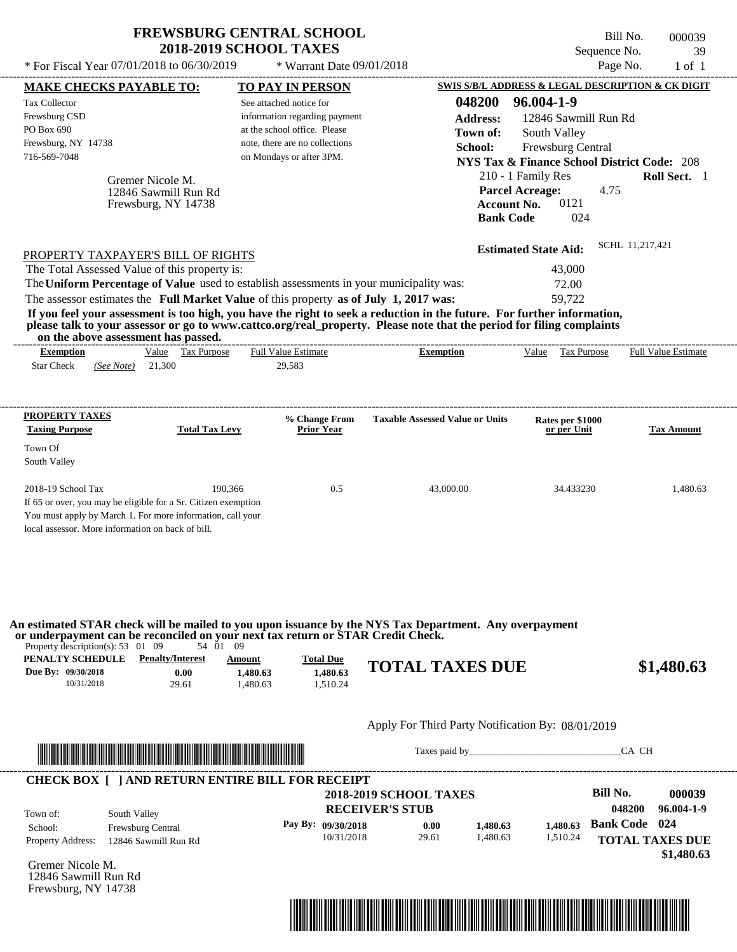$*$  Warrant Date 09/01/2018

---------------------------------------------------------------------------------------------------------------------------------------------------------------------------------------------------- Bill No. 000039 Sequence No. 39 \* For Fiscal Year  $07/01/2018$  to  $06/30/2019$  \* Warrant Date  $09/01/2018$  Page No. 1 of 1

| <b>MAKE CHECKS PAYABLE TO:</b>                    |                                                                                                                                                              |                            | <b>TO PAY IN PERSON</b>            |                                        |                 | SWIS S/B/L ADDRESS & LEGAL DESCRIPTION & CK DIGIT      |                      |                            |
|---------------------------------------------------|--------------------------------------------------------------------------------------------------------------------------------------------------------------|----------------------------|------------------------------------|----------------------------------------|-----------------|--------------------------------------------------------|----------------------|----------------------------|
| <b>Tax Collector</b>                              |                                                                                                                                                              | See attached notice for    |                                    |                                        | 048200          | 96.004-1-9                                             |                      |                            |
| Frewsburg CSD                                     |                                                                                                                                                              |                            | information regarding payment      |                                        | <b>Address:</b> | 12846 Sawmill Run Rd                                   |                      |                            |
| PO Box 690                                        |                                                                                                                                                              |                            | at the school office. Please       |                                        | Town of:        | South Valley                                           |                      |                            |
| Frewsburg, NY 14738                               |                                                                                                                                                              |                            | note, there are no collections     |                                        | School:         | Frewsburg Central                                      |                      |                            |
| 716-569-7048                                      |                                                                                                                                                              |                            | on Mondays or after 3PM.           |                                        |                 | <b>NYS Tax &amp; Finance School District Code: 208</b> |                      |                            |
|                                                   | Gremer Nicole M.                                                                                                                                             |                            |                                    |                                        |                 | 210 - 1 Family Res                                     |                      | Roll Sect. 1               |
|                                                   | 12846 Sawmill Run Rd                                                                                                                                         |                            |                                    |                                        |                 | <b>Parcel Acreage:</b>                                 | 4.75                 |                            |
|                                                   | Frewsburg, NY 14738                                                                                                                                          |                            |                                    |                                        |                 | 0121<br><b>Account No.</b>                             |                      |                            |
|                                                   |                                                                                                                                                              |                            |                                    |                                        |                 | 024<br><b>Bank Code</b>                                |                      |                            |
|                                                   |                                                                                                                                                              |                            |                                    |                                        |                 | <b>Estimated State Aid:</b>                            | SCHL 11,217,421      |                            |
|                                                   | PROPERTY TAXPAYER'S BILL OF RIGHTS                                                                                                                           |                            |                                    |                                        |                 |                                                        |                      |                            |
|                                                   | The Total Assessed Value of this property is:<br>The Uniform Percentage of Value used to establish assessments in your municipality was:                     |                            |                                    |                                        |                 | 43,000<br>72.00                                        |                      |                            |
|                                                   | The assessor estimates the Full Market Value of this property as of July 1, 2017 was:                                                                        |                            |                                    |                                        |                 | 59,722                                                 |                      |                            |
|                                                   | If you feel your assessment is too high, you have the right to seek a reduction in the future. For further information,                                      |                            |                                    |                                        |                 |                                                        |                      |                            |
|                                                   | please talk to your assessor or go to www.cattco.org/real_property. Please note that the period for filing complaints<br>on the above assessment has passed. |                            |                                    |                                        |                 |                                                        |                      |                            |
| <b>Exemption</b>                                  | Value Tax Purpose                                                                                                                                            | <b>Full Value Estimate</b> |                                    | <b>Exemption</b>                       |                 | Value Tax Purpose                                      |                      | <b>Full Value Estimate</b> |
| <b>Star Check</b><br>(See Note)                   | 21,300                                                                                                                                                       | 29,583                     |                                    |                                        |                 |                                                        |                      |                            |
|                                                   |                                                                                                                                                              |                            |                                    |                                        |                 |                                                        |                      |                            |
| <b>PROPERTY TAXES</b>                             |                                                                                                                                                              |                            |                                    |                                        |                 |                                                        |                      |                            |
| <b>Taxing Purpose</b>                             | <b>Total Tax Levy</b>                                                                                                                                        |                            | % Change From<br><b>Prior Year</b> | <b>Taxable Assessed Value or Units</b> |                 | Rates per \$1000<br>or per Unit                        |                      | <b>Tax Amount</b>          |
| Town Of                                           |                                                                                                                                                              |                            |                                    |                                        |                 |                                                        |                      |                            |
| South Valley                                      |                                                                                                                                                              |                            |                                    |                                        |                 |                                                        |                      |                            |
|                                                   |                                                                                                                                                              |                            |                                    |                                        |                 |                                                        |                      |                            |
| 2018-19 School Tax                                | 190,366                                                                                                                                                      |                            | 0.5                                |                                        | 43,000.00       | 34.433230                                              |                      | 1,480.63                   |
|                                                   | If 65 or over, you may be eligible for a Sr. Citizen exemption                                                                                               |                            |                                    |                                        |                 |                                                        |                      |                            |
| local assessor. More information on back of bill. | You must apply by March 1. For more information, call your                                                                                                   |                            |                                    |                                        |                 |                                                        |                      |                            |
|                                                   |                                                                                                                                                              |                            |                                    |                                        |                 |                                                        |                      |                            |
|                                                   |                                                                                                                                                              |                            |                                    |                                        |                 |                                                        |                      |                            |
|                                                   |                                                                                                                                                              |                            |                                    |                                        |                 |                                                        |                      |                            |
|                                                   | An estimated STAR check will be mailed to you upon issuance by the NYS Tax Department. Any overpayment                                                       |                            |                                    |                                        |                 |                                                        |                      |                            |
| Property description(s): $53 \quad 01 \quad 09$   | or underpayment can be reconciled on your next tax return or STAR Credit Check.<br>$54\quad 01$                                                              | -09                        |                                    |                                        |                 |                                                        |                      |                            |
| PENALTY SCHEDULE                                  | <b>Penalty/Interest</b>                                                                                                                                      | Amount                     | <b>Total Due</b>                   | <b>TOTAL TAXES DUE</b>                 |                 |                                                        |                      |                            |
| Due By: 09/30/2018                                | 0.00                                                                                                                                                         | 1.480.63                   | 1.480.63                           |                                        |                 |                                                        |                      | \$1,480.63                 |
| 10/31/2018                                        | 29.61                                                                                                                                                        | 1,480.63                   | 1,510.24                           |                                        |                 |                                                        |                      |                            |
|                                                   |                                                                                                                                                              |                            |                                    |                                        |                 |                                                        |                      |                            |
|                                                   |                                                                                                                                                              |                            |                                    |                                        |                 | Apply For Third Party Notification By: 08/01/2019      |                      |                            |
|                                                   | <u> Indian American State (Indian American State Indian American Sta</u>                                                                                     |                            |                                    |                                        |                 | Taxes paid by                                          | CA CH                |                            |
|                                                   | <b>CHECK BOX [ ] AND RETURN ENTIRE BILL FOR RECEIPT</b>                                                                                                      |                            |                                    |                                        |                 |                                                        |                      |                            |
|                                                   |                                                                                                                                                              |                            |                                    | 2018-2019 SCHOOL TAXES                 |                 |                                                        | <b>Bill No.</b>      | 000039                     |
| Town of:                                          | South Valley                                                                                                                                                 |                            |                                    | <b>RECEIVER'S STUB</b>                 |                 |                                                        | 048200               | 96.004-1-9                 |
| School:                                           | Frewsburg Central                                                                                                                                            |                            | Pay By: 09/30/2018                 | 0.00                                   | 1,480.63        | 1,480.63                                               | <b>Bank Code</b> 024 |                            |
| Property Address:                                 | 12846 Sawmill Run Rd                                                                                                                                         |                            | 10/31/2018                         | 29.61                                  | 1,480.63        | 1,510.24                                               |                      | <b>TOTAL TAXES DUE</b>     |
|                                                   |                                                                                                                                                              |                            |                                    |                                        |                 |                                                        |                      | \$1,480.63                 |
| Gremer Nicole M.                                  |                                                                                                                                                              |                            |                                    |                                        |                 |                                                        |                      |                            |
| 12846 Sawmill Run Rd                              |                                                                                                                                                              |                            |                                    |                                        |                 |                                                        |                      |                            |
| Frewsburg, NY 14738                               |                                                                                                                                                              |                            |                                    |                                        |                 |                                                        |                      |                            |
|                                                   |                                                                                                                                                              |                            |                                    |                                        |                 |                                                        |                      |                            |
|                                                   |                                                                                                                                                              |                            |                                    |                                        |                 |                                                        |                      |                            |
|                                                   |                                                                                                                                                              |                            |                                    |                                        |                 |                                                        |                      |                            |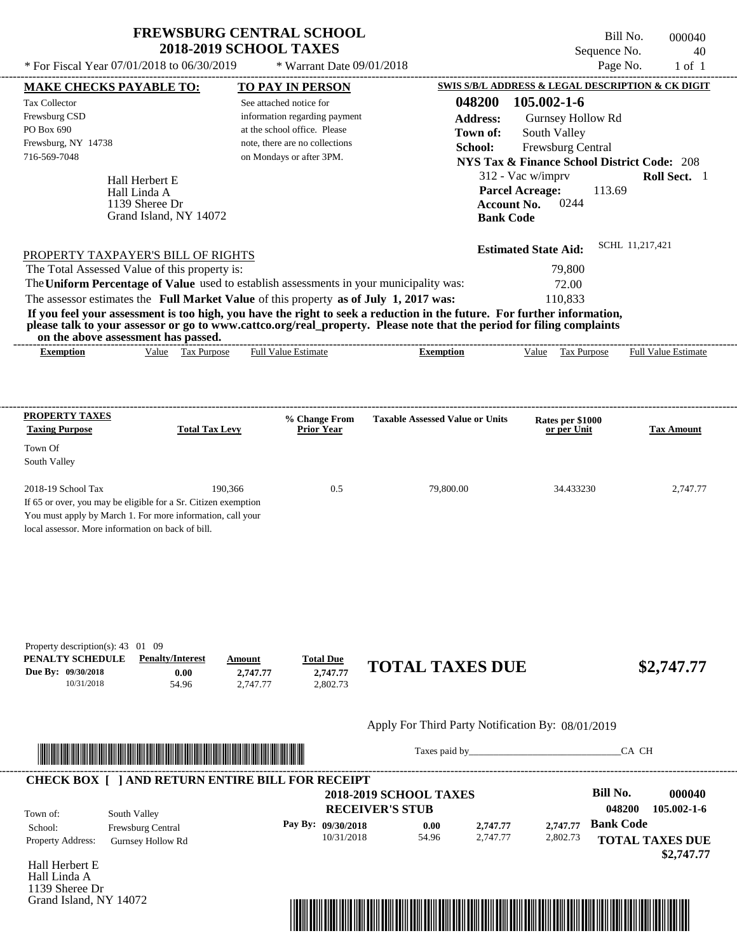\* For Fiscal Year  $07/01/2018$  to  $06/30/2019$  \* Warrant Date  $09/01/2018$  Page No. 1 of 1

 $*$  Warrant Date 09/01/2018

Bill No. 000040 Sequence No. 40

| <b>MAKE CHECKS PAYABLE TO:</b>                    |                                                                                                                                                                                                                                      | <b>TO PAY IN PERSON</b>                                                                 |                                                                                                                                                                                                                                      | <b>SWIS S/B/L ADDRESS &amp; LEGAL DESCRIPTION &amp; CK DIGIT</b> |                        |
|---------------------------------------------------|--------------------------------------------------------------------------------------------------------------------------------------------------------------------------------------------------------------------------------------|-----------------------------------------------------------------------------------------|--------------------------------------------------------------------------------------------------------------------------------------------------------------------------------------------------------------------------------------|------------------------------------------------------------------|------------------------|
| <b>Tax Collector</b>                              |                                                                                                                                                                                                                                      | See attached notice for                                                                 | 048200                                                                                                                                                                                                                               | 105.002-1-6                                                      |                        |
| Frewsburg CSD                                     |                                                                                                                                                                                                                                      | information regarding payment                                                           | <b>Address:</b>                                                                                                                                                                                                                      | Gurnsey Hollow Rd                                                |                        |
| PO Box 690                                        |                                                                                                                                                                                                                                      | at the school office. Please                                                            | Town of:                                                                                                                                                                                                                             | South Valley                                                     |                        |
| Frewsburg, NY 14738<br>716-569-7048               |                                                                                                                                                                                                                                      | note, there are no collections<br>on Mondays or after 3PM.                              | School:                                                                                                                                                                                                                              | Frewsburg Central                                                |                        |
|                                                   |                                                                                                                                                                                                                                      |                                                                                         |                                                                                                                                                                                                                                      | <b>NYS Tax &amp; Finance School District Code: 208</b>           |                        |
|                                                   | Hall Herbert E                                                                                                                                                                                                                       |                                                                                         |                                                                                                                                                                                                                                      | 312 - Vac w/imprv                                                | Roll Sect. 1           |
|                                                   | Hall Linda A                                                                                                                                                                                                                         |                                                                                         |                                                                                                                                                                                                                                      | <b>Parcel Acreage:</b><br>113.69<br>0244                         |                        |
|                                                   | 1139 Sheree Dr<br>Grand Island, NY 14072                                                                                                                                                                                             |                                                                                         | <b>Account No.</b><br><b>Bank Code</b>                                                                                                                                                                                               |                                                                  |                        |
|                                                   |                                                                                                                                                                                                                                      |                                                                                         |                                                                                                                                                                                                                                      |                                                                  |                        |
|                                                   |                                                                                                                                                                                                                                      |                                                                                         |                                                                                                                                                                                                                                      | <b>Estimated State Aid:</b>                                      | SCHL 11,217,421        |
|                                                   | PROPERTY TAXPAYER'S BILL OF RIGHTS<br>The Total Assessed Value of this property is:                                                                                                                                                  |                                                                                         |                                                                                                                                                                                                                                      | 79,800                                                           |                        |
|                                                   |                                                                                                                                                                                                                                      | The Uniform Percentage of Value used to establish assessments in your municipality was: |                                                                                                                                                                                                                                      | 72.00                                                            |                        |
|                                                   |                                                                                                                                                                                                                                      | The assessor estimates the Full Market Value of this property as of July 1, 2017 was:   |                                                                                                                                                                                                                                      | 110,833                                                          |                        |
|                                                   |                                                                                                                                                                                                                                      |                                                                                         | If you feel your assessment is too high, you have the right to seek a reduction in the future. For further information,                                                                                                              |                                                                  |                        |
|                                                   |                                                                                                                                                                                                                                      |                                                                                         | please talk to your assessor or go to www.cattco.org/real_property. Please note that the period for filing complaints                                                                                                                |                                                                  |                        |
| <b>Exemption</b>                                  | on the above assessment has passed.<br>Value Tax Purpose                                                                                                                                                                             | <b>Full Value Estimate</b>                                                              | <b>Exemption</b>                                                                                                                                                                                                                     | Value Tax Purpose Full Value Estimate                            |                        |
|                                                   |                                                                                                                                                                                                                                      |                                                                                         |                                                                                                                                                                                                                                      |                                                                  |                        |
|                                                   |                                                                                                                                                                                                                                      |                                                                                         |                                                                                                                                                                                                                                      |                                                                  |                        |
|                                                   |                                                                                                                                                                                                                                      |                                                                                         |                                                                                                                                                                                                                                      |                                                                  |                        |
| <b>PROPERTY TAXES</b>                             |                                                                                                                                                                                                                                      | % Change From                                                                           | <b>Taxable Assessed Value or Units</b>                                                                                                                                                                                               | Rates per \$1000                                                 |                        |
| <b>Taxing Purpose</b>                             | <b>Total Tax Levy</b>                                                                                                                                                                                                                | <b>Prior Year</b>                                                                       |                                                                                                                                                                                                                                      | or per Unit                                                      | <b>Tax Amount</b>      |
| Town Of                                           |                                                                                                                                                                                                                                      |                                                                                         |                                                                                                                                                                                                                                      |                                                                  |                        |
| South Valley                                      |                                                                                                                                                                                                                                      |                                                                                         |                                                                                                                                                                                                                                      |                                                                  |                        |
| 2018-19 School Tax                                | 190,366                                                                                                                                                                                                                              | 0.5                                                                                     | 79,800.00                                                                                                                                                                                                                            | 34.433230                                                        | 2,747.77               |
|                                                   | If 65 or over, you may be eligible for a Sr. Citizen exemption                                                                                                                                                                       |                                                                                         |                                                                                                                                                                                                                                      |                                                                  |                        |
|                                                   | You must apply by March 1. For more information, call your                                                                                                                                                                           |                                                                                         |                                                                                                                                                                                                                                      |                                                                  |                        |
| local assessor. More information on back of bill. |                                                                                                                                                                                                                                      |                                                                                         |                                                                                                                                                                                                                                      |                                                                  |                        |
|                                                   |                                                                                                                                                                                                                                      |                                                                                         |                                                                                                                                                                                                                                      |                                                                  |                        |
|                                                   |                                                                                                                                                                                                                                      |                                                                                         |                                                                                                                                                                                                                                      |                                                                  |                        |
|                                                   |                                                                                                                                                                                                                                      |                                                                                         |                                                                                                                                                                                                                                      |                                                                  |                        |
|                                                   |                                                                                                                                                                                                                                      |                                                                                         |                                                                                                                                                                                                                                      |                                                                  |                        |
|                                                   |                                                                                                                                                                                                                                      |                                                                                         |                                                                                                                                                                                                                                      |                                                                  |                        |
|                                                   |                                                                                                                                                                                                                                      |                                                                                         |                                                                                                                                                                                                                                      |                                                                  |                        |
| Property description(s): 43 01 09                 |                                                                                                                                                                                                                                      |                                                                                         |                                                                                                                                                                                                                                      |                                                                  |                        |
| PENALTY SCHEDULE                                  | <b>Penalty/Interest</b>                                                                                                                                                                                                              | <b>Total Due</b><br>Amount                                                              | <b>TOTAL TAXES DUE</b>                                                                                                                                                                                                               |                                                                  | \$2,747.77             |
| Due By: 09/30/2018<br>10/31/2018                  | 0.00<br>54.96                                                                                                                                                                                                                        | 2,747.77<br>2,747.77<br>2,802.73<br>2,747.77                                            |                                                                                                                                                                                                                                      |                                                                  |                        |
|                                                   |                                                                                                                                                                                                                                      |                                                                                         |                                                                                                                                                                                                                                      |                                                                  |                        |
|                                                   |                                                                                                                                                                                                                                      |                                                                                         |                                                                                                                                                                                                                                      |                                                                  |                        |
|                                                   |                                                                                                                                                                                                                                      |                                                                                         | Apply For Third Party Notification By: 08/01/2019                                                                                                                                                                                    |                                                                  |                        |
|                                                   | <u> Indian American State and The Communication of the Communication of the Communication of the Communication of the Communication of the Communication of the Communication of the Communication of the Communication of the C</u> |                                                                                         | Taxes paid by                                                                                                                                                                                                                        |                                                                  | CA CH                  |
|                                                   |                                                                                                                                                                                                                                      |                                                                                         |                                                                                                                                                                                                                                      |                                                                  |                        |
|                                                   |                                                                                                                                                                                                                                      | <b>CHECK BOX [ ] AND RETURN ENTIRE BILL FOR RECEIPT</b>                                 |                                                                                                                                                                                                                                      |                                                                  |                        |
|                                                   |                                                                                                                                                                                                                                      |                                                                                         | <b>2018-2019 SCHOOL TAXES</b>                                                                                                                                                                                                        | <b>Bill No.</b>                                                  | 000040                 |
| Town of:                                          | South Valley                                                                                                                                                                                                                         |                                                                                         | <b>RECEIVER'S STUB</b>                                                                                                                                                                                                               | 048200                                                           | 105.002-1-6            |
| School:                                           | Frewsburg Central                                                                                                                                                                                                                    | Pay By: 09/30/2018                                                                      | 0.00<br>2,747.77                                                                                                                                                                                                                     | <b>Bank Code</b><br>2,747.77                                     |                        |
| Property Address:                                 | Gurnsey Hollow Rd                                                                                                                                                                                                                    | 10/31/2018                                                                              | 54.96<br>2,747.77                                                                                                                                                                                                                    | 2,802.73                                                         | <b>TOTAL TAXES DUE</b> |
| Hall Herbert E                                    |                                                                                                                                                                                                                                      |                                                                                         |                                                                                                                                                                                                                                      |                                                                  | \$2,747.77             |
| Hall Linda A                                      |                                                                                                                                                                                                                                      |                                                                                         |                                                                                                                                                                                                                                      |                                                                  |                        |
| 1139 Sheree Dr                                    |                                                                                                                                                                                                                                      |                                                                                         |                                                                                                                                                                                                                                      |                                                                  |                        |
| Grand Island, NY 14072                            |                                                                                                                                                                                                                                      |                                                                                         |                                                                                                                                                                                                                                      |                                                                  |                        |
|                                                   |                                                                                                                                                                                                                                      |                                                                                         | <u> 1989 - Andrea Stadt British Stadt British Stadt British Stadt British Stadt British Stadt British Stadt British Stadt British Stadt British Stadt British Stadt British Stadt British Stadt British Stadt British Stadt Brit</u> |                                                                  |                        |
|                                                   |                                                                                                                                                                                                                                      |                                                                                         |                                                                                                                                                                                                                                      |                                                                  |                        |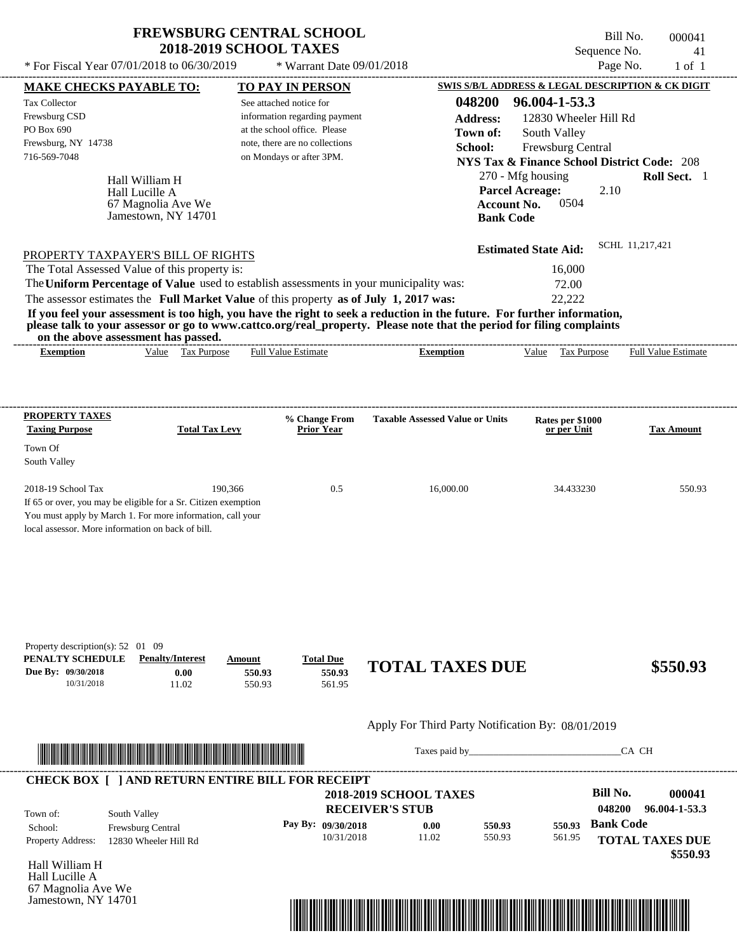---------------------------------------------------------------------------------------------------------------------------------------------------------------------------------------------------- Hall William H If 65 or over, you may be eligible for a Sr. Citizen exemption You must apply by March 1. For more information, call your local assessor. More information on back of bill. Sequence No. 41 \* For Fiscal Year  $07/01/2018$  to  $06/30/2019$  \* Warrant Date  $09/01/2018$  Page No. 1 of 1 **MAKE CHECKS PAYABLE TO: TO PAY IN PERSON SWIS S/B/L ADDRESS & LEGAL DESCRIPTION & CK DIGIT 048200 96.004-1-53.3 Address:** 12830 Wheeler Hill Rd South Valley **School:** Frewsburg Central **NYS Tax & Finance School District Code:** 208 270 - Mfg housing **Roll Sect.** 1 2.10 **Account No.** 0504 **Bank Code Estimated State Aid:** SCHL 11,217,421 PROPERTY TAXPAYER'S BILL OF RIGHTS The assessor estimates the **Full Market Value** of this property **as of July 1, 2017 was:** 22,222 The Total Assessed Value of this property is: 16,000 The **Uniform Percentage of Value** used to establish assessments in your municipality was: 72.00 **If you feel your assessment is too high, you have the right to seek a reduction in the future. For further information, please talk to your assessor or go to www.cattco.org/real\_property. Please note that the period for filing complaints on the above assessment has passed. Exemption** Value Tax Purpose **PROPERTY TAXES Taxing Purpose Total Tax Levy Prior Year % Change From Taxable Assessed Value or Units or per Unit Rates per \$1000 Tax Amount PENALTY SCHEDULE Penalty/Interest Amount Total Due Due By: 09/30/2018** 10/31/2018 11.02 **0.00** 550.93 **550.93** 561.95 **550.93 TOTAL TAXES DUE \$550.93** Apply For Third Party Notification By: 08/01/2019 **RECEIVER'S STUB Bill No. 000041 Bank Code** Property Address: 12830 Wheeler Hill Rd South Valley School: Frewsburg Central **TOTAL TAXES DUE** See attached notice for information regarding payment at the school office. Please note, there are no collections Tax Collector Frewsburg CSD PO Box 690 Frewsburg, NY 14738 \* Warrant Date 09/01/2018  **2018-2019 SCHOOL TAXES** 716-569-7048 on Mondays or after 3PM. **Parcel Acreage:** Town Of South Valley 2018-19 School Tax 190,366 190,366 0.5 16,000.00 34.433230 550.93 **048200 96.004-1-53.3 Pay By: 09/30/2018** 10/31/2018 11.02 **0.00** 550.93 **550.93** 561.95 **550.93** Hall Lucille A Full Value Estimate Taxes paid by Taxes and by Taxes paid by  $\overline{C}$  CA CH ---------------------------------------------------------------------------------------------------------------------------------------------------------------------------------------------------- ---------------------------------------------------------------------------------------------------------------------------------------------------------------------------------------------------- Property description(s): 52 01 09 Town of: **Town of:** 67 Magnolia Ave We Jamestown, NY 14701 **Exemption** Value Tax Purpose Full Value Estimate ---------------------------------------------------------------------------------------------------------------------------------------------------------------------------------------------------- **CHECK BOX [ ] AND RETURN ENTIRE BILL FOR RECEIPT** \*04820000004100000000055093\*

Hall William H Hall Lucille A 67 Magnolia Ave We Jamestown, NY 14701



Bill No. 000041

 **\$550.93**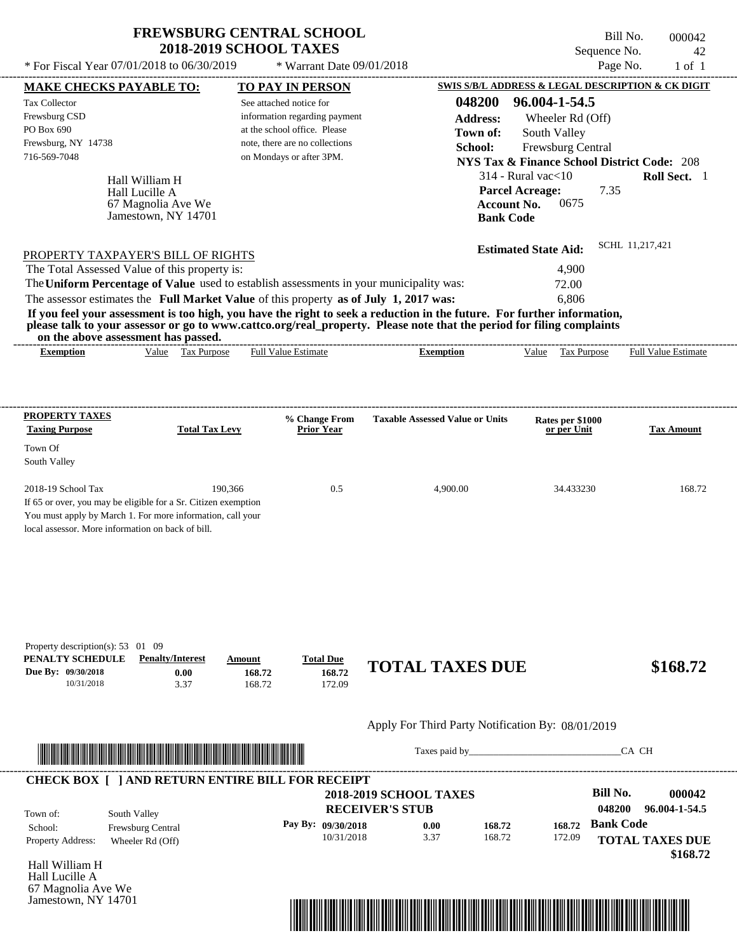\* For Fiscal Year  $07/01/2018$  to  $06/30/2019$  \* Warrant Date  $09/01/2018$  Page No. 1 of 1

\* Warrant Date 09/01/2018

Bill No. 000042 Sequence No. 42

| 048200<br>96.004-1-54.5<br>See attached notice for<br>information regarding payment<br><b>Address:</b><br>Wheeler Rd (Off)<br>PO Box 690<br>at the school office. Please<br>South Valley<br>Town of:<br>note, there are no collections<br>School:<br>Frewsburg Central<br>on Mondays or after 3PM.<br><b>NYS Tax &amp; Finance School District Code: 208</b><br>$314$ - Rural vac $<$ 10<br>Hall William H<br><b>Parcel Acreage:</b><br>7.35<br>Hall Lucille A<br>0675<br>67 Magnolia Ave We<br><b>Account No.</b><br>Jamestown, NY 14701<br><b>Bank Code</b><br>SCHL 11,217,421<br><b>Estimated State Aid:</b><br>PROPERTY TAXPAYER'S BILL OF RIGHTS<br>The Total Assessed Value of this property is:<br>4,900<br>The Uniform Percentage of Value used to establish assessments in your municipality was:<br>72.00<br>The assessor estimates the Full Market Value of this property as of July 1, 2017 was:<br>6,806<br>If you feel your assessment is too high, you have the right to seek a reduction in the future. For further information,<br>please talk to your assessor or go to www.cattco.org/real_property. Please note that the period for filing complaints<br>on the above assessment has passed.<br>Value Tax Purpose<br><b>Full Value Estimate</b><br><b>Exemption</b><br>Value Tax Purpose<br><b>Full Value Estimate</b><br><b>Exemption</b><br><b>PROPERTY TAXES</b><br><b>Taxable Assessed Value or Units</b><br>% Change From<br>Rates per \$1000<br><b>Total Tax Levy</b><br><b>Taxing Purpose</b><br><b>Prior Year</b><br>or per Unit<br>Town Of<br>South Valley<br>2018-19 School Tax<br>190,366<br>0.5<br>4,900.00<br>34.433230<br>If 65 or over, you may be eligible for a Sr. Citizen exemption<br>You must apply by March 1. For more information, call your<br>local assessor. More information on back of bill.<br>Property description(s): $53 \quad 01 \quad 09$<br>PENALTY SCHEDULE<br><b>Penalty/Interest</b><br><b>Total Due</b><br>Amount<br><b>TOTAL TAXES DUE</b><br>\$168.72<br>Due By: 09/30/2018<br>168.72<br>0.00<br>168.72<br>10/31/2018<br>3.37<br>168.72<br>172.09<br>Apply For Third Party Notification By: 08/01/2019<br>CA CH<br>Taxes paid by<br><b>CHECK BOX [ ] AND RETURN ENTIRE BILL FOR RECEIPT</b><br><b>Bill No.</b><br>000042<br><b>2018-2019 SCHOOL TAXES</b><br>048200<br>96.004-1-54.5<br><b>RECEIVER'S STUB</b><br>South Valley<br>Town of:<br><b>Bank Code</b><br>Pay By: 09/30/2018<br>0.00<br>168.72<br>168.72<br>School:<br>Frewsburg Central<br>168.72<br>10/31/2018<br>3.37<br>172.09<br><b>TOTAL TAXES DUE</b><br>Property Address:<br>Wheeler Rd (Off)<br>Hall William H | <b>MAKE CHECKS PAYABLE TO:</b> |  | <b>TO PAY IN PERSON</b> |  |  | <b>SWIS S/B/L ADDRESS &amp; LEGAL DESCRIPTION &amp; CK DIGIT</b> |
|-----------------------------------------------------------------------------------------------------------------------------------------------------------------------------------------------------------------------------------------------------------------------------------------------------------------------------------------------------------------------------------------------------------------------------------------------------------------------------------------------------------------------------------------------------------------------------------------------------------------------------------------------------------------------------------------------------------------------------------------------------------------------------------------------------------------------------------------------------------------------------------------------------------------------------------------------------------------------------------------------------------------------------------------------------------------------------------------------------------------------------------------------------------------------------------------------------------------------------------------------------------------------------------------------------------------------------------------------------------------------------------------------------------------------------------------------------------------------------------------------------------------------------------------------------------------------------------------------------------------------------------------------------------------------------------------------------------------------------------------------------------------------------------------------------------------------------------------------------------------------------------------------------------------------------------------------------------------------------------------------------------------------------------------------------------------------------------------------------------------------------------------------------------------------------------------------------------------------------------------------------------------------------------------------------------------------------------------------------------------------------------------------------------------------------------------------------------------------------------------------------------------------------------------------------------------------------------------------------------------------------------------------|--------------------------------|--|-------------------------|--|--|------------------------------------------------------------------|
|                                                                                                                                                                                                                                                                                                                                                                                                                                                                                                                                                                                                                                                                                                                                                                                                                                                                                                                                                                                                                                                                                                                                                                                                                                                                                                                                                                                                                                                                                                                                                                                                                                                                                                                                                                                                                                                                                                                                                                                                                                                                                                                                                                                                                                                                                                                                                                                                                                                                                                                                                                                                                                               | <b>Tax Collector</b>           |  |                         |  |  |                                                                  |
|                                                                                                                                                                                                                                                                                                                                                                                                                                                                                                                                                                                                                                                                                                                                                                                                                                                                                                                                                                                                                                                                                                                                                                                                                                                                                                                                                                                                                                                                                                                                                                                                                                                                                                                                                                                                                                                                                                                                                                                                                                                                                                                                                                                                                                                                                                                                                                                                                                                                                                                                                                                                                                               | Frewsburg CSD                  |  |                         |  |  |                                                                  |
|                                                                                                                                                                                                                                                                                                                                                                                                                                                                                                                                                                                                                                                                                                                                                                                                                                                                                                                                                                                                                                                                                                                                                                                                                                                                                                                                                                                                                                                                                                                                                                                                                                                                                                                                                                                                                                                                                                                                                                                                                                                                                                                                                                                                                                                                                                                                                                                                                                                                                                                                                                                                                                               |                                |  |                         |  |  |                                                                  |
|                                                                                                                                                                                                                                                                                                                                                                                                                                                                                                                                                                                                                                                                                                                                                                                                                                                                                                                                                                                                                                                                                                                                                                                                                                                                                                                                                                                                                                                                                                                                                                                                                                                                                                                                                                                                                                                                                                                                                                                                                                                                                                                                                                                                                                                                                                                                                                                                                                                                                                                                                                                                                                               | Frewsburg, NY 14738            |  |                         |  |  |                                                                  |
|                                                                                                                                                                                                                                                                                                                                                                                                                                                                                                                                                                                                                                                                                                                                                                                                                                                                                                                                                                                                                                                                                                                                                                                                                                                                                                                                                                                                                                                                                                                                                                                                                                                                                                                                                                                                                                                                                                                                                                                                                                                                                                                                                                                                                                                                                                                                                                                                                                                                                                                                                                                                                                               | 716-569-7048                   |  |                         |  |  |                                                                  |
|                                                                                                                                                                                                                                                                                                                                                                                                                                                                                                                                                                                                                                                                                                                                                                                                                                                                                                                                                                                                                                                                                                                                                                                                                                                                                                                                                                                                                                                                                                                                                                                                                                                                                                                                                                                                                                                                                                                                                                                                                                                                                                                                                                                                                                                                                                                                                                                                                                                                                                                                                                                                                                               |                                |  |                         |  |  | Roll Sect. 1                                                     |
|                                                                                                                                                                                                                                                                                                                                                                                                                                                                                                                                                                                                                                                                                                                                                                                                                                                                                                                                                                                                                                                                                                                                                                                                                                                                                                                                                                                                                                                                                                                                                                                                                                                                                                                                                                                                                                                                                                                                                                                                                                                                                                                                                                                                                                                                                                                                                                                                                                                                                                                                                                                                                                               |                                |  |                         |  |  |                                                                  |
|                                                                                                                                                                                                                                                                                                                                                                                                                                                                                                                                                                                                                                                                                                                                                                                                                                                                                                                                                                                                                                                                                                                                                                                                                                                                                                                                                                                                                                                                                                                                                                                                                                                                                                                                                                                                                                                                                                                                                                                                                                                                                                                                                                                                                                                                                                                                                                                                                                                                                                                                                                                                                                               |                                |  |                         |  |  |                                                                  |
|                                                                                                                                                                                                                                                                                                                                                                                                                                                                                                                                                                                                                                                                                                                                                                                                                                                                                                                                                                                                                                                                                                                                                                                                                                                                                                                                                                                                                                                                                                                                                                                                                                                                                                                                                                                                                                                                                                                                                                                                                                                                                                                                                                                                                                                                                                                                                                                                                                                                                                                                                                                                                                               |                                |  |                         |  |  |                                                                  |
|                                                                                                                                                                                                                                                                                                                                                                                                                                                                                                                                                                                                                                                                                                                                                                                                                                                                                                                                                                                                                                                                                                                                                                                                                                                                                                                                                                                                                                                                                                                                                                                                                                                                                                                                                                                                                                                                                                                                                                                                                                                                                                                                                                                                                                                                                                                                                                                                                                                                                                                                                                                                                                               |                                |  |                         |  |  |                                                                  |
|                                                                                                                                                                                                                                                                                                                                                                                                                                                                                                                                                                                                                                                                                                                                                                                                                                                                                                                                                                                                                                                                                                                                                                                                                                                                                                                                                                                                                                                                                                                                                                                                                                                                                                                                                                                                                                                                                                                                                                                                                                                                                                                                                                                                                                                                                                                                                                                                                                                                                                                                                                                                                                               |                                |  |                         |  |  |                                                                  |
|                                                                                                                                                                                                                                                                                                                                                                                                                                                                                                                                                                                                                                                                                                                                                                                                                                                                                                                                                                                                                                                                                                                                                                                                                                                                                                                                                                                                                                                                                                                                                                                                                                                                                                                                                                                                                                                                                                                                                                                                                                                                                                                                                                                                                                                                                                                                                                                                                                                                                                                                                                                                                                               |                                |  |                         |  |  |                                                                  |
|                                                                                                                                                                                                                                                                                                                                                                                                                                                                                                                                                                                                                                                                                                                                                                                                                                                                                                                                                                                                                                                                                                                                                                                                                                                                                                                                                                                                                                                                                                                                                                                                                                                                                                                                                                                                                                                                                                                                                                                                                                                                                                                                                                                                                                                                                                                                                                                                                                                                                                                                                                                                                                               |                                |  |                         |  |  |                                                                  |
|                                                                                                                                                                                                                                                                                                                                                                                                                                                                                                                                                                                                                                                                                                                                                                                                                                                                                                                                                                                                                                                                                                                                                                                                                                                                                                                                                                                                                                                                                                                                                                                                                                                                                                                                                                                                                                                                                                                                                                                                                                                                                                                                                                                                                                                                                                                                                                                                                                                                                                                                                                                                                                               |                                |  |                         |  |  |                                                                  |
|                                                                                                                                                                                                                                                                                                                                                                                                                                                                                                                                                                                                                                                                                                                                                                                                                                                                                                                                                                                                                                                                                                                                                                                                                                                                                                                                                                                                                                                                                                                                                                                                                                                                                                                                                                                                                                                                                                                                                                                                                                                                                                                                                                                                                                                                                                                                                                                                                                                                                                                                                                                                                                               |                                |  |                         |  |  |                                                                  |
|                                                                                                                                                                                                                                                                                                                                                                                                                                                                                                                                                                                                                                                                                                                                                                                                                                                                                                                                                                                                                                                                                                                                                                                                                                                                                                                                                                                                                                                                                                                                                                                                                                                                                                                                                                                                                                                                                                                                                                                                                                                                                                                                                                                                                                                                                                                                                                                                                                                                                                                                                                                                                                               |                                |  |                         |  |  |                                                                  |
|                                                                                                                                                                                                                                                                                                                                                                                                                                                                                                                                                                                                                                                                                                                                                                                                                                                                                                                                                                                                                                                                                                                                                                                                                                                                                                                                                                                                                                                                                                                                                                                                                                                                                                                                                                                                                                                                                                                                                                                                                                                                                                                                                                                                                                                                                                                                                                                                                                                                                                                                                                                                                                               |                                |  |                         |  |  |                                                                  |
|                                                                                                                                                                                                                                                                                                                                                                                                                                                                                                                                                                                                                                                                                                                                                                                                                                                                                                                                                                                                                                                                                                                                                                                                                                                                                                                                                                                                                                                                                                                                                                                                                                                                                                                                                                                                                                                                                                                                                                                                                                                                                                                                                                                                                                                                                                                                                                                                                                                                                                                                                                                                                                               |                                |  |                         |  |  |                                                                  |
|                                                                                                                                                                                                                                                                                                                                                                                                                                                                                                                                                                                                                                                                                                                                                                                                                                                                                                                                                                                                                                                                                                                                                                                                                                                                                                                                                                                                                                                                                                                                                                                                                                                                                                                                                                                                                                                                                                                                                                                                                                                                                                                                                                                                                                                                                                                                                                                                                                                                                                                                                                                                                                               |                                |  |                         |  |  |                                                                  |
|                                                                                                                                                                                                                                                                                                                                                                                                                                                                                                                                                                                                                                                                                                                                                                                                                                                                                                                                                                                                                                                                                                                                                                                                                                                                                                                                                                                                                                                                                                                                                                                                                                                                                                                                                                                                                                                                                                                                                                                                                                                                                                                                                                                                                                                                                                                                                                                                                                                                                                                                                                                                                                               |                                |  |                         |  |  | <b>Tax Amount</b>                                                |
|                                                                                                                                                                                                                                                                                                                                                                                                                                                                                                                                                                                                                                                                                                                                                                                                                                                                                                                                                                                                                                                                                                                                                                                                                                                                                                                                                                                                                                                                                                                                                                                                                                                                                                                                                                                                                                                                                                                                                                                                                                                                                                                                                                                                                                                                                                                                                                                                                                                                                                                                                                                                                                               |                                |  |                         |  |  |                                                                  |
|                                                                                                                                                                                                                                                                                                                                                                                                                                                                                                                                                                                                                                                                                                                                                                                                                                                                                                                                                                                                                                                                                                                                                                                                                                                                                                                                                                                                                                                                                                                                                                                                                                                                                                                                                                                                                                                                                                                                                                                                                                                                                                                                                                                                                                                                                                                                                                                                                                                                                                                                                                                                                                               |                                |  |                         |  |  |                                                                  |
|                                                                                                                                                                                                                                                                                                                                                                                                                                                                                                                                                                                                                                                                                                                                                                                                                                                                                                                                                                                                                                                                                                                                                                                                                                                                                                                                                                                                                                                                                                                                                                                                                                                                                                                                                                                                                                                                                                                                                                                                                                                                                                                                                                                                                                                                                                                                                                                                                                                                                                                                                                                                                                               |                                |  |                         |  |  |                                                                  |
|                                                                                                                                                                                                                                                                                                                                                                                                                                                                                                                                                                                                                                                                                                                                                                                                                                                                                                                                                                                                                                                                                                                                                                                                                                                                                                                                                                                                                                                                                                                                                                                                                                                                                                                                                                                                                                                                                                                                                                                                                                                                                                                                                                                                                                                                                                                                                                                                                                                                                                                                                                                                                                               |                                |  |                         |  |  | 168.72                                                           |
|                                                                                                                                                                                                                                                                                                                                                                                                                                                                                                                                                                                                                                                                                                                                                                                                                                                                                                                                                                                                                                                                                                                                                                                                                                                                                                                                                                                                                                                                                                                                                                                                                                                                                                                                                                                                                                                                                                                                                                                                                                                                                                                                                                                                                                                                                                                                                                                                                                                                                                                                                                                                                                               |                                |  |                         |  |  |                                                                  |
|                                                                                                                                                                                                                                                                                                                                                                                                                                                                                                                                                                                                                                                                                                                                                                                                                                                                                                                                                                                                                                                                                                                                                                                                                                                                                                                                                                                                                                                                                                                                                                                                                                                                                                                                                                                                                                                                                                                                                                                                                                                                                                                                                                                                                                                                                                                                                                                                                                                                                                                                                                                                                                               |                                |  |                         |  |  |                                                                  |
|                                                                                                                                                                                                                                                                                                                                                                                                                                                                                                                                                                                                                                                                                                                                                                                                                                                                                                                                                                                                                                                                                                                                                                                                                                                                                                                                                                                                                                                                                                                                                                                                                                                                                                                                                                                                                                                                                                                                                                                                                                                                                                                                                                                                                                                                                                                                                                                                                                                                                                                                                                                                                                               |                                |  |                         |  |  |                                                                  |
|                                                                                                                                                                                                                                                                                                                                                                                                                                                                                                                                                                                                                                                                                                                                                                                                                                                                                                                                                                                                                                                                                                                                                                                                                                                                                                                                                                                                                                                                                                                                                                                                                                                                                                                                                                                                                                                                                                                                                                                                                                                                                                                                                                                                                                                                                                                                                                                                                                                                                                                                                                                                                                               |                                |  |                         |  |  |                                                                  |
|                                                                                                                                                                                                                                                                                                                                                                                                                                                                                                                                                                                                                                                                                                                                                                                                                                                                                                                                                                                                                                                                                                                                                                                                                                                                                                                                                                                                                                                                                                                                                                                                                                                                                                                                                                                                                                                                                                                                                                                                                                                                                                                                                                                                                                                                                                                                                                                                                                                                                                                                                                                                                                               |                                |  |                         |  |  |                                                                  |
|                                                                                                                                                                                                                                                                                                                                                                                                                                                                                                                                                                                                                                                                                                                                                                                                                                                                                                                                                                                                                                                                                                                                                                                                                                                                                                                                                                                                                                                                                                                                                                                                                                                                                                                                                                                                                                                                                                                                                                                                                                                                                                                                                                                                                                                                                                                                                                                                                                                                                                                                                                                                                                               |                                |  |                         |  |  |                                                                  |
|                                                                                                                                                                                                                                                                                                                                                                                                                                                                                                                                                                                                                                                                                                                                                                                                                                                                                                                                                                                                                                                                                                                                                                                                                                                                                                                                                                                                                                                                                                                                                                                                                                                                                                                                                                                                                                                                                                                                                                                                                                                                                                                                                                                                                                                                                                                                                                                                                                                                                                                                                                                                                                               |                                |  |                         |  |  |                                                                  |
|                                                                                                                                                                                                                                                                                                                                                                                                                                                                                                                                                                                                                                                                                                                                                                                                                                                                                                                                                                                                                                                                                                                                                                                                                                                                                                                                                                                                                                                                                                                                                                                                                                                                                                                                                                                                                                                                                                                                                                                                                                                                                                                                                                                                                                                                                                                                                                                                                                                                                                                                                                                                                                               |                                |  |                         |  |  |                                                                  |
|                                                                                                                                                                                                                                                                                                                                                                                                                                                                                                                                                                                                                                                                                                                                                                                                                                                                                                                                                                                                                                                                                                                                                                                                                                                                                                                                                                                                                                                                                                                                                                                                                                                                                                                                                                                                                                                                                                                                                                                                                                                                                                                                                                                                                                                                                                                                                                                                                                                                                                                                                                                                                                               |                                |  |                         |  |  |                                                                  |
|                                                                                                                                                                                                                                                                                                                                                                                                                                                                                                                                                                                                                                                                                                                                                                                                                                                                                                                                                                                                                                                                                                                                                                                                                                                                                                                                                                                                                                                                                                                                                                                                                                                                                                                                                                                                                                                                                                                                                                                                                                                                                                                                                                                                                                                                                                                                                                                                                                                                                                                                                                                                                                               |                                |  |                         |  |  |                                                                  |
|                                                                                                                                                                                                                                                                                                                                                                                                                                                                                                                                                                                                                                                                                                                                                                                                                                                                                                                                                                                                                                                                                                                                                                                                                                                                                                                                                                                                                                                                                                                                                                                                                                                                                                                                                                                                                                                                                                                                                                                                                                                                                                                                                                                                                                                                                                                                                                                                                                                                                                                                                                                                                                               |                                |  |                         |  |  |                                                                  |
|                                                                                                                                                                                                                                                                                                                                                                                                                                                                                                                                                                                                                                                                                                                                                                                                                                                                                                                                                                                                                                                                                                                                                                                                                                                                                                                                                                                                                                                                                                                                                                                                                                                                                                                                                                                                                                                                                                                                                                                                                                                                                                                                                                                                                                                                                                                                                                                                                                                                                                                                                                                                                                               |                                |  |                         |  |  |                                                                  |
|                                                                                                                                                                                                                                                                                                                                                                                                                                                                                                                                                                                                                                                                                                                                                                                                                                                                                                                                                                                                                                                                                                                                                                                                                                                                                                                                                                                                                                                                                                                                                                                                                                                                                                                                                                                                                                                                                                                                                                                                                                                                                                                                                                                                                                                                                                                                                                                                                                                                                                                                                                                                                                               |                                |  |                         |  |  |                                                                  |
|                                                                                                                                                                                                                                                                                                                                                                                                                                                                                                                                                                                                                                                                                                                                                                                                                                                                                                                                                                                                                                                                                                                                                                                                                                                                                                                                                                                                                                                                                                                                                                                                                                                                                                                                                                                                                                                                                                                                                                                                                                                                                                                                                                                                                                                                                                                                                                                                                                                                                                                                                                                                                                               |                                |  |                         |  |  |                                                                  |
|                                                                                                                                                                                                                                                                                                                                                                                                                                                                                                                                                                                                                                                                                                                                                                                                                                                                                                                                                                                                                                                                                                                                                                                                                                                                                                                                                                                                                                                                                                                                                                                                                                                                                                                                                                                                                                                                                                                                                                                                                                                                                                                                                                                                                                                                                                                                                                                                                                                                                                                                                                                                                                               |                                |  |                         |  |  |                                                                  |
|                                                                                                                                                                                                                                                                                                                                                                                                                                                                                                                                                                                                                                                                                                                                                                                                                                                                                                                                                                                                                                                                                                                                                                                                                                                                                                                                                                                                                                                                                                                                                                                                                                                                                                                                                                                                                                                                                                                                                                                                                                                                                                                                                                                                                                                                                                                                                                                                                                                                                                                                                                                                                                               |                                |  |                         |  |  |                                                                  |
|                                                                                                                                                                                                                                                                                                                                                                                                                                                                                                                                                                                                                                                                                                                                                                                                                                                                                                                                                                                                                                                                                                                                                                                                                                                                                                                                                                                                                                                                                                                                                                                                                                                                                                                                                                                                                                                                                                                                                                                                                                                                                                                                                                                                                                                                                                                                                                                                                                                                                                                                                                                                                                               |                                |  |                         |  |  |                                                                  |
|                                                                                                                                                                                                                                                                                                                                                                                                                                                                                                                                                                                                                                                                                                                                                                                                                                                                                                                                                                                                                                                                                                                                                                                                                                                                                                                                                                                                                                                                                                                                                                                                                                                                                                                                                                                                                                                                                                                                                                                                                                                                                                                                                                                                                                                                                                                                                                                                                                                                                                                                                                                                                                               |                                |  |                         |  |  |                                                                  |
|                                                                                                                                                                                                                                                                                                                                                                                                                                                                                                                                                                                                                                                                                                                                                                                                                                                                                                                                                                                                                                                                                                                                                                                                                                                                                                                                                                                                                                                                                                                                                                                                                                                                                                                                                                                                                                                                                                                                                                                                                                                                                                                                                                                                                                                                                                                                                                                                                                                                                                                                                                                                                                               |                                |  |                         |  |  |                                                                  |
|                                                                                                                                                                                                                                                                                                                                                                                                                                                                                                                                                                                                                                                                                                                                                                                                                                                                                                                                                                                                                                                                                                                                                                                                                                                                                                                                                                                                                                                                                                                                                                                                                                                                                                                                                                                                                                                                                                                                                                                                                                                                                                                                                                                                                                                                                                                                                                                                                                                                                                                                                                                                                                               |                                |  |                         |  |  |                                                                  |
|                                                                                                                                                                                                                                                                                                                                                                                                                                                                                                                                                                                                                                                                                                                                                                                                                                                                                                                                                                                                                                                                                                                                                                                                                                                                                                                                                                                                                                                                                                                                                                                                                                                                                                                                                                                                                                                                                                                                                                                                                                                                                                                                                                                                                                                                                                                                                                                                                                                                                                                                                                                                                                               |                                |  |                         |  |  | \$168.72                                                         |
| Hall Lucille A                                                                                                                                                                                                                                                                                                                                                                                                                                                                                                                                                                                                                                                                                                                                                                                                                                                                                                                                                                                                                                                                                                                                                                                                                                                                                                                                                                                                                                                                                                                                                                                                                                                                                                                                                                                                                                                                                                                                                                                                                                                                                                                                                                                                                                                                                                                                                                                                                                                                                                                                                                                                                                |                                |  |                         |  |  |                                                                  |
| 67 Magnolia Ave We                                                                                                                                                                                                                                                                                                                                                                                                                                                                                                                                                                                                                                                                                                                                                                                                                                                                                                                                                                                                                                                                                                                                                                                                                                                                                                                                                                                                                                                                                                                                                                                                                                                                                                                                                                                                                                                                                                                                                                                                                                                                                                                                                                                                                                                                                                                                                                                                                                                                                                                                                                                                                            |                                |  |                         |  |  |                                                                  |
| Jamestown, NY 14701                                                                                                                                                                                                                                                                                                                                                                                                                                                                                                                                                                                                                                                                                                                                                                                                                                                                                                                                                                                                                                                                                                                                                                                                                                                                                                                                                                                                                                                                                                                                                                                                                                                                                                                                                                                                                                                                                                                                                                                                                                                                                                                                                                                                                                                                                                                                                                                                                                                                                                                                                                                                                           |                                |  |                         |  |  |                                                                  |

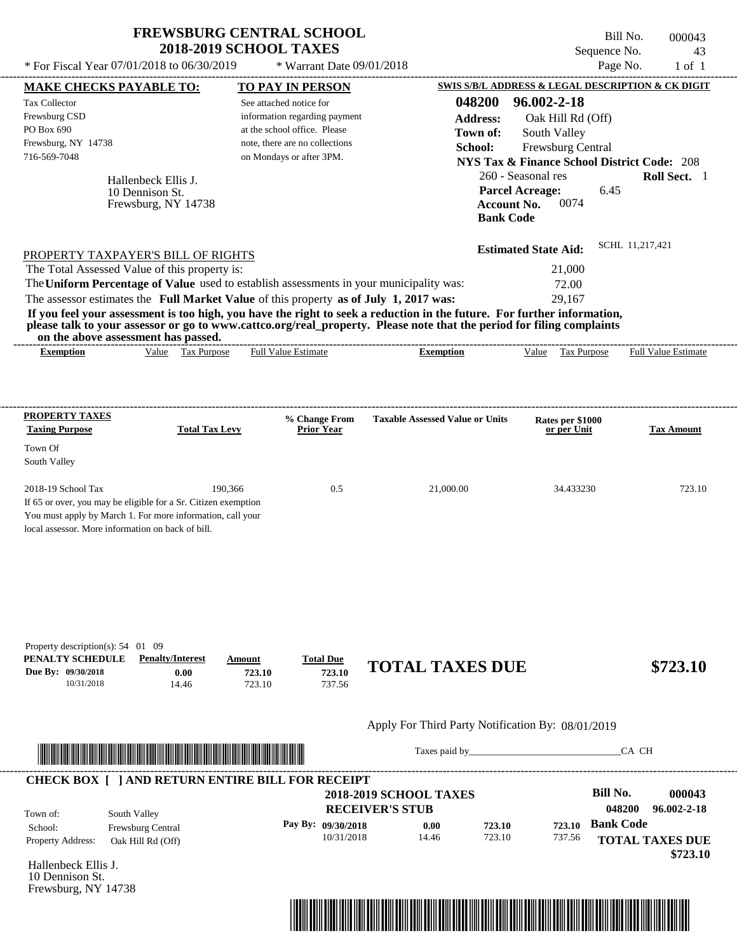| <b>FREWSBURG CENTRAL SCHOOL</b> |
|---------------------------------|
| <b>2018-2019 SCHOOL TAXES</b>   |

Bill No. 000043 Sequence No. 43

| * For Fiscal Year 07/01/2018 to 06/30/2019                                                                                                                                                                                                                                                                                              |                             | * Warrant Date 09/01/2018                                     |                               |                                        |                                                                            | Page No.               | $1$ of $1$          |
|-----------------------------------------------------------------------------------------------------------------------------------------------------------------------------------------------------------------------------------------------------------------------------------------------------------------------------------------|-----------------------------|---------------------------------------------------------------|-------------------------------|----------------------------------------|----------------------------------------------------------------------------|------------------------|---------------------|
| <b>MAKE CHECKS PAYABLE TO:</b>                                                                                                                                                                                                                                                                                                          |                             | <b>TO PAY IN PERSON</b>                                       |                               |                                        | SWIS S/B/L ADDRESS & LEGAL DESCRIPTION & CK DIGIT                          |                        |                     |
| Tax Collector                                                                                                                                                                                                                                                                                                                           |                             | See attached notice for                                       |                               | 048200                                 | 96.002-2-18                                                                |                        |                     |
| Frewsburg CSD<br>PO Box 690                                                                                                                                                                                                                                                                                                             |                             | information regarding payment<br>at the school office. Please |                               | <b>Address:</b>                        | Oak Hill Rd (Off)                                                          |                        |                     |
| Frewsburg, NY 14738                                                                                                                                                                                                                                                                                                                     |                             | note, there are no collections                                |                               | Town of:                               | South Valley                                                               |                        |                     |
| 716-569-7048                                                                                                                                                                                                                                                                                                                            |                             | on Mondays or after 3PM.                                      |                               | School:                                | Frewsburg Central                                                          |                        |                     |
|                                                                                                                                                                                                                                                                                                                                         |                             |                                                               |                               |                                        | <b>NYS Tax &amp; Finance School District Code: 208</b>                     |                        |                     |
| Hallenbeck Ellis J.<br>10 Dennison St.<br>Frewsburg, NY 14738                                                                                                                                                                                                                                                                           |                             |                                                               |                               | <b>Bank Code</b>                       | 260 - Seasonal res<br><b>Parcel Acreage:</b><br><b>Account No.</b><br>0074 | 6.45                   | Roll Sect. 1        |
|                                                                                                                                                                                                                                                                                                                                         |                             |                                                               |                               |                                        | <b>Estimated State Aid:</b>                                                | SCHL 11,217,421        |                     |
| PROPERTY TAXPAYER'S BILL OF RIGHTS                                                                                                                                                                                                                                                                                                      |                             |                                                               |                               |                                        |                                                                            |                        |                     |
| The Total Assessed Value of this property is:                                                                                                                                                                                                                                                                                           |                             |                                                               |                               |                                        | 21,000                                                                     |                        |                     |
| The Uniform Percentage of Value used to establish assessments in your municipality was:                                                                                                                                                                                                                                                 |                             |                                                               |                               |                                        | 72.00                                                                      |                        |                     |
| The assessor estimates the Full Market Value of this property as of July 1, 2017 was:                                                                                                                                                                                                                                                   |                             |                                                               |                               |                                        | 29,167                                                                     |                        |                     |
| If you feel your assessment is too high, you have the right to seek a reduction in the future. For further information,<br>please talk to your assessor or go to www.cattco.org/real_property. Please note that the period for filing complaints<br>on the above assessment has passed.<br>Value Tax Purpose<br><b>Exemption</b>        |                             | <b>Full Value Estimate</b>                                    |                               | <b>Exemption</b>                       | Tax Purpose<br>Value                                                       |                        | Full Value Estimate |
| <b>PROPERTY TAXES</b><br><b>Taxing Purpose</b><br>Town Of                                                                                                                                                                                                                                                                               | <b>Total Tax Levy</b>       | % Change From<br><b>Prior Year</b>                            |                               | <b>Taxable Assessed Value or Units</b> | Rates per \$1000<br>or per Unit                                            |                        | <b>Tax Amount</b>   |
| South Valley                                                                                                                                                                                                                                                                                                                            |                             |                                                               |                               |                                        |                                                                            |                        |                     |
| 2018-19 School Tax<br>If 65 or over, you may be eligible for a Sr. Citizen exemption<br>You must apply by March 1. For more information, call your<br>local assessor. More information on back of bill.<br>Property description(s): $54 \quad 01 \quad 09$<br>PENALTY SCHEDULE<br><b>Penalty/Interest</b><br>Due By: 09/30/2018<br>0.00 | 190.366<br>Amount<br>723.10 | 0.5<br><b>Total Due</b><br>723.10                             | <b>TOTAL TAXES DUE</b>        | 21,000.00                              | 34.433230                                                                  |                        | 723.10<br>\$723.10  |
| 10/31/2018<br>14.46                                                                                                                                                                                                                                                                                                                     | 723.10                      | 737.56                                                        |                               |                                        | Apply For Third Party Notification By: 08/01/2019                          |                        |                     |
|                                                                                                                                                                                                                                                                                                                                         |                             |                                                               |                               |                                        |                                                                            | CA CH                  |                     |
| <b>CHECK BOX [ ] AND RETURN ENTIRE BILL FOR RECEIPT</b>                                                                                                                                                                                                                                                                                 |                             |                                                               |                               |                                        |                                                                            |                        |                     |
|                                                                                                                                                                                                                                                                                                                                         |                             |                                                               | <b>2018-2019 SCHOOL TAXES</b> |                                        |                                                                            | <b>Bill No.</b>        | 000043              |
|                                                                                                                                                                                                                                                                                                                                         |                             |                                                               | <b>RECEIVER'S STUB</b>        |                                        |                                                                            | 048200                 | 96.002-2-18         |
| South Valley<br>Town of:                                                                                                                                                                                                                                                                                                                |                             |                                                               |                               |                                        |                                                                            |                        |                     |
| School:<br>Frewsburg Central                                                                                                                                                                                                                                                                                                            |                             | Pay By: 09/30/2018                                            | 0.00                          | 723.10                                 | 723.10                                                                     | <b>Bank Code</b>       |                     |
| Property Address:<br>Oak Hill Rd (Off)                                                                                                                                                                                                                                                                                                  |                             | 10/31/2018                                                    | 14.46                         | 723.10                                 | 737.56                                                                     | <b>TOTAL TAXES DUE</b> | \$723.10            |
| Hallenbeck Ellis J.<br>10 Dennison St.<br>Frewsburg, NY 14738                                                                                                                                                                                                                                                                           |                             |                                                               |                               |                                        |                                                                            |                        |                     |

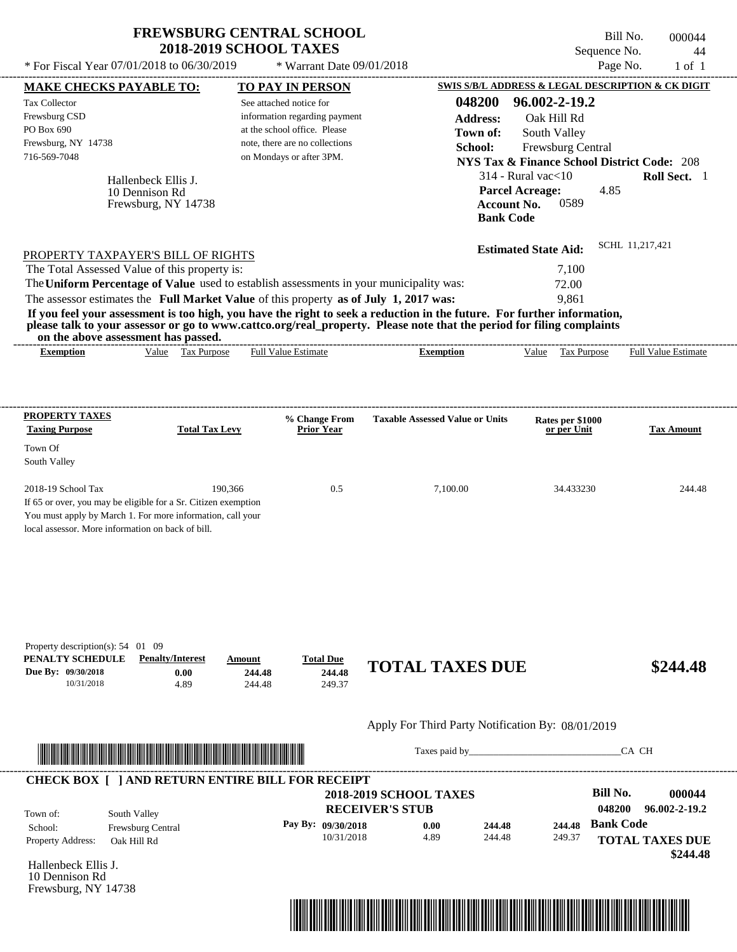| <b>FREWSBURG CENTRAL SCHOOL</b> |
|---------------------------------|
| <b>2018-2019 SCHOOL TAXES</b>   |

\* Warrant Date 09/01/2018

 $*$  For Fiscal Year 07/01/2018 to 06/30/2019

Frewsburg, NY 14738

Bill No. 000044 Sequence No. 44<br>Page No. 1 of 1

|                                                                                                                    | <b>MAKE CHECKS PAYABLE TO:</b>                                        | <b>TO PAY IN PERSON</b>              |                                                                                                                         | SWIS S/B/L ADDRESS & LEGAL DESCRIPTION & CK DIGIT      |                                                               |
|--------------------------------------------------------------------------------------------------------------------|-----------------------------------------------------------------------|--------------------------------------|-------------------------------------------------------------------------------------------------------------------------|--------------------------------------------------------|---------------------------------------------------------------|
| <b>Tax Collector</b>                                                                                               |                                                                       | See attached notice for              | 048200                                                                                                                  | 96.002-2-19.2                                          |                                                               |
| Frewsburg CSD                                                                                                      |                                                                       | information regarding payment        | <b>Address:</b>                                                                                                         | Oak Hill Rd                                            |                                                               |
| PO Box 690                                                                                                         |                                                                       | at the school office. Please         | Town of:                                                                                                                | South Valley                                           |                                                               |
| Frewsburg, NY 14738                                                                                                |                                                                       | note, there are no collections       | School:                                                                                                                 | Frewsburg Central                                      |                                                               |
| 716-569-7048                                                                                                       |                                                                       | on Mondays or after 3PM.             |                                                                                                                         | <b>NYS Tax &amp; Finance School District Code: 208</b> |                                                               |
|                                                                                                                    |                                                                       |                                      |                                                                                                                         | $314$ - Rural vac $<$ 10                               | Roll Sect. 1                                                  |
| 10 Dennison Rd                                                                                                     | Hallenbeck Ellis J.                                                   |                                      |                                                                                                                         | <b>Parcel Acreage:</b><br>4.85                         |                                                               |
|                                                                                                                    | Frewsburg, NY 14738                                                   |                                      | <b>Account No.</b>                                                                                                      | 0589                                                   |                                                               |
|                                                                                                                    |                                                                       |                                      | <b>Bank Code</b>                                                                                                        |                                                        |                                                               |
|                                                                                                                    |                                                                       |                                      |                                                                                                                         |                                                        |                                                               |
| PROPERTY TAXPAYER'S BILL OF RIGHTS                                                                                 |                                                                       |                                      |                                                                                                                         | <b>Estimated State Aid:</b>                            | SCHL 11,217,421                                               |
| The Total Assessed Value of this property is:                                                                      |                                                                       |                                      |                                                                                                                         | 7,100                                                  |                                                               |
| The Uniform Percentage of Value used to establish assessments in your municipality was:                            |                                                                       |                                      |                                                                                                                         | 72.00                                                  |                                                               |
| The assessor estimates the Full Market Value of this property as of July 1, 2017 was:                              |                                                                       |                                      |                                                                                                                         | 9,861                                                  |                                                               |
|                                                                                                                    |                                                                       |                                      | If you feel your assessment is too high, you have the right to seek a reduction in the future. For further information, |                                                        |                                                               |
|                                                                                                                    |                                                                       |                                      | please talk to your assessor or go to www.cattco.org/real_property. Please note that the period for filing complaints   |                                                        |                                                               |
| on the above assessment has passed.                                                                                |                                                                       |                                      |                                                                                                                         |                                                        |                                                               |
| <b>Exemption</b>                                                                                                   | Value Tax Purpose                                                     | <b>Full Value Estimate</b>           | <b>Exemption</b>                                                                                                        | Value Tax Purpose Full Value Estimate                  |                                                               |
|                                                                                                                    |                                                                       |                                      |                                                                                                                         |                                                        |                                                               |
| <b>PROPERTY TAXES</b>                                                                                              |                                                                       | % Change From                        | <b>Taxable Assessed Value or Units</b>                                                                                  | Rates per \$1000                                       |                                                               |
| <b>Taxing Purpose</b>                                                                                              | <b>Total Tax Levy</b>                                                 | <b>Prior Year</b>                    |                                                                                                                         | or per Unit                                            | <b>Tax Amount</b>                                             |
| Town Of                                                                                                            |                                                                       |                                      |                                                                                                                         |                                                        |                                                               |
| South Valley                                                                                                       |                                                                       |                                      |                                                                                                                         |                                                        |                                                               |
| 2018-19 School Tax                                                                                                 | 190,366                                                               | 0.5                                  | 7,100.00                                                                                                                | 34.433230                                              | 244.48                                                        |
| If 65 or over, you may be eligible for a Sr. Citizen exemption                                                     |                                                                       |                                      |                                                                                                                         |                                                        |                                                               |
| You must apply by March 1. For more information, call your                                                         |                                                                       |                                      |                                                                                                                         |                                                        |                                                               |
| local assessor. More information on back of bill.                                                                  |                                                                       |                                      |                                                                                                                         |                                                        |                                                               |
|                                                                                                                    |                                                                       |                                      |                                                                                                                         |                                                        |                                                               |
| 10/31/2018                                                                                                         | <b>Penalty/Interest</b><br>Amount<br>0.00<br>244.48<br>4.89<br>244.48 | <b>Total Due</b><br>244.48<br>249.37 | <b>TOTAL TAXES DUE</b>                                                                                                  |                                                        | \$244.48                                                      |
| Property description(s): $54$ 01 09<br>PENALTY SCHEDULE<br>Due By: 09/30/2018                                      |                                                                       |                                      | Apply For Third Party Notification By: 08/01/2019                                                                       |                                                        |                                                               |
|                                                                                                                    |                                                                       |                                      | Taxes paid by                                                                                                           |                                                        | CA CH                                                         |
|                                                                                                                    |                                                                       |                                      |                                                                                                                         |                                                        |                                                               |
|                                                                                                                    |                                                                       |                                      | <b>2018-2019 SCHOOL TAXES</b>                                                                                           | <b>Bill No.</b>                                        |                                                               |
| South Valley                                                                                                       |                                                                       |                                      | <b>RECEIVER'S STUB</b>                                                                                                  | 048200                                                 |                                                               |
| Frewsburg Central                                                                                                  |                                                                       | Pay By: 09/30/2018                   | 244.48<br>0.00                                                                                                          | <b>Bank Code</b><br>244.48                             |                                                               |
| <b>CHECK BOX [ ] AND RETURN ENTIRE BILL FOR RECEIPT</b><br>Town of:<br>School:<br>Property Address:<br>Oak Hill Rd |                                                                       | 10/31/2018                           | 4.89<br>244.48                                                                                                          | 249.37                                                 | 000044<br>96.002-2-19.2<br><b>TOTAL TAXES DUE</b><br>\$244.48 |

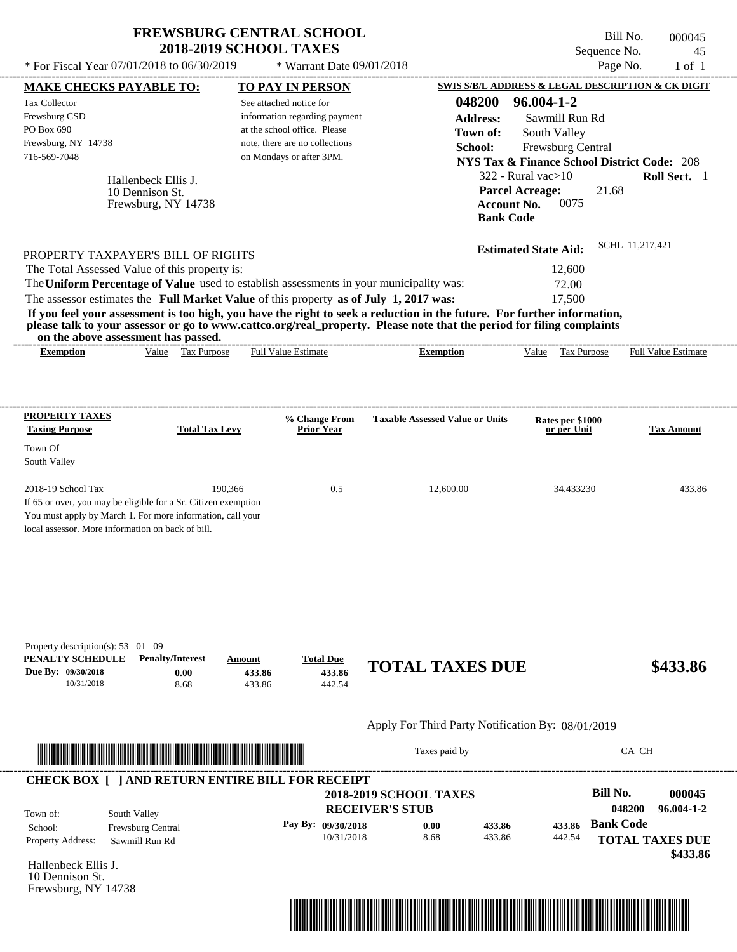| <b>FREWSBURG CENTRAL SCHOOL</b> |
|---------------------------------|
| <b>2018-2019 SCHOOL TAXES</b>   |

Bill No. 000045 Sequence No. 45<br>Page No. 1 of 1  $*$  For Fiscal Year 07/01/2018 to 06/30/2019  $*$  Warrant Date 09/01/2018 Page No. 1 of 1

| <b>MAKE CHECKS PAYABLE TO:</b>                    |                                                                                       |                  | <b>TO PAY IN PERSON</b>                                    |                                                                                                                         |                                        | SWIS S/B/L ADDRESS & LEGAL DESCRIPTION & CK DIGIT      |
|---------------------------------------------------|---------------------------------------------------------------------------------------|------------------|------------------------------------------------------------|-------------------------------------------------------------------------------------------------------------------------|----------------------------------------|--------------------------------------------------------|
| <b>Tax Collector</b>                              |                                                                                       |                  | See attached notice for                                    | 048200                                                                                                                  | 96.004-1-2                             |                                                        |
| Frewsburg CSD                                     |                                                                                       |                  | information regarding payment                              | <b>Address:</b>                                                                                                         | Sawmill Run Rd                         |                                                        |
| PO Box 690                                        |                                                                                       |                  | at the school office. Please                               | Town of:                                                                                                                | South Valley                           |                                                        |
| Frewsburg, NY 14738<br>716-569-7048               |                                                                                       |                  | note, there are no collections<br>on Mondays or after 3PM. | School:                                                                                                                 | Frewsburg Central                      |                                                        |
|                                                   |                                                                                       |                  |                                                            |                                                                                                                         |                                        | <b>NYS Tax &amp; Finance School District Code: 208</b> |
|                                                   | Hallenbeck Ellis J.                                                                   |                  |                                                            |                                                                                                                         | $322$ - Rural vac $>10$                | Roll Sect. 1                                           |
|                                                   | 10 Dennison St.                                                                       |                  |                                                            |                                                                                                                         | <b>Parcel Acreage:</b><br>0075         | 21.68                                                  |
|                                                   | Frewsburg, NY 14738                                                                   |                  |                                                            |                                                                                                                         | <b>Account No.</b><br><b>Bank Code</b> |                                                        |
|                                                   |                                                                                       |                  |                                                            |                                                                                                                         |                                        |                                                        |
|                                                   |                                                                                       |                  |                                                            |                                                                                                                         | <b>Estimated State Aid:</b>            | SCHL 11,217,421                                        |
|                                                   | PROPERTY TAXPAYER'S BILL OF RIGHTS<br>The Total Assessed Value of this property is:   |                  |                                                            |                                                                                                                         | 12,600                                 |                                                        |
|                                                   |                                                                                       |                  |                                                            | The Uniform Percentage of Value used to establish assessments in your municipality was:                                 | 72.00                                  |                                                        |
|                                                   | The assessor estimates the Full Market Value of this property as of July 1, 2017 was: |                  |                                                            |                                                                                                                         | 17,500                                 |                                                        |
|                                                   |                                                                                       |                  |                                                            | If you feel your assessment is too high, you have the right to seek a reduction in the future. For further information, |                                        |                                                        |
|                                                   | on the above assessment has passed.                                                   |                  |                                                            | please talk to your assessor or go to www.cattco.org/real_property. Please note that the period for filing complaints   |                                        |                                                        |
| <b>Exemption</b>                                  | Value Tax Purpose                                                                     |                  | <b>Full Value Estimate</b>                                 | <b>Exemption</b>                                                                                                        | Value Tax Purpose                      | <b>Full Value Estimate</b>                             |
|                                                   |                                                                                       |                  |                                                            |                                                                                                                         |                                        |                                                        |
|                                                   |                                                                                       |                  |                                                            |                                                                                                                         |                                        |                                                        |
| <b>PROPERTY TAXES</b>                             |                                                                                       |                  | % Change From                                              | <b>Taxable Assessed Value or Units</b>                                                                                  | Rates per \$1000                       |                                                        |
| <b>Taxing Purpose</b>                             | <b>Total Tax Levy</b>                                                                 |                  | <b>Prior Year</b>                                          |                                                                                                                         | or per Unit                            | <b>Tax Amount</b>                                      |
| Town Of                                           |                                                                                       |                  |                                                            |                                                                                                                         |                                        |                                                        |
| South Valley                                      |                                                                                       |                  |                                                            |                                                                                                                         |                                        |                                                        |
| 2018-19 School Tax                                |                                                                                       | 190,366          | 0.5                                                        | 12,600.00                                                                                                               | 34.433230                              | 433.86                                                 |
|                                                   | If 65 or over, you may be eligible for a Sr. Citizen exemption                        |                  |                                                            |                                                                                                                         |                                        |                                                        |
|                                                   | You must apply by March 1. For more information, call your                            |                  |                                                            |                                                                                                                         |                                        |                                                        |
| local assessor. More information on back of bill. |                                                                                       |                  |                                                            |                                                                                                                         |                                        |                                                        |
|                                                   |                                                                                       |                  |                                                            |                                                                                                                         |                                        |                                                        |
|                                                   |                                                                                       |                  |                                                            |                                                                                                                         |                                        |                                                        |
|                                                   |                                                                                       |                  |                                                            |                                                                                                                         |                                        |                                                        |
|                                                   |                                                                                       |                  |                                                            |                                                                                                                         |                                        |                                                        |
|                                                   |                                                                                       |                  |                                                            |                                                                                                                         |                                        |                                                        |
| Property description(s): 53 01 09                 |                                                                                       |                  |                                                            |                                                                                                                         |                                        |                                                        |
| PENALTY SCHEDULE                                  | <b>Penalty/Interest</b>                                                               | Amount           | <b>Total Due</b>                                           | <b>TOTAL TAXES DUE</b>                                                                                                  |                                        | \$433.86                                               |
| Due By: 09/30/2018<br>10/31/2018                  | 0.00<br>8.68                                                                          | 433.86<br>433.86 | 433.86<br>442.54                                           |                                                                                                                         |                                        |                                                        |
|                                                   |                                                                                       |                  |                                                            |                                                                                                                         |                                        |                                                        |
|                                                   |                                                                                       |                  |                                                            | Apply For Third Party Notification By: 08/01/2019                                                                       |                                        |                                                        |
|                                                   |                                                                                       |                  |                                                            |                                                                                                                         |                                        |                                                        |
|                                                   |                                                                                       |                  |                                                            |                                                                                                                         | Taxes paid by                          | CA CH                                                  |
|                                                   |                                                                                       |                  |                                                            |                                                                                                                         |                                        |                                                        |
|                                                   | <b>CHECK BOX [ ] AND RETURN ENTIRE BILL FOR RECEIPT</b>                               |                  |                                                            | <b>2018-2019 SCHOOL TAXES</b>                                                                                           |                                        | <b>Bill No.</b><br>000045                              |
|                                                   |                                                                                       |                  |                                                            | <b>RECEIVER'S STUB</b>                                                                                                  |                                        | 96.004-1-2<br>048200                                   |
| Town of:<br>School:                               | South Valley<br>Frewsburg Central                                                     |                  | Pay By: 09/30/2018                                         | 0.00<br>433.86                                                                                                          | 433.86                                 | <b>Bank Code</b>                                       |
| Property Address:                                 | Sawmill Run Rd                                                                        |                  | 10/31/2018                                                 | 8.68<br>433.86                                                                                                          | 442.54                                 | <b>TOTAL TAXES DUE</b>                                 |
|                                                   |                                                                                       |                  |                                                            |                                                                                                                         |                                        | \$433.86                                               |
| Hallenbeck Ellis J.                               |                                                                                       |                  |                                                            |                                                                                                                         |                                        |                                                        |
| 10 Dennison St.<br>Frewsburg, NY 14738            |                                                                                       |                  |                                                            |                                                                                                                         |                                        |                                                        |
|                                                   |                                                                                       |                  |                                                            |                                                                                                                         |                                        |                                                        |
|                                                   |                                                                                       |                  |                                                            |                                                                                                                         |                                        |                                                        |
|                                                   |                                                                                       |                  |                                                            |                                                                                                                         |                                        |                                                        |

----------------------------------------------------------------------------------------------------------------------------------------------------------------------------------------------------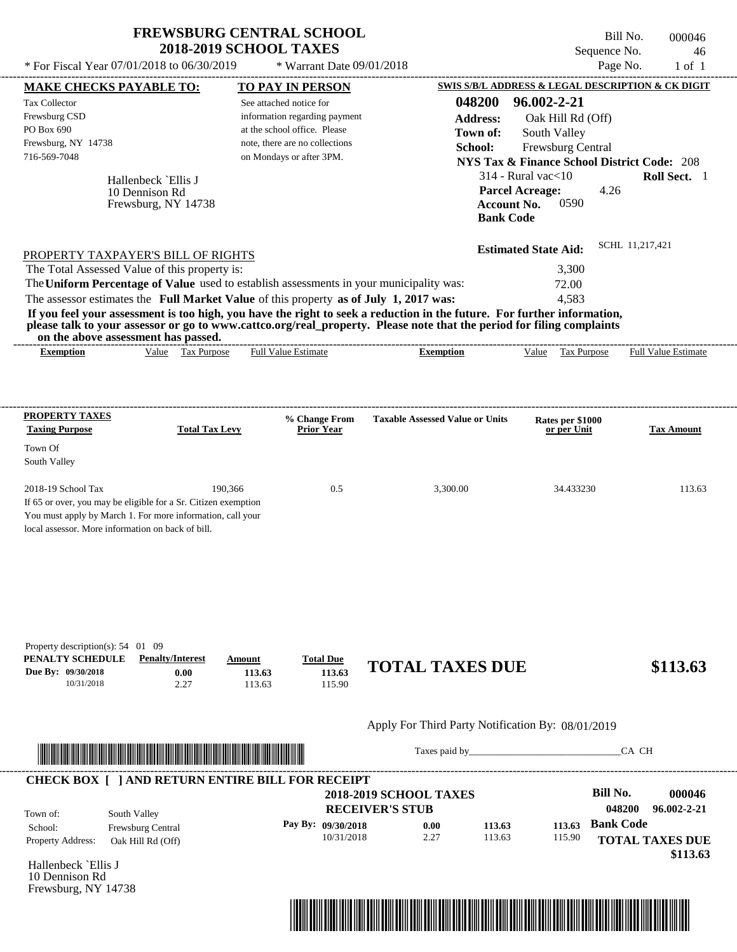\* Warrant Date 09/01/2018

 $*$  For Fiscal Year 07/01/2018 to 06/30/2019

Bill No. 000046 Sequence No. 46<br>Page No. 1 of 1

|                                                                                                                                                                                                                                      | <b>MAKE CHECKS PAYABLE TO:</b> |                       | <b>TO PAY IN PERSON</b>                                                                 |                                                                                                                         |                                 | <b>SWIS S/B/L ADDRESS &amp; LEGAL DESCRIPTION &amp; CK DIGIT</b> |
|--------------------------------------------------------------------------------------------------------------------------------------------------------------------------------------------------------------------------------------|--------------------------------|-----------------------|-----------------------------------------------------------------------------------------|-------------------------------------------------------------------------------------------------------------------------|---------------------------------|------------------------------------------------------------------|
| <b>Tax Collector</b>                                                                                                                                                                                                                 |                                |                       | See attached notice for                                                                 | 048200                                                                                                                  | 96.002-2-21                     |                                                                  |
| Frewsburg CSD                                                                                                                                                                                                                        |                                |                       | information regarding payment                                                           | <b>Address:</b>                                                                                                         | Oak Hill Rd (Off)               |                                                                  |
| PO Box 690                                                                                                                                                                                                                           |                                |                       | at the school office. Please                                                            | Town of:                                                                                                                | South Valley                    |                                                                  |
| Frewsburg, NY 14738                                                                                                                                                                                                                  |                                |                       | note, there are no collections                                                          | School:                                                                                                                 | Frewsburg Central               |                                                                  |
| 716-569-7048                                                                                                                                                                                                                         |                                |                       | on Mondays or after 3PM.                                                                |                                                                                                                         |                                 | <b>NYS Tax &amp; Finance School District Code: 208</b>           |
|                                                                                                                                                                                                                                      | Hallenbeck `Ellis J            |                       |                                                                                         |                                                                                                                         | $314$ - Rural vac $<$ 10        | Roll Sect. 1                                                     |
|                                                                                                                                                                                                                                      | 10 Dennison Rd                 |                       |                                                                                         |                                                                                                                         | <b>Parcel Acreage:</b>          | 4.26                                                             |
|                                                                                                                                                                                                                                      | Frewsburg, NY 14738            |                       |                                                                                         |                                                                                                                         | 0590<br><b>Account No.</b>      |                                                                  |
|                                                                                                                                                                                                                                      |                                |                       |                                                                                         | <b>Bank Code</b>                                                                                                        |                                 |                                                                  |
| PROPERTY TAXPAYER'S BILL OF RIGHTS                                                                                                                                                                                                   |                                |                       |                                                                                         |                                                                                                                         | <b>Estimated State Aid:</b>     | SCHL 11.217.421                                                  |
| The Total Assessed Value of this property is:                                                                                                                                                                                        |                                |                       |                                                                                         |                                                                                                                         | 3,300                           |                                                                  |
|                                                                                                                                                                                                                                      |                                |                       | The Uniform Percentage of Value used to establish assessments in your municipality was: |                                                                                                                         | 72.00                           |                                                                  |
|                                                                                                                                                                                                                                      |                                |                       | The assessor estimates the Full Market Value of this property as of July 1, 2017 was:   |                                                                                                                         | 4,583                           |                                                                  |
|                                                                                                                                                                                                                                      |                                |                       |                                                                                         | If you feel your assessment is too high, you have the right to seek a reduction in the future. For further information, |                                 |                                                                  |
| on the above assessment has passed.                                                                                                                                                                                                  |                                |                       |                                                                                         | please talk to your assessor or go to www.cattco.org/real_property. Please note that the period for filing complaints   |                                 |                                                                  |
| <b>Exemption</b>                                                                                                                                                                                                                     |                                | Value Tax Purpose     | <b>Full Value Estimate</b>                                                              | <b>Exemption</b>                                                                                                        | Value Tax Purpose               | <b>Full Value Estimate</b>                                       |
|                                                                                                                                                                                                                                      |                                |                       |                                                                                         |                                                                                                                         |                                 |                                                                  |
|                                                                                                                                                                                                                                      |                                |                       |                                                                                         |                                                                                                                         |                                 |                                                                  |
| <b>PROPERTY TAXES</b><br><b>Taxing Purpose</b>                                                                                                                                                                                       |                                | <b>Total Tax Levy</b> | % Change From<br><b>Prior Year</b>                                                      | <b>Taxable Assessed Value or Units</b>                                                                                  | Rates per \$1000<br>or per Unit | <b>Tax Amount</b>                                                |
|                                                                                                                                                                                                                                      |                                |                       |                                                                                         |                                                                                                                         |                                 |                                                                  |
| Town Of                                                                                                                                                                                                                              |                                |                       |                                                                                         |                                                                                                                         |                                 |                                                                  |
| South Valley                                                                                                                                                                                                                         |                                |                       |                                                                                         |                                                                                                                         |                                 |                                                                  |
| 2018-19 School Tax                                                                                                                                                                                                                   |                                | 190,366               | 0.5                                                                                     | 3,300.00                                                                                                                | 34.433230                       | 113.63                                                           |
| If 65 or over, you may be eligible for a Sr. Citizen exemption                                                                                                                                                                       |                                |                       |                                                                                         |                                                                                                                         |                                 |                                                                  |
| You must apply by March 1. For more information, call your                                                                                                                                                                           |                                |                       |                                                                                         |                                                                                                                         |                                 |                                                                  |
| local assessor. More information on back of bill.                                                                                                                                                                                    |                                |                       |                                                                                         |                                                                                                                         |                                 |                                                                  |
|                                                                                                                                                                                                                                      |                                |                       |                                                                                         |                                                                                                                         |                                 |                                                                  |
|                                                                                                                                                                                                                                      |                                |                       |                                                                                         |                                                                                                                         |                                 |                                                                  |
|                                                                                                                                                                                                                                      |                                |                       |                                                                                         |                                                                                                                         |                                 |                                                                  |
|                                                                                                                                                                                                                                      |                                |                       |                                                                                         |                                                                                                                         |                                 |                                                                  |
|                                                                                                                                                                                                                                      |                                |                       |                                                                                         |                                                                                                                         |                                 |                                                                  |
| Property description(s): $54$ 01 09                                                                                                                                                                                                  |                                |                       |                                                                                         |                                                                                                                         |                                 |                                                                  |
| PENALTY SCHEDULE                                                                                                                                                                                                                     | <b>Penalty/Interest</b>        | Amount                | <b>Total Due</b>                                                                        | <b>TOTAL TAXES DUE</b>                                                                                                  |                                 |                                                                  |
| 10/31/2018                                                                                                                                                                                                                           | 0.00<br>2.27                   |                       | 113.63<br>113.63<br>113.63<br>115.90                                                    |                                                                                                                         |                                 | \$113.63                                                         |
| Due By: 09/30/2018                                                                                                                                                                                                                   |                                |                       |                                                                                         |                                                                                                                         |                                 |                                                                  |
|                                                                                                                                                                                                                                      |                                |                       |                                                                                         | Apply For Third Party Notification By: 08/01/2019                                                                       |                                 |                                                                  |
| <u> Indian American State and The Communication of the Communication of the Communication of the Communication of the Communication of the Communication of the Communication of the Communication of the Communication of the C</u> |                                |                       |                                                                                         | Taxes paid by                                                                                                           |                                 | CA CH                                                            |
|                                                                                                                                                                                                                                      |                                |                       | <b>CHECK BOX [ ] AND RETURN ENTIRE BILL FOR RECEIPT</b>                                 |                                                                                                                         |                                 |                                                                  |
|                                                                                                                                                                                                                                      |                                |                       |                                                                                         | <b>2018-2019 SCHOOL TAXES</b>                                                                                           |                                 | <b>Bill No.</b>                                                  |
| Town of:                                                                                                                                                                                                                             | South Valley                   |                       |                                                                                         | <b>RECEIVER'S STUB</b>                                                                                                  |                                 | 000046<br>048200<br>96.002-2-21                                  |
| School:                                                                                                                                                                                                                              | Frewsburg Central              |                       | Pay By: 09/30/2018                                                                      | 0.00<br>113.63                                                                                                          | 113.63                          | <b>Bank Code</b>                                                 |
| Property Address:                                                                                                                                                                                                                    | Oak Hill Rd (Off)              |                       | 10/31/2018                                                                              | 2.27<br>113.63                                                                                                          | 115.90                          | <b>TOTAL TAXES DUE</b>                                           |
| Hallenbeck `Ellis J                                                                                                                                                                                                                  |                                |                       |                                                                                         |                                                                                                                         |                                 | \$113.63                                                         |
| 10 Dennison Rd<br>Frewsburg, NY 14738                                                                                                                                                                                                |                                |                       |                                                                                         |                                                                                                                         |                                 |                                                                  |

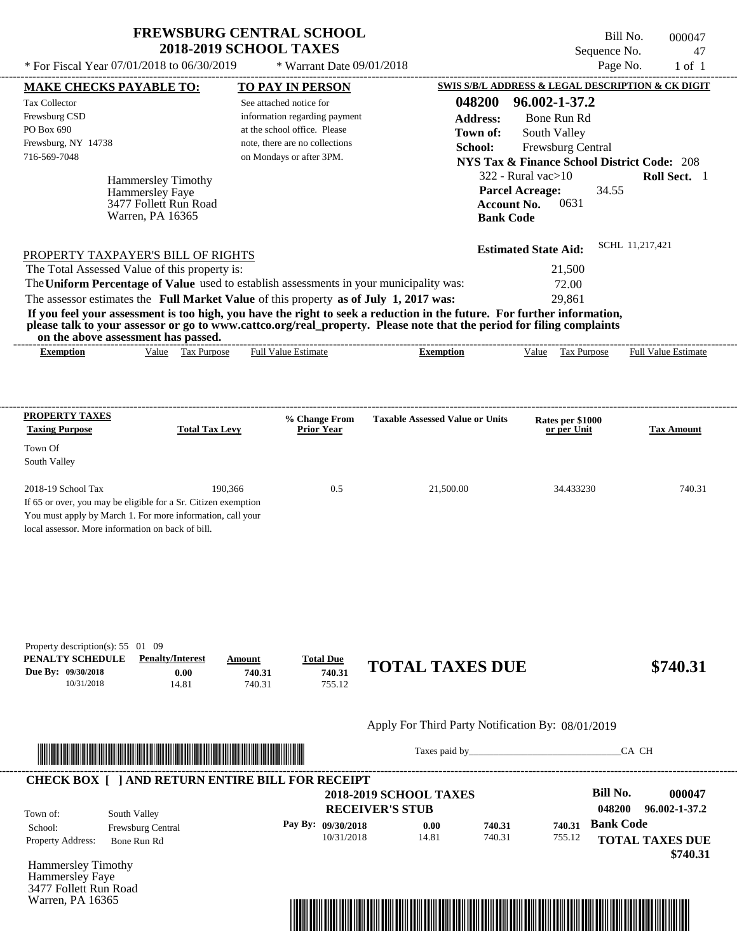$*$  For Fiscal Year 07/01/2018 to 06/30/2019

 $*$  Warrant Date 09/01/2018

Bill No. 000047 Sequence No. 47<br>Page No. 1 of 1

| <b>MAKE CHECKS PAYABLE TO:</b>                                                            |                                                                                                                                                                                   |                       | <b>TO PAY IN PERSON</b>                                                                                                                                                                                                                          |                  |                                                   |                  |                                                        |                  | <b>SWIS S/B/L ADDRESS &amp; LEGAL DESCRIPTION &amp; CK DIGIT</b> |
|-------------------------------------------------------------------------------------------|-----------------------------------------------------------------------------------------------------------------------------------------------------------------------------------|-----------------------|--------------------------------------------------------------------------------------------------------------------------------------------------------------------------------------------------------------------------------------------------|------------------|---------------------------------------------------|------------------|--------------------------------------------------------|------------------|------------------------------------------------------------------|
| <b>Tax Collector</b>                                                                      |                                                                                                                                                                                   |                       | See attached notice for                                                                                                                                                                                                                          |                  |                                                   | 048200           | 96.002-1-37.2                                          |                  |                                                                  |
| Frewsburg CSD                                                                             |                                                                                                                                                                                   |                       | information regarding payment                                                                                                                                                                                                                    |                  |                                                   | <b>Address:</b>  | Bone Run Rd                                            |                  |                                                                  |
| PO Box 690                                                                                |                                                                                                                                                                                   |                       | at the school office. Please                                                                                                                                                                                                                     |                  |                                                   | Town of:         | South Valley                                           |                  |                                                                  |
| Frewsburg, NY 14738                                                                       |                                                                                                                                                                                   |                       | note, there are no collections                                                                                                                                                                                                                   |                  |                                                   | School:          | Frewsburg Central                                      |                  |                                                                  |
| 716-569-7048                                                                              |                                                                                                                                                                                   |                       | on Mondays or after 3PM.                                                                                                                                                                                                                         |                  |                                                   |                  | <b>NYS Tax &amp; Finance School District Code: 208</b> |                  |                                                                  |
|                                                                                           | <b>Hammersley Timothy</b>                                                                                                                                                         |                       |                                                                                                                                                                                                                                                  |                  |                                                   |                  | $322$ - Rural vac $>10$                                |                  | Roll Sect. 1                                                     |
|                                                                                           | Hammersley Faye                                                                                                                                                                   |                       |                                                                                                                                                                                                                                                  |                  |                                                   |                  | <b>Parcel Acreage:</b>                                 | 34.55            |                                                                  |
|                                                                                           | 3477 Follett Run Road                                                                                                                                                             |                       |                                                                                                                                                                                                                                                  |                  |                                                   |                  | 0631<br><b>Account No.</b>                             |                  |                                                                  |
|                                                                                           | Warren, PA 16365                                                                                                                                                                  |                       |                                                                                                                                                                                                                                                  |                  |                                                   | <b>Bank Code</b> |                                                        |                  |                                                                  |
|                                                                                           |                                                                                                                                                                                   |                       |                                                                                                                                                                                                                                                  |                  |                                                   |                  |                                                        |                  | SCHL 11,217,421                                                  |
| PROPERTY TAXPAYER'S BILL OF RIGHTS                                                        |                                                                                                                                                                                   |                       |                                                                                                                                                                                                                                                  |                  |                                                   |                  | <b>Estimated State Aid:</b>                            |                  |                                                                  |
| The Total Assessed Value of this property is:                                             |                                                                                                                                                                                   |                       |                                                                                                                                                                                                                                                  |                  |                                                   |                  | 21,500                                                 |                  |                                                                  |
|                                                                                           |                                                                                                                                                                                   |                       | The Uniform Percentage of Value used to establish assessments in your municipality was:                                                                                                                                                          |                  |                                                   |                  | 72.00                                                  |                  |                                                                  |
|                                                                                           |                                                                                                                                                                                   |                       | The assessor estimates the Full Market Value of this property as of July 1, 2017 was:                                                                                                                                                            |                  |                                                   |                  | 29,861                                                 |                  |                                                                  |
|                                                                                           | on the above assessment has passed.                                                                                                                                               |                       | If you feel your assessment is too high, you have the right to seek a reduction in the future. For further information,<br>please talk to your assessor or go to www.cattco.org/real_property. Please note that the period for filing complaints |                  |                                                   |                  |                                                        |                  |                                                                  |
| <b>Exemption</b>                                                                          |                                                                                                                                                                                   | Value Tax Purpose     | <b>Full Value Estimate</b>                                                                                                                                                                                                                       |                  | <b>Exemption</b>                                  |                  |                                                        |                  | Value Tax Purpose Full Value Estimate                            |
|                                                                                           |                                                                                                                                                                                   |                       |                                                                                                                                                                                                                                                  |                  |                                                   |                  |                                                        |                  |                                                                  |
|                                                                                           |                                                                                                                                                                                   |                       |                                                                                                                                                                                                                                                  |                  |                                                   |                  |                                                        |                  |                                                                  |
| PROPERTY TAXES<br><b>Taxing Purpose</b>                                                   |                                                                                                                                                                                   | <b>Total Tax Levy</b> | % Change From<br><b>Prior Year</b>                                                                                                                                                                                                               |                  | <b>Taxable Assessed Value or Units</b>            |                  | Rates per \$1000<br>or per Unit                        |                  | <b>Tax Amount</b>                                                |
|                                                                                           |                                                                                                                                                                                   |                       |                                                                                                                                                                                                                                                  |                  |                                                   |                  |                                                        |                  |                                                                  |
| Town Of<br>South Valley                                                                   |                                                                                                                                                                                   |                       |                                                                                                                                                                                                                                                  |                  |                                                   |                  |                                                        |                  |                                                                  |
| 2018-19 School Tax                                                                        |                                                                                                                                                                                   | 190,366               |                                                                                                                                                                                                                                                  | 0.5              | 21,500.00                                         |                  | 34.433230                                              |                  | 740.31                                                           |
|                                                                                           | If 65 or over, you may be eligible for a Sr. Citizen exemption<br>You must apply by March 1. For more information, call your<br>local assessor. More information on back of bill. |                       |                                                                                                                                                                                                                                                  |                  |                                                   |                  |                                                        |                  |                                                                  |
| Property description(s): 55 01 09<br>PENALTY SCHEDULE<br>Due By: 09/30/2018<br>10/31/2018 | <b>Penalty/Interest</b>                                                                                                                                                           | 0.00<br>14.81         | <b>Total Due</b><br>Amount<br>740.31<br>740.31                                                                                                                                                                                                   | 740.31<br>755.12 | <b>TOTAL TAXES DUE</b>                            |                  |                                                        |                  | \$740.31                                                         |
|                                                                                           |                                                                                                                                                                                   |                       |                                                                                                                                                                                                                                                  |                  | Apply For Third Party Notification By: 08/01/2019 |                  |                                                        |                  |                                                                  |
|                                                                                           | <u> 1999 - Paris Andrews, Amerikaansk filosof (f. 1989)</u>                                                                                                                       |                       |                                                                                                                                                                                                                                                  |                  |                                                   |                  | Taxes paid by                                          |                  | CA CH                                                            |
|                                                                                           |                                                                                                                                                                                   |                       | <b>CHECK BOX [ ] AND RETURN ENTIRE BILL FOR RECEIPT</b>                                                                                                                                                                                          |                  |                                                   |                  |                                                        |                  |                                                                  |
|                                                                                           |                                                                                                                                                                                   |                       |                                                                                                                                                                                                                                                  |                  | <b>2018-2019 SCHOOL TAXES</b>                     |                  |                                                        | <b>Bill No.</b>  | 000047                                                           |
| Town of:                                                                                  | South Valley                                                                                                                                                                      |                       |                                                                                                                                                                                                                                                  |                  | <b>RECEIVER'S STUB</b>                            |                  |                                                        | 048200           | 96.002-1-37.2                                                    |
| School:                                                                                   | Frewsburg Central                                                                                                                                                                 |                       | Pay By: 09/30/2018                                                                                                                                                                                                                               |                  | 0.00                                              | 740.31           | 740.31                                                 | <b>Bank Code</b> |                                                                  |
| Property Address:                                                                         | Bone Run Rd                                                                                                                                                                       |                       |                                                                                                                                                                                                                                                  | 10/31/2018       | 14.81                                             | 740.31           | 755.12                                                 |                  | <b>TOTAL TAXES DUE</b><br>\$740.31                               |
| <b>Hammersley Timothy</b><br>Hammersley Faye                                              |                                                                                                                                                                                   |                       |                                                                                                                                                                                                                                                  |                  |                                                   |                  |                                                        |                  |                                                                  |
| 3477 Follett Run Road                                                                     |                                                                                                                                                                                   |                       |                                                                                                                                                                                                                                                  |                  |                                                   |                  |                                                        |                  |                                                                  |
| Warren, PA 16365                                                                          |                                                                                                                                                                                   |                       |                                                                                                                                                                                                                                                  |                  |                                                   |                  |                                                        |                  |                                                                  |
|                                                                                           |                                                                                                                                                                                   |                       |                                                                                                                                                                                                                                                  |                  | <u> 1989 - André Maria Barat, manala</u>          |                  |                                                        |                  |                                                                  |
|                                                                                           |                                                                                                                                                                                   |                       |                                                                                                                                                                                                                                                  |                  |                                                   |                  |                                                        |                  |                                                                  |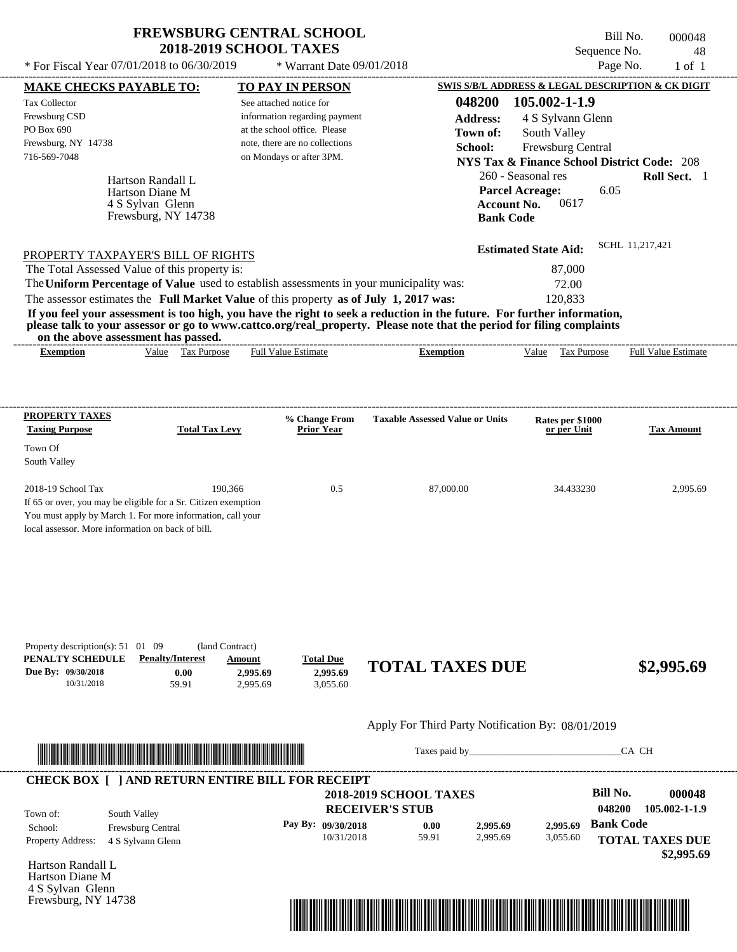\* For Fiscal Year  $07/01/2018$  to  $06/30/2019$  \* Warrant Date  $09/01/2018$  Page No. 1 of 1

Frewsburg, NY 14738

 $*$  Warrant Date 09/01/2018

Bill No. 000048 Sequence No. 48<br>Page No. 1 of 1

| <b>MAKE CHECKS PAYABLE TO:</b>                                                                                          |                         | <b>TO PAY IN PERSON</b>      |                                |                                                   |                    |                                                        |                  | SWIS S/B/L ADDRESS & LEGAL DESCRIPTION & CK DIGIT |
|-------------------------------------------------------------------------------------------------------------------------|-------------------------|------------------------------|--------------------------------|---------------------------------------------------|--------------------|--------------------------------------------------------|------------------|---------------------------------------------------|
| <b>Tax Collector</b>                                                                                                    |                         | See attached notice for      |                                |                                                   | 048200             | 105.002-1-1.9                                          |                  |                                                   |
| Frewsburg CSD                                                                                                           |                         |                              | information regarding payment  |                                                   | <b>Address:</b>    | 4 S Sylvann Glenn                                      |                  |                                                   |
| PO Box 690                                                                                                              |                         | at the school office. Please |                                |                                                   | Town of:           | South Valley                                           |                  |                                                   |
| Frewsburg, NY 14738                                                                                                     |                         |                              | note, there are no collections |                                                   | School:            | Frewsburg Central                                      |                  |                                                   |
| 716-569-7048                                                                                                            |                         | on Mondays or after 3PM.     |                                |                                                   |                    | <b>NYS Tax &amp; Finance School District Code: 208</b> |                  |                                                   |
|                                                                                                                         | Hartson Randall L       |                              |                                |                                                   |                    | 260 - Seasonal res                                     |                  | Roll Sect. 1                                      |
|                                                                                                                         | Hartson Diane M         |                              |                                |                                                   |                    | <b>Parcel Acreage:</b>                                 | 6.05             |                                                   |
|                                                                                                                         | 4 S Sylvan Glenn        |                              |                                |                                                   | <b>Account No.</b> | 0617                                                   |                  |                                                   |
|                                                                                                                         | Frewsburg, NY 14738     |                              |                                |                                                   | <b>Bank Code</b>   |                                                        |                  |                                                   |
| PROPERTY TAXPAYER'S BILL OF RIGHTS                                                                                      |                         |                              |                                |                                                   |                    | <b>Estimated State Aid:</b>                            |                  | SCHL 11.217.421                                   |
| The Total Assessed Value of this property is:                                                                           |                         |                              |                                |                                                   |                    | 87,000                                                 |                  |                                                   |
| The Uniform Percentage of Value used to establish assessments in your municipality was:                                 |                         |                              |                                |                                                   |                    | 72.00                                                  |                  |                                                   |
| The assessor estimates the Full Market Value of this property as of July 1, 2017 was:                                   |                         |                              |                                |                                                   |                    | 120,833                                                |                  |                                                   |
| If you feel your assessment is too high, you have the right to seek a reduction in the future. For further information, |                         |                              |                                |                                                   |                    |                                                        |                  |                                                   |
| please talk to your assessor or go to www.cattco.org/real_property. Please note that the period for filing complaints   |                         |                              |                                |                                                   |                    |                                                        |                  |                                                   |
| on the above assessment has passed.<br><b>Exemption</b>                                                                 | Value Tax Purpose       | <b>Full Value Estimate</b>   |                                | <b>Exemption</b>                                  |                    | Value Tax Purpose                                      |                  | <b>Full Value Estimate</b>                        |
|                                                                                                                         |                         |                              |                                |                                                   |                    |                                                        |                  |                                                   |
|                                                                                                                         |                         |                              |                                |                                                   |                    |                                                        |                  |                                                   |
| <b>PROPERTY TAXES</b>                                                                                                   |                         |                              | % Change From                  | <b>Taxable Assessed Value or Units</b>            |                    | Rates per \$1000                                       |                  |                                                   |
| <b>Taxing Purpose</b>                                                                                                   | <b>Total Tax Levy</b>   |                              | <b>Prior Year</b>              |                                                   |                    | or per Unit                                            |                  | Tax Amount                                        |
| Town Of                                                                                                                 |                         |                              |                                |                                                   |                    |                                                        |                  |                                                   |
| South Valley                                                                                                            |                         |                              |                                |                                                   |                    |                                                        |                  |                                                   |
| 2018-19 School Tax                                                                                                      |                         | 190,366                      | 0.5                            | 87,000.00                                         |                    | 34.433230                                              |                  | 2,995.69                                          |
| If 65 or over, you may be eligible for a Sr. Citizen exemption                                                          |                         |                              |                                |                                                   |                    |                                                        |                  |                                                   |
| You must apply by March 1. For more information, call your                                                              |                         |                              |                                |                                                   |                    |                                                        |                  |                                                   |
| local assessor. More information on back of bill.                                                                       |                         |                              |                                |                                                   |                    |                                                        |                  |                                                   |
|                                                                                                                         |                         |                              |                                |                                                   |                    |                                                        |                  |                                                   |
|                                                                                                                         |                         |                              |                                |                                                   |                    |                                                        |                  |                                                   |
| Property description(s): $51 \quad 01 \quad 09$<br>PENALTY SCHEDULE                                                     | <b>Penalty/Interest</b> | (land Contract)<br>Amount    | <b>Total Due</b>               | <b>TOTAL TAXES DUE</b>                            |                    |                                                        |                  | \$2,995.69                                        |
| Due By: 09/30/2018<br>10/31/2018                                                                                        | 0.00<br>59.91           | 2,995.69<br>2,995.69         | 2,995.69<br>3,055.60           |                                                   |                    |                                                        |                  |                                                   |
|                                                                                                                         |                         |                              |                                | Apply For Third Party Notification By: 08/01/2019 |                    |                                                        |                  |                                                   |
|                                                                                                                         |                         |                              |                                |                                                   |                    | Taxes paid by                                          |                  | CA CH                                             |
| <b>CHECK BOX [ ] AND RETURN ENTIRE BILL FOR RECEIPT</b>                                                                 |                         |                              |                                |                                                   |                    |                                                        |                  |                                                   |
|                                                                                                                         |                         |                              |                                | <b>2018-2019 SCHOOL TAXES</b>                     |                    |                                                        | <b>Bill No.</b>  | 000048                                            |
| Town of:                                                                                                                | South Valley            |                              |                                | <b>RECEIVER'S STUB</b>                            |                    |                                                        | 048200           | 105.002-1-1.9                                     |
| School:                                                                                                                 | Frewsburg Central       |                              | Pay By: 09/30/2018             | 0.00                                              | 2,995.69           | 2.995.69                                               | <b>Bank Code</b> |                                                   |
| Property Address:                                                                                                       | 4 S Sylvann Glenn       |                              | 10/31/2018                     | 59.91                                             | 2,995.69           | 3,055.60                                               |                  | <b>TOTAL TAXES DUE</b>                            |
|                                                                                                                         |                         |                              |                                |                                                   |                    |                                                        |                  | \$2,995.69                                        |
| Hartson Randall L<br>Hartson Diane M<br>4 S Sylvan Glenn                                                                |                         |                              |                                |                                                   |                    |                                                        |                  |                                                   |

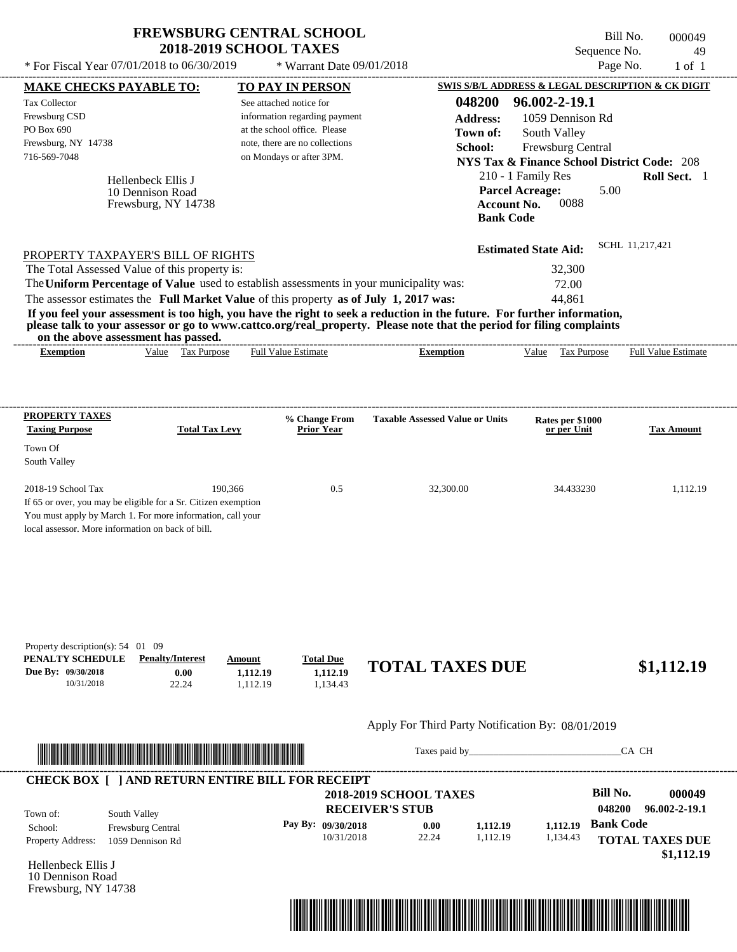| <b>FREWSBURG CENTRAL SCHOOL</b> |  |
|---------------------------------|--|
| <b>2018-2019 SCHOOL TAXES</b>   |  |

\* Warrant Date 09/01/2018

 $*$  For Fiscal Year 07/01/2018 to 06/30/2019

Bill No. 000049 Sequence No. 49

| <b>MAKE CHECKS PAYABLE TO:</b>                                                            |                                                                                                                                                                                                                                      |                                | <b>TO PAY IN PERSON</b>                                                                  |                                                                                                                                                                                                                                                  | <b>SWIS S/B/L ADDRESS &amp; LEGAL DESCRIPTION &amp; CK DIGIT</b>                                                                            |                                      |
|-------------------------------------------------------------------------------------------|--------------------------------------------------------------------------------------------------------------------------------------------------------------------------------------------------------------------------------------|--------------------------------|------------------------------------------------------------------------------------------|--------------------------------------------------------------------------------------------------------------------------------------------------------------------------------------------------------------------------------------------------|---------------------------------------------------------------------------------------------------------------------------------------------|--------------------------------------|
| <b>Tax Collector</b><br>Frewsburg CSD<br>PO Box 690                                       |                                                                                                                                                                                                                                      |                                | See attached notice for<br>information regarding payment<br>at the school office. Please | 048200<br><b>Address:</b><br>Town of:                                                                                                                                                                                                            | 96.002-2-19.1<br>1059 Dennison Rd<br>South Valley                                                                                           |                                      |
| Frewsburg, NY 14738<br>716-569-7048                                                       | Hellenbeck Ellis J<br>10 Dennison Road<br>Frewsburg, NY 14738                                                                                                                                                                        |                                | note, there are no collections<br>on Mondays or after 3PM.                               | School:<br><b>Account No.</b>                                                                                                                                                                                                                    | Frewsburg Central<br><b>NYS Tax &amp; Finance School District Code: 208</b><br>210 - 1 Family Res<br><b>Parcel Acreage:</b><br>5.00<br>0088 | Roll Sect. 1                         |
|                                                                                           |                                                                                                                                                                                                                                      |                                |                                                                                          | <b>Bank Code</b>                                                                                                                                                                                                                                 |                                                                                                                                             |                                      |
|                                                                                           | PROPERTY TAXPAYER'S BILL OF RIGHTS                                                                                                                                                                                                   |                                |                                                                                          |                                                                                                                                                                                                                                                  | <b>Estimated State Aid:</b>                                                                                                                 | SCHL 11.217.421                      |
|                                                                                           | The Total Assessed Value of this property is:                                                                                                                                                                                        |                                |                                                                                          | The Uniform Percentage of Value used to establish assessments in your municipality was:                                                                                                                                                          | 32,300<br>72.00                                                                                                                             |                                      |
|                                                                                           | The assessor estimates the Full Market Value of this property as of July 1, 2017 was:<br>on the above assessment has passed.                                                                                                         |                                |                                                                                          | If you feel your assessment is too high, you have the right to seek a reduction in the future. For further information,<br>please talk to your assessor or go to www.cattco.org/real_property. Please note that the period for filing complaints | 44,861                                                                                                                                      |                                      |
| <b>Exemption</b>                                                                          | Value Tax Purpose                                                                                                                                                                                                                    |                                | <b>Full Value Estimate</b>                                                               | <b>Exemption</b>                                                                                                                                                                                                                                 | Value Tax Purpose Full Value Estimate                                                                                                       |                                      |
|                                                                                           |                                                                                                                                                                                                                                      |                                |                                                                                          |                                                                                                                                                                                                                                                  |                                                                                                                                             |                                      |
| <b>PROPERTY TAXES</b><br><b>Taxing Purpose</b>                                            | <b>Total Tax Levy</b>                                                                                                                                                                                                                |                                | % Change From<br><b>Prior Year</b>                                                       | <b>Taxable Assessed Value or Units</b>                                                                                                                                                                                                           | Rates per \$1000<br>or per Unit                                                                                                             | <b>Tax Amount</b>                    |
| Town Of<br>South Valley                                                                   |                                                                                                                                                                                                                                      |                                |                                                                                          |                                                                                                                                                                                                                                                  |                                                                                                                                             |                                      |
| 2018-19 School Tax                                                                        | If 65 or over, you may be eligible for a Sr. Citizen exemption<br>You must apply by March 1. For more information, call your<br>local assessor. More information on back of bill.                                                    | 190,366                        | 0.5                                                                                      | 32,300.00                                                                                                                                                                                                                                        | 34.433230                                                                                                                                   | 1,112.19                             |
| Property description(s): 54 01 09<br>PENALTY SCHEDULE<br>Due By: 09/30/2018<br>10/31/2018 | <b>Penalty/Interest</b><br>0.00<br>22.24                                                                                                                                                                                             | Amount<br>1,112.19<br>1,112.19 | <b>Total Due</b><br>1,112.19<br>1,134.43                                                 | <b>TOTAL TAXES DUE</b>                                                                                                                                                                                                                           |                                                                                                                                             | \$1,112.19                           |
|                                                                                           |                                                                                                                                                                                                                                      |                                |                                                                                          | Apply For Third Party Notification By: 08/01/2019                                                                                                                                                                                                |                                                                                                                                             |                                      |
|                                                                                           | <u> Indian American State and The Communication of the Communication of the Communication of the Communication of the Communication of the Communication of the Communication of the Communication of the Communication of the C</u> |                                |                                                                                          | Taxes paid by Taxes and the Taxes paid by Taxes and the Taxes and the Taxes and the Taxes and the Taxes and the Taxes and the Taxes and the Taxes and the Taxes and the Taxes and the Taxes and the Taxes and the Taxes and th                   |                                                                                                                                             | CA CH                                |
|                                                                                           | <b>CHECK BOX [ ] AND RETURN ENTIRE BILL FOR RECEIPT</b>                                                                                                                                                                              |                                |                                                                                          | <b>2018-2019 SCHOOL TAXES</b>                                                                                                                                                                                                                    | <b>Bill No.</b>                                                                                                                             | 000049                               |
| Town of:                                                                                  | South Valley                                                                                                                                                                                                                         |                                |                                                                                          | <b>RECEIVER'S STUB</b>                                                                                                                                                                                                                           | 048200<br><b>Bank Code</b>                                                                                                                  | 96.002-2-19.1                        |
| School:<br>Property Address:                                                              | Frewsburg Central<br>1059 Dennison Rd                                                                                                                                                                                                |                                | Pay By: 09/30/2018<br>10/31/2018                                                         | 0.00<br>1,112.19<br>22.24<br>1,112.19                                                                                                                                                                                                            | 1,112.19<br>1,134.43                                                                                                                        | <b>TOTAL TAXES DUE</b><br>\$1,112.19 |
| Hellenbeck Ellis J<br>10 Dennison Road<br>Frewsburg, NY 14738                             |                                                                                                                                                                                                                                      |                                |                                                                                          |                                                                                                                                                                                                                                                  |                                                                                                                                             |                                      |
|                                                                                           |                                                                                                                                                                                                                                      |                                |                                                                                          |                                                                                                                                                                                                                                                  |                                                                                                                                             |                                      |
|                                                                                           |                                                                                                                                                                                                                                      |                                |                                                                                          | <u> 1989 - Andrea Stadt British Stadt British Stadt British Stadt British Stadt British Stadt British Stadt British Stadt British Stadt British Stadt British Stadt British Stadt British Stadt British Stadt British Stadt Brit</u>             |                                                                                                                                             |                                      |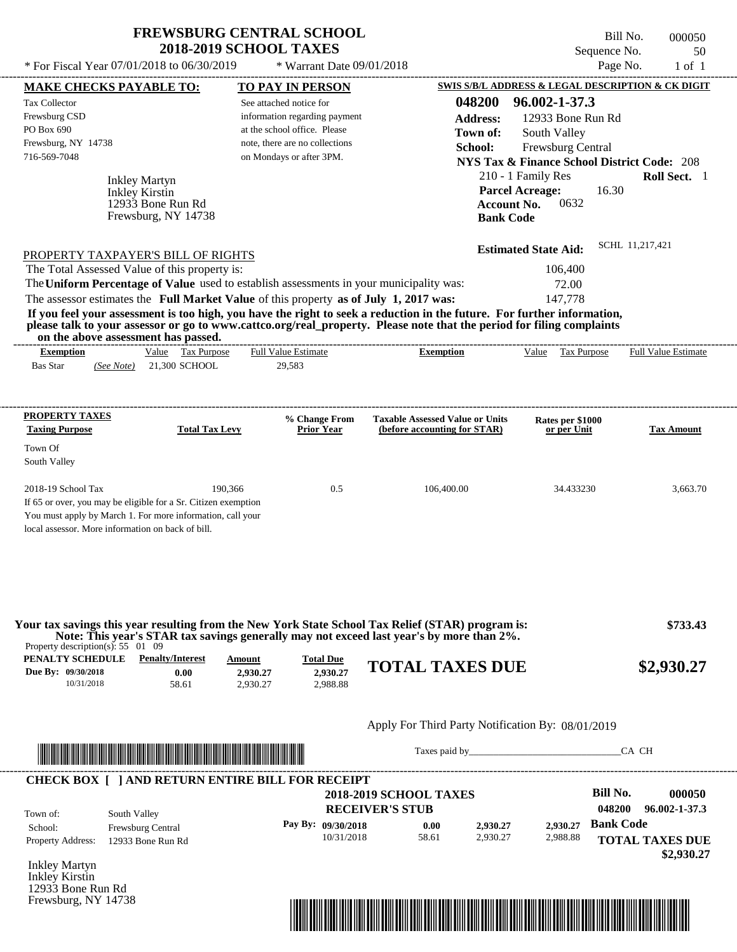\* For Fiscal Year 07/01/2018 to 06/30/2019  $*$  Warrant Date 09/01/2018 Page No. 1 of 1

 $*$  Warrant Date 09/01/2018

Bill No. 000050 Sequence No. 50<br>Page No. 1 of 1

|                                                 | <b>MAKE CHECKS PAYABLE TO:</b>                                                                                          |                       | <b>TO PAY IN PERSON</b>                                       |                                                                                                                                                                                                                                                  | <b>SWIS S/B/L ADDRESS &amp; LEGAL DESCRIPTION &amp; CK DIGIT</b>            |                        |
|-------------------------------------------------|-------------------------------------------------------------------------------------------------------------------------|-----------------------|---------------------------------------------------------------|--------------------------------------------------------------------------------------------------------------------------------------------------------------------------------------------------------------------------------------------------|-----------------------------------------------------------------------------|------------------------|
| <b>Tax Collector</b><br>Frewsburg CSD           |                                                                                                                         |                       | See attached notice for                                       | 048200                                                                                                                                                                                                                                           | 96.002-1-37.3                                                               |                        |
| PO Box 690                                      |                                                                                                                         |                       | information regarding payment<br>at the school office. Please | <b>Address:</b>                                                                                                                                                                                                                                  | 12933 Bone Run Rd                                                           |                        |
| Frewsburg, NY 14738                             |                                                                                                                         |                       | note, there are no collections                                | Town of:                                                                                                                                                                                                                                         | South Valley                                                                |                        |
| 716-569-7048                                    |                                                                                                                         |                       | on Mondays or after 3PM.                                      | School:                                                                                                                                                                                                                                          | Frewsburg Central<br><b>NYS Tax &amp; Finance School District Code: 208</b> |                        |
|                                                 |                                                                                                                         |                       |                                                               |                                                                                                                                                                                                                                                  | 210 - 1 Family Res                                                          | Roll Sect. 1           |
|                                                 | <b>Inkley Martyn</b>                                                                                                    |                       |                                                               |                                                                                                                                                                                                                                                  | <b>Parcel Acreage:</b><br>16.30                                             |                        |
|                                                 | Inkley Kirstin<br>12933 Bone Run Rd                                                                                     |                       |                                                               | <b>Account No.</b>                                                                                                                                                                                                                               | 0632                                                                        |                        |
|                                                 | Frewsburg, NY 14738                                                                                                     |                       |                                                               | <b>Bank Code</b>                                                                                                                                                                                                                                 |                                                                             |                        |
|                                                 |                                                                                                                         |                       |                                                               |                                                                                                                                                                                                                                                  |                                                                             |                        |
|                                                 | PROPERTY TAXPAYER'S BILL OF RIGHTS                                                                                      |                       |                                                               |                                                                                                                                                                                                                                                  | <b>Estimated State Aid:</b>                                                 | SCHL 11,217,421        |
|                                                 | The Total Assessed Value of this property is:                                                                           |                       |                                                               |                                                                                                                                                                                                                                                  | 106,400                                                                     |                        |
|                                                 |                                                                                                                         |                       |                                                               | The Uniform Percentage of Value used to establish assessments in your municipality was:                                                                                                                                                          | 72.00                                                                       |                        |
|                                                 | The assessor estimates the Full Market Value of this property as of July 1, 2017 was:                                   |                       |                                                               |                                                                                                                                                                                                                                                  | 147,778                                                                     |                        |
|                                                 | on the above assessment has passed.                                                                                     |                       |                                                               | If you feel your assessment is too high, you have the right to seek a reduction in the future. For further information,<br>please talk to your assessor or go to www.cattco.org/real_property. Please note that the period for filing complaints |                                                                             |                        |
| <b>Exemption</b>                                | Value Tax Purpose                                                                                                       |                       | <b>Full Value Estimate</b>                                    | <b>Exemption</b>                                                                                                                                                                                                                                 | Value Tax Purpose Full Value Estimate                                       |                        |
| <b>Bas Star</b>                                 | (See Note) 21,300 SCHOOL                                                                                                |                       | 29,583                                                        |                                                                                                                                                                                                                                                  |                                                                             |                        |
|                                                 |                                                                                                                         |                       |                                                               |                                                                                                                                                                                                                                                  |                                                                             |                        |
| <b>PROPERTY TAXES</b>                           |                                                                                                                         |                       | % Change From                                                 | <b>Taxable Assessed Value or Units</b>                                                                                                                                                                                                           | Rates per \$1000                                                            |                        |
| <b>Taxing Purpose</b>                           |                                                                                                                         | <b>Total Tax Levy</b> | <b>Prior Year</b>                                             | (before accounting for STAR)                                                                                                                                                                                                                     | or per Unit                                                                 | <b>Tax Amount</b>      |
| Town Of                                         |                                                                                                                         |                       |                                                               |                                                                                                                                                                                                                                                  |                                                                             |                        |
| South Valley                                    |                                                                                                                         |                       |                                                               |                                                                                                                                                                                                                                                  |                                                                             |                        |
| 2018-19 School Tax                              |                                                                                                                         | 190,366               | 0.5                                                           | 106,400.00                                                                                                                                                                                                                                       | 34.433230                                                                   | 3,663.70               |
|                                                 | If 65 or over, you may be eligible for a Sr. Citizen exemption                                                          |                       |                                                               |                                                                                                                                                                                                                                                  |                                                                             |                        |
|                                                 | You must apply by March 1. For more information, call your                                                              |                       |                                                               |                                                                                                                                                                                                                                                  |                                                                             |                        |
|                                                 | local assessor. More information on back of bill.                                                                       |                       |                                                               |                                                                                                                                                                                                                                                  |                                                                             |                        |
|                                                 |                                                                                                                         |                       |                                                               |                                                                                                                                                                                                                                                  |                                                                             |                        |
|                                                 |                                                                                                                         |                       |                                                               |                                                                                                                                                                                                                                                  |                                                                             |                        |
|                                                 |                                                                                                                         |                       |                                                               | Your tax savings this year resulting from the New York State School Tax Relief (STAR) program is:                                                                                                                                                |                                                                             | \$733.43               |
| Property description(s): $55 \quad 01 \quad 09$ |                                                                                                                         |                       |                                                               | Note: This year's STAR tax savings generally may not exceed last year's by more than 2%.                                                                                                                                                         |                                                                             |                        |
| PENALTY SCHEDULE<br>Due By: 09/30/2018          | <b>Penalty/Interest</b><br>0.00                                                                                         | Amount<br>2,930.27    | <b>Total Due</b><br>2,930.27                                  | <b>TOTAL TAXES DUE</b>                                                                                                                                                                                                                           |                                                                             | \$2,930.27             |
| 10/31/2018                                      | 58.61                                                                                                                   | 2,930.27              | 2.988.88                                                      |                                                                                                                                                                                                                                                  |                                                                             |                        |
|                                                 |                                                                                                                         |                       |                                                               |                                                                                                                                                                                                                                                  |                                                                             |                        |
|                                                 |                                                                                                                         |                       |                                                               | Apply For Third Party Notification By: 08/01/2019                                                                                                                                                                                                |                                                                             |                        |
|                                                 |                                                                                                                         |                       |                                                               |                                                                                                                                                                                                                                                  |                                                                             | CA CH                  |
|                                                 | <u> Indian American American Indian American Indian American Indian American Indian American Indian American Indian</u> |                       |                                                               |                                                                                                                                                                                                                                                  |                                                                             |                        |
|                                                 | <b>CHECK BOX [ ] AND RETURN ENTIRE BILL FOR RECEIPT</b>                                                                 |                       |                                                               |                                                                                                                                                                                                                                                  |                                                                             |                        |
|                                                 |                                                                                                                         |                       |                                                               | <b>2018-2019 SCHOOL TAXES</b>                                                                                                                                                                                                                    | <b>Bill No.</b>                                                             | 000050                 |
| Town of:                                        | South Valley                                                                                                            |                       |                                                               | <b>RECEIVER'S STUB</b>                                                                                                                                                                                                                           | 048200                                                                      | 96.002-1-37.3          |
| School:                                         | Frewsburg Central                                                                                                       |                       | Pay By: 09/30/2018                                            | 0.00<br>2,930.27                                                                                                                                                                                                                                 | <b>Bank Code</b><br>2,930.27                                                |                        |
| <b>Property Address:</b>                        | 12933 Bone Run Rd                                                                                                       |                       | 10/31/2018                                                    | 58.61<br>2,930.27                                                                                                                                                                                                                                | 2,988.88                                                                    | <b>TOTAL TAXES DUE</b> |
| <b>Inkley Martyn</b>                            |                                                                                                                         |                       |                                                               |                                                                                                                                                                                                                                                  |                                                                             | \$2,930.27             |
| Inkley Kirstin                                  |                                                                                                                         |                       |                                                               |                                                                                                                                                                                                                                                  |                                                                             |                        |
| 12933 Bone Run Rd                               |                                                                                                                         |                       |                                                               |                                                                                                                                                                                                                                                  |                                                                             |                        |
| Frewsburg, NY 14738                             |                                                                                                                         |                       |                                                               |                                                                                                                                                                                                                                                  |                                                                             |                        |
|                                                 |                                                                                                                         |                       |                                                               |                                                                                                                                                                                                                                                  |                                                                             |                        |
|                                                 |                                                                                                                         |                       |                                                               | <u> 1989 - Andrea Stadt British Stadt British Stadt British Stadt British Stadt British Stadt British Stadt Britis</u>                                                                                                                           |                                                                             |                        |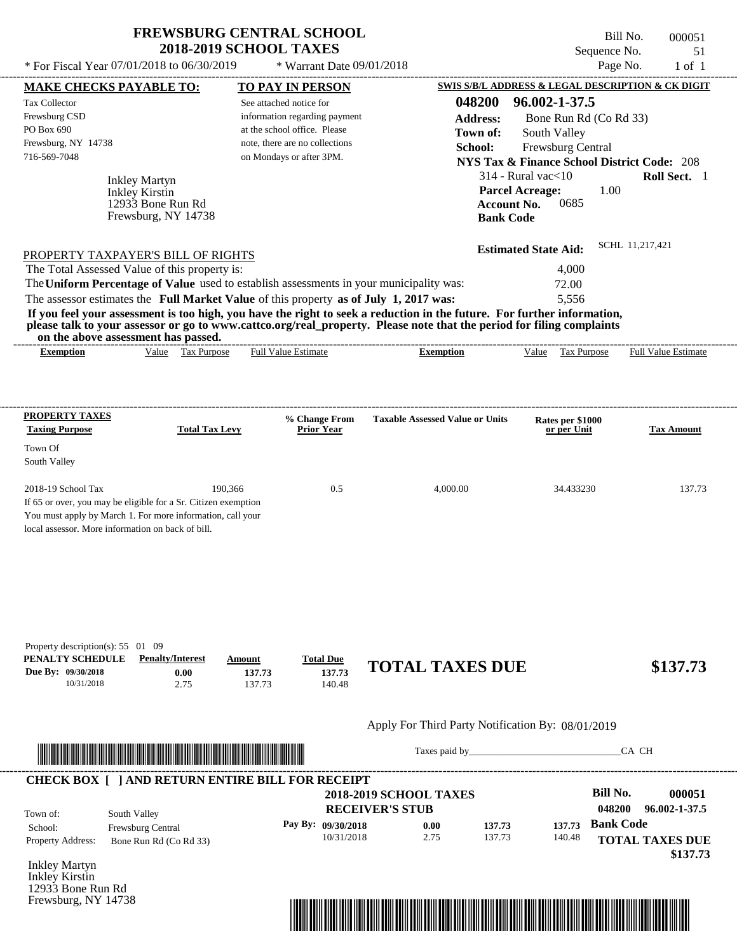\* For Fiscal Year  $07/01/2018$  to  $06/30/2019$  \* Warrant Date  $09/01/2018$  Page No. 1 of 1

 $*$  Warrant Date 09/01/2018

| <b>MAKE CHECKS PAYABLE TO:</b>                                                                                                                                                                                                       |                         |                       |         | <b>TO PAY IN PERSON</b>          |                                                                                                                         |                        |                                                        |                  | <b>SWIS S/B/L ADDRESS &amp; LEGAL DESCRIPTION &amp; CK DIGIT</b> |
|--------------------------------------------------------------------------------------------------------------------------------------------------------------------------------------------------------------------------------------|-------------------------|-----------------------|---------|----------------------------------|-------------------------------------------------------------------------------------------------------------------------|------------------------|--------------------------------------------------------|------------------|------------------------------------------------------------------|
| <b>Tax Collector</b>                                                                                                                                                                                                                 |                         |                       |         | See attached notice for          |                                                                                                                         | 048200                 | 96.002-1-37.5                                          |                  |                                                                  |
| Frewsburg CSD                                                                                                                                                                                                                        |                         |                       |         | information regarding payment    |                                                                                                                         | <b>Address:</b>        | Bone Run Rd (Co Rd 33)                                 |                  |                                                                  |
| PO Box 690                                                                                                                                                                                                                           |                         |                       |         | at the school office. Please     |                                                                                                                         | Town of:               | South Valley                                           |                  |                                                                  |
| Frewsburg, NY 14738                                                                                                                                                                                                                  |                         |                       |         | note, there are no collections   |                                                                                                                         | School:                | Frewsburg Central                                      |                  |                                                                  |
| 716-569-7048                                                                                                                                                                                                                         |                         |                       |         | on Mondays or after 3PM.         |                                                                                                                         |                        | <b>NYS Tax &amp; Finance School District Code: 208</b> |                  |                                                                  |
|                                                                                                                                                                                                                                      | <b>Inkley Martyn</b>    |                       |         |                                  |                                                                                                                         |                        | $314$ - Rural vac $<$ 10                               |                  | Roll Sect. 1                                                     |
|                                                                                                                                                                                                                                      | Inkley Kirstin          |                       |         |                                  |                                                                                                                         | <b>Parcel Acreage:</b> |                                                        | 1.00             |                                                                  |
|                                                                                                                                                                                                                                      | 12933 Bone Run Rd       |                       |         |                                  |                                                                                                                         | <b>Account No.</b>     | 0685                                                   |                  |                                                                  |
|                                                                                                                                                                                                                                      | Frewsburg, NY 14738     |                       |         |                                  |                                                                                                                         | <b>Bank Code</b>       |                                                        |                  |                                                                  |
|                                                                                                                                                                                                                                      |                         |                       |         |                                  |                                                                                                                         |                        | <b>Estimated State Aid:</b>                            |                  | SCHL 11.217.421                                                  |
| PROPERTY TAXPAYER'S BILL OF RIGHTS<br>The Total Assessed Value of this property is:                                                                                                                                                  |                         |                       |         |                                  |                                                                                                                         |                        | 4,000                                                  |                  |                                                                  |
|                                                                                                                                                                                                                                      |                         |                       |         |                                  | The Uniform Percentage of Value used to establish assessments in your municipality was:                                 |                        | 72.00                                                  |                  |                                                                  |
|                                                                                                                                                                                                                                      |                         |                       |         |                                  | The assessor estimates the Full Market Value of this property as of July 1, 2017 was:                                   |                        | 5,556                                                  |                  |                                                                  |
|                                                                                                                                                                                                                                      |                         |                       |         |                                  | If you feel your assessment is too high, you have the right to seek a reduction in the future. For further information, |                        |                                                        |                  |                                                                  |
|                                                                                                                                                                                                                                      |                         |                       |         |                                  | please talk to your assessor or go to www.cattco.org/real_property. Please note that the period for filing complaints   |                        |                                                        |                  |                                                                  |
| on the above assessment has passed.<br><b>Exemption</b>                                                                                                                                                                              |                         | Value Tax Purpose     |         | <b>Full Value Estimate</b>       | <b>Exemption</b>                                                                                                        |                        |                                                        |                  | Value Tax Purpose Full Value Estimate                            |
|                                                                                                                                                                                                                                      |                         |                       |         |                                  |                                                                                                                         |                        |                                                        |                  |                                                                  |
|                                                                                                                                                                                                                                      |                         |                       |         |                                  |                                                                                                                         |                        |                                                        |                  |                                                                  |
| <b>PROPERTY TAXES</b>                                                                                                                                                                                                                |                         |                       |         | % Change From                    | <b>Taxable Assessed Value or Units</b>                                                                                  |                        | Rates per \$1000                                       |                  |                                                                  |
| <b>Taxing Purpose</b>                                                                                                                                                                                                                |                         | <b>Total Tax Levy</b> |         | <b>Prior Year</b>                |                                                                                                                         |                        | or per Unit                                            |                  | <b>Tax Amount</b>                                                |
| Town Of                                                                                                                                                                                                                              |                         |                       |         |                                  |                                                                                                                         |                        |                                                        |                  |                                                                  |
| South Valley                                                                                                                                                                                                                         |                         |                       |         |                                  |                                                                                                                         |                        |                                                        |                  |                                                                  |
|                                                                                                                                                                                                                                      |                         |                       |         |                                  |                                                                                                                         |                        |                                                        |                  |                                                                  |
| 2018-19 School Tax                                                                                                                                                                                                                   |                         |                       | 190,366 | 0.5                              | 4,000.00                                                                                                                |                        | 34.433230                                              |                  | 137.73                                                           |
| If 65 or over, you may be eligible for a Sr. Citizen exemption<br>You must apply by March 1. For more information, call your                                                                                                         |                         |                       |         |                                  |                                                                                                                         |                        |                                                        |                  |                                                                  |
| local assessor. More information on back of bill.                                                                                                                                                                                    |                         |                       |         |                                  |                                                                                                                         |                        |                                                        |                  |                                                                  |
|                                                                                                                                                                                                                                      |                         |                       |         |                                  |                                                                                                                         |                        |                                                        |                  |                                                                  |
|                                                                                                                                                                                                                                      |                         |                       |         |                                  |                                                                                                                         |                        |                                                        |                  |                                                                  |
|                                                                                                                                                                                                                                      |                         |                       |         |                                  |                                                                                                                         |                        |                                                        |                  |                                                                  |
|                                                                                                                                                                                                                                      |                         |                       |         |                                  |                                                                                                                         |                        |                                                        |                  |                                                                  |
|                                                                                                                                                                                                                                      |                         |                       |         |                                  |                                                                                                                         |                        |                                                        |                  |                                                                  |
|                                                                                                                                                                                                                                      |                         |                       |         |                                  |                                                                                                                         |                        |                                                        |                  |                                                                  |
| Property description(s): $55 \quad 01 \quad 09$<br>PENALTY SCHEDULE                                                                                                                                                                  | <b>Penalty/Interest</b> |                       | Amount  | <b>Total Due</b>                 |                                                                                                                         |                        |                                                        |                  |                                                                  |
| Due By: 09/30/2018                                                                                                                                                                                                                   |                         | 0.00                  | 137.73  | 137.73                           | <b>TOTAL TAXES DUE</b>                                                                                                  |                        |                                                        |                  | \$137.73                                                         |
| 10/31/2018                                                                                                                                                                                                                           |                         | 2.75                  | 137.73  | 140.48                           |                                                                                                                         |                        |                                                        |                  |                                                                  |
|                                                                                                                                                                                                                                      |                         |                       |         |                                  |                                                                                                                         |                        |                                                        |                  |                                                                  |
|                                                                                                                                                                                                                                      |                         |                       |         |                                  | Apply For Third Party Notification By: 08/01/2019                                                                       |                        |                                                        |                  |                                                                  |
| <u> In the second contract of the second contract of the second contract of the second contract of the second contract of the second contract of the second contract of the second contract of the second contract of the second</u> |                         |                       |         |                                  |                                                                                                                         |                        | Taxes paid by                                          |                  | CA CH                                                            |
|                                                                                                                                                                                                                                      |                         |                       |         |                                  |                                                                                                                         |                        |                                                        |                  |                                                                  |
|                                                                                                                                                                                                                                      |                         |                       |         |                                  | <b>2018-2019 SCHOOL TAXES</b>                                                                                           |                        |                                                        | <b>Bill No.</b>  | 000051                                                           |
|                                                                                                                                                                                                                                      |                         |                       |         |                                  |                                                                                                                         |                        |                                                        | 048200           | 96.002-1-37.5                                                    |
|                                                                                                                                                                                                                                      |                         |                       |         |                                  |                                                                                                                         |                        |                                                        |                  |                                                                  |
|                                                                                                                                                                                                                                      | South Valley            |                       |         |                                  | <b>RECEIVER'S STUB</b>                                                                                                  |                        |                                                        |                  |                                                                  |
| <b>CHECK BOX [ ] AND RETURN ENTIRE BILL FOR RECEIPT</b><br>Town of:<br>School:                                                                                                                                                       | Frewsburg Central       |                       |         | Pay By: 09/30/2018<br>10/31/2018 | 0.00<br>2.75                                                                                                            | 137.73<br>137.73       | 137.73                                                 | <b>Bank Code</b> |                                                                  |
|                                                                                                                                                                                                                                      | Bone Run Rd (Co Rd 33)  |                       |         |                                  |                                                                                                                         |                        | 140.48                                                 |                  |                                                                  |
|                                                                                                                                                                                                                                      |                         |                       |         |                                  |                                                                                                                         |                        |                                                        |                  |                                                                  |
|                                                                                                                                                                                                                                      |                         |                       |         |                                  |                                                                                                                         |                        |                                                        |                  | <b>TOTAL TAXES DUE</b><br>\$137.73                               |
| Property Address:<br><b>Inkley Martyn</b><br>Inkley Kirstin<br>12933 Bone Run Rd<br>Frewsburg, NY 14738                                                                                                                              |                         |                       |         |                                  |                                                                                                                         |                        |                                                        |                  |                                                                  |

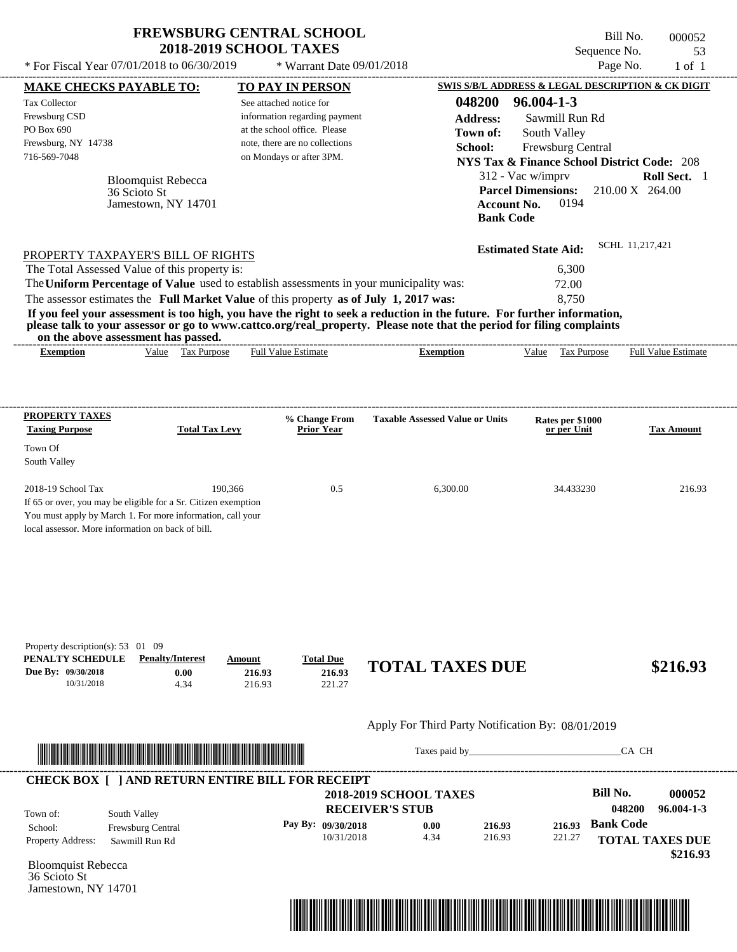| <b>FREWSBURG CENTRAL SCHOOL</b> |
|---------------------------------|
| <b>2018-2019 SCHOOL TAXES</b>   |

Bill No. 000052 Sequence No. 53  $*$  For Fiscal Year 07/01/2018 to 06/30/2019  $*$  Warrant Date 09/01/2018 Page No. 1 of 1

| <b>MAKE CHECKS PAYABLE TO:</b>                                                                                                                               |                           |                       | <b>TO PAY IN PERSON</b>        |                    |                                                   |                  | <b>SWIS S/B/L ADDRESS &amp; LEGAL DESCRIPTION &amp; CK DIGIT</b> |                           |                                    |
|--------------------------------------------------------------------------------------------------------------------------------------------------------------|---------------------------|-----------------------|--------------------------------|--------------------|---------------------------------------------------|------------------|------------------------------------------------------------------|---------------------------|------------------------------------|
| <b>Tax Collector</b>                                                                                                                                         |                           |                       | See attached notice for        |                    |                                                   | 048200           | $96.004 - 1 - 3$                                                 |                           |                                    |
| Frewsburg CSD                                                                                                                                                |                           |                       | information regarding payment  |                    |                                                   | <b>Address:</b>  | Sawmill Run Rd                                                   |                           |                                    |
| PO Box 690                                                                                                                                                   |                           |                       | at the school office. Please   |                    |                                                   | Town of:         | South Valley                                                     |                           |                                    |
| Frewsburg, NY 14738                                                                                                                                          |                           |                       | note, there are no collections |                    |                                                   | School:          | Frewsburg Central                                                |                           |                                    |
| 716-569-7048                                                                                                                                                 |                           |                       | on Mondays or after 3PM.       |                    |                                                   |                  | <b>NYS Tax &amp; Finance School District Code: 208</b>           |                           |                                    |
|                                                                                                                                                              | <b>Bloomquist Rebecca</b> |                       |                                |                    |                                                   |                  | 312 - Vac w/imprv                                                |                           | Roll Sect. 1                       |
|                                                                                                                                                              | 36 Scioto St              |                       |                                |                    |                                                   |                  | <b>Parcel Dimensions:</b>                                        | 210.00 X 264.00           |                                    |
|                                                                                                                                                              | Jamestown, NY 14701       |                       |                                |                    |                                                   |                  | <b>Account No.</b><br>0194                                       |                           |                                    |
|                                                                                                                                                              |                           |                       |                                |                    |                                                   | <b>Bank Code</b> |                                                                  |                           |                                    |
| PROPERTY TAXPAYER'S BILL OF RIGHTS                                                                                                                           |                           |                       |                                |                    |                                                   |                  | <b>Estimated State Aid:</b>                                      | SCHL 11.217.421           |                                    |
| The Total Assessed Value of this property is:                                                                                                                |                           |                       |                                |                    |                                                   |                  | 6,300                                                            |                           |                                    |
| The Uniform Percentage of Value used to establish assessments in your municipality was:                                                                      |                           |                       |                                |                    |                                                   |                  | 72.00                                                            |                           |                                    |
| The assessor estimates the Full Market Value of this property as of July 1, 2017 was:                                                                        |                           |                       |                                |                    |                                                   |                  | 8,750                                                            |                           |                                    |
| If you feel your assessment is too high, you have the right to seek a reduction in the future. For further information,                                      |                           |                       |                                |                    |                                                   |                  |                                                                  |                           |                                    |
| please talk to your assessor or go to www.cattco.org/real_property. Please note that the period for filing complaints<br>on the above assessment has passed. |                           |                       |                                |                    |                                                   |                  |                                                                  |                           |                                    |
| <b>Exemption</b>                                                                                                                                             |                           | Value Tax Purpose     | <b>Full Value Estimate</b>     |                    | <b>Exemption</b>                                  |                  | Value Tax Purpose Full Value Estimate                            |                           |                                    |
|                                                                                                                                                              |                           |                       |                                |                    |                                                   |                  |                                                                  |                           |                                    |
| <b>PROPERTY TAXES</b>                                                                                                                                        |                           |                       |                                | % Change From      | <b>Taxable Assessed Value or Units</b>            |                  | Rates per \$1000                                                 |                           |                                    |
| <b>Taxing Purpose</b>                                                                                                                                        |                           | <b>Total Tax Levy</b> |                                | <b>Prior Year</b>  |                                                   |                  | or per Unit                                                      |                           | <b>Tax Amount</b>                  |
| Town Of                                                                                                                                                      |                           |                       |                                |                    |                                                   |                  |                                                                  |                           |                                    |
| South Valley                                                                                                                                                 |                           |                       |                                |                    |                                                   |                  |                                                                  |                           |                                    |
| 2018-19 School Tax                                                                                                                                           |                           | 190,366               |                                | 0.5                | 6,300.00                                          |                  | 34.433230                                                        |                           | 216.93                             |
| If 65 or over, you may be eligible for a Sr. Citizen exemption                                                                                               |                           |                       |                                |                    |                                                   |                  |                                                                  |                           |                                    |
| You must apply by March 1. For more information, call your                                                                                                   |                           |                       |                                |                    |                                                   |                  |                                                                  |                           |                                    |
| local assessor. More information on back of bill.                                                                                                            |                           |                       |                                |                    |                                                   |                  |                                                                  |                           |                                    |
|                                                                                                                                                              |                           |                       |                                |                    |                                                   |                  |                                                                  |                           |                                    |
|                                                                                                                                                              |                           |                       |                                |                    |                                                   |                  |                                                                  |                           |                                    |
|                                                                                                                                                              |                           |                       |                                |                    |                                                   |                  |                                                                  |                           |                                    |
| Property description(s): $53 \quad 01 \quad 09$<br>PENALTY SCHEDULE                                                                                          | <b>Penalty/Interest</b>   |                       | Amount                         | <b>Total Due</b>   |                                                   |                  |                                                                  |                           |                                    |
| Due By: 09/30/2018<br>10/31/2018                                                                                                                             |                           | 0.00<br>4.34          | 216.93<br>216.93               | 216.93<br>221.27   | <b>TOTAL TAXES DUE</b>                            |                  |                                                                  |                           | \$216.93                           |
|                                                                                                                                                              |                           |                       |                                |                    |                                                   |                  |                                                                  |                           |                                    |
|                                                                                                                                                              |                           |                       |                                |                    | Apply For Third Party Notification By: 08/01/2019 |                  |                                                                  |                           |                                    |
|                                                                                                                                                              |                           |                       |                                |                    |                                                   |                  |                                                                  | CA CH                     |                                    |
| <b>CHECK BOX [ ] AND RETURN ENTIRE BILL FOR RECEIPT</b>                                                                                                      |                           |                       |                                |                    |                                                   |                  |                                                                  |                           |                                    |
|                                                                                                                                                              |                           |                       |                                |                    | <b>2018-2019 SCHOOL TAXES</b>                     |                  |                                                                  | <b>Bill No.</b><br>048200 | 000052<br>$96.004 - 1 - 3$         |
| Town of:                                                                                                                                                     | South Valley              |                       |                                |                    | <b>RECEIVER'S STUB</b>                            |                  |                                                                  |                           |                                    |
| School:                                                                                                                                                      | Frewsburg Central         |                       |                                | Pay By: 09/30/2018 | 0.00                                              | 216.93           | 216.93                                                           | <b>Bank Code</b>          |                                    |
| Property Address:                                                                                                                                            | Sawmill Run Rd            |                       |                                | 10/31/2018         | 4.34                                              | 216.93           | 221.27                                                           |                           | <b>TOTAL TAXES DUE</b><br>\$216.93 |
| <b>Bloomquist Rebecca</b>                                                                                                                                    |                           |                       |                                |                    |                                                   |                  |                                                                  |                           |                                    |
| 36 Scioto St<br>Jamestown, NY 14701                                                                                                                          |                           |                       |                                |                    |                                                   |                  |                                                                  |                           |                                    |
|                                                                                                                                                              |                           |                       |                                |                    |                                                   |                  |                                                                  |                           |                                    |

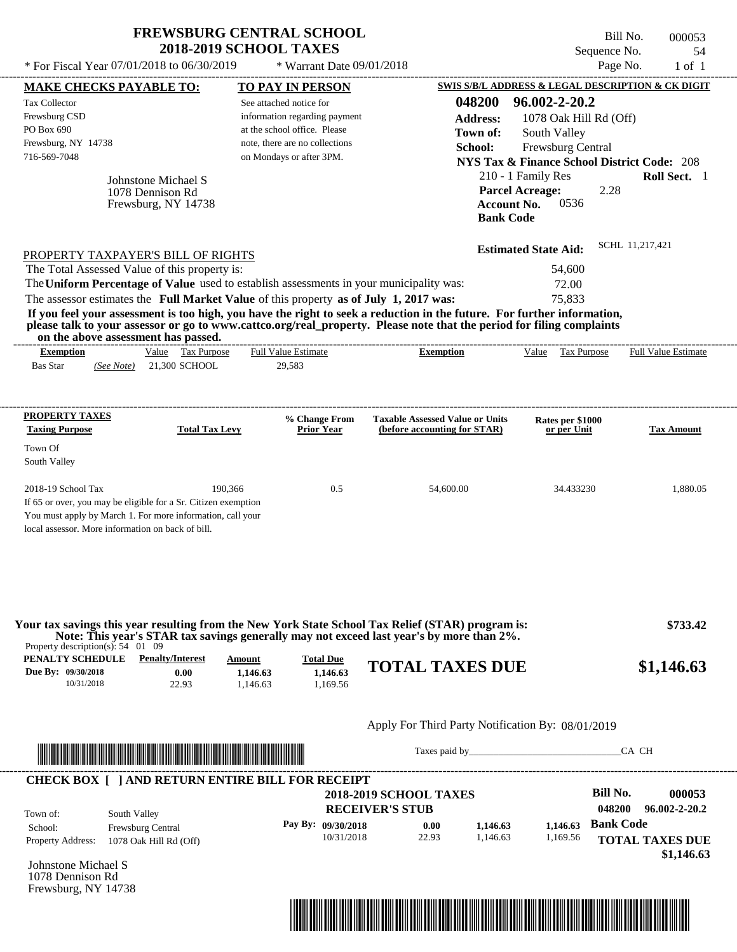| <b>FREWSBURG CENTRAL SCHOOL</b> |
|---------------------------------|
| <b>2018-2019 SCHOOL TAXES</b>   |

Bill No. 000053 Sequence No. 54<br>Page No. 1 of 1

| * For Fiscal Year 07/01/2018 to 06/30/2019                                                                              |                                       | * Warrant Date 09/01/2018                                     |                                                                                                                                                                                                                                      |                                 | Page No.<br>$1$ of $1$                                                 |
|-------------------------------------------------------------------------------------------------------------------------|---------------------------------------|---------------------------------------------------------------|--------------------------------------------------------------------------------------------------------------------------------------------------------------------------------------------------------------------------------------|---------------------------------|------------------------------------------------------------------------|
| <b>MAKE CHECKS PAYABLE TO:</b>                                                                                          |                                       | <b>TO PAY IN PERSON</b>                                       |                                                                                                                                                                                                                                      |                                 | <b>SWIS S/B/L ADDRESS &amp; LEGAL DESCRIPTION &amp; CK DIGIT</b>       |
| <b>Tax Collector</b>                                                                                                    |                                       | See attached notice for                                       | 048200                                                                                                                                                                                                                               | 96.002-2-20.2                   |                                                                        |
| Frewsburg CSD<br>PO Box 690                                                                                             |                                       | information regarding payment<br>at the school office. Please | <b>Address:</b>                                                                                                                                                                                                                      | 1078 Oak Hill Rd (Off)          |                                                                        |
| Frewsburg, NY 14738                                                                                                     |                                       | note, there are no collections                                | Town of:                                                                                                                                                                                                                             | South Valley                    |                                                                        |
| 716-569-7048                                                                                                            |                                       | on Mondays or after 3PM.                                      | School:                                                                                                                                                                                                                              | Frewsburg Central               |                                                                        |
|                                                                                                                         |                                       |                                                               |                                                                                                                                                                                                                                      | 210 - 1 Family Res              | <b>NYS Tax &amp; Finance School District Code: 208</b><br>Roll Sect. 1 |
| Johnstone Michael S<br>1078 Dennison Rd                                                                                 |                                       |                                                               |                                                                                                                                                                                                                                      | <b>Parcel Acreage:</b>          | 2.28                                                                   |
| Frewsburg, NY 14738                                                                                                     |                                       |                                                               | <b>Account No.</b>                                                                                                                                                                                                                   | 0536                            |                                                                        |
|                                                                                                                         |                                       |                                                               | <b>Bank Code</b>                                                                                                                                                                                                                     |                                 |                                                                        |
|                                                                                                                         |                                       |                                                               |                                                                                                                                                                                                                                      | <b>Estimated State Aid:</b>     | SCHL 11,217,421                                                        |
| PROPERTY TAXPAYER'S BILL OF RIGHTS<br>The Total Assessed Value of this property is:                                     |                                       |                                                               |                                                                                                                                                                                                                                      | 54,600                          |                                                                        |
| The Uniform Percentage of Value used to establish assessments in your municipality was:                                 |                                       |                                                               |                                                                                                                                                                                                                                      | 72.00                           |                                                                        |
| The assessor estimates the Full Market Value of this property as of July 1, 2017 was:                                   |                                       |                                                               |                                                                                                                                                                                                                                      | 75,833                          |                                                                        |
| If you feel your assessment is too high, you have the right to seek a reduction in the future. For further information, |                                       |                                                               |                                                                                                                                                                                                                                      |                                 |                                                                        |
| please talk to your assessor or go to www.cattco.org/real_property. Please note that the period for filing complaints   |                                       |                                                               |                                                                                                                                                                                                                                      |                                 |                                                                        |
| on the above assessment has passed.<br><b>Exemption</b>                                                                 | Value Tax Purpose                     | <b>Full Value Estimate</b>                                    | <b>Exemption</b>                                                                                                                                                                                                                     | Value Tax Purpose               | <b>Full Value Estimate</b>                                             |
| <b>Bas Star</b><br>(See Note)                                                                                           | 21,300 SCHOOL                         | 29,583                                                        |                                                                                                                                                                                                                                      |                                 |                                                                        |
|                                                                                                                         |                                       |                                                               |                                                                                                                                                                                                                                      |                                 |                                                                        |
| <b>PROPERTY TAXES</b>                                                                                                   |                                       |                                                               |                                                                                                                                                                                                                                      |                                 |                                                                        |
| <b>Taxing Purpose</b>                                                                                                   | <b>Total Tax Levy</b>                 | % Change From<br><b>Prior Year</b>                            | <b>Taxable Assessed Value or Units</b><br>(before accounting for STAR)                                                                                                                                                               | Rates per \$1000<br>or per Unit | <b>Tax Amount</b>                                                      |
| Town Of                                                                                                                 |                                       |                                                               |                                                                                                                                                                                                                                      |                                 |                                                                        |
| South Valley                                                                                                            |                                       |                                                               |                                                                                                                                                                                                                                      |                                 |                                                                        |
|                                                                                                                         |                                       |                                                               |                                                                                                                                                                                                                                      |                                 |                                                                        |
| 2018-19 School Tax<br>If 65 or over, you may be eligible for a Sr. Citizen exemption                                    | 190.366                               | 0.5                                                           | 54,600.00                                                                                                                                                                                                                            | 34.433230                       | 1,880.05                                                               |
| You must apply by March 1. For more information, call your                                                              |                                       |                                                               |                                                                                                                                                                                                                                      |                                 |                                                                        |
| local assessor. More information on back of bill.                                                                       |                                       |                                                               |                                                                                                                                                                                                                                      |                                 |                                                                        |
|                                                                                                                         |                                       |                                                               |                                                                                                                                                                                                                                      |                                 |                                                                        |
|                                                                                                                         |                                       |                                                               |                                                                                                                                                                                                                                      |                                 |                                                                        |
|                                                                                                                         |                                       |                                                               |                                                                                                                                                                                                                                      |                                 |                                                                        |
|                                                                                                                         |                                       |                                                               |                                                                                                                                                                                                                                      |                                 |                                                                        |
| Your tax savings this year resulting from the New York State School Tax Relief (STAR) program is:                       |                                       |                                                               |                                                                                                                                                                                                                                      |                                 | \$733.42                                                               |
| Property description(s): $54 \quad 01 \quad 09$                                                                         |                                       |                                                               | Note: This year's STAR tax savings generally may not exceed last year's by more than 2%.                                                                                                                                             |                                 |                                                                        |
| PENALTY SCHEDULE                                                                                                        | <b>Penalty/Interest</b><br>Amount     | <b>Total Due</b>                                              | <b>TOTAL TAXES DUE</b>                                                                                                                                                                                                               |                                 | \$1,146.63                                                             |
| Due By: 09/30/2018<br>10/31/2018                                                                                        | 0.00<br>1,146.63<br>22.93<br>1,146.63 | 1,146.63<br>1,169.56                                          |                                                                                                                                                                                                                                      |                                 |                                                                        |
|                                                                                                                         |                                       |                                                               |                                                                                                                                                                                                                                      |                                 |                                                                        |
|                                                                                                                         |                                       |                                                               | Apply For Third Party Notification By: 08/01/2019                                                                                                                                                                                    |                                 |                                                                        |
|                                                                                                                         |                                       |                                                               |                                                                                                                                                                                                                                      |                                 |                                                                        |
| <u> Indian American American Indian American Indian American Indian American Indian American Indian American Indian</u> |                                       |                                                               | Taxes paid by                                                                                                                                                                                                                        |                                 | CA CH                                                                  |
| <b>CHECK BOX [ ] AND RETURN ENTIRE BILL FOR RECEIPT</b>                                                                 |                                       |                                                               |                                                                                                                                                                                                                                      |                                 |                                                                        |
|                                                                                                                         |                                       |                                                               | <b>2018-2019 SCHOOL TAXES</b>                                                                                                                                                                                                        |                                 | <b>Bill No.</b><br>000053                                              |
| South Valley<br>Town of:                                                                                                |                                       |                                                               | <b>RECEIVER'S STUB</b>                                                                                                                                                                                                               |                                 | 048200<br>96.002-2-20.2                                                |
| Frewsburg Central<br>School:                                                                                            |                                       | Pay By: 09/30/2018<br>10/31/2018                              | 0.00<br>1,146.63<br>22.93<br>1,146.63                                                                                                                                                                                                | 1,146.63<br>1,169.56            | <b>Bank Code</b>                                                       |
| Property Address:<br>1078 Oak Hill Rd (Off)                                                                             |                                       |                                                               |                                                                                                                                                                                                                                      |                                 | <b>TOTAL TAXES DUE</b>                                                 |
| Johnstone Michael S                                                                                                     |                                       |                                                               |                                                                                                                                                                                                                                      |                                 | \$1,146.63                                                             |
| 1078 Dennison Rd                                                                                                        |                                       |                                                               |                                                                                                                                                                                                                                      |                                 |                                                                        |
| Frewsburg, NY 14738                                                                                                     |                                       |                                                               |                                                                                                                                                                                                                                      |                                 |                                                                        |
|                                                                                                                         |                                       |                                                               | <u> Indian American State (Indian American State Indian American State Indian American State Indian American State Indian American State Indian American State Indian American State Indian American State Indian American State</u> |                                 |                                                                        |
|                                                                                                                         |                                       |                                                               |                                                                                                                                                                                                                                      |                                 |                                                                        |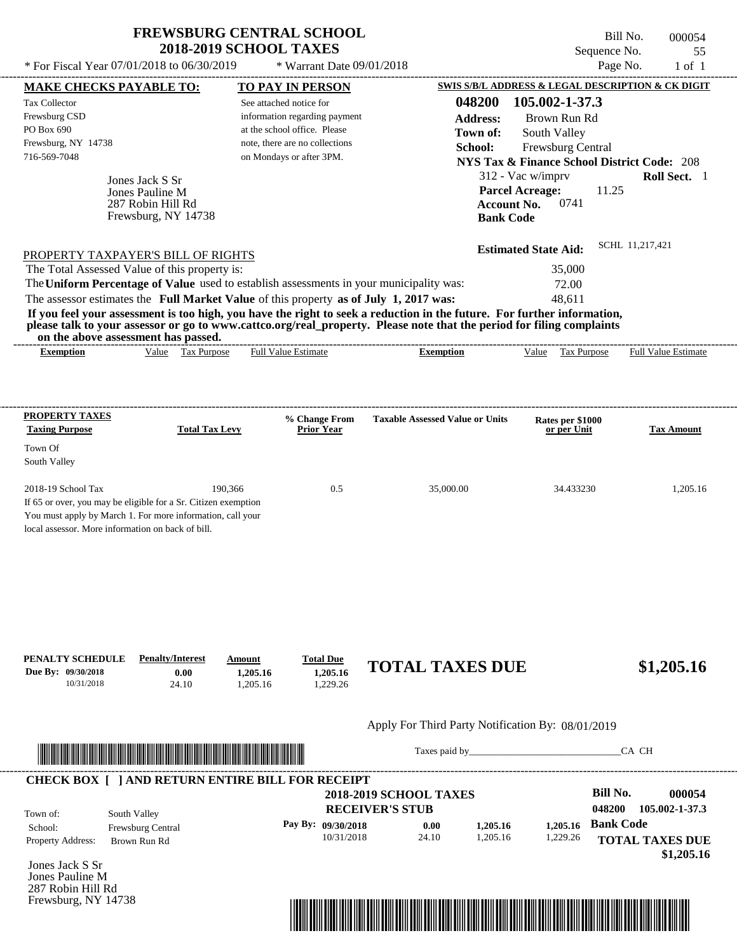\* For Fiscal Year  $07/01/2018$  to  $06/30/2019$  \* Warrant Date  $09/01/2018$  Page No. 1 of 1

 $*$  Warrant Date 09/01/2018

Bill No. 000054 Sequence No. 55

|                                                                                                                      | <b>MAKE CHECKS PAYABLE TO:</b>    |          | <b>TO PAY IN PERSON</b>            |                                                                                                                                                                                                                                                  |                                 | SWIS S/B/L ADDRESS & LEGAL DESCRIPTION & CK DIGIT      |
|----------------------------------------------------------------------------------------------------------------------|-----------------------------------|----------|------------------------------------|--------------------------------------------------------------------------------------------------------------------------------------------------------------------------------------------------------------------------------------------------|---------------------------------|--------------------------------------------------------|
| <b>Tax Collector</b>                                                                                                 |                                   |          | See attached notice for            | 048200                                                                                                                                                                                                                                           | 105.002-1-37.3                  |                                                        |
| Frewsburg CSD                                                                                                        |                                   |          | information regarding payment      | <b>Address:</b>                                                                                                                                                                                                                                  | Brown Run Rd                    |                                                        |
| PO Box 690                                                                                                           |                                   |          | at the school office. Please       | Town of:                                                                                                                                                                                                                                         | South Valley                    |                                                        |
| Frewsburg, NY 14738                                                                                                  |                                   |          | note, there are no collections     | School:                                                                                                                                                                                                                                          | Frewsburg Central               |                                                        |
| 716-569-7048                                                                                                         |                                   |          | on Mondays or after 3PM.           |                                                                                                                                                                                                                                                  |                                 | <b>NYS Tax &amp; Finance School District Code: 208</b> |
|                                                                                                                      | Jones Jack S Sr                   |          |                                    |                                                                                                                                                                                                                                                  | 312 - Vac w/imprv               | Roll Sect. 1                                           |
|                                                                                                                      | Jones Pauline M                   |          |                                    |                                                                                                                                                                                                                                                  | <b>Parcel Acreage:</b>          | 11.25                                                  |
|                                                                                                                      | 287 Robin Hill Rd                 |          |                                    |                                                                                                                                                                                                                                                  | 0741<br><b>Account No.</b>      |                                                        |
|                                                                                                                      | Frewsburg, NY 14738               |          |                                    |                                                                                                                                                                                                                                                  | <b>Bank Code</b>                |                                                        |
|                                                                                                                      |                                   |          |                                    |                                                                                                                                                                                                                                                  |                                 | SCHL 11.217.421                                        |
| PROPERTY TAXPAYER'S BILL OF RIGHTS                                                                                   |                                   |          |                                    |                                                                                                                                                                                                                                                  | <b>Estimated State Aid:</b>     |                                                        |
| The Total Assessed Value of this property is:                                                                        |                                   |          |                                    |                                                                                                                                                                                                                                                  | 35,000                          |                                                        |
|                                                                                                                      |                                   |          |                                    | The Uniform Percentage of Value used to establish assessments in your municipality was:                                                                                                                                                          | 72.00                           |                                                        |
| The assessor estimates the Full Market Value of this property as of July 1, 2017 was:                                |                                   |          |                                    |                                                                                                                                                                                                                                                  | 48,611                          |                                                        |
|                                                                                                                      |                                   |          |                                    | If you feel your assessment is too high, you have the right to seek a reduction in the future. For further information,<br>please talk to your assessor or go to www.cattco.org/real_property. Please note that the period for filing complaints |                                 |                                                        |
| on the above assessment has passed.<br><b>Exemption</b>                                                              | Value Tax Purpose                 |          | <b>Full Value Estimate</b>         | <b>Exemption</b>                                                                                                                                                                                                                                 |                                 | Value Tax Purpose Full Value Estimate                  |
|                                                                                                                      |                                   |          |                                    |                                                                                                                                                                                                                                                  |                                 |                                                        |
|                                                                                                                      |                                   |          |                                    |                                                                                                                                                                                                                                                  |                                 |                                                        |
| <b>PROPERTY TAXES</b>                                                                                                |                                   |          |                                    | <b>Taxable Assessed Value or Units</b>                                                                                                                                                                                                           |                                 |                                                        |
| <b>Taxing Purpose</b>                                                                                                | <b>Total Tax Levy</b>             |          | % Change From<br><b>Prior Year</b> |                                                                                                                                                                                                                                                  | Rates per \$1000<br>or per Unit | <b>Tax Amount</b>                                      |
| Town Of                                                                                                              |                                   |          |                                    |                                                                                                                                                                                                                                                  |                                 |                                                        |
| South Valley                                                                                                         |                                   |          |                                    |                                                                                                                                                                                                                                                  |                                 |                                                        |
| 2018-19 School Tax                                                                                                   |                                   | 190,366  | 0.5                                | 35,000.00                                                                                                                                                                                                                                        | 34.433230                       | 1,205.16                                               |
|                                                                                                                      |                                   |          |                                    |                                                                                                                                                                                                                                                  |                                 |                                                        |
|                                                                                                                      |                                   |          |                                    |                                                                                                                                                                                                                                                  |                                 |                                                        |
| If 65 or over, you may be eligible for a Sr. Citizen exemption                                                       |                                   |          |                                    |                                                                                                                                                                                                                                                  |                                 |                                                        |
| You must apply by March 1. For more information, call your<br>local assessor. More information on back of bill.      |                                   |          |                                    |                                                                                                                                                                                                                                                  |                                 |                                                        |
|                                                                                                                      |                                   |          |                                    |                                                                                                                                                                                                                                                  |                                 |                                                        |
|                                                                                                                      |                                   |          |                                    |                                                                                                                                                                                                                                                  |                                 |                                                        |
|                                                                                                                      |                                   |          |                                    |                                                                                                                                                                                                                                                  |                                 |                                                        |
|                                                                                                                      |                                   |          |                                    |                                                                                                                                                                                                                                                  |                                 |                                                        |
|                                                                                                                      |                                   |          |                                    |                                                                                                                                                                                                                                                  |                                 |                                                        |
|                                                                                                                      |                                   |          |                                    |                                                                                                                                                                                                                                                  |                                 |                                                        |
| PENALTY SCHEDULE                                                                                                     | <b>Penalty/Interest</b>           | Amount   | <b>Total Due</b>                   |                                                                                                                                                                                                                                                  |                                 |                                                        |
|                                                                                                                      | 0.00                              | 1,205.16 | 1,205.16                           | <b>TOTAL TAXES DUE</b>                                                                                                                                                                                                                           |                                 | \$1,205.16                                             |
| 10/31/2018                                                                                                           | 24.10                             | 1,205.16 | 1,229.26                           |                                                                                                                                                                                                                                                  |                                 |                                                        |
| Due By: 09/30/2018                                                                                                   |                                   |          |                                    |                                                                                                                                                                                                                                                  |                                 |                                                        |
|                                                                                                                      |                                   |          |                                    | Apply For Third Party Notification By: 08/01/2019                                                                                                                                                                                                |                                 |                                                        |
| <u> A BERTALDIAN DI BILINI DI BILINI DI BILINI DI BILINI DI BILINI DI BILINI DI BILINI DI BILINI DI BILINI DI BI</u> |                                   |          |                                    | Taxes paid by Taxes and the Taxes and the Taxes and the Taxes are the Taxes and the Taxes and Taxes and Taxes and Taxes and Taxes and Taxes and Taxes and Taxes and Taxes and Taxes and Taxes and Taxes and Taxes and Taxes an                   |                                 | CA CH                                                  |
| <b>CHECK BOX [ ] AND RETURN ENTIRE BILL FOR RECEIPT</b>                                                              |                                   |          |                                    |                                                                                                                                                                                                                                                  |                                 |                                                        |
|                                                                                                                      |                                   |          |                                    | <b>2018-2019 SCHOOL TAXES</b>                                                                                                                                                                                                                    |                                 | <b>Bill No.</b><br>000054                              |
|                                                                                                                      |                                   |          |                                    | <b>RECEIVER'S STUB</b>                                                                                                                                                                                                                           |                                 | 048200<br>105.002-1-37.3                               |
| Town of:<br>School:                                                                                                  | South Valley                      |          | Pay By: 09/30/2018                 | 0.00<br>1,205.16                                                                                                                                                                                                                                 | 1,205.16                        | <b>Bank Code</b>                                       |
| Property Address:                                                                                                    | Frewsburg Central<br>Brown Run Rd |          | 10/31/2018                         | 24.10<br>1,205.16                                                                                                                                                                                                                                | 1,229.26                        | <b>TOTAL TAXES DUE</b>                                 |
|                                                                                                                      |                                   |          |                                    |                                                                                                                                                                                                                                                  |                                 | \$1,205.16                                             |
| Jones Jack S Sr                                                                                                      |                                   |          |                                    |                                                                                                                                                                                                                                                  |                                 |                                                        |
| Jones Pauline M<br>287 Robin Hill Rd                                                                                 |                                   |          |                                    |                                                                                                                                                                                                                                                  |                                 |                                                        |

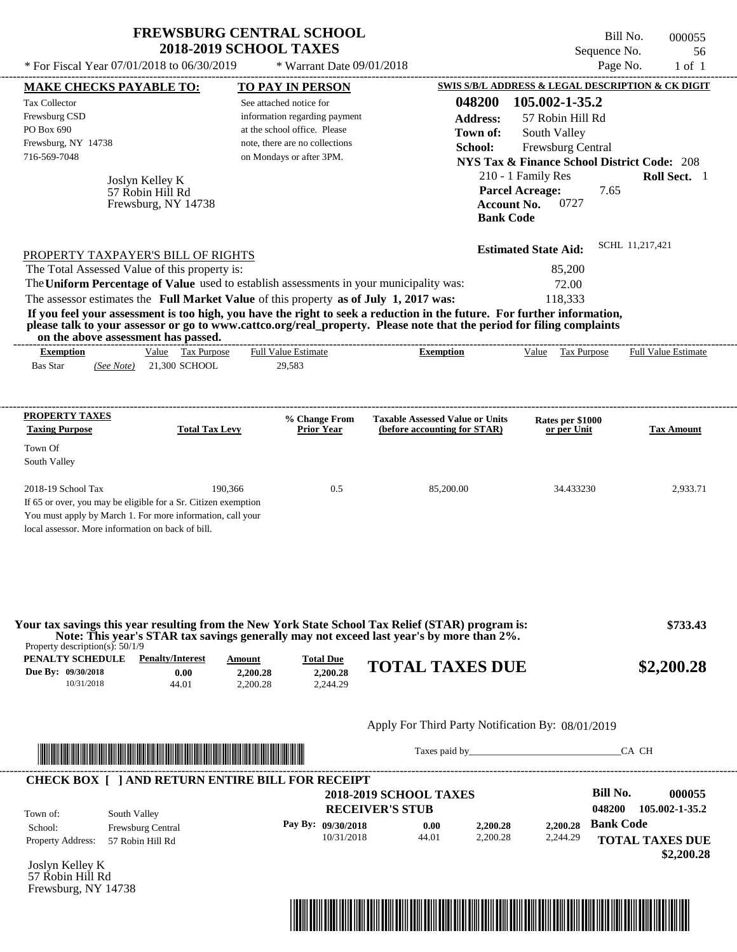| * For Fiscal Year 07/01/2018 to 06/30/2019                                                 |                                                            | <b>FREWSBURG CENTRAL SCHOOL</b><br><b>2018-2019 SCHOOL TAXES</b><br>* Warrant Date $09/01/2018$                                                                                                                                                                                                                                                                                                                                      |                                                                        | Sequence No.<br>Page No.                                                                                                                                                                                                                    | Bill No.<br>000055<br>56<br>$1$ of $1$ |
|--------------------------------------------------------------------------------------------|------------------------------------------------------------|--------------------------------------------------------------------------------------------------------------------------------------------------------------------------------------------------------------------------------------------------------------------------------------------------------------------------------------------------------------------------------------------------------------------------------------|------------------------------------------------------------------------|---------------------------------------------------------------------------------------------------------------------------------------------------------------------------------------------------------------------------------------------|----------------------------------------|
| <b>MAKE CHECKS PAYABLE TO:</b>                                                             |                                                            | TO PAY IN PERSON                                                                                                                                                                                                                                                                                                                                                                                                                     |                                                                        | SWIS S/B/L ADDRESS & LEGAL DESCRIPTION & CK DIGIT                                                                                                                                                                                           |                                        |
| <b>Tax Collector</b><br>Frewsburg CSD<br>PO Box 690<br>Frewsburg, NY 14738<br>716-569-7048 | Joslyn Kelley K<br>57 Robin Hill Rd<br>Frewsburg, NY 14738 | See attached notice for<br>information regarding payment<br>at the school office. Please<br>note, there are no collections<br>on Mondays or after 3PM.                                                                                                                                                                                                                                                                               | 048200<br>Address:<br>Town of:<br>School:                              | 105.002-1-35.2<br>57 Robin Hill Rd<br>South Valley<br>Frewsburg Central<br><b>NYS Tax &amp; Finance School District Code: 208</b><br>210 - 1 Family Res<br><b>Parcel Acreage:</b><br>7.65<br>0727<br><b>Account No.</b><br><b>Bank Code</b> | Roll Sect. 1                           |
| PROPERTY TAXPAYER'S BILL OF RIGHTS<br>The Total Assessed Value of this property is:        |                                                            |                                                                                                                                                                                                                                                                                                                                                                                                                                      |                                                                        | <b>Estimated State Aid:</b>                                                                                                                                                                                                                 | SCHL 11,217,421                        |
|                                                                                            |                                                            | The Uniform Percentage of Value used to establish assessments in your municipality was:<br>The assessor estimates the Full Market Value of this property as of July 1, 2017 was:<br>If you feel your assessment is too high, you have the right to seek a reduction in the future. For further information,<br>please talk to your assessor or go to www.cattco.org/real_property. Please note that the period for filing complaints |                                                                        | 85,200<br>72.00<br>118,333                                                                                                                                                                                                                  |                                        |
| on the above assessment has passed.<br><b>Exemption</b>                                    | Value Tax Purpose                                          | <b>Full Value Estimate</b>                                                                                                                                                                                                                                                                                                                                                                                                           | <b>Exemption</b>                                                       | <b>Tax Purpose</b><br>Value                                                                                                                                                                                                                 | <b>Full Value Estimate</b>             |
| <b>Bas Star</b><br>(See Note)<br>PROPERTY TAXES                                            | 21,300 SCHOOL                                              | 29,583                                                                                                                                                                                                                                                                                                                                                                                                                               |                                                                        |                                                                                                                                                                                                                                             |                                        |
| <b>Taxing Purpose</b>                                                                      | <b>Total Tax Levy</b>                                      | % Change From<br><b>Prior Year</b>                                                                                                                                                                                                                                                                                                                                                                                                   | <b>Taxable Assessed Value or Units</b><br>(before accounting for STAR) | Rates per \$1000<br>or per Unit                                                                                                                                                                                                             | <b>Tax Amount</b>                      |
| Town Of<br>South Valley                                                                    |                                                            |                                                                                                                                                                                                                                                                                                                                                                                                                                      |                                                                        |                                                                                                                                                                                                                                             |                                        |

| Property description(s): $50/1/9$                    |                                          |                                |                                          | Your tax savings this year resulting from the New York State School Tax Relief (STAR) program is:<br>Note: This year's STAR tax savings generally may not exceed last year's by more than 2%. | \$733.43   |
|------------------------------------------------------|------------------------------------------|--------------------------------|------------------------------------------|-----------------------------------------------------------------------------------------------------------------------------------------------------------------------------------------------|------------|
| PENALTY SCHEDULE<br>Due By: 09/30/2018<br>10/31/2018 | <b>Penalty/Interest</b><br>0.00<br>44.01 | Amount<br>2,200.28<br>2.200.28 | <b>Total Due</b><br>2.200.28<br>2.244.29 | <b>TOTAL TAXES DUE</b>                                                                                                                                                                        | \$2,200.28 |

## Apply For Third Party Notification By: 08/01/2019



Taxes paid by\_\_\_\_\_\_\_\_\_\_\_\_\_\_\_\_\_\_\_\_\_\_\_\_\_\_\_\_\_\_\_CA CH

| Town of:<br>South Valley                                                                    | 105.002-1-35.2<br>048200 |
|---------------------------------------------------------------------------------------------|--------------------------|
| Pay By: $09/30/2018$<br>2.200.28<br>2,200.28<br>0.00<br><b>Frewsburg Central</b><br>School: | <b>Bank Code</b>         |
| 2,200.28<br>10/31/2018<br>44.01<br>2,244.29<br><b>Property Address:</b><br>57 Robin Hill Rd | <b>TOTAL TAXES DUE</b>   |

Joslyn Kelley K 57 Robin Hill Rd Frewsburg, NY 14738

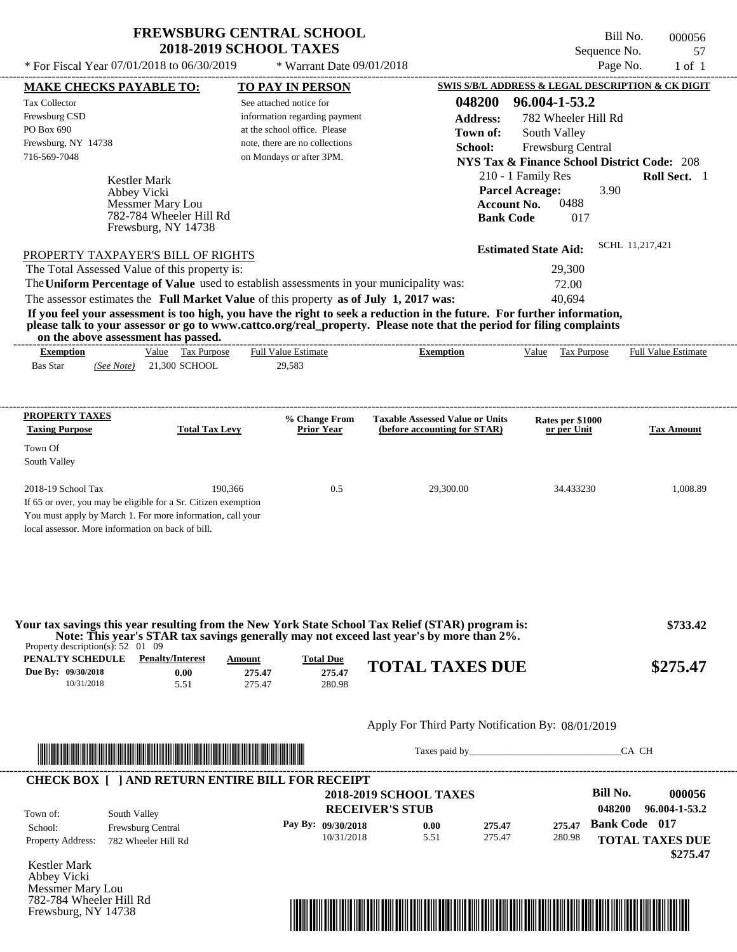$*$  For Fiscal Year 07/01/2018 to 06/30/2019

Frewsburg, NY 14738

 $*$  Warrant Date 09/01/2018

Bill No. 000056 Sequence No. 57<br>Page No. 1 of 1

|                                                 | <b>MAKE CHECKS PAYABLE TO:</b>                                 |                            | <b>TO PAY IN PERSON</b>        |                                                                                                                                                                                               |                  | SWIS S/B/L ADDRESS & LEGAL DESCRIPTION & CK DIGIT      |                      |                            |
|-------------------------------------------------|----------------------------------------------------------------|----------------------------|--------------------------------|-----------------------------------------------------------------------------------------------------------------------------------------------------------------------------------------------|------------------|--------------------------------------------------------|----------------------|----------------------------|
| Tax Collector                                   |                                                                | See attached notice for    |                                |                                                                                                                                                                                               | 048200           | 96.004-1-53.2                                          |                      |                            |
| Frewsburg CSD                                   |                                                                |                            | information regarding payment  |                                                                                                                                                                                               | <b>Address:</b>  | 782 Wheeler Hill Rd                                    |                      |                            |
| PO Box 690                                      |                                                                |                            | at the school office. Please   |                                                                                                                                                                                               | Town of:         | South Valley                                           |                      |                            |
| Frewsburg, NY 14738                             |                                                                |                            | note, there are no collections |                                                                                                                                                                                               | School:          |                                                        |                      |                            |
| 716-569-7048                                    |                                                                |                            | on Mondays or after 3PM.       |                                                                                                                                                                                               |                  | Frewsburg Central                                      |                      |                            |
|                                                 |                                                                |                            |                                |                                                                                                                                                                                               |                  | <b>NYS Tax &amp; Finance School District Code: 208</b> |                      |                            |
|                                                 | Kestler Mark                                                   |                            |                                |                                                                                                                                                                                               |                  | 210 - 1 Family Res                                     |                      | Roll Sect. 1               |
|                                                 | Abbey Vicki                                                    |                            |                                |                                                                                                                                                                                               |                  | <b>Parcel Acreage:</b>                                 | 3.90                 |                            |
|                                                 | Messmer Mary Lou                                               |                            |                                |                                                                                                                                                                                               |                  | 0488<br><b>Account No.</b>                             |                      |                            |
|                                                 | 782-784 Wheeler Hill Rd                                        |                            |                                |                                                                                                                                                                                               |                  | <b>Bank Code</b><br>017                                |                      |                            |
|                                                 | Frewsburg, NY 14738                                            |                            |                                |                                                                                                                                                                                               |                  |                                                        |                      |                            |
|                                                 | PROPERTY TAXPAYER'S BILL OF RIGHTS                             |                            |                                |                                                                                                                                                                                               |                  | <b>Estimated State Aid:</b>                            |                      | SCHL 11,217,421            |
|                                                 | The Total Assessed Value of this property is:                  |                            |                                |                                                                                                                                                                                               |                  | 29,300                                                 |                      |                            |
|                                                 |                                                                |                            |                                | The Uniform Percentage of Value used to establish assessments in your municipality was:                                                                                                       |                  | 72.00                                                  |                      |                            |
|                                                 |                                                                |                            |                                | The assessor estimates the Full Market Value of this property as of July 1, 2017 was:                                                                                                         |                  | 40.694                                                 |                      |                            |
|                                                 |                                                                |                            |                                | If you feel your assessment is too high, you have the right to seek a reduction in the future. For further information,                                                                       |                  |                                                        |                      |                            |
|                                                 |                                                                |                            |                                | please talk to your assessor or go to www.cattco.org/real_property. Please note that the period for filing complaints                                                                         |                  |                                                        |                      |                            |
|                                                 | on the above assessment has passed.                            |                            |                                |                                                                                                                                                                                               |                  |                                                        |                      |                            |
| <b>Exemption</b>                                | Value Tax Purpose                                              | <b>Full Value Estimate</b> |                                | <b>Exemption</b>                                                                                                                                                                              |                  | Value Tax Purpose                                      |                      | <b>Full Value Estimate</b> |
| <b>Bas Star</b>                                 | $(See Note)$ 21,300 SCHOOL                                     | 29,583                     |                                |                                                                                                                                                                                               |                  |                                                        |                      |                            |
|                                                 |                                                                |                            |                                |                                                                                                                                                                                               |                  |                                                        |                      |                            |
|                                                 |                                                                |                            |                                |                                                                                                                                                                                               |                  |                                                        |                      |                            |
| <b>PROPERTY TAXES</b>                           |                                                                |                            | % Change From                  | <b>Taxable Assessed Value or Units</b>                                                                                                                                                        |                  | Rates per \$1000                                       |                      |                            |
| <b>Taxing Purpose</b>                           |                                                                | <b>Total Tax Levy</b>      | <b>Prior Year</b>              | (before accounting for STAR)                                                                                                                                                                  |                  | or per Unit                                            |                      | <b>Tax Amount</b>          |
| Town Of                                         |                                                                |                            |                                |                                                                                                                                                                                               |                  |                                                        |                      |                            |
| South Valley                                    |                                                                |                            |                                |                                                                                                                                                                                               |                  |                                                        |                      |                            |
|                                                 |                                                                |                            |                                |                                                                                                                                                                                               |                  |                                                        |                      |                            |
| 2018-19 School Tax                              |                                                                | 190,366                    | 0.5                            | 29,300.00                                                                                                                                                                                     |                  | 34.433230                                              |                      | 1,008.89                   |
|                                                 | If 65 or over, you may be eligible for a Sr. Citizen exemption |                            |                                |                                                                                                                                                                                               |                  |                                                        |                      |                            |
|                                                 | You must apply by March 1. For more information, call your     |                            |                                |                                                                                                                                                                                               |                  |                                                        |                      |                            |
|                                                 | local assessor. More information on back of bill.              |                            |                                |                                                                                                                                                                                               |                  |                                                        |                      |                            |
|                                                 |                                                                |                            |                                |                                                                                                                                                                                               |                  |                                                        |                      |                            |
|                                                 |                                                                |                            |                                |                                                                                                                                                                                               |                  |                                                        |                      |                            |
|                                                 |                                                                |                            |                                |                                                                                                                                                                                               |                  |                                                        |                      |                            |
|                                                 |                                                                |                            |                                |                                                                                                                                                                                               |                  |                                                        |                      |                            |
|                                                 |                                                                |                            |                                |                                                                                                                                                                                               |                  |                                                        |                      |                            |
|                                                 |                                                                |                            |                                | Your tax savings this year resulting from the New York State School Tax Relief (STAR) program is:<br>Note: This year's STAR tax savings generally may not exceed last year's by more than 2%. |                  |                                                        |                      | \$733.42                   |
| Property description(s): $52 \quad 01 \quad 09$ |                                                                |                            |                                |                                                                                                                                                                                               |                  |                                                        |                      |                            |
|                                                 | <b>PENALTY SCHEDULE</b> Penalty/Interest                       | Amount                     | <b>Total Due</b>               | <b>TOTAL TAXES DUE</b>                                                                                                                                                                        |                  |                                                        |                      | \$275.47                   |
| Due By: 09/30/2018<br>10/31/2018                | 0.00                                                           | 275.47                     | 275.47                         |                                                                                                                                                                                               |                  |                                                        |                      |                            |
|                                                 | 5.51                                                           | 275.47                     | 280.98                         |                                                                                                                                                                                               |                  |                                                        |                      |                            |
|                                                 |                                                                |                            |                                |                                                                                                                                                                                               |                  |                                                        |                      |                            |
|                                                 |                                                                |                            |                                | Apply For Third Party Notification By: 08/01/2019                                                                                                                                             |                  |                                                        |                      |                            |
|                                                 |                                                                |                            |                                |                                                                                                                                                                                               |                  | Taxes paid by                                          |                      | CA CH                      |
|                                                 |                                                                |                            |                                |                                                                                                                                                                                               |                  |                                                        |                      |                            |
|                                                 | <b>CHECK BOX [ ] AND RETURN ENTIRE BILL FOR RECEIPT</b>        |                            |                                |                                                                                                                                                                                               |                  |                                                        |                      |                            |
|                                                 |                                                                |                            |                                | <b>2018-2019 SCHOOL TAXES</b>                                                                                                                                                                 |                  |                                                        | <b>Bill No.</b>      | 000056                     |
|                                                 |                                                                |                            |                                | <b>RECEIVER'S STUB</b>                                                                                                                                                                        |                  |                                                        | 048200               | 96.004-1-53.2              |
| Town of:                                        | South Valley                                                   |                            | Pay By: 09/30/2018             |                                                                                                                                                                                               |                  |                                                        | <b>Bank Code</b> 017 |                            |
| School:                                         | Frewsburg Central                                              |                            | 10/31/2018                     | 0.00<br>5.51                                                                                                                                                                                  | 275.47<br>275.47 | 275.47<br>280.98                                       |                      |                            |
| Property Address:                               | 782 Wheeler Hill Rd                                            |                            |                                |                                                                                                                                                                                               |                  |                                                        |                      | <b>TOTAL TAXES DUE</b>     |
|                                                 |                                                                |                            |                                |                                                                                                                                                                                               |                  |                                                        |                      | \$275.47                   |
| Kestler Mark                                    |                                                                |                            |                                |                                                                                                                                                                                               |                  |                                                        |                      |                            |
|                                                 |                                                                |                            |                                |                                                                                                                                                                                               |                  |                                                        |                      |                            |
| Abbey Vicki<br>Messmer Mary Lou                 |                                                                |                            |                                |                                                                                                                                                                                               |                  |                                                        |                      |                            |

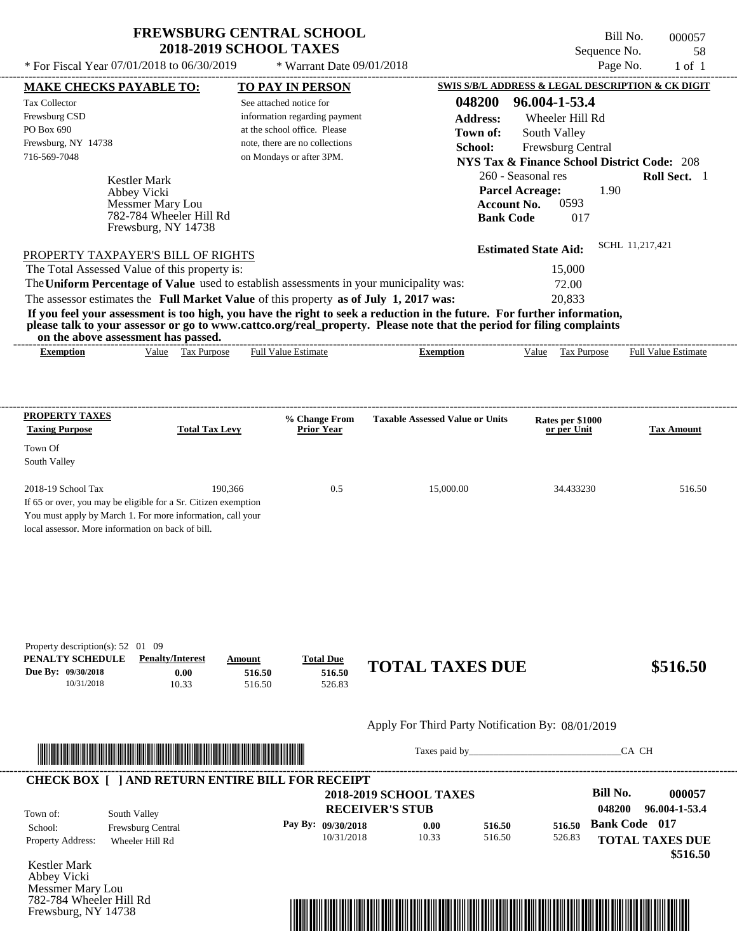$*$  For Fiscal Year 07/01/2018 to 06/30/2019

782-784 Wheeler Hill Rd Frewsburg, NY 14738

 $*$  Warrant Date 09/01/2018

Bill No. 000057 Sequence No. 58<br>Page No. 1 of 1

| <b>MAKE CHECKS PAYABLE TO:</b>                                                            |                                          |                            | <b>TO PAY IN PERSON</b>              |                                                                                                                                                                                                                                                  |                                 | SWIS S/B/L ADDRESS & LEGAL DESCRIPTION & CK DIGIT      |
|-------------------------------------------------------------------------------------------|------------------------------------------|----------------------------|--------------------------------------|--------------------------------------------------------------------------------------------------------------------------------------------------------------------------------------------------------------------------------------------------|---------------------------------|--------------------------------------------------------|
| <b>Tax Collector</b>                                                                      |                                          |                            | See attached notice for              | 048200                                                                                                                                                                                                                                           | 96.004-1-53.4                   |                                                        |
| Frewsburg CSD                                                                             |                                          |                            | information regarding payment        | <b>Address:</b>                                                                                                                                                                                                                                  | Wheeler Hill Rd                 |                                                        |
| PO Box 690                                                                                |                                          |                            | at the school office. Please         | Town of:                                                                                                                                                                                                                                         | South Valley                    |                                                        |
| Frewsburg, NY 14738                                                                       |                                          |                            | note, there are no collections       | School:                                                                                                                                                                                                                                          | Frewsburg Central               |                                                        |
| 716-569-7048                                                                              |                                          |                            | on Mondays or after 3PM.             |                                                                                                                                                                                                                                                  |                                 | <b>NYS Tax &amp; Finance School District Code: 208</b> |
|                                                                                           |                                          |                            |                                      |                                                                                                                                                                                                                                                  | 260 - Seasonal res              | Roll Sect. 1                                           |
|                                                                                           | Kestler Mark<br>Abbey Vicki              |                            |                                      |                                                                                                                                                                                                                                                  | <b>Parcel Acreage:</b>          | 1.90                                                   |
|                                                                                           | Messmer Mary Lou                         |                            |                                      | <b>Account No.</b>                                                                                                                                                                                                                               | 0593                            |                                                        |
|                                                                                           | 782-784 Wheeler Hill Rd                  |                            |                                      | <b>Bank Code</b>                                                                                                                                                                                                                                 | 017                             |                                                        |
|                                                                                           | Frewsburg, NY 14738                      |                            |                                      |                                                                                                                                                                                                                                                  |                                 |                                                        |
|                                                                                           |                                          |                            |                                      |                                                                                                                                                                                                                                                  | <b>Estimated State Aid:</b>     | SCHL 11,217,421                                        |
| PROPERTY TAXPAYER'S BILL OF RIGHTS                                                        |                                          |                            |                                      |                                                                                                                                                                                                                                                  |                                 |                                                        |
| The Total Assessed Value of this property is:                                             |                                          |                            |                                      |                                                                                                                                                                                                                                                  | 15,000                          |                                                        |
|                                                                                           |                                          |                            |                                      | The Uniform Percentage of Value used to establish assessments in your municipality was:                                                                                                                                                          | 72.00                           |                                                        |
| The assessor estimates the Full Market Value of this property as of July 1, 2017 was:     |                                          |                            |                                      |                                                                                                                                                                                                                                                  | 20,833                          |                                                        |
|                                                                                           |                                          |                            |                                      | If you feel your assessment is too high, you have the right to seek a reduction in the future. For further information,<br>please talk to your assessor or go to www.cattco.org/real_property. Please note that the period for filing complaints |                                 |                                                        |
|                                                                                           | on the above assessment has passed.      |                            |                                      |                                                                                                                                                                                                                                                  |                                 |                                                        |
| <b>Exemption</b>                                                                          | Value Tax Purpose                        |                            | Full Value Estimate                  | <b>Exemption</b>                                                                                                                                                                                                                                 | Value Tax Purpose               | <b>Full Value Estimate</b>                             |
|                                                                                           |                                          |                            |                                      |                                                                                                                                                                                                                                                  |                                 |                                                        |
| <b>PROPERTY TAXES</b>                                                                     |                                          |                            |                                      |                                                                                                                                                                                                                                                  |                                 |                                                        |
| <b>Taxing Purpose</b>                                                                     | <b>Total Tax Levy</b>                    |                            | % Change From<br><b>Prior Year</b>   | <b>Taxable Assessed Value or Units</b>                                                                                                                                                                                                           | Rates per \$1000<br>or per Unit | <b>Tax Amount</b>                                      |
| Town Of                                                                                   |                                          |                            |                                      |                                                                                                                                                                                                                                                  |                                 |                                                        |
| South Valley                                                                              |                                          |                            |                                      |                                                                                                                                                                                                                                                  |                                 |                                                        |
|                                                                                           |                                          |                            |                                      |                                                                                                                                                                                                                                                  |                                 |                                                        |
| 2018-19 School Tax                                                                        |                                          | 190,366                    | 0.5                                  | 15,000.00                                                                                                                                                                                                                                        | 34.433230                       | 516.50                                                 |
| If 65 or over, you may be eligible for a Sr. Citizen exemption                            |                                          |                            |                                      |                                                                                                                                                                                                                                                  |                                 |                                                        |
| You must apply by March 1. For more information, call your                                |                                          |                            |                                      |                                                                                                                                                                                                                                                  |                                 |                                                        |
| local assessor. More information on back of bill.                                         |                                          |                            |                                      |                                                                                                                                                                                                                                                  |                                 |                                                        |
| Property description(s): $52 \quad 01 \quad 09$<br>PENALTY SCHEDULE<br>Due By: 09/30/2018 | <b>Penalty/Interest</b><br>0.00<br>10.33 | Amount<br>516.50<br>516.50 | <b>Total Due</b><br>516.50<br>526.83 | <b>TOTAL TAXES DUE</b>                                                                                                                                                                                                                           |                                 | \$516.50                                               |
| 10/31/2018                                                                                |                                          |                            |                                      |                                                                                                                                                                                                                                                  |                                 |                                                        |
|                                                                                           |                                          |                            |                                      | Apply For Third Party Notification By: 08/01/2019                                                                                                                                                                                                |                                 |                                                        |
|                                                                                           |                                          |                            |                                      | Taxes paid by                                                                                                                                                                                                                                    |                                 | CA CH                                                  |
|                                                                                           |                                          |                            |                                      |                                                                                                                                                                                                                                                  |                                 |                                                        |
|                                                                                           |                                          |                            |                                      | <b>2018-2019 SCHOOL TAXES</b>                                                                                                                                                                                                                    |                                 | <b>Bill No.</b>                                        |
| <b>CHECK BOX [ ] AND RETURN ENTIRE BILL FOR RECEIPT</b>                                   |                                          |                            |                                      |                                                                                                                                                                                                                                                  |                                 | 048200                                                 |
| Town of:                                                                                  | South Valley                             |                            |                                      | <b>RECEIVER'S STUB</b>                                                                                                                                                                                                                           |                                 |                                                        |
|                                                                                           | Frewsburg Central                        |                            | Pay By: 09/30/2018<br>10/31/2018     | 516.50<br>0.00<br>516.50                                                                                                                                                                                                                         | 516.50                          | 000057<br>96.004-1-53.4<br><b>Bank Code</b> 017        |
| School:<br>Property Address:                                                              | Wheeler Hill Rd                          |                            |                                      | 10.33                                                                                                                                                                                                                                            | 526.83                          | <b>TOTAL TAXES DUE</b><br>\$516.50                     |

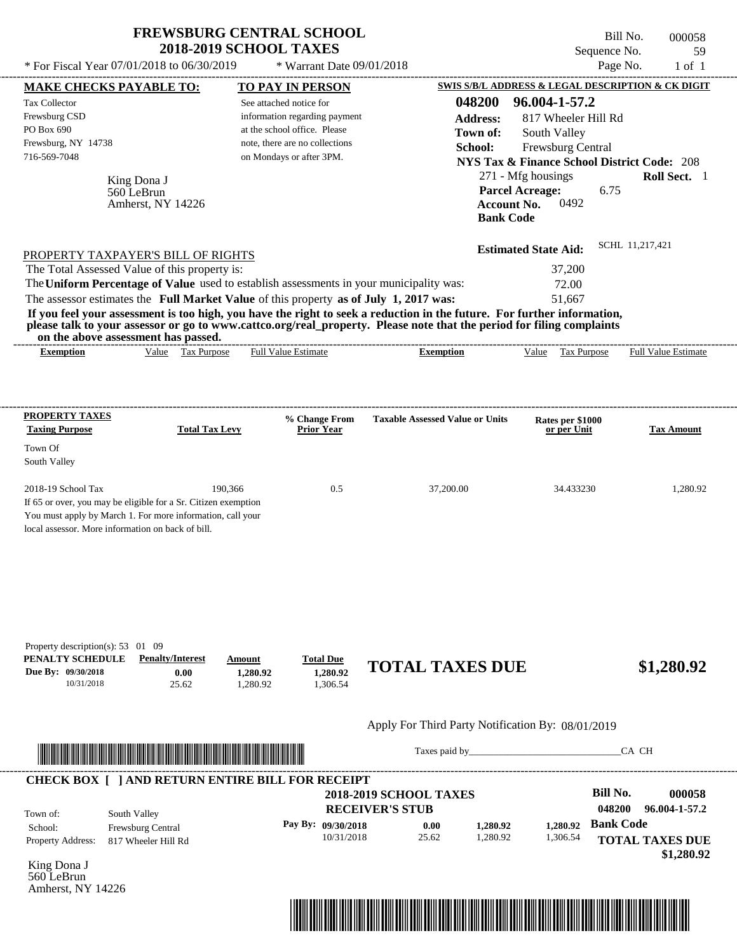| <b>FREWSBURG CENTRAL SCHOOL</b><br><b>2018-2019 SCHOOL TAXES</b> |                               | - Bill No.<br>Sequence No.                        | 000058<br>-59 |
|------------------------------------------------------------------|-------------------------------|---------------------------------------------------|---------------|
| * For Fiscal Year 07/01/2018 to 06/30/2019                       | $*$ Warrant Date $09/01/2018$ | Page No.                                          | $1$ of        |
| <b>MAKE CHECKS PAYABLE TO:</b>                                   | <b>TO PAY IN PERSON</b>       | SWIS S/B/L ADDRESS & LEGAL DESCRIPTION & CK DIGIT |               |

See attached notice for

| Frewsburg CSD<br>PO Box 690<br>Frewsburg, NY 14738<br>716-569-7048 |                                                                                         | information regarding payment<br>at the school office. Please<br>note, there are no collections<br>on Mondays or after 3PM. | <b>Address:</b><br>Town of:<br>School:                                                                                                                                                                                                           | 817 Wheeler Hill Rd<br>South Valley<br>Frewsburg Central<br><b>NYS Tax &amp; Finance School District Code: 208</b> |                            |
|--------------------------------------------------------------------|-----------------------------------------------------------------------------------------|-----------------------------------------------------------------------------------------------------------------------------|--------------------------------------------------------------------------------------------------------------------------------------------------------------------------------------------------------------------------------------------------|--------------------------------------------------------------------------------------------------------------------|----------------------------|
|                                                                    | King Dona J<br>560 LeBrun<br>Amherst, NY 14226                                          |                                                                                                                             | <b>Bank Code</b>                                                                                                                                                                                                                                 | 271 - Mfg housings<br><b>Parcel Acreage:</b><br>6.75<br>0492<br><b>Account No.</b>                                 | <b>Roll Sect.</b> 1        |
|                                                                    | PROPERTY TAXPAYER'S BILL OF RIGHTS                                                      |                                                                                                                             |                                                                                                                                                                                                                                                  | <b>Estimated State Aid:</b>                                                                                        | SCHL 11,217,421            |
|                                                                    | The Total Assessed Value of this property is:                                           |                                                                                                                             |                                                                                                                                                                                                                                                  | 37,200                                                                                                             |                            |
|                                                                    | The Uniform Percentage of Value used to establish assessments in your municipality was: |                                                                                                                             |                                                                                                                                                                                                                                                  | 72.00                                                                                                              |                            |
|                                                                    | The assessor estimates the Full Market Value of this property as of July 1, 2017 was:   |                                                                                                                             |                                                                                                                                                                                                                                                  | 51.667                                                                                                             |                            |
|                                                                    |                                                                                         |                                                                                                                             | If you feel your assessment is too high, you have the right to seek a reduction in the future. For further information,<br>please talk to your assessor or go to www.cattco.org/real_property. Please note that the period for filing complaints |                                                                                                                    |                            |
|                                                                    | on the above assessment has passed.                                                     |                                                                                                                             |                                                                                                                                                                                                                                                  |                                                                                                                    |                            |
| <b>Exemption</b>                                                   | Value Tax Purpose                                                                       | <b>Full Value Estimate</b>                                                                                                  | <b>Exemption</b>                                                                                                                                                                                                                                 | Value<br>Tax Purpose                                                                                               | <b>Full Value Estimate</b> |
| PROPERTY TAXES<br><b>Taxing Purpose</b>                            | <b>Total Tax Levy</b>                                                                   | % Change From<br><b>Prior Year</b>                                                                                          | <b>Taxable Assessed Value or Units</b>                                                                                                                                                                                                           | Rates per \$1000<br>or per Unit                                                                                    | <b>Tax Amount</b>          |
| Town Of<br>South Valley                                            |                                                                                         |                                                                                                                             |                                                                                                                                                                                                                                                  |                                                                                                                    |                            |

local assessor. More information on back of bill.

Tax Collector

| Property description(s): $53 \quad 01 \quad 09$ |                         |          |                  |                        |            |
|-------------------------------------------------|-------------------------|----------|------------------|------------------------|------------|
| PENALTY SCHEDULE                                | <b>Penalty/Interest</b> | Amount   | <b>Total Due</b> |                        |            |
| Due By: 09/30/2018                              | 0.00                    | 1.280.92 | 1.280.92         | <b>TOTAL TAXES DUE</b> | \$1,280.92 |
| 10/31/2018                                      | 25.62                   | .280.92  | .306.54          |                        |            |

## Apply For Third Party Notification By: 08/01/2019



Taxes paid by\_\_\_\_\_\_\_\_\_\_\_\_\_\_\_\_\_\_\_\_\_\_\_\_\_\_\_\_\_\_\_CA CH

**048200 96.004-1-57.2**

| <b>CHECK BOX [ ] AND RETURN ENTIRE BILL FOR RECEIPT</b><br>Town of:<br>South Valley | <b>2018-2019 SCHOOL TAXES</b><br><b>RECEIVER'S STUB</b> |                      |       |          | Bill No.<br>048200 | 000058<br>96.004-1-57.2 |                        |
|-------------------------------------------------------------------------------------|---------------------------------------------------------|----------------------|-------|----------|--------------------|-------------------------|------------------------|
| School:                                                                             | <b>Frewsburg Central</b>                                | Pay By: $09/30/2018$ | 0.00  | 1.280.92 | 1.280.92           | <b>Bank Code</b>        |                        |
| <b>Property Address:</b>                                                            | 817 Wheeler Hill Rd                                     | 10/31/2018           | 25.62 | 1,280.92 | 1,306.54           |                         | <b>TOTAL TAXES DUE</b> |
|                                                                                     |                                                         |                      |       |          |                    |                         | \$1,280.92             |

King Dona J 560 LeBrun Amherst, NY 14226

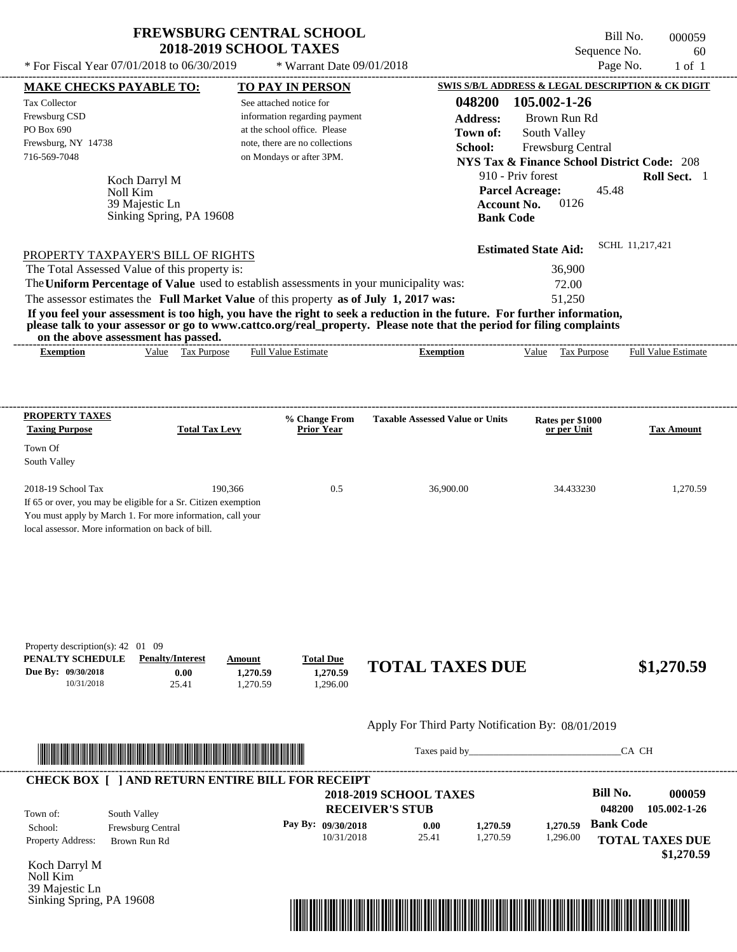# **FREWSBURG CENTRAL SCHOOL**

Tax Collector Frewsburg CSD PO Box 690

Town Of South Valley

---------------------------------------------------------------------------------------------------------------------------------------------------------------------------------------------------- Koch Darryl M If 65 or over, you may be eligible for a Sr. Citizen exemption You must apply by March 1. For more information, call your local assessor. More information on back of bill. Bill No. 000059 Sequence No. 60 \* For Fiscal Year  $07/01/2018$  to  $06/30/2019$  \* Warrant Date  $09/01/2018$  Page No. 1 of 1 **MAKE CHECKS PAYABLE TO: TO PAY IN PERSON SWIS S/B/L ADDRESS & LEGAL DESCRIPTION & CK DIGIT 048200 105.002-1-26 Address:** Brown Run Rd South Valley **School:** Frewsburg Central **NYS Tax & Finance School District Code:** 208 910 - Priv forest **Roll Sect.** 1 45.48 **Account No.** 0126 **Bank Code Estimated State Aid:** SCHL 11,217,421 PROPERTY TAXPAYER'S BILL OF RIGHTS The assessor estimates the **Full Market Value** of this property **as of July 1, 2017 was:** 51,250 The Total Assessed Value of this property is:  $36,900$ The **Uniform Percentage of Value** used to establish assessments in your municipality was: 72.00 **If you feel your assessment is too high, you have the right to seek a reduction in the future. For further information, please talk to your assessor or go to www.cattco.org/real\_property. Please note that the period for filing complaints on the above assessment has passed. Exemption** Value Tax Purpose **PROPERTY TAXES Taxing Purpose Total Tax Levy Prior Year % Change From Taxable Assessed Value or Units or per Unit Rates per \$1000 Tax Amount PENALTY SCHEDULE Penalty/Interest Amount Total Due Due By: 09/30/2018** 10/31/2018 25.41 **0.00** 1,270.59 **1,270.59** 1,296.00 **1,270.59 TOTAL TAXES DUE \$1,270.59** See attached notice for information regarding payment at the school office. Please note, there are no collections Frewsburg, NY 14738 \* Warrant Date 09/01/2018 **2018-2019 SCHOOL TAXES** 716-569-7048 on Mondays or after 3PM. **Parcel Acreage:** 2018-19 School Tax 190,366 190,366 0.5 36,900.00 34.433230 1,270.59 1,270.59 Noll Kim Full Value Estimate ---------------------------------------------------------------------------------------------------------------------------------------------------------------------------------------------------- ---------------------------------------------------------------------------------------------------------------------------------------------------------------------------------------------------- Property description(s): 42 01 09 **Town of:** 39 Majestic Ln Sinking Spring, PA 19608 **Exemption** Value Tax Purpose Full Value Estimate

Apply For Third Party Notification By: 08/01/2019



Taxes paid by\_\_\_\_\_\_\_\_\_\_\_\_\_\_\_\_\_\_\_\_\_\_\_\_\_\_\_\_\_\_\_CA CH

| Town of:                 | South Valley             | <b>2018-2019 SCHOOL TAXES</b><br><b>RECEIVER'S STUB</b> |       |          |          | Bill No.<br>048200 | 000059<br>105.002-1-26               |
|--------------------------|--------------------------|---------------------------------------------------------|-------|----------|----------|--------------------|--------------------------------------|
| School:                  | <b>Frewsburg Central</b> | Pay By: 09/30/2018                                      | 0.00  | 1.270.59 | 1.270.59 | <b>Bank Code</b>   |                                      |
| <b>Property Address:</b> | Brown Run Rd             | 10/31/2018                                              | 25.41 | 1,270.59 | 1,296.00 |                    | <b>TOTAL TAXES DUE</b><br>\$1,270.59 |

Koch Darryl M Noll Kim 39 Majestic Ln Sinking Spring, PA 19608

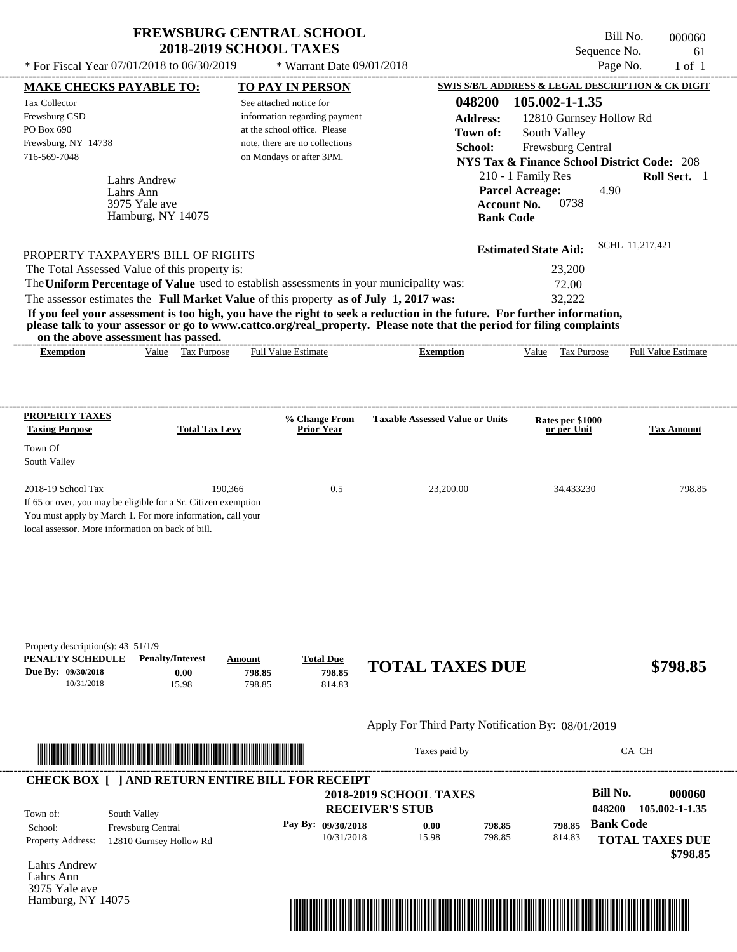---------------------------------------------------------------------------------------------------------------------------------------------------------------------------------------------------- Lahrs Andrew If 65 or over, you may be eligible for a Sr. Citizen exemption You must apply by March 1. For more information, call your local assessor. More information on back of bill. \* For Fiscal Year  $07/01/2018$  to  $06/30/2019$  \* Warrant Date  $09/01/2018$  Page No. 1 of 1 **MAKE CHECKS PAYABLE TO: TO PAY IN PERSON SWIS S/B/L ADDRESS & LEGAL DESCRIPTION & CK DIGIT 048200 105.002-1-1.35 Address:** 12810 Gurnsey Hollow Rd South Valley **School:** Frewsburg Central **NYS Tax & Finance School District Code:** 208 210 - 1 Family Res **Roll Sect.** 1 4.90 **Account No.** 0738 **Bank Code Estimated State Aid:** SCHL 11,217,421 PROPERTY TAXPAYER'S BILL OF RIGHTS The assessor estimates the **Full Market Value** of this property **as of July 1, 2017 was:** 32,222 The Total Assessed Value of this property is: 23,200 The **Uniform Percentage of Value** used to establish assessments in your municipality was: 72.00 **If you feel your assessment is too high, you have the right to seek a reduction in the future. For further information, please talk to your assessor or go to www.cattco.org/real\_property. Please note that the period for filing complaints on the above assessment has passed. Exemption** Value Tax Purpose **PROPERTY TAXES Taxing Purpose Total Tax Levy Prior Year % Change From Taxable Assessed Value or Units or per Unit Rates per \$1000 Tax Amount PENALTY SCHEDULE Penalty/Interest Amount Total Due Due By: 09/30/2018** 10/31/2018 15.98 **0.00** 798.85 **798.85** 814.83 **798.85 TOTAL TAXES DUE \$798.85** Apply For Third Party Notification By: 08/01/2019 **RECEIVER'S STUB Bill No. 000060 Bank Code** Property Address: 12810 Gurnsey Hollow Rd South Valley School: Frewsburg Central **TOTAL TAXES DUE \$798.85** See attached notice for information regarding payment at the school office. Please note, there are no collections Tax Collector Frewsburg CSD PO Box 690 Frewsburg, NY 14738 \* Warrant Date 09/01/2018  **2018-2019 SCHOOL TAXES** 716-569-7048 on Mondays or after 3PM. **Parcel Acreage:** Town Of South Valley 2018-19 School Tax 190,366 190,366 0.5 23,200.00 34.433230 798.85 **048200 105.002-1-1.35 Pay By: 09/30/2018** 10/31/2018 15.98 **0.00** 798.85 **798.85** 814.83 **798.85** Lahrs Ann Full Value Estimate Taxes paid by Taxes and by Taxes paid by  $\overline{C}$  CA CH ---------------------------------------------------------------------------------------------------------------------------------------------------------------------------------------------------- ---------------------------------------------------------------------------------------------------------------------------------------------------------------------------------------------------- Property description(s): 43 51/1/9 Town of: **Town of:** 3975 Yale ave Hamburg, NY 14075 **Exemption** Value Tax Purpose Full Value Estimate ---------------------------------------------------------------------------------------------------------------------------------------------------------------------------------------------------- **CHECK BOX [ ] AND RETURN ENTIRE BILL FOR RECEIPT** \*04820000006000000000079885\*

Lahrs Andrew Lahrs Ann 3975 Yale ave Hamburg, NY 14075



Bill No. 000060 Sequence No. 61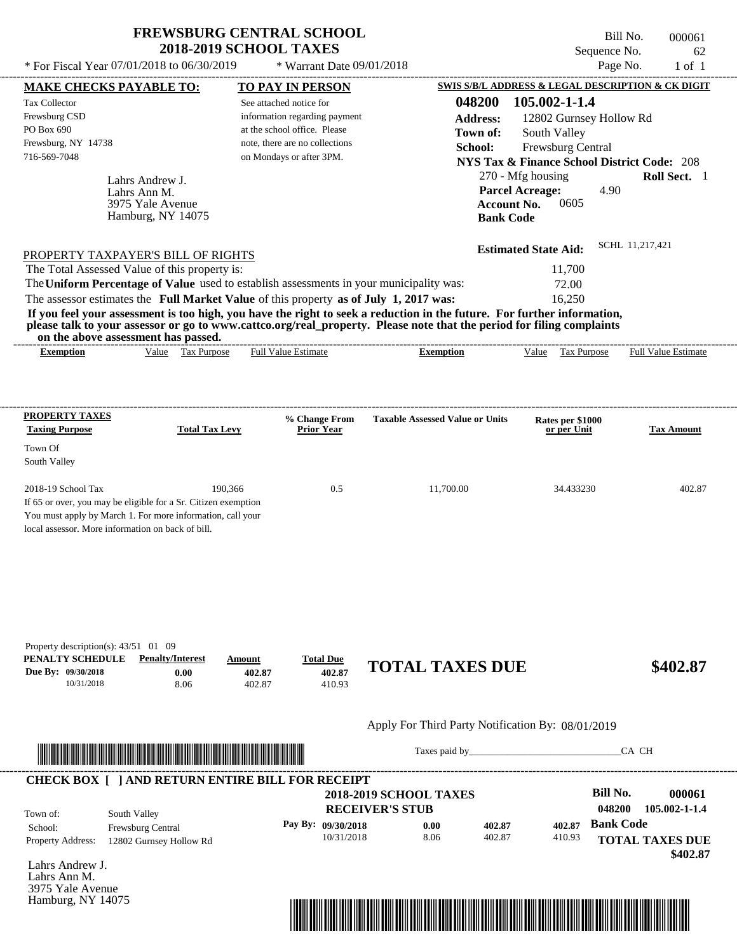\* Warrant Date 09/01/2018

Bill No. 000061 Sequence No. 62

---------------------------------------------------------------------------------------------------------------------------------------------------------------------------------------------------- Lahrs Andrew J. If 65 or over, you may be eligible for a Sr. Citizen exemption You must apply by March 1. For more information, call your local assessor. More information on back of bill. \* For Fiscal Year  $07/01/2018$  to  $06/30/2019$  \* Warrant Date  $09/01/2018$  Page No. 1 of 1 **MAKE CHECKS PAYABLE TO: TO PAY IN PERSON SWIS S/B/L ADDRESS & LEGAL DESCRIPTION & CK DIGIT 048200 105.002-1-1.4 Address:** 12802 Gurnsey Hollow Rd South Valley **School:** Frewsburg Central **NYS Tax & Finance School District Code:** 208 270 - Mfg housing **Roll Sect.** 1 4.90 **Account No. 0605 Bank Code Estimated State Aid:** SCHL 11,217,421 PROPERTY TAXPAYER'S BILL OF RIGHTS The assessor estimates the **Full Market Value** of this property **as of July 1, 2017 was:** 16,250 The Total Assessed Value of this property is: 11,700 The **Uniform Percentage of Value** used to establish assessments in your municipality was: 72.00 **If you feel your assessment is too high, you have the right to seek a reduction in the future. For further information, please talk to your assessor or go to www.cattco.org/real\_property. Please note that the period for filing complaints on the above assessment has passed. Exemption** Value Tax Purpose **PROPERTY TAXES Taxing Purpose Total Tax Levy Prior Year % Change From Taxable Assessed Value or Units or per Unit Rates per \$1000 Tax Amount PENALTY SCHEDULE Penalty/Interest Amount Total Due Due By: 09/30/2018** 10/31/2018 8.06 **0.00** 402.87 **402.87** 410.93 **402.87 TOTAL TAXES DUE \$402.87** Apply For Third Party Notification By: 08/01/2019 **RECEIVER'S STUB Bill No. 000061 Bank Code** Property Address: 12802 Gurnsey Hollow Rd South Valley School: Frewsburg Central **TOTAL TAXES DUE \$402.87** See attached notice for information regarding payment at the school office. Please note, there are no collections Tax Collector Frewsburg CSD PO Box 690 Frewsburg, NY 14738  **2018-2019 SCHOOL TAXES** 716-569-7048 on Mondays or after 3PM. **Parcel Acreage:** Town Of South Valley 2018-19 School Tax 190,366 190,366 0.5 11,700.00 34.433230 402.87 **048200 105.002-1-1.4 Pay By: 09/30/2018** 10/31/2018 8.06 **0.00** 402.87 **402.87** 410.93 **402.87** Lahrs Ann M. Full Value Estimate Taxes paid by Taxes and by Taxes paid by  $\overline{C}$  CA CH ---------------------------------------------------------------------------------------------------------------------------------------------------------------------------------------------------- ---------------------------------------------------------------------------------------------------------------------------------------------------------------------------------------------------- Property description(s):  $43/51$  01 09 Town of: **Town of:** 3975 Yale Avenue Hamburg, NY 14075 **Exemption** Value Tax Purpose Full Value Estimate ---------------------------------------------------------------------------------------------------------------------------------------------------------------------------------------------------- **CHECK BOX [ ] AND RETURN ENTIRE BILL FOR RECEIPT** \*04820000006100000000040287\*

Lahrs Andrew J. Lahrs Ann M. 3975 Yale Avenue Hamburg, NY 14075

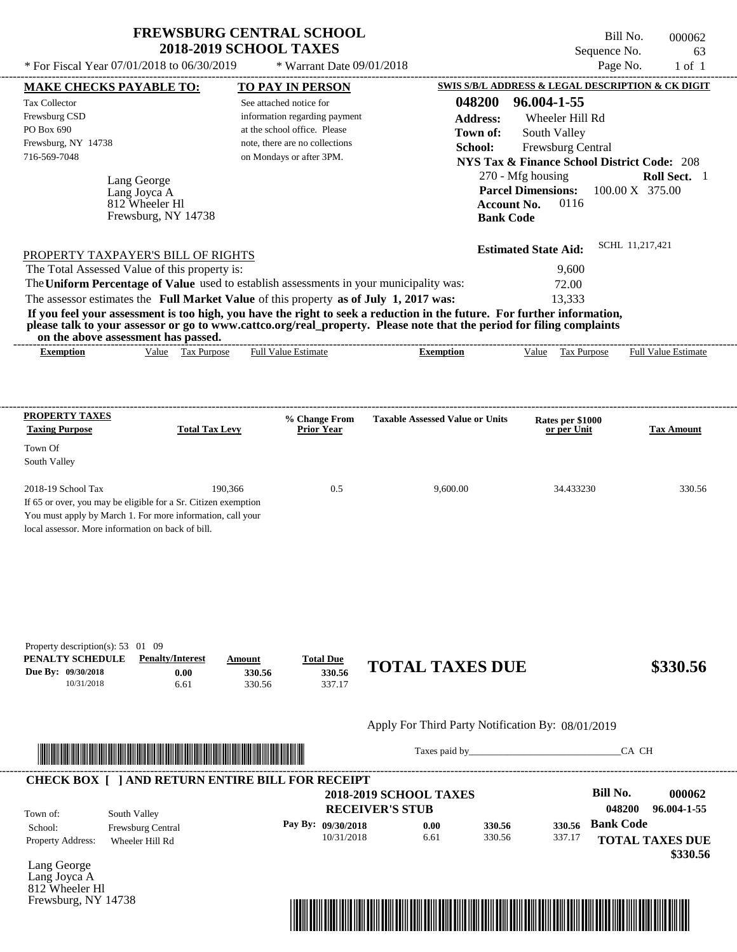$*$  For Fiscal Year 07/01/2018 to 06/30/2019

Frewsburg, NY 14738

\* Warrant Date 09/01/2018

Bill No. 000062 Sequence No. 63<br>Page No. 1 of 1

| <b>MAKE CHECKS PAYABLE TO:</b>                                                                      |                                                                                                                                                                                                                                      |                  | <b>TO PAY IN PERSON</b>        |                                                                                                                                                                                                                                                  |                                 | SWIS S/B/L ADDRESS & LEGAL DESCRIPTION & CK DIGIT      |
|-----------------------------------------------------------------------------------------------------|--------------------------------------------------------------------------------------------------------------------------------------------------------------------------------------------------------------------------------------|------------------|--------------------------------|--------------------------------------------------------------------------------------------------------------------------------------------------------------------------------------------------------------------------------------------------|---------------------------------|--------------------------------------------------------|
| Tax Collector                                                                                       |                                                                                                                                                                                                                                      |                  | See attached notice for        | 048200                                                                                                                                                                                                                                           | 96.004-1-55                     |                                                        |
| Frewsburg CSD                                                                                       |                                                                                                                                                                                                                                      |                  | information regarding payment  | <b>Address:</b>                                                                                                                                                                                                                                  | Wheeler Hill Rd                 |                                                        |
| PO Box 690                                                                                          |                                                                                                                                                                                                                                      |                  | at the school office. Please   | Town of:                                                                                                                                                                                                                                         |                                 |                                                        |
| Frewsburg, NY 14738                                                                                 |                                                                                                                                                                                                                                      |                  | note, there are no collections |                                                                                                                                                                                                                                                  | South Valley                    |                                                        |
| 716-569-7048                                                                                        |                                                                                                                                                                                                                                      |                  | on Mondays or after 3PM.       | School:                                                                                                                                                                                                                                          | Frewsburg Central               |                                                        |
|                                                                                                     |                                                                                                                                                                                                                                      |                  |                                |                                                                                                                                                                                                                                                  |                                 | <b>NYS Tax &amp; Finance School District Code: 208</b> |
|                                                                                                     | Lang George                                                                                                                                                                                                                          |                  |                                |                                                                                                                                                                                                                                                  | 270 - Mfg housing               | Roll Sect. 1                                           |
|                                                                                                     | Lang Joyca A                                                                                                                                                                                                                         |                  |                                |                                                                                                                                                                                                                                                  |                                 | Parcel Dimensions: 100.00 X 375.00                     |
|                                                                                                     | 812 Wheeler Hl                                                                                                                                                                                                                       |                  |                                |                                                                                                                                                                                                                                                  | <b>Account No.</b><br>0116      |                                                        |
|                                                                                                     | Frewsburg, NY 14738                                                                                                                                                                                                                  |                  |                                |                                                                                                                                                                                                                                                  | <b>Bank Code</b>                |                                                        |
|                                                                                                     |                                                                                                                                                                                                                                      |                  |                                |                                                                                                                                                                                                                                                  | <b>Estimated State Aid:</b>     | SCHL 11,217,421                                        |
| PROPERTY TAXPAYER'S BILL OF RIGHTS                                                                  |                                                                                                                                                                                                                                      |                  |                                |                                                                                                                                                                                                                                                  |                                 |                                                        |
| The Total Assessed Value of this property is:                                                       |                                                                                                                                                                                                                                      |                  |                                |                                                                                                                                                                                                                                                  | 9,600                           |                                                        |
|                                                                                                     |                                                                                                                                                                                                                                      |                  |                                | The Uniform Percentage of Value used to establish assessments in your municipality was:                                                                                                                                                          | 72.00                           |                                                        |
| The assessor estimates the Full Market Value of this property as of July 1, 2017 was:               |                                                                                                                                                                                                                                      |                  |                                |                                                                                                                                                                                                                                                  | 13,333                          |                                                        |
|                                                                                                     |                                                                                                                                                                                                                                      |                  |                                | If you feel your assessment is too high, you have the right to seek a reduction in the future. For further information,<br>please talk to your assessor or go to www.cattco.org/real_property. Please note that the period for filing complaints |                                 |                                                        |
|                                                                                                     | on the above assessment has passed.                                                                                                                                                                                                  |                  |                                |                                                                                                                                                                                                                                                  |                                 |                                                        |
| <b>Exemption</b>                                                                                    | Value Tax Purpose                                                                                                                                                                                                                    |                  | <b>Full Value Estimate</b>     | <b>Exemption</b>                                                                                                                                                                                                                                 | Value Tax Purpose               | <b>Full Value Estimate</b>                             |
|                                                                                                     |                                                                                                                                                                                                                                      |                  |                                |                                                                                                                                                                                                                                                  |                                 |                                                        |
|                                                                                                     |                                                                                                                                                                                                                                      |                  |                                |                                                                                                                                                                                                                                                  |                                 |                                                        |
| <b>PROPERTY TAXES</b>                                                                               |                                                                                                                                                                                                                                      |                  | % Change From                  | <b>Taxable Assessed Value or Units</b>                                                                                                                                                                                                           |                                 |                                                        |
| <b>Taxing Purpose</b>                                                                               | <b>Total Tax Levy</b>                                                                                                                                                                                                                |                  | Prior Year                     |                                                                                                                                                                                                                                                  | Rates per \$1000<br>or per Unit | <b>Tax Amount</b>                                      |
| Town Of                                                                                             |                                                                                                                                                                                                                                      |                  |                                |                                                                                                                                                                                                                                                  |                                 |                                                        |
| South Valley                                                                                        |                                                                                                                                                                                                                                      |                  |                                |                                                                                                                                                                                                                                                  |                                 |                                                        |
|                                                                                                     |                                                                                                                                                                                                                                      |                  |                                |                                                                                                                                                                                                                                                  |                                 |                                                        |
| 2018-19 School Tax                                                                                  |                                                                                                                                                                                                                                      | 190,366          | 0.5                            | 9,600.00                                                                                                                                                                                                                                         | 34.433230                       | 330.56                                                 |
| If 65 or over, you may be eligible for a Sr. Citizen exemption                                      |                                                                                                                                                                                                                                      |                  |                                |                                                                                                                                                                                                                                                  |                                 |                                                        |
| You must apply by March 1. For more information, call your                                          |                                                                                                                                                                                                                                      |                  |                                |                                                                                                                                                                                                                                                  |                                 |                                                        |
| local assessor. More information on back of bill.                                                   |                                                                                                                                                                                                                                      |                  |                                |                                                                                                                                                                                                                                                  |                                 |                                                        |
|                                                                                                     |                                                                                                                                                                                                                                      |                  |                                |                                                                                                                                                                                                                                                  |                                 |                                                        |
|                                                                                                     |                                                                                                                                                                                                                                      |                  |                                |                                                                                                                                                                                                                                                  |                                 |                                                        |
| Property description(s): $53 \quad 01 \quad 09$<br>PENALTY SCHEDULE                                 | <b>Penalty/Interest</b>                                                                                                                                                                                                              | Amount           | <b>Total Due</b>               |                                                                                                                                                                                                                                                  |                                 |                                                        |
| Due By: 09/30/2018<br>10/31/2018                                                                    | 0.00<br>6.61                                                                                                                                                                                                                         | 330.56<br>330.56 | 330.56<br>337.17               | <b>TOTAL TAXES DUE</b>                                                                                                                                                                                                                           |                                 | \$330.56                                               |
|                                                                                                     |                                                                                                                                                                                                                                      |                  |                                | Apply For Third Party Notification By: 08/01/2019                                                                                                                                                                                                |                                 |                                                        |
|                                                                                                     |                                                                                                                                                                                                                                      |                  |                                |                                                                                                                                                                                                                                                  |                                 | CA CH                                                  |
|                                                                                                     |                                                                                                                                                                                                                                      |                  |                                |                                                                                                                                                                                                                                                  |                                 |                                                        |
|                                                                                                     | <u> In the second contract of the second contract of the second contract of the second contract of the second contract of the second contract of the second contract of the second contract of the second contract of the second</u> |                  |                                |                                                                                                                                                                                                                                                  |                                 |                                                        |
|                                                                                                     |                                                                                                                                                                                                                                      |                  |                                |                                                                                                                                                                                                                                                  |                                 |                                                        |
|                                                                                                     |                                                                                                                                                                                                                                      |                  |                                | <b>2018-2019 SCHOOL TAXES</b>                                                                                                                                                                                                                    |                                 | <b>Bill No.</b>                                        |
|                                                                                                     |                                                                                                                                                                                                                                      |                  |                                | <b>RECEIVER'S STUB</b>                                                                                                                                                                                                                           |                                 | 048200                                                 |
|                                                                                                     | South Valley                                                                                                                                                                                                                         |                  | Pay By: 09/30/2018             | 0.00<br>330.56                                                                                                                                                                                                                                   | 330.56                          | 000062<br>96.004-1-55<br><b>Bank Code</b>              |
|                                                                                                     | Frewsburg Central                                                                                                                                                                                                                    |                  | 10/31/2018                     | 330.56<br>6.61                                                                                                                                                                                                                                   | 337.17                          |                                                        |
| <b>CHECK BOX [ ] AND RETURN ENTIRE BILL FOR RECEIPT</b><br>Town of:<br>School:<br>Property Address: | Wheeler Hill Rd                                                                                                                                                                                                                      |                  |                                |                                                                                                                                                                                                                                                  |                                 | <b>TOTAL TAXES DUE</b>                                 |
| Lang George                                                                                         |                                                                                                                                                                                                                                      |                  |                                |                                                                                                                                                                                                                                                  |                                 | \$330.56                                               |
| Lang Joyca A<br>812 Wheeler Hl                                                                      |                                                                                                                                                                                                                                      |                  |                                |                                                                                                                                                                                                                                                  |                                 |                                                        |

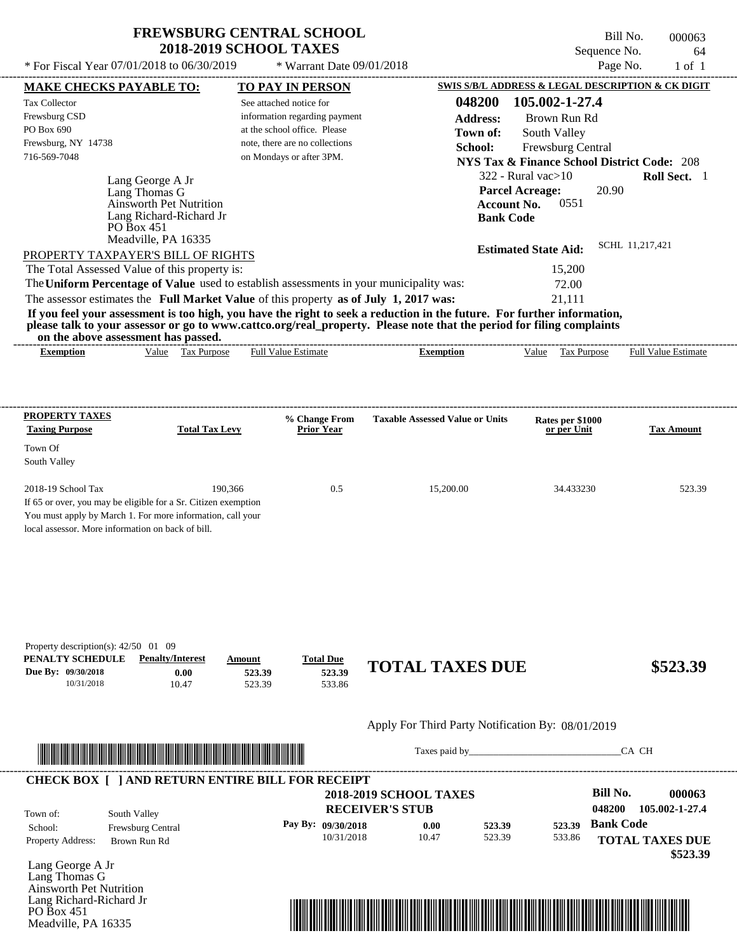Bill No. 000063 Sequence No. 64

**TOTAL TAXES DUE**

 **\$523.39**

|                                                                                                                                                                                                     |                                                                |                                                                                         |                                                                                                                                                                                                                                                  | Page No.                                               |                          |
|-----------------------------------------------------------------------------------------------------------------------------------------------------------------------------------------------------|----------------------------------------------------------------|-----------------------------------------------------------------------------------------|--------------------------------------------------------------------------------------------------------------------------------------------------------------------------------------------------------------------------------------------------|--------------------------------------------------------|--------------------------|
|                                                                                                                                                                                                     | <b>MAKE CHECKS PAYABLE TO:</b>                                 | <b>TO PAY IN PERSON</b>                                                                 |                                                                                                                                                                                                                                                  | SWIS S/B/L ADDRESS & LEGAL DESCRIPTION & CK DIGIT      |                          |
| Tax Collector                                                                                                                                                                                       |                                                                | See attached notice for                                                                 | 048200                                                                                                                                                                                                                                           | 105.002-1-27.4                                         |                          |
| Frewsburg CSD<br>PO Box 690                                                                                                                                                                         |                                                                | information regarding payment<br>at the school office. Please                           | <b>Address:</b>                                                                                                                                                                                                                                  | Brown Run Rd                                           |                          |
| Frewsburg, NY 14738                                                                                                                                                                                 |                                                                | note, there are no collections                                                          | Town of:                                                                                                                                                                                                                                         | South Valley                                           |                          |
| 716-569-7048                                                                                                                                                                                        |                                                                | on Mondays or after 3PM.                                                                | School:                                                                                                                                                                                                                                          | Frewsburg Central                                      |                          |
|                                                                                                                                                                                                     |                                                                |                                                                                         |                                                                                                                                                                                                                                                  | <b>NYS Tax &amp; Finance School District Code: 208</b> |                          |
|                                                                                                                                                                                                     | Lang George A Jr                                               |                                                                                         |                                                                                                                                                                                                                                                  | $322$ - Rural vac $>10$                                | Roll Sect. 1             |
|                                                                                                                                                                                                     | Lang Thomas G<br>Ainsworth Pet Nutrition                       |                                                                                         | <b>Parcel Acreage:</b><br><b>Account No.</b>                                                                                                                                                                                                     | 20.90<br>0551                                          |                          |
|                                                                                                                                                                                                     | Lang Richard-Richard Jr                                        |                                                                                         | <b>Bank Code</b>                                                                                                                                                                                                                                 |                                                        |                          |
|                                                                                                                                                                                                     | PO Box 451                                                     |                                                                                         |                                                                                                                                                                                                                                                  |                                                        |                          |
|                                                                                                                                                                                                     | Meadville, PA 16335                                            |                                                                                         |                                                                                                                                                                                                                                                  | <b>Estimated State Aid:</b>                            | SCHL 11,217,421          |
| PROPERTY TAXPAYER'S BILL OF RIGHTS                                                                                                                                                                  |                                                                |                                                                                         |                                                                                                                                                                                                                                                  |                                                        |                          |
| The Total Assessed Value of this property is:                                                                                                                                                       |                                                                |                                                                                         |                                                                                                                                                                                                                                                  | 15,200                                                 |                          |
|                                                                                                                                                                                                     |                                                                | The Uniform Percentage of Value used to establish assessments in your municipality was: |                                                                                                                                                                                                                                                  | 72.00                                                  |                          |
|                                                                                                                                                                                                     |                                                                | The assessor estimates the Full Market Value of this property as of July 1, 2017 was:   |                                                                                                                                                                                                                                                  | 21,111                                                 |                          |
|                                                                                                                                                                                                     |                                                                |                                                                                         | If you feel your assessment is too high, you have the right to seek a reduction in the future. For further information,<br>please talk to your assessor or go to www.cattco.org/real_property. Please note that the period for filing complaints |                                                        |                          |
| on the above assessment has passed.                                                                                                                                                                 |                                                                |                                                                                         |                                                                                                                                                                                                                                                  |                                                        |                          |
| <b>Exemption</b>                                                                                                                                                                                    | Value Tax Purpose                                              | <b>Full Value Estimate</b>                                                              | <b>Exemption</b>                                                                                                                                                                                                                                 | Value Tax Purpose                                      | Full Value Estimate      |
|                                                                                                                                                                                                     |                                                                |                                                                                         |                                                                                                                                                                                                                                                  |                                                        |                          |
|                                                                                                                                                                                                     |                                                                |                                                                                         |                                                                                                                                                                                                                                                  |                                                        |                          |
|                                                                                                                                                                                                     |                                                                |                                                                                         |                                                                                                                                                                                                                                                  |                                                        |                          |
| <b>PROPERTY TAXES</b>                                                                                                                                                                               |                                                                | % Change From                                                                           | <b>Taxable Assessed Value or Units</b>                                                                                                                                                                                                           | Rates per \$1000                                       |                          |
| <b>Taxing Purpose</b>                                                                                                                                                                               | <b>Total Tax Levy</b>                                          | <b>Prior Year</b>                                                                       |                                                                                                                                                                                                                                                  | or per Unit                                            | <b>Tax Amount</b>        |
| Town Of                                                                                                                                                                                             |                                                                |                                                                                         |                                                                                                                                                                                                                                                  |                                                        |                          |
| South Valley                                                                                                                                                                                        |                                                                |                                                                                         |                                                                                                                                                                                                                                                  |                                                        |                          |
| 2018-19 School Tax                                                                                                                                                                                  | 190,366                                                        | 0.5                                                                                     | 15,200.00                                                                                                                                                                                                                                        | 34.433230                                              | 523.39                   |
|                                                                                                                                                                                                     | If 65 or over, you may be eligible for a Sr. Citizen exemption |                                                                                         |                                                                                                                                                                                                                                                  |                                                        |                          |
|                                                                                                                                                                                                     |                                                                |                                                                                         |                                                                                                                                                                                                                                                  |                                                        |                          |
|                                                                                                                                                                                                     |                                                                |                                                                                         |                                                                                                                                                                                                                                                  |                                                        |                          |
|                                                                                                                                                                                                     |                                                                |                                                                                         |                                                                                                                                                                                                                                                  |                                                        |                          |
|                                                                                                                                                                                                     |                                                                |                                                                                         |                                                                                                                                                                                                                                                  |                                                        |                          |
|                                                                                                                                                                                                     |                                                                |                                                                                         |                                                                                                                                                                                                                                                  |                                                        |                          |
|                                                                                                                                                                                                     |                                                                |                                                                                         |                                                                                                                                                                                                                                                  |                                                        |                          |
|                                                                                                                                                                                                     |                                                                |                                                                                         |                                                                                                                                                                                                                                                  |                                                        |                          |
|                                                                                                                                                                                                     |                                                                |                                                                                         |                                                                                                                                                                                                                                                  |                                                        |                          |
|                                                                                                                                                                                                     |                                                                |                                                                                         |                                                                                                                                                                                                                                                  |                                                        |                          |
|                                                                                                                                                                                                     |                                                                |                                                                                         |                                                                                                                                                                                                                                                  |                                                        |                          |
|                                                                                                                                                                                                     |                                                                |                                                                                         |                                                                                                                                                                                                                                                  |                                                        |                          |
|                                                                                                                                                                                                     | <b>Penalty/Interest</b>                                        | <b>Total Due</b><br>Amount                                                              | <b>TOTAL TAXES DUE</b>                                                                                                                                                                                                                           |                                                        | \$523.39                 |
| 10/31/2018                                                                                                                                                                                          | 0.00<br>10.47                                                  | 523.39<br>523.39<br>523.39<br>533.86                                                    |                                                                                                                                                                                                                                                  |                                                        |                          |
|                                                                                                                                                                                                     |                                                                |                                                                                         |                                                                                                                                                                                                                                                  |                                                        |                          |
|                                                                                                                                                                                                     |                                                                |                                                                                         |                                                                                                                                                                                                                                                  |                                                        |                          |
| You must apply by March 1. For more information, call your<br>local assessor. More information on back of bill.<br>Property description(s): $42/50$ 01 09<br>PENALTY SCHEDULE<br>Due By: 09/30/2018 |                                                                |                                                                                         | Apply For Third Party Notification By: 08/01/2019                                                                                                                                                                                                |                                                        |                          |
|                                                                                                                                                                                                     |                                                                |                                                                                         |                                                                                                                                                                                                                                                  |                                                        | CA CH                    |
|                                                                                                                                                                                                     |                                                                |                                                                                         |                                                                                                                                                                                                                                                  |                                                        |                          |
|                                                                                                                                                                                                     |                                                                | <b>CHECK BOX [ ] AND RETURN ENTIRE BILL FOR RECEIPT</b>                                 | <b>2018-2019 SCHOOL TAXES</b>                                                                                                                                                                                                                    | <b>Bill No.</b>                                        |                          |
|                                                                                                                                                                                                     |                                                                |                                                                                         | <b>RECEIVER'S STUB</b>                                                                                                                                                                                                                           | 048200                                                 | 000063<br>105.002-1-27.4 |
| Town of:<br>School:                                                                                                                                                                                 | South Valley<br>Frewsburg Central                              | Pay By: 09/30/2018                                                                      | 0.00<br>523.39                                                                                                                                                                                                                                   | 523.39 Bank Code                                       |                          |

10/31/2018 10.47

Lang George A Jr Lang Thomas G Ainsworth Pet Nutrition Lang Richard-Richard Jr

Property Address: Brown Run Rd

PO Box 451 Meadville, PA 16335



523.39

533.86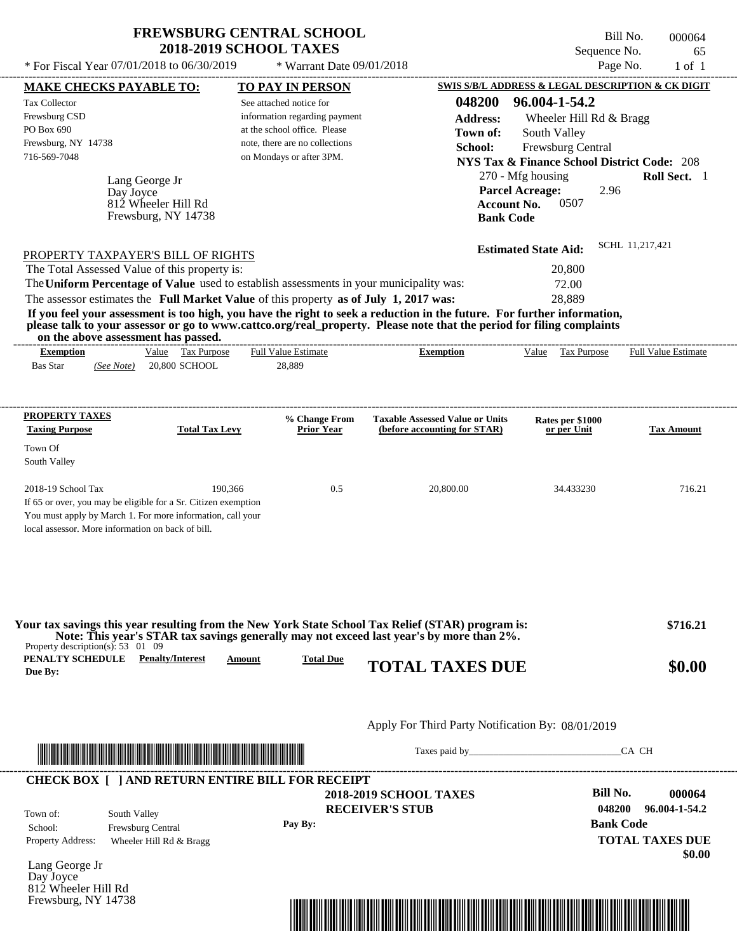---------------------------------------------------------------------------------------------------------------------------------------------------------------------------------------------------- \* For Fiscal Year  $07/01/2018$  to  $06/30/2019$  \* Warrant Date  $09/01/2018$  Page No. 1 of 1

\* Warrant Date 09/01/2018

Lang George Jr If 65 or over, you may be eligible for a Sr. Citizen exemption You must apply by March 1. For more information, call your local assessor. More information on back of bill. **MAKE CHECKS PAYABLE TO: TO PAY IN PERSON SWIS S/B/L ADDRESS & LEGAL DESCRIPTION & CK DIGIT 048200 96.004-1-54.2 Address:** Wheeler Hill Rd & Bragg South Valley **School:** Frewsburg Central **NYS Tax & Finance School District Code:** 208 270 - Mfg housing **Roll Sect.** 1 2.96 **Account No.** 0507 **Bank Code Estimated State Aid:** SCHL 11,217,421 PROPERTY TAXPAYER'S BILL OF RIGHTS The assessor estimates the **Full Market Value** of this property **as of July 1, 2017 was:** 28,889 The Total Assessed Value of this property is: 20,800 The **Uniform Percentage of Value** used to establish assessments in your municipality was: 72.00 **If you feel your assessment is too high, you have the right to seek a reduction in the future. For further information, please talk to your assessor or go to www.cattco.org/real\_property. Please note that the period for filing complaints on the above assessment has passed. Exemption** Value Tax Purpose **PROPERTY TAXES Taxing Purpose Total Tax Levy Prior Year % Change From (before accounting for STAR) Taxable Assessed Value or Units or per Unit Rates per \$1000 Tax Amount PENALTY SCHEDULE Penalty/Interest Amount Total Due Due By: SCREW BY: SCREW BY: SCREW BY: SO.00 SO.00 SO.00** Apply For Third Party Notification By: 08/01/2019 Lang George Jr **RECEIVER'S STUB Bill No. 000064 Bank Code** Property Address: Wheeler Hill Rd & Bragg South Valley School: Frewsburg Central **TOTAL TAXES DUE \$0.00** Bas Star 20,800 SCHOOL *(See Note)* 28,889 See attached notice for information regarding payment at the school office. Please note, there are no collections Tax Collector Frewsburg CSD PO Box 690 Frewsburg, NY 14738  **2018-2019 SCHOOL TAXES** 716-569-7048 on Mondays or after 3PM. **Parcel Acreage:** Town Of South Valley 2018-19 School Tax 190,366 190,366 0.5 20,800.00 34.433230 716.21  **\$716.21 048200 96.004-1-54.2 Pay By:** Day Joyce Day Joyce Full Value Estimate Taxes paid by Taxes and by Taxes paid by Taxes and by Taxes and by Taxes and the CA CH ---------------------------------------------------------------------------------------------------------------------------------------------------------------------------------------------------- ---------------------------------------------------------------------------------------------------------------------------------------------------------------------------------------------------- Property description(s): 53 01 09 Town of: **Town of:** 812 Wheeler Hill Rd Frewsburg, NY 14738 812 Wheeler Hill Rd Frewsburg, NY 14738 **Exemption** Value Tax Purpose Full Value Estimate **Your tax savings this year resulting from the New York State School Tax Relief (STAR) program is: Note: This year's STAR tax savings generally may not exceed last year's by more than 2%.** ---------------------------------------------------------------------------------------------------------------------------------------------------------------------------------------------------- **CHECK BOX [ ] AND RETURN ENTIRE BILL FOR RECEIPT** \*04820000006400000000000000\*



Bill No. 000064 Sequence No. 65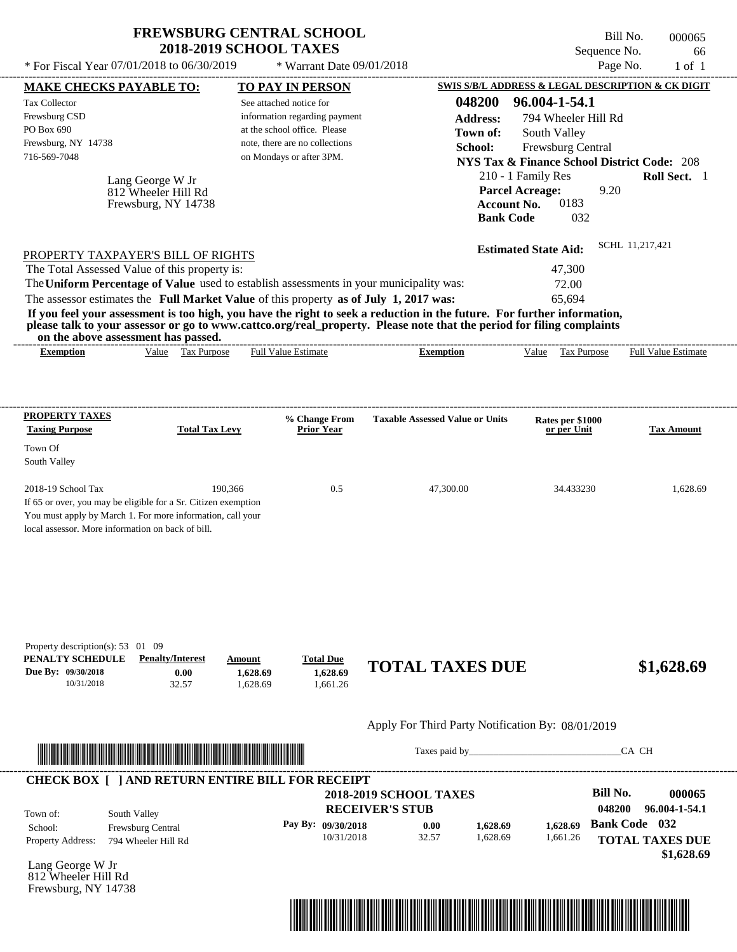| <b>FREWSBURG CENTRAL SCHOOL</b> |
|---------------------------------|
| <b>2018-2019 SCHOOL TAXES</b>   |

Bill No. 000065 Sequence No. 66 \* For Fiscal Year  $07/01/2018$  to  $06/30/2019$  \* Warrant Date  $09/01/2018$  Page No. 1 of 1

| Tax Collector<br>Frewsburg CSD<br>PO Box 690<br>Frewsburg, NY 14738<br>716-569-7048                                        | Lang George W Jr<br>812 Wheeler Hill Rd<br>Frewsburg, NY 14738                                                                                                                                                                       | See attached notice for<br>information regarding payment<br>at the school office. Please<br>note, there are no collections<br>on Mondays or after 3PM. | 048200<br><b>Address:</b><br>Town of:<br>School:<br><b>Account No.</b><br><b>Bank Code</b>                                                                                                                                                       | 96.004-1-54.1<br>794 Wheeler Hill Rd<br>South Valley<br>Frewsburg Central<br><b>NYS Tax &amp; Finance School District Code: 208</b><br>210 - 1 Family Res<br><b>Parcel Acreage:</b><br>9.20<br>0183<br>032 | Roll Sect. 1                                                                            |
|----------------------------------------------------------------------------------------------------------------------------|--------------------------------------------------------------------------------------------------------------------------------------------------------------------------------------------------------------------------------------|--------------------------------------------------------------------------------------------------------------------------------------------------------|--------------------------------------------------------------------------------------------------------------------------------------------------------------------------------------------------------------------------------------------------|------------------------------------------------------------------------------------------------------------------------------------------------------------------------------------------------------------|-----------------------------------------------------------------------------------------|
| PROPERTY TAXPAYER'S BILL OF RIGHTS<br>The Total Assessed Value of this property is:<br>on the above assessment has passed. | The Uniform Percentage of Value used to establish assessments in your municipality was:<br>The assessor estimates the Full Market Value of this property as of July 1, 2017 was:                                                     |                                                                                                                                                        | If you feel your assessment is too high, you have the right to seek a reduction in the future. For further information,<br>please talk to your assessor or go to www.cattco.org/real_property. Please note that the period for filing complaints | <b>Estimated State Aid:</b><br>47,300<br>72.00<br>65,694                                                                                                                                                   | SCHL 11,217,421                                                                         |
| <b>Exemption</b>                                                                                                           | Value Tax Purpose                                                                                                                                                                                                                    | <b>Full Value Estimate</b>                                                                                                                             | <b>Exemption</b>                                                                                                                                                                                                                                 | Value Tax Purpose                                                                                                                                                                                          | <b>Full Value Estimate</b>                                                              |
| <b>PROPERTY TAXES</b><br><b>Taxing Purpose</b>                                                                             | <b>Total Tax Levy</b>                                                                                                                                                                                                                | % Change From<br><b>Prior Year</b>                                                                                                                     | <b>Taxable Assessed Value or Units</b>                                                                                                                                                                                                           | Rates per \$1000<br>or per Unit                                                                                                                                                                            | <b>Tax Amount</b>                                                                       |
| Town Of<br>South Valley                                                                                                    |                                                                                                                                                                                                                                      |                                                                                                                                                        |                                                                                                                                                                                                                                                  |                                                                                                                                                                                                            |                                                                                         |
| 2018-19 School Tax<br>local assessor. More information on back of bill.                                                    | 190,366<br>If 65 or over, you may be eligible for a Sr. Citizen exemption<br>You must apply by March 1. For more information, call your                                                                                              | 0.5                                                                                                                                                    | 47,300.00                                                                                                                                                                                                                                        | 34.433230                                                                                                                                                                                                  | 1,628.69                                                                                |
| Property description(s): 53 01 09<br>PENALTY SCHEDULE<br>Due By: 09/30/2018<br>10/31/2018                                  | <b>Penalty/Interest</b><br>Amount<br>0.00<br>1,628.69<br>32.57<br>1,628.69                                                                                                                                                           | <b>Total Due</b><br>1,628.69<br>1,661.26                                                                                                               | <b>TOTAL TAXES DUE</b>                                                                                                                                                                                                                           |                                                                                                                                                                                                            | \$1,628.69                                                                              |
|                                                                                                                            |                                                                                                                                                                                                                                      |                                                                                                                                                        | Apply For Third Party Notification By: 08/01/2019                                                                                                                                                                                                |                                                                                                                                                                                                            |                                                                                         |
|                                                                                                                            | <u> In the second contract of the second contract of the second contract of the second contract of the second contract of the second contract of the second contract of the second contract of the second contract of the second</u> |                                                                                                                                                        |                                                                                                                                                                                                                                                  |                                                                                                                                                                                                            | CA CH                                                                                   |
| South Valley<br>Town of:<br>School:<br><b>Property Address:</b>                                                            | <b>CHECK BOX [ ] AND RETURN ENTIRE BILL FOR RECEIPT</b><br>Frewsburg Central<br>794 Wheeler Hill Rd                                                                                                                                  | Pay By: 09/30/2018<br>10/31/2018                                                                                                                       | <b>2018-2019 SCHOOL TAXES</b><br><b>RECEIVER'S STUB</b><br>0.00<br>1,628.69<br>32.57<br>1,628.69                                                                                                                                                 | <b>Bill No.</b><br>048200<br>1,628.69<br>1,661.26                                                                                                                                                          | 000065<br>96.004-1-54.1<br><b>Bank Code</b> 032<br><b>TOTAL TAXES DUE</b><br>\$1,628.69 |
| Lang George W Jr<br>812 Wheeler Hill Rd<br>Frewsburg, NY 14738                                                             |                                                                                                                                                                                                                                      |                                                                                                                                                        | <u> 1989 - Andrea Stadt British, mark ar yn y brenin y brenin y brenin y brenin y brenin y brenin y brenin y bre</u>                                                                                                                             |                                                                                                                                                                                                            |                                                                                         |

----------------------------------------------------------------------------------------------------------------------------------------------------------------------------------------------------

**MAKE CHECKS PAYABLE TO: TO PAY IN PERSON SWIS S/B/L ADDRESS & LEGAL DESCRIPTION & CK DIGIT**

\* Warrant Date 09/01/2018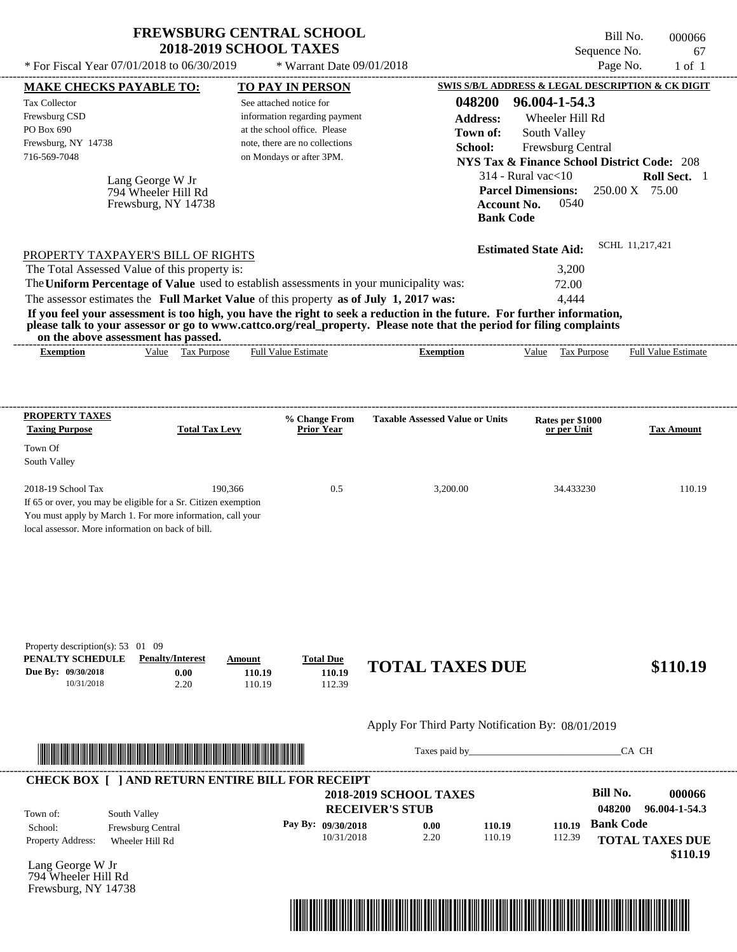| <b>FREWSBURG CENTRAL SCHOOL</b> |  |
|---------------------------------|--|
| <b>2018-2019 SCHOOL TAXES</b>   |  |

 $*$  For Fiscal Year 07/01/2018 to 06/30/2019  $*$  Warrant Date 09/01/2018 Page No. 1 of 1

---------------------------------------------------------------------------------------------------------------------------------------------------------------------------------------------------- Bill No. 000066 Sequence No. 67

| <b>MAKE CHECKS PAYABLE TO:</b>                                                                                                                                                                                                       |                         |                       | <b>TO PAY IN PERSON</b>                                    |            |                                                                                                                         | SWIS S/B/L ADDRESS & LEGAL DESCRIPTION & CK DIGIT      |                  |                            |
|--------------------------------------------------------------------------------------------------------------------------------------------------------------------------------------------------------------------------------------|-------------------------|-----------------------|------------------------------------------------------------|------------|-------------------------------------------------------------------------------------------------------------------------|--------------------------------------------------------|------------------|----------------------------|
| <b>Tax Collector</b>                                                                                                                                                                                                                 |                         |                       | See attached notice for                                    |            | 048200                                                                                                                  | 96.004-1-54.3                                          |                  |                            |
| Frewsburg CSD                                                                                                                                                                                                                        |                         |                       | information regarding payment                              |            | <b>Address:</b>                                                                                                         | Wheeler Hill Rd                                        |                  |                            |
| PO Box 690                                                                                                                                                                                                                           |                         |                       | at the school office. Please                               |            | Town of:                                                                                                                | South Valley                                           |                  |                            |
| Frewsburg, NY 14738<br>716-569-7048                                                                                                                                                                                                  |                         |                       | note, there are no collections<br>on Mondays or after 3PM. |            | School:                                                                                                                 | Frewsburg Central                                      |                  |                            |
|                                                                                                                                                                                                                                      |                         |                       |                                                            |            |                                                                                                                         | <b>NYS Tax &amp; Finance School District Code: 208</b> |                  |                            |
|                                                                                                                                                                                                                                      | Lang George W Jr        |                       |                                                            |            |                                                                                                                         | $314$ - Rural vac $<$ 10                               |                  | Roll Sect. 1               |
|                                                                                                                                                                                                                                      | 794 Wheeler Hill Rd     |                       |                                                            |            |                                                                                                                         | <b>Parcel Dimensions:</b>                              |                  | 250.00 X 75.00             |
|                                                                                                                                                                                                                                      | Frewsburg, NY 14738     |                       |                                                            |            |                                                                                                                         | <b>Account No.</b><br>0540<br><b>Bank Code</b>         |                  |                            |
|                                                                                                                                                                                                                                      |                         |                       |                                                            |            |                                                                                                                         |                                                        |                  |                            |
|                                                                                                                                                                                                                                      |                         |                       |                                                            |            |                                                                                                                         | <b>Estimated State Aid:</b>                            |                  | SCHL 11,217,421            |
| PROPERTY TAXPAYER'S BILL OF RIGHTS                                                                                                                                                                                                   |                         |                       |                                                            |            |                                                                                                                         |                                                        |                  |                            |
| The Total Assessed Value of this property is:                                                                                                                                                                                        |                         |                       |                                                            |            |                                                                                                                         | 3,200                                                  |                  |                            |
|                                                                                                                                                                                                                                      |                         |                       |                                                            |            | The Uniform Percentage of Value used to establish assessments in your municipality was:                                 | 72.00<br>4,444                                         |                  |                            |
| The assessor estimates the Full Market Value of this property as of July 1, 2017 was:                                                                                                                                                |                         |                       |                                                            |            | If you feel your assessment is too high, you have the right to seek a reduction in the future. For further information, |                                                        |                  |                            |
|                                                                                                                                                                                                                                      |                         |                       |                                                            |            | please talk to your assessor or go to www.cattco.org/real_property. Please note that the period for filing complaints   |                                                        |                  |                            |
| on the above assessment has passed.                                                                                                                                                                                                  |                         |                       |                                                            |            |                                                                                                                         |                                                        |                  |                            |
| <b>Exemption</b>                                                                                                                                                                                                                     | Value Tax Purpose       |                       | Full Value Estimate                                        |            | <b>Exemption</b>                                                                                                        | Value Tax Purpose                                      |                  | <b>Full Value Estimate</b> |
|                                                                                                                                                                                                                                      |                         |                       |                                                            |            |                                                                                                                         |                                                        |                  |                            |
|                                                                                                                                                                                                                                      |                         |                       |                                                            |            |                                                                                                                         |                                                        |                  |                            |
|                                                                                                                                                                                                                                      |                         |                       |                                                            |            |                                                                                                                         |                                                        |                  |                            |
| <b>PROPERTY TAXES</b>                                                                                                                                                                                                                |                         |                       | % Change From                                              |            | <b>Taxable Assessed Value or Units</b>                                                                                  | Rates per \$1000                                       |                  |                            |
| <b>Taxing Purpose</b>                                                                                                                                                                                                                |                         | <b>Total Tax Levy</b> | <b>Prior Year</b>                                          |            |                                                                                                                         | or per Unit                                            |                  | <b>Tax Amount</b>          |
| Town Of                                                                                                                                                                                                                              |                         |                       |                                                            |            |                                                                                                                         |                                                        |                  |                            |
| South Valley                                                                                                                                                                                                                         |                         |                       |                                                            |            |                                                                                                                         |                                                        |                  |                            |
| 2018-19 School Tax                                                                                                                                                                                                                   |                         | 190,366               |                                                            | 0.5        | 3,200.00                                                                                                                | 34.433230                                              |                  | 110.19                     |
| If 65 or over, you may be eligible for a Sr. Citizen exemption                                                                                                                                                                       |                         |                       |                                                            |            |                                                                                                                         |                                                        |                  |                            |
| You must apply by March 1. For more information, call your                                                                                                                                                                           |                         |                       |                                                            |            |                                                                                                                         |                                                        |                  |                            |
| local assessor. More information on back of bill.                                                                                                                                                                                    |                         |                       |                                                            |            |                                                                                                                         |                                                        |                  |                            |
|                                                                                                                                                                                                                                      |                         |                       |                                                            |            |                                                                                                                         |                                                        |                  |                            |
|                                                                                                                                                                                                                                      |                         |                       |                                                            |            |                                                                                                                         |                                                        |                  |                            |
|                                                                                                                                                                                                                                      |                         |                       |                                                            |            |                                                                                                                         |                                                        |                  |                            |
|                                                                                                                                                                                                                                      |                         |                       |                                                            |            |                                                                                                                         |                                                        |                  |                            |
|                                                                                                                                                                                                                                      |                         |                       |                                                            |            |                                                                                                                         |                                                        |                  |                            |
|                                                                                                                                                                                                                                      |                         |                       |                                                            |            |                                                                                                                         |                                                        |                  |                            |
| Property description(s): 53 01 09                                                                                                                                                                                                    |                         |                       |                                                            |            |                                                                                                                         |                                                        |                  |                            |
| PENALTY SCHEDULE                                                                                                                                                                                                                     | <b>Penalty/Interest</b> | Amount                | <b>Total Due</b>                                           |            |                                                                                                                         |                                                        |                  |                            |
| Due By: 09/30/2018                                                                                                                                                                                                                   | 0.00                    |                       | 110.19                                                     | 110.19     | <b>TOTAL TAXES DUE</b>                                                                                                  |                                                        |                  | \$110.19                   |
| 10/31/2018                                                                                                                                                                                                                           | 2.20                    |                       | 110.19                                                     | 112.39     |                                                                                                                         |                                                        |                  |                            |
|                                                                                                                                                                                                                                      |                         |                       |                                                            |            |                                                                                                                         |                                                        |                  |                            |
|                                                                                                                                                                                                                                      |                         |                       |                                                            |            | Apply For Third Party Notification By: 08/01/2019                                                                       |                                                        |                  |                            |
|                                                                                                                                                                                                                                      |                         |                       |                                                            |            |                                                                                                                         |                                                        |                  |                            |
| <u> Indian American State and The Communication of the Communication of the Communication of the Communication of the Communication of the Communication of the Communication of the Communication of the Communication of the C</u> |                         |                       |                                                            |            |                                                                                                                         |                                                        |                  | CA CH                      |
|                                                                                                                                                                                                                                      |                         |                       |                                                            |            |                                                                                                                         |                                                        |                  |                            |
| <b>CHECK BOX [ ] AND RETURN ENTIRE BILL FOR RECEIPT</b>                                                                                                                                                                              |                         |                       |                                                            |            |                                                                                                                         |                                                        |                  |                            |
|                                                                                                                                                                                                                                      |                         |                       |                                                            |            | <b>2018-2019 SCHOOL TAXES</b>                                                                                           |                                                        | <b>Bill No.</b>  | 000066                     |
| Town of:                                                                                                                                                                                                                             | South Valley            |                       |                                                            |            | <b>RECEIVER'S STUB</b>                                                                                                  |                                                        | 048200           | 96.004-1-54.3              |
| School:                                                                                                                                                                                                                              | Frewsburg Central       |                       | Pay By: 09/30/2018                                         |            | 0.00<br>110.19                                                                                                          | 110.19                                                 | <b>Bank Code</b> |                            |
| Property Address:                                                                                                                                                                                                                    | Wheeler Hill Rd         |                       |                                                            | 10/31/2018 | 2.20<br>110.19                                                                                                          | 112.39                                                 |                  | <b>TOTAL TAXES DUE</b>     |
|                                                                                                                                                                                                                                      |                         |                       |                                                            |            |                                                                                                                         |                                                        |                  | \$110.19                   |
| Lang George W Jr<br>794 Wheeler Hill Rd                                                                                                                                                                                              |                         |                       |                                                            |            |                                                                                                                         |                                                        |                  |                            |
| Frewsburg, NY 14738                                                                                                                                                                                                                  |                         |                       |                                                            |            |                                                                                                                         |                                                        |                  |                            |
|                                                                                                                                                                                                                                      |                         |                       |                                                            |            |                                                                                                                         |                                                        |                  |                            |
|                                                                                                                                                                                                                                      |                         |                       |                                                            |            |                                                                                                                         |                                                        |                  |                            |
|                                                                                                                                                                                                                                      |                         |                       |                                                            |            |                                                                                                                         |                                                        |                  |                            |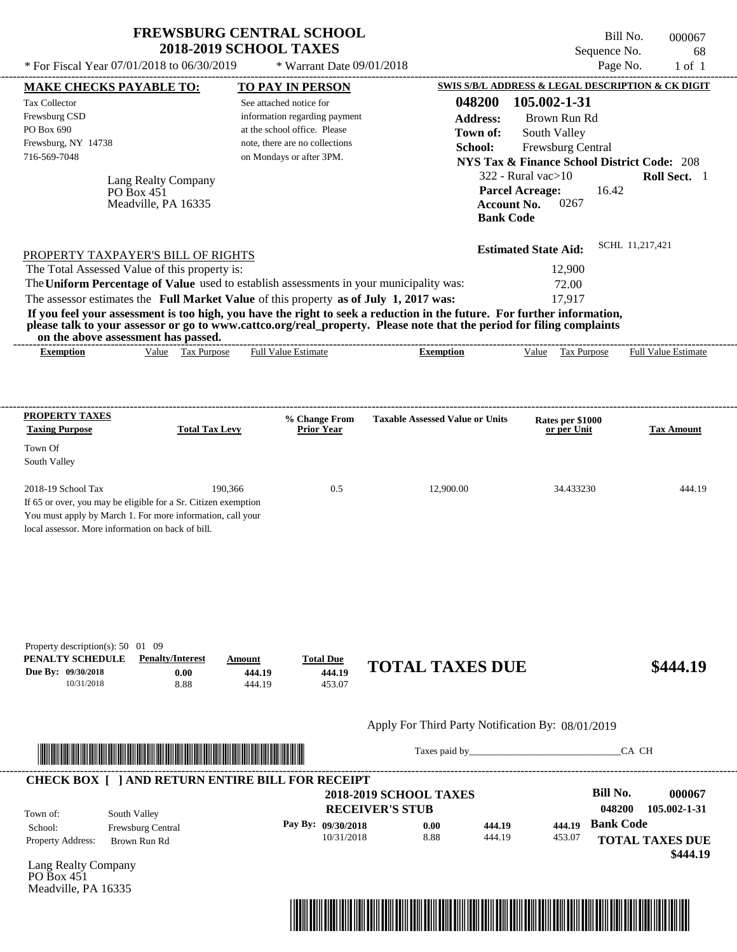\* Warrant Date 09/01/2018

 $*$  For Fiscal Year 07/01/2018 to 06/30/2019

---------------------------------------------------------------------------------------------------------------------------------------------------------------------------------------------------- Bill No. 000067 Sequence No. 68<br>Page No. 1 of 1

| <b>MAKE CHECKS PAYABLE TO:</b>                                                        |                                                                                                                       |         | <b>TO PAY IN PERSON</b>                                        |                                                                                                                         |                                                      | SWIS S/B/L ADDRESS & LEGAL DESCRIPTION & CK DIGIT      |
|---------------------------------------------------------------------------------------|-----------------------------------------------------------------------------------------------------------------------|---------|----------------------------------------------------------------|-------------------------------------------------------------------------------------------------------------------------|------------------------------------------------------|--------------------------------------------------------|
| <b>Tax Collector</b>                                                                  |                                                                                                                       |         | See attached notice for                                        | 048200                                                                                                                  | 105.002-1-31                                         |                                                        |
| Frewsburg CSD                                                                         |                                                                                                                       |         | information regarding payment                                  | <b>Address:</b>                                                                                                         | Brown Run Rd                                         |                                                        |
| PO Box 690<br>Frewsburg, NY 14738                                                     |                                                                                                                       |         | at the school office. Please<br>note, there are no collections | Town of:                                                                                                                | South Valley                                         |                                                        |
| 716-569-7048                                                                          |                                                                                                                       |         | on Mondays or after 3PM.                                       | School:                                                                                                                 | Frewsburg Central                                    |                                                        |
|                                                                                       |                                                                                                                       |         |                                                                |                                                                                                                         |                                                      | <b>NYS Tax &amp; Finance School District Code: 208</b> |
|                                                                                       | Lang Realty Company                                                                                                   |         |                                                                |                                                                                                                         | $322$ - Rural vac $>10$                              | Roll Sect. 1                                           |
|                                                                                       | PO Box 451<br>Meadville, PA 16335                                                                                     |         |                                                                |                                                                                                                         | <b>Parcel Acreage:</b><br>0267<br><b>Account No.</b> | 16.42                                                  |
|                                                                                       |                                                                                                                       |         |                                                                |                                                                                                                         | <b>Bank Code</b>                                     |                                                        |
|                                                                                       |                                                                                                                       |         |                                                                |                                                                                                                         |                                                      |                                                        |
|                                                                                       | PROPERTY TAXPAYER'S BILL OF RIGHTS                                                                                    |         |                                                                |                                                                                                                         | <b>Estimated State Aid:</b>                          | SCHL 11,217,421                                        |
| The Total Assessed Value of this property is:                                         |                                                                                                                       |         |                                                                |                                                                                                                         | 12,900                                               |                                                        |
|                                                                                       |                                                                                                                       |         |                                                                | The Uniform Percentage of Value used to establish assessments in your municipality was:                                 | 72.00                                                |                                                        |
| The assessor estimates the Full Market Value of this property as of July 1, 2017 was: |                                                                                                                       |         |                                                                |                                                                                                                         | 17,917                                               |                                                        |
|                                                                                       |                                                                                                                       |         |                                                                | If you feel your assessment is too high, you have the right to seek a reduction in the future. For further information, |                                                      |                                                        |
|                                                                                       | on the above assessment has passed.                                                                                   |         |                                                                | please talk to your assessor or go to www.cattco.org/real_property. Please note that the period for filing complaints   |                                                      |                                                        |
| <b>Exemption</b>                                                                      | Value Tax Purpose                                                                                                     |         | Full Value Estimate                                            | <b>Exemption</b>                                                                                                        | Value Tax Purpose                                    | <b>Full Value Estimate</b>                             |
|                                                                                       |                                                                                                                       |         |                                                                |                                                                                                                         |                                                      |                                                        |
|                                                                                       |                                                                                                                       |         |                                                                |                                                                                                                         |                                                      |                                                        |
|                                                                                       |                                                                                                                       |         |                                                                |                                                                                                                         |                                                      |                                                        |
| <b>PROPERTY TAXES</b><br><b>Taxing Purpose</b>                                        | <b>Total Tax Levy</b>                                                                                                 |         | % Change From<br><b>Prior Year</b>                             | <b>Taxable Assessed Value or Units</b>                                                                                  | Rates per \$1000<br>or per Unit                      | <b>Tax Amount</b>                                      |
| Town Of                                                                               |                                                                                                                       |         |                                                                |                                                                                                                         |                                                      |                                                        |
| South Valley                                                                          |                                                                                                                       |         |                                                                |                                                                                                                         |                                                      |                                                        |
|                                                                                       |                                                                                                                       |         |                                                                |                                                                                                                         |                                                      |                                                        |
| 2018-19 School Tax                                                                    |                                                                                                                       | 190,366 | 0.5                                                            | 12,900.00                                                                                                               | 34.433230                                            | 444.19                                                 |
| If 65 or over, you may be eligible for a Sr. Citizen exemption                        |                                                                                                                       |         |                                                                |                                                                                                                         |                                                      |                                                        |
| You must apply by March 1. For more information, call your                            |                                                                                                                       |         |                                                                |                                                                                                                         |                                                      |                                                        |
| local assessor. More information on back of bill.                                     |                                                                                                                       |         |                                                                |                                                                                                                         |                                                      |                                                        |
|                                                                                       |                                                                                                                       |         |                                                                |                                                                                                                         |                                                      |                                                        |
|                                                                                       |                                                                                                                       |         |                                                                |                                                                                                                         |                                                      |                                                        |
|                                                                                       |                                                                                                                       |         |                                                                |                                                                                                                         |                                                      |                                                        |
|                                                                                       |                                                                                                                       |         |                                                                |                                                                                                                         |                                                      |                                                        |
|                                                                                       |                                                                                                                       |         |                                                                |                                                                                                                         |                                                      |                                                        |
| Property description(s): 50 01 09                                                     |                                                                                                                       |         |                                                                |                                                                                                                         |                                                      |                                                        |
| PENALTY SCHEDULE                                                                      | <b>Penalty/Interest</b>                                                                                               | Amount  | <b>Total Due</b>                                               |                                                                                                                         |                                                      |                                                        |
| Due By: 09/30/2018                                                                    | 0.00                                                                                                                  | 444.19  | 444.19                                                         | <b>TOTAL TAXES DUE</b>                                                                                                  |                                                      | \$444.19                                               |
| 10/31/2018                                                                            | 8.88                                                                                                                  | 444.19  | 453.07                                                         |                                                                                                                         |                                                      |                                                        |
|                                                                                       |                                                                                                                       |         |                                                                |                                                                                                                         |                                                      |                                                        |
|                                                                                       |                                                                                                                       |         |                                                                | Apply For Third Party Notification By: 08/01/2019                                                                       |                                                      |                                                        |
|                                                                                       |                                                                                                                       |         |                                                                |                                                                                                                         |                                                      | CA CH                                                  |
|                                                                                       | <u> Literatura de la contrada de la contrada de la contrada de la contrada de la contrada de la contrada de la co</u> |         |                                                                |                                                                                                                         |                                                      |                                                        |
|                                                                                       | <b>CHECK BOX [ ] AND RETURN ENTIRE BILL FOR RECEIPT</b>                                                               |         |                                                                |                                                                                                                         |                                                      |                                                        |
|                                                                                       |                                                                                                                       |         |                                                                | <b>2018-2019 SCHOOL TAXES</b>                                                                                           |                                                      | <b>Bill No.</b><br>000067                              |
| Town of:                                                                              | South Valley                                                                                                          |         |                                                                | <b>RECEIVER'S STUB</b>                                                                                                  |                                                      | 048200<br>105.002-1-31                                 |
| School:                                                                               | Frewsburg Central                                                                                                     |         | Pay By: 09/30/2018                                             | 0.00<br>444.19                                                                                                          | 444.19                                               | <b>Bank Code</b>                                       |
| Property Address:                                                                     | Brown Run Rd                                                                                                          |         | 10/31/2018                                                     | 8.88<br>444.19                                                                                                          | 453.07                                               | <b>TOTAL TAXES DUE</b>                                 |
| Lang Realty Company                                                                   |                                                                                                                       |         |                                                                |                                                                                                                         |                                                      | \$444.19                                               |
| PO Box $451$                                                                          |                                                                                                                       |         |                                                                |                                                                                                                         |                                                      |                                                        |
| Meadville, PA 16335                                                                   |                                                                                                                       |         |                                                                |                                                                                                                         |                                                      |                                                        |
|                                                                                       |                                                                                                                       |         |                                                                |                                                                                                                         |                                                      |                                                        |
|                                                                                       |                                                                                                                       |         |                                                                |                                                                                                                         |                                                      |                                                        |
|                                                                                       |                                                                                                                       |         |                                                                |                                                                                                                         |                                                      |                                                        |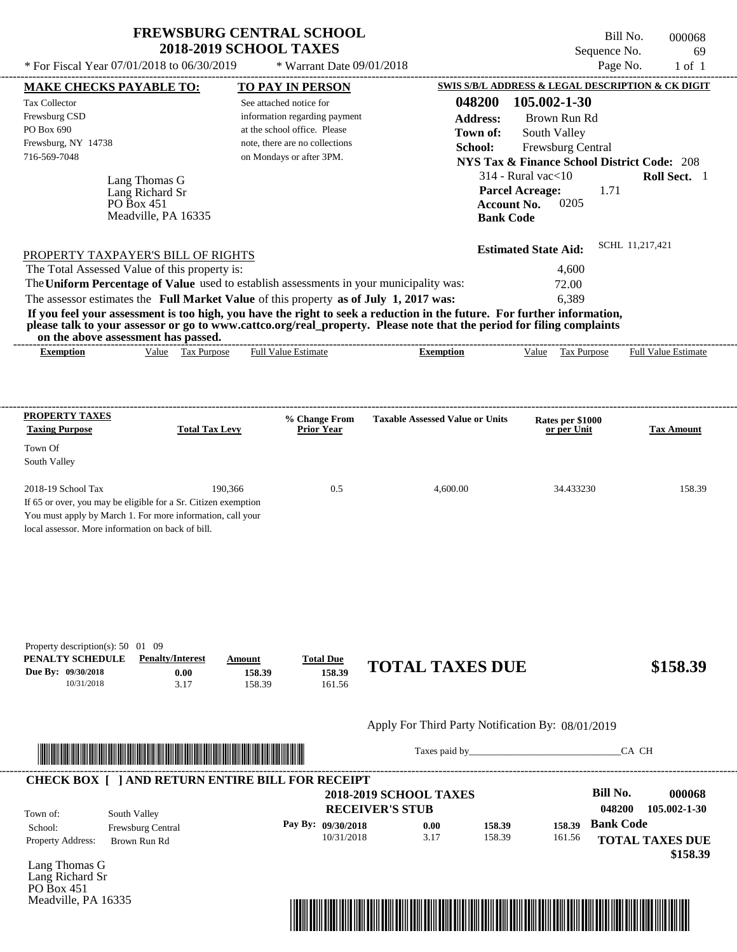\* For Fiscal Year  $07/01/2018$  to  $06/30/2019$  \* Warrant Date  $09/01/2018$  Page No. 1 of 1

 $*$  Warrant Date 09/01/2018

Bill No. 000068 Sequence No. 69

| <b>MAKE CHECKS PAYABLE TO:</b>                                                                                                                                                    |                                                                                                                                                                                                                                      |                       |                            | <b>TO PAY IN PERSON</b>                                 |                                                                                                                                                                                                                                                  |                  | SWIS S/B/L ADDRESS & LEGAL DESCRIPTION & CK DIGIT      |                  |                                       |
|-----------------------------------------------------------------------------------------------------------------------------------------------------------------------------------|--------------------------------------------------------------------------------------------------------------------------------------------------------------------------------------------------------------------------------------|-----------------------|----------------------------|---------------------------------------------------------|--------------------------------------------------------------------------------------------------------------------------------------------------------------------------------------------------------------------------------------------------|------------------|--------------------------------------------------------|------------------|---------------------------------------|
| <b>Tax Collector</b>                                                                                                                                                              |                                                                                                                                                                                                                                      |                       |                            | See attached notice for                                 |                                                                                                                                                                                                                                                  | 048200           | 105.002-1-30                                           |                  |                                       |
| Frewsburg CSD                                                                                                                                                                     |                                                                                                                                                                                                                                      |                       |                            | information regarding payment                           |                                                                                                                                                                                                                                                  | <b>Address:</b>  | Brown Run Rd                                           |                  |                                       |
| PO Box 690                                                                                                                                                                        |                                                                                                                                                                                                                                      |                       |                            | at the school office. Please                            |                                                                                                                                                                                                                                                  | Town of:         | South Valley                                           |                  |                                       |
| Frewsburg, NY 14738                                                                                                                                                               |                                                                                                                                                                                                                                      |                       |                            | note, there are no collections                          |                                                                                                                                                                                                                                                  | School:          | Frewsburg Central                                      |                  |                                       |
| 716-569-7048                                                                                                                                                                      |                                                                                                                                                                                                                                      |                       |                            | on Mondays or after 3PM.                                |                                                                                                                                                                                                                                                  |                  | <b>NYS Tax &amp; Finance School District Code: 208</b> |                  |                                       |
|                                                                                                                                                                                   | Lang Thomas G                                                                                                                                                                                                                        |                       |                            |                                                         |                                                                                                                                                                                                                                                  |                  | $314$ - Rural vac $<$ 10                               |                  | Roll Sect. 1                          |
|                                                                                                                                                                                   | Lang Richard Sr                                                                                                                                                                                                                      |                       |                            |                                                         |                                                                                                                                                                                                                                                  |                  | <b>Parcel Acreage:</b>                                 | 1.71             |                                       |
|                                                                                                                                                                                   | PO Box 451                                                                                                                                                                                                                           |                       |                            |                                                         |                                                                                                                                                                                                                                                  |                  | 0205<br><b>Account No.</b>                             |                  |                                       |
|                                                                                                                                                                                   | Meadville, PA 16335                                                                                                                                                                                                                  |                       |                            |                                                         |                                                                                                                                                                                                                                                  | <b>Bank Code</b> |                                                        |                  |                                       |
|                                                                                                                                                                                   |                                                                                                                                                                                                                                      |                       |                            |                                                         |                                                                                                                                                                                                                                                  |                  |                                                        |                  | SCHL 11.217.421                       |
| PROPERTY TAXPAYER'S BILL OF RIGHTS                                                                                                                                                |                                                                                                                                                                                                                                      |                       |                            |                                                         |                                                                                                                                                                                                                                                  |                  | <b>Estimated State Aid:</b>                            |                  |                                       |
| The Total Assessed Value of this property is:                                                                                                                                     |                                                                                                                                                                                                                                      |                       |                            |                                                         |                                                                                                                                                                                                                                                  |                  | 4,600                                                  |                  |                                       |
|                                                                                                                                                                                   |                                                                                                                                                                                                                                      |                       |                            |                                                         | The Uniform Percentage of Value used to establish assessments in your municipality was:                                                                                                                                                          |                  | 72.00                                                  |                  |                                       |
|                                                                                                                                                                                   |                                                                                                                                                                                                                                      |                       |                            |                                                         | The assessor estimates the Full Market Value of this property as of July 1, 2017 was:                                                                                                                                                            |                  | 6,389                                                  |                  |                                       |
|                                                                                                                                                                                   | on the above assessment has passed.                                                                                                                                                                                                  |                       |                            |                                                         | If you feel your assessment is too high, you have the right to seek a reduction in the future. For further information,<br>please talk to your assessor or go to www.cattco.org/real_property. Please note that the period for filing complaints |                  |                                                        |                  |                                       |
| <b>Exemption</b>                                                                                                                                                                  |                                                                                                                                                                                                                                      | Value Tax Purpose     |                            | <b>Full Value Estimate</b>                              | <b>Exemption</b>                                                                                                                                                                                                                                 |                  |                                                        |                  | Value Tax Purpose Full Value Estimate |
|                                                                                                                                                                                   |                                                                                                                                                                                                                                      |                       |                            |                                                         |                                                                                                                                                                                                                                                  |                  |                                                        |                  |                                       |
|                                                                                                                                                                                   |                                                                                                                                                                                                                                      |                       |                            |                                                         |                                                                                                                                                                                                                                                  |                  |                                                        |                  |                                       |
| <b>PROPERTY TAXES</b><br><b>Taxing Purpose</b>                                                                                                                                    |                                                                                                                                                                                                                                      | <b>Total Tax Levy</b> |                            | % Change From<br><b>Prior Year</b>                      | <b>Taxable Assessed Value or Units</b>                                                                                                                                                                                                           |                  | Rates per \$1000<br>or per Unit                        |                  | <b>Tax Amount</b>                     |
| Town Of                                                                                                                                                                           |                                                                                                                                                                                                                                      |                       |                            |                                                         |                                                                                                                                                                                                                                                  |                  |                                                        |                  |                                       |
| South Valley                                                                                                                                                                      |                                                                                                                                                                                                                                      |                       |                            |                                                         |                                                                                                                                                                                                                                                  |                  |                                                        |                  |                                       |
| 2018-19 School Tax                                                                                                                                                                |                                                                                                                                                                                                                                      | 190,366               |                            | 0.5                                                     |                                                                                                                                                                                                                                                  | 4,600.00         | 34.433230                                              |                  | 158.39                                |
| If 65 or over, you may be eligible for a Sr. Citizen exemption<br>You must apply by March 1. For more information, call your<br>local assessor. More information on back of bill. |                                                                                                                                                                                                                                      |                       |                            |                                                         |                                                                                                                                                                                                                                                  |                  |                                                        |                  |                                       |
| Property description(s): 50 01 09<br>PENALTY SCHEDULE<br>Due By: 09/30/2018<br>10/31/2018                                                                                         | <b>Penalty/Interest</b>                                                                                                                                                                                                              | 0.00<br>3.17          | Amount<br>158.39<br>158.39 | <b>Total Due</b><br>158.39<br>161.56                    | <b>TOTAL TAXES DUE</b>                                                                                                                                                                                                                           |                  |                                                        |                  | \$158.39                              |
|                                                                                                                                                                                   |                                                                                                                                                                                                                                      |                       |                            |                                                         | Apply For Third Party Notification By: 08/01/2019                                                                                                                                                                                                |                  |                                                        |                  |                                       |
|                                                                                                                                                                                   | <u> Indian American State and The Communication of the Communication of the Communication of the Communication of the Communication of the Communication of the Communication of the Communication of the Communication of the C</u> |                       |                            |                                                         |                                                                                                                                                                                                                                                  |                  | Taxes paid by                                          |                  | CA CH                                 |
|                                                                                                                                                                                   |                                                                                                                                                                                                                                      |                       |                            | <b>CHECK BOX [ ] AND RETURN ENTIRE BILL FOR RECEIPT</b> |                                                                                                                                                                                                                                                  |                  |                                                        |                  |                                       |
|                                                                                                                                                                                   |                                                                                                                                                                                                                                      |                       |                            |                                                         | <b>2018-2019 SCHOOL TAXES</b>                                                                                                                                                                                                                    |                  |                                                        | <b>Bill No.</b>  | 000068                                |
| Town of:                                                                                                                                                                          | South Valley                                                                                                                                                                                                                         |                       |                            |                                                         | <b>RECEIVER'S STUB</b>                                                                                                                                                                                                                           |                  |                                                        | 048200           | 105.002-1-30                          |
| School:                                                                                                                                                                           | Frewsburg Central                                                                                                                                                                                                                    |                       |                            | Pay By: 09/30/2018                                      | 0.00                                                                                                                                                                                                                                             | 158.39           | 158.39                                                 | <b>Bank Code</b> |                                       |
| Property Address:                                                                                                                                                                 | Brown Run Rd                                                                                                                                                                                                                         |                       |                            | 10/31/2018                                              | 3.17                                                                                                                                                                                                                                             | 158.39           | 161.56                                                 |                  | <b>TOTAL TAXES DUE</b>                |
| Lang Thomas G<br>Lang Richard Sr                                                                                                                                                  |                                                                                                                                                                                                                                      |                       |                            |                                                         |                                                                                                                                                                                                                                                  |                  |                                                        |                  | \$158.39                              |
| PO Box $451$                                                                                                                                                                      |                                                                                                                                                                                                                                      |                       |                            |                                                         |                                                                                                                                                                                                                                                  |                  |                                                        |                  |                                       |
| Meadville, PA 16335                                                                                                                                                               |                                                                                                                                                                                                                                      |                       |                            |                                                         |                                                                                                                                                                                                                                                  |                  |                                                        |                  |                                       |
|                                                                                                                                                                                   |                                                                                                                                                                                                                                      |                       |                            |                                                         | <u> 1989 - Johann Stoff, Amerikaansk politiker († 1958)</u>                                                                                                                                                                                      |                  |                                                        |                  |                                       |
|                                                                                                                                                                                   |                                                                                                                                                                                                                                      |                       |                            |                                                         |                                                                                                                                                                                                                                                  |                  |                                                        |                  |                                       |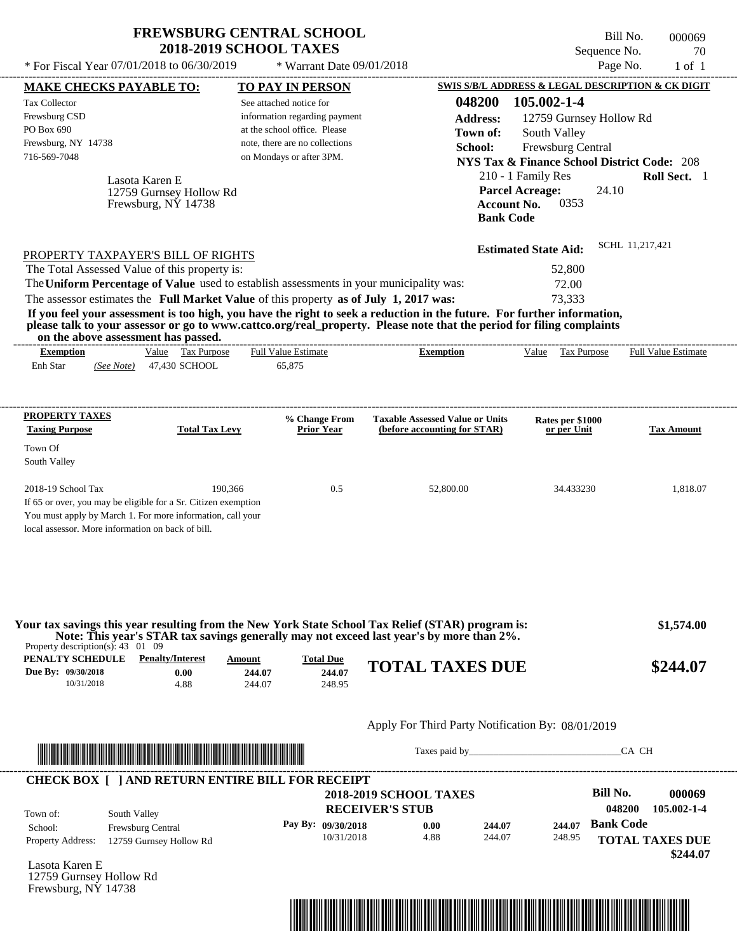Bill No. 000069 Sequence No. 70<br>Page No. 1 of 1

| * For Fiscal Year 07/01/2018 to 06/30/2019                                                                                                                                                                                                                                                                                                                                                                                                                                                                                                                         | * Warrant Date 09/01/2018                                                                                                                              |                                                                                             | Page No.                                                                                                                                                                                               | $1$ of $1$                                                  |
|--------------------------------------------------------------------------------------------------------------------------------------------------------------------------------------------------------------------------------------------------------------------------------------------------------------------------------------------------------------------------------------------------------------------------------------------------------------------------------------------------------------------------------------------------------------------|--------------------------------------------------------------------------------------------------------------------------------------------------------|---------------------------------------------------------------------------------------------|--------------------------------------------------------------------------------------------------------------------------------------------------------------------------------------------------------|-------------------------------------------------------------|
| <b>MAKE CHECKS PAYABLE TO:</b>                                                                                                                                                                                                                                                                                                                                                                                                                                                                                                                                     | <b>TO PAY IN PERSON</b>                                                                                                                                |                                                                                             | SWIS S/B/L ADDRESS & LEGAL DESCRIPTION & CK DIGIT                                                                                                                                                      |                                                             |
| Tax Collector<br>Frewsburg CSD<br>PO Box 690<br>Frewsburg, NY 14738<br>716-569-7048<br>Lasota Karen E<br>12759 Gurnsey Hollow Rd<br>Frewsburg, NY 14738                                                                                                                                                                                                                                                                                                                                                                                                            | See attached notice for<br>information regarding payment<br>at the school office. Please<br>note, there are no collections<br>on Mondays or after 3PM. | 048200<br><b>Address:</b><br>Town of:<br>School:<br><b>Account No.</b><br><b>Bank Code</b>  | 105.002-1-4<br>12759 Gurnsey Hollow Rd<br>South Valley<br>Frewsburg Central<br><b>NYS Tax &amp; Finance School District Code: 208</b><br>210 - 1 Family Res<br><b>Parcel Acreage:</b><br>24.10<br>0353 | Roll Sect. 1                                                |
| PROPERTY TAXPAYER'S BILL OF RIGHTS<br>The Total Assessed Value of this property is:<br>The Uniform Percentage of Value used to establish assessments in your municipality was:<br>The assessor estimates the Full Market Value of this property as of July 1, 2017 was:<br>If you feel your assessment is too high, you have the right to seek a reduction in the future. For further information,<br>please talk to your assessor or go to www.cattco.org/real_property. Please note that the period for filing complaints<br>on the above assessment has passed. |                                                                                                                                                        | ---------------------------------                                                           | <b>Estimated State Aid:</b><br>52,800<br>72.00<br>73,333                                                                                                                                               | SCHL 11,217,421                                             |
| Value Tax Purpose<br><b>Exemption</b><br>Enh Star<br>47,430 SCHOOL<br>(See Note)                                                                                                                                                                                                                                                                                                                                                                                                                                                                                   | <b>Full Value Estimate</b><br>65,875                                                                                                                   | <b>Exemption</b>                                                                            | Value Tax Purpose                                                                                                                                                                                      | <b>Full Value Estimate</b>                                  |
| <b>PROPERTY TAXES</b><br><b>Taxing Purpose</b><br><b>Total Tax Levy</b><br>Town Of<br>South Valley                                                                                                                                                                                                                                                                                                                                                                                                                                                                 | % Change From<br><b>Prior Year</b>                                                                                                                     | <b>Taxable Assessed Value or Units</b><br>(before accounting for STAR)                      | Rates per \$1000<br>or per Unit                                                                                                                                                                        | <b>Tax Amount</b>                                           |
| 2018-19 School Tax<br>If 65 or over, you may be eligible for a Sr. Citizen exemption<br>You must apply by March 1. For more information, call your<br>local assessor. More information on back of bill.                                                                                                                                                                                                                                                                                                                                                            | 190,366<br>0.5                                                                                                                                         | 52,800.00                                                                                   | 34.433230                                                                                                                                                                                              | 1,818.07                                                    |
| Your tax savings this year resulting from the New York State School Tax Relief (STAR) program is:<br>Note: This year's STAR tax savings generally may not exceed last year's by more than 2%.<br>Property description(s): $43 \quad 01 \quad 09$                                                                                                                                                                                                                                                                                                                   |                                                                                                                                                        |                                                                                             |                                                                                                                                                                                                        | \$1,574.00                                                  |
| <b>PENALTY SCHEDULE</b> Penalty/Interest<br>Due By: 09/30/2018<br>0.00<br>10/31/2018<br>4.88                                                                                                                                                                                                                                                                                                                                                                                                                                                                       | <b>Total Due</b><br>Amount<br>244.07<br>244.07<br>244.07<br>248.95                                                                                     | <b>TOTAL TAXES DUE</b>                                                                      |                                                                                                                                                                                                        | \$244.07                                                    |
|                                                                                                                                                                                                                                                                                                                                                                                                                                                                                                                                                                    |                                                                                                                                                        | Apply For Third Party Notification By: 08/01/2019                                           |                                                                                                                                                                                                        |                                                             |
| <u> In the second contract of the second contract of the second contract of the second contract of the second contract of the second contract of the second contract of the second contract of the second contract of the second</u>                                                                                                                                                                                                                                                                                                                               |                                                                                                                                                        |                                                                                             |                                                                                                                                                                                                        | CA CH                                                       |
| <b>CHECK BOX [ ] AND RETURN ENTIRE BILL FOR RECEIPT</b><br>South Valley<br>Town of:<br>Frewsburg Central<br>School:<br>Property Address:<br>12759 Gurnsey Hollow Rd                                                                                                                                                                                                                                                                                                                                                                                                | Pay By: 09/30/2018<br>10/31/2018                                                                                                                       | <b>2018-2019 SCHOOL TAXES</b><br><b>RECEIVER'S STUB</b><br>0.00<br>244.07<br>4.88<br>244.07 | <b>Bill No.</b><br>048200<br><b>Bank Code</b><br>244.07<br>248.95                                                                                                                                      | 000069<br>105.002-1-4<br><b>TOTAL TAXES DUE</b><br>\$244.07 |
| Lasota Karen E<br>12759 Gurnsey Hollow Rd<br>Frewsburg, NY 14738                                                                                                                                                                                                                                                                                                                                                                                                                                                                                                   |                                                                                                                                                        |                                                                                             |                                                                                                                                                                                                        |                                                             |

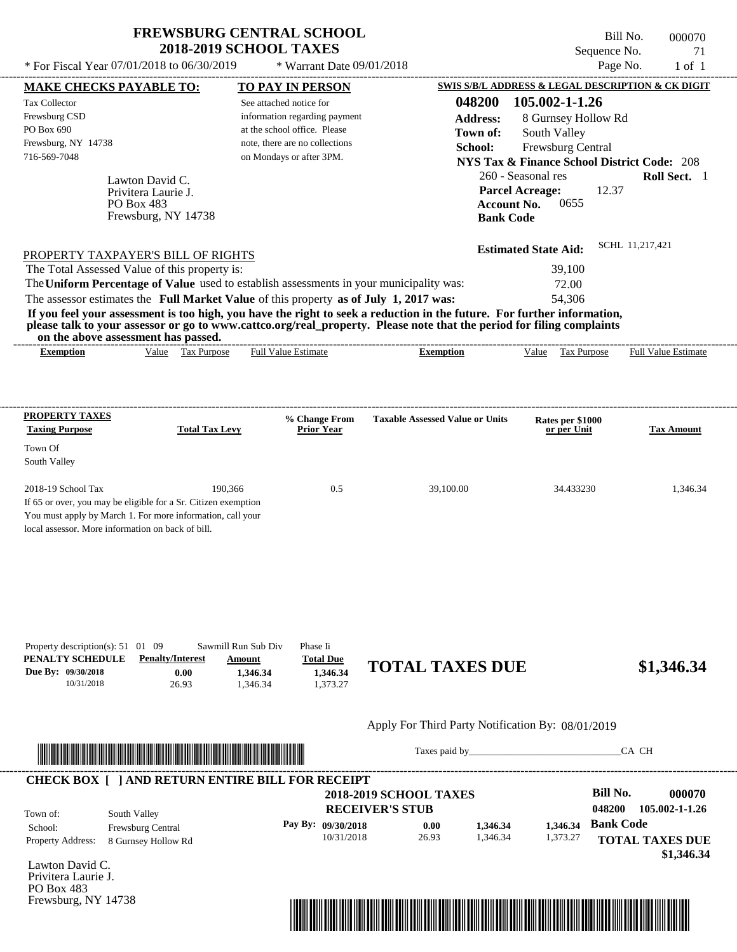\* Warrant Date 09/01/2018

---------------------------------------------------------------------------------------------------------------------------------------------------------------------------------------------------- Lawton David C. If 65 or over, you may be eligible for a Sr. Citizen exemption You must apply by March 1. For more information, call your local assessor. More information on back of bill. \* For Fiscal Year  $07/01/2018$  to  $06/30/2019$  \* Warrant Date  $09/01/2018$  Page No. 1 of 1 **MAKE CHECKS PAYABLE TO: TO PAY IN PERSON SWIS S/B/L ADDRESS & LEGAL DESCRIPTION & CK DIGIT 048200 105.002-1-1.26 Address:** 8 Gurnsey Hollow Rd South Valley **School:** Frewsburg Central **NYS Tax & Finance School District Code:** 208 260 - Seasonal res **Roll Sect.** 1 12.37 **Account No.** 0655 **Bank Code Estimated State Aid:** SCHL 11,217,421 PROPERTY TAXPAYER'S BILL OF RIGHTS The assessor estimates the **Full Market Value** of this property **as of July 1, 2017 was:** 54,306 The Total Assessed Value of this property is: 39,100 The **Uniform Percentage of Value** used to establish assessments in your municipality was: 72.00 **If you feel your assessment is too high, you have the right to seek a reduction in the future. For further information, please talk to your assessor or go to www.cattco.org/real\_property. Please note that the period for filing complaints on the above assessment has passed. Exemption** Value Tax Purpose **PROPERTY TAXES Taxing Purpose Total Tax Levy Prior Year % Change From Taxable Assessed Value or Units or per Unit Rates per \$1000 Tax Amount PENALTY SCHEDULE Penalty/Interest Amount Total Due Due By: 09/30/2018** 10/31/2018 26.93 **0.00** 1,346.34 **1,346.34** 1,373.27 **1,346.34 TOTAL TAXES DUE \$1,346.34** Apply For Third Party Notification By: 08/01/2019 **RECEIVER'S STUB Bill No. 000070 Bank Code** Property Address: 8 Gurnsey Hollow Rd South Valley School: Frewsburg Central **TOTAL TAXES DUE** See attached notice for information regarding payment at the school office. Please note, there are no collections Tax Collector Frewsburg CSD PO Box 690 Frewsburg, NY 14738  **2018-2019 SCHOOL TAXES** 716-569-7048 on Mondays or after 3PM. **Parcel Acreage:** Town Of South Valley 2018-19 School Tax 190,366 190,366 0.5 39,100.00 34.433230 1,346.34 **048200 105.002-1-1.26 Pay By: 09/30/2018** 10/31/2018 26.93 **0.00** 1,346.34 **1,346.34** 1,373.27 **1,346.34** Privitera Laurie J. Full Value Estimate Taxes paid by Taxes and by Taxes paid by Taxes and by Taxes and by Taxes and the CA CH ---------------------------------------------------------------------------------------------------------------------------------------------------------------------------------------------------- ---------------------------------------------------------------------------------------------------------------------------------------------------------------------------------------------------- Property description(s): 51 01 09 Sawmill Run Sub Div Phase Ii Town of: **Town of:** PO Box 483 Frewsburg, NY 14738 **Exemption** Value Tax Purpose Full Value Estimate ---------------------------------------------------------------------------------------------------------------------------------------------------------------------------------------------------- **CHECK BOX [ ] AND RETURN ENTIRE BILL FOR RECEIPT** \*04820000007000000000134634\*

Lawton David C. Privitera Laurie J. PO Box 483 Frewsburg, NY 14738



Sequence No. 21

Bill No. 000070

 **\$1,346.34**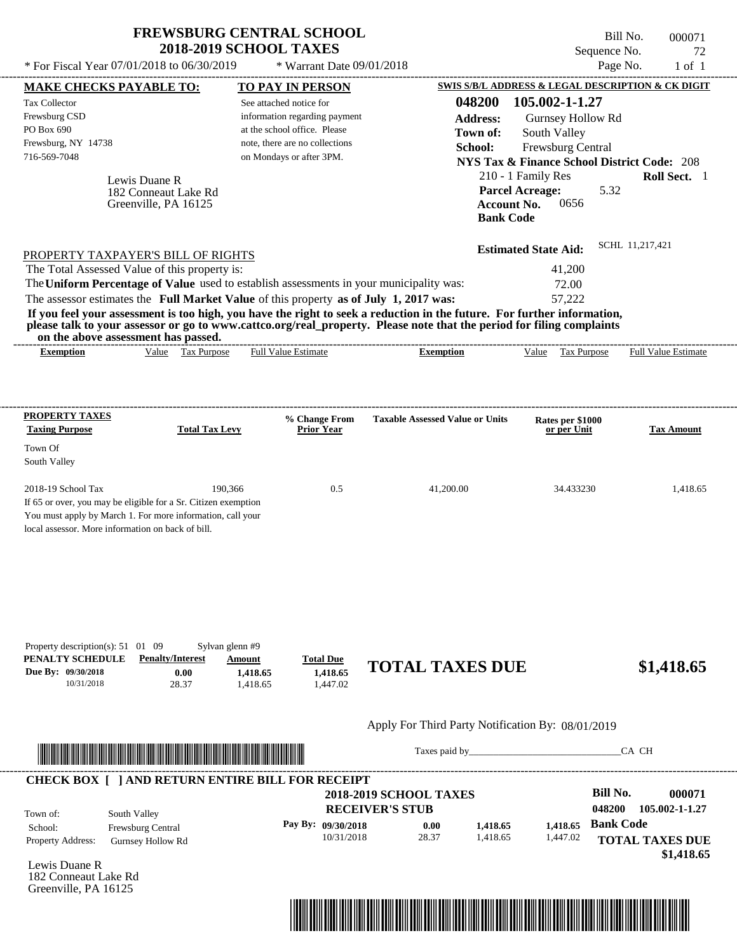| <b>FREWSBURG CENTRAL SCHOOL</b> |  |
|---------------------------------|--|
| <b>2018-2019 SCHOOL TAXES</b>   |  |

 $*$  For Fiscal Year 07/01/2018 to 06/30/2019

 $*$  Warrant Date 09/01/2018

Bill No. 000071 Sequence No. 72<br>Page No. 1 of 1

| <b>Tax Collector</b>                                                                      | <b>MAKE CHECKS PAYABLE TO:</b>                                                                                                                                                                                                       | <b>TO PAY IN PERSON</b>                                                                 |                                                                                                                         |                             | SWIS S/B/L ADDRESS & LEGAL DESCRIPTION & CK DIGIT      |
|-------------------------------------------------------------------------------------------|--------------------------------------------------------------------------------------------------------------------------------------------------------------------------------------------------------------------------------------|-----------------------------------------------------------------------------------------|-------------------------------------------------------------------------------------------------------------------------|-----------------------------|--------------------------------------------------------|
|                                                                                           |                                                                                                                                                                                                                                      | See attached notice for                                                                 |                                                                                                                         | 048200 105.002-1-1.27       |                                                        |
| Frewsburg CSD                                                                             |                                                                                                                                                                                                                                      | information regarding payment                                                           | <b>Address:</b>                                                                                                         | Gurnsey Hollow Rd           |                                                        |
| PO Box 690                                                                                |                                                                                                                                                                                                                                      | at the school office. Please                                                            | Town of:                                                                                                                | South Valley                |                                                        |
| Frewsburg, NY 14738                                                                       |                                                                                                                                                                                                                                      | note, there are no collections                                                          | School:                                                                                                                 | Frewsburg Central           |                                                        |
| 716-569-7048                                                                              |                                                                                                                                                                                                                                      | on Mondays or after 3PM.                                                                |                                                                                                                         |                             | <b>NYS Tax &amp; Finance School District Code: 208</b> |
|                                                                                           |                                                                                                                                                                                                                                      |                                                                                         |                                                                                                                         | 210 - 1 Family Res          | Roll Sect. 1                                           |
|                                                                                           | Lewis Duane R                                                                                                                                                                                                                        |                                                                                         |                                                                                                                         | <b>Parcel Acreage:</b>      | 5.32                                                   |
|                                                                                           | 182 Conneaut Lake Rd<br>Greenville, PA 16125                                                                                                                                                                                         |                                                                                         |                                                                                                                         | 0656<br><b>Account No.</b>  |                                                        |
|                                                                                           |                                                                                                                                                                                                                                      |                                                                                         |                                                                                                                         | <b>Bank Code</b>            |                                                        |
|                                                                                           |                                                                                                                                                                                                                                      |                                                                                         |                                                                                                                         |                             |                                                        |
| PROPERTY TAXPAYER'S BILL OF RIGHTS                                                        |                                                                                                                                                                                                                                      |                                                                                         |                                                                                                                         | <b>Estimated State Aid:</b> | SCHL 11,217,421                                        |
| The Total Assessed Value of this property is:                                             |                                                                                                                                                                                                                                      |                                                                                         |                                                                                                                         | 41,200                      |                                                        |
|                                                                                           |                                                                                                                                                                                                                                      | The Uniform Percentage of Value used to establish assessments in your municipality was: |                                                                                                                         | 72.00                       |                                                        |
|                                                                                           |                                                                                                                                                                                                                                      | The assessor estimates the Full Market Value of this property as of July 1, 2017 was:   |                                                                                                                         | 57,222                      |                                                        |
|                                                                                           |                                                                                                                                                                                                                                      |                                                                                         | If you feel your assessment is too high, you have the right to seek a reduction in the future. For further information, |                             |                                                        |
|                                                                                           |                                                                                                                                                                                                                                      |                                                                                         | please talk to your assessor or go to www.cattco.org/real_property. Please note that the period for filing complaints   |                             |                                                        |
| on the above assessment has passed.<br><b>Exemption</b>                                   | Value Tax Purpose                                                                                                                                                                                                                    | <b>Full Value Estimate</b>                                                              | <b>Exemption</b>                                                                                                        | Value Tax Purpose           | <b>Full Value Estimate</b>                             |
|                                                                                           |                                                                                                                                                                                                                                      |                                                                                         |                                                                                                                         |                             |                                                        |
|                                                                                           |                                                                                                                                                                                                                                      |                                                                                         |                                                                                                                         |                             |                                                        |
|                                                                                           |                                                                                                                                                                                                                                      |                                                                                         |                                                                                                                         |                             |                                                        |
| <b>PROPERTY TAXES</b>                                                                     |                                                                                                                                                                                                                                      | % Change From                                                                           | <b>Taxable Assessed Value or Units</b>                                                                                  | Rates per \$1000            |                                                        |
| <b>Taxing Purpose</b>                                                                     | <b>Total Tax Levy</b>                                                                                                                                                                                                                | Prior Year                                                                              |                                                                                                                         | or per Unit                 | <b>Tax Amount</b>                                      |
| Town Of                                                                                   |                                                                                                                                                                                                                                      |                                                                                         |                                                                                                                         |                             |                                                        |
| South Valley                                                                              |                                                                                                                                                                                                                                      |                                                                                         |                                                                                                                         |                             |                                                        |
| 2018-19 School Tax                                                                        | 190,366                                                                                                                                                                                                                              | 0.5                                                                                     | 41,200.00                                                                                                               | 34.433230                   | 1,418.65                                               |
| If 65 or over, you may be eligible for a Sr. Citizen exemption                            |                                                                                                                                                                                                                                      |                                                                                         |                                                                                                                         |                             |                                                        |
| You must apply by March 1. For more information, call your                                |                                                                                                                                                                                                                                      |                                                                                         |                                                                                                                         |                             |                                                        |
| local assessor. More information on back of bill.                                         |                                                                                                                                                                                                                                      |                                                                                         |                                                                                                                         |                             |                                                        |
|                                                                                           |                                                                                                                                                                                                                                      |                                                                                         |                                                                                                                         |                             |                                                        |
|                                                                                           |                                                                                                                                                                                                                                      |                                                                                         |                                                                                                                         |                             |                                                        |
|                                                                                           |                                                                                                                                                                                                                                      |                                                                                         |                                                                                                                         |                             |                                                        |
|                                                                                           |                                                                                                                                                                                                                                      |                                                                                         |                                                                                                                         |                             |                                                        |
|                                                                                           |                                                                                                                                                                                                                                      |                                                                                         |                                                                                                                         |                             |                                                        |
|                                                                                           |                                                                                                                                                                                                                                      |                                                                                         |                                                                                                                         |                             |                                                        |
|                                                                                           |                                                                                                                                                                                                                                      |                                                                                         |                                                                                                                         |                             |                                                        |
|                                                                                           | Sylvan glenn #9                                                                                                                                                                                                                      |                                                                                         |                                                                                                                         |                             |                                                        |
|                                                                                           | <b>Penalty/Interest</b><br>0.00                                                                                                                                                                                                      | <b>Amount</b><br><b>Total Due</b><br>1,418.65<br>1,418.65                               | <b>TOTAL TAXES DUE</b>                                                                                                  |                             | \$1,418.65                                             |
| 10/31/2018                                                                                | 28.37                                                                                                                                                                                                                                | 1,418.65<br>1,447.02                                                                    |                                                                                                                         |                             |                                                        |
| Property description(s): $51 \quad 01 \quad 09$<br>PENALTY SCHEDULE<br>Due By: 09/30/2018 |                                                                                                                                                                                                                                      |                                                                                         |                                                                                                                         |                             |                                                        |
|                                                                                           |                                                                                                                                                                                                                                      |                                                                                         | Apply For Third Party Notification By: 08/01/2019                                                                       |                             |                                                        |
|                                                                                           |                                                                                                                                                                                                                                      |                                                                                         |                                                                                                                         |                             | CA CH                                                  |
|                                                                                           | <u> Indian American State and The Communication of the Communication of the Communication of the Communication of the Communication of the Communication of the Communication of the Communication of the Communication of the C</u> |                                                                                         |                                                                                                                         |                             |                                                        |
|                                                                                           |                                                                                                                                                                                                                                      | <b>CHECK BOX [ ] AND RETURN ENTIRE BILL FOR RECEIPT</b>                                 |                                                                                                                         |                             |                                                        |
|                                                                                           |                                                                                                                                                                                                                                      |                                                                                         | <b>2018-2019 SCHOOL TAXES</b>                                                                                           |                             | <b>Bill No.</b>                                        |
| South Valley<br>Town of:                                                                  |                                                                                                                                                                                                                                      |                                                                                         | <b>RECEIVER'S STUB</b>                                                                                                  |                             | 048200                                                 |
|                                                                                           | Frewsburg Central                                                                                                                                                                                                                    | Pay By: 09/30/2018                                                                      | 0.00<br>1,418.65                                                                                                        | 1,418.65                    | 000071<br><b>Bank Code</b>                             |
|                                                                                           | <b>Gurnsey Hollow Rd</b>                                                                                                                                                                                                             | 10/31/2018                                                                              | 28.37<br>1,418.65                                                                                                       | 1,447.02                    |                                                        |
| School:<br>Property Address:                                                              |                                                                                                                                                                                                                                      |                                                                                         |                                                                                                                         |                             | 105.002-1-1.27<br><b>TOTAL TAXES DUE</b><br>\$1,418.65 |
| Lewis Duane R<br>182 Conneaut Lake Rd                                                     |                                                                                                                                                                                                                                      |                                                                                         |                                                                                                                         |                             |                                                        |

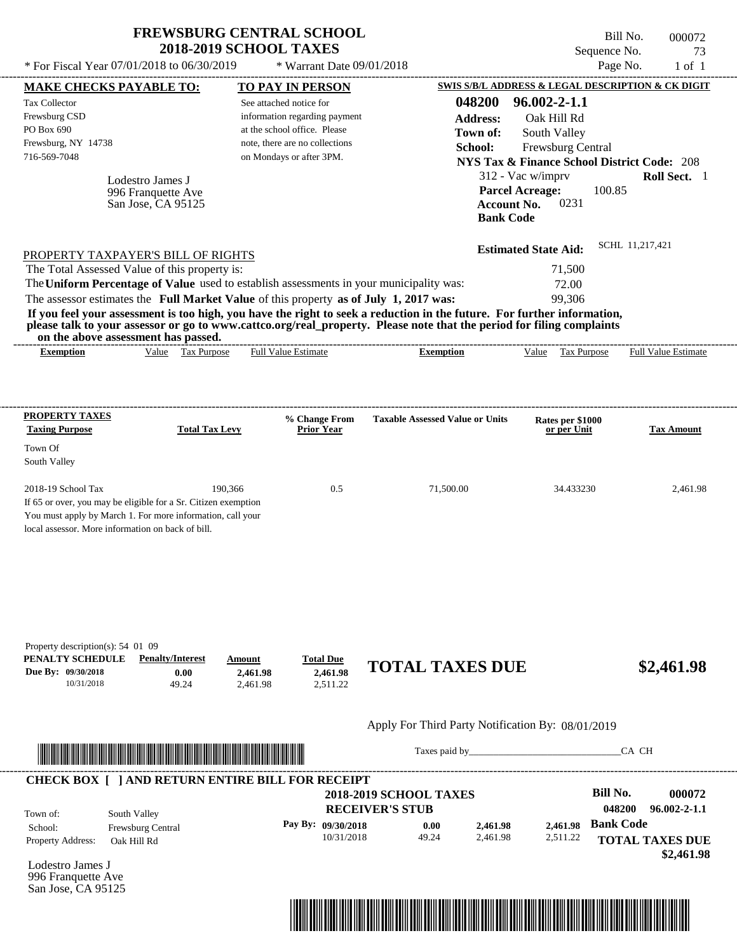| <b>FREWSBURG CENTRAL SCHOOL</b><br><b>2018-2019 SCHOOL TAXES</b> |                             |  |
|------------------------------------------------------------------|-----------------------------|--|
| For Fiscal Year 07/01/2018 to 06/30/2019                         | $*$ Warrant Date 09/01/2018 |  |
|                                                                  |                             |  |

|                                                                                |                                                              |                                                                                                                                                                                  |                                                                                                                                           | Sequence No.                                                                        |                            |
|--------------------------------------------------------------------------------|--------------------------------------------------------------|----------------------------------------------------------------------------------------------------------------------------------------------------------------------------------|-------------------------------------------------------------------------------------------------------------------------------------------|-------------------------------------------------------------------------------------|----------------------------|
| * For Fiscal Year 07/01/2018 to 06/30/2019                                     |                                                              | * Warrant Date 09/01/2018                                                                                                                                                        |                                                                                                                                           | Page No.<br><b>SWIS S/B/L ADDRESS &amp; LEGAL DESCRIPTION &amp; CK DIGIT</b>        | $1$ of $1$                 |
| <b>MAKE CHECKS PAYABLE TO:</b><br>Tax Collector<br>Frewsburg CSD<br>PO Box 690 |                                                              | <b>TO PAY IN PERSON</b><br>See attached notice for<br>information regarding payment<br>at the school office. Please                                                              | 048200<br><b>Address:</b><br>Town of:                                                                                                     | $96.002 - 2 - 1.1$<br>Oak Hill Rd<br>South Valley                                   |                            |
| Frewsburg, NY 14738<br>716-569-7048                                            |                                                              | note, there are no collections<br>on Mondays or after 3PM.                                                                                                                       | School:                                                                                                                                   | Frewsburg Central<br><b>NYS Tax &amp; Finance School District Code: 208</b>         |                            |
|                                                                                | Lodestro James J<br>996 Franquette Ave<br>San Jose, CA 95125 |                                                                                                                                                                                  | <b>Bank Code</b>                                                                                                                          | 312 - Vac w/imprv<br><b>Parcel Acreage:</b><br>100.85<br><b>Account No.</b><br>0231 | Roll Sect. 1               |
| PROPERTY TAXPAYER'S BILL OF RIGHTS                                             |                                                              |                                                                                                                                                                                  |                                                                                                                                           | <b>Estimated State Aid:</b>                                                         | SCHL 11,217,421            |
|                                                                                |                                                              |                                                                                                                                                                                  |                                                                                                                                           |                                                                                     |                            |
| The Total Assessed Value of this property is:                                  |                                                              |                                                                                                                                                                                  |                                                                                                                                           | 71,500                                                                              |                            |
|                                                                                |                                                              | The Uniform Percentage of Value used to establish assessments in your municipality was:<br>The assessor estimates the Full Market Value of this property as of July 1, 2017 was: | If you feel your assessment is too high, you have the right to seek a reduction in the future. For further information,                   | 72.00<br>99,306                                                                     |                            |
| on the above assessment has passed.<br><b>Exemption</b>                        | Value<br><b>Tax Purpose</b>                                  | <b>Full Value Estimate</b>                                                                                                                                                       | please talk to your assessor or go to www.cattco.org/real_property. Please note that the period for filing complaints<br><b>Exemption</b> | Value<br>Tax Purpose                                                                | <b>Full Value Estimate</b> |
| PROPERTY TAXES                                                                 |                                                              | % Change From                                                                                                                                                                    | <b>Taxable Assessed Value or Units</b>                                                                                                    | Rates per \$1000                                                                    |                            |
| <b>Taxing Purpose</b><br>Town Of<br>South Valley                               | <b>Total Tax Levy</b>                                        | <b>Prior Year</b>                                                                                                                                                                |                                                                                                                                           | or per Unit                                                                         | <b>Tax Amount</b>          |

| Property description(s): $54\,$ 01 09 |                         |          |                         |                        |            |
|---------------------------------------|-------------------------|----------|-------------------------|------------------------|------------|
| PENALTY SCHEDULE                      | <b>Penalty/Interest</b> | Amount   | <u><b>Total Due</b></u> |                        |            |
| Due By: 09/30/2018                    | $0.00\,$                | 2.461.98 | 2.461.98                | <b>TOTAL TAXES DUE</b> | \$2,461.98 |
| 10/31/2018                            | 49.24                   | 2.461.98 | 2.511.22                |                        |            |

## Apply For Third Party Notification By: 08/01/2019



Taxes paid by\_\_\_\_\_\_\_\_\_\_\_\_\_\_\_\_\_\_\_\_\_\_\_\_\_\_\_\_\_\_\_CA CH

Bill No. 000072

|  | <b>2018-2019 SCHOOL TAXES</b><br><b>RECEIVER'S STUB</b> |                      |                      |                      | Bill No.<br>048200 | 000072<br>$96.002 - 2 - 1.1$ |
|--|---------------------------------------------------------|----------------------|----------------------|----------------------|--------------------|------------------------------|
|  | 10/31/2018                                              | 0.00<br>49.24        | 2,461.98<br>2.461.98 | 2.461.98<br>2,511.22 | <b>Bank Code</b>   |                              |
|  |                                                         |                      |                      |                      |                    | <b>TOTAL TAXES DUE</b>       |
|  |                                                         | Pay By: $09/30/2018$ |                      |                      |                    |                              |

Lodestro James J 996 Franquette Ave San Jose, CA 95125

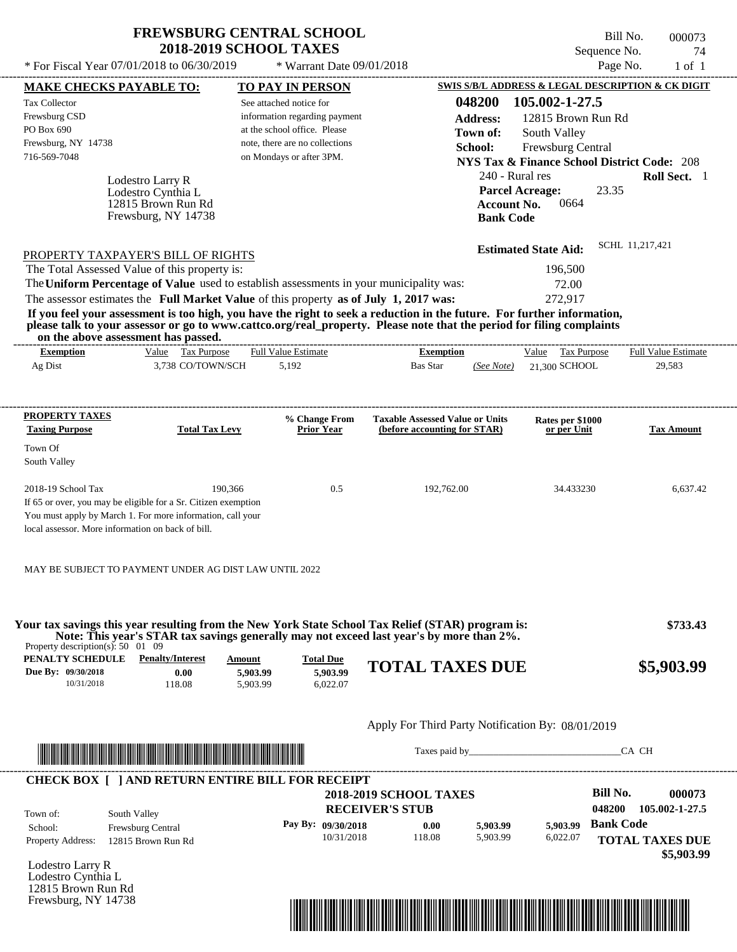\* For Fiscal Year  $07/01/2018$  to  $06/30/2019$  \* Warrant Date  $09/01/2018$  Page No. 1 of 1

\* Warrant Date 09/01/2018

Bill No. 000073 Sequence No. 74<br>Page No. 1 of 1

|                                                 | <b>MAKE CHECKS PAYABLE TO:</b>                                                                                                                                                                                                                                                          |          | <b>TO PAY IN PERSON</b>          |                                                               |                      |                             | SWIS S/B/L ADDRESS & LEGAL DESCRIPTION & CK DIGIT      |
|-------------------------------------------------|-----------------------------------------------------------------------------------------------------------------------------------------------------------------------------------------------------------------------------------------------------------------------------------------|----------|----------------------------------|---------------------------------------------------------------|----------------------|-----------------------------|--------------------------------------------------------|
| <b>Tax Collector</b>                            |                                                                                                                                                                                                                                                                                         |          | See attached notice for          |                                                               | 048200               | 105.002-1-27.5              |                                                        |
| Frewsburg CSD                                   |                                                                                                                                                                                                                                                                                         |          | information regarding payment    |                                                               | <b>Address:</b>      | 12815 Brown Run Rd          |                                                        |
| PO Box 690                                      |                                                                                                                                                                                                                                                                                         |          | at the school office. Please     |                                                               | Town of:             | South Valley                |                                                        |
| Frewsburg, NY 14738                             |                                                                                                                                                                                                                                                                                         |          | note, there are no collections   |                                                               | School:              | Frewsburg Central           |                                                        |
| 716-569-7048                                    |                                                                                                                                                                                                                                                                                         |          | on Mondays or after 3PM.         |                                                               |                      |                             | <b>NYS Tax &amp; Finance School District Code: 208</b> |
|                                                 | Lodestro Larry R                                                                                                                                                                                                                                                                        |          |                                  |                                                               | 240 - Rural res      |                             | Roll Sect. 1                                           |
|                                                 | Lodestro Cynthia L                                                                                                                                                                                                                                                                      |          |                                  |                                                               |                      | <b>Parcel Acreage:</b>      | 23.35                                                  |
|                                                 | 12815 Brown Run Rd                                                                                                                                                                                                                                                                      |          |                                  |                                                               | <b>Account No.</b>   | 0664                        |                                                        |
|                                                 | Frewsburg, NY 14738                                                                                                                                                                                                                                                                     |          |                                  |                                                               | <b>Bank Code</b>     |                             |                                                        |
|                                                 |                                                                                                                                                                                                                                                                                         |          |                                  |                                                               |                      |                             | SCHL 11,217,421                                        |
|                                                 | PROPERTY TAXPAYER'S BILL OF RIGHTS                                                                                                                                                                                                                                                      |          |                                  |                                                               |                      | <b>Estimated State Aid:</b> |                                                        |
|                                                 | The Total Assessed Value of this property is:                                                                                                                                                                                                                                           |          |                                  |                                                               |                      | 196,500                     |                                                        |
|                                                 | The Uniform Percentage of Value used to establish assessments in your municipality was:                                                                                                                                                                                                 |          |                                  |                                                               |                      | 72.00                       |                                                        |
|                                                 | The assessor estimates the Full Market Value of this property as of July 1, 2017 was:                                                                                                                                                                                                   |          |                                  |                                                               |                      | 272,917                     |                                                        |
|                                                 | If you feel your assessment is too high, you have the right to seek a reduction in the future. For further information,<br>please talk to your assessor or go to www.cattco.org/real_property. Please note that the period for filing complaints<br>on the above assessment has passed. |          |                                  |                                                               |                      |                             |                                                        |
| <b>Exemption</b>                                | Value Tax Purpose                                                                                                                                                                                                                                                                       |          | <b>Full Value Estimate</b>       | <b>Exemption</b>                                              |                      | Value Tax Purpose           | <b>Full Value Estimate</b>                             |
| Ag Dist                                         | 3,738 CO/TOWN/SCH                                                                                                                                                                                                                                                                       |          | 5,192                            | Bas Star                                                      |                      | $(See Note)$ 21,300 SCHOOL  | 29,583                                                 |
|                                                 |                                                                                                                                                                                                                                                                                         |          |                                  |                                                               |                      |                             |                                                        |
| <b>PROPERTY TAXES</b>                           |                                                                                                                                                                                                                                                                                         |          | % Change From                    | <b>Taxable Assessed Value or Units</b>                        |                      | Rates per \$1000            |                                                        |
| <b>Taxing Purpose</b>                           | <b>Total Tax Levy</b>                                                                                                                                                                                                                                                                   |          | <b>Prior Year</b>                | (before accounting for STAR)                                  |                      | or per Unit                 | <b>Tax Amount</b>                                      |
| Town Of<br>South Valley                         |                                                                                                                                                                                                                                                                                         |          |                                  |                                                               |                      |                             |                                                        |
| 2018-19 School Tax                              | 190,366                                                                                                                                                                                                                                                                                 |          | 0.5                              | 192,762.00                                                    |                      | 34.433230                   | 6,637.42                                               |
|                                                 | If 65 or over, you may be eligible for a Sr. Citizen exemption                                                                                                                                                                                                                          |          |                                  |                                                               |                      |                             |                                                        |
|                                                 | You must apply by March 1. For more information, call your                                                                                                                                                                                                                              |          |                                  |                                                               |                      |                             |                                                        |
|                                                 | local assessor. More information on back of bill.                                                                                                                                                                                                                                       |          |                                  |                                                               |                      |                             |                                                        |
|                                                 |                                                                                                                                                                                                                                                                                         |          |                                  |                                                               |                      |                             |                                                        |
|                                                 | MAY BE SUBJECT TO PAYMENT UNDER AG DIST LAW UNTIL 2022                                                                                                                                                                                                                                  |          |                                  |                                                               |                      |                             |                                                        |
| Property description(s): $50 \quad 01 \quad 09$ | Your tax savings this year resulting from the New York State School Tax Relief (STAR) program is:<br>Note: This year's STAR tax savings generally may not exceed last year's by more than 2%.                                                                                           |          |                                  |                                                               |                      |                             | \$733.43                                               |
| PENALTY SCHEDULE                                | <b>Penalty/Interest</b>                                                                                                                                                                                                                                                                 | Amount   | <b>Total Due</b>                 | <b>TOTAL TAXES DUE</b>                                        |                      |                             |                                                        |
| Due By: 09/30/2018                              | 0.00                                                                                                                                                                                                                                                                                    | 5,903.99 | 5,903.99                         |                                                               |                      |                             | \$5,903.99                                             |
| 10/31/2018                                      | 118.08                                                                                                                                                                                                                                                                                  | 5,903.99 | 6,022.07                         |                                                               |                      |                             |                                                        |
|                                                 |                                                                                                                                                                                                                                                                                         |          |                                  | Apply For Third Party Notification By: 08/01/2019             |                      |                             |                                                        |
|                                                 |                                                                                                                                                                                                                                                                                         |          |                                  |                                                               |                      |                             | CA CH                                                  |
|                                                 | <u> HAN DEN DER HAN DER HAN DER HAN DER HAN DER HAN DER HAN DER HAN DER HAN DER HAN DER HAN DER HAN DER HAN DER HA</u>                                                                                                                                                                  |          |                                  |                                                               |                      |                             |                                                        |
|                                                 | <b>CHECK BOX [ ] AND RETURN ENTIRE BILL FOR RECEIPT</b>                                                                                                                                                                                                                                 |          |                                  | <b>2018-2019 SCHOOL TAXES</b>                                 |                      |                             | <b>Bill No.</b><br>000073                              |
|                                                 |                                                                                                                                                                                                                                                                                         |          |                                  | <b>RECEIVER'S STUB</b>                                        |                      |                             | 048200<br>105.002-1-27.5                               |
| Town of:                                        | South Valley                                                                                                                                                                                                                                                                            |          |                                  |                                                               |                      |                             | <b>Bank Code</b>                                       |
| School:                                         | Frewsburg Central                                                                                                                                                                                                                                                                       |          | Pay By: 09/30/2018<br>10/31/2018 | 0.00<br>118.08                                                | 5,903.99<br>5,903.99 | 5,903.99<br>6,022.07        |                                                        |
| <b>Property Address:</b>                        | 12815 Brown Run Rd                                                                                                                                                                                                                                                                      |          |                                  |                                                               |                      |                             | <b>TOTAL TAXES DUE</b><br>\$5,903.99                   |
| Lodestro Larry R                                |                                                                                                                                                                                                                                                                                         |          |                                  |                                                               |                      |                             |                                                        |
| Lodestro Cynthia L                              |                                                                                                                                                                                                                                                                                         |          |                                  |                                                               |                      |                             |                                                        |
| 12815 Brown Run Rd                              |                                                                                                                                                                                                                                                                                         |          |                                  |                                                               |                      |                             |                                                        |
| Frewsburg, NY 14738                             |                                                                                                                                                                                                                                                                                         |          |                                  |                                                               |                      |                             |                                                        |
|                                                 |                                                                                                                                                                                                                                                                                         |          |                                  | <u> 1989 - Andrea Stadt British, fransk politik (d. 1989)</u> |                      |                             |                                                        |
|                                                 |                                                                                                                                                                                                                                                                                         |          |                                  |                                                               |                      |                             |                                                        |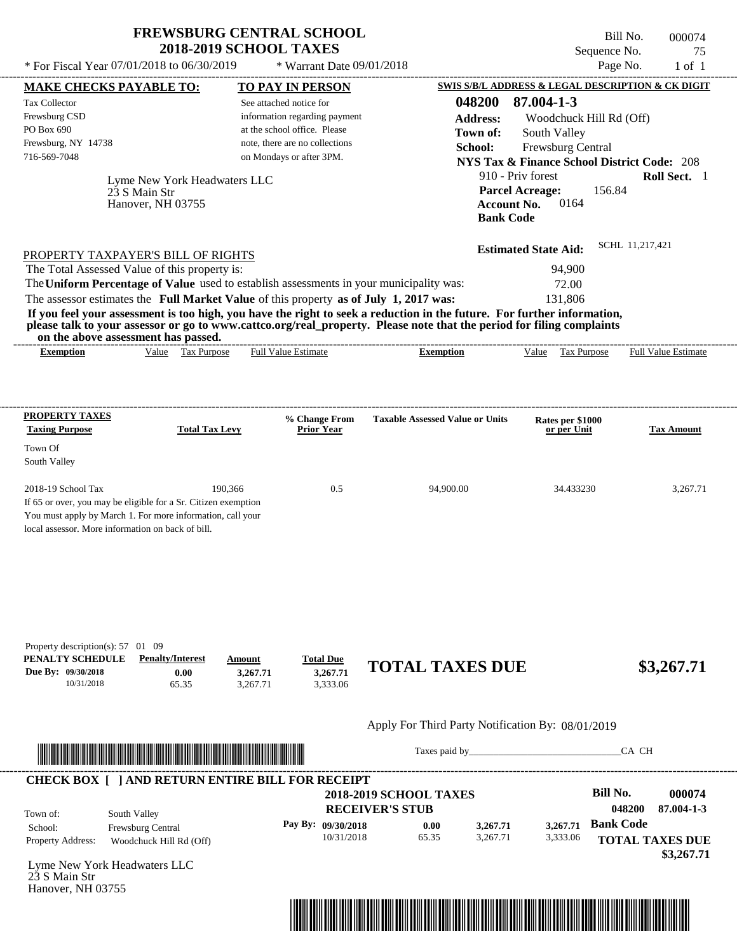Bill No. 000074 Sequence No. 75 \* For Fiscal Year  $07/01/2018$  to  $06/30/2019$  \* Warrant Date  $09/01/2018$  Page No. 1 of 1

| Tax Collector                                                                             |                                                                         | See attached notice for                                                                 | 048200                                                                                                                                                                                                                                           | 87.004-1-3                                                                                                                                                                        |                                                              |  |  |  |
|-------------------------------------------------------------------------------------------|-------------------------------------------------------------------------|-----------------------------------------------------------------------------------------|--------------------------------------------------------------------------------------------------------------------------------------------------------------------------------------------------------------------------------------------------|-----------------------------------------------------------------------------------------------------------------------------------------------------------------------------------|--------------------------------------------------------------|--|--|--|
| Frewsburg CSD                                                                             |                                                                         | information regarding payment                                                           | <b>Address:</b>                                                                                                                                                                                                                                  | Woodchuck Hill Rd (Off)                                                                                                                                                           |                                                              |  |  |  |
| PO Box 690<br>Frewsburg, NY 14738                                                         |                                                                         | at the school office. Please<br>note, there are no collections                          | Town of:<br>South Valley                                                                                                                                                                                                                         |                                                                                                                                                                                   |                                                              |  |  |  |
| 716-569-7048                                                                              |                                                                         | on Mondays or after 3PM.                                                                | School:                                                                                                                                                                                                                                          | Frewsburg Central                                                                                                                                                                 |                                                              |  |  |  |
|                                                                                           | Lyme New York Headwaters LLC<br>23 S Main Str<br>Hanover, NH 03755      |                                                                                         |                                                                                                                                                                                                                                                  | <b>NYS Tax &amp; Finance School District Code: 208</b><br>910 - Priv forest<br>Roll Sect. 1<br><b>Parcel Acreage:</b><br>156.84<br>0164<br><b>Account No.</b><br><b>Bank Code</b> |                                                              |  |  |  |
|                                                                                           | PROPERTY TAXPAYER'S BILL OF RIGHTS                                      |                                                                                         |                                                                                                                                                                                                                                                  | <b>Estimated State Aid:</b>                                                                                                                                                       | SCHL 11,217,421                                              |  |  |  |
|                                                                                           | The Total Assessed Value of this property is:                           |                                                                                         |                                                                                                                                                                                                                                                  | 94,900                                                                                                                                                                            |                                                              |  |  |  |
|                                                                                           |                                                                         | The Uniform Percentage of Value used to establish assessments in your municipality was: |                                                                                                                                                                                                                                                  | 72.00                                                                                                                                                                             |                                                              |  |  |  |
|                                                                                           |                                                                         | The assessor estimates the Full Market Value of this property as of July 1, 2017 was:   |                                                                                                                                                                                                                                                  | 131,806                                                                                                                                                                           |                                                              |  |  |  |
|                                                                                           |                                                                         |                                                                                         | If you feel your assessment is too high, you have the right to seek a reduction in the future. For further information,<br>please talk to your assessor or go to www.cattco.org/real_property. Please note that the period for filing complaints |                                                                                                                                                                                   |                                                              |  |  |  |
| on the above assessment has passed.<br><b>Exemption</b>                                   | Value Tax Purpose                                                       | <b>Full Value Estimate</b>                                                              | <b>Exemption</b>                                                                                                                                                                                                                                 | Value Tax Purpose                                                                                                                                                                 | <b>Full Value Estimate</b>                                   |  |  |  |
| <b>PROPERTY TAXES</b>                                                                     |                                                                         | % Change From                                                                           | <b>Taxable Assessed Value or Units</b>                                                                                                                                                                                                           | Rates per \$1000                                                                                                                                                                  |                                                              |  |  |  |
| <b>Taxing Purpose</b>                                                                     | <b>Total Tax Levy</b>                                                   | <b>Prior Year</b>                                                                       |                                                                                                                                                                                                                                                  | or per Unit                                                                                                                                                                       | <b>Tax Amount</b>                                            |  |  |  |
| Town Of<br>South Valley                                                                   |                                                                         |                                                                                         |                                                                                                                                                                                                                                                  |                                                                                                                                                                                   |                                                              |  |  |  |
| 2018-19 School Tax                                                                        | 190,366                                                                 | 0.5                                                                                     | 94,900.00                                                                                                                                                                                                                                        | 34.433230                                                                                                                                                                         | 3,267.71                                                     |  |  |  |
| local assessor. More information on back of bill.                                         | You must apply by March 1. For more information, call your              |                                                                                         |                                                                                                                                                                                                                                                  |                                                                                                                                                                                   |                                                              |  |  |  |
| Property description(s): 57 01 09<br>PENALTY SCHEDULE<br>Due By: 09/30/2018<br>10/31/2018 | <b>Penalty/Interest</b><br>Amount<br>0.00<br>65.35                      | <b>Total Due</b><br>3,267.71<br>3,267.71<br>3,267.71<br>3,333.06                        | <b>TOTAL TAXES DUE</b>                                                                                                                                                                                                                           |                                                                                                                                                                                   | \$3,267.71                                                   |  |  |  |
|                                                                                           |                                                                         |                                                                                         | Apply For Third Party Notification By: 08/01/2019                                                                                                                                                                                                |                                                                                                                                                                                   |                                                              |  |  |  |
|                                                                                           |                                                                         |                                                                                         |                                                                                                                                                                                                                                                  |                                                                                                                                                                                   |                                                              |  |  |  |
|                                                                                           | <u> Indian kanalisi kanalisi ya katika matu mwaka wa 1999 hadi wa m</u> |                                                                                         | Taxes paid by                                                                                                                                                                                                                                    |                                                                                                                                                                                   | CA CH                                                        |  |  |  |
|                                                                                           |                                                                         | <b>CHECK BOX [ ] AND RETURN ENTIRE BILL FOR RECEIPT</b>                                 |                                                                                                                                                                                                                                                  |                                                                                                                                                                                   |                                                              |  |  |  |
|                                                                                           |                                                                         |                                                                                         | <b>2018-2019 SCHOOL TAXES</b>                                                                                                                                                                                                                    | <b>Bill No.</b>                                                                                                                                                                   |                                                              |  |  |  |
| South Valley<br>Town of:                                                                  |                                                                         |                                                                                         | <b>RECEIVER'S STUB</b>                                                                                                                                                                                                                           |                                                                                                                                                                                   | 048200                                                       |  |  |  |
| School:<br>Property Address:                                                              | Frewsburg Central<br>Woodchuck Hill Rd (Off)                            | Pay By: 09/30/2018<br>10/31/2018                                                        | 3,267.71<br>0.00<br>65.35<br>3,267.71                                                                                                                                                                                                            | <b>Bank Code</b><br>3,267.71<br>3,333.06                                                                                                                                          | 000074<br>87.004-1-3<br><b>TOTAL TAXES DUE</b><br>\$3,267.71 |  |  |  |

----------------------------------------------------------------------------------------------------------------------------------------------------------------------------------------------------

**MAKE CHECKS PAYABLE TO: TO PAY IN PERSON SWIS S/B/L ADDRESS & LEGAL DESCRIPTION & CK DIGIT**

 $*$  Warrant Date 09/01/2018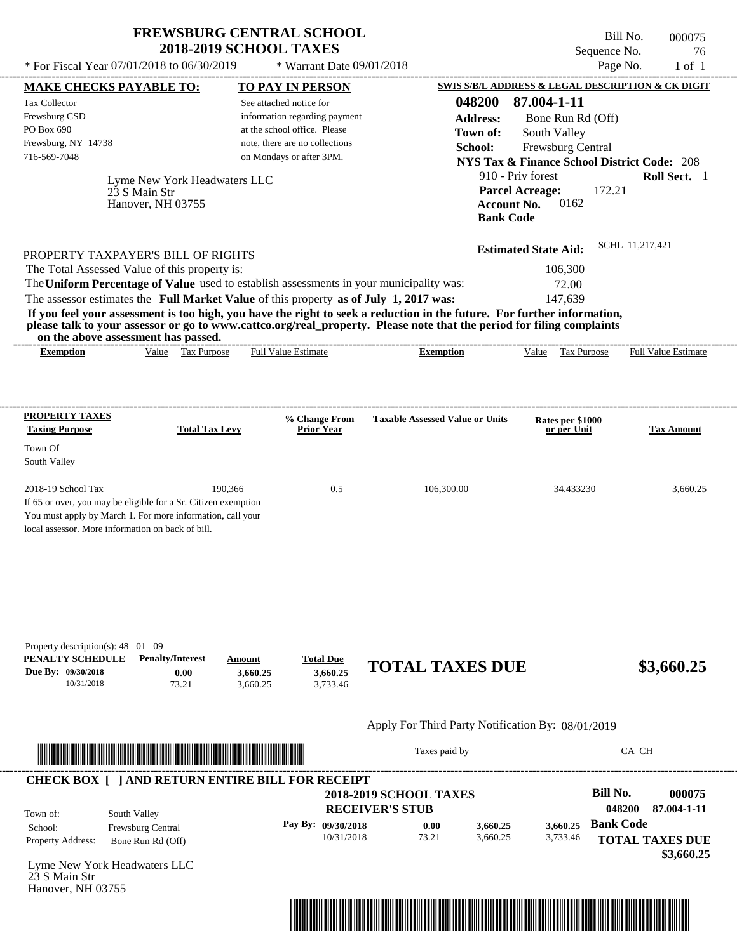| <b>FREWSBURG CENTRAL SCHOOL</b> |
|---------------------------------|
| <b>2018-2019 SCHOOL TAXES</b>   |

Bill No. 000075 Sequence No. 76 \* For Fiscal Year  $07/01/2018$  to  $06/30/2019$  \* Warrant Date  $09/01/2018$  Page No. 1 of 1

| <b>MAKE CHECKS PAYABLE TO:</b>                        |                                                                                                                                                                                                                                      | <b>TO PAY IN PERSON</b>                                                               |                                                                                                                         | SWIS S/B/L ADDRESS & LEGAL DESCRIPTION & CK DIGIT      |                            |
|-------------------------------------------------------|--------------------------------------------------------------------------------------------------------------------------------------------------------------------------------------------------------------------------------------|---------------------------------------------------------------------------------------|-------------------------------------------------------------------------------------------------------------------------|--------------------------------------------------------|----------------------------|
| <b>Tax Collector</b>                                  |                                                                                                                                                                                                                                      | See attached notice for                                                               | 048200                                                                                                                  | 87.004-1-11                                            |                            |
| Frewsburg CSD                                         |                                                                                                                                                                                                                                      | information regarding payment                                                         | <b>Address:</b>                                                                                                         | Bone Run Rd (Off)                                      |                            |
| PO Box 690                                            |                                                                                                                                                                                                                                      | at the school office. Please                                                          | Town of:                                                                                                                | South Valley                                           |                            |
| Frewsburg, NY 14738<br>716-569-7048                   |                                                                                                                                                                                                                                      | note, there are no collections<br>on Mondays or after 3PM.                            | School:                                                                                                                 | Frewsburg Central                                      |                            |
|                                                       |                                                                                                                                                                                                                                      |                                                                                       |                                                                                                                         | <b>NYS Tax &amp; Finance School District Code: 208</b> |                            |
|                                                       | Lyme New York Headwaters LLC                                                                                                                                                                                                         |                                                                                       |                                                                                                                         | 910 - Priv forest                                      | Roll Sect. 1               |
|                                                       | 23 S Main Str                                                                                                                                                                                                                        |                                                                                       |                                                                                                                         | <b>Parcel Acreage:</b><br>172.21                       |                            |
|                                                       | Hanover, NH 03755                                                                                                                                                                                                                    |                                                                                       |                                                                                                                         | 0162<br><b>Account No.</b><br><b>Bank Code</b>         |                            |
|                                                       |                                                                                                                                                                                                                                      |                                                                                       |                                                                                                                         |                                                        |                            |
|                                                       |                                                                                                                                                                                                                                      |                                                                                       |                                                                                                                         | <b>Estimated State Aid:</b>                            | SCHL 11,217,421            |
|                                                       | PROPERTY TAXPAYER'S BILL OF RIGHTS<br>The Total Assessed Value of this property is:                                                                                                                                                  |                                                                                       |                                                                                                                         | 106,300                                                |                            |
|                                                       |                                                                                                                                                                                                                                      |                                                                                       | The Uniform Percentage of Value used to establish assessments in your municipality was:                                 | 72.00                                                  |                            |
|                                                       |                                                                                                                                                                                                                                      | The assessor estimates the Full Market Value of this property as of July 1, 2017 was: |                                                                                                                         | 147,639                                                |                            |
|                                                       |                                                                                                                                                                                                                                      |                                                                                       | If you feel your assessment is too high, you have the right to seek a reduction in the future. For further information, |                                                        |                            |
|                                                       | on the above assessment has passed.                                                                                                                                                                                                  |                                                                                       | please talk to your assessor or go to www.cattco.org/real_property. Please note that the period for filing complaints   |                                                        |                            |
| <b>Exemption</b>                                      | Value Tax Purpose                                                                                                                                                                                                                    | Full Value Estimate                                                                   | <b>Exemption</b>                                                                                                        | Value Tax Purpose                                      | <b>Full Value Estimate</b> |
|                                                       |                                                                                                                                                                                                                                      |                                                                                       |                                                                                                                         |                                                        |                            |
|                                                       |                                                                                                                                                                                                                                      |                                                                                       |                                                                                                                         |                                                        |                            |
| <b>PROPERTY TAXES</b>                                 |                                                                                                                                                                                                                                      | % Change From                                                                         | <b>Taxable Assessed Value or Units</b>                                                                                  | Rates per \$1000                                       |                            |
| <b>Taxing Purpose</b>                                 | <b>Total Tax Levy</b>                                                                                                                                                                                                                | <b>Prior Year</b>                                                                     |                                                                                                                         | or per Unit                                            | <b>Tax Amount</b>          |
| Town Of<br>South Valley                               |                                                                                                                                                                                                                                      |                                                                                       |                                                                                                                         |                                                        |                            |
|                                                       |                                                                                                                                                                                                                                      |                                                                                       |                                                                                                                         |                                                        |                            |
| 2018-19 School Tax                                    | 190,366                                                                                                                                                                                                                              | 0.5                                                                                   | 106,300.00                                                                                                              | 34.433230                                              | 3,660.25                   |
|                                                       | If 65 or over, you may be eligible for a Sr. Citizen exemption                                                                                                                                                                       |                                                                                       |                                                                                                                         |                                                        |                            |
|                                                       | You must apply by March 1. For more information, call your                                                                                                                                                                           |                                                                                       |                                                                                                                         |                                                        |                            |
| local assessor. More information on back of bill.     |                                                                                                                                                                                                                                      |                                                                                       |                                                                                                                         |                                                        |                            |
|                                                       |                                                                                                                                                                                                                                      |                                                                                       |                                                                                                                         |                                                        |                            |
| Property description(s): 48 01 09<br>PENALTY SCHEDULE | <b>Penalty/Interest</b>                                                                                                                                                                                                              | <b>Total Due</b><br>Amount                                                            |                                                                                                                         |                                                        |                            |
| Due By: 09/30/2018<br>10/31/2018                      | 0.00<br>73.21                                                                                                                                                                                                                        | 3.660.25<br>3,660.25<br>3,733.46<br>3,660.25                                          | <b>TOTAL TAXES DUE</b>                                                                                                  |                                                        | \$3,660.25                 |
|                                                       |                                                                                                                                                                                                                                      |                                                                                       |                                                                                                                         |                                                        |                            |
|                                                       |                                                                                                                                                                                                                                      |                                                                                       | Apply For Third Party Notification By: 08/01/2019                                                                       |                                                        |                            |
|                                                       | <u> Indian American State and The Communication of the Communication of the Communication of the Communication of the Communication of the Communication of the Communication of the Communication of the Communication of the C</u> |                                                                                       |                                                                                                                         |                                                        | CA CH                      |
|                                                       |                                                                                                                                                                                                                                      | <b>CHECK BOX [ ] AND RETURN ENTIRE BILL FOR RECEIPT</b>                               |                                                                                                                         |                                                        |                            |
|                                                       |                                                                                                                                                                                                                                      |                                                                                       | <b>2018-2019 SCHOOL TAXES</b>                                                                                           | <b>Bill No.</b>                                        | 000075                     |
| Town of:                                              | South Valley                                                                                                                                                                                                                         |                                                                                       | <b>RECEIVER'S STUB</b>                                                                                                  |                                                        | 048200<br>87.004-1-11      |
| School:                                               | Frewsburg Central                                                                                                                                                                                                                    | Pay By: 09/30/2018                                                                    | 0.00<br>3,660.25                                                                                                        | <b>Bank Code</b><br>3,660.25                           |                            |
| Property Address:                                     | Bone Run Rd (Off)                                                                                                                                                                                                                    |                                                                                       | 73.21<br>10/31/2018<br>3,660.25                                                                                         | 3,733.46                                               | <b>TOTAL TAXES DUE</b>     |
| Lyme New York Headwaters LLC<br>23 S Main Str         |                                                                                                                                                                                                                                      |                                                                                       |                                                                                                                         |                                                        | \$3,660.25                 |
| Hanover, NH 03755                                     |                                                                                                                                                                                                                                      |                                                                                       |                                                                                                                         |                                                        |                            |
|                                                       |                                                                                                                                                                                                                                      |                                                                                       |                                                                                                                         |                                                        |                            |
|                                                       |                                                                                                                                                                                                                                      |                                                                                       |                                                                                                                         |                                                        |                            |
|                                                       |                                                                                                                                                                                                                                      |                                                                                       |                                                                                                                         |                                                        |                            |

----------------------------------------------------------------------------------------------------------------------------------------------------------------------------------------------------

\* Warrant Date 09/01/2018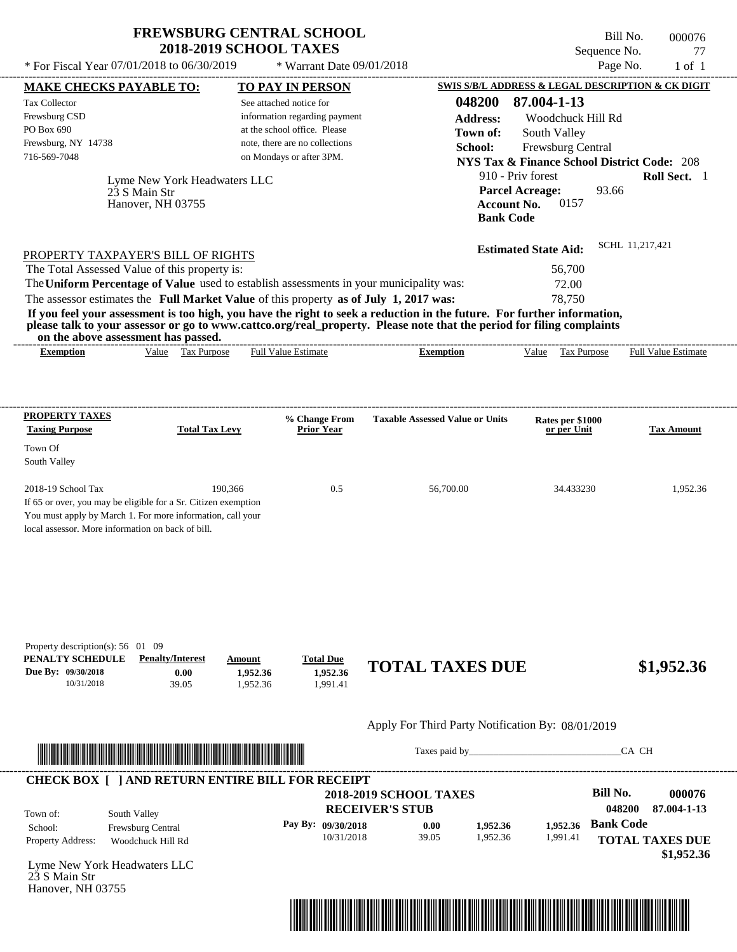\* Warrant Date 09/01/2018

 $*$  For Fiscal Year 07/01/2018 to 06/30/2019

---------------------------------------------------------------------------------------------------------------------------------------------------------------------------------------------------- Bill No. 000076 Sequence No. 77<br>Page No. 1 of 1

| <b>MAKE CHECKS PAYABLE TO:</b>                                                        |                                                                                                                                                                                                                                      |                      | <b>TO PAY IN PERSON</b>                                    |                                                                                                                         | SWIS S/B/L ADDRESS & LEGAL DESCRIPTION & CK DIGIT      |                        |                            |
|---------------------------------------------------------------------------------------|--------------------------------------------------------------------------------------------------------------------------------------------------------------------------------------------------------------------------------------|----------------------|------------------------------------------------------------|-------------------------------------------------------------------------------------------------------------------------|--------------------------------------------------------|------------------------|----------------------------|
| <b>Tax Collector</b>                                                                  |                                                                                                                                                                                                                                      |                      | See attached notice for                                    | 048200                                                                                                                  | 87.004-1-13                                            |                        |                            |
| Frewsburg CSD                                                                         |                                                                                                                                                                                                                                      |                      | information regarding payment                              | <b>Address:</b>                                                                                                         | Woodchuck Hill Rd                                      |                        |                            |
| PO Box 690                                                                            |                                                                                                                                                                                                                                      |                      | at the school office. Please                               | Town of:                                                                                                                | South Valley                                           |                        |                            |
| Frewsburg, NY 14738<br>716-569-7048                                                   |                                                                                                                                                                                                                                      |                      | note, there are no collections<br>on Mondays or after 3PM. | School:                                                                                                                 | Frewsburg Central                                      |                        |                            |
|                                                                                       |                                                                                                                                                                                                                                      |                      |                                                            |                                                                                                                         | <b>NYS Tax &amp; Finance School District Code: 208</b> |                        |                            |
|                                                                                       | Lyme New York Headwaters LLC                                                                                                                                                                                                         |                      |                                                            |                                                                                                                         | 910 - Priv forest                                      |                        | Roll Sect. 1               |
|                                                                                       | 23 S Main Str                                                                                                                                                                                                                        |                      |                                                            |                                                                                                                         | <b>Parcel Acreage:</b>                                 | 93.66                  |                            |
|                                                                                       | Hanover, NH 03755                                                                                                                                                                                                                    |                      |                                                            |                                                                                                                         | 0157<br><b>Account No.</b><br><b>Bank Code</b>         |                        |                            |
|                                                                                       |                                                                                                                                                                                                                                      |                      |                                                            |                                                                                                                         |                                                        |                        |                            |
|                                                                                       | PROPERTY TAXPAYER'S BILL OF RIGHTS                                                                                                                                                                                                   |                      |                                                            |                                                                                                                         | <b>Estimated State Aid:</b>                            | SCHL 11,217,421        |                            |
| The Total Assessed Value of this property is:                                         |                                                                                                                                                                                                                                      |                      |                                                            |                                                                                                                         | 56,700                                                 |                        |                            |
|                                                                                       |                                                                                                                                                                                                                                      |                      |                                                            | The Uniform Percentage of Value used to establish assessments in your municipality was:                                 | 72.00                                                  |                        |                            |
| The assessor estimates the Full Market Value of this property as of July 1, 2017 was: |                                                                                                                                                                                                                                      |                      |                                                            |                                                                                                                         | 78,750                                                 |                        |                            |
|                                                                                       |                                                                                                                                                                                                                                      |                      |                                                            | If you feel your assessment is too high, you have the right to seek a reduction in the future. For further information, |                                                        |                        |                            |
|                                                                                       | on the above assessment has passed.                                                                                                                                                                                                  |                      |                                                            | please talk to your assessor or go to www.cattco.org/real_property. Please note that the period for filing complaints   |                                                        |                        |                            |
| <b>Exemption</b>                                                                      | Value Tax Purpose                                                                                                                                                                                                                    |                      | <b>Full Value Estimate</b>                                 | <b>Exemption</b>                                                                                                        | Value Tax Purpose                                      |                        | <b>Full Value Estimate</b> |
|                                                                                       |                                                                                                                                                                                                                                      |                      |                                                            |                                                                                                                         |                                                        |                        |                            |
|                                                                                       |                                                                                                                                                                                                                                      |                      |                                                            |                                                                                                                         |                                                        |                        |                            |
| <b>PROPERTY TAXES</b>                                                                 |                                                                                                                                                                                                                                      |                      | % Change From                                              | <b>Taxable Assessed Value or Units</b>                                                                                  | Rates per \$1000                                       |                        |                            |
| <b>Taxing Purpose</b>                                                                 | <b>Total Tax Levy</b>                                                                                                                                                                                                                |                      | <b>Prior Year</b>                                          |                                                                                                                         | or per Unit                                            |                        | <b>Tax Amount</b>          |
| Town Of                                                                               |                                                                                                                                                                                                                                      |                      |                                                            |                                                                                                                         |                                                        |                        |                            |
| South Valley                                                                          |                                                                                                                                                                                                                                      |                      |                                                            |                                                                                                                         |                                                        |                        |                            |
| 2018-19 School Tax                                                                    | 190,366                                                                                                                                                                                                                              |                      | 0.5                                                        | 56,700.00                                                                                                               | 34.433230                                              |                        | 1,952.36                   |
|                                                                                       | If 65 or over, you may be eligible for a Sr. Citizen exemption                                                                                                                                                                       |                      |                                                            |                                                                                                                         |                                                        |                        |                            |
|                                                                                       | You must apply by March 1. For more information, call your                                                                                                                                                                           |                      |                                                            |                                                                                                                         |                                                        |                        |                            |
| local assessor. More information on back of bill.                                     |                                                                                                                                                                                                                                      |                      |                                                            |                                                                                                                         |                                                        |                        |                            |
|                                                                                       |                                                                                                                                                                                                                                      |                      |                                                            |                                                                                                                         |                                                        |                        |                            |
|                                                                                       |                                                                                                                                                                                                                                      |                      |                                                            |                                                                                                                         |                                                        |                        |                            |
| Property description(s): 56 01 09                                                     |                                                                                                                                                                                                                                      |                      |                                                            |                                                                                                                         |                                                        |                        |                            |
| PENALTY SCHEDULE                                                                      | <b>Penalty/Interest</b>                                                                                                                                                                                                              | Amount               | <b>Total Due</b>                                           | <b>TOTAL TAXES DUE</b>                                                                                                  |                                                        |                        | \$1,952.36                 |
| Due By: 09/30/2018<br>10/31/2018                                                      | 0.00<br>39.05                                                                                                                                                                                                                        | 1,952.36<br>1,952.36 | 1,952.36<br>1,991.41                                       |                                                                                                                         |                                                        |                        |                            |
|                                                                                       |                                                                                                                                                                                                                                      |                      |                                                            |                                                                                                                         |                                                        |                        |                            |
|                                                                                       |                                                                                                                                                                                                                                      |                      |                                                            | Apply For Third Party Notification By: 08/01/2019                                                                       |                                                        |                        |                            |
|                                                                                       |                                                                                                                                                                                                                                      |                      |                                                            |                                                                                                                         |                                                        | CA CH                  |                            |
|                                                                                       | <u> Indian American State and The Communication of the Communication of the Communication of the Communication of the Communication of the Communication of the Communication of the Communication of the Communication of the C</u> |                      |                                                            |                                                                                                                         |                                                        |                        |                            |
|                                                                                       | <b>CHECK BOX [ ] AND RETURN ENTIRE BILL FOR RECEIPT</b>                                                                                                                                                                              |                      |                                                            |                                                                                                                         |                                                        |                        |                            |
|                                                                                       |                                                                                                                                                                                                                                      |                      |                                                            | <b>2018-2019 SCHOOL TAXES</b>                                                                                           |                                                        | <b>Bill No.</b>        | 000076                     |
| Town of:                                                                              | South Valley                                                                                                                                                                                                                         |                      |                                                            | <b>RECEIVER'S STUB</b>                                                                                                  |                                                        | 048200                 | 87.004-1-13                |
| School:                                                                               | Frewsburg Central                                                                                                                                                                                                                    |                      | Pay By: 09/30/2018                                         | 0.00<br>1,952.36                                                                                                        | 1,952.36                                               | <b>Bank Code</b>       |                            |
| Property Address:                                                                     | Woodchuck Hill Rd                                                                                                                                                                                                                    |                      | 10/31/2018                                                 | 39.05<br>1,952.36                                                                                                       | 1,991.41                                               | <b>TOTAL TAXES DUE</b> |                            |
| Lyme New York Headwaters LLC<br>23 S Main Str                                         |                                                                                                                                                                                                                                      |                      |                                                            |                                                                                                                         |                                                        |                        | \$1,952.36                 |
| Hanover, NH 03755                                                                     |                                                                                                                                                                                                                                      |                      |                                                            |                                                                                                                         |                                                        |                        |                            |
|                                                                                       |                                                                                                                                                                                                                                      |                      |                                                            |                                                                                                                         |                                                        |                        |                            |
|                                                                                       |                                                                                                                                                                                                                                      |                      |                                                            |                                                                                                                         |                                                        |                        |                            |
|                                                                                       |                                                                                                                                                                                                                                      |                      |                                                            |                                                                                                                         |                                                        |                        |                            |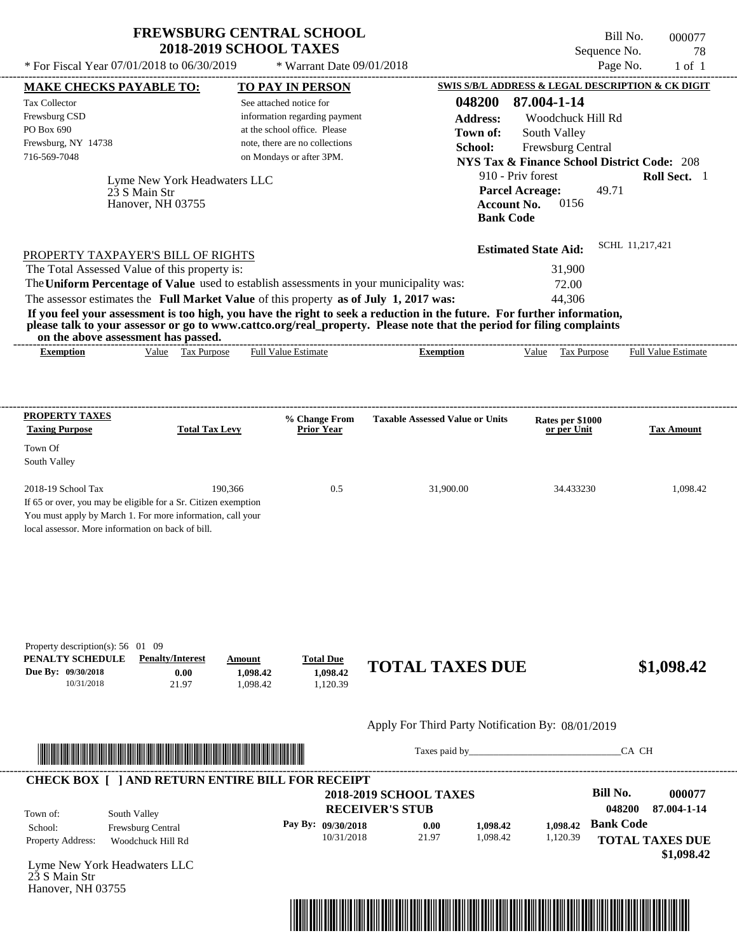$*$  Warrant Date 09/01/2018

 $*$  For Fiscal Year 07/01/2018 to 06/30/2019

Bill No. 000077 Sequence No. 78

| <b>MAKE CHECKS PAYABLE TO:</b>                                                                                                                                                                          |                              |                       |                                | <b>TO PAY IN PERSON</b>                                 |                                                                                                                                                                                                                                                  |                    |                                                                                                                                                                                                                                |                  | <b>SWIS S/B/L ADDRESS &amp; LEGAL DESCRIPTION &amp; CK DIGIT</b> |
|---------------------------------------------------------------------------------------------------------------------------------------------------------------------------------------------------------|------------------------------|-----------------------|--------------------------------|---------------------------------------------------------|--------------------------------------------------------------------------------------------------------------------------------------------------------------------------------------------------------------------------------------------------|--------------------|--------------------------------------------------------------------------------------------------------------------------------------------------------------------------------------------------------------------------------|------------------|------------------------------------------------------------------|
| <b>Tax Collector</b>                                                                                                                                                                                    |                              |                       |                                | See attached notice for                                 |                                                                                                                                                                                                                                                  | 048200             | 87.004-1-14                                                                                                                                                                                                                    |                  |                                                                  |
| Frewsburg CSD                                                                                                                                                                                           |                              |                       |                                | information regarding payment                           |                                                                                                                                                                                                                                                  | <b>Address:</b>    | Woodchuck Hill Rd                                                                                                                                                                                                              |                  |                                                                  |
| PO Box 690                                                                                                                                                                                              |                              |                       |                                | at the school office. Please                            |                                                                                                                                                                                                                                                  | Town of:           | South Valley                                                                                                                                                                                                                   |                  |                                                                  |
| Frewsburg, NY 14738                                                                                                                                                                                     |                              |                       |                                | note, there are no collections                          |                                                                                                                                                                                                                                                  | School:            | Frewsburg Central                                                                                                                                                                                                              |                  |                                                                  |
| 716-569-7048                                                                                                                                                                                            |                              |                       |                                | on Mondays or after 3PM.                                |                                                                                                                                                                                                                                                  |                    | <b>NYS Tax &amp; Finance School District Code: 208</b>                                                                                                                                                                         |                  |                                                                  |
|                                                                                                                                                                                                         | Lyme New York Headwaters LLC |                       |                                |                                                         |                                                                                                                                                                                                                                                  |                    | 910 - Priv forest                                                                                                                                                                                                              |                  | Roll Sect. 1                                                     |
|                                                                                                                                                                                                         | 23 S Main Str                |                       |                                |                                                         |                                                                                                                                                                                                                                                  |                    | <b>Parcel Acreage:</b>                                                                                                                                                                                                         | 49.71            |                                                                  |
|                                                                                                                                                                                                         | Hanover, NH 03755            |                       |                                |                                                         |                                                                                                                                                                                                                                                  | <b>Account No.</b> | 0156                                                                                                                                                                                                                           |                  |                                                                  |
|                                                                                                                                                                                                         |                              |                       |                                |                                                         |                                                                                                                                                                                                                                                  | <b>Bank Code</b>   |                                                                                                                                                                                                                                |                  |                                                                  |
|                                                                                                                                                                                                         |                              |                       |                                |                                                         |                                                                                                                                                                                                                                                  |                    |                                                                                                                                                                                                                                |                  |                                                                  |
| PROPERTY TAXPAYER'S BILL OF RIGHTS                                                                                                                                                                      |                              |                       |                                |                                                         |                                                                                                                                                                                                                                                  |                    | <b>Estimated State Aid:</b>                                                                                                                                                                                                    |                  | SCHL 11,217,421                                                  |
| The Total Assessed Value of this property is:                                                                                                                                                           |                              |                       |                                |                                                         |                                                                                                                                                                                                                                                  |                    | 31,900                                                                                                                                                                                                                         |                  |                                                                  |
|                                                                                                                                                                                                         |                              |                       |                                |                                                         | The Uniform Percentage of Value used to establish assessments in your municipality was:                                                                                                                                                          |                    | 72.00                                                                                                                                                                                                                          |                  |                                                                  |
|                                                                                                                                                                                                         |                              |                       |                                |                                                         | The assessor estimates the Full Market Value of this property as of July 1, 2017 was:                                                                                                                                                            |                    | 44,306                                                                                                                                                                                                                         |                  |                                                                  |
|                                                                                                                                                                                                         |                              |                       |                                |                                                         | If you feel your assessment is too high, you have the right to seek a reduction in the future. For further information,<br>please talk to your assessor or go to www.cattco.org/real_property. Please note that the period for filing complaints |                    |                                                                                                                                                                                                                                |                  |                                                                  |
| on the above assessment has passed.<br><b>Exemption</b>                                                                                                                                                 |                              | Value Tax Purpose     |                                | <b>Full Value Estimate</b>                              | <b>Exemption</b>                                                                                                                                                                                                                                 |                    |                                                                                                                                                                                                                                |                  | Value Tax Purpose Full Value Estimate                            |
|                                                                                                                                                                                                         |                              |                       |                                |                                                         |                                                                                                                                                                                                                                                  |                    |                                                                                                                                                                                                                                |                  |                                                                  |
|                                                                                                                                                                                                         |                              |                       |                                |                                                         |                                                                                                                                                                                                                                                  |                    |                                                                                                                                                                                                                                |                  |                                                                  |
| <b>PROPERTY TAXES</b>                                                                                                                                                                                   |                              |                       |                                | % Change From                                           | <b>Taxable Assessed Value or Units</b>                                                                                                                                                                                                           |                    |                                                                                                                                                                                                                                |                  |                                                                  |
| <b>Taxing Purpose</b>                                                                                                                                                                                   |                              | <b>Total Tax Levy</b> |                                | <b>Prior Year</b>                                       |                                                                                                                                                                                                                                                  |                    | Rates per \$1000<br>or per Unit                                                                                                                                                                                                |                  | <b>Tax Amount</b>                                                |
| Town Of<br>South Valley                                                                                                                                                                                 |                              |                       |                                |                                                         |                                                                                                                                                                                                                                                  |                    |                                                                                                                                                                                                                                |                  |                                                                  |
| 2018-19 School Tax<br>If 65 or over, you may be eligible for a Sr. Citizen exemption<br>You must apply by March 1. For more information, call your<br>local assessor. More information on back of bill. |                              | 190,366               |                                | 0.5                                                     | 31,900.00                                                                                                                                                                                                                                        |                    | 34.433230                                                                                                                                                                                                                      |                  | 1,098.42                                                         |
| Property description(s): $56 \quad 01 \quad 09$<br>PENALTY SCHEDULE<br>Due By: 09/30/2018<br>10/31/2018                                                                                                 | <b>Penalty/Interest</b>      | 0.00<br>21.97         | Amount<br>1,098.42<br>1,098.42 | <b>Total Due</b><br>1,098.42<br>1,120.39                | <b>TOTAL TAXES DUE</b>                                                                                                                                                                                                                           |                    |                                                                                                                                                                                                                                |                  | \$1,098.42                                                       |
|                                                                                                                                                                                                         |                              |                       |                                |                                                         | Apply For Third Party Notification By: 08/01/2019                                                                                                                                                                                                |                    |                                                                                                                                                                                                                                |                  |                                                                  |
| <u> Indian American State (Indian American State Indian American Sta</u>                                                                                                                                |                              |                       |                                |                                                         |                                                                                                                                                                                                                                                  |                    | Taxes paid by Taxes and the Taxes and the Taxes and the Taxes are the Taxes and the Taxes and the Taxes and the Taxes and the Taxes and the Taxes and the Taxes and the Taxes and the Taxes and the Taxes and the Taxes and th |                  | CA CH                                                            |
|                                                                                                                                                                                                         |                              |                       |                                | <b>CHECK BOX [ ] AND RETURN ENTIRE BILL FOR RECEIPT</b> |                                                                                                                                                                                                                                                  |                    |                                                                                                                                                                                                                                | <b>Bill No.</b>  |                                                                  |
|                                                                                                                                                                                                         |                              |                       |                                |                                                         | <b>2018-2019 SCHOOL TAXES</b><br><b>RECEIVER'S STUB</b>                                                                                                                                                                                          |                    |                                                                                                                                                                                                                                | 048200           | 000077<br>87.004-1-14                                            |
| Town of:                                                                                                                                                                                                | South Valley                 |                       |                                |                                                         |                                                                                                                                                                                                                                                  |                    |                                                                                                                                                                                                                                |                  |                                                                  |
| School:                                                                                                                                                                                                 | Frewsburg Central            |                       |                                | Pay By: 09/30/2018                                      | 0.00                                                                                                                                                                                                                                             | 1,098.42           | 1,098.42                                                                                                                                                                                                                       | <b>Bank Code</b> |                                                                  |
| Property Address:                                                                                                                                                                                       | Woodchuck Hill Rd            |                       |                                | 10/31/2018                                              | 21.97                                                                                                                                                                                                                                            | 1,098.42           | 1,120.39                                                                                                                                                                                                                       |                  | <b>TOTAL TAXES DUE</b><br>\$1,098.42                             |
| Lyme New York Headwaters LLC<br>23 S Main Str<br>Hanover, NH 03755                                                                                                                                      |                              |                       |                                |                                                         |                                                                                                                                                                                                                                                  |                    |                                                                                                                                                                                                                                |                  |                                                                  |
|                                                                                                                                                                                                         |                              |                       |                                |                                                         |                                                                                                                                                                                                                                                  |                    |                                                                                                                                                                                                                                |                  |                                                                  |
|                                                                                                                                                                                                         |                              |                       |                                |                                                         | <u> 1989 - Andrea Stadt British, fransk politik (d. 1989)</u>                                                                                                                                                                                    |                    |                                                                                                                                                                                                                                |                  |                                                                  |
|                                                                                                                                                                                                         |                              |                       |                                |                                                         |                                                                                                                                                                                                                                                  |                    |                                                                                                                                                                                                                                |                  |                                                                  |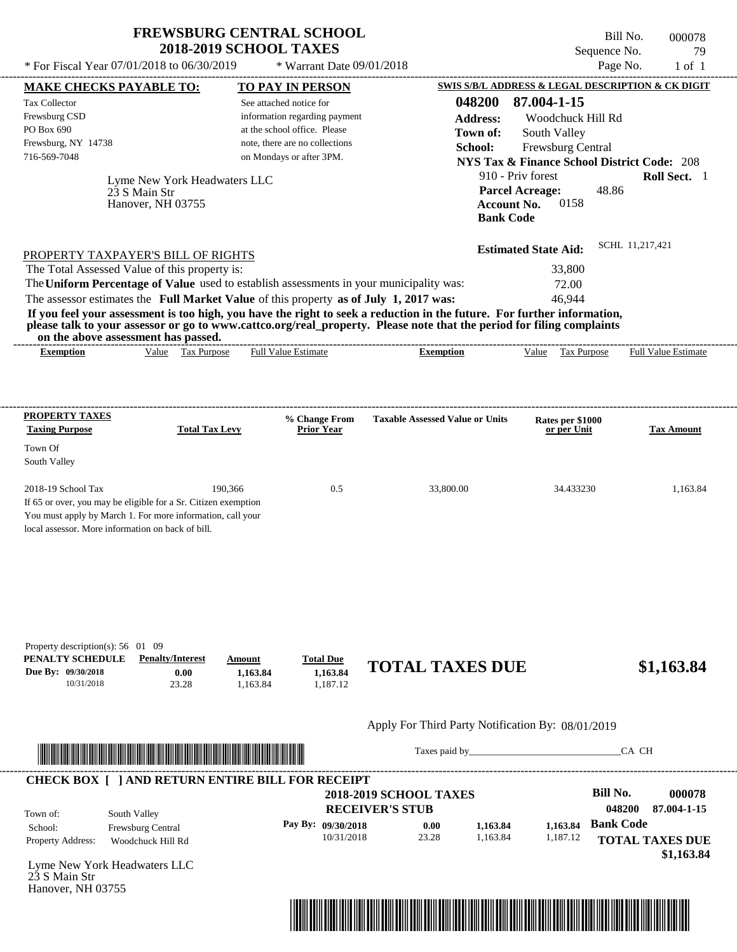\* Warrant Date 09/01/2018

 $*$  For Fiscal Year 07/01/2018 to 06/30/2019

Bill No. 000078 Sequence No. 79<br>Page No. 1 of 1

| <b>MAKE CHECKS PAYABLE TO:</b>                                                                                  |                                 |                       | <b>TO PAY IN PERSON</b>                                 |                                                                                                                                                                                                                                                  |                                        | <b>SWIS S/B/L ADDRESS &amp; LEGAL DESCRIPTION &amp; CK DIGIT</b> |                  |                        |
|-----------------------------------------------------------------------------------------------------------------|---------------------------------|-----------------------|---------------------------------------------------------|--------------------------------------------------------------------------------------------------------------------------------------------------------------------------------------------------------------------------------------------------|----------------------------------------|------------------------------------------------------------------|------------------|------------------------|
| <b>Tax Collector</b>                                                                                            |                                 |                       | See attached notice for                                 |                                                                                                                                                                                                                                                  | 048200                                 | 87.004-1-15                                                      |                  |                        |
| Frewsburg CSD                                                                                                   |                                 |                       | information regarding payment                           |                                                                                                                                                                                                                                                  | <b>Address:</b>                        | Woodchuck Hill Rd                                                |                  |                        |
| PO Box 690                                                                                                      |                                 |                       | at the school office. Please                            |                                                                                                                                                                                                                                                  | Town of:                               | South Valley                                                     |                  |                        |
| Frewsburg, NY 14738                                                                                             |                                 |                       | note, there are no collections                          |                                                                                                                                                                                                                                                  | School:                                | Frewsburg Central                                                |                  |                        |
| 716-569-7048                                                                                                    |                                 |                       | on Mondays or after 3PM.                                |                                                                                                                                                                                                                                                  |                                        | <b>NYS Tax &amp; Finance School District Code: 208</b>           |                  |                        |
|                                                                                                                 | Lyme New York Headwaters LLC    |                       |                                                         |                                                                                                                                                                                                                                                  |                                        | 910 - Priv forest                                                |                  | Roll Sect. 1           |
|                                                                                                                 | 23 S Main Str                   |                       |                                                         |                                                                                                                                                                                                                                                  |                                        | <b>Parcel Acreage:</b><br>0158                                   | 48.86            |                        |
|                                                                                                                 | Hanover, NH 03755               |                       |                                                         |                                                                                                                                                                                                                                                  | <b>Account No.</b><br><b>Bank Code</b> |                                                                  |                  |                        |
|                                                                                                                 |                                 |                       |                                                         |                                                                                                                                                                                                                                                  |                                        |                                                                  |                  |                        |
| PROPERTY TAXPAYER'S BILL OF RIGHTS                                                                              |                                 |                       |                                                         |                                                                                                                                                                                                                                                  |                                        | <b>Estimated State Aid:</b>                                      | SCHL 11,217,421  |                        |
| The Total Assessed Value of this property is:                                                                   |                                 |                       |                                                         |                                                                                                                                                                                                                                                  |                                        | 33,800                                                           |                  |                        |
|                                                                                                                 |                                 |                       |                                                         | The Uniform Percentage of Value used to establish assessments in your municipality was:                                                                                                                                                          |                                        | 72.00                                                            |                  |                        |
| The assessor estimates the Full Market Value of this property as of July 1, 2017 was:                           |                                 |                       |                                                         |                                                                                                                                                                                                                                                  |                                        | 46,944                                                           |                  |                        |
|                                                                                                                 |                                 |                       |                                                         | If you feel your assessment is too high, you have the right to seek a reduction in the future. For further information,<br>please talk to your assessor or go to www.cattco.org/real_property. Please note that the period for filing complaints |                                        |                                                                  |                  |                        |
| on the above assessment has passed.                                                                             |                                 |                       |                                                         |                                                                                                                                                                                                                                                  |                                        |                                                                  |                  |                        |
| <b>Exemption</b>                                                                                                | Value Tax Purpose               |                       | <b>Full Value Estimate</b>                              | <b>Exemption</b>                                                                                                                                                                                                                                 |                                        | Value Tax Purpose Full Value Estimate                            |                  |                        |
|                                                                                                                 |                                 |                       |                                                         |                                                                                                                                                                                                                                                  |                                        |                                                                  |                  |                        |
| <b>PROPERTY TAXES</b><br><b>Taxing Purpose</b>                                                                  |                                 | <b>Total Tax Levy</b> | % Change From<br><b>Prior Year</b>                      | <b>Taxable Assessed Value or Units</b>                                                                                                                                                                                                           |                                        | Rates per \$1000<br>or per Unit                                  |                  | <b>Tax Amount</b>      |
| Town Of                                                                                                         |                                 |                       |                                                         |                                                                                                                                                                                                                                                  |                                        |                                                                  |                  |                        |
| South Valley                                                                                                    |                                 |                       |                                                         |                                                                                                                                                                                                                                                  |                                        |                                                                  |                  |                        |
| 2018-19 School Tax                                                                                              |                                 | 190,366               | 0.5                                                     | 33,800.00                                                                                                                                                                                                                                        |                                        | 34.433230                                                        |                  | 1,163.84               |
| If 65 or over, you may be eligible for a Sr. Citizen exemption                                                  |                                 |                       |                                                         |                                                                                                                                                                                                                                                  |                                        |                                                                  |                  |                        |
| You must apply by March 1. For more information, call your<br>local assessor. More information on back of bill. |                                 |                       |                                                         |                                                                                                                                                                                                                                                  |                                        |                                                                  |                  |                        |
|                                                                                                                 |                                 |                       |                                                         |                                                                                                                                                                                                                                                  |                                        |                                                                  |                  |                        |
|                                                                                                                 |                                 |                       |                                                         |                                                                                                                                                                                                                                                  |                                        |                                                                  |                  |                        |
|                                                                                                                 |                                 |                       |                                                         |                                                                                                                                                                                                                                                  |                                        |                                                                  |                  |                        |
| Property description(s): $56 \quad 01 \quad 09$                                                                 |                                 |                       |                                                         |                                                                                                                                                                                                                                                  |                                        |                                                                  |                  |                        |
| PENALTY SCHEDULE<br>Due By: 09/30/2018                                                                          | <b>Penalty/Interest</b><br>0.00 | Amount<br>1,163.84    | <b>Total Due</b><br>1,163.84                            | <b>TOTAL TAXES DUE</b>                                                                                                                                                                                                                           |                                        |                                                                  |                  | \$1,163.84             |
| 10/31/2018                                                                                                      | 23.28                           | 1,163.84              | 1,187.12                                                |                                                                                                                                                                                                                                                  |                                        |                                                                  |                  |                        |
|                                                                                                                 |                                 |                       |                                                         | Apply For Third Party Notification By: 08/01/2019                                                                                                                                                                                                |                                        |                                                                  |                  |                        |
|                                                                                                                 |                                 |                       |                                                         |                                                                                                                                                                                                                                                  |                                        | Taxes paid by                                                    | CA CH            |                        |
|                                                                                                                 |                                 |                       |                                                         |                                                                                                                                                                                                                                                  |                                        |                                                                  |                  |                        |
|                                                                                                                 |                                 |                       | <b>CHECK BOX [ ] AND RETURN ENTIRE BILL FOR RECEIPT</b> | <b>2018-2019 SCHOOL TAXES</b>                                                                                                                                                                                                                    |                                        |                                                                  | <b>Bill No.</b>  | 000078                 |
|                                                                                                                 |                                 |                       |                                                         | <b>RECEIVER'S STUB</b>                                                                                                                                                                                                                           |                                        |                                                                  | 048200           | 87.004-1-15            |
| Town of:<br>School:                                                                                             | South Valley                    |                       | Pay By: 09/30/2018                                      | 0.00                                                                                                                                                                                                                                             | 1,163.84                               | 1,163.84                                                         | <b>Bank Code</b> |                        |
| Property Address:                                                                                               | Frewsburg Central               |                       | 10/31/2018                                              | 23.28                                                                                                                                                                                                                                            | 1,163.84                               | 1,187.12                                                         |                  | <b>TOTAL TAXES DUE</b> |
|                                                                                                                 | Woodchuck Hill Rd               |                       |                                                         |                                                                                                                                                                                                                                                  |                                        |                                                                  |                  | \$1,163.84             |
| Lyme New York Headwaters LLC                                                                                    |                                 |                       |                                                         |                                                                                                                                                                                                                                                  |                                        |                                                                  |                  |                        |
| 23 S Main Str                                                                                                   |                                 |                       |                                                         |                                                                                                                                                                                                                                                  |                                        |                                                                  |                  |                        |
| Hanover, NH 03755                                                                                               |                                 |                       |                                                         |                                                                                                                                                                                                                                                  |                                        |                                                                  |                  |                        |

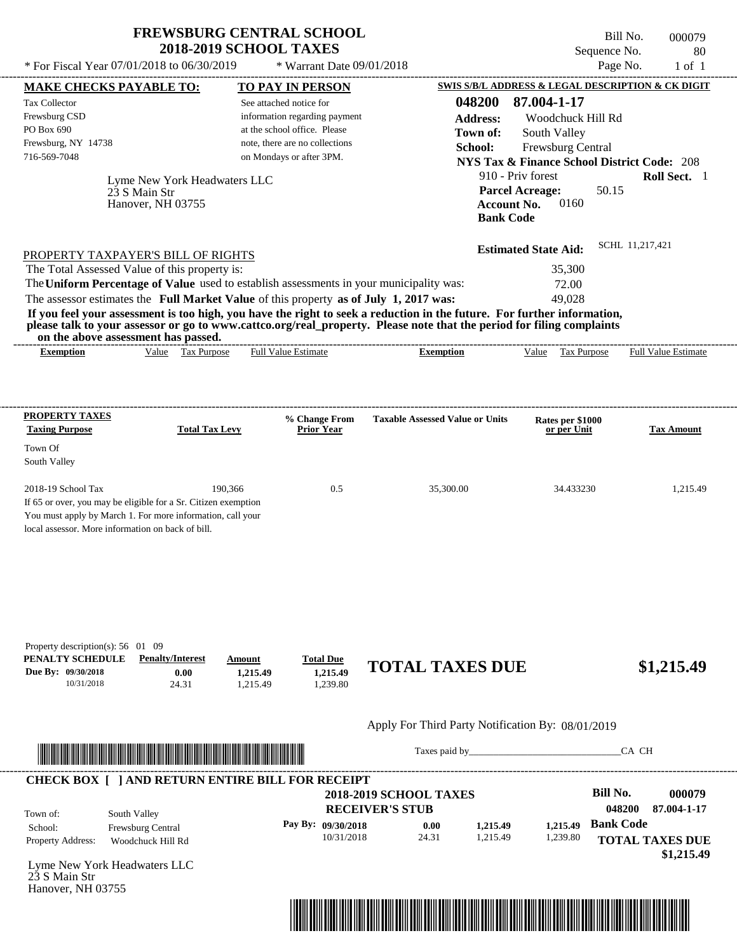$*$  Warrant Date 09/01/2018

 $*$  For Fiscal Year 07/01/2018 to 06/30/2019

---------------------------------------------------------------------------------------------------------------------------------------------------------------------------------------------------- Bill No. 000079 Sequence No. 80<br>Page No. 1 of 1

| <b>MAKE CHECKS PAYABLE TO:</b>                                                                                               |                                                                                                                                                                                                                                      | <b>TO PAY IN PERSON</b>                                    |                                    |                                                                                                                         |                                        |                                 |                  | SWIS S/B/L ADDRESS & LEGAL DESCRIPTION & CK DIGIT      |
|------------------------------------------------------------------------------------------------------------------------------|--------------------------------------------------------------------------------------------------------------------------------------------------------------------------------------------------------------------------------------|------------------------------------------------------------|------------------------------------|-------------------------------------------------------------------------------------------------------------------------|----------------------------------------|---------------------------------|------------------|--------------------------------------------------------|
| <b>Tax Collector</b>                                                                                                         |                                                                                                                                                                                                                                      | See attached notice for                                    |                                    | 048200                                                                                                                  |                                        | 87.004-1-17                     |                  |                                                        |
| Frewsburg CSD                                                                                                                |                                                                                                                                                                                                                                      |                                                            | information regarding payment      | <b>Address:</b>                                                                                                         |                                        | Woodchuck Hill Rd               |                  |                                                        |
| PO Box 690                                                                                                                   |                                                                                                                                                                                                                                      | at the school office. Please                               |                                    | Town of:                                                                                                                |                                        | South Valley                    |                  |                                                        |
| Frewsburg, NY 14738<br>716-569-7048                                                                                          |                                                                                                                                                                                                                                      | note, there are no collections<br>on Mondays or after 3PM. |                                    | School:                                                                                                                 |                                        | Frewsburg Central               |                  |                                                        |
|                                                                                                                              |                                                                                                                                                                                                                                      |                                                            |                                    |                                                                                                                         |                                        |                                 |                  | <b>NYS Tax &amp; Finance School District Code: 208</b> |
|                                                                                                                              | Lyme New York Headwaters LLC                                                                                                                                                                                                         |                                                            |                                    |                                                                                                                         |                                        | 910 - Priv forest               |                  | Roll Sect. 1                                           |
|                                                                                                                              | 23 S Main Str                                                                                                                                                                                                                        |                                                            |                                    |                                                                                                                         |                                        | <b>Parcel Acreage:</b>          | 50.15            |                                                        |
|                                                                                                                              | Hanover, NH 03755                                                                                                                                                                                                                    |                                                            |                                    |                                                                                                                         | <b>Account No.</b><br><b>Bank Code</b> | 0160                            |                  |                                                        |
|                                                                                                                              |                                                                                                                                                                                                                                      |                                                            |                                    |                                                                                                                         |                                        |                                 |                  |                                                        |
|                                                                                                                              |                                                                                                                                                                                                                                      |                                                            |                                    |                                                                                                                         |                                        | <b>Estimated State Aid:</b>     |                  | SCHL 11,217,421                                        |
| PROPERTY TAXPAYER'S BILL OF RIGHTS                                                                                           |                                                                                                                                                                                                                                      |                                                            |                                    |                                                                                                                         |                                        |                                 |                  |                                                        |
| The Total Assessed Value of this property is:                                                                                |                                                                                                                                                                                                                                      |                                                            |                                    | The Uniform Percentage of Value used to establish assessments in your municipality was:                                 |                                        | 35,300                          |                  |                                                        |
|                                                                                                                              |                                                                                                                                                                                                                                      |                                                            |                                    |                                                                                                                         |                                        | 72.00                           |                  |                                                        |
| The assessor estimates the Full Market Value of this property as of July 1, 2017 was:                                        |                                                                                                                                                                                                                                      |                                                            |                                    | If you feel your assessment is too high, you have the right to seek a reduction in the future. For further information, |                                        | 49,028                          |                  |                                                        |
| on the above assessment has passed.                                                                                          |                                                                                                                                                                                                                                      |                                                            |                                    | please talk to your assessor or go to www.cattco.org/real_property. Please note that the period for filing complaints   |                                        |                                 |                  |                                                        |
| <b>Exemption</b>                                                                                                             | Value Tax Purpose                                                                                                                                                                                                                    | Full Value Estimate                                        |                                    | <b>Exemption</b>                                                                                                        |                                        | Value Tax Purpose               |                  | <b>Full Value Estimate</b>                             |
|                                                                                                                              |                                                                                                                                                                                                                                      |                                                            |                                    |                                                                                                                         |                                        |                                 |                  |                                                        |
|                                                                                                                              |                                                                                                                                                                                                                                      |                                                            |                                    |                                                                                                                         |                                        |                                 |                  |                                                        |
| <b>PROPERTY TAXES</b>                                                                                                        |                                                                                                                                                                                                                                      |                                                            |                                    |                                                                                                                         |                                        |                                 |                  |                                                        |
| <b>Taxing Purpose</b>                                                                                                        | <b>Total Tax Levy</b>                                                                                                                                                                                                                |                                                            | % Change From<br><b>Prior Year</b> | <b>Taxable Assessed Value or Units</b>                                                                                  |                                        | Rates per \$1000<br>or per Unit |                  | <b>Tax Amount</b>                                      |
| Town Of                                                                                                                      |                                                                                                                                                                                                                                      |                                                            |                                    |                                                                                                                         |                                        |                                 |                  |                                                        |
| South Valley                                                                                                                 |                                                                                                                                                                                                                                      |                                                            |                                    |                                                                                                                         |                                        |                                 |                  |                                                        |
|                                                                                                                              |                                                                                                                                                                                                                                      |                                                            |                                    |                                                                                                                         |                                        |                                 |                  |                                                        |
| 2018-19 School Tax                                                                                                           |                                                                                                                                                                                                                                      | 190,366                                                    | 0.5                                | 35,300.00                                                                                                               |                                        | 34.433230                       |                  | 1,215.49                                               |
| If 65 or over, you may be eligible for a Sr. Citizen exemption<br>You must apply by March 1. For more information, call your |                                                                                                                                                                                                                                      |                                                            |                                    |                                                                                                                         |                                        |                                 |                  |                                                        |
| local assessor. More information on back of bill.                                                                            |                                                                                                                                                                                                                                      |                                                            |                                    |                                                                                                                         |                                        |                                 |                  |                                                        |
|                                                                                                                              |                                                                                                                                                                                                                                      |                                                            |                                    |                                                                                                                         |                                        |                                 |                  |                                                        |
|                                                                                                                              |                                                                                                                                                                                                                                      |                                                            |                                    |                                                                                                                         |                                        |                                 |                  |                                                        |
|                                                                                                                              |                                                                                                                                                                                                                                      |                                                            |                                    |                                                                                                                         |                                        |                                 |                  |                                                        |
|                                                                                                                              |                                                                                                                                                                                                                                      |                                                            |                                    |                                                                                                                         |                                        |                                 |                  |                                                        |
|                                                                                                                              |                                                                                                                                                                                                                                      |                                                            |                                    |                                                                                                                         |                                        |                                 |                  |                                                        |
|                                                                                                                              |                                                                                                                                                                                                                                      |                                                            |                                    |                                                                                                                         |                                        |                                 |                  |                                                        |
| Property description(s): 56 01 09                                                                                            |                                                                                                                                                                                                                                      |                                                            |                                    |                                                                                                                         |                                        |                                 |                  |                                                        |
| PENALTY SCHEDULE                                                                                                             | <b>Penalty/Interest</b>                                                                                                                                                                                                              | Amount                                                     | <b>Total Due</b>                   |                                                                                                                         |                                        |                                 |                  |                                                        |
| Due By: 09/30/2018                                                                                                           | 0.00                                                                                                                                                                                                                                 | 1,215.49                                                   | 1,215.49                           | <b>TOTAL TAXES DUE</b>                                                                                                  |                                        |                                 |                  | \$1,215.49                                             |
| 10/31/2018                                                                                                                   | 24.31                                                                                                                                                                                                                                | 1,215.49                                                   | 1,239.80                           |                                                                                                                         |                                        |                                 |                  |                                                        |
|                                                                                                                              |                                                                                                                                                                                                                                      |                                                            |                                    |                                                                                                                         |                                        |                                 |                  |                                                        |
|                                                                                                                              |                                                                                                                                                                                                                                      |                                                            |                                    | Apply For Third Party Notification By: 08/01/2019                                                                       |                                        |                                 |                  |                                                        |
|                                                                                                                              |                                                                                                                                                                                                                                      |                                                            |                                    |                                                                                                                         |                                        |                                 |                  | CA CH                                                  |
|                                                                                                                              | <u> Indian American State and The Communication of the Communication of the Communication of the Communication of the Communication of the Communication of the Communication of the Communication of the Communication of the C</u> |                                                            |                                    |                                                                                                                         |                                        |                                 |                  |                                                        |
|                                                                                                                              | <b>CHECK BOX [ ] AND RETURN ENTIRE BILL FOR RECEIPT</b>                                                                                                                                                                              |                                                            |                                    |                                                                                                                         |                                        |                                 |                  |                                                        |
|                                                                                                                              |                                                                                                                                                                                                                                      |                                                            |                                    | <b>2018-2019 SCHOOL TAXES</b>                                                                                           |                                        |                                 | <b>Bill No.</b>  | 000079                                                 |
| Town of:                                                                                                                     | South Valley                                                                                                                                                                                                                         |                                                            |                                    | <b>RECEIVER'S STUB</b>                                                                                                  |                                        |                                 | 048200           | 87.004-1-17                                            |
| School:                                                                                                                      | Frewsburg Central                                                                                                                                                                                                                    |                                                            | Pay By: 09/30/2018                 | 0.00                                                                                                                    | 1,215.49                               | 1,215.49                        | <b>Bank Code</b> |                                                        |
| Property Address:                                                                                                            | Woodchuck Hill Rd                                                                                                                                                                                                                    |                                                            | 10/31/2018                         | 24.31                                                                                                                   | 1,215.49                               | 1,239.80                        |                  | <b>TOTAL TAXES DUE</b>                                 |
|                                                                                                                              |                                                                                                                                                                                                                                      |                                                            |                                    |                                                                                                                         |                                        |                                 |                  | \$1,215.49                                             |
| Lyme New York Headwaters LLC<br>23 S Main Str                                                                                |                                                                                                                                                                                                                                      |                                                            |                                    |                                                                                                                         |                                        |                                 |                  |                                                        |
| Hanover, NH 03755                                                                                                            |                                                                                                                                                                                                                                      |                                                            |                                    |                                                                                                                         |                                        |                                 |                  |                                                        |
|                                                                                                                              |                                                                                                                                                                                                                                      |                                                            |                                    |                                                                                                                         |                                        |                                 |                  |                                                        |
|                                                                                                                              |                                                                                                                                                                                                                                      |                                                            |                                    |                                                                                                                         |                                        |                                 |                  |                                                        |
|                                                                                                                              |                                                                                                                                                                                                                                      |                                                            |                                    |                                                                                                                         |                                        |                                 |                  |                                                        |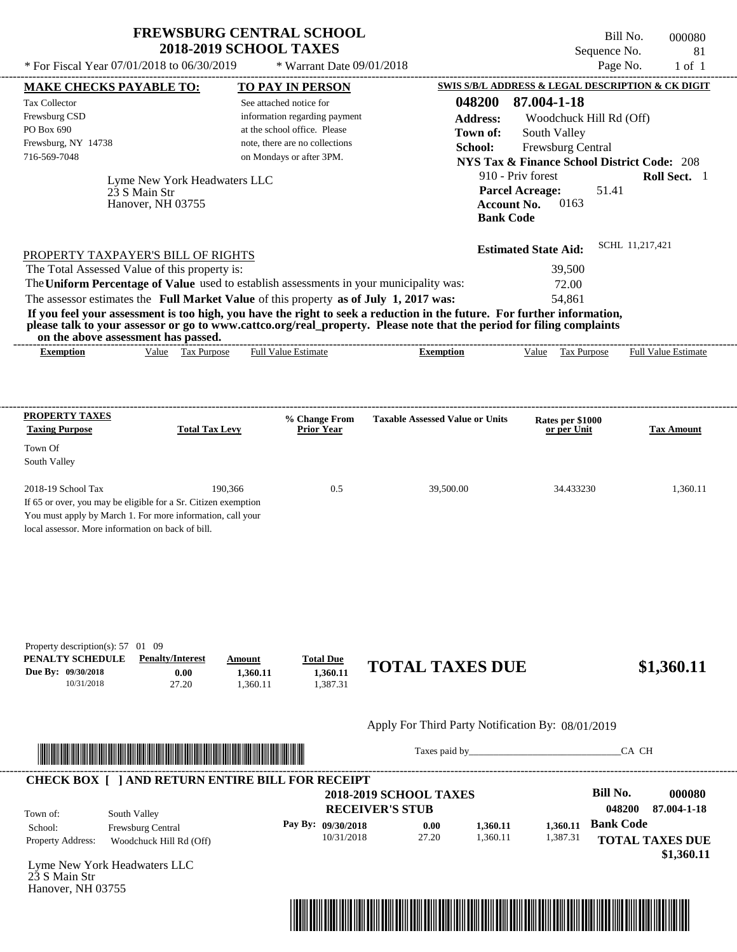---------------------------------------------------------------------------------------------------------------------------------------------------------------------------------------------------- Bill No. 000080 Sequence No. 81 \* For Fiscal Year  $07/01/2018$  to  $06/30/2019$  \* Warrant Date  $09/01/2018$  Page No. 1 of 1

| 23 S Main Str<br>Hanover, NH 03755                                                                                         | at the school office. Please<br>note, there are no collections<br>on Mondays or after 3PM. | Town of:<br>School:                                                                                                                                                                                                                                                                         | 048200<br>87.004-1-18<br><b>Address:</b><br>Woodchuck Hill Rd (Off)<br>South Valley<br>Frewsburg Central<br><b>NYS Tax &amp; Finance School District Code: 208</b><br>910 - Priv forest<br>Roll Sect. 1<br><b>Parcel Acreage:</b><br>51.41<br>0163<br><b>Account No.</b><br><b>Bank Code</b>           |                                                                                                                                                                                                                                                                                                                                                                |  |  |  |
|----------------------------------------------------------------------------------------------------------------------------|--------------------------------------------------------------------------------------------|---------------------------------------------------------------------------------------------------------------------------------------------------------------------------------------------------------------------------------------------------------------------------------------------|--------------------------------------------------------------------------------------------------------------------------------------------------------------------------------------------------------------------------------------------------------------------------------------------------------|----------------------------------------------------------------------------------------------------------------------------------------------------------------------------------------------------------------------------------------------------------------------------------------------------------------------------------------------------------------|--|--|--|
| PROPERTY TAXPAYER'S BILL OF RIGHTS<br>The Total Assessed Value of this property is:<br>on the above assessment has passed. |                                                                                            |                                                                                                                                                                                                                                                                                             | 39,500<br>72.00<br>54,861                                                                                                                                                                                                                                                                              | SCHL 11,217,421                                                                                                                                                                                                                                                                                                                                                |  |  |  |
| Value Tax Purpose                                                                                                          |                                                                                            | <b>Exemption</b>                                                                                                                                                                                                                                                                            | Value Tax Purpose                                                                                                                                                                                                                                                                                      | <b>Full Value Estimate</b>                                                                                                                                                                                                                                                                                                                                     |  |  |  |
| <b>Total Tax Levy</b>                                                                                                      | % Change From<br><b>Prior Year</b>                                                         | <b>Taxable Assessed Value or Units</b>                                                                                                                                                                                                                                                      | Rates per \$1000<br>or per Unit                                                                                                                                                                                                                                                                        | <b>Tax Amount</b>                                                                                                                                                                                                                                                                                                                                              |  |  |  |
| 190,366<br>local assessor. More information on back of bill.                                                               | 0.5                                                                                        | 39,500.00                                                                                                                                                                                                                                                                                   | 34.433230                                                                                                                                                                                                                                                                                              | 1,360.11                                                                                                                                                                                                                                                                                                                                                       |  |  |  |
| Property description(s): 57 01 09<br><b>Penalty/Interest</b><br>0.00<br>27.20                                              | <b>Total Due</b><br>1,360.11<br>1,387.31                                                   |                                                                                                                                                                                                                                                                                             |                                                                                                                                                                                                                                                                                                        | \$1,360.11                                                                                                                                                                                                                                                                                                                                                     |  |  |  |
|                                                                                                                            |                                                                                            |                                                                                                                                                                                                                                                                                             |                                                                                                                                                                                                                                                                                                        |                                                                                                                                                                                                                                                                                                                                                                |  |  |  |
|                                                                                                                            |                                                                                            |                                                                                                                                                                                                                                                                                             |                                                                                                                                                                                                                                                                                                        | CA CH                                                                                                                                                                                                                                                                                                                                                          |  |  |  |
| South Valley<br>Frewsburg Central<br>Woodchuck Hill Rd (Off)                                                               | Pay By: 09/30/2018<br>10/31/2018                                                           | 0.00<br>1,360.11<br>1,360.11<br>27.20                                                                                                                                                                                                                                                       | <b>Bill No.</b><br>048200<br><b>Bank Code</b><br>1,360.11<br>1,387.31                                                                                                                                                                                                                                  | 000080<br>87.004-1-18<br><b>TOTAL TAXES DUE</b>                                                                                                                                                                                                                                                                                                                |  |  |  |
|                                                                                                                            |                                                                                            | Lyme New York Headwaters LLC<br><b>Full Value Estimate</b><br>If 65 or over, you may be eligible for a Sr. Citizen exemption<br>You must apply by March 1. For more information, call your<br>Amount<br>1,360.11<br>1,360.11<br><u> 1989 - Johann Stoff, Amerikaansk politiker († 1908)</u> | The Uniform Percentage of Value used to establish assessments in your municipality was:<br>The assessor estimates the Full Market Value of this property as of July 1, 2017 was:<br><b>CHECK BOX [ ] AND RETURN ENTIRE BILL FOR RECEIPT</b><br><b>2018-2019 SCHOOL TAXES</b><br><b>RECEIVER'S STUB</b> | <b>Estimated State Aid:</b><br>If you feel your assessment is too high, you have the right to seek a reduction in the future. For further information,<br>please talk to your assessor or go to www.cattco.org/real_property. Please note that the period for filing complaints<br><b>TOTAL TAXES DUE</b><br>Apply For Third Party Notification By: 08/01/2019 |  |  |  |

**MAKE CHECKS PAYABLE TO: TO PAY IN PERSON SWIS S/B/L ADDRESS & LEGAL DESCRIPTION & CK DIGIT**

 $*$  Warrant Date 09/01/2018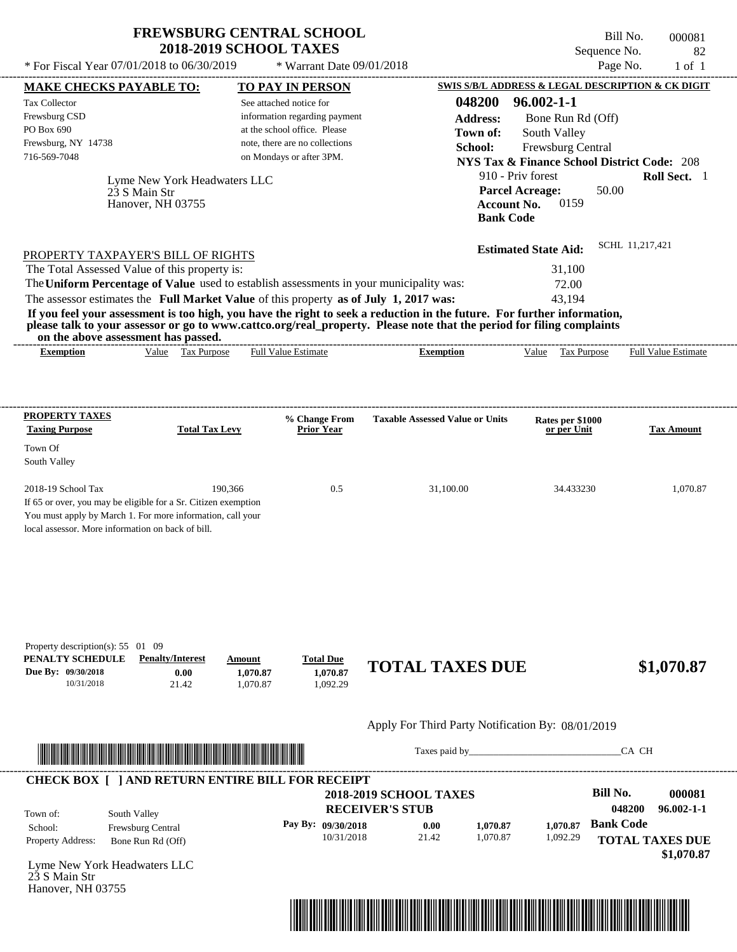$*$  Warrant Date 09/01/2018

 $*$  For Fiscal Year 07/01/2018 to 06/30/2019

Bill No. 000081 Sequence No. 82<br>Page No. 1 of 1

| <b>MAKE CHECKS PAYABLE TO:</b>                                 |                                                                                                                        |                         |          | <b>TO PAY IN PERSON</b>                                 |                                                                                                                         |                    | <b>SWIS S/B/L ADDRESS &amp; LEGAL DESCRIPTION &amp; CK DIGIT</b> |                  |                        |
|----------------------------------------------------------------|------------------------------------------------------------------------------------------------------------------------|-------------------------|----------|---------------------------------------------------------|-------------------------------------------------------------------------------------------------------------------------|--------------------|------------------------------------------------------------------|------------------|------------------------|
| <b>Tax Collector</b>                                           |                                                                                                                        |                         |          | See attached notice for                                 |                                                                                                                         | 048200             | $96.002 - 1 - 1$                                                 |                  |                        |
| Frewsburg CSD                                                  |                                                                                                                        |                         |          | information regarding payment                           |                                                                                                                         | <b>Address:</b>    | Bone Run Rd (Off)                                                |                  |                        |
| PO Box 690                                                     |                                                                                                                        |                         |          | at the school office. Please                            |                                                                                                                         | Town of:           | South Valley                                                     |                  |                        |
| Frewsburg, NY 14738                                            |                                                                                                                        |                         |          | note, there are no collections                          |                                                                                                                         | School:            | Frewsburg Central                                                |                  |                        |
| 716-569-7048                                                   |                                                                                                                        |                         |          | on Mondays or after 3PM.                                |                                                                                                                         |                    | <b>NYS Tax &amp; Finance School District Code: 208</b>           |                  |                        |
|                                                                | Lyme New York Headwaters LLC                                                                                           |                         |          |                                                         |                                                                                                                         |                    | 910 - Priv forest                                                |                  | Roll Sect. 1           |
|                                                                | 23 S Main Str                                                                                                          |                         |          |                                                         |                                                                                                                         |                    | <b>Parcel Acreage:</b>                                           | 50.00            |                        |
|                                                                | Hanover, NH 03755                                                                                                      |                         |          |                                                         |                                                                                                                         | <b>Account No.</b> | 0159                                                             |                  |                        |
|                                                                |                                                                                                                        |                         |          |                                                         |                                                                                                                         | <b>Bank Code</b>   |                                                                  |                  |                        |
|                                                                |                                                                                                                        |                         |          |                                                         |                                                                                                                         |                    |                                                                  |                  |                        |
| PROPERTY TAXPAYER'S BILL OF RIGHTS                             |                                                                                                                        |                         |          |                                                         |                                                                                                                         |                    | <b>Estimated State Aid:</b>                                      | SCHL 11,217,421  |                        |
| The Total Assessed Value of this property is:                  |                                                                                                                        |                         |          |                                                         |                                                                                                                         |                    | 31,100                                                           |                  |                        |
|                                                                |                                                                                                                        |                         |          |                                                         | The Uniform Percentage of Value used to establish assessments in your municipality was:                                 |                    | 72.00                                                            |                  |                        |
|                                                                |                                                                                                                        |                         |          |                                                         | The assessor estimates the Full Market Value of this property as of July 1, 2017 was:                                   |                    | 43,194                                                           |                  |                        |
|                                                                |                                                                                                                        |                         |          |                                                         | If you feel your assessment is too high, you have the right to seek a reduction in the future. For further information, |                    |                                                                  |                  |                        |
|                                                                | on the above assessment has passed.                                                                                    |                         |          |                                                         | please talk to your assessor or go to www.cattco.org/real_property. Please note that the period for filing complaints   |                    |                                                                  |                  |                        |
| <b>Exemption</b>                                               |                                                                                                                        | Value Tax Purpose       |          | <b>Full Value Estimate</b>                              | <b>Exemption</b>                                                                                                        |                    | Value Tax Purpose Full Value Estimate                            |                  |                        |
|                                                                |                                                                                                                        |                         |          |                                                         |                                                                                                                         |                    |                                                                  |                  |                        |
|                                                                |                                                                                                                        |                         |          |                                                         |                                                                                                                         |                    |                                                                  |                  |                        |
|                                                                |                                                                                                                        |                         |          |                                                         |                                                                                                                         |                    |                                                                  |                  |                        |
| <b>PROPERTY TAXES</b>                                          |                                                                                                                        |                         |          | % Change From                                           | <b>Taxable Assessed Value or Units</b>                                                                                  |                    | Rates per \$1000                                                 |                  |                        |
| <b>Taxing Purpose</b>                                          |                                                                                                                        | <b>Total Tax Levy</b>   |          | <b>Prior Year</b>                                       |                                                                                                                         |                    | or per Unit                                                      |                  | <b>Tax Amount</b>      |
| Town Of                                                        |                                                                                                                        |                         |          |                                                         |                                                                                                                         |                    |                                                                  |                  |                        |
| South Valley                                                   |                                                                                                                        |                         |          |                                                         |                                                                                                                         |                    |                                                                  |                  |                        |
| 2018-19 School Tax                                             |                                                                                                                        | 190,366                 |          | 0.5                                                     | 31,100.00                                                                                                               |                    | 34.433230                                                        |                  | 1,070.87               |
| If 65 or over, you may be eligible for a Sr. Citizen exemption |                                                                                                                        |                         |          |                                                         |                                                                                                                         |                    |                                                                  |                  |                        |
| You must apply by March 1. For more information, call your     |                                                                                                                        |                         |          |                                                         |                                                                                                                         |                    |                                                                  |                  |                        |
| local assessor. More information on back of bill.              |                                                                                                                        |                         |          |                                                         |                                                                                                                         |                    |                                                                  |                  |                        |
|                                                                |                                                                                                                        |                         |          |                                                         |                                                                                                                         |                    |                                                                  |                  |                        |
|                                                                |                                                                                                                        |                         |          |                                                         |                                                                                                                         |                    |                                                                  |                  |                        |
|                                                                |                                                                                                                        |                         |          |                                                         |                                                                                                                         |                    |                                                                  |                  |                        |
|                                                                |                                                                                                                        |                         |          |                                                         |                                                                                                                         |                    |                                                                  |                  |                        |
|                                                                |                                                                                                                        |                         |          |                                                         |                                                                                                                         |                    |                                                                  |                  |                        |
|                                                                |                                                                                                                        |                         |          |                                                         |                                                                                                                         |                    |                                                                  |                  |                        |
| Property description(s): 55 01 09                              |                                                                                                                        |                         |          |                                                         |                                                                                                                         |                    |                                                                  |                  |                        |
| PENALTY SCHEDULE                                               |                                                                                                                        | <b>Penalty/Interest</b> | Amount   | <b>Total Due</b>                                        |                                                                                                                         |                    |                                                                  |                  |                        |
| Due By: 09/30/2018                                             |                                                                                                                        | 0.00                    | 1,070.87 | 1,070.87                                                | <b>TOTAL TAXES DUE</b>                                                                                                  |                    |                                                                  |                  | \$1,070.87             |
| 10/31/2018                                                     |                                                                                                                        | 21.42                   | 1,070.87 | 1,092.29                                                |                                                                                                                         |                    |                                                                  |                  |                        |
|                                                                |                                                                                                                        |                         |          |                                                         |                                                                                                                         |                    |                                                                  |                  |                        |
|                                                                |                                                                                                                        |                         |          |                                                         | Apply For Third Party Notification By: 08/01/2019                                                                       |                    |                                                                  |                  |                        |
|                                                                |                                                                                                                        |                         |          |                                                         |                                                                                                                         |                    |                                                                  |                  |                        |
|                                                                | <u> 1999 - An Dùbhlachd ann an Dùbhaidh ann an Dùbhaidh an Dùbhaidh an Dùbhaidh an Dùbhaidh ann an Dùbhaidh an Dùb</u> |                         |          |                                                         |                                                                                                                         |                    | Taxes paid by                                                    | CA CH            |                        |
|                                                                |                                                                                                                        |                         |          |                                                         |                                                                                                                         |                    |                                                                  |                  |                        |
|                                                                |                                                                                                                        |                         |          | <b>CHECK BOX [ ] AND RETURN ENTIRE BILL FOR RECEIPT</b> | <b>2018-2019 SCHOOL TAXES</b>                                                                                           |                    |                                                                  | <b>Bill No.</b>  | 000081                 |
|                                                                |                                                                                                                        |                         |          |                                                         | <b>RECEIVER'S STUB</b>                                                                                                  |                    |                                                                  | 048200           | $96.002 - 1 - 1$       |
| Town of:                                                       | South Valley                                                                                                           |                         |          |                                                         |                                                                                                                         |                    |                                                                  |                  |                        |
| School:                                                        | Frewsburg Central                                                                                                      |                         |          | Pay By: 09/30/2018                                      | 0.00                                                                                                                    | 1,070.87           | 1,070.87                                                         | <b>Bank Code</b> |                        |
| Property Address:                                              | Bone Run Rd (Off)                                                                                                      |                         |          | 10/31/2018                                              | 21.42                                                                                                                   | 1,070.87           | 1,092.29                                                         |                  | <b>TOTAL TAXES DUE</b> |
| Lyme New York Headwaters LLC                                   |                                                                                                                        |                         |          |                                                         |                                                                                                                         |                    |                                                                  |                  | \$1,070.87             |
| 23 S Main Str                                                  |                                                                                                                        |                         |          |                                                         |                                                                                                                         |                    |                                                                  |                  |                        |
| Hanover, NH 03755                                              |                                                                                                                        |                         |          |                                                         |                                                                                                                         |                    |                                                                  |                  |                        |
|                                                                |                                                                                                                        |                         |          |                                                         |                                                                                                                         |                    |                                                                  |                  |                        |
|                                                                |                                                                                                                        |                         |          |                                                         | <u> 1989 - Andrea Stadt British, fransk politik (d. 1989)</u>                                                           |                    |                                                                  |                  |                        |
|                                                                |                                                                                                                        |                         |          |                                                         |                                                                                                                         |                    |                                                                  |                  |                        |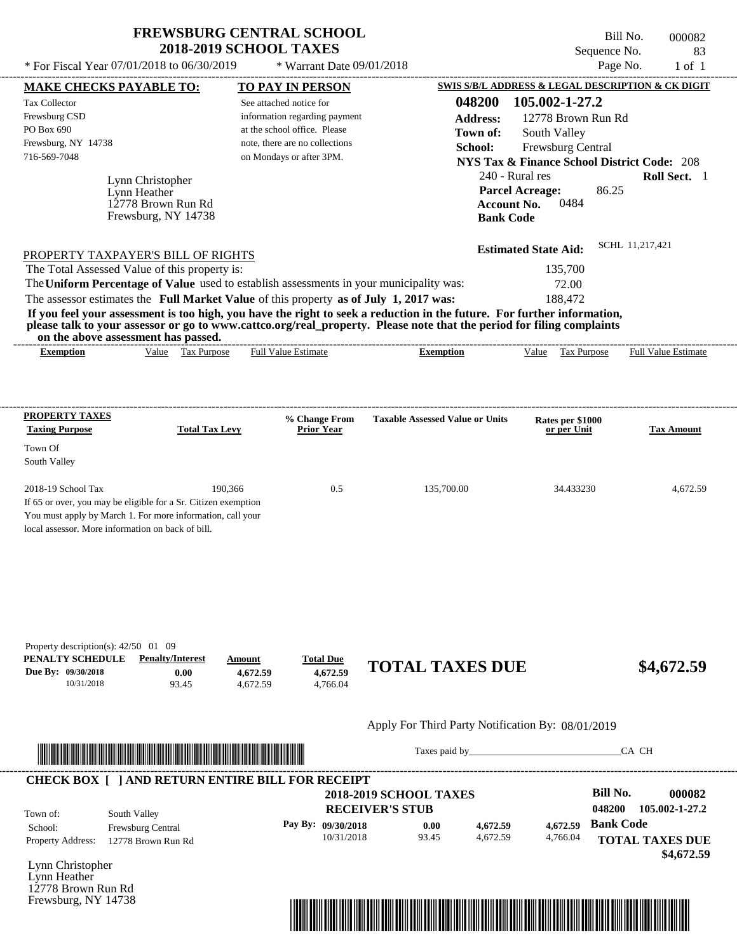$*$  For Fiscal Year 07/01/2018 to 06/30/2019

 $*$  Warrant Date 09/01/2018

Bill No. 000082 Sequence No. 83<br>Page No. 1 of 1

| <b>MAKE CHECKS PAYABLE TO:</b>                                                                                          |                                  |          | <b>TO PAY IN PERSON</b>            |                                                   |                    |                                                        |                  | SWIS S/B/L ADDRESS & LEGAL DESCRIPTION & CK DIGIT |
|-------------------------------------------------------------------------------------------------------------------------|----------------------------------|----------|------------------------------------|---------------------------------------------------|--------------------|--------------------------------------------------------|------------------|---------------------------------------------------|
| <b>Tax Collector</b>                                                                                                    |                                  |          | See attached notice for            |                                                   | 048200             | 105.002-1-27.2                                         |                  |                                                   |
| Frewsburg CSD                                                                                                           |                                  |          | information regarding payment      |                                                   | <b>Address:</b>    | 12778 Brown Run Rd                                     |                  |                                                   |
| PO Box 690                                                                                                              |                                  |          | at the school office. Please       |                                                   | Town of:           | South Valley                                           |                  |                                                   |
| Frewsburg, NY 14738                                                                                                     |                                  |          | note, there are no collections     |                                                   | School:            | Frewsburg Central                                      |                  |                                                   |
| 716-569-7048                                                                                                            |                                  |          | on Mondays or after 3PM.           |                                                   |                    | <b>NYS Tax &amp; Finance School District Code: 208</b> |                  |                                                   |
|                                                                                                                         |                                  |          |                                    |                                                   | 240 - Rural res    |                                                        |                  | Roll Sect. 1                                      |
|                                                                                                                         | Lynn Christopher<br>Lynn Heather |          |                                    |                                                   |                    | <b>Parcel Acreage:</b>                                 | 86.25            |                                                   |
|                                                                                                                         | 12778 Brown Run Rd               |          |                                    |                                                   | <b>Account No.</b> | 0484                                                   |                  |                                                   |
|                                                                                                                         | Frewsburg, NY 14738              |          |                                    |                                                   | <b>Bank Code</b>   |                                                        |                  |                                                   |
|                                                                                                                         |                                  |          |                                    |                                                   |                    |                                                        |                  |                                                   |
| PROPERTY TAXPAYER'S BILL OF RIGHTS                                                                                      |                                  |          |                                    |                                                   |                    | <b>Estimated State Aid:</b>                            | SCHL 11,217,421  |                                                   |
| The Total Assessed Value of this property is:                                                                           |                                  |          |                                    |                                                   |                    | 135,700                                                |                  |                                                   |
| The Uniform Percentage of Value used to establish assessments in your municipality was:                                 |                                  |          |                                    |                                                   |                    | 72.00                                                  |                  |                                                   |
| The assessor estimates the Full Market Value of this property as of July 1, 2017 was:                                   |                                  |          |                                    |                                                   |                    | 188,472                                                |                  |                                                   |
| If you feel your assessment is too high, you have the right to seek a reduction in the future. For further information, |                                  |          |                                    |                                                   |                    |                                                        |                  |                                                   |
| please talk to your assessor or go to www.cattco.org/real_property. Please note that the period for filing complaints   |                                  |          |                                    |                                                   |                    |                                                        |                  |                                                   |
| on the above assessment has passed.<br><b>Exemption</b>                                                                 | Value Tax Purpose                |          | <b>Full Value Estimate</b>         | <b>Exemption</b>                                  |                    |                                                        |                  | Value Tax Purpose Full Value Estimate             |
|                                                                                                                         |                                  |          |                                    |                                                   |                    |                                                        |                  |                                                   |
|                                                                                                                         |                                  |          |                                    |                                                   |                    |                                                        |                  |                                                   |
|                                                                                                                         |                                  |          |                                    |                                                   |                    |                                                        |                  |                                                   |
| <b>PROPERTY TAXES</b><br><b>Taxing Purpose</b>                                                                          | <b>Total Tax Levy</b>            |          | % Change From<br><b>Prior Year</b> | <b>Taxable Assessed Value or Units</b>            |                    | Rates per \$1000<br>or per Unit                        |                  | <b>Tax Amount</b>                                 |
| Town Of                                                                                                                 |                                  |          |                                    |                                                   |                    |                                                        |                  |                                                   |
| South Valley                                                                                                            |                                  |          |                                    |                                                   |                    |                                                        |                  |                                                   |
|                                                                                                                         |                                  |          |                                    |                                                   |                    |                                                        |                  |                                                   |
| 2018-19 School Tax                                                                                                      |                                  | 190,366  | 0.5                                | 135,700.00                                        |                    | 34.433230                                              |                  | 4,672.59                                          |
| If 65 or over, you may be eligible for a Sr. Citizen exemption                                                          |                                  |          |                                    |                                                   |                    |                                                        |                  |                                                   |
| You must apply by March 1. For more information, call your                                                              |                                  |          |                                    |                                                   |                    |                                                        |                  |                                                   |
| local assessor. More information on back of bill.                                                                       |                                  |          |                                    |                                                   |                    |                                                        |                  |                                                   |
|                                                                                                                         |                                  |          |                                    |                                                   |                    |                                                        |                  |                                                   |
|                                                                                                                         |                                  |          |                                    |                                                   |                    |                                                        |                  |                                                   |
|                                                                                                                         |                                  |          |                                    |                                                   |                    |                                                        |                  |                                                   |
|                                                                                                                         |                                  |          |                                    |                                                   |                    |                                                        |                  |                                                   |
|                                                                                                                         |                                  |          |                                    |                                                   |                    |                                                        |                  |                                                   |
| Property description(s): $42/50$ 01 09                                                                                  |                                  |          |                                    |                                                   |                    |                                                        |                  |                                                   |
| PENALTY SCHEDULE                                                                                                        | <b>Penalty/Interest</b>          | Amount   | <b>Total Due</b>                   | <b>TOTAL TAXES DUE</b>                            |                    |                                                        |                  |                                                   |
| Due By: 09/30/2018                                                                                                      | 0.00                             | 4,672.59 | 4,672.59                           |                                                   |                    |                                                        |                  | \$4,672.59                                        |
| 10/31/2018                                                                                                              | 93.45                            | 4,672.59 | 4,766.04                           |                                                   |                    |                                                        |                  |                                                   |
|                                                                                                                         |                                  |          |                                    |                                                   |                    |                                                        |                  |                                                   |
|                                                                                                                         |                                  |          |                                    | Apply For Third Party Notification By: 08/01/2019 |                    |                                                        |                  |                                                   |
| <u> HENDELD HENDELD HENDELD HENDELD IN DIE BEI DIE BEI DIE BEI DIE BEI DIE BEI DIE BEI DIE BEI DIE BEI DIE BEI DIE</u>  |                                  |          |                                    |                                                   |                    | Taxes paid by                                          |                  | CA CH                                             |
| <b>CHECK BOX [ ] AND RETURN ENTIRE BILL FOR RECEIPT</b>                                                                 |                                  |          |                                    |                                                   |                    |                                                        |                  |                                                   |
|                                                                                                                         |                                  |          |                                    | <b>2018-2019 SCHOOL TAXES</b>                     |                    |                                                        | <b>Bill No.</b>  | 000082                                            |
|                                                                                                                         |                                  |          |                                    | <b>RECEIVER'S STUB</b>                            |                    |                                                        | 048200           | 105.002-1-27.2                                    |
| South Valley<br>Town of:                                                                                                |                                  |          | Pay By: 09/30/2018                 | 0.00                                              | 4,672.59           | 4,672.59                                               | <b>Bank Code</b> |                                                   |
| School:                                                                                                                 | Frewsburg Central                |          | 10/31/2018                         | 93.45                                             | 4,672.59           | 4,766.04                                               |                  |                                                   |
| Property Address:                                                                                                       | 12778 Brown Run Rd               |          |                                    |                                                   |                    |                                                        |                  | <b>TOTAL TAXES DUE</b>                            |
| Lynn Christopher                                                                                                        |                                  |          |                                    |                                                   |                    |                                                        |                  | \$4,672.59                                        |
| Lynn Heather                                                                                                            |                                  |          |                                    |                                                   |                    |                                                        |                  |                                                   |
| 12778 Brown Run Rd                                                                                                      |                                  |          |                                    |                                                   |                    |                                                        |                  |                                                   |
| Frewsburg, NY 14738                                                                                                     |                                  |          |                                    |                                                   |                    |                                                        |                  |                                                   |

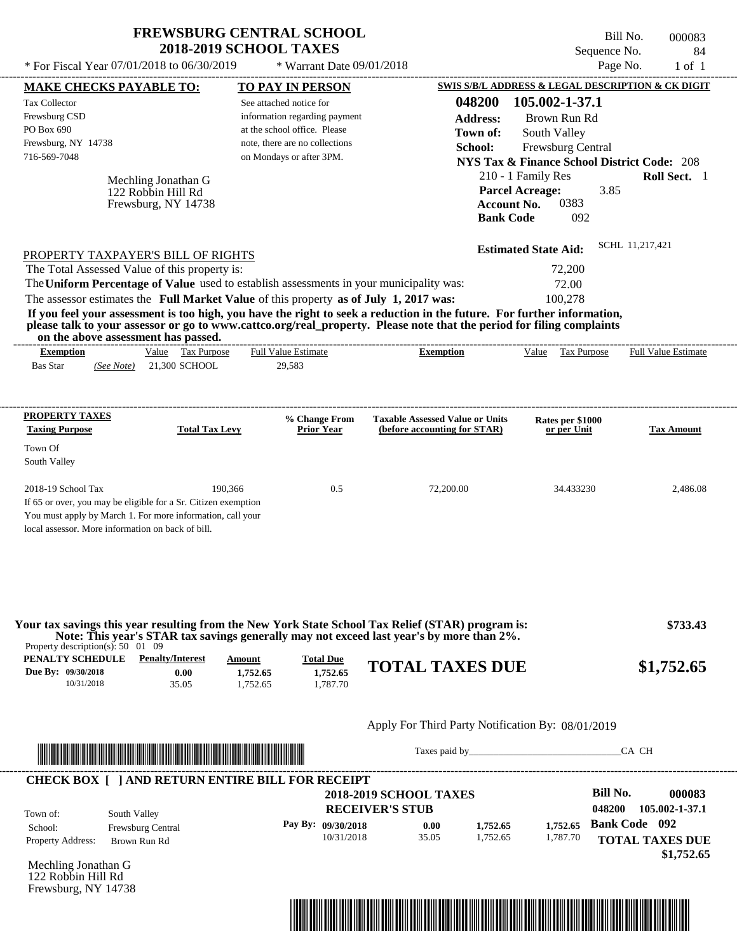| <b>FREWSBURG CENTRAL SCHOOL</b> |
|---------------------------------|
| <b>2018-2019 SCHOOL TAXES</b>   |

Bill No. 000083 Sequence No. 84<br>Page No. 1 of 1 \* For Fiscal Year  $07/01/2018$  to  $06/30/2019$  \* Warrant Date  $09/01/2018$  Page No. 1 of 1

| * For Fiscal Year 07/01/2018 to 06/30/2019                                                                                   |                                           | * Warrant Date 09/01/2018                                      |                                                                                                                                                                                                                                                  |                                                                              | Page No.<br>$1$ of $1$     |
|------------------------------------------------------------------------------------------------------------------------------|-------------------------------------------|----------------------------------------------------------------|--------------------------------------------------------------------------------------------------------------------------------------------------------------------------------------------------------------------------------------------------|------------------------------------------------------------------------------|----------------------------|
| <b>MAKE CHECKS PAYABLE TO:</b>                                                                                               |                                           | <b>TO PAY IN PERSON</b>                                        |                                                                                                                                                                                                                                                  | <b>SWIS S/B/L ADDRESS &amp; LEGAL DESCRIPTION &amp; CK DIGIT</b>             |                            |
| <b>Tax Collector</b>                                                                                                         |                                           | See attached notice for                                        | 048200                                                                                                                                                                                                                                           | 105.002-1-37.1                                                               |                            |
| Frewsburg CSD                                                                                                                |                                           | information regarding payment                                  | <b>Address:</b>                                                                                                                                                                                                                                  | Brown Run Rd                                                                 |                            |
| PO Box 690<br>Frewsburg, NY 14738                                                                                            |                                           | at the school office. Please<br>note, there are no collections | Town of:                                                                                                                                                                                                                                         | South Valley                                                                 |                            |
| 716-569-7048                                                                                                                 |                                           | on Mondays or after 3PM.                                       | School:                                                                                                                                                                                                                                          | Frewsburg Central                                                            |                            |
|                                                                                                                              |                                           |                                                                |                                                                                                                                                                                                                                                  | <b>NYS Tax &amp; Finance School District Code: 208</b><br>210 - 1 Family Res | Roll Sect. 1               |
|                                                                                                                              | Mechling Jonathan G<br>122 Robbin Hill Rd |                                                                |                                                                                                                                                                                                                                                  | <b>Parcel Acreage:</b><br>3.85                                               |                            |
|                                                                                                                              | Frewsburg, NY 14738                       |                                                                |                                                                                                                                                                                                                                                  | 0383<br><b>Account No.</b>                                                   |                            |
|                                                                                                                              |                                           |                                                                |                                                                                                                                                                                                                                                  | <b>Bank Code</b><br>092                                                      |                            |
|                                                                                                                              |                                           |                                                                |                                                                                                                                                                                                                                                  |                                                                              | SCHL 11,217,421            |
| PROPERTY TAXPAYER'S BILL OF RIGHTS                                                                                           |                                           |                                                                |                                                                                                                                                                                                                                                  | <b>Estimated State Aid:</b>                                                  |                            |
| The Total Assessed Value of this property is:                                                                                |                                           |                                                                |                                                                                                                                                                                                                                                  | 72,200                                                                       |                            |
| The Uniform Percentage of Value used to establish assessments in your municipality was:                                      |                                           |                                                                |                                                                                                                                                                                                                                                  | 72.00                                                                        |                            |
| The assessor estimates the Full Market Value of this property as of July 1, 2017 was:                                        |                                           |                                                                |                                                                                                                                                                                                                                                  | 100,278                                                                      |                            |
|                                                                                                                              |                                           |                                                                | If you feel your assessment is too high, you have the right to seek a reduction in the future. For further information,<br>please talk to your assessor or go to www.cattco.org/real_property. Please note that the period for filing complaints |                                                                              |                            |
| on the above assessment has passed.                                                                                          |                                           |                                                                |                                                                                                                                                                                                                                                  |                                                                              |                            |
| <b>Exemption</b>                                                                                                             | Value Tax Purpose                         | <b>Full Value Estimate</b>                                     | <b>Exemption</b>                                                                                                                                                                                                                                 | Value Tax Purpose                                                            | <b>Full Value Estimate</b> |
| <b>Bas Star</b><br>(See Note)                                                                                                | 21,300 SCHOOL                             | 29,583                                                         |                                                                                                                                                                                                                                                  |                                                                              |                            |
|                                                                                                                              |                                           |                                                                |                                                                                                                                                                                                                                                  |                                                                              |                            |
| <b>PROPERTY TAXES</b>                                                                                                        |                                           |                                                                |                                                                                                                                                                                                                                                  |                                                                              |                            |
| <b>Taxing Purpose</b>                                                                                                        | <b>Total Tax Levy</b>                     | % Change From<br><b>Prior Year</b>                             | <b>Taxable Assessed Value or Units</b><br>(before accounting for STAR)                                                                                                                                                                           | Rates per \$1000<br>or per Unit                                              | <b>Tax Amount</b>          |
| Town Of                                                                                                                      |                                           |                                                                |                                                                                                                                                                                                                                                  |                                                                              |                            |
| South Valley                                                                                                                 |                                           |                                                                |                                                                                                                                                                                                                                                  |                                                                              |                            |
|                                                                                                                              |                                           |                                                                |                                                                                                                                                                                                                                                  |                                                                              |                            |
| 2018-19 School Tax                                                                                                           | 190.366                                   | 0.5                                                            | 72,200.00                                                                                                                                                                                                                                        | 34.433230                                                                    | 2,486.08                   |
| If 65 or over, you may be eligible for a Sr. Citizen exemption<br>You must apply by March 1. For more information, call your |                                           |                                                                |                                                                                                                                                                                                                                                  |                                                                              |                            |
| local assessor. More information on back of bill.                                                                            |                                           |                                                                |                                                                                                                                                                                                                                                  |                                                                              |                            |
|                                                                                                                              |                                           |                                                                |                                                                                                                                                                                                                                                  |                                                                              |                            |
|                                                                                                                              |                                           |                                                                |                                                                                                                                                                                                                                                  |                                                                              |                            |
|                                                                                                                              |                                           |                                                                |                                                                                                                                                                                                                                                  |                                                                              |                            |
|                                                                                                                              |                                           |                                                                |                                                                                                                                                                                                                                                  |                                                                              |                            |
|                                                                                                                              |                                           |                                                                | Your tax savings this year resulting from the New York State School Tax Relief (STAR) program is:                                                                                                                                                |                                                                              | \$733.43                   |
|                                                                                                                              |                                           |                                                                | Note: This year's STAR tax savings generally may not exceed last year's by more than 2%.                                                                                                                                                         |                                                                              |                            |
| Property description(s): $50 \quad 01 \quad 09$<br>PENALTY SCHEDULE                                                          | <b>Penalty/Interest</b>                   |                                                                |                                                                                                                                                                                                                                                  |                                                                              |                            |
| Due By: 09/30/2018                                                                                                           | Amount<br>0.00                            | <b>Total Due</b><br>1,752.65<br>1,752.65                       | <b>TOTAL TAXES DUE</b>                                                                                                                                                                                                                           |                                                                              | \$1,752.65                 |
| 10/31/2018                                                                                                                   | 35.05                                     | 1,787.70<br>1,752.65                                           |                                                                                                                                                                                                                                                  |                                                                              |                            |
|                                                                                                                              |                                           |                                                                |                                                                                                                                                                                                                                                  |                                                                              |                            |
|                                                                                                                              |                                           |                                                                | Apply For Third Party Notification By: 08/01/2019                                                                                                                                                                                                |                                                                              |                            |
|                                                                                                                              |                                           |                                                                |                                                                                                                                                                                                                                                  |                                                                              |                            |
| <u> Indian American American Indian American Indian American Indian American Indian American Indian American Indian</u>      |                                           |                                                                |                                                                                                                                                                                                                                                  | Taxes paid by                                                                | CA CH                      |
|                                                                                                                              |                                           |                                                                |                                                                                                                                                                                                                                                  |                                                                              |                            |
| <b>CHECK BOX [ ] AND RETURN ENTIRE BILL FOR RECEIPT</b>                                                                      |                                           |                                                                | <b>2018-2019 SCHOOL TAXES</b>                                                                                                                                                                                                                    | <b>Bill No.</b>                                                              | 000083                     |
|                                                                                                                              |                                           |                                                                | <b>RECEIVER'S STUB</b>                                                                                                                                                                                                                           | 048200                                                                       | 105.002-1-37.1             |
| Town of:<br>South Valley                                                                                                     |                                           | Pay By: 09/30/2018                                             | 1,752.65<br>0.00                                                                                                                                                                                                                                 | 1,752.65                                                                     | <b>Bank Code</b> 092       |
| Frewsburg Central<br>School:<br>Property Address:<br>Brown Run Rd                                                            |                                           | 10/31/2018                                                     | 35.05<br>1,752.65                                                                                                                                                                                                                                | 1,787.70                                                                     | <b>TOTAL TAXES DUE</b>     |
|                                                                                                                              |                                           |                                                                |                                                                                                                                                                                                                                                  |                                                                              | \$1,752.65                 |
| Mechling Jonathan G                                                                                                          |                                           |                                                                |                                                                                                                                                                                                                                                  |                                                                              |                            |
| 122 Robbin Hill Rd<br>Frewsburg, NY 14738                                                                                    |                                           |                                                                |                                                                                                                                                                                                                                                  |                                                                              |                            |
|                                                                                                                              |                                           |                                                                |                                                                                                                                                                                                                                                  |                                                                              |                            |
|                                                                                                                              |                                           |                                                                | <u> 1989 - Johann Stoff, Amerikaansk politiker (</u>                                                                                                                                                                                             |                                                                              |                            |
|                                                                                                                              |                                           |                                                                |                                                                                                                                                                                                                                                  |                                                                              |                            |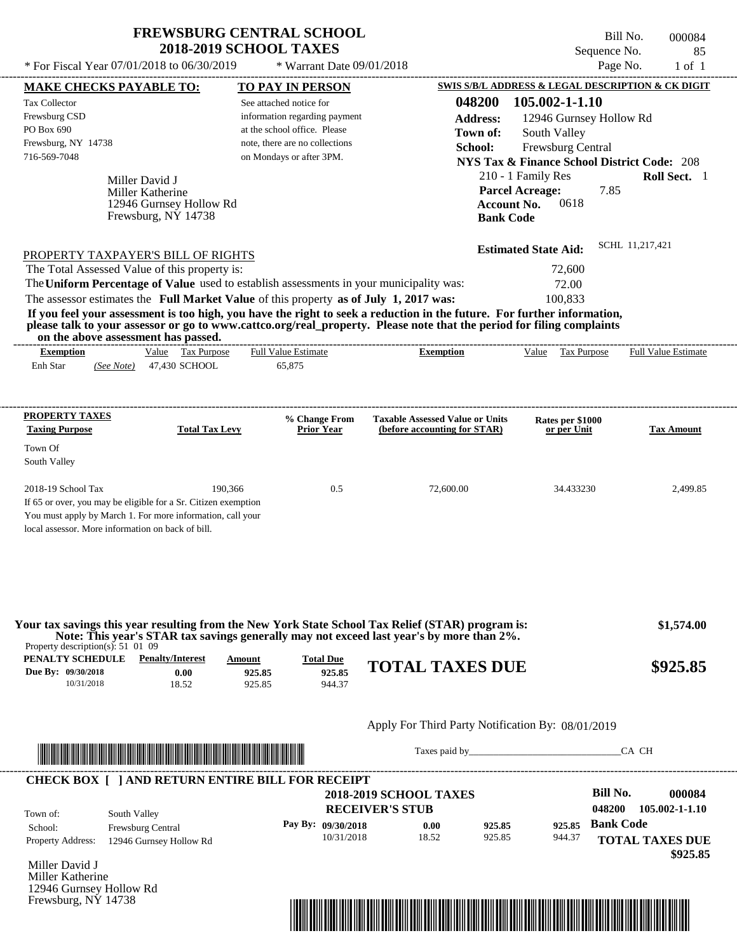\* For Fiscal Year  $07/01/2018$  to  $06/30/2019$  \* Warrant Date  $09/01/2018$  Page No. 1 of 1

 $*$  Warrant Date 09/01/2018

Bill No. 000084 Sequence No. 85<br>Page No. 1 of 1

| <b>MAKE CHECKS PAYABLE TO:</b>                            |                                                                          |                       | <b>TO PAY IN PERSON</b>                                                               |                                                                                                                                                                                                                                                  | SWIS S/B/L ADDRESS & LEGAL DESCRIPTION & CK DIGIT      |                            |
|-----------------------------------------------------------|--------------------------------------------------------------------------|-----------------------|---------------------------------------------------------------------------------------|--------------------------------------------------------------------------------------------------------------------------------------------------------------------------------------------------------------------------------------------------|--------------------------------------------------------|----------------------------|
| <b>Tax Collector</b>                                      |                                                                          |                       | See attached notice for                                                               | 048200                                                                                                                                                                                                                                           | 105.002-1-1.10                                         |                            |
| Frewsburg CSD                                             |                                                                          |                       | information regarding payment                                                         | <b>Address:</b>                                                                                                                                                                                                                                  | 12946 Gurnsey Hollow Rd                                |                            |
| PO Box 690                                                |                                                                          |                       | at the school office. Please                                                          | Town of:                                                                                                                                                                                                                                         | South Valley                                           |                            |
| Frewsburg, NY 14738                                       |                                                                          |                       | note, there are no collections                                                        | School:                                                                                                                                                                                                                                          | Frewsburg Central                                      |                            |
| 716-569-7048                                              |                                                                          |                       | on Mondays or after 3PM.                                                              |                                                                                                                                                                                                                                                  | <b>NYS Tax &amp; Finance School District Code: 208</b> |                            |
|                                                           | Miller David J                                                           |                       |                                                                                       |                                                                                                                                                                                                                                                  | 210 - 1 Family Res                                     | Roll Sect. 1               |
|                                                           | Miller Katherine                                                         |                       |                                                                                       |                                                                                                                                                                                                                                                  | <b>Parcel Acreage:</b><br>7.85                         |                            |
|                                                           | 12946 Gurnsey Hollow Rd                                                  |                       |                                                                                       | <b>Account No.</b>                                                                                                                                                                                                                               | 0618                                                   |                            |
|                                                           | Frewsburg, NY 14738                                                      |                       |                                                                                       | <b>Bank Code</b>                                                                                                                                                                                                                                 |                                                        |                            |
|                                                           |                                                                          |                       |                                                                                       |                                                                                                                                                                                                                                                  |                                                        |                            |
| PROPERTY TAXPAYER'S BILL OF RIGHTS                        |                                                                          |                       |                                                                                       |                                                                                                                                                                                                                                                  | <b>Estimated State Aid:</b>                            | SCHL 11,217,421            |
| The Total Assessed Value of this property is:             |                                                                          |                       |                                                                                       |                                                                                                                                                                                                                                                  | 72,600                                                 |                            |
|                                                           |                                                                          |                       |                                                                                       | The Uniform Percentage of Value used to establish assessments in your municipality was:                                                                                                                                                          | 72.00                                                  |                            |
|                                                           |                                                                          |                       | The assessor estimates the Full Market Value of this property as of July 1, 2017 was: |                                                                                                                                                                                                                                                  | 100,833                                                |                            |
|                                                           | on the above assessment has passed.                                      |                       |                                                                                       | If you feel your assessment is too high, you have the right to seek a reduction in the future. For further information,<br>please talk to your assessor or go to www.cattco.org/real_property. Please note that the period for filing complaints |                                                        |                            |
| <b>Exemption</b>                                          |                                                                          | Value Tax Purpose     | <b>Full Value Estimate</b>                                                            | <b>Exemption</b>                                                                                                                                                                                                                                 | Value Tax Purpose                                      | <b>Full Value Estimate</b> |
| Enh Star                                                  | (See Note) 47,430 SCHOOL                                                 |                       | 65,875                                                                                |                                                                                                                                                                                                                                                  |                                                        |                            |
|                                                           |                                                                          |                       |                                                                                       |                                                                                                                                                                                                                                                  |                                                        |                            |
| <b>PROPERTY TAXES</b>                                     |                                                                          |                       | % Change From                                                                         | <b>Taxable Assessed Value or Units</b>                                                                                                                                                                                                           | Rates per \$1000                                       |                            |
| <b>Taxing Purpose</b>                                     |                                                                          | <b>Total Tax Levy</b> | <b>Prior Year</b>                                                                     | (before accounting for STAR)                                                                                                                                                                                                                     | or per Unit                                            | <b>Tax Amount</b>          |
| Town Of                                                   |                                                                          |                       |                                                                                       |                                                                                                                                                                                                                                                  |                                                        |                            |
| South Valley                                              |                                                                          |                       |                                                                                       |                                                                                                                                                                                                                                                  |                                                        |                            |
| 2018-19 School Tax                                        |                                                                          | 190,366               | 0.5                                                                                   | 72,600.00                                                                                                                                                                                                                                        | 34.433230                                              | 2,499.85                   |
|                                                           | If 65 or over, you may be eligible for a Sr. Citizen exemption           |                       |                                                                                       |                                                                                                                                                                                                                                                  |                                                        |                            |
|                                                           | You must apply by March 1. For more information, call your               |                       |                                                                                       |                                                                                                                                                                                                                                                  |                                                        |                            |
| local assessor. More information on back of bill.         |                                                                          |                       |                                                                                       |                                                                                                                                                                                                                                                  |                                                        |                            |
|                                                           |                                                                          |                       |                                                                                       |                                                                                                                                                                                                                                                  |                                                        |                            |
|                                                           |                                                                          |                       |                                                                                       |                                                                                                                                                                                                                                                  |                                                        |                            |
|                                                           |                                                                          |                       |                                                                                       | Your tax savings this year resulting from the New York State School Tax Relief (STAR) program is:<br>Note: This year's STAR tax savings generally may not exceed last year's by more than 2%.                                                    |                                                        | \$1,574.00                 |
| Property description(s): $51\,01\,09$<br>PENALTY SCHEDULE | <b>Penalty/Interest</b>                                                  | Amount                | <b>Total Due</b>                                                                      |                                                                                                                                                                                                                                                  |                                                        |                            |
| Due By: 09/30/2018                                        | 0.00                                                                     | 925.85                | 925.85                                                                                | <b>TOTAL TAXES DUE</b>                                                                                                                                                                                                                           |                                                        | \$925.85                   |
| 10/31/2018                                                | 18.52                                                                    | 925.85                | 944.37                                                                                |                                                                                                                                                                                                                                                  |                                                        |                            |
|                                                           |                                                                          |                       |                                                                                       |                                                                                                                                                                                                                                                  |                                                        |                            |
|                                                           |                                                                          |                       |                                                                                       | Apply For Third Party Notification By: 08/01/2019                                                                                                                                                                                                |                                                        |                            |
|                                                           | <u> Indian American State (Indian American State Indian American Sta</u> |                       |                                                                                       |                                                                                                                                                                                                                                                  |                                                        | CA CH                      |
|                                                           |                                                                          |                       |                                                                                       |                                                                                                                                                                                                                                                  |                                                        |                            |
|                                                           |                                                                          |                       | <b>CHECK BOX [ ] AND RETURN ENTIRE BILL FOR RECEIPT</b>                               |                                                                                                                                                                                                                                                  | <b>Bill No.</b>                                        | 000084                     |
|                                                           |                                                                          |                       |                                                                                       | <b>2018-2019 SCHOOL TAXES</b>                                                                                                                                                                                                                    | 048200                                                 | 105.002-1-1.10             |
| Town of:                                                  | South Valley                                                             |                       |                                                                                       | <b>RECEIVER'S STUB</b>                                                                                                                                                                                                                           |                                                        |                            |
| School:                                                   | Frewsburg Central                                                        |                       | Pay By: 09/30/2018                                                                    | 925.85<br>0.00                                                                                                                                                                                                                                   | 925.85                                                 | <b>Bank Code</b>           |
| Property Address:                                         | 12946 Gurnsey Hollow Rd                                                  |                       | 10/31/2018                                                                            | 18.52<br>925.85                                                                                                                                                                                                                                  | 944.37                                                 | <b>TOTAL TAXES DUE</b>     |
| Miller David J                                            |                                                                          |                       |                                                                                       |                                                                                                                                                                                                                                                  |                                                        | \$925.85                   |
| Miller Katherine                                          |                                                                          |                       |                                                                                       |                                                                                                                                                                                                                                                  |                                                        |                            |
| 12946 Gurnsey Hollow Rd                                   |                                                                          |                       |                                                                                       |                                                                                                                                                                                                                                                  |                                                        |                            |
| Frewsburg, NY 14738                                       |                                                                          |                       |                                                                                       |                                                                                                                                                                                                                                                  |                                                        |                            |
|                                                           |                                                                          |                       |                                                                                       | <u> 1989 - Andrea Stadt British, mark ar british bashkar a shekara ta 1989 - Andrea Stadt British bashkar a shekar</u>                                                                                                                           |                                                        |                            |
|                                                           |                                                                          |                       |                                                                                       |                                                                                                                                                                                                                                                  |                                                        |                            |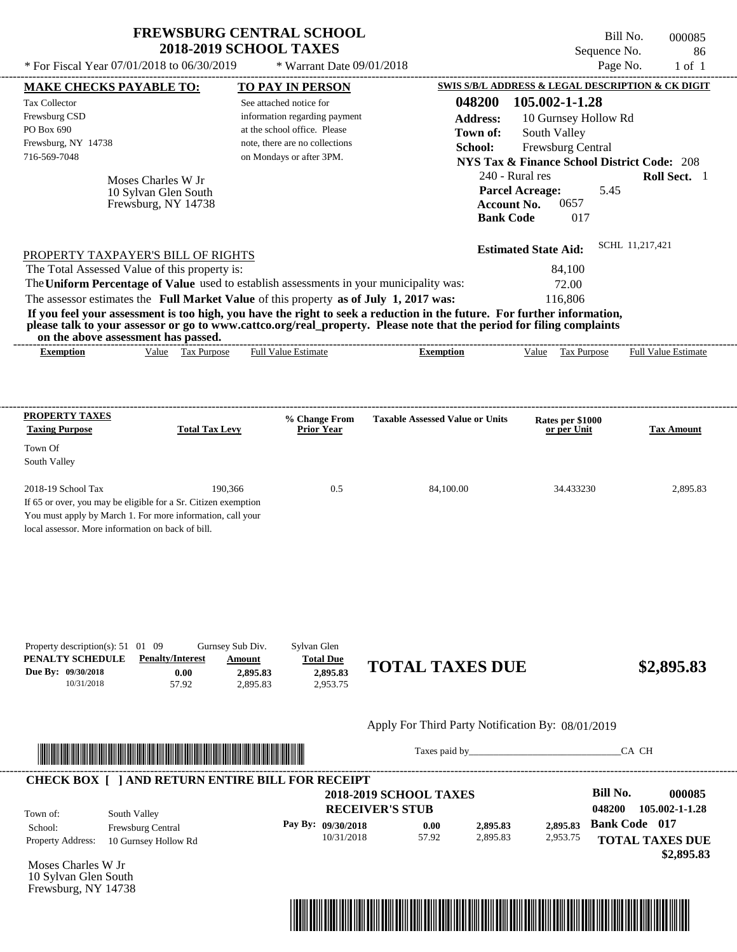| <b>FREWSBURG CENTRAL SCHOOL</b> |
|---------------------------------|
| <b>2018-2019 SCHOOL TAXES</b>   |

Bill No. 000085 Sequence No. 86<br>Page No. 1 of 1  $*$  For Fiscal Year 07/01/2018 to 06/30/2019  $*$  Warrant Date 09/01/2018 Page No. 1 of 1

| <b>MAKE CHECKS PAYABLE TO:</b>                                                                                                                               |                                           |                       | <b>TO PAY IN PERSON</b>        |                                                   |                    |                                                        |                      | <b>SWIS S/B/L ADDRESS &amp; LEGAL DESCRIPTION &amp; CK DIGIT</b> |
|--------------------------------------------------------------------------------------------------------------------------------------------------------------|-------------------------------------------|-----------------------|--------------------------------|---------------------------------------------------|--------------------|--------------------------------------------------------|----------------------|------------------------------------------------------------------|
| <b>Tax Collector</b>                                                                                                                                         |                                           |                       | See attached notice for        |                                                   | 048200             | 105.002-1-1.28                                         |                      |                                                                  |
| Frewsburg CSD                                                                                                                                                |                                           |                       | information regarding payment  |                                                   | <b>Address:</b>    | 10 Gurnsey Hollow Rd                                   |                      |                                                                  |
| PO Box 690                                                                                                                                                   |                                           |                       | at the school office. Please   |                                                   | Town of:           | South Valley                                           |                      |                                                                  |
| Frewsburg, NY 14738                                                                                                                                          |                                           |                       | note, there are no collections |                                                   | School:            | Frewsburg Central                                      |                      |                                                                  |
| 716-569-7048                                                                                                                                                 |                                           |                       | on Mondays or after 3PM.       |                                                   |                    | <b>NYS Tax &amp; Finance School District Code: 208</b> |                      |                                                                  |
|                                                                                                                                                              | Moses Charles W Jr                        |                       |                                |                                                   | 240 - Rural res    |                                                        |                      | Roll Sect. 1                                                     |
|                                                                                                                                                              | 10 Sylvan Glen South                      |                       |                                |                                                   |                    | <b>Parcel Acreage:</b>                                 | 5.45                 |                                                                  |
|                                                                                                                                                              | Frewsburg, NY 14738                       |                       |                                |                                                   | <b>Account No.</b> | 0657                                                   |                      |                                                                  |
|                                                                                                                                                              |                                           |                       |                                |                                                   | <b>Bank Code</b>   | 017                                                    |                      |                                                                  |
|                                                                                                                                                              |                                           |                       |                                |                                                   |                    |                                                        |                      |                                                                  |
| PROPERTY TAXPAYER'S BILL OF RIGHTS                                                                                                                           |                                           |                       |                                |                                                   |                    | <b>Estimated State Aid:</b>                            |                      | SCHL 11,217,421                                                  |
| The Total Assessed Value of this property is:                                                                                                                |                                           |                       |                                |                                                   |                    | 84,100                                                 |                      |                                                                  |
| The Uniform Percentage of Value used to establish assessments in your municipality was:                                                                      |                                           |                       |                                |                                                   |                    | 72.00                                                  |                      |                                                                  |
| The assessor estimates the Full Market Value of this property as of July 1, 2017 was:                                                                        |                                           |                       |                                |                                                   |                    | 116,806                                                |                      |                                                                  |
| If you feel your assessment is too high, you have the right to seek a reduction in the future. For further information,                                      |                                           |                       |                                |                                                   |                    |                                                        |                      |                                                                  |
| please talk to your assessor or go to www.cattco.org/real_property. Please note that the period for filing complaints<br>on the above assessment has passed. |                                           |                       |                                |                                                   |                    |                                                        |                      |                                                                  |
| <b>Exemption</b>                                                                                                                                             | Value Tax Purpose                         |                       | <b>Full Value Estimate</b>     | <b>Exemption</b>                                  |                    | Value Tax Purpose                                      |                      | <b>Full Value Estimate</b>                                       |
|                                                                                                                                                              |                                           |                       |                                |                                                   |                    |                                                        |                      |                                                                  |
|                                                                                                                                                              |                                           |                       |                                |                                                   |                    |                                                        |                      |                                                                  |
| <b>PROPERTY TAXES</b>                                                                                                                                        |                                           |                       | % Change From                  | <b>Taxable Assessed Value or Units</b>            |                    | Rates per \$1000                                       |                      |                                                                  |
| <b>Taxing Purpose</b>                                                                                                                                        |                                           | <b>Total Tax Levy</b> | <b>Prior Year</b>              |                                                   |                    | or per Unit                                            |                      | <b>Tax Amount</b>                                                |
| Town Of                                                                                                                                                      |                                           |                       |                                |                                                   |                    |                                                        |                      |                                                                  |
| South Valley                                                                                                                                                 |                                           |                       |                                |                                                   |                    |                                                        |                      |                                                                  |
|                                                                                                                                                              |                                           |                       |                                |                                                   |                    |                                                        |                      |                                                                  |
| 2018-19 School Tax                                                                                                                                           |                                           | 190,366               | 0.5                            | 84,100.00                                         |                    | 34.433230                                              |                      | 2,895.83                                                         |
| If 65 or over, you may be eligible for a Sr. Citizen exemption                                                                                               |                                           |                       |                                |                                                   |                    |                                                        |                      |                                                                  |
| You must apply by March 1. For more information, call your<br>local assessor. More information on back of bill.                                              |                                           |                       |                                |                                                   |                    |                                                        |                      |                                                                  |
|                                                                                                                                                              |                                           |                       |                                |                                                   |                    |                                                        |                      |                                                                  |
|                                                                                                                                                              |                                           |                       |                                |                                                   |                    |                                                        |                      |                                                                  |
|                                                                                                                                                              |                                           |                       |                                |                                                   |                    |                                                        |                      |                                                                  |
|                                                                                                                                                              |                                           |                       |                                |                                                   |                    |                                                        |                      |                                                                  |
|                                                                                                                                                              |                                           |                       |                                |                                                   |                    |                                                        |                      |                                                                  |
| Property description(s): $51 \quad 01 \quad 09$                                                                                                              |                                           | Gurnsey Sub Div.      | Sylvan Glen                    |                                                   |                    |                                                        |                      |                                                                  |
| PENALTY SCHEDULE                                                                                                                                             | <b>Penalty/Interest</b>                   | Amount                | <b>Total Due</b>               | <b>TOTAL TAXES DUE</b>                            |                    |                                                        |                      | \$2,895.83                                                       |
| Due By: 09/30/2018<br>10/31/2018                                                                                                                             | 0.00<br>57.92                             | 2,895.83<br>2,895.83  | 2,895.83<br>2,953.75           |                                                   |                    |                                                        |                      |                                                                  |
|                                                                                                                                                              |                                           |                       |                                |                                                   |                    |                                                        |                      |                                                                  |
|                                                                                                                                                              |                                           |                       |                                | Apply For Third Party Notification By: 08/01/2019 |                    |                                                        |                      |                                                                  |
|                                                                                                                                                              |                                           |                       |                                |                                                   |                    | Taxes paid by                                          |                      | CA CH                                                            |
| <u> HERE I AN DE HERE I AN DER HERE I AN DER HERE I AN DER HERE I AN DER HERE I AN DER HERE I AN DER HERE I AN DE</u>                                        |                                           |                       |                                |                                                   |                    |                                                        |                      |                                                                  |
| <b>CHECK BOX [ ] AND RETURN ENTIRE BILL FOR RECEIPT</b>                                                                                                      |                                           |                       |                                |                                                   |                    |                                                        |                      |                                                                  |
|                                                                                                                                                              |                                           |                       |                                | <b>2018-2019 SCHOOL TAXES</b>                     |                    |                                                        | <b>Bill No.</b>      | 000085                                                           |
|                                                                                                                                                              | South Valley                              |                       |                                | <b>RECEIVER'S STUB</b>                            |                    |                                                        | 048200               | 105.002-1-1.28                                                   |
| Town of:                                                                                                                                                     |                                           |                       | Pay By: 09/30/2018             | 0.00                                              | 2,895.83           | 2,895.83                                               | <b>Bank Code 017</b> |                                                                  |
|                                                                                                                                                              |                                           |                       |                                |                                                   |                    |                                                        |                      |                                                                  |
|                                                                                                                                                              | Frewsburg Central<br>10 Gurnsey Hollow Rd |                       | 10/31/2018                     | 57.92                                             | 2,895.83           | 2,953.75                                               |                      |                                                                  |
|                                                                                                                                                              |                                           |                       |                                |                                                   |                    |                                                        |                      |                                                                  |
|                                                                                                                                                              |                                           |                       |                                |                                                   |                    |                                                        |                      | <b>TOTAL TAXES DUE</b><br>\$2,895.83                             |
| School:<br><b>Property Address:</b><br>Moses Charles W Jr<br>10 Sylvan Glen South<br>Frewsburg, NY 14738                                                     |                                           |                       |                                |                                                   |                    |                                                        |                      |                                                                  |

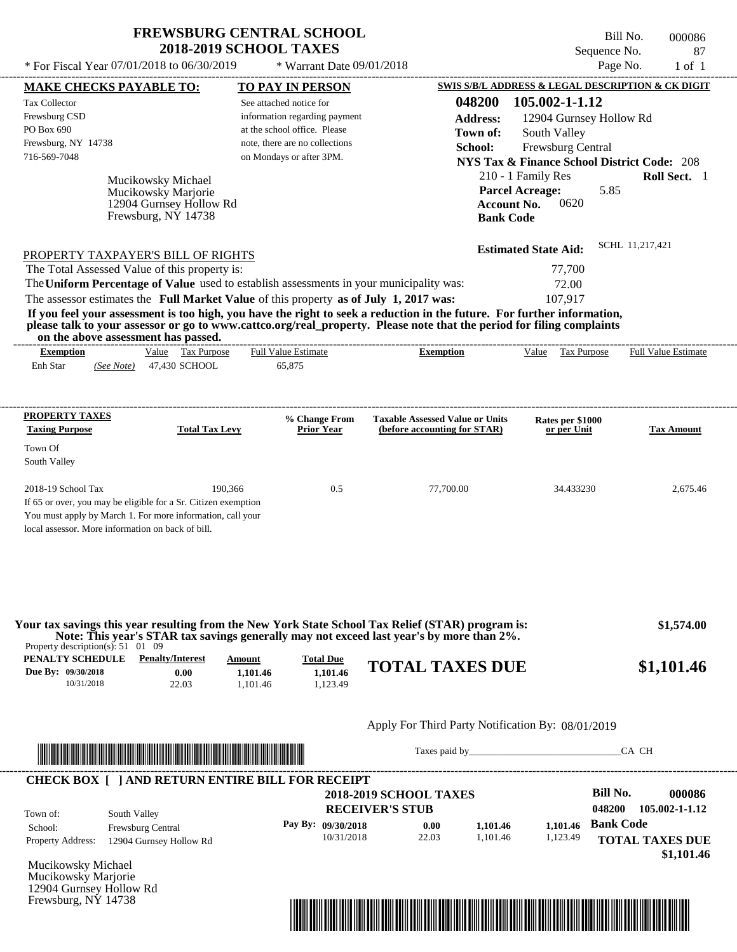\* For Fiscal Year  $07/01/2018$  to  $06/30/2019$  \* Warrant Date  $09/01/2018$  Page No. 1 of 1

 $*$  Warrant Date 09/01/2018

Bill No. 000086 Sequence No. 87<br>Page No. 1 of 1

| <b>MAKE CHECKS PAYABLE TO:</b>                                                                                                           |                                                                                                                                                                                                                                      |          | <b>TO PAY IN PERSON</b>            |                                                                                          |                    |                                 | <b>SWIS S/B/L ADDRESS &amp; LEGAL DESCRIPTION &amp; CK DIGIT</b> |
|------------------------------------------------------------------------------------------------------------------------------------------|--------------------------------------------------------------------------------------------------------------------------------------------------------------------------------------------------------------------------------------|----------|------------------------------------|------------------------------------------------------------------------------------------|--------------------|---------------------------------|------------------------------------------------------------------|
| <b>Tax Collector</b>                                                                                                                     |                                                                                                                                                                                                                                      |          | See attached notice for            |                                                                                          | 048200             | 105.002-1-1.12                  |                                                                  |
| Frewsburg CSD                                                                                                                            |                                                                                                                                                                                                                                      |          | information regarding payment      |                                                                                          | <b>Address:</b>    |                                 | 12904 Gurnsey Hollow Rd                                          |
| PO Box 690                                                                                                                               |                                                                                                                                                                                                                                      |          | at the school office. Please       |                                                                                          | Town of:           | South Valley                    |                                                                  |
| Frewsburg, NY 14738                                                                                                                      |                                                                                                                                                                                                                                      |          | note, there are no collections     |                                                                                          | School:            | Frewsburg Central               |                                                                  |
| 716-569-7048                                                                                                                             |                                                                                                                                                                                                                                      |          | on Mondays or after 3PM.           |                                                                                          |                    |                                 | <b>NYS Tax &amp; Finance School District Code: 208</b>           |
|                                                                                                                                          | Mucikowsky Michael                                                                                                                                                                                                                   |          |                                    |                                                                                          |                    | 210 - 1 Family Res              | Roll Sect. 1                                                     |
|                                                                                                                                          | Mucikowsky Marjorie                                                                                                                                                                                                                  |          |                                    |                                                                                          |                    | <b>Parcel Acreage:</b>          | 5.85                                                             |
|                                                                                                                                          | 12904 Gurnsey Hollow Rd                                                                                                                                                                                                              |          |                                    |                                                                                          | <b>Account No.</b> | 0620                            |                                                                  |
|                                                                                                                                          | Frewsburg, NY 14738                                                                                                                                                                                                                  |          |                                    |                                                                                          | <b>Bank Code</b>   |                                 |                                                                  |
|                                                                                                                                          |                                                                                                                                                                                                                                      |          |                                    |                                                                                          |                    | <b>Estimated State Aid:</b>     | SCHL 11,217,421                                                  |
| PROPERTY TAXPAYER'S BILL OF RIGHTS                                                                                                       |                                                                                                                                                                                                                                      |          |                                    |                                                                                          |                    |                                 |                                                                  |
| The Total Assessed Value of this property is:<br>The Uniform Percentage of Value used to establish assessments in your municipality was: |                                                                                                                                                                                                                                      |          |                                    |                                                                                          |                    | 77,700<br>72.00                 |                                                                  |
| The assessor estimates the Full Market Value of this property as of July 1, 2017 was:                                                    |                                                                                                                                                                                                                                      |          |                                    |                                                                                          |                    | 107,917                         |                                                                  |
| If you feel your assessment is too high, you have the right to seek a reduction in the future. For further information,                  |                                                                                                                                                                                                                                      |          |                                    |                                                                                          |                    |                                 |                                                                  |
| please talk to your assessor or go to www.cattco.org/real_property. Please note that the period for filing complaints                    |                                                                                                                                                                                                                                      |          |                                    |                                                                                          |                    |                                 |                                                                  |
| <b>Exemption</b>                                                                                                                         | on the above assessment has passed.<br>Value Tax Purpose                                                                                                                                                                             |          | <b>Full Value Estimate</b>         | <b>Exemption</b>                                                                         |                    |                                 | Value Tax Purpose Full Value Estimate                            |
| Enh Star                                                                                                                                 | (See Note) 47,430 SCHOOL                                                                                                                                                                                                             |          | 65,875                             |                                                                                          |                    |                                 |                                                                  |
|                                                                                                                                          |                                                                                                                                                                                                                                      |          |                                    |                                                                                          |                    |                                 |                                                                  |
|                                                                                                                                          |                                                                                                                                                                                                                                      |          |                                    |                                                                                          |                    |                                 |                                                                  |
| <b>PROPERTY TAXES</b><br><b>Taxing Purpose</b>                                                                                           | <b>Total Tax Levy</b>                                                                                                                                                                                                                |          | % Change From<br><b>Prior Year</b> | <b>Taxable Assessed Value or Units</b><br>(before accounting for STAR)                   |                    | Rates per \$1000<br>or per Unit | <b>Tax Amount</b>                                                |
| Town Of                                                                                                                                  |                                                                                                                                                                                                                                      |          |                                    |                                                                                          |                    |                                 |                                                                  |
| South Valley                                                                                                                             |                                                                                                                                                                                                                                      |          |                                    |                                                                                          |                    |                                 |                                                                  |
| 2018-19 School Tax                                                                                                                       |                                                                                                                                                                                                                                      | 190,366  | 0.5                                | 77,700.00                                                                                |                    | 34.433230                       | 2,675.46                                                         |
| If 65 or over, you may be eligible for a Sr. Citizen exemption                                                                           |                                                                                                                                                                                                                                      |          |                                    |                                                                                          |                    |                                 |                                                                  |
| You must apply by March 1. For more information, call your                                                                               |                                                                                                                                                                                                                                      |          |                                    |                                                                                          |                    |                                 |                                                                  |
| local assessor. More information on back of bill.                                                                                        |                                                                                                                                                                                                                                      |          |                                    |                                                                                          |                    |                                 |                                                                  |
|                                                                                                                                          |                                                                                                                                                                                                                                      |          |                                    |                                                                                          |                    |                                 |                                                                  |
| Your tax savings this year resulting from the New York State School Tax Relief (STAR) program is:                                        |                                                                                                                                                                                                                                      |          |                                    |                                                                                          |                    |                                 | \$1,574.00                                                       |
| Property description(s): $51 \quad 01 \quad 09$                                                                                          |                                                                                                                                                                                                                                      |          |                                    | Note: This year's STAR tax savings generally may not exceed last year's by more than 2%. |                    |                                 |                                                                  |
| PENALTY SCHEDULE                                                                                                                         | <b>Penalty/Interest</b>                                                                                                                                                                                                              | Amount   | <b>Total Due</b>                   | <b>TOTAL TAXES DUE</b>                                                                   |                    |                                 | \$1,101.46                                                       |
| Due By: 09/30/2018<br>10/31/2018                                                                                                         | 0.00                                                                                                                                                                                                                                 | 1,101.46 | 1,101.46<br>1,123.49               |                                                                                          |                    |                                 |                                                                  |
|                                                                                                                                          | 22.03                                                                                                                                                                                                                                | 1,101.46 |                                    |                                                                                          |                    |                                 |                                                                  |
|                                                                                                                                          |                                                                                                                                                                                                                                      |          |                                    | Apply For Third Party Notification By: 08/01/2019                                        |                    |                                 |                                                                  |
|                                                                                                                                          |                                                                                                                                                                                                                                      |          |                                    |                                                                                          |                    |                                 | CA CH                                                            |
|                                                                                                                                          | <u> Indian American State and The Communication of the Communication of the Communication of the Communication of the Communication of the Communication of the Communication of the Communication of the Communication of the C</u> |          |                                    |                                                                                          |                    |                                 |                                                                  |
| <b>CHECK BOX [ ] AND RETURN ENTIRE BILL FOR RECEIPT</b>                                                                                  |                                                                                                                                                                                                                                      |          |                                    |                                                                                          |                    |                                 |                                                                  |
|                                                                                                                                          |                                                                                                                                                                                                                                      |          |                                    | <b>2018-2019 SCHOOL TAXES</b>                                                            |                    |                                 | <b>Bill No.</b><br>000086                                        |
| Town of:                                                                                                                                 | South Valley                                                                                                                                                                                                                         |          |                                    | <b>RECEIVER'S STUB</b>                                                                   |                    |                                 | 048200<br>105.002-1-1.12                                         |
| School:                                                                                                                                  | Frewsburg Central                                                                                                                                                                                                                    |          | Pay By: 09/30/2018                 | 0.00                                                                                     | 1,101.46           | 1,101.46                        | <b>Bank Code</b>                                                 |
| <b>Property Address:</b>                                                                                                                 | 12904 Gurnsey Hollow Rd                                                                                                                                                                                                              |          | 10/31/2018                         | 22.03                                                                                    | 1,101.46           | 1,123.49                        | <b>TOTAL TAXES DUE</b><br>\$1,101.46                             |
| Mucikowsky Michael                                                                                                                       |                                                                                                                                                                                                                                      |          |                                    |                                                                                          |                    |                                 |                                                                  |
| Mucikowsky Marjorie                                                                                                                      |                                                                                                                                                                                                                                      |          |                                    |                                                                                          |                    |                                 |                                                                  |
| 12904 Gurnsey Hollow Rd                                                                                                                  |                                                                                                                                                                                                                                      |          |                                    |                                                                                          |                    |                                 |                                                                  |
|                                                                                                                                          |                                                                                                                                                                                                                                      |          |                                    |                                                                                          |                    |                                 |                                                                  |
| Frewsburg, NY 14738                                                                                                                      |                                                                                                                                                                                                                                      |          |                                    | <u> 1989 - Johann Stoff, Amerikaansk politiker († 1958)</u>                              |                    |                                 |                                                                  |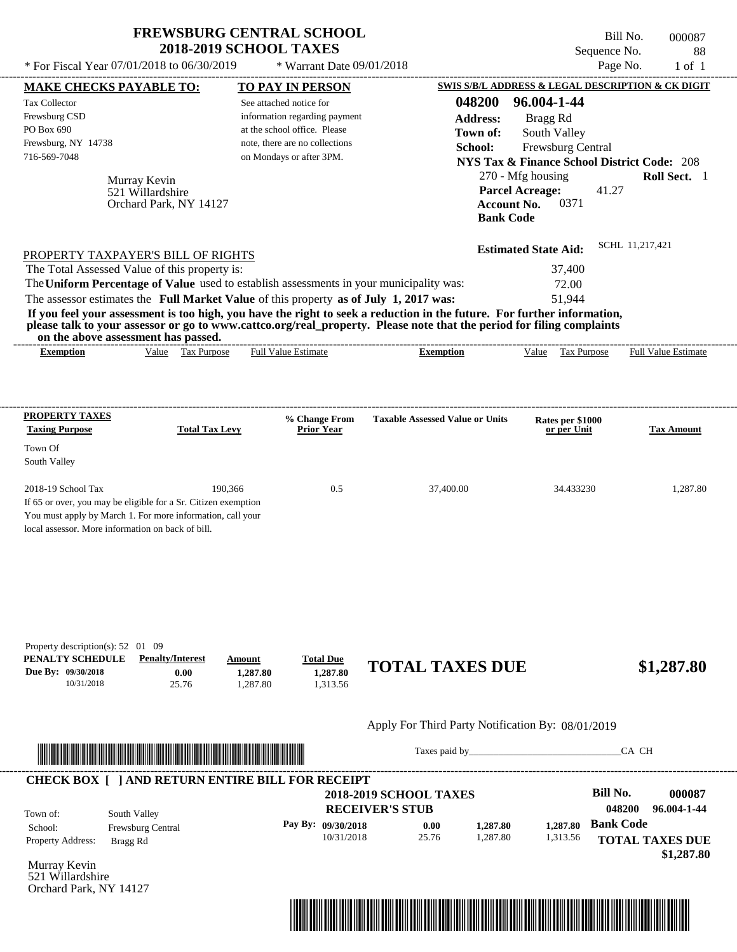| <b>FREWSBURG CENTRAL SCHOOL</b> |
|---------------------------------|
| <b>2018-2019 SCHOOL TAXES</b>   |

 $*$  For Fiscal Year 07/01/2018 to 06/30/2019  $*$  Warrant Date 09/01/2018 Page No. 1 of 1

---------------------------------------------------------------------------------------------------------------------------------------------------------------------------------------------------- Bill No. 000087 Sequence No. 88

| <b>MAKE CHECKS PAYABLE TO:</b>                                                        |                                                                                                                                                                                                                                      |          | <b>TO PAY IN PERSON</b>                                    |                                                                                                                         |                                                | SWIS S/B/L ADDRESS & LEGAL DESCRIPTION & CK DIGIT      |
|---------------------------------------------------------------------------------------|--------------------------------------------------------------------------------------------------------------------------------------------------------------------------------------------------------------------------------------|----------|------------------------------------------------------------|-------------------------------------------------------------------------------------------------------------------------|------------------------------------------------|--------------------------------------------------------|
| <b>Tax Collector</b>                                                                  |                                                                                                                                                                                                                                      |          | See attached notice for                                    | 048200                                                                                                                  | 96.004-1-44                                    |                                                        |
| Frewsburg CSD                                                                         |                                                                                                                                                                                                                                      |          | information regarding payment                              | <b>Address:</b>                                                                                                         | Bragg Rd                                       |                                                        |
| PO Box 690                                                                            |                                                                                                                                                                                                                                      |          | at the school office. Please                               | Town of:                                                                                                                | South Valley                                   |                                                        |
| Frewsburg, NY 14738<br>716-569-7048                                                   |                                                                                                                                                                                                                                      |          | note, there are no collections<br>on Mondays or after 3PM. | School:                                                                                                                 | Frewsburg Central                              |                                                        |
|                                                                                       |                                                                                                                                                                                                                                      |          |                                                            |                                                                                                                         |                                                | <b>NYS Tax &amp; Finance School District Code: 208</b> |
|                                                                                       | Murray Kevin                                                                                                                                                                                                                         |          |                                                            |                                                                                                                         | 270 - Mfg housing                              | Roll Sect. 1                                           |
|                                                                                       | 521 Willardshire                                                                                                                                                                                                                     |          |                                                            |                                                                                                                         | <b>Parcel Acreage:</b>                         | 41.27                                                  |
|                                                                                       | Orchard Park, NY 14127                                                                                                                                                                                                               |          |                                                            |                                                                                                                         | <b>Account No.</b><br>0371<br><b>Bank Code</b> |                                                        |
|                                                                                       |                                                                                                                                                                                                                                      |          |                                                            |                                                                                                                         |                                                |                                                        |
|                                                                                       |                                                                                                                                                                                                                                      |          |                                                            |                                                                                                                         | <b>Estimated State Aid:</b>                    | SCHL 11,217,421                                        |
| PROPERTY TAXPAYER'S BILL OF RIGHTS<br>The Total Assessed Value of this property is:   |                                                                                                                                                                                                                                      |          |                                                            |                                                                                                                         | 37,400                                         |                                                        |
|                                                                                       |                                                                                                                                                                                                                                      |          |                                                            | The Uniform Percentage of Value used to establish assessments in your municipality was:                                 | 72.00                                          |                                                        |
| The assessor estimates the Full Market Value of this property as of July 1, 2017 was: |                                                                                                                                                                                                                                      |          |                                                            |                                                                                                                         | 51,944                                         |                                                        |
|                                                                                       |                                                                                                                                                                                                                                      |          |                                                            | If you feel your assessment is too high, you have the right to seek a reduction in the future. For further information, |                                                |                                                        |
|                                                                                       | on the above assessment has passed.                                                                                                                                                                                                  |          |                                                            | please talk to your assessor or go to www.cattco.org/real_property. Please note that the period for filing complaints   |                                                |                                                        |
| <b>Exemption</b>                                                                      | Value Tax Purpose                                                                                                                                                                                                                    |          | Full Value Estimate                                        | <b>Exemption</b>                                                                                                        | Value Tax Purpose                              | <b>Full Value Estimate</b>                             |
|                                                                                       |                                                                                                                                                                                                                                      |          |                                                            |                                                                                                                         |                                                |                                                        |
|                                                                                       |                                                                                                                                                                                                                                      |          |                                                            |                                                                                                                         |                                                |                                                        |
| <b>PROPERTY TAXES</b>                                                                 |                                                                                                                                                                                                                                      |          | % Change From                                              | <b>Taxable Assessed Value or Units</b>                                                                                  | Rates per \$1000                               |                                                        |
| <b>Taxing Purpose</b>                                                                 | <b>Total Tax Levy</b>                                                                                                                                                                                                                |          | <b>Prior Year</b>                                          |                                                                                                                         | or per Unit                                    | <b>Tax Amount</b>                                      |
| Town Of                                                                               |                                                                                                                                                                                                                                      |          |                                                            |                                                                                                                         |                                                |                                                        |
| South Valley                                                                          |                                                                                                                                                                                                                                      |          |                                                            |                                                                                                                         |                                                |                                                        |
| 2018-19 School Tax                                                                    |                                                                                                                                                                                                                                      | 190,366  | 0.5                                                        | 37,400.00                                                                                                               | 34.433230                                      | 1,287.80                                               |
|                                                                                       | If 65 or over, you may be eligible for a Sr. Citizen exemption                                                                                                                                                                       |          |                                                            |                                                                                                                         |                                                |                                                        |
|                                                                                       | You must apply by March 1. For more information, call your                                                                                                                                                                           |          |                                                            |                                                                                                                         |                                                |                                                        |
| local assessor. More information on back of bill.                                     |                                                                                                                                                                                                                                      |          |                                                            |                                                                                                                         |                                                |                                                        |
|                                                                                       |                                                                                                                                                                                                                                      |          |                                                            |                                                                                                                         |                                                |                                                        |
|                                                                                       |                                                                                                                                                                                                                                      |          |                                                            |                                                                                                                         |                                                |                                                        |
|                                                                                       |                                                                                                                                                                                                                                      |          |                                                            |                                                                                                                         |                                                |                                                        |
|                                                                                       |                                                                                                                                                                                                                                      |          |                                                            |                                                                                                                         |                                                |                                                        |
|                                                                                       |                                                                                                                                                                                                                                      |          |                                                            |                                                                                                                         |                                                |                                                        |
| Property description(s): 52 01 09                                                     |                                                                                                                                                                                                                                      |          |                                                            |                                                                                                                         |                                                |                                                        |
| PENALTY SCHEDULE                                                                      | <b>Penalty/Interest</b>                                                                                                                                                                                                              | Amount   | <b>Total Due</b>                                           | <b>TOTAL TAXES DUE</b>                                                                                                  |                                                | \$1,287.80                                             |
| Due By: 09/30/2018                                                                    | 0.00                                                                                                                                                                                                                                 | 1,287.80 | 1,287.80                                                   |                                                                                                                         |                                                |                                                        |
| 10/31/2018                                                                            | 25.76                                                                                                                                                                                                                                | 1,287.80 | 1,313.56                                                   |                                                                                                                         |                                                |                                                        |
|                                                                                       |                                                                                                                                                                                                                                      |          |                                                            |                                                                                                                         |                                                |                                                        |
|                                                                                       |                                                                                                                                                                                                                                      |          |                                                            | Apply For Third Party Notification By: 08/01/2019                                                                       |                                                |                                                        |
|                                                                                       | <u> In the second control of the second control of the second control of the second control of the second control of the second control of the second control of the second control of the second control of the second control </u> |          |                                                            |                                                                                                                         |                                                | CA CH                                                  |
|                                                                                       |                                                                                                                                                                                                                                      |          |                                                            |                                                                                                                         |                                                |                                                        |
|                                                                                       | <b>CHECK BOX [ ] AND RETURN ENTIRE BILL FOR RECEIPT</b>                                                                                                                                                                              |          |                                                            | <b>2018-2019 SCHOOL TAXES</b>                                                                                           |                                                | <b>Bill No.</b><br>000087                              |
|                                                                                       |                                                                                                                                                                                                                                      |          |                                                            | <b>RECEIVER'S STUB</b>                                                                                                  |                                                | 048200<br>96.004-1-44                                  |
| Town of:                                                                              | South Valley                                                                                                                                                                                                                         |          | Pay By: 09/30/2018                                         |                                                                                                                         | 1,287.80                                       | <b>Bank Code</b>                                       |
| School:<br>Property Address:                                                          | Frewsburg Central                                                                                                                                                                                                                    |          | 10/31/2018                                                 | 0.00<br>1,287.80<br>25.76<br>1,287.80                                                                                   | 1,313.56                                       | <b>TOTAL TAXES DUE</b>                                 |
|                                                                                       | Bragg Rd                                                                                                                                                                                                                             |          |                                                            |                                                                                                                         |                                                | \$1,287.80                                             |
| Murray Kevin                                                                          |                                                                                                                                                                                                                                      |          |                                                            |                                                                                                                         |                                                |                                                        |
| 521 Willardshire<br>Orchard Park, NY 14127                                            |                                                                                                                                                                                                                                      |          |                                                            |                                                                                                                         |                                                |                                                        |
|                                                                                       |                                                                                                                                                                                                                                      |          |                                                            |                                                                                                                         |                                                |                                                        |
|                                                                                       |                                                                                                                                                                                                                                      |          |                                                            |                                                                                                                         |                                                |                                                        |
|                                                                                       |                                                                                                                                                                                                                                      |          |                                                            |                                                                                                                         |                                                |                                                        |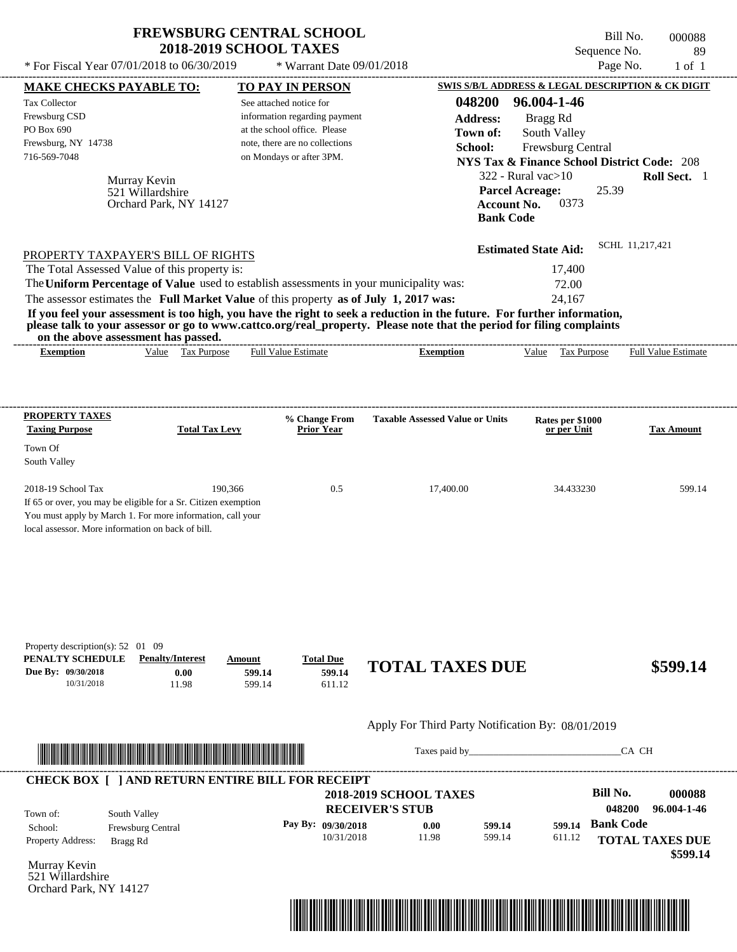| <b>FREWSBURG CENTRAL SCHOOL</b> |
|---------------------------------|
| <b>2018-2019 SCHOOL TAXES</b>   |

 $*$  For Fiscal Year 07/01/2018 to 06/30/2019  $*$  Warrant Date 09/01/2018 Page No. 1 of 1

Bill No. 000088 Sequence No. 89

|                                                                                           | <b>MAKE CHECKS PAYABLE TO:</b>                                                                                                                                                                                                                                                          |                            | <b>TO PAY IN PERSON</b>                                        |                                                                                                                      |                           | <b>SWIS S/B/L ADDRESS &amp; LEGAL DESCRIPTION &amp; CK DIGIT</b>            |                           |                        |
|-------------------------------------------------------------------------------------------|-----------------------------------------------------------------------------------------------------------------------------------------------------------------------------------------------------------------------------------------------------------------------------------------|----------------------------|----------------------------------------------------------------|----------------------------------------------------------------------------------------------------------------------|---------------------------|-----------------------------------------------------------------------------|---------------------------|------------------------|
| <b>Tax Collector</b><br>Frewsburg CSD<br>PO Box 690                                       |                                                                                                                                                                                                                                                                                         | See attached notice for    | information regarding payment                                  |                                                                                                                      | 048200<br><b>Address:</b> | 96.004-1-46<br>Bragg Rd                                                     |                           |                        |
| Frewsburg, NY 14738                                                                       |                                                                                                                                                                                                                                                                                         |                            | at the school office. Please<br>note, there are no collections |                                                                                                                      | Town of:                  | South Valley                                                                |                           |                        |
| 716-569-7048                                                                              |                                                                                                                                                                                                                                                                                         |                            | on Mondays or after 3PM.                                       |                                                                                                                      | School:                   | Frewsburg Central<br><b>NYS Tax &amp; Finance School District Code: 208</b> |                           |                        |
|                                                                                           |                                                                                                                                                                                                                                                                                         |                            |                                                                |                                                                                                                      |                           | $322$ - Rural vac $>10$                                                     |                           | Roll Sect. 1           |
|                                                                                           | Murray Kevin<br>521 Willardshire                                                                                                                                                                                                                                                        |                            |                                                                |                                                                                                                      |                           | <b>Parcel Acreage:</b>                                                      | 25.39                     |                        |
|                                                                                           | Orchard Park, NY 14127                                                                                                                                                                                                                                                                  |                            |                                                                |                                                                                                                      | <b>Account No.</b>        | 0373                                                                        |                           |                        |
|                                                                                           |                                                                                                                                                                                                                                                                                         |                            |                                                                |                                                                                                                      | <b>Bank Code</b>          |                                                                             |                           |                        |
|                                                                                           |                                                                                                                                                                                                                                                                                         |                            |                                                                |                                                                                                                      |                           | <b>Estimated State Aid:</b>                                                 | SCHL 11.217.421           |                        |
|                                                                                           | PROPERTY TAXPAYER'S BILL OF RIGHTS<br>The Total Assessed Value of this property is:                                                                                                                                                                                                     |                            |                                                                |                                                                                                                      |                           | 17,400                                                                      |                           |                        |
|                                                                                           | The Uniform Percentage of Value used to establish assessments in your municipality was:                                                                                                                                                                                                 |                            |                                                                |                                                                                                                      |                           | 72.00                                                                       |                           |                        |
|                                                                                           | The assessor estimates the Full Market Value of this property as of July 1, 2017 was:                                                                                                                                                                                                   |                            |                                                                |                                                                                                                      |                           | 24,167                                                                      |                           |                        |
|                                                                                           | If you feel your assessment is too high, you have the right to seek a reduction in the future. For further information,<br>please talk to your assessor or go to www.cattco.org/real_property. Please note that the period for filing complaints<br>on the above assessment has passed. |                            |                                                                |                                                                                                                      |                           |                                                                             |                           |                        |
| <b>Exemption</b>                                                                          | Value Tax Purpose                                                                                                                                                                                                                                                                       | <b>Full Value Estimate</b> |                                                                | <b>Exemption</b>                                                                                                     |                           | Value Tax Purpose Full Value Estimate                                       |                           |                        |
|                                                                                           |                                                                                                                                                                                                                                                                                         |                            |                                                                |                                                                                                                      |                           |                                                                             |                           |                        |
|                                                                                           |                                                                                                                                                                                                                                                                                         |                            |                                                                |                                                                                                                      |                           |                                                                             |                           |                        |
| <b>PROPERTY TAXES</b><br><b>Taxing Purpose</b>                                            | <b>Total Tax Levy</b>                                                                                                                                                                                                                                                                   |                            | % Change From<br><b>Prior Year</b>                             | <b>Taxable Assessed Value or Units</b>                                                                               |                           | Rates per \$1000<br>or per Unit                                             |                           | <b>Tax Amount</b>      |
| Town Of<br>South Valley                                                                   |                                                                                                                                                                                                                                                                                         |                            |                                                                |                                                                                                                      |                           |                                                                             |                           |                        |
| 2018-19 School Tax                                                                        | If 65 or over, you may be eligible for a Sr. Citizen exemption<br>You must apply by March 1. For more information, call your<br>local assessor. More information on back of bill.                                                                                                       | 190,366                    | 0.5                                                            | 17,400.00                                                                                                            |                           | 34.433230                                                                   |                           | 599.14                 |
| Property description(s): 52 01 09<br>PENALTY SCHEDULE<br>Due By: 09/30/2018<br>10/31/2018 | <b>Penalty/Interest</b><br>0.00<br>11.98                                                                                                                                                                                                                                                | Amount<br>599.14<br>599.14 | <b>Total Due</b><br>599.14<br>611.12                           | <b>TOTAL TAXES DUE</b>                                                                                               |                           |                                                                             |                           | \$599.14               |
|                                                                                           |                                                                                                                                                                                                                                                                                         |                            |                                                                | Apply For Third Party Notification By: 08/01/2019                                                                    |                           |                                                                             |                           |                        |
|                                                                                           |                                                                                                                                                                                                                                                                                         |                            |                                                                |                                                                                                                      |                           | Taxes paid by                                                               | CA CH                     |                        |
|                                                                                           | <b>CHECK BOX [ ] AND RETURN ENTIRE BILL FOR RECEIPT</b>                                                                                                                                                                                                                                 |                            |                                                                |                                                                                                                      |                           |                                                                             |                           |                        |
|                                                                                           |                                                                                                                                                                                                                                                                                         |                            |                                                                | <b>2018-2019 SCHOOL TAXES</b>                                                                                        |                           |                                                                             | <b>Bill No.</b><br>048200 | 000088<br>96.004-1-46  |
| Town of:                                                                                  | South Valley                                                                                                                                                                                                                                                                            |                            |                                                                | <b>RECEIVER'S STUB</b>                                                                                               |                           |                                                                             | <b>Bank Code</b>          |                        |
| School:<br>Property Address:                                                              | Frewsburg Central<br>Bragg Rd                                                                                                                                                                                                                                                           |                            | Pay By: 09/30/2018<br>10/31/2018                               | 0.00<br>11.98                                                                                                        | 599.14<br>599.14          | 599.14<br>611.12                                                            |                           | <b>TOTAL TAXES DUE</b> |
| Murray Kevin<br>521 Willardshire<br>Orchard Park, NY 14127                                |                                                                                                                                                                                                                                                                                         |                            |                                                                |                                                                                                                      |                           |                                                                             |                           | \$599.14               |
|                                                                                           |                                                                                                                                                                                                                                                                                         |                            |                                                                |                                                                                                                      |                           |                                                                             |                           |                        |
|                                                                                           |                                                                                                                                                                                                                                                                                         |                            |                                                                | <u> 1989 - Andrea Stadt British, mark ar yn y brenin y brenin y brenin y brenin y brenin y brenin y brenin y bre</u> |                           |                                                                             |                           |                        |
|                                                                                           |                                                                                                                                                                                                                                                                                         |                            |                                                                |                                                                                                                      |                           |                                                                             |                           |                        |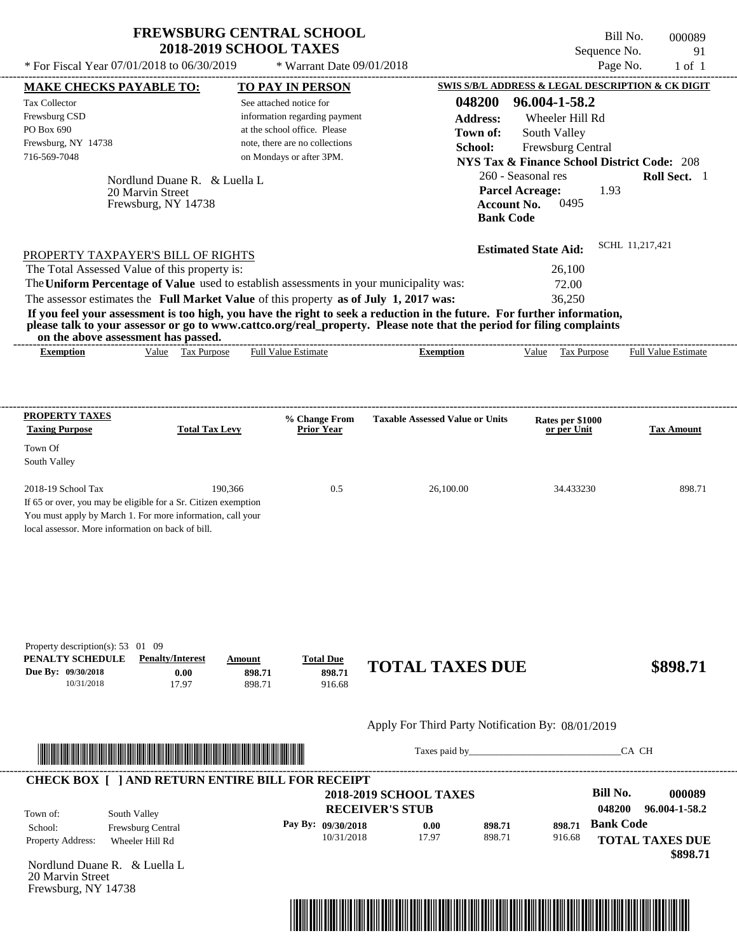$*$  Warrant Date 09/01/2018

Bill No. 000089 Sequence No. 91 \* For Fiscal Year  $07/01/2018$  to  $06/30/2019$  \* Warrant Date  $09/01/2018$  Page No. 1 of 1

| <b>MAKE CHECKS PAYABLE TO:</b>                                                                                                                                                                                                       |                     |                               |                  | <b>TO PAY IN PERSON</b>                                        |                                                                                                                         |                                        |                                                                                                                                                                                                                                |                  | SWIS S/B/L ADDRESS & LEGAL DESCRIPTION & CK DIGIT |
|--------------------------------------------------------------------------------------------------------------------------------------------------------------------------------------------------------------------------------------|---------------------|-------------------------------|------------------|----------------------------------------------------------------|-------------------------------------------------------------------------------------------------------------------------|----------------------------------------|--------------------------------------------------------------------------------------------------------------------------------------------------------------------------------------------------------------------------------|------------------|---------------------------------------------------|
| <b>Tax Collector</b>                                                                                                                                                                                                                 |                     |                               |                  | See attached notice for                                        |                                                                                                                         | 048200                                 | 96.004-1-58.2                                                                                                                                                                                                                  |                  |                                                   |
| Frewsburg CSD                                                                                                                                                                                                                        |                     |                               |                  | information regarding payment                                  |                                                                                                                         | <b>Address:</b>                        | Wheeler Hill Rd                                                                                                                                                                                                                |                  |                                                   |
| PO Box 690                                                                                                                                                                                                                           |                     |                               |                  | at the school office. Please<br>note, there are no collections |                                                                                                                         | Town of:                               | South Valley                                                                                                                                                                                                                   |                  |                                                   |
| Frewsburg, NY 14738<br>716-569-7048                                                                                                                                                                                                  |                     |                               |                  | on Mondays or after 3PM.                                       |                                                                                                                         | School:                                | Frewsburg Central                                                                                                                                                                                                              |                  |                                                   |
|                                                                                                                                                                                                                                      |                     |                               |                  |                                                                |                                                                                                                         |                                        | <b>NYS Tax &amp; Finance School District Code: 208</b>                                                                                                                                                                         |                  |                                                   |
|                                                                                                                                                                                                                                      |                     | Nordlund Duane R. & Luella L. |                  |                                                                |                                                                                                                         |                                        | 260 - Seasonal res                                                                                                                                                                                                             |                  | Roll Sect. 1                                      |
|                                                                                                                                                                                                                                      | 20 Marvin Street    |                               |                  |                                                                |                                                                                                                         |                                        | <b>Parcel Acreage:</b><br>0495                                                                                                                                                                                                 | 1.93             |                                                   |
|                                                                                                                                                                                                                                      | Frewsburg, NY 14738 |                               |                  |                                                                |                                                                                                                         | <b>Account No.</b><br><b>Bank Code</b> |                                                                                                                                                                                                                                |                  |                                                   |
|                                                                                                                                                                                                                                      |                     |                               |                  |                                                                |                                                                                                                         |                                        |                                                                                                                                                                                                                                |                  |                                                   |
|                                                                                                                                                                                                                                      |                     |                               |                  |                                                                |                                                                                                                         |                                        | <b>Estimated State Aid:</b>                                                                                                                                                                                                    |                  | SCHL 11,217,421                                   |
| PROPERTY TAXPAYER'S BILL OF RIGHTS<br>The Total Assessed Value of this property is:                                                                                                                                                  |                     |                               |                  |                                                                |                                                                                                                         |                                        | 26,100                                                                                                                                                                                                                         |                  |                                                   |
|                                                                                                                                                                                                                                      |                     |                               |                  |                                                                | The Uniform Percentage of Value used to establish assessments in your municipality was:                                 |                                        | 72.00                                                                                                                                                                                                                          |                  |                                                   |
|                                                                                                                                                                                                                                      |                     |                               |                  |                                                                | The assessor estimates the Full Market Value of this property as of July 1, 2017 was:                                   |                                        | 36,250                                                                                                                                                                                                                         |                  |                                                   |
|                                                                                                                                                                                                                                      |                     |                               |                  |                                                                | If you feel your assessment is too high, you have the right to seek a reduction in the future. For further information, |                                        |                                                                                                                                                                                                                                |                  |                                                   |
|                                                                                                                                                                                                                                      |                     |                               |                  |                                                                | please talk to your assessor or go to www.cattco.org/real_property. Please note that the period for filing complaints   |                                        |                                                                                                                                                                                                                                |                  |                                                   |
| on the above assessment has passed.<br><b>Exemption</b>                                                                                                                                                                              |                     | Value Tax Purpose             |                  | <b>Full Value Estimate</b>                                     |                                                                                                                         | <b>Exemption</b>                       | Value Tax Purpose Full Value Estimate                                                                                                                                                                                          |                  |                                                   |
|                                                                                                                                                                                                                                      |                     |                               |                  |                                                                |                                                                                                                         |                                        |                                                                                                                                                                                                                                |                  |                                                   |
|                                                                                                                                                                                                                                      |                     |                               |                  |                                                                |                                                                                                                         |                                        |                                                                                                                                                                                                                                |                  |                                                   |
|                                                                                                                                                                                                                                      |                     |                               |                  |                                                                |                                                                                                                         |                                        |                                                                                                                                                                                                                                |                  |                                                   |
| <b>PROPERTY TAXES</b>                                                                                                                                                                                                                |                     |                               |                  | % Change From                                                  | <b>Taxable Assessed Value or Units</b>                                                                                  |                                        | Rates per \$1000                                                                                                                                                                                                               |                  |                                                   |
| <b>Taxing Purpose</b>                                                                                                                                                                                                                |                     | <b>Total Tax Levy</b>         |                  | <b>Prior Year</b>                                              |                                                                                                                         |                                        | or per Unit                                                                                                                                                                                                                    |                  | <b>Tax Amount</b>                                 |
| Town Of                                                                                                                                                                                                                              |                     |                               |                  |                                                                |                                                                                                                         |                                        |                                                                                                                                                                                                                                |                  |                                                   |
| South Valley                                                                                                                                                                                                                         |                     |                               |                  |                                                                |                                                                                                                         |                                        |                                                                                                                                                                                                                                |                  |                                                   |
|                                                                                                                                                                                                                                      |                     |                               |                  |                                                                |                                                                                                                         |                                        |                                                                                                                                                                                                                                |                  |                                                   |
| 2018-19 School Tax<br>If 65 or over, you may be eligible for a Sr. Citizen exemption                                                                                                                                                 |                     | 190,366                       |                  | 0.5                                                            |                                                                                                                         | 26,100.00                              | 34.433230                                                                                                                                                                                                                      |                  | 898.71                                            |
| You must apply by March 1. For more information, call your                                                                                                                                                                           |                     |                               |                  |                                                                |                                                                                                                         |                                        |                                                                                                                                                                                                                                |                  |                                                   |
| local assessor. More information on back of bill.                                                                                                                                                                                    |                     |                               |                  |                                                                |                                                                                                                         |                                        |                                                                                                                                                                                                                                |                  |                                                   |
|                                                                                                                                                                                                                                      |                     |                               |                  |                                                                |                                                                                                                         |                                        |                                                                                                                                                                                                                                |                  |                                                   |
|                                                                                                                                                                                                                                      |                     |                               |                  |                                                                |                                                                                                                         |                                        |                                                                                                                                                                                                                                |                  |                                                   |
|                                                                                                                                                                                                                                      |                     |                               |                  |                                                                |                                                                                                                         |                                        |                                                                                                                                                                                                                                |                  |                                                   |
|                                                                                                                                                                                                                                      |                     |                               |                  |                                                                |                                                                                                                         |                                        |                                                                                                                                                                                                                                |                  |                                                   |
|                                                                                                                                                                                                                                      |                     |                               |                  |                                                                |                                                                                                                         |                                        |                                                                                                                                                                                                                                |                  |                                                   |
|                                                                                                                                                                                                                                      |                     |                               |                  |                                                                |                                                                                                                         |                                        |                                                                                                                                                                                                                                |                  |                                                   |
| Property description(s): 53 01 09                                                                                                                                                                                                    |                     |                               |                  |                                                                |                                                                                                                         |                                        |                                                                                                                                                                                                                                |                  |                                                   |
| PENALTY SCHEDULE                                                                                                                                                                                                                     |                     | <b>Penalty/Interest</b>       | Amount           | <b>Total Due</b>                                               | <b>TOTAL TAXES DUE</b>                                                                                                  |                                        |                                                                                                                                                                                                                                |                  | \$898.71                                          |
| Due By: 09/30/2018<br>10/31/2018                                                                                                                                                                                                     |                     | 0.00<br>17.97                 | 898.71<br>898.71 | 898.71<br>916.68                                               |                                                                                                                         |                                        |                                                                                                                                                                                                                                |                  |                                                   |
|                                                                                                                                                                                                                                      |                     |                               |                  |                                                                |                                                                                                                         |                                        |                                                                                                                                                                                                                                |                  |                                                   |
|                                                                                                                                                                                                                                      |                     |                               |                  |                                                                |                                                                                                                         |                                        |                                                                                                                                                                                                                                |                  |                                                   |
|                                                                                                                                                                                                                                      |                     |                               |                  |                                                                | Apply For Third Party Notification By: 08/01/2019                                                                       |                                        |                                                                                                                                                                                                                                |                  |                                                   |
|                                                                                                                                                                                                                                      |                     |                               |                  |                                                                |                                                                                                                         |                                        | Taxes paid by Taxes and the Taxes and the Taxes and the Taxes and the Taxes and the Taxes and the Taxes and the Taxes and the Taxes and the Taxes and the Taxes and the Taxes and the Taxes and the Taxes and the Taxes and th |                  | CA CH                                             |
| <u> Indian American State and The Communication of the Communication of the Communication of the Communication of the Communication of the Communication of the Communication of the Communication of the Communication of the C</u> |                     |                               |                  |                                                                |                                                                                                                         |                                        |                                                                                                                                                                                                                                |                  |                                                   |
|                                                                                                                                                                                                                                      |                     |                               |                  | <b>CHECK BOX [ ] AND RETURN ENTIRE BILL FOR RECEIPT</b>        |                                                                                                                         |                                        |                                                                                                                                                                                                                                |                  |                                                   |
|                                                                                                                                                                                                                                      |                     |                               |                  |                                                                | <b>2018-2019 SCHOOL TAXES</b>                                                                                           |                                        |                                                                                                                                                                                                                                | <b>Bill No.</b>  | 000089                                            |
| Town of:                                                                                                                                                                                                                             | South Valley        |                               |                  |                                                                | <b>RECEIVER'S STUB</b>                                                                                                  |                                        |                                                                                                                                                                                                                                | 048200           | 96.004-1-58.2                                     |
| School:                                                                                                                                                                                                                              | Frewsburg Central   |                               |                  | Pay By: 09/30/2018                                             | 0.00                                                                                                                    | 898.71                                 | 898.71                                                                                                                                                                                                                         | <b>Bank Code</b> |                                                   |
| Property Address:                                                                                                                                                                                                                    | Wheeler Hill Rd     |                               |                  | 10/31/2018                                                     | 17.97                                                                                                                   | 898.71                                 | 916.68                                                                                                                                                                                                                         |                  | <b>TOTAL TAXES DUE</b>                            |
|                                                                                                                                                                                                                                      |                     |                               |                  |                                                                |                                                                                                                         |                                        |                                                                                                                                                                                                                                |                  | \$898.71                                          |
| Nordlund Duane R. & Luella L<br>20 Marvin Street                                                                                                                                                                                     |                     |                               |                  |                                                                |                                                                                                                         |                                        |                                                                                                                                                                                                                                |                  |                                                   |
| Frewsburg, NY 14738                                                                                                                                                                                                                  |                     |                               |                  |                                                                |                                                                                                                         |                                        |                                                                                                                                                                                                                                |                  |                                                   |
|                                                                                                                                                                                                                                      |                     |                               |                  |                                                                |                                                                                                                         |                                        |                                                                                                                                                                                                                                |                  |                                                   |
|                                                                                                                                                                                                                                      |                     |                               |                  |                                                                | <u> 1989 - Johann Stoff, Amerikaansk politiker († 1958)</u>                                                             |                                        |                                                                                                                                                                                                                                |                  |                                                   |
|                                                                                                                                                                                                                                      |                     |                               |                  |                                                                |                                                                                                                         |                                        |                                                                                                                                                                                                                                |                  |                                                   |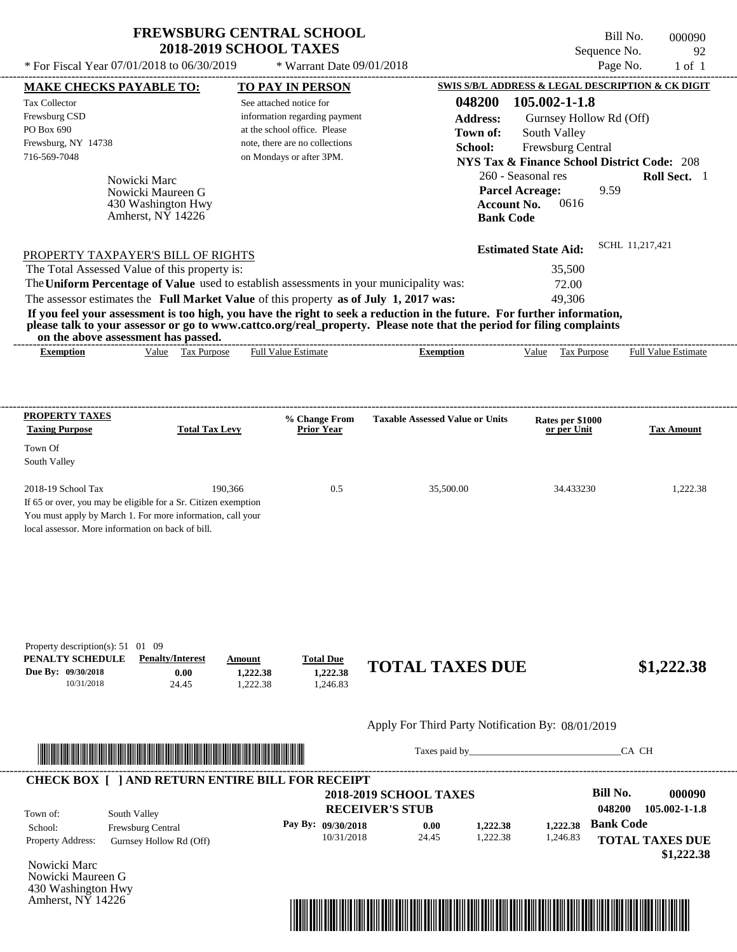---------------------------------------------------------------------------------------------------------------------------------------------------------------------------------------------------- Nowicki Marc If 65 or over, you may be eligible for a Sr. Citizen exemption You must apply by March 1. For more information, call your local assessor. More information on back of bill. \* For Fiscal Year  $07/01/2018$  to  $06/30/2019$  \* Warrant Date  $09/01/2018$  Page No. 1 of 1 **MAKE CHECKS PAYABLE TO: TO PAY IN PERSON SWIS S/B/L ADDRESS & LEGAL DESCRIPTION & CK DIGIT 048200 105.002-1-1.8 Address:** Gurnsey Hollow Rd (Off) South Valley **School:** Frewsburg Central **NYS Tax & Finance School District Code:** 208 260 - Seasonal res **Roll Sect.** 1 9.59 **Account No.** 0616 **Bank Code Estimated State Aid:** SCHL 11,217,421 PROPERTY TAXPAYER'S BILL OF RIGHTS The assessor estimates the **Full Market Value** of this property **as of July 1, 2017 was:** 49,306 The Total Assessed Value of this property is: 35,500 The **Uniform Percentage of Value** used to establish assessments in your municipality was: 72.00 **If you feel your assessment is too high, you have the right to seek a reduction in the future. For further information, please talk to your assessor or go to www.cattco.org/real\_property. Please note that the period for filing complaints on the above assessment has passed. Exemption** Value Tax Purpose **PROPERTY TAXES Taxing Purpose Total Tax Levy Prior Year % Change From Taxable Assessed Value or Units or per Unit Rates per \$1000 Tax Amount PENALTY SCHEDULE Penalty/Interest Amount Total Due Due By: 09/30/2018** 10/31/2018 24.45 **0.00** 1,222.38 **1,222.38** 1,246.83 **1,222.38 TOTAL TAXES DUE \$1,222.38** Apply For Third Party Notification By: 08/01/2019 **RECEIVER'S STUB Bill No. 000090 Bank Code** South Valley School: Frewsburg Central See attached notice for information regarding payment at the school office. Please note, there are no collections Tax Collector Frewsburg CSD PO Box 690 Frewsburg, NY 14738 \* Warrant Date 09/01/2018  **2018-2019 SCHOOL TAXES** 716-569-7048 on Mondays or after 3PM. **Parcel Acreage:** Town Of South Valley 2018-19 School Tax 190,366 190,366 0.5 35,500.00 34.433230 1,222.38 **048200 105.002-1-1.8 Pay By: 09/30/2018 0.00 1,222.38 1,222.38** Nowicki Maureen G Full Value Estimate Taxes paid by Taxes and by Taxes paid by Taxes and by Taxes and by Taxes and the CA CH ---------------------------------------------------------------------------------------------------------------------------------------------------------------------------------------------------- ---------------------------------------------------------------------------------------------------------------------------------------------------------------------------------------------------- Property description(s): 51 01 09 Town of: **Town of:** 430 Washington Hwy Amherst, NY 14226 **Exemption** Value Tax Purpose Full Value Estimate ---------------------------------------------------------------------------------------------------------------------------------------------------------------------------------------------------- **CHECK BOX [ ] AND RETURN ENTIRE BILL FOR RECEIPT** \*04820000009000000000122238\*

10/31/2018 24.45

Nowicki Marc Property Address: Gurnsey Hollow Rd (Off)

Nowicki Maureen G 430 Washington Hwy Amherst, NY 14226



1,222.38

1,246.83

Bill No. 000090 Sequence No. 92

**TOTAL TAXES DUE**

 **\$1,222.38**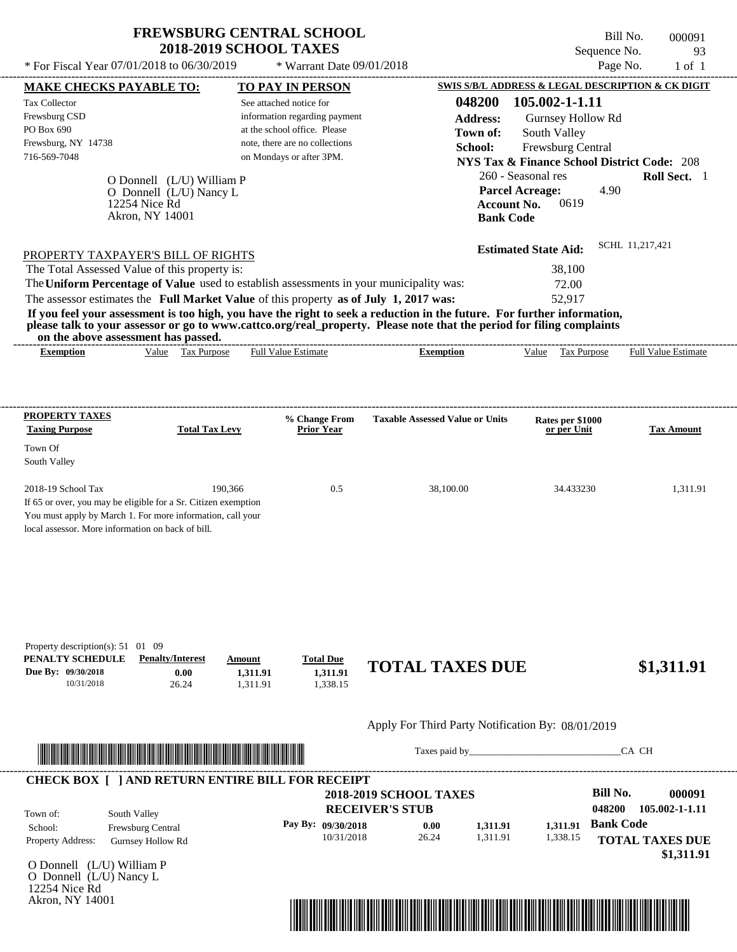\* For Fiscal Year  $07/01/2018$  to  $06/30/2019$  \* Warrant Date  $09/01/2018$  Page No. 1 of 1

\* Warrant Date 09/01/2018

---------------------------------------------------------------------------------------------------------------------------------------------------------------------------------------------------- Bill No. 000091 Sequence No. 93

| <b>MAKE CHECKS PAYABLE TO:</b>                                                                                                                                                                                                       |                                  | <b>TO PAY IN PERSON</b>                                                               |                                                                                                                         | SWIS S/B/L ADDRESS & LEGAL DESCRIPTION & CK DIGIT      |                                    |
|--------------------------------------------------------------------------------------------------------------------------------------------------------------------------------------------------------------------------------------|----------------------------------|---------------------------------------------------------------------------------------|-------------------------------------------------------------------------------------------------------------------------|--------------------------------------------------------|------------------------------------|
| <b>Tax Collector</b>                                                                                                                                                                                                                 |                                  | See attached notice for                                                               | 048200                                                                                                                  | 105.002-1-1.11                                         |                                    |
| Frewsburg CSD                                                                                                                                                                                                                        |                                  | information regarding payment                                                         | <b>Address:</b>                                                                                                         | Gurnsey Hollow Rd                                      |                                    |
| PO Box 690                                                                                                                                                                                                                           |                                  | at the school office. Please                                                          | Town of:                                                                                                                | South Valley                                           |                                    |
| Frewsburg, NY 14738                                                                                                                                                                                                                  |                                  | note, there are no collections                                                        | School:                                                                                                                 | Frewsburg Central                                      |                                    |
| 716-569-7048                                                                                                                                                                                                                         |                                  | on Mondays or after 3PM.                                                              |                                                                                                                         | <b>NYS Tax &amp; Finance School District Code: 208</b> |                                    |
|                                                                                                                                                                                                                                      | O Donnell (L/U) William P        |                                                                                       |                                                                                                                         | 260 - Seasonal res                                     | Roll Sect. 1                       |
|                                                                                                                                                                                                                                      | O Donnell (L/U) Nancy L          |                                                                                       |                                                                                                                         | <b>Parcel Acreage:</b>                                 | 4.90                               |
|                                                                                                                                                                                                                                      | 12254 Nice Rd<br>Akron, NY 14001 |                                                                                       |                                                                                                                         | 0619<br><b>Account No.</b>                             |                                    |
|                                                                                                                                                                                                                                      |                                  |                                                                                       |                                                                                                                         | <b>Bank Code</b>                                       |                                    |
|                                                                                                                                                                                                                                      |                                  |                                                                                       |                                                                                                                         | <b>Estimated State Aid:</b>                            | SCHL 11,217,421                    |
| PROPERTY TAXPAYER'S BILL OF RIGHTS                                                                                                                                                                                                   |                                  |                                                                                       |                                                                                                                         |                                                        |                                    |
| The Total Assessed Value of this property is:                                                                                                                                                                                        |                                  |                                                                                       |                                                                                                                         | 38,100                                                 |                                    |
|                                                                                                                                                                                                                                      |                                  |                                                                                       | The Uniform Percentage of Value used to establish assessments in your municipality was:                                 | 72.00                                                  |                                    |
|                                                                                                                                                                                                                                      |                                  | The assessor estimates the Full Market Value of this property as of July 1, 2017 was: | If you feel your assessment is too high, you have the right to seek a reduction in the future. For further information, | 52,917                                                 |                                    |
| on the above assessment has passed.                                                                                                                                                                                                  |                                  |                                                                                       | please talk to your assessor or go to www.cattco.org/real_property. Please note that the period for filing complaints   |                                                        |                                    |
| <b>Exemption</b>                                                                                                                                                                                                                     | Value Tax Purpose                | <b>Full Value Estimate</b>                                                            | <b>Exemption</b>                                                                                                        | Value Tax Purpose                                      | <b>Full Value Estimate</b>         |
|                                                                                                                                                                                                                                      |                                  |                                                                                       |                                                                                                                         |                                                        |                                    |
|                                                                                                                                                                                                                                      |                                  |                                                                                       |                                                                                                                         |                                                        |                                    |
| <b>PROPERTY TAXES</b>                                                                                                                                                                                                                |                                  | % Change From                                                                         | <b>Taxable Assessed Value or Units</b>                                                                                  | Rates per \$1000                                       |                                    |
| <b>Taxing Purpose</b>                                                                                                                                                                                                                | <b>Total Tax Levy</b>            | <b>Prior Year</b>                                                                     |                                                                                                                         | or per Unit                                            | <b>Tax Amount</b>                  |
| Town Of                                                                                                                                                                                                                              |                                  |                                                                                       |                                                                                                                         |                                                        |                                    |
| South Valley                                                                                                                                                                                                                         |                                  |                                                                                       |                                                                                                                         |                                                        |                                    |
|                                                                                                                                                                                                                                      | 190,366                          | 0.5                                                                                   |                                                                                                                         | 34.433230                                              |                                    |
| 2018-19 School Tax<br>If 65 or over, you may be eligible for a Sr. Citizen exemption                                                                                                                                                 |                                  |                                                                                       | 38,100.00                                                                                                               |                                                        | 1,311.91                           |
| You must apply by March 1. For more information, call your                                                                                                                                                                           |                                  |                                                                                       |                                                                                                                         |                                                        |                                    |
| local assessor. More information on back of bill.                                                                                                                                                                                    |                                  |                                                                                       |                                                                                                                         |                                                        |                                    |
|                                                                                                                                                                                                                                      |                                  |                                                                                       |                                                                                                                         |                                                        |                                    |
|                                                                                                                                                                                                                                      |                                  |                                                                                       |                                                                                                                         |                                                        |                                    |
|                                                                                                                                                                                                                                      |                                  |                                                                                       |                                                                                                                         |                                                        |                                    |
|                                                                                                                                                                                                                                      |                                  |                                                                                       |                                                                                                                         |                                                        |                                    |
|                                                                                                                                                                                                                                      |                                  |                                                                                       |                                                                                                                         |                                                        |                                    |
|                                                                                                                                                                                                                                      |                                  |                                                                                       |                                                                                                                         |                                                        |                                    |
| Property description(s): 51 01 09                                                                                                                                                                                                    |                                  |                                                                                       |                                                                                                                         |                                                        |                                    |
| PENALTY SCHEDULE                                                                                                                                                                                                                     | <b>Penalty/Interest</b>          | <b>Total Due</b><br>Amount                                                            | <b>TOTAL TAXES DUE</b>                                                                                                  |                                                        |                                    |
| Due By: 09/30/2018                                                                                                                                                                                                                   | 0.00                             | 1,311.91<br>1,311.91                                                                  |                                                                                                                         |                                                        | \$1,311.91                         |
| 10/31/2018                                                                                                                                                                                                                           | 26.24                            | 1,338.15<br>1,311.91                                                                  |                                                                                                                         |                                                        |                                    |
|                                                                                                                                                                                                                                      |                                  |                                                                                       |                                                                                                                         |                                                        |                                    |
|                                                                                                                                                                                                                                      |                                  |                                                                                       | Apply For Third Party Notification By: 08/01/2019                                                                       |                                                        |                                    |
| <u> In the second contract of the second contract of the second contract of the second contract of the second contract of the second contract of the second contract of the second contract of the second contract of the second</u> |                                  |                                                                                       |                                                                                                                         |                                                        | CA CH                              |
|                                                                                                                                                                                                                                      |                                  |                                                                                       |                                                                                                                         |                                                        |                                    |
|                                                                                                                                                                                                                                      |                                  | <b>CHECK BOX [ ] AND RETURN ENTIRE BILL FOR RECEIPT</b>                               |                                                                                                                         |                                                        | <b>Bill No.</b>                    |
|                                                                                                                                                                                                                                      |                                  |                                                                                       | <b>2018-2019 SCHOOL TAXES</b>                                                                                           |                                                        | 000091<br>048200<br>105.002-1-1.11 |
| South Valley<br>Town of:                                                                                                                                                                                                             |                                  |                                                                                       | <b>RECEIVER'S STUB</b>                                                                                                  |                                                        |                                    |
| School:                                                                                                                                                                                                                              | Frewsburg Central                | Pay By: 09/30/2018<br>10/31/2018                                                      | 0.00<br>1,311.91<br>26.24<br>1,311.91                                                                                   | 1,311.91<br>1,338.15                                   | <b>Bank Code</b>                   |
| Property Address:                                                                                                                                                                                                                    | <b>Gurnsey Hollow Rd</b>         |                                                                                       |                                                                                                                         |                                                        | <b>TOTAL TAXES DUE</b>             |
| O Donnell (L/U) William P                                                                                                                                                                                                            |                                  |                                                                                       |                                                                                                                         |                                                        | \$1,311.91                         |
| O Donnell (L/U) Nancy L                                                                                                                                                                                                              |                                  |                                                                                       |                                                                                                                         |                                                        |                                    |
| 12254 Nice Rd                                                                                                                                                                                                                        |                                  |                                                                                       |                                                                                                                         |                                                        |                                    |
| Akron, NY 14001                                                                                                                                                                                                                      |                                  |                                                                                       |                                                                                                                         |                                                        |                                    |
|                                                                                                                                                                                                                                      |                                  |                                                                                       |                                                                                                                         |                                                        |                                    |
|                                                                                                                                                                                                                                      |                                  |                                                                                       |                                                                                                                         |                                                        |                                    |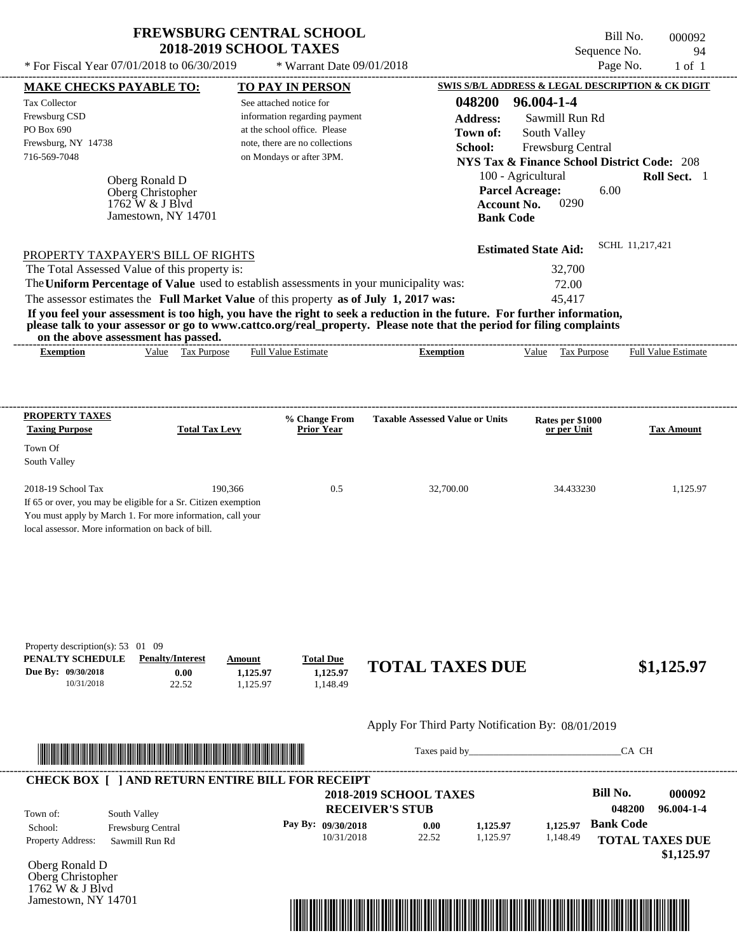Jamestown, NY 14701

Bill No. 000092 Sequence No. 94<br>Page No. 1 of 1

| * For Fiscal Year 07/01/2018 to 06/30/2019                                                                                                                                                                                                                                                                                                                                                                                                                                                                                                                                                                                                                                                                                                 |                                | * Warrant Date 09/01/2018                                                                                                   |                                                   |                                                                                                                                                                                                                                                                                           | Page No.                | $1$ of $1$                 |
|--------------------------------------------------------------------------------------------------------------------------------------------------------------------------------------------------------------------------------------------------------------------------------------------------------------------------------------------------------------------------------------------------------------------------------------------------------------------------------------------------------------------------------------------------------------------------------------------------------------------------------------------------------------------------------------------------------------------------------------------|--------------------------------|-----------------------------------------------------------------------------------------------------------------------------|---------------------------------------------------|-------------------------------------------------------------------------------------------------------------------------------------------------------------------------------------------------------------------------------------------------------------------------------------------|-------------------------|----------------------------|
| <b>MAKE CHECKS PAYABLE TO:</b>                                                                                                                                                                                                                                                                                                                                                                                                                                                                                                                                                                                                                                                                                                             |                                | <b>TO PAY IN PERSON</b>                                                                                                     |                                                   | SWIS S/B/L ADDRESS & LEGAL DESCRIPTION & CK DIGIT                                                                                                                                                                                                                                         |                         |                            |
| Tax Collector<br>Frewsburg CSD<br>PO Box 690<br>Frewsburg, NY 14738<br>716-569-7048<br>Oberg Ronald D<br>Oberg Christopher<br>1762 W & J Blvd<br>Jamestown, NY 14701<br>PROPERTY TAXPAYER'S BILL OF RIGHTS<br>The Total Assessed Value of this property is:<br>The Uniform Percentage of Value used to establish assessments in your municipality was:<br>The assessor estimates the Full Market Value of this property as of July 1, 2017 was:<br>If you feel your assessment is too high, you have the right to seek a reduction in the future. For further information,<br>please talk to your assessor or go to www.cattco.org/real_property. Please note that the period for filing complaints<br>on the above assessment has passed. | See attached notice for        | information regarding payment<br>at the school office. Please<br>note, there are no collections<br>on Mondays or after 3PM. | 048200<br><b>Address:</b><br>Town of:<br>School:  | 96.004-1-4<br>Sawmill Run Rd<br>South Valley<br>Frewsburg Central<br><b>NYS Tax &amp; Finance School District Code: 208</b><br>100 - Agricultural<br><b>Parcel Acreage:</b><br>0290<br><b>Account No.</b><br><b>Bank Code</b><br><b>Estimated State Aid:</b><br>32,700<br>72.00<br>45,417 | 6.00<br>SCHL 11,217,421 | Roll Sect. 1               |
| Value Tax Purpose<br><b>Exemption</b>                                                                                                                                                                                                                                                                                                                                                                                                                                                                                                                                                                                                                                                                                                      |                                | <b>Full Value Estimate</b>                                                                                                  | <b>Exemption</b>                                  | Value Tax Purpose                                                                                                                                                                                                                                                                         |                         | <b>Full Value Estimate</b> |
|                                                                                                                                                                                                                                                                                                                                                                                                                                                                                                                                                                                                                                                                                                                                            |                                |                                                                                                                             |                                                   |                                                                                                                                                                                                                                                                                           |                         |                            |
| <b>PROPERTY TAXES</b><br><b>Taxing Purpose</b><br><b>Total Tax Levy</b>                                                                                                                                                                                                                                                                                                                                                                                                                                                                                                                                                                                                                                                                    |                                | % Change From<br><b>Prior Year</b>                                                                                          | <b>Taxable Assessed Value or Units</b>            | Rates per \$1000<br>or per Unit                                                                                                                                                                                                                                                           |                         | <b>Tax Amount</b>          |
| Town Of<br>South Valley                                                                                                                                                                                                                                                                                                                                                                                                                                                                                                                                                                                                                                                                                                                    |                                |                                                                                                                             |                                                   |                                                                                                                                                                                                                                                                                           |                         |                            |
| 2018-19 School Tax<br>If 65 or over, you may be eligible for a Sr. Citizen exemption<br>You must apply by March 1. For more information, call your<br>local assessor. More information on back of bill.                                                                                                                                                                                                                                                                                                                                                                                                                                                                                                                                    | 190,366                        | 0.5                                                                                                                         | 32,700.00                                         | 34.433230                                                                                                                                                                                                                                                                                 |                         | 1,125.97                   |
| Property description(s): 53 01 09<br>PENALTY SCHEDULE<br><b>Penalty/Interest</b><br>Due By: 09/30/2018<br>0.00<br>10/31/2018<br>22.52                                                                                                                                                                                                                                                                                                                                                                                                                                                                                                                                                                                                      | Amount<br>1,125.97<br>1,125.97 | <b>Total Due</b><br>1,125.97<br>1,148.49                                                                                    | <b>TOTAL TAXES DUE</b>                            |                                                                                                                                                                                                                                                                                           |                         | \$1,125.97                 |
|                                                                                                                                                                                                                                                                                                                                                                                                                                                                                                                                                                                                                                                                                                                                            |                                |                                                                                                                             | Apply For Third Party Notification By: 08/01/2019 |                                                                                                                                                                                                                                                                                           |                         |                            |
| <u> Indian American American Indian American Indian American Indian American Indian American Indian American Indian</u>                                                                                                                                                                                                                                                                                                                                                                                                                                                                                                                                                                                                                    |                                |                                                                                                                             |                                                   | Taxes paid by                                                                                                                                                                                                                                                                             | CA CH                   |                            |
| <b>CHECK BOX [ ] AND RETURN ENTIRE BILL FOR RECEIPT</b>                                                                                                                                                                                                                                                                                                                                                                                                                                                                                                                                                                                                                                                                                    |                                |                                                                                                                             | <b>2018-2019 SCHOOL TAXES</b>                     |                                                                                                                                                                                                                                                                                           | <b>Bill No.</b>         | 000092                     |

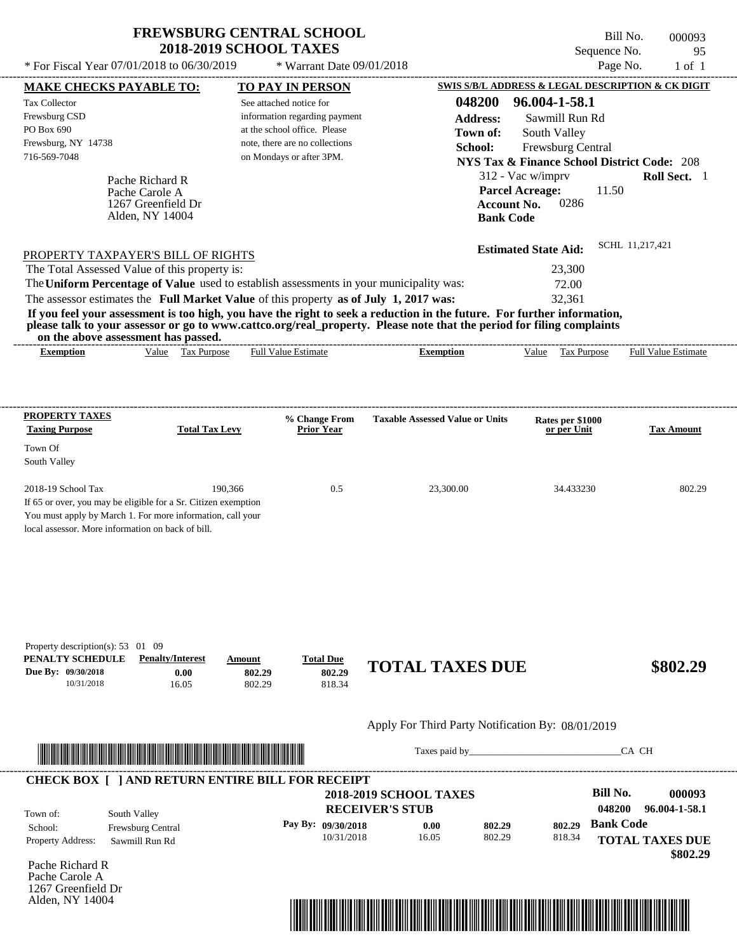\* For Fiscal Year  $07/01/2018$  to  $06/30/2019$  \* Warrant Date  $09/01/2018$  Page No. 1 of 1

 $*$  Warrant Date 09/01/2018

Bill No. 000093 Sequence No. 95

| <b>MAKE CHECKS PAYABLE TO:</b>                                 |                    |                         |        | <b>TO PAY IN PERSON</b>                                 |                                                                                                                                                                                                                                      |                  | <b>SWIS S/B/L ADDRESS &amp; LEGAL DESCRIPTION &amp; CK DIGIT</b> |                  |                        |
|----------------------------------------------------------------|--------------------|-------------------------|--------|---------------------------------------------------------|--------------------------------------------------------------------------------------------------------------------------------------------------------------------------------------------------------------------------------------|------------------|------------------------------------------------------------------|------------------|------------------------|
| <b>Tax Collector</b>                                           |                    |                         |        | See attached notice for                                 |                                                                                                                                                                                                                                      | 048200           | 96.004-1-58.1                                                    |                  |                        |
| Frewsburg CSD                                                  |                    |                         |        | information regarding payment                           |                                                                                                                                                                                                                                      | <b>Address:</b>  | Sawmill Run Rd                                                   |                  |                        |
| PO Box 690                                                     |                    |                         |        | at the school office. Please                            |                                                                                                                                                                                                                                      | Town of:         | South Valley                                                     |                  |                        |
| Frewsburg, NY 14738                                            |                    |                         |        | note, there are no collections                          |                                                                                                                                                                                                                                      | School:          | Frewsburg Central                                                |                  |                        |
| 716-569-7048                                                   |                    |                         |        | on Mondays or after 3PM.                                |                                                                                                                                                                                                                                      |                  | <b>NYS Tax &amp; Finance School District Code: 208</b>           |                  |                        |
|                                                                | Pache Richard R    |                         |        |                                                         |                                                                                                                                                                                                                                      |                  | 312 - Vac w/imprv                                                |                  | Roll Sect. 1           |
|                                                                | Pache Carole A     |                         |        |                                                         |                                                                                                                                                                                                                                      |                  | <b>Parcel Acreage:</b>                                           | 11.50            |                        |
|                                                                | 1267 Greenfield Dr |                         |        |                                                         |                                                                                                                                                                                                                                      |                  | 0286<br><b>Account No.</b>                                       |                  |                        |
|                                                                | Alden, NY 14004    |                         |        |                                                         |                                                                                                                                                                                                                                      | <b>Bank Code</b> |                                                                  |                  |                        |
|                                                                |                    |                         |        |                                                         |                                                                                                                                                                                                                                      |                  | <b>Estimated State Aid:</b>                                      |                  | SCHL 11,217,421        |
| PROPERTY TAXPAYER'S BILL OF RIGHTS                             |                    |                         |        |                                                         |                                                                                                                                                                                                                                      |                  |                                                                  |                  |                        |
| The Total Assessed Value of this property is:                  |                    |                         |        |                                                         | The Uniform Percentage of Value used to establish assessments in your municipality was:                                                                                                                                              |                  | 23,300                                                           |                  |                        |
|                                                                |                    |                         |        |                                                         |                                                                                                                                                                                                                                      |                  | 72.00<br>32,361                                                  |                  |                        |
|                                                                |                    |                         |        |                                                         | The assessor estimates the Full Market Value of this property as of July 1, 2017 was:<br>If you feel your assessment is too high, you have the right to seek a reduction in the future. For further information,                     |                  |                                                                  |                  |                        |
|                                                                |                    |                         |        |                                                         | please talk to your assessor or go to www.cattco.org/real_property. Please note that the period for filing complaints                                                                                                                |                  |                                                                  |                  |                        |
| on the above assessment has passed.<br><b>Exemption</b>        |                    | Value Tax Purpose       |        | <b>Full Value Estimate</b>                              | <b>Exemption</b>                                                                                                                                                                                                                     |                  | Value Tax Purpose Full Value Estimate                            |                  |                        |
|                                                                |                    |                         |        |                                                         |                                                                                                                                                                                                                                      |                  |                                                                  |                  |                        |
|                                                                |                    |                         |        |                                                         |                                                                                                                                                                                                                                      |                  |                                                                  |                  |                        |
| <b>PROPERTY TAXES</b>                                          |                    |                         |        |                                                         |                                                                                                                                                                                                                                      |                  |                                                                  |                  |                        |
| <b>Taxing Purpose</b>                                          |                    | <b>Total Tax Levy</b>   |        | % Change From<br><b>Prior Year</b>                      | <b>Taxable Assessed Value or Units</b>                                                                                                                                                                                               |                  | Rates per \$1000<br>or per Unit                                  |                  | <b>Tax Amount</b>      |
| Town Of                                                        |                    |                         |        |                                                         |                                                                                                                                                                                                                                      |                  |                                                                  |                  |                        |
| South Valley                                                   |                    |                         |        |                                                         |                                                                                                                                                                                                                                      |                  |                                                                  |                  |                        |
| 2018-19 School Tax                                             |                    | 190,366                 |        | 0.5                                                     | 23,300.00                                                                                                                                                                                                                            |                  | 34.433230                                                        |                  | 802.29                 |
| If 65 or over, you may be eligible for a Sr. Citizen exemption |                    |                         |        |                                                         |                                                                                                                                                                                                                                      |                  |                                                                  |                  |                        |
| You must apply by March 1. For more information, call your     |                    |                         |        |                                                         |                                                                                                                                                                                                                                      |                  |                                                                  |                  |                        |
| local assessor. More information on back of bill.              |                    |                         |        |                                                         |                                                                                                                                                                                                                                      |                  |                                                                  |                  |                        |
|                                                                |                    |                         |        |                                                         |                                                                                                                                                                                                                                      |                  |                                                                  |                  |                        |
|                                                                |                    |                         |        |                                                         |                                                                                                                                                                                                                                      |                  |                                                                  |                  |                        |
|                                                                |                    |                         |        |                                                         |                                                                                                                                                                                                                                      |                  |                                                                  |                  |                        |
|                                                                |                    |                         |        |                                                         |                                                                                                                                                                                                                                      |                  |                                                                  |                  |                        |
|                                                                |                    |                         |        |                                                         |                                                                                                                                                                                                                                      |                  |                                                                  |                  |                        |
|                                                                |                    |                         |        |                                                         |                                                                                                                                                                                                                                      |                  |                                                                  |                  |                        |
| Property description(s): 53 01 09<br>PENALTY SCHEDULE          |                    | <b>Penalty/Interest</b> | Amount | <b>Total Due</b>                                        |                                                                                                                                                                                                                                      |                  |                                                                  |                  |                        |
| Due By: 09/30/2018                                             |                    | 0.00                    | 802.29 | 802.29                                                  | <b>TOTAL TAXES DUE</b>                                                                                                                                                                                                               |                  |                                                                  |                  | \$802.29               |
| 10/31/2018                                                     |                    | 16.05                   | 802.29 | 818.34                                                  |                                                                                                                                                                                                                                      |                  |                                                                  |                  |                        |
|                                                                |                    |                         |        |                                                         |                                                                                                                                                                                                                                      |                  |                                                                  |                  |                        |
|                                                                |                    |                         |        |                                                         | Apply For Third Party Notification By: 08/01/2019                                                                                                                                                                                    |                  |                                                                  |                  |                        |
|                                                                |                    |                         |        |                                                         |                                                                                                                                                                                                                                      |                  | Taxes paid by                                                    |                  | CA CH                  |
|                                                                |                    |                         |        |                                                         |                                                                                                                                                                                                                                      |                  |                                                                  |                  |                        |
|                                                                |                    |                         |        | <b>CHECK BOX [ ] AND RETURN ENTIRE BILL FOR RECEIPT</b> | <b>2018-2019 SCHOOL TAXES</b>                                                                                                                                                                                                        |                  |                                                                  | <b>Bill No.</b>  | 000093                 |
|                                                                |                    |                         |        |                                                         | <b>RECEIVER'S STUB</b>                                                                                                                                                                                                               |                  |                                                                  | 048200           | 96.004-1-58.1          |
| Town of:                                                       | South Valley       |                         |        |                                                         |                                                                                                                                                                                                                                      |                  |                                                                  | <b>Bank Code</b> |                        |
| School:                                                        | Frewsburg Central  |                         |        | Pay By: 09/30/2018<br>10/31/2018                        | 0.00<br>16.05                                                                                                                                                                                                                        | 802.29<br>802.29 | 802.29<br>818.34                                                 |                  |                        |
| Property Address:                                              | Sawmill Run Rd     |                         |        |                                                         |                                                                                                                                                                                                                                      |                  |                                                                  |                  | <b>TOTAL TAXES DUE</b> |
| Pache Richard R                                                |                    |                         |        |                                                         |                                                                                                                                                                                                                                      |                  |                                                                  |                  | \$802.29               |
| Pache Carole A                                                 |                    |                         |        |                                                         |                                                                                                                                                                                                                                      |                  |                                                                  |                  |                        |
| 1267 Greenfield Dr                                             |                    |                         |        |                                                         |                                                                                                                                                                                                                                      |                  |                                                                  |                  |                        |
| Alden, NY 14004                                                |                    |                         |        |                                                         |                                                                                                                                                                                                                                      |                  |                                                                  |                  |                        |
|                                                                |                    |                         |        |                                                         | <u> 1989 - Andrea Stadt British Stadt British Stadt British Stadt British Stadt British Stadt British Stadt British Stadt British Stadt British Stadt British Stadt British Stadt British Stadt British Stadt British Stadt Brit</u> |                  |                                                                  |                  |                        |
|                                                                |                    |                         |        |                                                         |                                                                                                                                                                                                                                      |                  |                                                                  |                  |                        |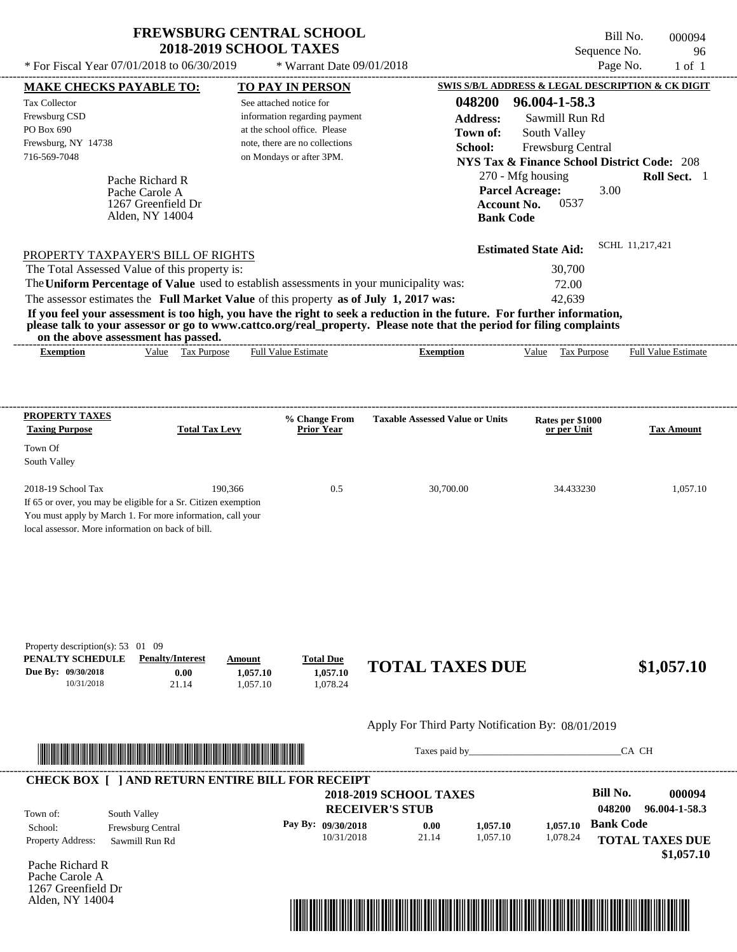$*$  For Fiscal Year 07/01/2018 to 06/30/2019

\* Warrant Date 09/01/2018

Bill No. 000094 Sequence No. 96<br>Page No. 1 of 1

| <b>MAKE CHECKS PAYABLE TO:</b>                                                                                         |                    |                         |          | <b>TO PAY IN PERSON</b>                                 |                                                                                                                         |                      |                                                                                                                                                                                                                                |                  | <b>SWIS S/B/L ADDRESS &amp; LEGAL DESCRIPTION &amp; CK DIGIT</b> |
|------------------------------------------------------------------------------------------------------------------------|--------------------|-------------------------|----------|---------------------------------------------------------|-------------------------------------------------------------------------------------------------------------------------|----------------------|--------------------------------------------------------------------------------------------------------------------------------------------------------------------------------------------------------------------------------|------------------|------------------------------------------------------------------|
| <b>Tax Collector</b>                                                                                                   |                    |                         |          | See attached notice for                                 |                                                                                                                         | 048200               | 96.004-1-58.3                                                                                                                                                                                                                  |                  |                                                                  |
| Frewsburg CSD                                                                                                          |                    |                         |          | information regarding payment                           |                                                                                                                         | <b>Address:</b>      | Sawmill Run Rd                                                                                                                                                                                                                 |                  |                                                                  |
| PO Box 690                                                                                                             |                    |                         |          | at the school office. Please                            |                                                                                                                         | Town of:             | South Valley                                                                                                                                                                                                                   |                  |                                                                  |
| Frewsburg, NY 14738                                                                                                    |                    |                         |          | note, there are no collections                          |                                                                                                                         | School:              | Frewsburg Central                                                                                                                                                                                                              |                  |                                                                  |
| 716-569-7048                                                                                                           |                    |                         |          | on Mondays or after 3PM.                                |                                                                                                                         |                      | <b>NYS Tax &amp; Finance School District Code: 208</b>                                                                                                                                                                         |                  |                                                                  |
|                                                                                                                        | Pache Richard R    |                         |          |                                                         |                                                                                                                         |                      | 270 - Mfg housing                                                                                                                                                                                                              |                  | Roll Sect. 1                                                     |
|                                                                                                                        | Pache Carole A     |                         |          |                                                         |                                                                                                                         |                      | <b>Parcel Acreage:</b>                                                                                                                                                                                                         | 3.00             |                                                                  |
|                                                                                                                        | 1267 Greenfield Dr |                         |          |                                                         |                                                                                                                         | <b>Account No.</b>   | 0537                                                                                                                                                                                                                           |                  |                                                                  |
|                                                                                                                        | Alden, NY 14004    |                         |          |                                                         |                                                                                                                         | <b>Bank Code</b>     |                                                                                                                                                                                                                                |                  |                                                                  |
|                                                                                                                        |                    |                         |          |                                                         |                                                                                                                         |                      | <b>Estimated State Aid:</b>                                                                                                                                                                                                    |                  | SCHL 11.217.421                                                  |
| PROPERTY TAXPAYER'S BILL OF RIGHTS                                                                                     |                    |                         |          |                                                         |                                                                                                                         |                      |                                                                                                                                                                                                                                |                  |                                                                  |
| The Total Assessed Value of this property is:                                                                          |                    |                         |          |                                                         | The Uniform Percentage of Value used to establish assessments in your municipality was:                                 |                      | 30,700<br>72.00                                                                                                                                                                                                                |                  |                                                                  |
|                                                                                                                        |                    |                         |          |                                                         | The assessor estimates the Full Market Value of this property as of July 1, 2017 was:                                   |                      | 42,639                                                                                                                                                                                                                         |                  |                                                                  |
|                                                                                                                        |                    |                         |          |                                                         | If you feel your assessment is too high, you have the right to seek a reduction in the future. For further information, |                      |                                                                                                                                                                                                                                |                  |                                                                  |
|                                                                                                                        |                    |                         |          |                                                         | please talk to your assessor or go to www.cattco.org/real_property. Please note that the period for filing complaints   |                      |                                                                                                                                                                                                                                |                  |                                                                  |
| on the above assessment has passed.<br><b>Exemption</b>                                                                |                    | Value Tax Purpose       |          | <b>Full Value Estimate</b>                              | <b>Exemption</b>                                                                                                        |                      |                                                                                                                                                                                                                                |                  | Value Tax Purpose Full Value Estimate                            |
|                                                                                                                        |                    |                         |          |                                                         |                                                                                                                         |                      |                                                                                                                                                                                                                                |                  |                                                                  |
|                                                                                                                        |                    |                         |          |                                                         |                                                                                                                         |                      |                                                                                                                                                                                                                                |                  |                                                                  |
|                                                                                                                        |                    |                         |          |                                                         |                                                                                                                         |                      |                                                                                                                                                                                                                                |                  |                                                                  |
| <b>PROPERTY TAXES</b><br><b>Taxing Purpose</b>                                                                         |                    | <b>Total Tax Levy</b>   |          | % Change From<br><b>Prior Year</b>                      | <b>Taxable Assessed Value or Units</b>                                                                                  |                      | Rates per \$1000<br>or per Unit                                                                                                                                                                                                |                  | <b>Tax Amount</b>                                                |
| Town Of                                                                                                                |                    |                         |          |                                                         |                                                                                                                         |                      |                                                                                                                                                                                                                                |                  |                                                                  |
| South Valley                                                                                                           |                    |                         |          |                                                         |                                                                                                                         |                      |                                                                                                                                                                                                                                |                  |                                                                  |
| 2018-19 School Tax                                                                                                     |                    | 190,366                 |          | 0.5                                                     | 30,700.00                                                                                                               |                      | 34.433230                                                                                                                                                                                                                      |                  | 1,057.10                                                         |
| If 65 or over, you may be eligible for a Sr. Citizen exemption                                                         |                    |                         |          |                                                         |                                                                                                                         |                      |                                                                                                                                                                                                                                |                  |                                                                  |
| You must apply by March 1. For more information, call your                                                             |                    |                         |          |                                                         |                                                                                                                         |                      |                                                                                                                                                                                                                                |                  |                                                                  |
| local assessor. More information on back of bill.                                                                      |                    |                         |          |                                                         |                                                                                                                         |                      |                                                                                                                                                                                                                                |                  |                                                                  |
|                                                                                                                        |                    |                         |          |                                                         |                                                                                                                         |                      |                                                                                                                                                                                                                                |                  |                                                                  |
|                                                                                                                        |                    |                         |          |                                                         |                                                                                                                         |                      |                                                                                                                                                                                                                                |                  |                                                                  |
|                                                                                                                        |                    |                         |          |                                                         |                                                                                                                         |                      |                                                                                                                                                                                                                                |                  |                                                                  |
|                                                                                                                        |                    |                         |          |                                                         |                                                                                                                         |                      |                                                                                                                                                                                                                                |                  |                                                                  |
|                                                                                                                        |                    |                         |          |                                                         |                                                                                                                         |                      |                                                                                                                                                                                                                                |                  |                                                                  |
|                                                                                                                        |                    |                         |          |                                                         |                                                                                                                         |                      |                                                                                                                                                                                                                                |                  |                                                                  |
| Property description(s): 53 01 09<br>PENALTY SCHEDULE                                                                  |                    | <b>Penalty/Interest</b> | Amount   | <b>Total Due</b>                                        |                                                                                                                         |                      |                                                                                                                                                                                                                                |                  |                                                                  |
| Due By: 09/30/2018                                                                                                     |                    | 0.00                    | 1,057.10 | 1,057.10                                                | <b>TOTAL TAXES DUE</b>                                                                                                  |                      |                                                                                                                                                                                                                                |                  | \$1,057.10                                                       |
| 10/31/2018                                                                                                             |                    | 21.14                   | 1,057.10 | 1,078.24                                                |                                                                                                                         |                      |                                                                                                                                                                                                                                |                  |                                                                  |
|                                                                                                                        |                    |                         |          |                                                         |                                                                                                                         |                      |                                                                                                                                                                                                                                |                  |                                                                  |
|                                                                                                                        |                    |                         |          |                                                         | Apply For Third Party Notification By: 08/01/2019                                                                       |                      |                                                                                                                                                                                                                                |                  |                                                                  |
| <u> HERE I AN DE HERE I AN DER EIN DER EIN DER EIN DER EIN DIE HER DER EIN DER EIN DER EIN DER EIN BEHEINEN BEREIC</u> |                    |                         |          |                                                         |                                                                                                                         |                      | Taxes paid by Taxes and the Taxes and the Taxes and the Taxes are the Taxes and the Taxes and the Taxes and the Taxes and the Taxes and the Taxes and the Taxes and the Taxes and the Taxes and the Taxes and the Taxes and th |                  | CA CH                                                            |
|                                                                                                                        |                    |                         |          |                                                         |                                                                                                                         |                      |                                                                                                                                                                                                                                |                  |                                                                  |
|                                                                                                                        |                    |                         |          | <b>CHECK BOX [ ] AND RETURN ENTIRE BILL FOR RECEIPT</b> | <b>2018-2019 SCHOOL TAXES</b>                                                                                           |                      |                                                                                                                                                                                                                                | <b>Bill No.</b>  | 000094                                                           |
|                                                                                                                        |                    |                         |          |                                                         |                                                                                                                         |                      |                                                                                                                                                                                                                                | 048200           | 96.004-1-58.3                                                    |
| Town of:                                                                                                               | South Valley       |                         |          |                                                         | <b>RECEIVER'S STUB</b>                                                                                                  |                      |                                                                                                                                                                                                                                |                  |                                                                  |
| School:                                                                                                                | Frewsburg Central  |                         |          | Pay By: 09/30/2018                                      | 0.00<br>21.14                                                                                                           | 1,057.10<br>1,057.10 | 1,057.10                                                                                                                                                                                                                       | <b>Bank Code</b> |                                                                  |
| Property Address:                                                                                                      | Sawmill Run Rd     |                         |          | 10/31/2018                                              |                                                                                                                         |                      | 1,078.24                                                                                                                                                                                                                       |                  | <b>TOTAL TAXES DUE</b>                                           |
| Pache Richard R                                                                                                        |                    |                         |          |                                                         |                                                                                                                         |                      |                                                                                                                                                                                                                                |                  | \$1,057.10                                                       |
| Pache Carole A                                                                                                         |                    |                         |          |                                                         |                                                                                                                         |                      |                                                                                                                                                                                                                                |                  |                                                                  |
| 1267 Greenfield Dr                                                                                                     |                    |                         |          |                                                         |                                                                                                                         |                      |                                                                                                                                                                                                                                |                  |                                                                  |
| Alden, NY 14004                                                                                                        |                    |                         |          |                                                         |                                                                                                                         |                      |                                                                                                                                                                                                                                |                  |                                                                  |
|                                                                                                                        |                    |                         |          |                                                         | <u> 1989 - Andrea Stadt British, mark ar yn y brenin y brenin y brenin y brenin y brenin y brenin y brenin y bre</u>    |                      |                                                                                                                                                                                                                                |                  |                                                                  |
|                                                                                                                        |                    |                         |          |                                                         |                                                                                                                         |                      |                                                                                                                                                                                                                                |                  |                                                                  |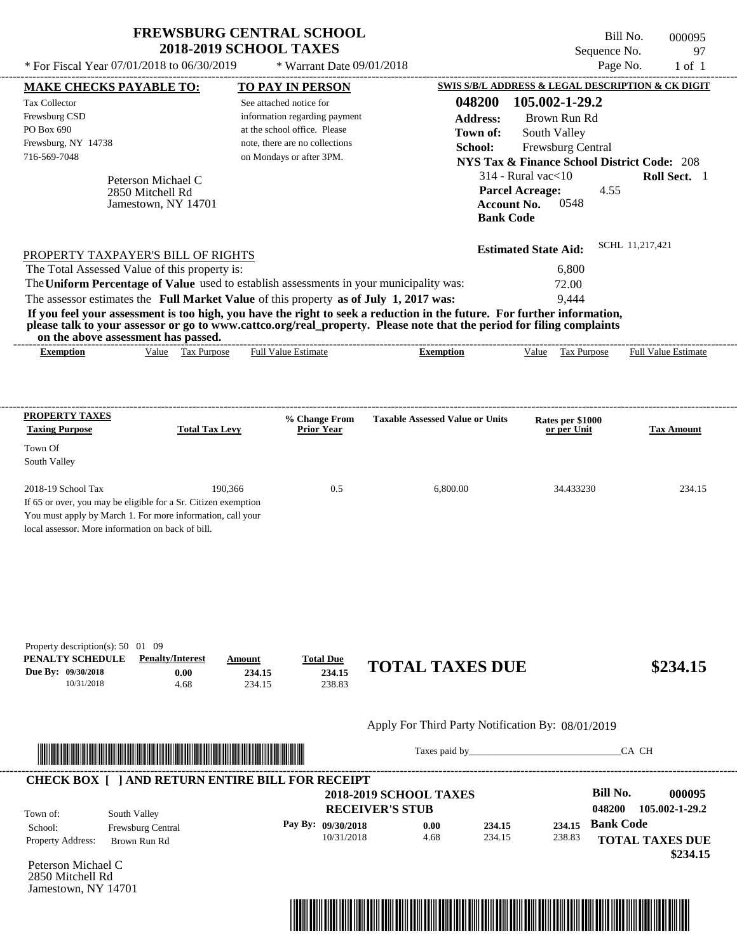| <b>FREWSBURG CENTRAL SCHOOL</b> |
|---------------------------------|
| <b>2018-2019 SCHOOL TAXES</b>   |

Bill No. 000095 Sequence No. 97  $*$  For Fiscal Year 07/01/2018 to 06/30/2019  $*$  Warrant Date 09/01/2018 Page No. 1 of 1

|                                                   | <b>MAKE CHECKS PAYABLE TO:</b>      |                                                                                                                       | <b>TO PAY IN PERSON</b>                                                               |                                                                                                                         | SWIS S/B/L ADDRESS & LEGAL DESCRIPTION & CK DIGIT      |                                                      |
|---------------------------------------------------|-------------------------------------|-----------------------------------------------------------------------------------------------------------------------|---------------------------------------------------------------------------------------|-------------------------------------------------------------------------------------------------------------------------|--------------------------------------------------------|------------------------------------------------------|
| <b>Tax Collector</b>                              |                                     |                                                                                                                       | See attached notice for                                                               | 048200                                                                                                                  | 105.002-1-29.2                                         |                                                      |
| Frewsburg CSD                                     |                                     |                                                                                                                       | information regarding payment                                                         | <b>Address:</b>                                                                                                         | Brown Run Rd                                           |                                                      |
| PO Box 690                                        |                                     |                                                                                                                       | at the school office. Please                                                          | Town of:                                                                                                                | South Valley                                           |                                                      |
| Frewsburg, NY 14738                               |                                     |                                                                                                                       | note, there are no collections                                                        | School:                                                                                                                 | Frewsburg Central                                      |                                                      |
| 716-569-7048                                      |                                     |                                                                                                                       | on Mondays or after 3PM.                                                              |                                                                                                                         | <b>NYS Tax &amp; Finance School District Code: 208</b> |                                                      |
|                                                   | Peterson Michael C                  |                                                                                                                       |                                                                                       |                                                                                                                         | $314$ - Rural vac $<$ 10                               | Roll Sect. 1                                         |
|                                                   | 2850 Mitchell Rd                    |                                                                                                                       |                                                                                       |                                                                                                                         | <b>Parcel Acreage:</b>                                 | 4.55                                                 |
|                                                   | Jamestown, NY 14701                 |                                                                                                                       |                                                                                       |                                                                                                                         | 0548<br><b>Account No.</b>                             |                                                      |
|                                                   |                                     |                                                                                                                       |                                                                                       |                                                                                                                         | <b>Bank Code</b>                                       |                                                      |
|                                                   |                                     |                                                                                                                       |                                                                                       |                                                                                                                         | <b>Estimated State Aid:</b>                            | SCHL 11,217,421                                      |
| The Total Assessed Value of this property is:     |                                     | PROPERTY TAXPAYER'S BILL OF RIGHTS                                                                                    |                                                                                       |                                                                                                                         | 6,800                                                  |                                                      |
|                                                   |                                     |                                                                                                                       |                                                                                       | The Uniform Percentage of Value used to establish assessments in your municipality was:                                 | 72.00                                                  |                                                      |
|                                                   |                                     |                                                                                                                       | The assessor estimates the Full Market Value of this property as of July 1, 2017 was: |                                                                                                                         | 9,444                                                  |                                                      |
|                                                   |                                     |                                                                                                                       |                                                                                       | If you feel your assessment is too high, you have the right to seek a reduction in the future. For further information, |                                                        |                                                      |
|                                                   |                                     |                                                                                                                       |                                                                                       | please talk to your assessor or go to www.cattco.org/real_property. Please note that the period for filing complaints   |                                                        |                                                      |
| <b>Exemption</b>                                  | on the above assessment has passed. | Value Tax Purpose                                                                                                     | <b>Full Value Estimate</b>                                                            | <b>Exemption</b>                                                                                                        |                                                        | Value Tax Purpose Full Value Estimate                |
|                                                   |                                     |                                                                                                                       |                                                                                       |                                                                                                                         |                                                        |                                                      |
|                                                   |                                     |                                                                                                                       |                                                                                       |                                                                                                                         |                                                        |                                                      |
| <b>PROPERTY TAXES</b>                             |                                     |                                                                                                                       |                                                                                       | <b>Taxable Assessed Value or Units</b>                                                                                  |                                                        |                                                      |
| <b>Taxing Purpose</b>                             |                                     | <b>Total Tax Levy</b>                                                                                                 | % Change From<br><b>Prior Year</b>                                                    |                                                                                                                         | Rates per \$1000<br>or per Unit                        | <b>Tax Amount</b>                                    |
| Town Of                                           |                                     |                                                                                                                       |                                                                                       |                                                                                                                         |                                                        |                                                      |
| South Valley                                      |                                     |                                                                                                                       |                                                                                       |                                                                                                                         |                                                        |                                                      |
| 2018-19 School Tax                                |                                     | 190,366                                                                                                               | 0.5                                                                                   | 6,800.00                                                                                                                | 34.433230                                              | 234.15                                               |
|                                                   |                                     | If 65 or over, you may be eligible for a Sr. Citizen exemption                                                        |                                                                                       |                                                                                                                         |                                                        |                                                      |
|                                                   |                                     | You must apply by March 1. For more information, call your                                                            |                                                                                       |                                                                                                                         |                                                        |                                                      |
|                                                   |                                     |                                                                                                                       |                                                                                       |                                                                                                                         |                                                        |                                                      |
| local assessor. More information on back of bill. |                                     |                                                                                                                       |                                                                                       |                                                                                                                         |                                                        |                                                      |
|                                                   |                                     |                                                                                                                       |                                                                                       |                                                                                                                         |                                                        |                                                      |
|                                                   |                                     |                                                                                                                       |                                                                                       |                                                                                                                         |                                                        |                                                      |
|                                                   |                                     |                                                                                                                       |                                                                                       |                                                                                                                         |                                                        |                                                      |
|                                                   |                                     |                                                                                                                       |                                                                                       |                                                                                                                         |                                                        |                                                      |
| Property description(s): $50 \quad 01 \quad 09$   |                                     |                                                                                                                       |                                                                                       |                                                                                                                         |                                                        |                                                      |
| PENALTY SCHEDULE                                  | <b>Penalty/Interest</b>             | Amount                                                                                                                | <b>Total Due</b>                                                                      |                                                                                                                         |                                                        |                                                      |
| Due By: 09/30/2018                                |                                     | 0.00                                                                                                                  | 234.15<br>234.15                                                                      | <b>TOTAL TAXES DUE</b>                                                                                                  |                                                        | \$234.15                                             |
| 10/31/2018                                        |                                     | 4.68<br>234.15                                                                                                        | 238.83                                                                                |                                                                                                                         |                                                        |                                                      |
|                                                   |                                     |                                                                                                                       |                                                                                       | Apply For Third Party Notification By: 08/01/2019                                                                       |                                                        |                                                      |
|                                                   |                                     |                                                                                                                       |                                                                                       |                                                                                                                         |                                                        |                                                      |
|                                                   |                                     | <u> HENDELD HENDELD HENDELD HENDELD HENDELD HENDELD HENDELD HENDELD HENDELD HENDELD HENDELD HENDELD HENDELD HENDE</u> |                                                                                       |                                                                                                                         | Taxes paid by                                          | CA CH                                                |
|                                                   |                                     |                                                                                                                       | <b>CHECK BOX [ ] AND RETURN ENTIRE BILL FOR RECEIPT</b>                               |                                                                                                                         |                                                        |                                                      |
|                                                   |                                     |                                                                                                                       |                                                                                       | <b>2018-2019 SCHOOL TAXES</b>                                                                                           |                                                        | <b>Bill No.</b><br>000095                            |
| Town of:                                          | South Valley                        |                                                                                                                       |                                                                                       | <b>RECEIVER'S STUB</b>                                                                                                  |                                                        | 048200                                               |
| School:                                           | Frewsburg Central                   |                                                                                                                       | Pay By: 09/30/2018                                                                    | 234.15<br>0.00                                                                                                          | 234.15                                                 | <b>Bank Code</b>                                     |
| Property Address:                                 | Brown Run Rd                        |                                                                                                                       | 10/31/2018                                                                            | 4.68<br>234.15                                                                                                          | 238.83                                                 |                                                      |
|                                                   |                                     |                                                                                                                       |                                                                                       |                                                                                                                         |                                                        | 105.002-1-29.2<br><b>TOTAL TAXES DUE</b><br>\$234.15 |
| Peterson Michael C<br>2850 Mitchell Rd            |                                     |                                                                                                                       |                                                                                       |                                                                                                                         |                                                        |                                                      |

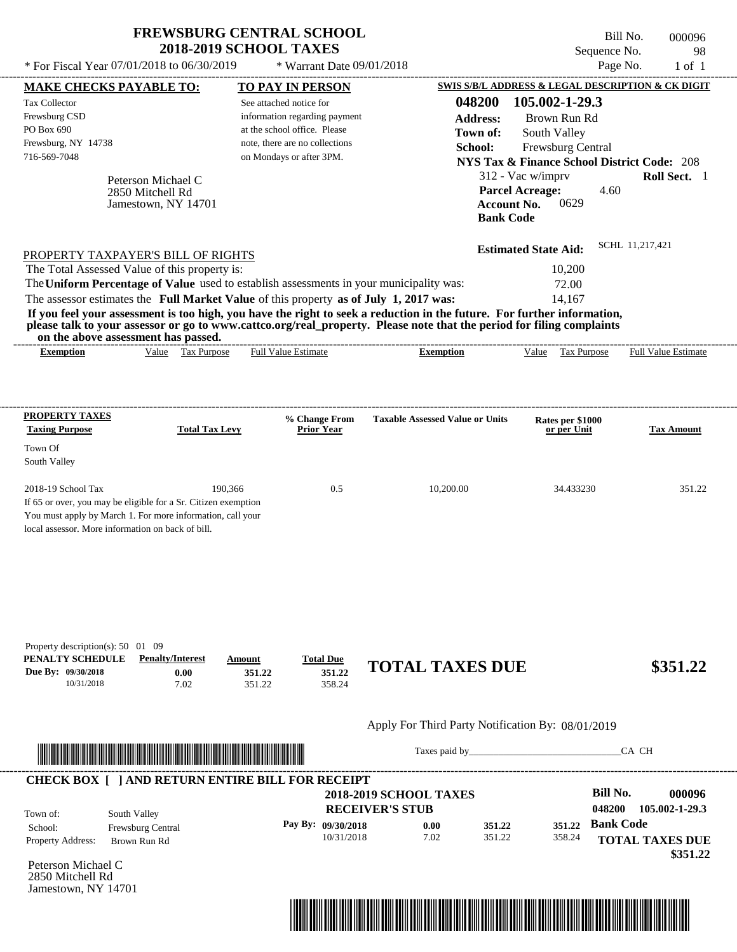| <b>FREWSBURG CENTRAL SCHOOL</b> |
|---------------------------------|
| <b>2018-2019 SCHOOL TAXES</b>   |

---------------------------------------------------------------------------------------------------------------------------------------------------------------------------------------------------- Bill No. 000096 Sequence No. 98  $*$  For Fiscal Year 07/01/2018 to 06/30/2019  $*$  Warrant Date 09/01/2018 Page No. 1 of 1

| <b>MAKE CHECKS PAYABLE TO:</b>                                                                                                                                                                                                       |                         |                       |        | <b>TO PAY IN PERSON</b>                                    |                                                                                                                         |                                        | SWIS S/B/L ADDRESS & LEGAL DESCRIPTION & CK DIGIT      |                  |                            |
|--------------------------------------------------------------------------------------------------------------------------------------------------------------------------------------------------------------------------------------|-------------------------|-----------------------|--------|------------------------------------------------------------|-------------------------------------------------------------------------------------------------------------------------|----------------------------------------|--------------------------------------------------------|------------------|----------------------------|
| <b>Tax Collector</b>                                                                                                                                                                                                                 |                         |                       |        | See attached notice for                                    |                                                                                                                         | 048200                                 | 105.002-1-29.3                                         |                  |                            |
| Frewsburg CSD                                                                                                                                                                                                                        |                         |                       |        | information regarding payment                              |                                                                                                                         | <b>Address:</b>                        | Brown Run Rd                                           |                  |                            |
| PO Box 690                                                                                                                                                                                                                           |                         |                       |        | at the school office. Please                               |                                                                                                                         | Town of:                               | South Valley                                           |                  |                            |
| Frewsburg, NY 14738<br>716-569-7048                                                                                                                                                                                                  |                         |                       |        | note, there are no collections<br>on Mondays or after 3PM. |                                                                                                                         | School:                                | Frewsburg Central                                      |                  |                            |
|                                                                                                                                                                                                                                      |                         |                       |        |                                                            |                                                                                                                         |                                        | <b>NYS Tax &amp; Finance School District Code: 208</b> |                  |                            |
|                                                                                                                                                                                                                                      | Peterson Michael C      |                       |        |                                                            |                                                                                                                         |                                        | 312 - Vac w/imprv                                      |                  | Roll Sect. 1               |
|                                                                                                                                                                                                                                      | 2850 Mitchell Rd        |                       |        |                                                            |                                                                                                                         |                                        | <b>Parcel Acreage:</b>                                 | 4.60             |                            |
|                                                                                                                                                                                                                                      | Jamestown, NY 14701     |                       |        |                                                            |                                                                                                                         | <b>Account No.</b><br><b>Bank Code</b> | 0629                                                   |                  |                            |
|                                                                                                                                                                                                                                      |                         |                       |        |                                                            |                                                                                                                         |                                        |                                                        |                  |                            |
|                                                                                                                                                                                                                                      |                         |                       |        |                                                            |                                                                                                                         |                                        | <b>Estimated State Aid:</b>                            |                  | SCHL 11,217,421            |
| PROPERTY TAXPAYER'S BILL OF RIGHTS                                                                                                                                                                                                   |                         |                       |        |                                                            |                                                                                                                         |                                        |                                                        |                  |                            |
| The Total Assessed Value of this property is:                                                                                                                                                                                        |                         |                       |        |                                                            | The Uniform Percentage of Value used to establish assessments in your municipality was:                                 |                                        | 10,200<br>72.00                                        |                  |                            |
|                                                                                                                                                                                                                                      |                         |                       |        |                                                            | The assessor estimates the Full Market Value of this property as of July 1, 2017 was:                                   |                                        | 14,167                                                 |                  |                            |
|                                                                                                                                                                                                                                      |                         |                       |        |                                                            | If you feel your assessment is too high, you have the right to seek a reduction in the future. For further information, |                                        |                                                        |                  |                            |
|                                                                                                                                                                                                                                      |                         |                       |        |                                                            | please talk to your assessor or go to www.cattco.org/real_property. Please note that the period for filing complaints   |                                        |                                                        |                  |                            |
| on the above assessment has passed.                                                                                                                                                                                                  |                         |                       |        |                                                            |                                                                                                                         |                                        |                                                        |                  |                            |
| <b>Exemption</b>                                                                                                                                                                                                                     |                         | Value Tax Purpose     |        | <b>Full Value Estimate</b>                                 | <b>Exemption</b>                                                                                                        |                                        | Value Tax Purpose                                      |                  | <b>Full Value Estimate</b> |
|                                                                                                                                                                                                                                      |                         |                       |        |                                                            |                                                                                                                         |                                        |                                                        |                  |                            |
|                                                                                                                                                                                                                                      |                         |                       |        |                                                            |                                                                                                                         |                                        |                                                        |                  |                            |
| <b>PROPERTY TAXES</b>                                                                                                                                                                                                                |                         |                       |        |                                                            |                                                                                                                         |                                        |                                                        |                  |                            |
| <b>Taxing Purpose</b>                                                                                                                                                                                                                |                         | <b>Total Tax Levy</b> |        | % Change From<br><b>Prior Year</b>                         | <b>Taxable Assessed Value or Units</b>                                                                                  |                                        | Rates per \$1000<br>or per Unit                        |                  | <b>Tax Amount</b>          |
| Town Of                                                                                                                                                                                                                              |                         |                       |        |                                                            |                                                                                                                         |                                        |                                                        |                  |                            |
| South Valley                                                                                                                                                                                                                         |                         |                       |        |                                                            |                                                                                                                         |                                        |                                                        |                  |                            |
|                                                                                                                                                                                                                                      |                         |                       |        |                                                            |                                                                                                                         |                                        |                                                        |                  |                            |
| 2018-19 School Tax                                                                                                                                                                                                                   |                         | 190,366               |        | 0.5                                                        | 10,200.00                                                                                                               |                                        | 34.433230                                              |                  | 351.22                     |
| If 65 or over, you may be eligible for a Sr. Citizen exemption                                                                                                                                                                       |                         |                       |        |                                                            |                                                                                                                         |                                        |                                                        |                  |                            |
| You must apply by March 1. For more information, call your<br>local assessor. More information on back of bill.                                                                                                                      |                         |                       |        |                                                            |                                                                                                                         |                                        |                                                        |                  |                            |
|                                                                                                                                                                                                                                      |                         |                       |        |                                                            |                                                                                                                         |                                        |                                                        |                  |                            |
|                                                                                                                                                                                                                                      |                         |                       |        |                                                            |                                                                                                                         |                                        |                                                        |                  |                            |
|                                                                                                                                                                                                                                      |                         |                       |        |                                                            |                                                                                                                         |                                        |                                                        |                  |                            |
|                                                                                                                                                                                                                                      |                         |                       |        |                                                            |                                                                                                                         |                                        |                                                        |                  |                            |
|                                                                                                                                                                                                                                      |                         |                       |        |                                                            |                                                                                                                         |                                        |                                                        |                  |                            |
|                                                                                                                                                                                                                                      |                         |                       |        |                                                            |                                                                                                                         |                                        |                                                        |                  |                            |
|                                                                                                                                                                                                                                      |                         |                       |        |                                                            |                                                                                                                         |                                        |                                                        |                  |                            |
| Property description(s): 50 01 09<br>PENALTY SCHEDULE                                                                                                                                                                                | <b>Penalty/Interest</b> |                       | Amount | <b>Total Due</b>                                           |                                                                                                                         |                                        |                                                        |                  |                            |
| Due By: 09/30/2018                                                                                                                                                                                                                   |                         | 0.00                  | 351.22 | 351.22                                                     | <b>TOTAL TAXES DUE</b>                                                                                                  |                                        |                                                        |                  | \$351.22                   |
| 10/31/2018                                                                                                                                                                                                                           |                         | 7.02                  | 351.22 | 358.24                                                     |                                                                                                                         |                                        |                                                        |                  |                            |
|                                                                                                                                                                                                                                      |                         |                       |        |                                                            |                                                                                                                         |                                        |                                                        |                  |                            |
|                                                                                                                                                                                                                                      |                         |                       |        |                                                            | Apply For Third Party Notification By: 08/01/2019                                                                       |                                        |                                                        |                  |                            |
|                                                                                                                                                                                                                                      |                         |                       |        |                                                            |                                                                                                                         |                                        |                                                        |                  |                            |
| <u> In the second contract of the second contract of the second contract of the second contract of the second contract of the second contract of the second contract of the second contract of the second contract of the second</u> |                         |                       |        |                                                            |                                                                                                                         |                                        |                                                        |                  | CA CH                      |
|                                                                                                                                                                                                                                      |                         |                       |        |                                                            |                                                                                                                         |                                        |                                                        |                  |                            |
|                                                                                                                                                                                                                                      |                         |                       |        | <b>CHECK BOX [ ] AND RETURN ENTIRE BILL FOR RECEIPT</b>    |                                                                                                                         |                                        |                                                        |                  |                            |
|                                                                                                                                                                                                                                      |                         |                       |        |                                                            | <b>2018-2019 SCHOOL TAXES</b>                                                                                           |                                        |                                                        | <b>Bill No.</b>  | 000096                     |
| Town of:                                                                                                                                                                                                                             | South Valley            |                       |        |                                                            | <b>RECEIVER'S STUB</b>                                                                                                  |                                        |                                                        | 048200           | 105.002-1-29.3             |
| School:                                                                                                                                                                                                                              | Frewsburg Central       |                       |        | Pay By: 09/30/2018                                         | 0.00                                                                                                                    | 351.22                                 |                                                        | 351.22 Bank Code |                            |
| Property Address:                                                                                                                                                                                                                    | Brown Run Rd            |                       |        | 10/31/2018                                                 | 7.02                                                                                                                    | 351.22                                 | 358.24                                                 |                  | <b>TOTAL TAXES DUE</b>     |
| Peterson Michael C                                                                                                                                                                                                                   |                         |                       |        |                                                            |                                                                                                                         |                                        |                                                        |                  | \$351.22                   |
| 2850 Mitchell Rd                                                                                                                                                                                                                     |                         |                       |        |                                                            |                                                                                                                         |                                        |                                                        |                  |                            |
| Jamestown, NY 14701                                                                                                                                                                                                                  |                         |                       |        |                                                            |                                                                                                                         |                                        |                                                        |                  |                            |
|                                                                                                                                                                                                                                      |                         |                       |        |                                                            |                                                                                                                         |                                        |                                                        |                  |                            |
|                                                                                                                                                                                                                                      |                         |                       |        |                                                            |                                                                                                                         |                                        |                                                        |                  |                            |
|                                                                                                                                                                                                                                      |                         |                       |        |                                                            |                                                                                                                         |                                        |                                                        |                  |                            |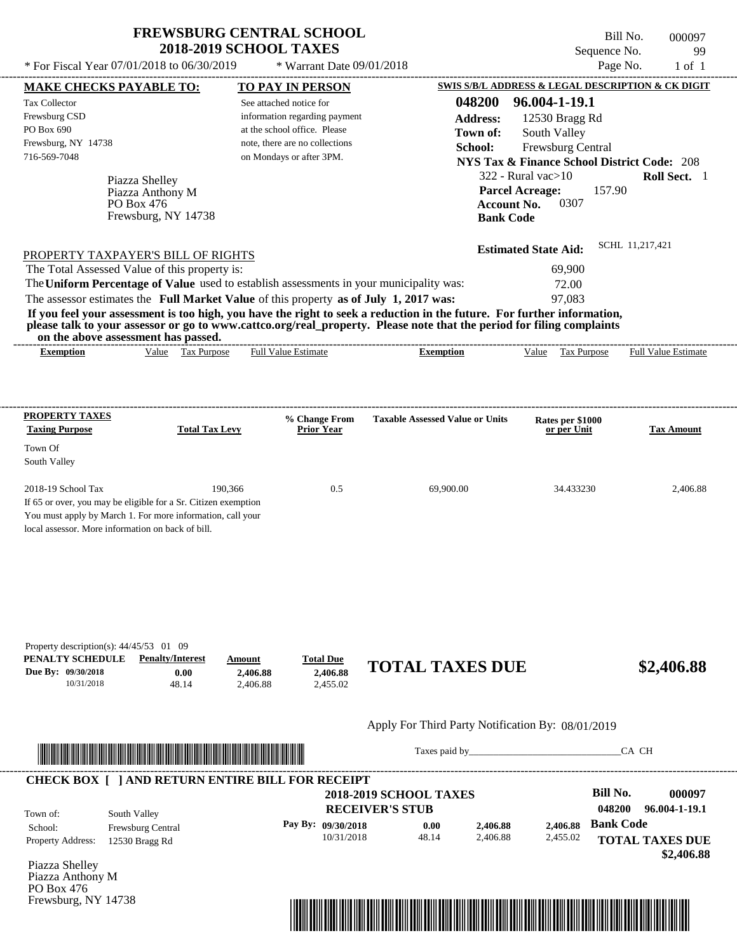Piazza Shelley

PO Box 476

---------------------------------------------------------------------------------------------------------------------------------------------------------------------------------------------------- Bill No. 000097 Sequence No. 99 \* For Fiscal Year  $07/01/2018$  to  $06/30/2019$  \* Warrant Date  $09/01/2018$  Page No. 1 of 1 **MAKE CHECKS PAYABLE TO: TO PAY IN PERSON SWIS S/B/L ADDRESS & LEGAL DESCRIPTION & CK DIGIT 048200 96.004-1-19.1 Address:** 12530 Bragg Rd South Valley **School:** Frewsburg Central **NYS Tax & Finance School District Code:** 208 322 - Rural vac>10 **Roll Sect.** 1 157.90 **Account No.** 0307 **Bank Code Estimated State Aid:** SCHL 11,217,421 PROPERTY TAXPAYER'S BILL OF RIGHTS The assessor estimates the **Full Market Value** of this property **as of July 1, 2017 was:** 97,083 The Total Assessed Value of this property is: 69,900 The **Uniform Percentage of Value** used to establish assessments in your municipality was: 72.00 **If you feel your assessment is too high, you have the right to seek a reduction in the future. For further information, please talk to your assessor or go to www.cattco.org/real\_property. Please note that the period for filing complaints on the above assessment has passed. Exemption** Value Tax Purpose **Taxing Purpose Total Tax Levy Prior Year % Change From Taxable Assessed Value or Units or per Unit Rates per \$1000 Tax Amount** See attached notice for information regarding payment at the school office. Please note, there are no collections \* Warrant Date 09/01/2018 716-569-7048 on Mondays or after 3PM. **Parcel Acreage:** 2018-19 School Tax 190,366 190,366 0.5 69,900.00 34.433230 2,406.88 Piazza Anthony M Full Value Estimate ---------------------------------------------------------------------------------------------------------------------------------------------------------------------------------------------------- ---------------------------------------------------------------------------------------------------------------------------------------------------------------------------------------------------- **Town of:** Frewsburg, NY 14738 **Exemption** Value Tax Purpose Full Value Estimate

If 65 or over, you may be eligible for a Sr. Citizen exemption You must apply by March 1. For more information, call your local assessor. More information on back of bill.

**PROPERTY TAXES**

Town Of South Valley

Tax Collector Frewsburg CSD PO Box 690

Frewsburg, NY 14738

**PENALTY SCHEDULE Penalty/Interest Amount Total Due Due By: 09/30/2018** 10/31/2018 48.14 **0.00** 2,406.88 **2,406.88** 2,455.02 **2,406.88 TOTAL TAXES DUE \$2,406.88** Property description(s): 44/45/53 01 09

Apply For Third Party Notification By: 08/01/2019



Taxes paid by\_\_\_\_\_\_\_\_\_\_\_\_\_\_\_\_\_\_\_\_\_\_\_\_\_\_\_\_\_\_\_CA CH

|            | <b>RECEIVER'S STUB</b> |          |          | 048200           | 96.004-1-19.1          |
|------------|------------------------|----------|----------|------------------|------------------------|
|            | 0.00                   | 2.406.88 | 2.406.88 | <b>Bank Code</b> |                        |
| 10/31/2018 | 48.14                  | 2,406.88 | 2,455.02 |                  | <b>TOTAL TAXES DUE</b> |
|            | Pay By: $09/30/2018$   |          |          |                  |                        |

Piazza Shelley Piazza Anthony M PO Box 476 Frewsburg, NY 14738

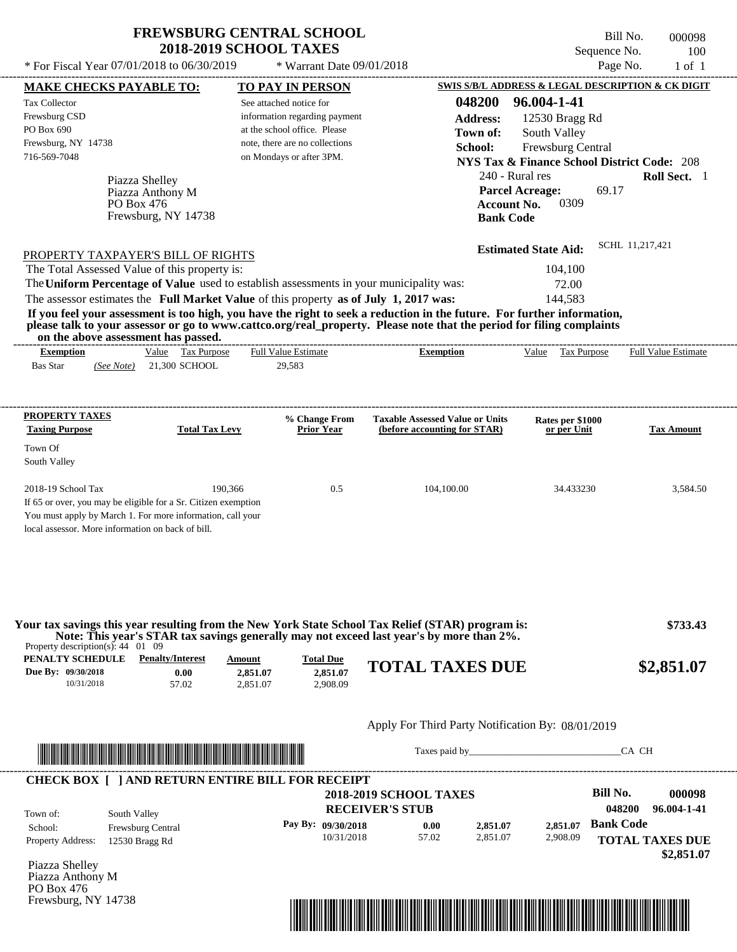\* Warrant Date 09/01/2018

Bill No. 000098 Sequence No. 100<br>Page No. 1 of 1 \* For Fiscal Year 07/01/2018 to 06/30/2019  $*$  Warrant Date 09/01/2018 Page No. 1 of 1

| <b>MAKE CHECKS PAYABLE TO:</b>                                                                                                                                                                                                       |                   |                                 |                    | <b>TO PAY IN PERSON</b>                                 |                                                                                                                                                                                                                  | SWIS S/B/L ADDRESS & LEGAL DESCRIPTION & CK DIGIT      |                                       |                  |                                      |
|--------------------------------------------------------------------------------------------------------------------------------------------------------------------------------------------------------------------------------------|-------------------|---------------------------------|--------------------|---------------------------------------------------------|------------------------------------------------------------------------------------------------------------------------------------------------------------------------------------------------------------------|--------------------------------------------------------|---------------------------------------|------------------|--------------------------------------|
| <b>Tax Collector</b>                                                                                                                                                                                                                 |                   |                                 |                    | See attached notice for                                 |                                                                                                                                                                                                                  | 048200                                                 | 96.004-1-41                           |                  |                                      |
| Frewsburg CSD                                                                                                                                                                                                                        |                   |                                 |                    | information regarding payment                           |                                                                                                                                                                                                                  | <b>Address:</b>                                        | 12530 Bragg Rd                        |                  |                                      |
| PO Box 690                                                                                                                                                                                                                           |                   |                                 |                    | at the school office. Please                            |                                                                                                                                                                                                                  | Town of:                                               | South Valley                          |                  |                                      |
| Frewsburg, NY 14738                                                                                                                                                                                                                  |                   |                                 |                    | note, there are no collections                          |                                                                                                                                                                                                                  | School:                                                | Frewsburg Central                     |                  |                                      |
| 716-569-7048                                                                                                                                                                                                                         |                   |                                 |                    | on Mondays or after 3PM.                                |                                                                                                                                                                                                                  | <b>NYS Tax &amp; Finance School District Code: 208</b> |                                       |                  |                                      |
|                                                                                                                                                                                                                                      | Piazza Shelley    |                                 |                    |                                                         |                                                                                                                                                                                                                  | 240 - Rural res                                        |                                       |                  | Roll Sect. 1                         |
|                                                                                                                                                                                                                                      | Piazza Anthony M  |                                 |                    |                                                         |                                                                                                                                                                                                                  | <b>Parcel Acreage:</b>                                 |                                       | 69.17            |                                      |
|                                                                                                                                                                                                                                      | PO Box 476        |                                 |                    |                                                         |                                                                                                                                                                                                                  | <b>Account No.</b>                                     | 0309                                  |                  |                                      |
|                                                                                                                                                                                                                                      |                   | Frewsburg, NY 14738             |                    |                                                         |                                                                                                                                                                                                                  | <b>Bank Code</b>                                       |                                       |                  |                                      |
|                                                                                                                                                                                                                                      |                   |                                 |                    |                                                         |                                                                                                                                                                                                                  |                                                        |                                       | SCHL 11,217,421  |                                      |
| PROPERTY TAXPAYER'S BILL OF RIGHTS                                                                                                                                                                                                   |                   |                                 |                    |                                                         |                                                                                                                                                                                                                  |                                                        | <b>Estimated State Aid:</b>           |                  |                                      |
| The Total Assessed Value of this property is:                                                                                                                                                                                        |                   |                                 |                    |                                                         | The Uniform Percentage of Value used to establish assessments in your municipality was:                                                                                                                          |                                                        | 104,100                               |                  |                                      |
|                                                                                                                                                                                                                                      |                   |                                 |                    |                                                         |                                                                                                                                                                                                                  |                                                        | 72.00<br>144,583                      |                  |                                      |
|                                                                                                                                                                                                                                      |                   |                                 |                    |                                                         | The assessor estimates the Full Market Value of this property as of July 1, 2017 was:<br>If you feel your assessment is too high, you have the right to seek a reduction in the future. For further information, |                                                        |                                       |                  |                                      |
| on the above assessment has passed.                                                                                                                                                                                                  |                   |                                 |                    |                                                         | please talk to your assessor or go to www.cattco.org/real_property. Please note that the period for filing complaints                                                                                            |                                                        |                                       |                  |                                      |
| <b>Exemption</b>                                                                                                                                                                                                                     |                   | Value Tax Purpose               |                    | <b>Full Value Estimate</b>                              | <b>Exemption</b>                                                                                                                                                                                                 |                                                        | Value Tax Purpose Full Value Estimate |                  |                                      |
| <b>Bas Star</b>                                                                                                                                                                                                                      |                   | (See Note) 21,300 SCHOOL        |                    | 29,583                                                  |                                                                                                                                                                                                                  |                                                        |                                       |                  |                                      |
|                                                                                                                                                                                                                                      |                   |                                 |                    |                                                         |                                                                                                                                                                                                                  |                                                        |                                       |                  |                                      |
| <b>PROPERTY TAXES</b>                                                                                                                                                                                                                |                   |                                 |                    | % Change From                                           | <b>Taxable Assessed Value or Units</b>                                                                                                                                                                           |                                                        | Rates per \$1000                      |                  |                                      |
| <b>Taxing Purpose</b>                                                                                                                                                                                                                |                   | <b>Total Tax Levy</b>           |                    | <b>Prior Year</b>                                       | (before accounting for STAR)                                                                                                                                                                                     |                                                        | or per Unit                           |                  | <b>Tax Amount</b>                    |
| Town Of                                                                                                                                                                                                                              |                   |                                 |                    |                                                         |                                                                                                                                                                                                                  |                                                        |                                       |                  |                                      |
| South Valley                                                                                                                                                                                                                         |                   |                                 |                    |                                                         |                                                                                                                                                                                                                  |                                                        |                                       |                  |                                      |
| 2018-19 School Tax                                                                                                                                                                                                                   |                   |                                 | 190,366            | 0.5                                                     | 104,100.00                                                                                                                                                                                                       |                                                        | 34.433230                             |                  | 3,584.50                             |
| If 65 or over, you may be eligible for a Sr. Citizen exemption                                                                                                                                                                       |                   |                                 |                    |                                                         |                                                                                                                                                                                                                  |                                                        |                                       |                  |                                      |
| You must apply by March 1. For more information, call your                                                                                                                                                                           |                   |                                 |                    |                                                         |                                                                                                                                                                                                                  |                                                        |                                       |                  |                                      |
| local assessor. More information on back of bill.                                                                                                                                                                                    |                   |                                 |                    |                                                         |                                                                                                                                                                                                                  |                                                        |                                       |                  |                                      |
|                                                                                                                                                                                                                                      |                   |                                 |                    |                                                         | Your tax savings this year resulting from the New York State School Tax Relief (STAR) program is:<br>Note: This year's STAR tax savings generally may not exceed last year's by more than 2%.                    |                                                        |                                       |                  | \$733.43                             |
| Property description(s): $44 \quad 01 \quad 09$                                                                                                                                                                                      |                   |                                 |                    |                                                         |                                                                                                                                                                                                                  |                                                        |                                       |                  |                                      |
| PENALTY SCHEDULE<br>Due By: 09/30/2018                                                                                                                                                                                               |                   | <b>Penalty/Interest</b><br>0.00 | Amount<br>2,851.07 | <b>Total Due</b><br>2,851.07                            | <b>TOTAL TAXES DUE</b>                                                                                                                                                                                           |                                                        |                                       |                  | \$2,851.07                           |
| 10/31/2018                                                                                                                                                                                                                           |                   | 57.02                           | 2,851.07           | 2,908.09                                                |                                                                                                                                                                                                                  |                                                        |                                       |                  |                                      |
|                                                                                                                                                                                                                                      |                   |                                 |                    |                                                         |                                                                                                                                                                                                                  |                                                        |                                       |                  |                                      |
|                                                                                                                                                                                                                                      |                   |                                 |                    |                                                         | Apply For Third Party Notification By: 08/01/2019                                                                                                                                                                |                                                        |                                       |                  |                                      |
| <u> Indian American State and The Communication of the Communication of the Communication of the Communication of the Communication of the Communication of the Communication of the Communication of the Communication of the C</u> |                   |                                 |                    |                                                         |                                                                                                                                                                                                                  |                                                        |                                       | CA CH            |                                      |
|                                                                                                                                                                                                                                      |                   |                                 |                    |                                                         |                                                                                                                                                                                                                  |                                                        |                                       |                  |                                      |
|                                                                                                                                                                                                                                      |                   |                                 |                    | <b>CHECK BOX [ ] AND RETURN ENTIRE BILL FOR RECEIPT</b> | <b>2018-2019 SCHOOL TAXES</b>                                                                                                                                                                                    |                                                        |                                       | <b>Bill No.</b>  | 000098                               |
|                                                                                                                                                                                                                                      |                   |                                 |                    |                                                         | <b>RECEIVER'S STUB</b>                                                                                                                                                                                           |                                                        |                                       | 048200           | 96.004-1-41                          |
| Town of:                                                                                                                                                                                                                             | South Valley      |                                 |                    | Pay By: 09/30/2018                                      |                                                                                                                                                                                                                  |                                                        |                                       | <b>Bank Code</b> |                                      |
| School:                                                                                                                                                                                                                              | Frewsburg Central |                                 |                    | 10/31/2018                                              | 0.00<br>57.02                                                                                                                                                                                                    | 2,851.07<br>2,851.07                                   | 2,851.07<br>2,908.09                  |                  |                                      |
| <b>Property Address:</b>                                                                                                                                                                                                             | 12530 Bragg Rd    |                                 |                    |                                                         |                                                                                                                                                                                                                  |                                                        |                                       |                  | <b>TOTAL TAXES DUE</b><br>\$2,851.07 |
| Piazza Shelley                                                                                                                                                                                                                       |                   |                                 |                    |                                                         |                                                                                                                                                                                                                  |                                                        |                                       |                  |                                      |
| Piazza Anthony M                                                                                                                                                                                                                     |                   |                                 |                    |                                                         |                                                                                                                                                                                                                  |                                                        |                                       |                  |                                      |
| PO Box 476                                                                                                                                                                                                                           |                   |                                 |                    |                                                         |                                                                                                                                                                                                                  |                                                        |                                       |                  |                                      |
| Frewsburg, NY 14738                                                                                                                                                                                                                  |                   |                                 |                    |                                                         |                                                                                                                                                                                                                  |                                                        |                                       |                  |                                      |
|                                                                                                                                                                                                                                      |                   |                                 |                    |                                                         |                                                                                                                                                                                                                  |                                                        |                                       |                  |                                      |
|                                                                                                                                                                                                                                      |                   |                                 |                    |                                                         | <u> 1989 - Johann Stoff, Amerikaansk politiker († 1958)</u>                                                                                                                                                      |                                                        |                                       |                  |                                      |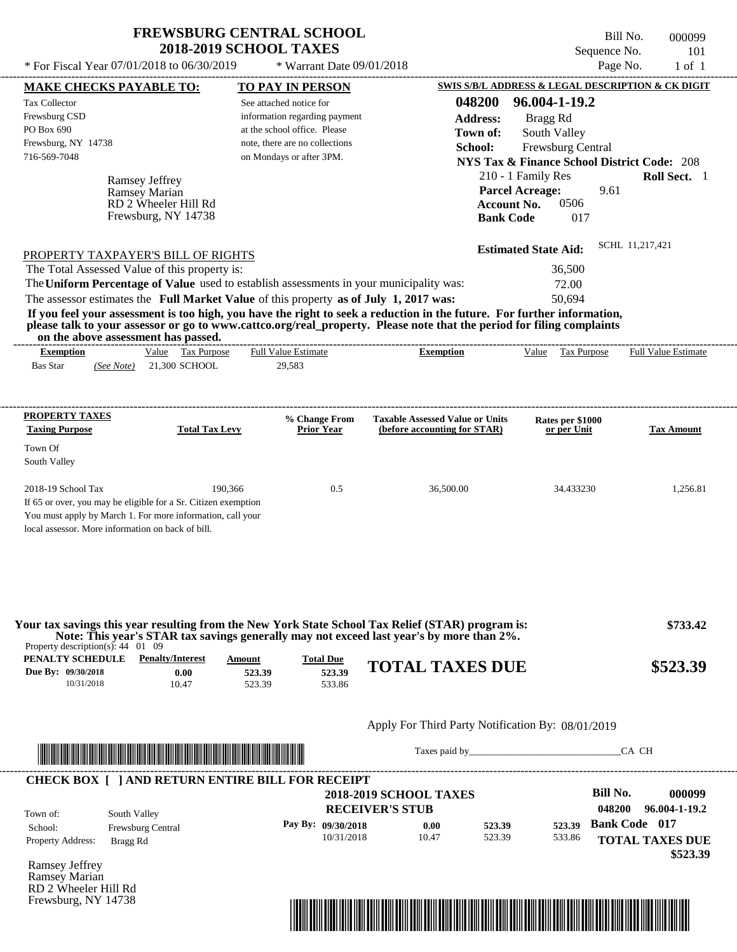\* For Fiscal Year  $07/01/2018$  to  $06/30/2019$  \* Warrant Date  $09/01/2018$  Page No. 1 of 1

 $*$  Warrant Date 09/01/2018

Bill No. 000099 Sequence No. 101

| <b>MAKE CHECKS PAYABLE TO:</b>                                                                          |                                                                                                                                                                                                                                      | <b>TO PAY IN PERSON</b>                                                                                                                                                                                                                                             |                                                                        |                             |                                 | <b>SWIS S/B/L ADDRESS &amp; LEGAL DESCRIPTION &amp; CK DIGIT</b> |
|---------------------------------------------------------------------------------------------------------|--------------------------------------------------------------------------------------------------------------------------------------------------------------------------------------------------------------------------------------|---------------------------------------------------------------------------------------------------------------------------------------------------------------------------------------------------------------------------------------------------------------------|------------------------------------------------------------------------|-----------------------------|---------------------------------|------------------------------------------------------------------|
| <b>Tax Collector</b>                                                                                    |                                                                                                                                                                                                                                      | See attached notice for                                                                                                                                                                                                                                             |                                                                        | 048200                      | 96.004-1-19.2                   |                                                                  |
| Frewsburg CSD                                                                                           |                                                                                                                                                                                                                                      | information regarding payment                                                                                                                                                                                                                                       |                                                                        | <b>Address:</b>             | Bragg Rd                        |                                                                  |
| PO Box 690                                                                                              |                                                                                                                                                                                                                                      | at the school office. Please                                                                                                                                                                                                                                        |                                                                        | Town of:                    | South Valley                    |                                                                  |
| Frewsburg, NY 14738                                                                                     |                                                                                                                                                                                                                                      | note, there are no collections                                                                                                                                                                                                                                      |                                                                        | School:                     | Frewsburg Central               |                                                                  |
| 716-569-7048                                                                                            |                                                                                                                                                                                                                                      | on Mondays or after 3PM.                                                                                                                                                                                                                                            |                                                                        |                             |                                 | <b>NYS Tax &amp; Finance School District Code: 208</b>           |
|                                                                                                         |                                                                                                                                                                                                                                      |                                                                                                                                                                                                                                                                     |                                                                        | 210 - 1 Family Res          |                                 | Roll Sect. 1                                                     |
|                                                                                                         | <b>Ramsey Jeffrey</b><br>Ramsey Marian                                                                                                                                                                                               |                                                                                                                                                                                                                                                                     |                                                                        | <b>Parcel Acreage:</b>      |                                 | 9.61                                                             |
|                                                                                                         | RD 2 Wheeler Hill Rd                                                                                                                                                                                                                 |                                                                                                                                                                                                                                                                     |                                                                        | <b>Account No.</b>          | 0506                            |                                                                  |
|                                                                                                         | Frewsburg, NY 14738                                                                                                                                                                                                                  |                                                                                                                                                                                                                                                                     |                                                                        | <b>Bank Code</b>            | 017                             |                                                                  |
|                                                                                                         |                                                                                                                                                                                                                                      |                                                                                                                                                                                                                                                                     |                                                                        |                             |                                 |                                                                  |
|                                                                                                         | PROPERTY TAXPAYER'S BILL OF RIGHTS                                                                                                                                                                                                   |                                                                                                                                                                                                                                                                     |                                                                        | <b>Estimated State Aid:</b> |                                 | SCHL 11,217,421                                                  |
|                                                                                                         | The Total Assessed Value of this property is:                                                                                                                                                                                        |                                                                                                                                                                                                                                                                     |                                                                        |                             | 36,500                          |                                                                  |
|                                                                                                         |                                                                                                                                                                                                                                      | The Uniform Percentage of Value used to establish assessments in your municipality was:                                                                                                                                                                             |                                                                        |                             | 72.00                           |                                                                  |
|                                                                                                         |                                                                                                                                                                                                                                      | The assessor estimates the Full Market Value of this property as of July 1, 2017 was:                                                                                                                                                                               |                                                                        |                             | 50,694                          |                                                                  |
|                                                                                                         | on the above assessment has passed.                                                                                                                                                                                                  | If you feel your assessment is too high, you have the right to seek a reduction in the future. For further information,<br>please talk to your assessor or go to www.cattco.org/real_property. Please note that the period for filing complaints                    |                                                                        |                             |                                 |                                                                  |
| <b>Exemption</b>                                                                                        | Value Tax Purpose                                                                                                                                                                                                                    | <b>Full Value Estimate</b>                                                                                                                                                                                                                                          | <b>Exemption</b>                                                       |                             |                                 | Value Tax Purpose Full Value Estimate                            |
| <b>Bas Star</b>                                                                                         | (See Note) 21,300 SCHOOL                                                                                                                                                                                                             | 29,583                                                                                                                                                                                                                                                              |                                                                        |                             |                                 |                                                                  |
|                                                                                                         |                                                                                                                                                                                                                                      |                                                                                                                                                                                                                                                                     |                                                                        |                             |                                 |                                                                  |
| <b>PROPERTY TAXES</b><br><b>Taxing Purpose</b>                                                          | <b>Total Tax Levy</b>                                                                                                                                                                                                                | % Change From<br><b>Prior Year</b>                                                                                                                                                                                                                                  | <b>Taxable Assessed Value or Units</b><br>(before accounting for STAR) |                             | Rates per \$1000<br>or per Unit | <b>Tax Amount</b>                                                |
|                                                                                                         |                                                                                                                                                                                                                                      |                                                                                                                                                                                                                                                                     |                                                                        |                             |                                 |                                                                  |
| Town Of<br>South Valley                                                                                 |                                                                                                                                                                                                                                      |                                                                                                                                                                                                                                                                     |                                                                        |                             |                                 |                                                                  |
|                                                                                                         |                                                                                                                                                                                                                                      |                                                                                                                                                                                                                                                                     |                                                                        |                             |                                 |                                                                  |
| 2018-19 School Tax                                                                                      |                                                                                                                                                                                                                                      | 190,366<br>0.5                                                                                                                                                                                                                                                      | 36,500.00                                                              |                             | 34.433230                       | 1,256.81                                                         |
|                                                                                                         | If 65 or over, you may be eligible for a Sr. Citizen exemption<br>You must apply by March 1. For more information, call your<br>local assessor. More information on back of bill.                                                    |                                                                                                                                                                                                                                                                     |                                                                        |                             |                                 |                                                                  |
| Property description(s): $44 \quad 01 \quad 09$<br>PENALTY SCHEDULE<br>Due By: 09/30/2018<br>10/31/2018 | <b>Penalty/Interest</b><br>0.00<br>10.47                                                                                                                                                                                             | Your tax savings this year resulting from the New York State School Tax Relief (STAR) program is:<br>Note: This year's STAR tax savings generally may not exceed last year's by more than 2%.<br><b>Total Due</b><br>Amount<br>523.39<br>523.39<br>523.39<br>533.86 | <b>TOTAL TAXES DUE</b>                                                 |                             |                                 | \$733.42<br>\$523.39                                             |
|                                                                                                         |                                                                                                                                                                                                                                      |                                                                                                                                                                                                                                                                     | Apply For Third Party Notification By: 08/01/2019                      |                             |                                 |                                                                  |
|                                                                                                         | <u> Indian American State and The Communication of the Communication of the Communication of the Communication of the Communication of the Communication of the Communication of the Communication of the Communication of the C</u> |                                                                                                                                                                                                                                                                     |                                                                        |                             |                                 | CA CH                                                            |
|                                                                                                         |                                                                                                                                                                                                                                      | <b>CHECK BOX [ ] AND RETURN ENTIRE BILL FOR RECEIPT</b>                                                                                                                                                                                                             |                                                                        |                             |                                 |                                                                  |
|                                                                                                         |                                                                                                                                                                                                                                      |                                                                                                                                                                                                                                                                     | <b>2018-2019 SCHOOL TAXES</b>                                          |                             |                                 | <b>Bill No.</b><br>000099                                        |
|                                                                                                         |                                                                                                                                                                                                                                      |                                                                                                                                                                                                                                                                     | <b>RECEIVER'S STUB</b>                                                 |                             |                                 | 048200<br>96.004-1-19.2                                          |
| Town of:                                                                                                | South Valley                                                                                                                                                                                                                         |                                                                                                                                                                                                                                                                     |                                                                        |                             |                                 |                                                                  |
| School:                                                                                                 | Frewsburg Central                                                                                                                                                                                                                    | Pay By: 09/30/2018                                                                                                                                                                                                                                                  | 0.00                                                                   | 523.39                      | 523.39                          | <b>Bank Code 017</b>                                             |
| Property Address:                                                                                       | Bragg Rd                                                                                                                                                                                                                             | 10/31/2018                                                                                                                                                                                                                                                          | 10.47                                                                  | 523.39                      | 533.86                          | <b>TOTAL TAXES DUE</b>                                           |
|                                                                                                         |                                                                                                                                                                                                                                      |                                                                                                                                                                                                                                                                     |                                                                        |                             |                                 | \$523.39                                                         |
| Ramsey Jeffrey<br>Ramsey Marian                                                                         |                                                                                                                                                                                                                                      |                                                                                                                                                                                                                                                                     |                                                                        |                             |                                 |                                                                  |
| RD 2 Wheeler Hill Rd                                                                                    |                                                                                                                                                                                                                                      |                                                                                                                                                                                                                                                                     |                                                                        |                             |                                 |                                                                  |
| Frewsburg, NY 14738                                                                                     |                                                                                                                                                                                                                                      |                                                                                                                                                                                                                                                                     |                                                                        |                             |                                 |                                                                  |
|                                                                                                         |                                                                                                                                                                                                                                      |                                                                                                                                                                                                                                                                     |                                                                        |                             |                                 |                                                                  |

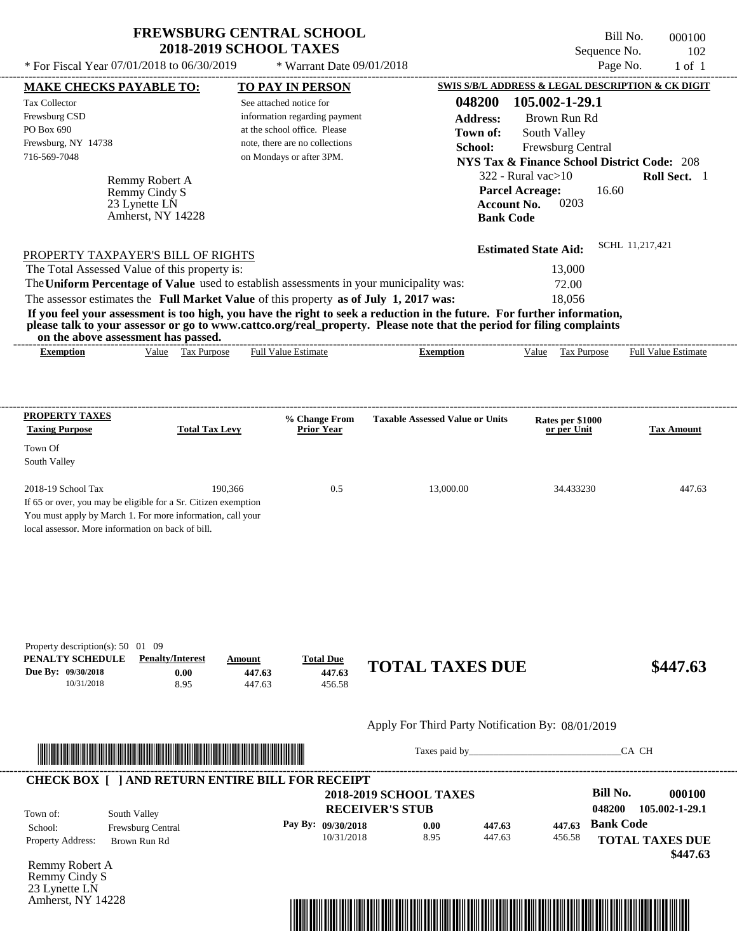\* For Fiscal Year  $07/01/2018$  to  $06/30/2019$  \* Warrant Date  $09/01/2018$  Page No. 1 of 1

 $*$  Warrant Date 09/01/2018

Bill No. 000100 Sequence No. 102

| <b>MAKE CHECKS PAYABLE TO:</b>                                 |                                                                                                                       |                       | <b>TO PAY IN PERSON</b>      |                                |                                                                                                                                                                                                                                                  |                  | <b>SWIS S/B/L ADDRESS &amp; LEGAL DESCRIPTION &amp; CK DIGIT</b> |                  |                                       |
|----------------------------------------------------------------|-----------------------------------------------------------------------------------------------------------------------|-----------------------|------------------------------|--------------------------------|--------------------------------------------------------------------------------------------------------------------------------------------------------------------------------------------------------------------------------------------------|------------------|------------------------------------------------------------------|------------------|---------------------------------------|
| <b>Tax Collector</b>                                           |                                                                                                                       |                       | See attached notice for      |                                |                                                                                                                                                                                                                                                  | 048200           | 105.002-1-29.1                                                   |                  |                                       |
| Frewsburg CSD                                                  |                                                                                                                       |                       |                              | information regarding payment  |                                                                                                                                                                                                                                                  | <b>Address:</b>  | Brown Run Rd                                                     |                  |                                       |
| PO Box 690                                                     |                                                                                                                       |                       | at the school office. Please |                                |                                                                                                                                                                                                                                                  | Town of:         | South Valley                                                     |                  |                                       |
| Frewsburg, NY 14738                                            |                                                                                                                       |                       |                              | note, there are no collections |                                                                                                                                                                                                                                                  | School:          | Frewsburg Central                                                |                  |                                       |
| 716-569-7048                                                   |                                                                                                                       |                       | on Mondays or after 3PM.     |                                |                                                                                                                                                                                                                                                  |                  | <b>NYS Tax &amp; Finance School District Code: 208</b>           |                  |                                       |
|                                                                | Remmy Robert A                                                                                                        |                       |                              |                                |                                                                                                                                                                                                                                                  |                  | $322$ - Rural vac $>10$                                          |                  | Roll Sect. 1                          |
|                                                                | Remmy Cindy S                                                                                                         |                       |                              |                                |                                                                                                                                                                                                                                                  |                  | <b>Parcel Acreage:</b>                                           | 16.60            |                                       |
|                                                                | 23 Lynette LN                                                                                                         |                       |                              |                                |                                                                                                                                                                                                                                                  |                  | 0203<br><b>Account No.</b>                                       |                  |                                       |
|                                                                | Amherst, NY 14228                                                                                                     |                       |                              |                                |                                                                                                                                                                                                                                                  | <b>Bank Code</b> |                                                                  |                  |                                       |
|                                                                |                                                                                                                       |                       |                              |                                |                                                                                                                                                                                                                                                  |                  |                                                                  |                  | SCHL 11.217.421                       |
| PROPERTY TAXPAYER'S BILL OF RIGHTS                             |                                                                                                                       |                       |                              |                                |                                                                                                                                                                                                                                                  |                  | <b>Estimated State Aid:</b>                                      |                  |                                       |
| The Total Assessed Value of this property is:                  |                                                                                                                       |                       |                              |                                |                                                                                                                                                                                                                                                  |                  | 13,000                                                           |                  |                                       |
|                                                                |                                                                                                                       |                       |                              |                                | The Uniform Percentage of Value used to establish assessments in your municipality was:                                                                                                                                                          |                  | 72.00                                                            |                  |                                       |
|                                                                |                                                                                                                       |                       |                              |                                | The assessor estimates the Full Market Value of this property as of July 1, 2017 was:                                                                                                                                                            |                  | 18,056                                                           |                  |                                       |
|                                                                | on the above assessment has passed.                                                                                   |                       |                              |                                | If you feel your assessment is too high, you have the right to seek a reduction in the future. For further information,<br>please talk to your assessor or go to www.cattco.org/real_property. Please note that the period for filing complaints |                  |                                                                  |                  |                                       |
| <b>Exemption</b>                                               |                                                                                                                       | Value Tax Purpose     | <b>Full Value Estimate</b>   |                                |                                                                                                                                                                                                                                                  | <b>Exemption</b> |                                                                  |                  | Value Tax Purpose Full Value Estimate |
|                                                                |                                                                                                                       |                       |                              |                                |                                                                                                                                                                                                                                                  |                  |                                                                  |                  |                                       |
|                                                                |                                                                                                                       |                       |                              |                                |                                                                                                                                                                                                                                                  |                  |                                                                  |                  |                                       |
| <b>PROPERTY TAXES</b>                                          |                                                                                                                       |                       |                              | % Change From                  | <b>Taxable Assessed Value or Units</b>                                                                                                                                                                                                           |                  | Rates per \$1000                                                 |                  |                                       |
| <b>Taxing Purpose</b>                                          |                                                                                                                       | <b>Total Tax Levy</b> |                              | <b>Prior Year</b>              |                                                                                                                                                                                                                                                  |                  | or per Unit                                                      |                  | <b>Tax Amount</b>                     |
| Town Of<br>South Valley                                        |                                                                                                                       |                       |                              |                                |                                                                                                                                                                                                                                                  |                  |                                                                  |                  |                                       |
| 2018-19 School Tax                                             |                                                                                                                       | 190,366               |                              | 0.5                            |                                                                                                                                                                                                                                                  | 13,000.00        | 34.433230                                                        |                  | 447.63                                |
| If 65 or over, you may be eligible for a Sr. Citizen exemption |                                                                                                                       |                       |                              |                                |                                                                                                                                                                                                                                                  |                  |                                                                  |                  |                                       |
| You must apply by March 1. For more information, call your     |                                                                                                                       |                       |                              |                                |                                                                                                                                                                                                                                                  |                  |                                                                  |                  |                                       |
| local assessor. More information on back of bill.              |                                                                                                                       |                       |                              |                                |                                                                                                                                                                                                                                                  |                  |                                                                  |                  |                                       |
|                                                                |                                                                                                                       |                       |                              |                                |                                                                                                                                                                                                                                                  |                  |                                                                  |                  |                                       |
|                                                                |                                                                                                                       |                       |                              |                                |                                                                                                                                                                                                                                                  |                  |                                                                  |                  |                                       |
|                                                                |                                                                                                                       |                       |                              |                                |                                                                                                                                                                                                                                                  |                  |                                                                  |                  |                                       |
|                                                                |                                                                                                                       |                       |                              |                                |                                                                                                                                                                                                                                                  |                  |                                                                  |                  |                                       |
|                                                                |                                                                                                                       |                       |                              |                                |                                                                                                                                                                                                                                                  |                  |                                                                  |                  |                                       |
| Property description(s): 50 01 09<br>PENALTY SCHEDULE          | <b>Penalty/Interest</b>                                                                                               |                       | Amount                       | <b>Total Due</b>               |                                                                                                                                                                                                                                                  |                  |                                                                  |                  |                                       |
| Due By: 09/30/2018                                             |                                                                                                                       | 0.00                  | 447.63                       | 447.63                         | <b>TOTAL TAXES DUE</b>                                                                                                                                                                                                                           |                  |                                                                  |                  | \$447.63                              |
| 10/31/2018                                                     |                                                                                                                       | 8.95                  | 447.63                       | 456.58                         |                                                                                                                                                                                                                                                  |                  |                                                                  |                  |                                       |
|                                                                |                                                                                                                       |                       |                              |                                |                                                                                                                                                                                                                                                  |                  |                                                                  |                  |                                       |
|                                                                |                                                                                                                       |                       |                              |                                | Apply For Third Party Notification By: 08/01/2019                                                                                                                                                                                                |                  |                                                                  |                  |                                       |
|                                                                | <u> HANDELIN DER BEI HAN DER BEREICH ERREICH ERREICH ERREICH ERREICH ERREICH ERREICH ERREICH ERREICH ERREICH ERRE</u> |                       |                              |                                |                                                                                                                                                                                                                                                  |                  | Taxes paid by                                                    |                  | CA CH                                 |
| <b>CHECK BOX [ ] AND RETURN ENTIRE BILL FOR RECEIPT</b>        |                                                                                                                       |                       |                              |                                |                                                                                                                                                                                                                                                  |                  |                                                                  |                  |                                       |
|                                                                |                                                                                                                       |                       |                              |                                | <b>2018-2019 SCHOOL TAXES</b>                                                                                                                                                                                                                    |                  |                                                                  | <b>Bill No.</b>  | 000100                                |
|                                                                |                                                                                                                       |                       |                              |                                | <b>RECEIVER'S STUB</b>                                                                                                                                                                                                                           |                  |                                                                  | 048200           | 105.002-1-29.1                        |
| Town of:<br>School:                                            | South Valley                                                                                                          |                       |                              | Pay By: 09/30/2018             | 0.00                                                                                                                                                                                                                                             | 447.63           | 447.63                                                           | <b>Bank Code</b> |                                       |
| Property Address:                                              | Frewsburg Central<br>Brown Run Rd                                                                                     |                       |                              | 10/31/2018                     | 8.95                                                                                                                                                                                                                                             | 447.63           | 456.58                                                           |                  | <b>TOTAL TAXES DUE</b>                |
|                                                                |                                                                                                                       |                       |                              |                                |                                                                                                                                                                                                                                                  |                  |                                                                  |                  | \$447.63                              |
| Remmy Robert A                                                 |                                                                                                                       |                       |                              |                                |                                                                                                                                                                                                                                                  |                  |                                                                  |                  |                                       |
| Remmy Cindy S                                                  |                                                                                                                       |                       |                              |                                |                                                                                                                                                                                                                                                  |                  |                                                                  |                  |                                       |
| 23 Lynette LN<br>Amherst, NY 14228                             |                                                                                                                       |                       |                              |                                |                                                                                                                                                                                                                                                  |                  |                                                                  |                  |                                       |
|                                                                |                                                                                                                       |                       |                              |                                |                                                                                                                                                                                                                                                  |                  |                                                                  |                  |                                       |
|                                                                |                                                                                                                       |                       |                              |                                | <u> 1989 - Andrea Stadt British, fransk politik (d. 1989)</u>                                                                                                                                                                                    |                  |                                                                  |                  |                                       |
|                                                                |                                                                                                                       |                       |                              |                                |                                                                                                                                                                                                                                                  |                  |                                                                  |                  |                                       |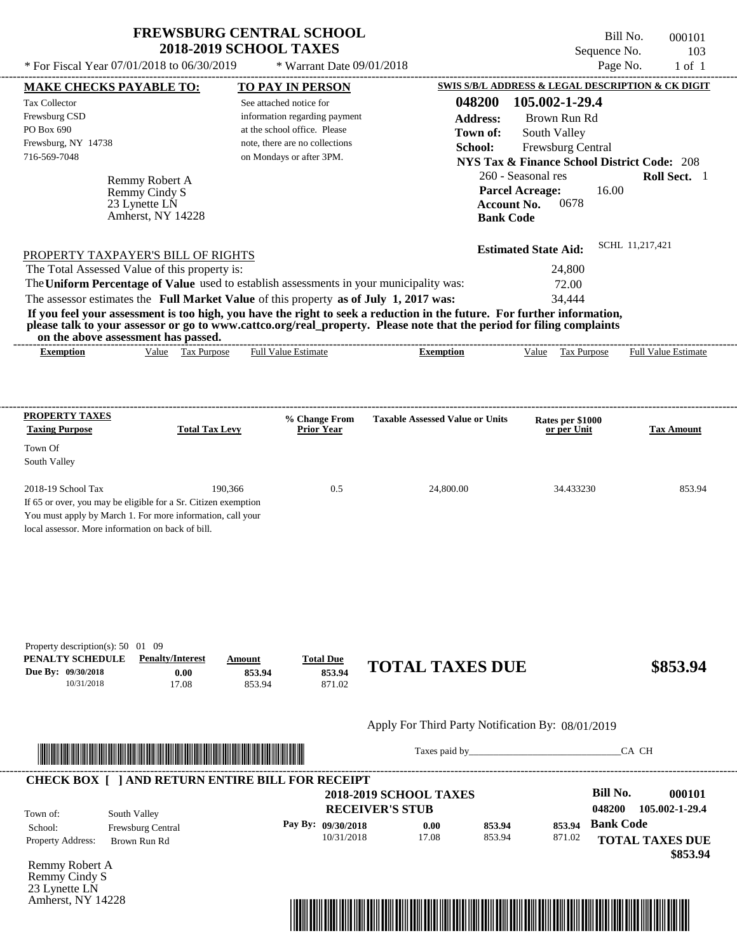\* For Fiscal Year  $07/01/2018$  to  $06/30/2019$  \* Warrant Date  $09/01/2018$  Page No. 1 of 1

 $*$  Warrant Date 09/01/2018

Bill No. 000101 Sequence No. 103

| <b>MAKE CHECKS PAYABLE TO:</b>                                                                                               |                                                                                                                                                                                                                                      |                       |                  | <b>TO PAY IN PERSON</b>                                 |                                                                                                                                                                                                                                                  |                    |                                                                                                                                                                                                                                |                  | <b>SWIS S/B/L ADDRESS &amp; LEGAL DESCRIPTION &amp; CK DIGIT</b> |
|------------------------------------------------------------------------------------------------------------------------------|--------------------------------------------------------------------------------------------------------------------------------------------------------------------------------------------------------------------------------------|-----------------------|------------------|---------------------------------------------------------|--------------------------------------------------------------------------------------------------------------------------------------------------------------------------------------------------------------------------------------------------|--------------------|--------------------------------------------------------------------------------------------------------------------------------------------------------------------------------------------------------------------------------|------------------|------------------------------------------------------------------|
| <b>Tax Collector</b>                                                                                                         |                                                                                                                                                                                                                                      |                       |                  | See attached notice for                                 |                                                                                                                                                                                                                                                  | 048200             | 105.002-1-29.4                                                                                                                                                                                                                 |                  |                                                                  |
| Frewsburg CSD                                                                                                                |                                                                                                                                                                                                                                      |                       |                  | information regarding payment                           |                                                                                                                                                                                                                                                  | <b>Address:</b>    | Brown Run Rd                                                                                                                                                                                                                   |                  |                                                                  |
| PO Box 690                                                                                                                   |                                                                                                                                                                                                                                      |                       |                  | at the school office. Please                            |                                                                                                                                                                                                                                                  | Town of:           | South Valley                                                                                                                                                                                                                   |                  |                                                                  |
| Frewsburg, NY 14738                                                                                                          |                                                                                                                                                                                                                                      |                       |                  | note, there are no collections                          |                                                                                                                                                                                                                                                  | School:            | Frewsburg Central                                                                                                                                                                                                              |                  |                                                                  |
| 716-569-7048                                                                                                                 |                                                                                                                                                                                                                                      |                       |                  | on Mondays or after 3PM.                                |                                                                                                                                                                                                                                                  |                    | <b>NYS Tax &amp; Finance School District Code: 208</b>                                                                                                                                                                         |                  |                                                                  |
|                                                                                                                              | Remmy Robert A                                                                                                                                                                                                                       |                       |                  |                                                         |                                                                                                                                                                                                                                                  |                    | 260 - Seasonal res                                                                                                                                                                                                             |                  | Roll Sect. 1                                                     |
|                                                                                                                              | Remmy Cindy S                                                                                                                                                                                                                        |                       |                  |                                                         |                                                                                                                                                                                                                                                  |                    | <b>Parcel Acreage:</b>                                                                                                                                                                                                         | 16.00            |                                                                  |
|                                                                                                                              | 23 Lynette LN                                                                                                                                                                                                                        |                       |                  |                                                         |                                                                                                                                                                                                                                                  | <b>Account No.</b> | 0678                                                                                                                                                                                                                           |                  |                                                                  |
|                                                                                                                              | Amherst, NY 14228                                                                                                                                                                                                                    |                       |                  |                                                         |                                                                                                                                                                                                                                                  | <b>Bank Code</b>   |                                                                                                                                                                                                                                |                  |                                                                  |
|                                                                                                                              |                                                                                                                                                                                                                                      |                       |                  |                                                         |                                                                                                                                                                                                                                                  |                    |                                                                                                                                                                                                                                |                  | SCHL 11.217.421                                                  |
| PROPERTY TAXPAYER'S BILL OF RIGHTS                                                                                           |                                                                                                                                                                                                                                      |                       |                  |                                                         |                                                                                                                                                                                                                                                  |                    | <b>Estimated State Aid:</b>                                                                                                                                                                                                    |                  |                                                                  |
| The Total Assessed Value of this property is:                                                                                |                                                                                                                                                                                                                                      |                       |                  |                                                         |                                                                                                                                                                                                                                                  |                    | 24,800                                                                                                                                                                                                                         |                  |                                                                  |
|                                                                                                                              |                                                                                                                                                                                                                                      |                       |                  |                                                         | The Uniform Percentage of Value used to establish assessments in your municipality was:                                                                                                                                                          |                    | 72.00                                                                                                                                                                                                                          |                  |                                                                  |
|                                                                                                                              |                                                                                                                                                                                                                                      |                       |                  |                                                         | The assessor estimates the Full Market Value of this property as of July 1, 2017 was:                                                                                                                                                            |                    | 34,444                                                                                                                                                                                                                         |                  |                                                                  |
|                                                                                                                              | on the above assessment has passed.                                                                                                                                                                                                  |                       |                  |                                                         | If you feel your assessment is too high, you have the right to seek a reduction in the future. For further information,<br>please talk to your assessor or go to www.cattco.org/real_property. Please note that the period for filing complaints |                    |                                                                                                                                                                                                                                |                  |                                                                  |
| <b>Exemption</b>                                                                                                             |                                                                                                                                                                                                                                      | Value Tax Purpose     |                  | <b>Full Value Estimate</b>                              | <b>Exemption</b>                                                                                                                                                                                                                                 |                    | Value Tax Purpose Full Value Estimate                                                                                                                                                                                          |                  |                                                                  |
|                                                                                                                              |                                                                                                                                                                                                                                      |                       |                  |                                                         |                                                                                                                                                                                                                                                  |                    |                                                                                                                                                                                                                                |                  |                                                                  |
|                                                                                                                              |                                                                                                                                                                                                                                      |                       |                  |                                                         |                                                                                                                                                                                                                                                  |                    |                                                                                                                                                                                                                                |                  |                                                                  |
| <b>PROPERTY TAXES</b>                                                                                                        |                                                                                                                                                                                                                                      |                       |                  | % Change From                                           | <b>Taxable Assessed Value or Units</b>                                                                                                                                                                                                           |                    | Rates per \$1000                                                                                                                                                                                                               |                  |                                                                  |
| <b>Taxing Purpose</b>                                                                                                        |                                                                                                                                                                                                                                      | <b>Total Tax Levy</b> |                  | <b>Prior Year</b>                                       |                                                                                                                                                                                                                                                  |                    | or per Unit                                                                                                                                                                                                                    |                  | <b>Tax Amount</b>                                                |
| Town Of<br>South Valley                                                                                                      |                                                                                                                                                                                                                                      |                       |                  |                                                         |                                                                                                                                                                                                                                                  |                    |                                                                                                                                                                                                                                |                  |                                                                  |
| 2018-19 School Tax                                                                                                           |                                                                                                                                                                                                                                      | 190,366               |                  | 0.5                                                     | 24,800.00                                                                                                                                                                                                                                        |                    | 34.433230                                                                                                                                                                                                                      |                  | 853.94                                                           |
| If 65 or over, you may be eligible for a Sr. Citizen exemption<br>You must apply by March 1. For more information, call your |                                                                                                                                                                                                                                      |                       |                  |                                                         |                                                                                                                                                                                                                                                  |                    |                                                                                                                                                                                                                                |                  |                                                                  |
| local assessor. More information on back of bill.                                                                            |                                                                                                                                                                                                                                      |                       |                  |                                                         |                                                                                                                                                                                                                                                  |                    |                                                                                                                                                                                                                                |                  |                                                                  |
|                                                                                                                              |                                                                                                                                                                                                                                      |                       |                  |                                                         |                                                                                                                                                                                                                                                  |                    |                                                                                                                                                                                                                                |                  |                                                                  |
|                                                                                                                              |                                                                                                                                                                                                                                      |                       |                  |                                                         |                                                                                                                                                                                                                                                  |                    |                                                                                                                                                                                                                                |                  |                                                                  |
| Property description(s): 50 01 09<br>PENALTY SCHEDULE                                                                        | <b>Penalty/Interest</b>                                                                                                                                                                                                              |                       |                  |                                                         |                                                                                                                                                                                                                                                  |                    |                                                                                                                                                                                                                                |                  |                                                                  |
| Due By: 09/30/2018                                                                                                           |                                                                                                                                                                                                                                      | 0.00                  | Amount<br>853.94 | <b>Total Due</b><br>853.94                              | <b>TOTAL TAXES DUE</b>                                                                                                                                                                                                                           |                    |                                                                                                                                                                                                                                |                  | \$853.94                                                         |
| 10/31/2018                                                                                                                   |                                                                                                                                                                                                                                      | 17.08                 | 853.94           | 871.02                                                  |                                                                                                                                                                                                                                                  |                    |                                                                                                                                                                                                                                |                  |                                                                  |
|                                                                                                                              |                                                                                                                                                                                                                                      |                       |                  |                                                         | Apply For Third Party Notification By: 08/01/2019                                                                                                                                                                                                |                    |                                                                                                                                                                                                                                |                  |                                                                  |
|                                                                                                                              |                                                                                                                                                                                                                                      |                       |                  |                                                         |                                                                                                                                                                                                                                                  |                    |                                                                                                                                                                                                                                |                  |                                                                  |
|                                                                                                                              | <u> In the second contract of the second contract of the second contract of the second contract of the second contract of the second contract of the second contract of the second contract of the second contract of the second</u> |                       |                  |                                                         |                                                                                                                                                                                                                                                  |                    | Taxes paid by Taxes and the Taxes and the Taxes and the Taxes and the Taxes and the Taxes and the Taxes and the Taxes and the Taxes and the Taxes and the Taxes and the Taxes and the Taxes and the Taxes and the Taxes and th |                  | CA CH                                                            |
|                                                                                                                              |                                                                                                                                                                                                                                      |                       |                  | <b>CHECK BOX [ ] AND RETURN ENTIRE BILL FOR RECEIPT</b> |                                                                                                                                                                                                                                                  |                    |                                                                                                                                                                                                                                |                  |                                                                  |
|                                                                                                                              |                                                                                                                                                                                                                                      |                       |                  |                                                         | <b>2018-2019 SCHOOL TAXES</b>                                                                                                                                                                                                                    |                    |                                                                                                                                                                                                                                | <b>Bill No.</b>  | 000101                                                           |
| Town of:                                                                                                                     | South Valley                                                                                                                                                                                                                         |                       |                  |                                                         | <b>RECEIVER'S STUB</b>                                                                                                                                                                                                                           |                    |                                                                                                                                                                                                                                | 048200           | 105.002-1-29.4                                                   |
| School:                                                                                                                      | Frewsburg Central                                                                                                                                                                                                                    |                       |                  | Pay By: 09/30/2018                                      | 0.00                                                                                                                                                                                                                                             | 853.94             | 853.94                                                                                                                                                                                                                         | <b>Bank Code</b> |                                                                  |
| Property Address:                                                                                                            | Brown Run Rd                                                                                                                                                                                                                         |                       |                  | 10/31/2018                                              | 17.08                                                                                                                                                                                                                                            | 853.94             | 871.02                                                                                                                                                                                                                         |                  | <b>TOTAL TAXES DUE</b>                                           |
|                                                                                                                              |                                                                                                                                                                                                                                      |                       |                  |                                                         |                                                                                                                                                                                                                                                  |                    |                                                                                                                                                                                                                                |                  | \$853.94                                                         |
| Remmy Robert A<br>Remmy Cindy S                                                                                              |                                                                                                                                                                                                                                      |                       |                  |                                                         |                                                                                                                                                                                                                                                  |                    |                                                                                                                                                                                                                                |                  |                                                                  |
| 23 Lynette LN                                                                                                                |                                                                                                                                                                                                                                      |                       |                  |                                                         |                                                                                                                                                                                                                                                  |                    |                                                                                                                                                                                                                                |                  |                                                                  |
| Amherst, NY 14228                                                                                                            |                                                                                                                                                                                                                                      |                       |                  |                                                         |                                                                                                                                                                                                                                                  |                    |                                                                                                                                                                                                                                |                  |                                                                  |
|                                                                                                                              |                                                                                                                                                                                                                                      |                       |                  |                                                         | <u> 1989 - Johann Stoff, Amerikaansk politiker († 1958)</u>                                                                                                                                                                                      |                    |                                                                                                                                                                                                                                |                  |                                                                  |
|                                                                                                                              |                                                                                                                                                                                                                                      |                       |                  |                                                         |                                                                                                                                                                                                                                                  |                    |                                                                                                                                                                                                                                |                  |                                                                  |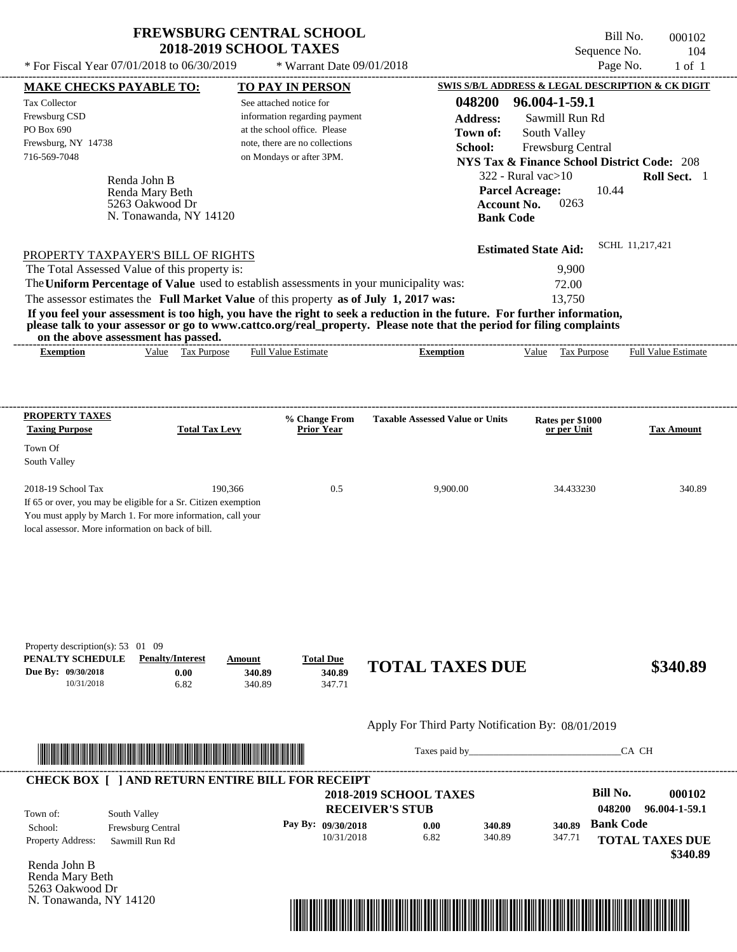\* For Fiscal Year  $07/01/2018$  to  $06/30/2019$  \* Warrant Date  $09/01/2018$  Page No. 1 of 1

 $*$  Warrant Date 09/01/2018

Bill No. 000102 Sequence No. 104

| <b>MAKE CHECKS PAYABLE TO:</b>                                                        |                                                                                                                        | <b>TO PAY IN PERSON</b>        |                                    |                                                                                                                                                                                                                                                  | <b>SWIS S/B/L ADDRESS &amp; LEGAL DESCRIPTION &amp; CK DIGIT</b>                                                                                                                                                               |                  |                        |
|---------------------------------------------------------------------------------------|------------------------------------------------------------------------------------------------------------------------|--------------------------------|------------------------------------|--------------------------------------------------------------------------------------------------------------------------------------------------------------------------------------------------------------------------------------------------|--------------------------------------------------------------------------------------------------------------------------------------------------------------------------------------------------------------------------------|------------------|------------------------|
| <b>Tax Collector</b>                                                                  |                                                                                                                        | See attached notice for        |                                    | 048200                                                                                                                                                                                                                                           | 96.004-1-59.1                                                                                                                                                                                                                  |                  |                        |
| Frewsburg CSD                                                                         |                                                                                                                        | information regarding payment  |                                    | <b>Address:</b>                                                                                                                                                                                                                                  | Sawmill Run Rd                                                                                                                                                                                                                 |                  |                        |
| PO Box 690                                                                            |                                                                                                                        | at the school office. Please   |                                    | Town of:                                                                                                                                                                                                                                         | South Valley                                                                                                                                                                                                                   |                  |                        |
| Frewsburg, NY 14738                                                                   |                                                                                                                        | note, there are no collections |                                    | School:                                                                                                                                                                                                                                          | Frewsburg Central                                                                                                                                                                                                              |                  |                        |
| 716-569-7048                                                                          |                                                                                                                        | on Mondays or after 3PM.       |                                    |                                                                                                                                                                                                                                                  | <b>NYS Tax &amp; Finance School District Code: 208</b>                                                                                                                                                                         |                  |                        |
|                                                                                       | Renda John B                                                                                                           |                                |                                    |                                                                                                                                                                                                                                                  | $322$ - Rural vac $>10$                                                                                                                                                                                                        |                  | Roll Sect. 1           |
|                                                                                       | Renda Mary Beth                                                                                                        |                                |                                    |                                                                                                                                                                                                                                                  | <b>Parcel Acreage:</b>                                                                                                                                                                                                         | 10.44            |                        |
|                                                                                       | 5263 Oakwood Dr                                                                                                        |                                |                                    |                                                                                                                                                                                                                                                  | 0263<br><b>Account No.</b>                                                                                                                                                                                                     |                  |                        |
|                                                                                       | N. Tonawanda, NY 14120                                                                                                 |                                |                                    |                                                                                                                                                                                                                                                  | <b>Bank Code</b>                                                                                                                                                                                                               |                  |                        |
|                                                                                       |                                                                                                                        |                                |                                    |                                                                                                                                                                                                                                                  |                                                                                                                                                                                                                                |                  |                        |
| PROPERTY TAXPAYER'S BILL OF RIGHTS                                                    |                                                                                                                        |                                |                                    |                                                                                                                                                                                                                                                  | <b>Estimated State Aid:</b>                                                                                                                                                                                                    | SCHL 11,217,421  |                        |
| The Total Assessed Value of this property is:                                         |                                                                                                                        |                                |                                    |                                                                                                                                                                                                                                                  | 9,900                                                                                                                                                                                                                          |                  |                        |
|                                                                                       |                                                                                                                        |                                |                                    | The Uniform Percentage of Value used to establish assessments in your municipality was:                                                                                                                                                          | 72.00                                                                                                                                                                                                                          |                  |                        |
| The assessor estimates the Full Market Value of this property as of July 1, 2017 was: |                                                                                                                        |                                |                                    |                                                                                                                                                                                                                                                  | 13,750                                                                                                                                                                                                                         |                  |                        |
|                                                                                       |                                                                                                                        |                                |                                    | If you feel your assessment is too high, you have the right to seek a reduction in the future. For further information,<br>please talk to your assessor or go to www.cattco.org/real_property. Please note that the period for filing complaints |                                                                                                                                                                                                                                |                  |                        |
|                                                                                       | on the above assessment has passed.<br>Value Tax Purpose                                                               | <b>Full Value Estimate</b>     |                                    |                                                                                                                                                                                                                                                  | Value Tax Purpose Full Value Estimate                                                                                                                                                                                          |                  |                        |
| <b>Exemption</b>                                                                      |                                                                                                                        |                                |                                    | <b>Exemption</b>                                                                                                                                                                                                                                 |                                                                                                                                                                                                                                |                  |                        |
|                                                                                       |                                                                                                                        |                                |                                    |                                                                                                                                                                                                                                                  |                                                                                                                                                                                                                                |                  |                        |
|                                                                                       |                                                                                                                        |                                |                                    |                                                                                                                                                                                                                                                  |                                                                                                                                                                                                                                |                  |                        |
| <b>PROPERTY TAXES</b><br><b>Taxing Purpose</b>                                        | <b>Total Tax Levy</b>                                                                                                  |                                | % Change From<br><b>Prior Year</b> | <b>Taxable Assessed Value or Units</b>                                                                                                                                                                                                           | Rates per \$1000<br>or per Unit                                                                                                                                                                                                |                  | <b>Tax Amount</b>      |
| Town Of                                                                               |                                                                                                                        |                                |                                    |                                                                                                                                                                                                                                                  |                                                                                                                                                                                                                                |                  |                        |
| South Valley                                                                          |                                                                                                                        |                                |                                    |                                                                                                                                                                                                                                                  |                                                                                                                                                                                                                                |                  |                        |
|                                                                                       |                                                                                                                        |                                |                                    |                                                                                                                                                                                                                                                  |                                                                                                                                                                                                                                |                  |                        |
| 2018-19 School Tax                                                                    | 190,366                                                                                                                |                                | 0.5                                | 9,900.00                                                                                                                                                                                                                                         | 34.433230                                                                                                                                                                                                                      |                  | 340.89                 |
| If 65 or over, you may be eligible for a Sr. Citizen exemption                        |                                                                                                                        |                                |                                    |                                                                                                                                                                                                                                                  |                                                                                                                                                                                                                                |                  |                        |
| You must apply by March 1. For more information, call your                            |                                                                                                                        |                                |                                    |                                                                                                                                                                                                                                                  |                                                                                                                                                                                                                                |                  |                        |
| local assessor. More information on back of bill.                                     |                                                                                                                        |                                |                                    |                                                                                                                                                                                                                                                  |                                                                                                                                                                                                                                |                  |                        |
|                                                                                       |                                                                                                                        |                                |                                    |                                                                                                                                                                                                                                                  |                                                                                                                                                                                                                                |                  |                        |
|                                                                                       |                                                                                                                        |                                |                                    |                                                                                                                                                                                                                                                  |                                                                                                                                                                                                                                |                  |                        |
|                                                                                       |                                                                                                                        |                                |                                    |                                                                                                                                                                                                                                                  |                                                                                                                                                                                                                                |                  |                        |
|                                                                                       |                                                                                                                        |                                |                                    |                                                                                                                                                                                                                                                  |                                                                                                                                                                                                                                |                  |                        |
|                                                                                       |                                                                                                                        |                                |                                    |                                                                                                                                                                                                                                                  |                                                                                                                                                                                                                                |                  |                        |
| Property description(s): $53 \quad 01 \quad 09$                                       |                                                                                                                        |                                |                                    |                                                                                                                                                                                                                                                  |                                                                                                                                                                                                                                |                  |                        |
| PENALTY SCHEDULE                                                                      | <b>Penalty/Interest</b>                                                                                                | Amount                         | <b>Total Due</b>                   | <b>TOTAL TAXES DUE</b>                                                                                                                                                                                                                           |                                                                                                                                                                                                                                |                  | \$340.89               |
| Due By: 09/30/2018<br>10/31/2018                                                      | 0.00<br>6.82                                                                                                           | 340.89<br>340.89               | 340.89<br>347.71                   |                                                                                                                                                                                                                                                  |                                                                                                                                                                                                                                |                  |                        |
|                                                                                       |                                                                                                                        |                                |                                    |                                                                                                                                                                                                                                                  |                                                                                                                                                                                                                                |                  |                        |
|                                                                                       |                                                                                                                        |                                |                                    | Apply For Third Party Notification By: 08/01/2019                                                                                                                                                                                                |                                                                                                                                                                                                                                |                  |                        |
|                                                                                       | <u> 1999 - An Dùbhlachd ann an Dùbhlachd ann an Dùbhlachd ann an Dùbhlachd ann an Dùbhlachd ann an Dùbhlachd an Dù</u> |                                |                                    |                                                                                                                                                                                                                                                  | Taxes paid by Taxes and the Taxes and the Taxes and the Taxes and the Taxes and the Taxes and the Taxes and the Taxes and the Taxes and the Taxes and the Taxes and the Taxes and the Taxes and the Taxes and the Taxes and th |                  | CA CH                  |
|                                                                                       |                                                                                                                        |                                |                                    |                                                                                                                                                                                                                                                  |                                                                                                                                                                                                                                |                  |                        |
| <b>CHECK BOX [ ] AND RETURN ENTIRE BILL FOR RECEIPT</b>                               |                                                                                                                        |                                |                                    | <b>2018-2019 SCHOOL TAXES</b>                                                                                                                                                                                                                    |                                                                                                                                                                                                                                | <b>Bill No.</b>  | 000102                 |
|                                                                                       |                                                                                                                        |                                |                                    |                                                                                                                                                                                                                                                  |                                                                                                                                                                                                                                |                  |                        |
| Town of:                                                                              | South Valley                                                                                                           |                                |                                    | <b>RECEIVER'S STUB</b>                                                                                                                                                                                                                           |                                                                                                                                                                                                                                | 048200           | 96.004-1-59.1          |
| School:                                                                               | Frewsburg Central                                                                                                      |                                | Pay By: 09/30/2018                 | 0.00                                                                                                                                                                                                                                             | 340.89<br>340.89                                                                                                                                                                                                               | <b>Bank Code</b> |                        |
| Property Address:                                                                     | Sawmill Run Rd                                                                                                         |                                | 10/31/2018                         | 6.82                                                                                                                                                                                                                                             | 340.89<br>347.71                                                                                                                                                                                                               |                  | <b>TOTAL TAXES DUE</b> |
|                                                                                       |                                                                                                                        |                                |                                    |                                                                                                                                                                                                                                                  |                                                                                                                                                                                                                                |                  | \$340.89               |
| Renda John B<br>Renda Mary Beth                                                       |                                                                                                                        |                                |                                    |                                                                                                                                                                                                                                                  |                                                                                                                                                                                                                                |                  |                        |
| 5263 Oakwood Dr                                                                       |                                                                                                                        |                                |                                    |                                                                                                                                                                                                                                                  |                                                                                                                                                                                                                                |                  |                        |
|                                                                                       |                                                                                                                        |                                |                                    |                                                                                                                                                                                                                                                  |                                                                                                                                                                                                                                |                  |                        |
| N. Tonawanda, NY 14120                                                                |                                                                                                                        |                                |                                    |                                                                                                                                                                                                                                                  |                                                                                                                                                                                                                                |                  |                        |

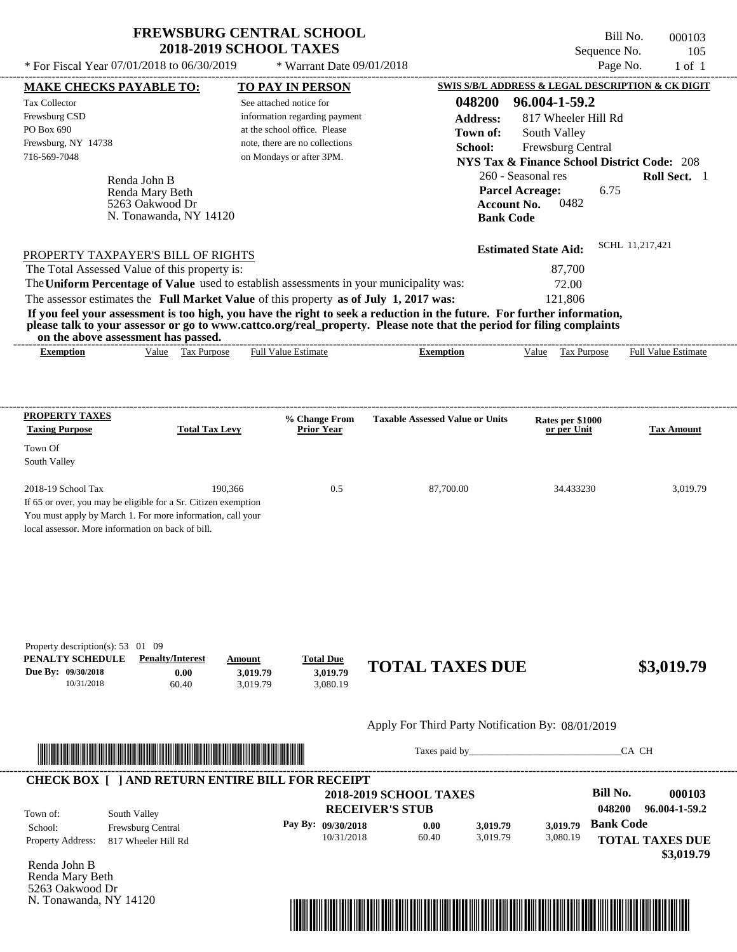\* For Fiscal Year  $07/01/2018$  to  $06/30/2019$  \* Warrant Date  $09/01/2018$  Page No. 1 of 1

 $*$  Warrant Date 09/01/2018

---------------------------------------------------------------------------------------------------------------------------------------------------------------------------------------------------- Bill No. 000103 Sequence No. 105

| <b>MAKE CHECKS PAYABLE TO:</b>                                                            |                                                                                                                                                                                                                                      | <b>TO PAY IN PERSON</b>                                  |                      |                                                                                                                                                                                                                                                  |                                   | SWIS S/B/L ADDRESS & LEGAL DESCRIPTION & CK DIGIT      |
|-------------------------------------------------------------------------------------------|--------------------------------------------------------------------------------------------------------------------------------------------------------------------------------------------------------------------------------------|----------------------------------------------------------|----------------------|--------------------------------------------------------------------------------------------------------------------------------------------------------------------------------------------------------------------------------------------------|-----------------------------------|--------------------------------------------------------|
| <b>Tax Collector</b><br>Frewsburg CSD                                                     |                                                                                                                                                                                                                                      | See attached notice for<br>information regarding payment |                      | 048200                                                                                                                                                                                                                                           | 96.004-1-59.2                     |                                                        |
| PO Box 690                                                                                |                                                                                                                                                                                                                                      | at the school office. Please                             |                      | <b>Address:</b>                                                                                                                                                                                                                                  | 817 Wheeler Hill Rd               |                                                        |
| Frewsburg, NY 14738                                                                       |                                                                                                                                                                                                                                      | note, there are no collections                           |                      | Town of:<br>School:                                                                                                                                                                                                                              | South Valley<br>Frewsburg Central |                                                        |
| 716-569-7048                                                                              |                                                                                                                                                                                                                                      | on Mondays or after 3PM.                                 |                      |                                                                                                                                                                                                                                                  |                                   | <b>NYS Tax &amp; Finance School District Code: 208</b> |
|                                                                                           |                                                                                                                                                                                                                                      |                                                          |                      |                                                                                                                                                                                                                                                  | 260 - Seasonal res                | Roll Sect. 1                                           |
|                                                                                           | Renda John B<br>Renda Mary Beth                                                                                                                                                                                                      |                                                          |                      |                                                                                                                                                                                                                                                  | <b>Parcel Acreage:</b>            | 6.75                                                   |
|                                                                                           | 5263 Oakwood Dr                                                                                                                                                                                                                      |                                                          |                      |                                                                                                                                                                                                                                                  | 0482<br><b>Account No.</b>        |                                                        |
|                                                                                           | N. Tonawanda, NY 14120                                                                                                                                                                                                               |                                                          |                      |                                                                                                                                                                                                                                                  | <b>Bank Code</b>                  |                                                        |
|                                                                                           |                                                                                                                                                                                                                                      |                                                          |                      |                                                                                                                                                                                                                                                  |                                   |                                                        |
|                                                                                           | PROPERTY TAXPAYER'S BILL OF RIGHTS                                                                                                                                                                                                   |                                                          |                      |                                                                                                                                                                                                                                                  | <b>Estimated State Aid:</b>       | SCHL 11,217,421                                        |
|                                                                                           | The Total Assessed Value of this property is:                                                                                                                                                                                        |                                                          |                      |                                                                                                                                                                                                                                                  | 87,700                            |                                                        |
|                                                                                           | The Uniform Percentage of Value used to establish assessments in your municipality was:                                                                                                                                              |                                                          |                      |                                                                                                                                                                                                                                                  | 72.00                             |                                                        |
|                                                                                           | The assessor estimates the Full Market Value of this property as of July 1, 2017 was:                                                                                                                                                |                                                          |                      |                                                                                                                                                                                                                                                  | 121,806                           |                                                        |
|                                                                                           | on the above assessment has passed.                                                                                                                                                                                                  |                                                          |                      | If you feel your assessment is too high, you have the right to seek a reduction in the future. For further information,<br>please talk to your assessor or go to www.cattco.org/real_property. Please note that the period for filing complaints |                                   |                                                        |
| <b>Exemption</b>                                                                          | Value Tax Purpose                                                                                                                                                                                                                    | <b>Full Value Estimate</b>                               |                      | <b>Exemption</b>                                                                                                                                                                                                                                 | Value Tax Purpose                 | <b>Full Value Estimate</b>                             |
| <b>PROPERTY TAXES</b><br><b>Taxing Purpose</b>                                            | <b>Total Tax Levy</b>                                                                                                                                                                                                                | % Change From<br><b>Prior Year</b>                       |                      | <b>Taxable Assessed Value or Units</b>                                                                                                                                                                                                           | Rates per \$1000<br>or per Unit   | <b>Tax Amount</b>                                      |
| Town Of<br>South Valley                                                                   |                                                                                                                                                                                                                                      |                                                          |                      |                                                                                                                                                                                                                                                  |                                   |                                                        |
| 2018-19 School Tax                                                                        | 190,366<br>If 65 or over, you may be eligible for a Sr. Citizen exemption                                                                                                                                                            |                                                          | 0.5                  | 87,700.00                                                                                                                                                                                                                                        | 34.433230                         | 3,019.79                                               |
| local assessor. More information on back of bill.                                         | You must apply by March 1. For more information, call your                                                                                                                                                                           |                                                          |                      |                                                                                                                                                                                                                                                  |                                   |                                                        |
| Property description(s): 53 01 09<br>PENALTY SCHEDULE<br>Due By: 09/30/2018<br>10/31/2018 | <b>Penalty/Interest</b><br>0.00<br>60.40                                                                                                                                                                                             | <b>Total Due</b><br>Amount<br>3,019.79<br>3,019.79       | 3.019.79<br>3,080.19 | <b>TOTAL TAXES DUE</b>                                                                                                                                                                                                                           |                                   | \$3,019.79                                             |
|                                                                                           |                                                                                                                                                                                                                                      |                                                          |                      | Apply For Third Party Notification By: 08/01/2019                                                                                                                                                                                                |                                   |                                                        |
|                                                                                           | <u> Indian American State and The Communication of the Communication of the Communication of the Communication of the Communication of the Communication of the Communication of the Communication of the Communication of the C</u> |                                                          |                      |                                                                                                                                                                                                                                                  |                                   | CA CH                                                  |
|                                                                                           | <b>CHECK BOX [ ] AND RETURN ENTIRE BILL FOR RECEIPT</b>                                                                                                                                                                              |                                                          |                      | <b>2018-2019 SCHOOL TAXES</b>                                                                                                                                                                                                                    |                                   | <b>Bill No.</b><br>000103                              |
|                                                                                           |                                                                                                                                                                                                                                      |                                                          |                      | <b>RECEIVER'S STUB</b>                                                                                                                                                                                                                           |                                   | 048200<br>96.004-1-59.2                                |
| Town of:                                                                                  | South Valley                                                                                                                                                                                                                         |                                                          | Pay By: 09/30/2018   | 0.00<br>3,019.79                                                                                                                                                                                                                                 | 3,019.79                          | <b>Bank Code</b>                                       |
| School:<br>Property Address:                                                              | Frewsburg Central<br>817 Wheeler Hill Rd                                                                                                                                                                                             |                                                          | 10/31/2018           | 60.40<br>3,019.79                                                                                                                                                                                                                                | 3,080.19                          | <b>TOTAL TAXES DUE</b><br>\$3,019.79                   |
| Renda John B<br>Renda Mary Beth<br>5263 Oakwood Dr                                        |                                                                                                                                                                                                                                      |                                                          |                      |                                                                                                                                                                                                                                                  |                                   |                                                        |
| N. Tonawanda, NY 14120                                                                    |                                                                                                                                                                                                                                      |                                                          |                      |                                                                                                                                                                                                                                                  |                                   |                                                        |
|                                                                                           |                                                                                                                                                                                                                                      |                                                          |                      |                                                                                                                                                                                                                                                  |                                   |                                                        |

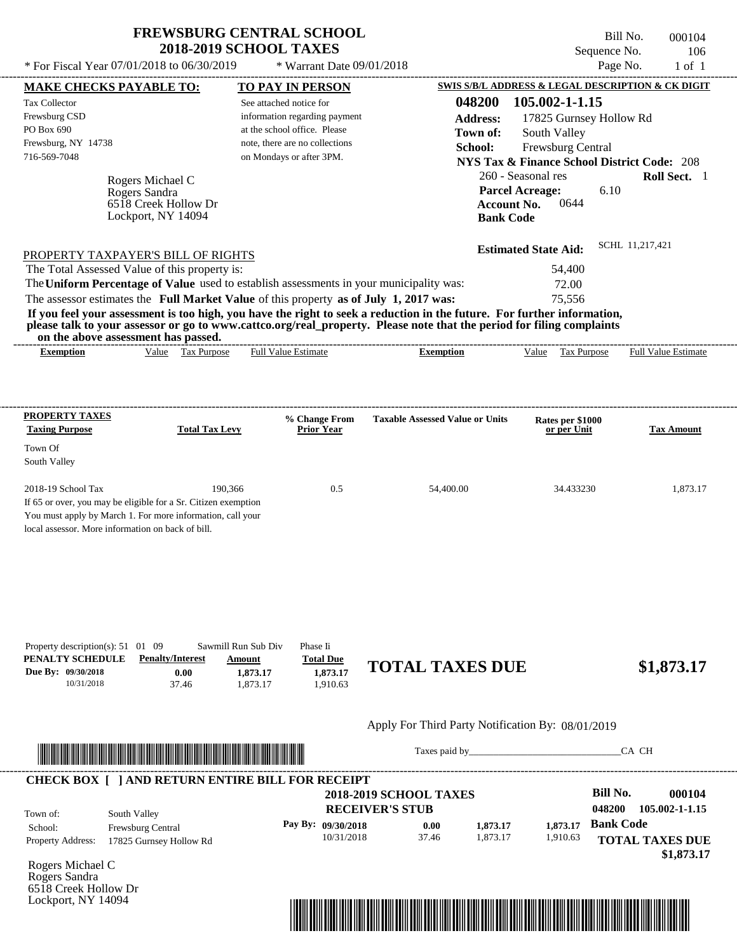---------------------------------------------------------------------------------------------------------------------------------------------------------------------------------------------------- Rogers Michael C If 65 or over, you may be eligible for a Sr. Citizen exemption You must apply by March 1. For more information, call your local assessor. More information on back of bill. Bill No. 000104 Sequence No. 106 \* For Fiscal Year  $07/01/2018$  to  $06/30/2019$  \* Warrant Date  $09/01/2018$  Page No. 1 of 1 **MAKE CHECKS PAYABLE TO: TO PAY IN PERSON SWIS S/B/L ADDRESS & LEGAL DESCRIPTION & CK DIGIT 048200 105.002-1-1.15 Address:** 17825 Gurnsey Hollow Rd South Valley **School:** Frewsburg Central **NYS Tax & Finance School District Code:** 208 260 - Seasonal res **Roll Sect.** 1 6.10 **Account No.** 0644 **Bank Code Estimated State Aid:** SCHL 11,217,421 PROPERTY TAXPAYER'S BILL OF RIGHTS The assessor estimates the **Full Market Value** of this property **as of July 1, 2017 was:** 75,556 The Total Assessed Value of this property is: 54,400 The **Uniform Percentage of Value** used to establish assessments in your municipality was: 72.00 **If you feel your assessment is too high, you have the right to seek a reduction in the future. For further information, please talk to your assessor or go to www.cattco.org/real\_property. Please note that the period for filing complaints on the above assessment has passed. Exemption** Value Tax Purpose **Taxing Purpose Total Tax Levy Prior Year % Change From Taxable Assessed Value or Units or per Unit Rates per \$1000 Tax Amount** See attached notice for information regarding payment at the school office. Please note, there are no collections \* Warrant Date 09/01/2018 **FREWSBURG CENTRAL SCHOOL 2018-2019 SCHOOL TAXES** 716-569-7048 on Mondays or after 3PM. **Parcel Acreage:** 2018-19 School Tax 190,366 190,366 0.5 54,400.00 34.433230 1,873.17 Rogers Sandra Full Value Estimate ---------------------------------------------------------------------------------------------------------------------------------------------------------------------------------------------------- ---------------------------------------------------------------------------------------------------------------------------------------------------------------------------------------------------- **Town of:** 6518 Creek Hollow Dr Lockport, NY 14094 **Exemption** Value Tax Purpose Full Value Estimate

| Property description(s): $51 \quad 01 \quad 09$ |                         | Sawmill Run Sub Div | Phase Ii         |                        |            |
|-------------------------------------------------|-------------------------|---------------------|------------------|------------------------|------------|
| PENALTY SCHEDULE                                | <b>Penalty/Interest</b> | Amount              | <b>Total Due</b> | <b>TOTAL TAXES DUE</b> |            |
| Due By: 09/30/2018                              | 0.00                    | 1.873.17            | 1,873.17         |                        | \$1,873.17 |
| 10/31/2018                                      | 37.46                   | .873.17             | .910.63          |                        |            |
|                                                 |                         |                     |                  |                        |            |

#### Apply For Third Party Notification By: 08/01/2019



Taxes paid by\_\_\_\_\_\_\_\_\_\_\_\_\_\_\_\_\_\_\_\_\_\_\_\_\_\_\_\_\_\_\_CA CH

|                          | <b>CHECK BOX [ ] AND RETURN ENTIRE BILL FOR RECEIPT</b> | <b>2018-2019 SCHOOL TAXES</b> |       |          |          | <b>Bill No.</b>  | 000104                 |
|--------------------------|---------------------------------------------------------|-------------------------------|-------|----------|----------|------------------|------------------------|
| Town of:                 | South Valley                                            | <b>RECEIVER'S STUB</b>        |       |          |          | 048200           | 105.002-1-1.15         |
| School:                  | <b>Frewsburg Central</b>                                | Pay By: $09/30/2018$          | 0.00  | 1,873.17 | 1.873.17 | <b>Bank Code</b> |                        |
| <b>Property Address:</b> | 17825 Gurnsey Hollow Rd                                 | 10/31/2018                    | 37.46 | 1.873.17 | 1,910.63 |                  | <b>TOTAL TAXES DUE</b> |
|                          |                                                         |                               |       |          |          |                  | \$1,873.17             |

Rogers Michael C Rogers Sandra 6518 Creek Hollow Dr Lockport, NY 14094

**PROPERTY TAXES**

Town Of South Valley

Tax Collector Frewsburg CSD PO Box 690

Frewsburg, NY 14738

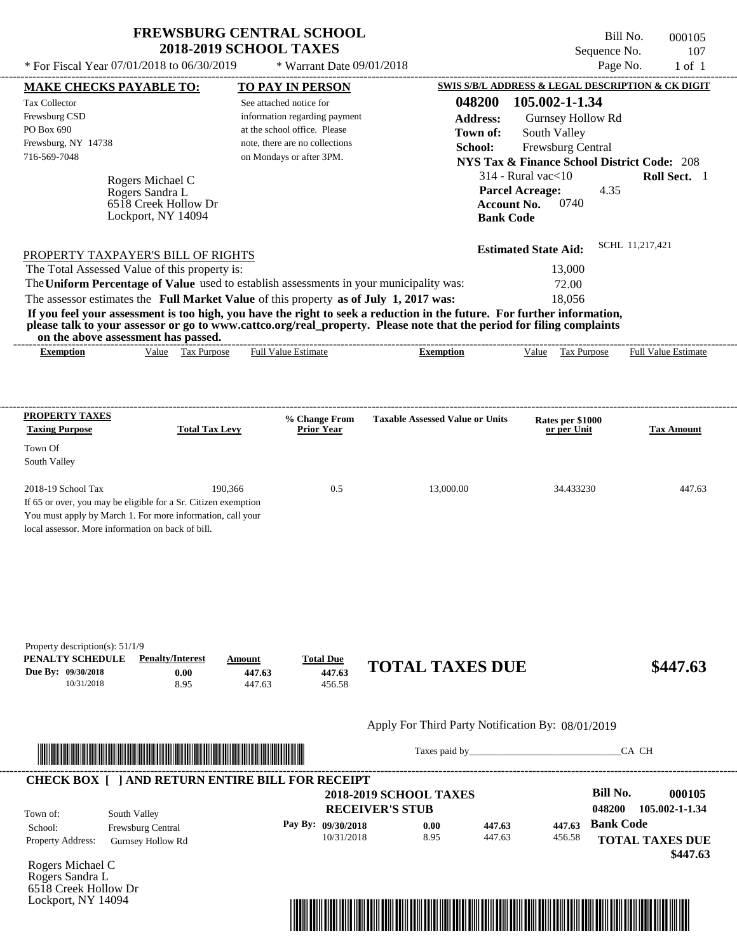$*$  For Fiscal Year 07/01/2018 to 06/30/2019

\* Warrant Date 09/01/2018

Bill No. 000105 Sequence No. 107<br>Page No. 1 of 1

| <b>MAKE CHECKS PAYABLE TO:</b>                                                                                          |                                     |                  | <b>TO PAY IN PERSON</b>            |                                                   |                    |                                                        |                  | <b>SWIS S/B/L ADDRESS &amp; LEGAL DESCRIPTION &amp; CK DIGIT</b> |
|-------------------------------------------------------------------------------------------------------------------------|-------------------------------------|------------------|------------------------------------|---------------------------------------------------|--------------------|--------------------------------------------------------|------------------|------------------------------------------------------------------|
| <b>Tax Collector</b>                                                                                                    |                                     |                  | See attached notice for            |                                                   | 048200             | 105.002-1-1.34                                         |                  |                                                                  |
| Frewsburg CSD                                                                                                           |                                     |                  | information regarding payment      |                                                   | <b>Address:</b>    | Gurnsey Hollow Rd                                      |                  |                                                                  |
| PO Box 690                                                                                                              |                                     |                  | at the school office. Please       |                                                   | Town of:           | South Valley                                           |                  |                                                                  |
| Frewsburg, NY 14738                                                                                                     |                                     |                  | note, there are no collections     |                                                   | School:            | Frewsburg Central                                      |                  |                                                                  |
| 716-569-7048                                                                                                            |                                     |                  | on Mondays or after 3PM.           |                                                   |                    | <b>NYS Tax &amp; Finance School District Code: 208</b> |                  |                                                                  |
|                                                                                                                         |                                     |                  |                                    |                                                   |                    | $314$ - Rural vac $<$ 10                               |                  | Roll Sect. 1                                                     |
|                                                                                                                         | Rogers Michael C<br>Rogers Sandra L |                  |                                    |                                                   |                    | <b>Parcel Acreage:</b>                                 | 4.35             |                                                                  |
|                                                                                                                         | 6518 Creek Hollow Dr                |                  |                                    |                                                   | <b>Account No.</b> | 0740                                                   |                  |                                                                  |
|                                                                                                                         | Lockport, NY 14094                  |                  |                                    |                                                   | <b>Bank Code</b>   |                                                        |                  |                                                                  |
|                                                                                                                         |                                     |                  |                                    |                                                   |                    |                                                        |                  |                                                                  |
| PROPERTY TAXPAYER'S BILL OF RIGHTS                                                                                      |                                     |                  |                                    |                                                   |                    | <b>Estimated State Aid:</b>                            |                  | SCHL 11.217.421                                                  |
| The Total Assessed Value of this property is:                                                                           |                                     |                  |                                    |                                                   |                    | 13,000                                                 |                  |                                                                  |
| The Uniform Percentage of Value used to establish assessments in your municipality was:                                 |                                     |                  |                                    |                                                   |                    | 72.00                                                  |                  |                                                                  |
| The assessor estimates the Full Market Value of this property as of July 1, 2017 was:                                   |                                     |                  |                                    |                                                   |                    | 18,056                                                 |                  |                                                                  |
| If you feel your assessment is too high, you have the right to seek a reduction in the future. For further information, |                                     |                  |                                    |                                                   |                    |                                                        |                  |                                                                  |
| please talk to your assessor or go to www.cattco.org/real_property. Please note that the period for filing complaints   |                                     |                  |                                    |                                                   |                    |                                                        |                  |                                                                  |
| on the above assessment has passed.<br><b>Exemption</b>                                                                 | Value Tax Purpose                   |                  | <b>Full Value Estimate</b>         | <b>Exemption</b>                                  |                    |                                                        |                  | Value Tax Purpose Full Value Estimate                            |
|                                                                                                                         |                                     |                  |                                    |                                                   |                    |                                                        |                  |                                                                  |
|                                                                                                                         |                                     |                  |                                    |                                                   |                    |                                                        |                  |                                                                  |
| <b>PROPERTY TAXES</b>                                                                                                   |                                     |                  |                                    |                                                   |                    |                                                        |                  |                                                                  |
| <b>Taxing Purpose</b>                                                                                                   | <b>Total Tax Levy</b>               |                  | % Change From<br><b>Prior Year</b> | <b>Taxable Assessed Value or Units</b>            |                    | Rates per \$1000<br>or per Unit                        |                  | <b>Tax Amount</b>                                                |
|                                                                                                                         |                                     |                  |                                    |                                                   |                    |                                                        |                  |                                                                  |
| Town Of                                                                                                                 |                                     |                  |                                    |                                                   |                    |                                                        |                  |                                                                  |
| South Valley                                                                                                            |                                     |                  |                                    |                                                   |                    |                                                        |                  |                                                                  |
| 2018-19 School Tax                                                                                                      |                                     | 190,366          | 0.5                                | 13,000.00                                         |                    | 34.433230                                              |                  | 447.63                                                           |
| If 65 or over, you may be eligible for a Sr. Citizen exemption                                                          |                                     |                  |                                    |                                                   |                    |                                                        |                  |                                                                  |
| You must apply by March 1. For more information, call your                                                              |                                     |                  |                                    |                                                   |                    |                                                        |                  |                                                                  |
| local assessor. More information on back of bill.                                                                       |                                     |                  |                                    |                                                   |                    |                                                        |                  |                                                                  |
|                                                                                                                         |                                     |                  |                                    |                                                   |                    |                                                        |                  |                                                                  |
|                                                                                                                         |                                     |                  |                                    |                                                   |                    |                                                        |                  |                                                                  |
|                                                                                                                         |                                     |                  |                                    |                                                   |                    |                                                        |                  |                                                                  |
|                                                                                                                         |                                     |                  |                                    |                                                   |                    |                                                        |                  |                                                                  |
|                                                                                                                         |                                     |                  |                                    |                                                   |                    |                                                        |                  |                                                                  |
|                                                                                                                         |                                     |                  |                                    |                                                   |                    |                                                        |                  |                                                                  |
| Property description(s): $51/1/9$                                                                                       |                                     |                  |                                    |                                                   |                    |                                                        |                  |                                                                  |
| PENALTY SCHEDULE<br>Due By: 09/30/2018                                                                                  | <b>Penalty/Interest</b>             | Amount           | <b>Total Due</b><br>447.63         | <b>TOTAL TAXES DUE</b>                            |                    |                                                        |                  | \$447.63                                                         |
| 10/31/2018                                                                                                              | 0.00<br>8.95                        | 447.63<br>447.63 | 456.58                             |                                                   |                    |                                                        |                  |                                                                  |
|                                                                                                                         |                                     |                  |                                    |                                                   |                    |                                                        |                  |                                                                  |
|                                                                                                                         |                                     |                  |                                    | Apply For Third Party Notification By: 08/01/2019 |                    |                                                        |                  |                                                                  |
|                                                                                                                         |                                     |                  |                                    |                                                   |                    | Taxes paid by                                          |                  | CA CH                                                            |
| <u> HERE IN DIE HERE IN DIE HERE IN DIE HERE IN DIE HERE IN DIE HERE IN DIE HERE IN DIE HERE IN DIE HERE IN DIE HE</u>  |                                     |                  |                                    |                                                   |                    |                                                        |                  |                                                                  |
| <b>CHECK BOX [ ] AND RETURN ENTIRE BILL FOR RECEIPT</b>                                                                 |                                     |                  |                                    |                                                   |                    |                                                        |                  |                                                                  |
|                                                                                                                         |                                     |                  |                                    | <b>2018-2019 SCHOOL TAXES</b>                     |                    |                                                        | <b>Bill No.</b>  | 000105                                                           |
| South Valley<br>Town of:                                                                                                |                                     |                  |                                    | <b>RECEIVER'S STUB</b>                            |                    |                                                        | 048200           | 105.002-1-1.34                                                   |
| School:                                                                                                                 | Frewsburg Central                   |                  | Pay By: 09/30/2018                 | 0.00                                              | 447.63             | 447.63                                                 | <b>Bank Code</b> |                                                                  |
| Property Address:                                                                                                       | <b>Gurnsey Hollow Rd</b>            |                  | 10/31/2018                         | 8.95                                              | 447.63             | 456.58                                                 |                  | <b>TOTAL TAXES DUE</b>                                           |
|                                                                                                                         |                                     |                  |                                    |                                                   |                    |                                                        |                  | \$447.63                                                         |
| Rogers Michael C                                                                                                        |                                     |                  |                                    |                                                   |                    |                                                        |                  |                                                                  |
| Rogers Sandra L                                                                                                         |                                     |                  |                                    |                                                   |                    |                                                        |                  |                                                                  |
| 6518 Creek Hollow Dr<br>Lockport, NY 14094                                                                              |                                     |                  |                                    |                                                   |                    |                                                        |                  |                                                                  |
|                                                                                                                         |                                     |                  |                                    |                                                   |                    |                                                        |                  |                                                                  |

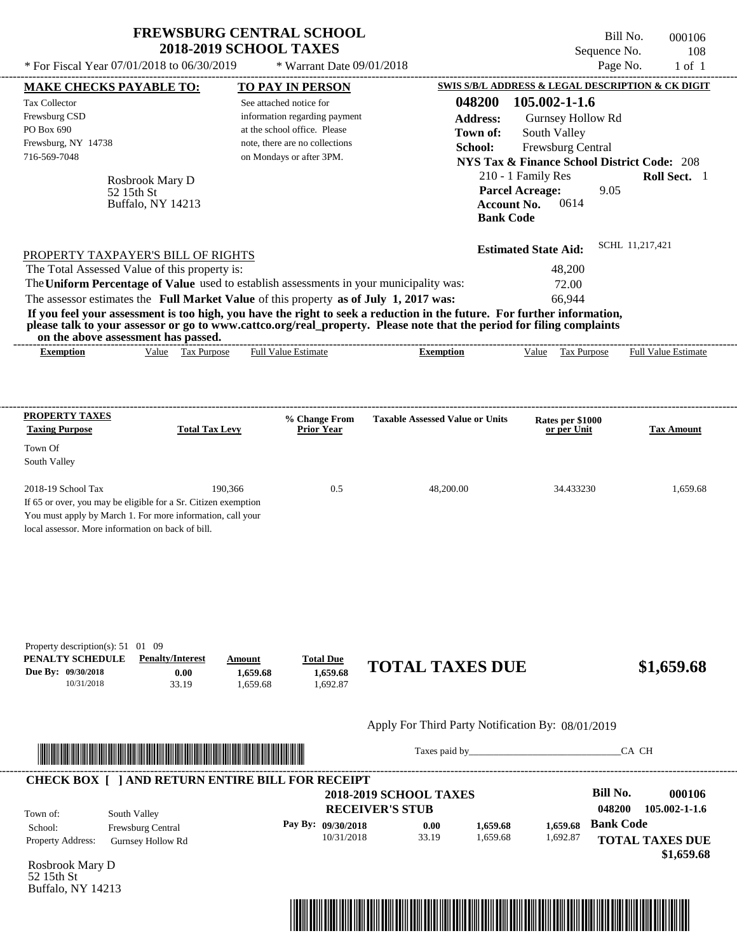| <b>FREWSBURG CENTRAL SCHOOL</b> |
|---------------------------------|
| <b>2018-2019 SCHOOL TAXES</b>   |

 $*$  Warrant Date 09/01/2018

---------------------------------------------------------------------------------------------------------------------------------------------------------------------------------------------------- Bill No. 000106 Sequence No. 108 \* For Fiscal Year  $07/01/2018$  to  $06/30/2019$  \* Warrant Date  $09/01/2018$  Page No. 1 of 1

| <b>MAKE CHECKS PAYABLE TO:</b>                        |                                                                                                                                                                                                                                      |                      | <b>TO PAY IN PERSON</b>                                        |                                                                                                                         |                    | SWIS S/B/L ADDRESS & LEGAL DESCRIPTION & CK DIGIT      |                  |                            |
|-------------------------------------------------------|--------------------------------------------------------------------------------------------------------------------------------------------------------------------------------------------------------------------------------------|----------------------|----------------------------------------------------------------|-------------------------------------------------------------------------------------------------------------------------|--------------------|--------------------------------------------------------|------------------|----------------------------|
| <b>Tax Collector</b>                                  |                                                                                                                                                                                                                                      |                      | See attached notice for                                        |                                                                                                                         | 048200             | 105.002-1-1.6                                          |                  |                            |
| Frewsburg CSD<br>PO Box 690                           |                                                                                                                                                                                                                                      |                      | information regarding payment                                  |                                                                                                                         | <b>Address:</b>    | Gurnsey Hollow Rd                                      |                  |                            |
| Frewsburg, NY 14738                                   |                                                                                                                                                                                                                                      |                      | at the school office. Please<br>note, there are no collections |                                                                                                                         | Town of:           | South Valley                                           |                  |                            |
| 716-569-7048                                          |                                                                                                                                                                                                                                      |                      | on Mondays or after 3PM.                                       |                                                                                                                         | School:            | Frewsburg Central                                      |                  |                            |
|                                                       |                                                                                                                                                                                                                                      |                      |                                                                |                                                                                                                         |                    | <b>NYS Tax &amp; Finance School District Code: 208</b> |                  |                            |
|                                                       | Rosbrook Mary D                                                                                                                                                                                                                      |                      |                                                                |                                                                                                                         |                    | 210 - 1 Family Res                                     |                  | Roll Sect. 1               |
|                                                       | 52 15th St<br>Buffalo, NY 14213                                                                                                                                                                                                      |                      |                                                                |                                                                                                                         | <b>Account No.</b> | <b>Parcel Acreage:</b><br>0614                         | 9.05             |                            |
|                                                       |                                                                                                                                                                                                                                      |                      |                                                                |                                                                                                                         | <b>Bank Code</b>   |                                                        |                  |                            |
|                                                       |                                                                                                                                                                                                                                      |                      |                                                                |                                                                                                                         |                    | <b>Estimated State Aid:</b>                            | SCHL 11,217,421  |                            |
|                                                       | PROPERTY TAXPAYER'S BILL OF RIGHTS                                                                                                                                                                                                   |                      |                                                                |                                                                                                                         |                    |                                                        |                  |                            |
|                                                       | The Total Assessed Value of this property is:                                                                                                                                                                                        |                      |                                                                |                                                                                                                         |                    | 48,200                                                 |                  |                            |
|                                                       |                                                                                                                                                                                                                                      |                      |                                                                | The Uniform Percentage of Value used to establish assessments in your municipality was:                                 |                    | 72.00                                                  |                  |                            |
|                                                       | The assessor estimates the Full Market Value of this property as of July 1, 2017 was:                                                                                                                                                |                      |                                                                | If you feel your assessment is too high, you have the right to seek a reduction in the future. For further information, |                    | 66,944                                                 |                  |                            |
|                                                       | on the above assessment has passed.                                                                                                                                                                                                  |                      |                                                                | please talk to your assessor or go to www.cattco.org/real_property. Please note that the period for filing complaints   |                    |                                                        |                  |                            |
| <b>Exemption</b>                                      | Value Tax Purpose                                                                                                                                                                                                                    |                      | Full Value Estimate                                            | <b>Exemption</b>                                                                                                        |                    | Value Tax Purpose                                      |                  | <b>Full Value Estimate</b> |
|                                                       |                                                                                                                                                                                                                                      |                      |                                                                |                                                                                                                         |                    |                                                        |                  |                            |
|                                                       |                                                                                                                                                                                                                                      |                      |                                                                |                                                                                                                         |                    |                                                        |                  |                            |
| <b>PROPERTY TAXES</b>                                 |                                                                                                                                                                                                                                      |                      | % Change From                                                  | <b>Taxable Assessed Value or Units</b>                                                                                  |                    | Rates per \$1000                                       |                  |                            |
| <b>Taxing Purpose</b>                                 | <b>Total Tax Levy</b>                                                                                                                                                                                                                |                      | <b>Prior Year</b>                                              |                                                                                                                         |                    | or per Unit                                            |                  | <b>Tax Amount</b>          |
| Town Of                                               |                                                                                                                                                                                                                                      |                      |                                                                |                                                                                                                         |                    |                                                        |                  |                            |
| South Valley                                          |                                                                                                                                                                                                                                      |                      |                                                                |                                                                                                                         |                    |                                                        |                  |                            |
| 2018-19 School Tax                                    | 190,366                                                                                                                                                                                                                              |                      | 0.5                                                            | 48,200.00                                                                                                               |                    | 34.433230                                              |                  | 1,659.68                   |
|                                                       | If 65 or over, you may be eligible for a Sr. Citizen exemption                                                                                                                                                                       |                      |                                                                |                                                                                                                         |                    |                                                        |                  |                            |
|                                                       | You must apply by March 1. For more information, call your                                                                                                                                                                           |                      |                                                                |                                                                                                                         |                    |                                                        |                  |                            |
| local assessor. More information on back of bill.     |                                                                                                                                                                                                                                      |                      |                                                                |                                                                                                                         |                    |                                                        |                  |                            |
|                                                       |                                                                                                                                                                                                                                      |                      |                                                                |                                                                                                                         |                    |                                                        |                  |                            |
|                                                       |                                                                                                                                                                                                                                      |                      |                                                                |                                                                                                                         |                    |                                                        |                  |                            |
| Property description(s): 51 01 09<br>PENALTY SCHEDULE | <b>Penalty/Interest</b>                                                                                                                                                                                                              | Amount               | <b>Total Due</b>                                               |                                                                                                                         |                    |                                                        |                  |                            |
| Due By: 09/30/2018<br>10/31/2018                      | 0.00<br>33.19                                                                                                                                                                                                                        | 1,659.68<br>1,659.68 | 1,659.68<br>1,692.87                                           | <b>TOTAL TAXES DUE</b>                                                                                                  |                    |                                                        |                  | \$1,659.68                 |
|                                                       |                                                                                                                                                                                                                                      |                      |                                                                |                                                                                                                         |                    |                                                        |                  |                            |
|                                                       |                                                                                                                                                                                                                                      |                      |                                                                | Apply For Third Party Notification By: 08/01/2019                                                                       |                    |                                                        |                  |                            |
|                                                       |                                                                                                                                                                                                                                      |                      |                                                                |                                                                                                                         |                    |                                                        |                  | CA CH                      |
|                                                       | <u> In the second contract of the second contract of the second contract of the second contract of the second contract of the second contract of the second contract of the second contract of the second contract of the second</u> |                      |                                                                |                                                                                                                         |                    |                                                        |                  |                            |
|                                                       | <b>CHECK BOX [ ] AND RETURN ENTIRE BILL FOR RECEIPT</b>                                                                                                                                                                              |                      |                                                                |                                                                                                                         |                    |                                                        |                  |                            |
|                                                       |                                                                                                                                                                                                                                      |                      |                                                                | <b>2018-2019 SCHOOL TAXES</b>                                                                                           |                    |                                                        | <b>Bill No.</b>  | 000106                     |
| Town of:                                              | South Valley                                                                                                                                                                                                                         |                      |                                                                | <b>RECEIVER'S STUB</b>                                                                                                  |                    |                                                        | 048200           | 105.002-1-1.6              |
| School:                                               | Frewsburg Central                                                                                                                                                                                                                    |                      | Pay By: 09/30/2018                                             | 0.00                                                                                                                    | 1,659.68           | 1,659.68                                               | <b>Bank Code</b> |                            |
| Property Address:                                     | Gurnsey Hollow Rd                                                                                                                                                                                                                    |                      | 10/31/2018                                                     | 33.19                                                                                                                   | 1,659.68           | 1,692.87                                               |                  | <b>TOTAL TAXES DUE</b>     |
| Rosbrook Mary D                                       |                                                                                                                                                                                                                                      |                      |                                                                |                                                                                                                         |                    |                                                        |                  | \$1,659.68                 |
| 52 15th St                                            |                                                                                                                                                                                                                                      |                      |                                                                |                                                                                                                         |                    |                                                        |                  |                            |
| Buffalo, NY 14213                                     |                                                                                                                                                                                                                                      |                      |                                                                |                                                                                                                         |                    |                                                        |                  |                            |
|                                                       |                                                                                                                                                                                                                                      |                      |                                                                |                                                                                                                         |                    |                                                        |                  |                            |
|                                                       |                                                                                                                                                                                                                                      |                      |                                                                |                                                                                                                         |                    |                                                        |                  |                            |
|                                                       |                                                                                                                                                                                                                                      |                      |                                                                |                                                                                                                         |                    |                                                        |                  |                            |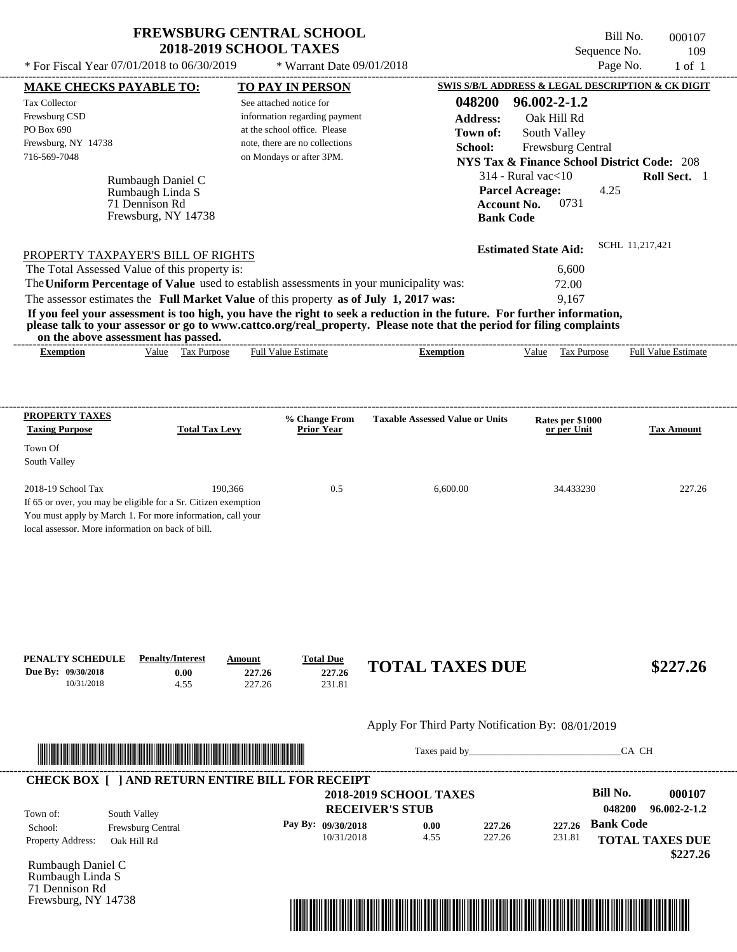\* For Fiscal Year  $07/01/2018$  to  $06/30/2019$  \* Warrant Date  $09/01/2018$  Page No. 1 of 1

 $*$  Warrant Date 09/01/2018

Bill No. 000107 Sequence No. 109

| SWIS S/B/L ADDRESS & LEGAL DESCRIPTION & CK DIGIT<br><b>TO PAY IN PERSON</b><br><b>MAKE CHECKS PAYABLE TO:</b><br>048200<br>$96.002 - 2 - 1.2$<br><b>Tax Collector</b><br>See attached notice for<br>Frewsburg CSD<br>information regarding payment<br><b>Address:</b><br>Oak Hill Rd<br>PO Box 690<br>at the school office. Please<br>South Valley<br>Town of:<br>Frewsburg, NY 14738<br>note, there are no collections<br>School:<br>Frewsburg Central<br>716-569-7048<br>on Mondays or after 3PM.<br><b>NYS Tax &amp; Finance School District Code: 208</b><br>$314$ - Rural vac $<$ 10<br>Rumbaugh Daniel C |                        |
|-----------------------------------------------------------------------------------------------------------------------------------------------------------------------------------------------------------------------------------------------------------------------------------------------------------------------------------------------------------------------------------------------------------------------------------------------------------------------------------------------------------------------------------------------------------------------------------------------------------------|------------------------|
|                                                                                                                                                                                                                                                                                                                                                                                                                                                                                                                                                                                                                 |                        |
|                                                                                                                                                                                                                                                                                                                                                                                                                                                                                                                                                                                                                 |                        |
|                                                                                                                                                                                                                                                                                                                                                                                                                                                                                                                                                                                                                 |                        |
|                                                                                                                                                                                                                                                                                                                                                                                                                                                                                                                                                                                                                 |                        |
|                                                                                                                                                                                                                                                                                                                                                                                                                                                                                                                                                                                                                 |                        |
|                                                                                                                                                                                                                                                                                                                                                                                                                                                                                                                                                                                                                 |                        |
|                                                                                                                                                                                                                                                                                                                                                                                                                                                                                                                                                                                                                 | Roll Sect. 1           |
| <b>Parcel Acreage:</b><br>4.25<br>Rumbaugh Linda S                                                                                                                                                                                                                                                                                                                                                                                                                                                                                                                                                              |                        |
| 0731<br>71 Dennison Rd<br><b>Account No.</b>                                                                                                                                                                                                                                                                                                                                                                                                                                                                                                                                                                    |                        |
| Frewsburg, NY 14738<br><b>Bank Code</b>                                                                                                                                                                                                                                                                                                                                                                                                                                                                                                                                                                         |                        |
| SCHL 11,217,421<br><b>Estimated State Aid:</b>                                                                                                                                                                                                                                                                                                                                                                                                                                                                                                                                                                  |                        |
| PROPERTY TAXPAYER'S BILL OF RIGHTS                                                                                                                                                                                                                                                                                                                                                                                                                                                                                                                                                                              |                        |
| The Total Assessed Value of this property is:<br>6,600                                                                                                                                                                                                                                                                                                                                                                                                                                                                                                                                                          |                        |
| The Uniform Percentage of Value used to establish assessments in your municipality was:<br>72.00                                                                                                                                                                                                                                                                                                                                                                                                                                                                                                                |                        |
| The assessor estimates the Full Market Value of this property as of July 1, 2017 was:<br>9,167                                                                                                                                                                                                                                                                                                                                                                                                                                                                                                                  |                        |
| If you feel your assessment is too high, you have the right to seek a reduction in the future. For further information,<br>please talk to your assessor or go to www.cattco.org/real_property. Please note that the period for filing complaints                                                                                                                                                                                                                                                                                                                                                                |                        |
| on the above assessment has passed.                                                                                                                                                                                                                                                                                                                                                                                                                                                                                                                                                                             |                        |
| Value Tax Purpose<br><b>Full Value Estimate</b><br><b>Exemption</b><br>Value Tax Purpose Full Value Estimate<br><b>Exemption</b>                                                                                                                                                                                                                                                                                                                                                                                                                                                                                |                        |
|                                                                                                                                                                                                                                                                                                                                                                                                                                                                                                                                                                                                                 |                        |
|                                                                                                                                                                                                                                                                                                                                                                                                                                                                                                                                                                                                                 |                        |
| <b>PROPERTY TAXES</b><br><b>Taxable Assessed Value or Units</b><br>% Change From<br>Rates per \$1000                                                                                                                                                                                                                                                                                                                                                                                                                                                                                                            |                        |
| <b>Total Tax Levy</b><br><b>Taxing Purpose</b><br><b>Prior Year</b><br>or per Unit                                                                                                                                                                                                                                                                                                                                                                                                                                                                                                                              | <b>Tax Amount</b>      |
| Town Of                                                                                                                                                                                                                                                                                                                                                                                                                                                                                                                                                                                                         |                        |
| South Valley                                                                                                                                                                                                                                                                                                                                                                                                                                                                                                                                                                                                    |                        |
|                                                                                                                                                                                                                                                                                                                                                                                                                                                                                                                                                                                                                 |                        |
| 2018-19 School Tax<br>190,366<br>0.5<br>6,600.00<br>34.433230                                                                                                                                                                                                                                                                                                                                                                                                                                                                                                                                                   |                        |
|                                                                                                                                                                                                                                                                                                                                                                                                                                                                                                                                                                                                                 | 227.26                 |
|                                                                                                                                                                                                                                                                                                                                                                                                                                                                                                                                                                                                                 |                        |
|                                                                                                                                                                                                                                                                                                                                                                                                                                                                                                                                                                                                                 |                        |
|                                                                                                                                                                                                                                                                                                                                                                                                                                                                                                                                                                                                                 |                        |
|                                                                                                                                                                                                                                                                                                                                                                                                                                                                                                                                                                                                                 |                        |
|                                                                                                                                                                                                                                                                                                                                                                                                                                                                                                                                                                                                                 |                        |
|                                                                                                                                                                                                                                                                                                                                                                                                                                                                                                                                                                                                                 |                        |
|                                                                                                                                                                                                                                                                                                                                                                                                                                                                                                                                                                                                                 |                        |
|                                                                                                                                                                                                                                                                                                                                                                                                                                                                                                                                                                                                                 |                        |
| <b>Penalty/Interest</b><br><b>Total Due</b><br>Amount                                                                                                                                                                                                                                                                                                                                                                                                                                                                                                                                                           |                        |
| <b>TOTAL TAXES DUE</b><br>227.26<br>0.00<br>227.26                                                                                                                                                                                                                                                                                                                                                                                                                                                                                                                                                              | \$227.26               |
| 227.26<br>231.81<br>10/31/2018<br>4.55                                                                                                                                                                                                                                                                                                                                                                                                                                                                                                                                                                          |                        |
|                                                                                                                                                                                                                                                                                                                                                                                                                                                                                                                                                                                                                 |                        |
| If 65 or over, you may be eligible for a Sr. Citizen exemption<br>You must apply by March 1. For more information, call your<br>local assessor. More information on back of bill.<br>PENALTY SCHEDULE<br>Due By: 09/30/2018<br>Apply For Third Party Notification By: 08/01/2019                                                                                                                                                                                                                                                                                                                                |                        |
| CA CH<br>Taxes paid by Taxes and the Taxes and the Taxes and the Taxes and the Taxes and the Taxes and the Taxes and the Taxes and the Taxes and the Taxes and the Taxes and the Taxes and the Taxes and the Taxes and the Taxes and th                                                                                                                                                                                                                                                                                                                                                                         |                        |
|                                                                                                                                                                                                                                                                                                                                                                                                                                                                                                                                                                                                                 |                        |
| <b>Bill No.</b>                                                                                                                                                                                                                                                                                                                                                                                                                                                                                                                                                                                                 |                        |
| <b>2018-2019 SCHOOL TAXES</b>                                                                                                                                                                                                                                                                                                                                                                                                                                                                                                                                                                                   | 000107                 |
| 048200<br><b>RECEIVER'S STUB</b><br>South Valley                                                                                                                                                                                                                                                                                                                                                                                                                                                                                                                                                                | $96.002 - 2 - 1.2$     |
| <b>Bank Code</b><br>Pay By: 09/30/2018<br>227.26<br>0.00<br>227.26<br>School:<br>Frewsburg Central                                                                                                                                                                                                                                                                                                                                                                                                                                                                                                              |                        |
| 4.55<br>227.26<br>10/31/2018<br>231.81<br>Oak Hill Rd                                                                                                                                                                                                                                                                                                                                                                                                                                                                                                                                                           | <b>TOTAL TAXES DUE</b> |
|                                                                                                                                                                                                                                                                                                                                                                                                                                                                                                                                                                                                                 | \$227.26               |
|                                                                                                                                                                                                                                                                                                                                                                                                                                                                                                                                                                                                                 |                        |
| <b>CHECK BOX [ ] AND RETURN ENTIRE BILL FOR RECEIPT</b><br>Town of:<br>Property Address:<br>Rumbaugh Daniel C<br>Rumbaugh Linda S<br>71 Dennison Rd<br>Frewsburg, NY 14738                                                                                                                                                                                                                                                                                                                                                                                                                                      |                        |

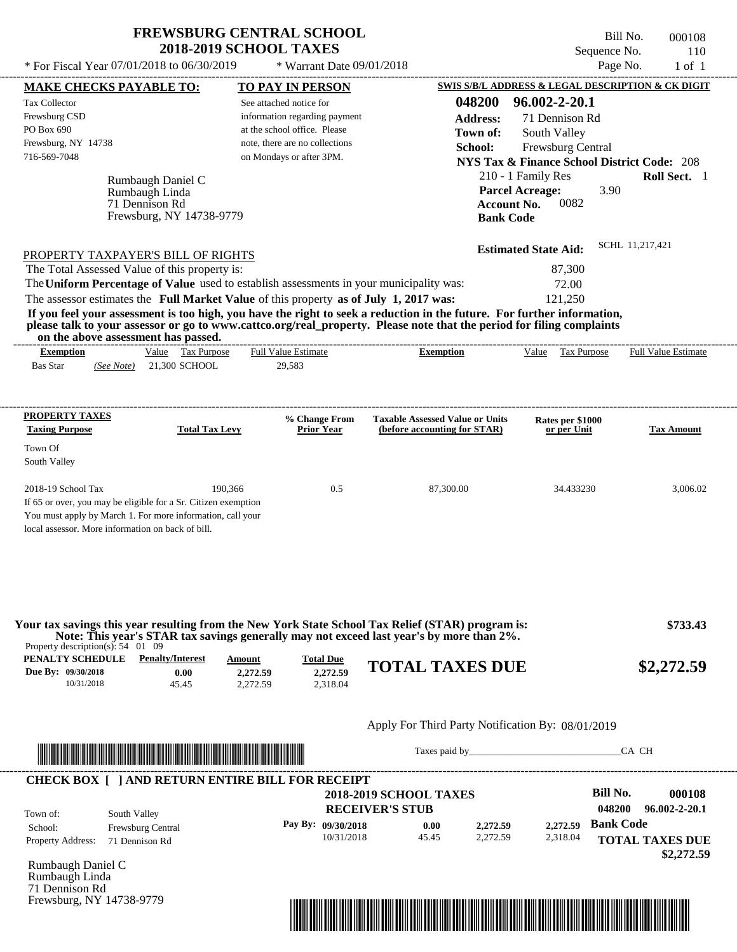$*$  For Fiscal Year 07/01/2018 to 06/30/2019

\* Warrant Date 09/01/2018

Bill No. 000108 Sequence No. 110<br>Page No. 1 of 1

| <b>MAKE CHECKS PAYABLE TO:</b>                                                                                                                                                                                                                                                          | <b>TO PAY IN PERSON</b>                                     |                                                                        | SWIS S/B/L ADDRESS & LEGAL DESCRIPTION & CK DIGIT      |                            |
|-----------------------------------------------------------------------------------------------------------------------------------------------------------------------------------------------------------------------------------------------------------------------------------------|-------------------------------------------------------------|------------------------------------------------------------------------|--------------------------------------------------------|----------------------------|
| Tax Collector                                                                                                                                                                                                                                                                           | See attached notice for                                     | 048200                                                                 | 96.002-2-20.1                                          |                            |
| Frewsburg CSD                                                                                                                                                                                                                                                                           | information regarding payment                               | <b>Address:</b>                                                        | 71 Dennison Rd                                         |                            |
| PO Box 690                                                                                                                                                                                                                                                                              | at the school office. Please                                | Town of:                                                               | South Valley                                           |                            |
| Frewsburg, NY 14738                                                                                                                                                                                                                                                                     | note, there are no collections                              | School:                                                                | Frewsburg Central                                      |                            |
| 716-569-7048                                                                                                                                                                                                                                                                            | on Mondays or after 3PM.                                    |                                                                        | <b>NYS Tax &amp; Finance School District Code: 208</b> |                            |
| Rumbaugh Daniel C                                                                                                                                                                                                                                                                       |                                                             |                                                                        | 210 - 1 Family Res                                     | Roll Sect. 1               |
| Rumbaugh Linda                                                                                                                                                                                                                                                                          |                                                             |                                                                        | <b>Parcel Acreage:</b><br>3.90                         |                            |
| 71 Dennison Rd                                                                                                                                                                                                                                                                          |                                                             | <b>Account No.</b>                                                     | 0082                                                   |                            |
| Frewsburg, NY 14738-9779                                                                                                                                                                                                                                                                |                                                             | <b>Bank Code</b>                                                       |                                                        |                            |
| PROPERTY TAXPAYER'S BILL OF RIGHTS                                                                                                                                                                                                                                                      |                                                             |                                                                        | <b>Estimated State Aid:</b>                            | SCHL 11,217,421            |
| The Total Assessed Value of this property is:                                                                                                                                                                                                                                           |                                                             |                                                                        | 87,300                                                 |                            |
| The Uniform Percentage of Value used to establish assessments in your municipality was:                                                                                                                                                                                                 |                                                             |                                                                        | 72.00                                                  |                            |
| The assessor estimates the Full Market Value of this property as of July 1, 2017 was:                                                                                                                                                                                                   |                                                             |                                                                        | 121,250                                                |                            |
|                                                                                                                                                                                                                                                                                         |                                                             |                                                                        |                                                        |                            |
| If you feel your assessment is too high, you have the right to seek a reduction in the future. For further information,<br>please talk to your assessor or go to www.cattco.org/real_property. Please note that the period for filing complaints<br>on the above assessment has passed. |                                                             |                                                                        |                                                        |                            |
| Value Tax Purpose<br><b>Exemption</b>                                                                                                                                                                                                                                                   | <b>Full Value Estimate</b>                                  | <b>Exemption</b>                                                       | Value Tax Purpose                                      | <b>Full Value Estimate</b> |
| <b>Bas Star</b><br>$(See Note)$ 21,300 SCHOOL                                                                                                                                                                                                                                           | 29,583                                                      |                                                                        |                                                        |                            |
|                                                                                                                                                                                                                                                                                         |                                                             |                                                                        |                                                        |                            |
| <b>PROPERTY TAXES</b><br><b>Taxing Purpose</b>                                                                                                                                                                                                                                          | % Change From<br><b>Prior Year</b><br><b>Total Tax Levy</b> | <b>Taxable Assessed Value or Units</b><br>(before accounting for STAR) | Rates per \$1000<br>or per Unit                        | <b>Tax Amount</b>          |
| Town Of                                                                                                                                                                                                                                                                                 |                                                             |                                                                        |                                                        |                            |
| South Valley                                                                                                                                                                                                                                                                            |                                                             |                                                                        |                                                        |                            |
| 2018-19 School Tax                                                                                                                                                                                                                                                                      | 190,366<br>0.5                                              | 87,300.00                                                              | 34.433230                                              | 3,006.02                   |
| If 65 or over, you may be eligible for a Sr. Citizen exemption                                                                                                                                                                                                                          |                                                             |                                                                        |                                                        |                            |
| You must apply by March 1. For more information, call your                                                                                                                                                                                                                              |                                                             |                                                                        |                                                        |                            |
| local assessor. More information on back of bill.                                                                                                                                                                                                                                       |                                                             |                                                                        |                                                        |                            |
|                                                                                                                                                                                                                                                                                         |                                                             |                                                                        |                                                        |                            |
|                                                                                                                                                                                                                                                                                         |                                                             |                                                                        |                                                        |                            |
|                                                                                                                                                                                                                                                                                         |                                                             |                                                                        |                                                        |                            |
| Your tax savings this year resulting from the New York State School Tax Relief (STAR) program is:                                                                                                                                                                                       |                                                             |                                                                        |                                                        | \$733.43                   |
| Note: This year's STAR tax savings generally may not exceed last year's by more than 2%.<br>Property description(s): $54 \quad 01 \quad 09$                                                                                                                                             |                                                             |                                                                        |                                                        |                            |
| <b>PENALTY SCHEDULE</b> Penalty/Interest                                                                                                                                                                                                                                                | <b>Total Due</b><br>Amount                                  | <b>TOTAL TAXES DUE</b>                                                 |                                                        | \$2,272.59                 |
| Due By: 09/30/2018<br>0.00<br>10/31/2018<br>45.45                                                                                                                                                                                                                                       | 2,272.59<br>2,272.59<br>2,318.04<br>2,272.59                |                                                                        |                                                        |                            |
|                                                                                                                                                                                                                                                                                         |                                                             |                                                                        |                                                        |                            |
|                                                                                                                                                                                                                                                                                         |                                                             | Apply For Third Party Notification By: 08/01/2019                      |                                                        |                            |
| <u> In the second contract of the second contract of the second contract of the second contract of the second contract of the second contract of the second contract of the second contract of the second contract of the second</u>                                                    |                                                             |                                                                        |                                                        | CA CH                      |
| <b>CHECK BOX [ ] AND RETURN ENTIRE BILL FOR RECEIPT</b>                                                                                                                                                                                                                                 |                                                             |                                                                        |                                                        |                            |
|                                                                                                                                                                                                                                                                                         |                                                             | <b>2018-2019 SCHOOL TAXES</b>                                          | <b>Bill No.</b>                                        | 000108                     |
|                                                                                                                                                                                                                                                                                         |                                                             | <b>RECEIVER'S STUB</b>                                                 | 048200                                                 | 96.002-2-20.1              |
| Town of:<br>South Valley                                                                                                                                                                                                                                                                | Pay By: 09/30/2018                                          | 2,272.59<br>0.00                                                       | <b>Bank Code</b><br>2,272.59                           |                            |
| Frewsburg Central<br>School:<br>Property Address:<br>71 Dennison Rd                                                                                                                                                                                                                     | 10/31/2018                                                  | 2,272.59<br>45.45                                                      | 2,318.04                                               | <b>TOTAL TAXES DUE</b>     |
|                                                                                                                                                                                                                                                                                         |                                                             |                                                                        |                                                        | \$2,272.59                 |
| Rumbaugh Daniel C                                                                                                                                                                                                                                                                       |                                                             |                                                                        |                                                        |                            |
| Rumbaugh Linda                                                                                                                                                                                                                                                                          |                                                             |                                                                        |                                                        |                            |
|                                                                                                                                                                                                                                                                                         |                                                             |                                                                        |                                                        |                            |
| 71 Dennison Rd<br>Frewsburg, NY 14738-9779                                                                                                                                                                                                                                              |                                                             |                                                                        |                                                        |                            |

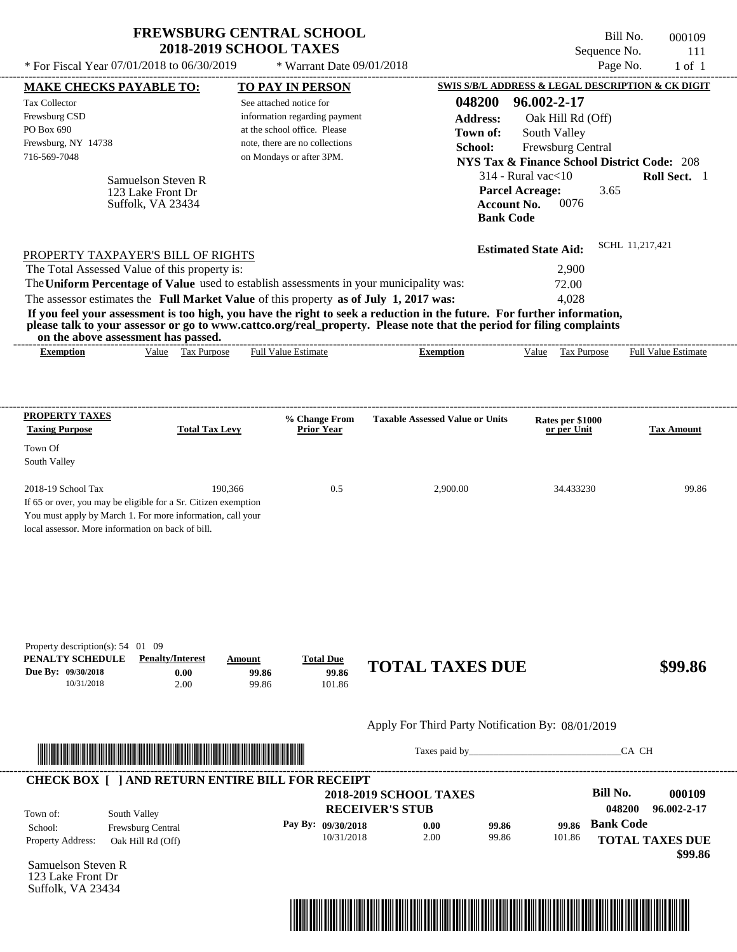| <b>FREWSBURG CENTRAL SCHOOL</b> |
|---------------------------------|
| <b>2018-2019 SCHOOL TAXES</b>   |

Bill No. 000109 Sequence No. 111  $*$  For Fiscal Year 07/01/2018 to 06/30/2019  $*$  Warrant Date 09/01/2018 Page No. 1 of 1

| <b>MAKE CHECKS PAYABLE TO:</b>                                                                                  |                                                          |                         | <b>TO PAY IN PERSON</b>            |                                                                                                                                                                                                                                |                             |                                 | <b>SWIS S/B/L ADDRESS &amp; LEGAL DESCRIPTION &amp; CK DIGIT</b> |
|-----------------------------------------------------------------------------------------------------------------|----------------------------------------------------------|-------------------------|------------------------------------|--------------------------------------------------------------------------------------------------------------------------------------------------------------------------------------------------------------------------------|-----------------------------|---------------------------------|------------------------------------------------------------------|
| <b>Tax Collector</b>                                                                                            |                                                          | See attached notice for |                                    | 048200                                                                                                                                                                                                                         | 96.002-2-17                 |                                 |                                                                  |
| Frewsburg CSD                                                                                                   |                                                          |                         | information regarding payment      | <b>Address:</b>                                                                                                                                                                                                                |                             | Oak Hill Rd (Off)               |                                                                  |
| PO Box 690                                                                                                      |                                                          |                         | at the school office. Please       | Town of:                                                                                                                                                                                                                       | South Valley                |                                 |                                                                  |
| Frewsburg, NY 14738                                                                                             |                                                          |                         | note, there are no collections     | School:                                                                                                                                                                                                                        |                             | Frewsburg Central               |                                                                  |
| 716-569-7048                                                                                                    |                                                          |                         | on Mondays or after 3PM.           |                                                                                                                                                                                                                                |                             |                                 | <b>NYS Tax &amp; Finance School District Code: 208</b>           |
|                                                                                                                 | Samuelson Steven R                                       |                         |                                    |                                                                                                                                                                                                                                | $314$ - Rural vac $<$ 10    |                                 | Roll Sect. 1                                                     |
|                                                                                                                 | 123 Lake Front Dr                                        |                         |                                    |                                                                                                                                                                                                                                | <b>Parcel Acreage:</b>      | 3.65                            |                                                                  |
|                                                                                                                 | Suffolk, VA 23434                                        |                         |                                    |                                                                                                                                                                                                                                | <b>Account No.</b>          | 0076                            |                                                                  |
|                                                                                                                 |                                                          |                         |                                    |                                                                                                                                                                                                                                | <b>Bank Code</b>            |                                 |                                                                  |
|                                                                                                                 |                                                          |                         |                                    |                                                                                                                                                                                                                                | <b>Estimated State Aid:</b> |                                 | SCHL 11,217,421                                                  |
| PROPERTY TAXPAYER'S BILL OF RIGHTS<br>The Total Assessed Value of this property is:                             |                                                          |                         |                                    |                                                                                                                                                                                                                                |                             | 2,900                           |                                                                  |
|                                                                                                                 |                                                          |                         |                                    | The Uniform Percentage of Value used to establish assessments in your municipality was:                                                                                                                                        |                             | 72.00                           |                                                                  |
| The assessor estimates the Full Market Value of this property as of July 1, 2017 was:                           |                                                          |                         |                                    |                                                                                                                                                                                                                                |                             | 4,028                           |                                                                  |
|                                                                                                                 |                                                          |                         |                                    | If you feel your assessment is too high, you have the right to seek a reduction in the future. For further information,                                                                                                        |                             |                                 |                                                                  |
|                                                                                                                 |                                                          |                         |                                    | please talk to your assessor or go to www.cattco.org/real_property. Please note that the period for filing complaints                                                                                                          |                             |                                 |                                                                  |
|                                                                                                                 | on the above assessment has passed.<br>Value Tax Purpose |                         | <b>Full Value Estimate</b>         | <b>Exemption</b>                                                                                                                                                                                                               |                             | Value Tax Purpose               | <b>Full Value Estimate</b>                                       |
| <b>Exemption</b>                                                                                                |                                                          |                         |                                    |                                                                                                                                                                                                                                |                             |                                 |                                                                  |
|                                                                                                                 |                                                          |                         |                                    |                                                                                                                                                                                                                                |                             |                                 |                                                                  |
| <b>PROPERTY TAXES</b><br><b>Taxing Purpose</b>                                                                  | <b>Total Tax Levy</b>                                    |                         | % Change From<br><b>Prior Year</b> | <b>Taxable Assessed Value or Units</b>                                                                                                                                                                                         |                             | Rates per \$1000<br>or per Unit | <b>Tax Amount</b>                                                |
| Town Of                                                                                                         |                                                          |                         |                                    |                                                                                                                                                                                                                                |                             |                                 |                                                                  |
| South Valley                                                                                                    |                                                          |                         |                                    |                                                                                                                                                                                                                                |                             |                                 |                                                                  |
|                                                                                                                 |                                                          |                         |                                    |                                                                                                                                                                                                                                |                             |                                 |                                                                  |
| 2018-19 School Tax                                                                                              |                                                          | 190,366                 | 0.5                                | 2,900.00                                                                                                                                                                                                                       |                             | 34.433230                       | 99.86                                                            |
| If 65 or over, you may be eligible for a Sr. Citizen exemption                                                  |                                                          |                         |                                    |                                                                                                                                                                                                                                |                             |                                 |                                                                  |
| You must apply by March 1. For more information, call your<br>local assessor. More information on back of bill. |                                                          |                         |                                    |                                                                                                                                                                                                                                |                             |                                 |                                                                  |
|                                                                                                                 |                                                          |                         |                                    |                                                                                                                                                                                                                                |                             |                                 |                                                                  |
|                                                                                                                 |                                                          |                         |                                    |                                                                                                                                                                                                                                |                             |                                 |                                                                  |
|                                                                                                                 |                                                          |                         |                                    |                                                                                                                                                                                                                                |                             |                                 |                                                                  |
| Property description(s): $54$ 01 09<br>PENALTY SCHEDULE                                                         | <b>Penalty/Interest</b>                                  | Amount                  | <b>Total Due</b>                   |                                                                                                                                                                                                                                |                             |                                 |                                                                  |
| Due By: 09/30/2018<br>10/31/2018                                                                                | 0.00<br>2.00                                             | 99.86<br>99.86          | 99.86<br>101.86                    | <b>TOTAL TAXES DUE</b>                                                                                                                                                                                                         |                             |                                 | \$99.86                                                          |
|                                                                                                                 |                                                          |                         |                                    |                                                                                                                                                                                                                                |                             |                                 |                                                                  |
|                                                                                                                 |                                                          |                         |                                    | Apply For Third Party Notification By: 08/01/2019                                                                                                                                                                              |                             |                                 |                                                                  |
|                                                                                                                 |                                                          |                         |                                    | Taxes paid by Taxes and the Taxes and the Taxes and the Taxes are the Taxes and the Taxes and the Taxes and the Taxes and the Taxes and the Taxes and the Taxes and the Taxes and the Taxes and the Taxes and the Taxes and th |                             |                                 | CA CH                                                            |
| <b>CHECK BOX [ ] AND RETURN ENTIRE BILL FOR RECEIPT</b>                                                         |                                                          |                         |                                    |                                                                                                                                                                                                                                |                             |                                 |                                                                  |
|                                                                                                                 |                                                          |                         |                                    | <b>2018-2019 SCHOOL TAXES</b>                                                                                                                                                                                                  |                             | <b>Bill No.</b>                 | 000109                                                           |
| Town of:                                                                                                        | South Valley                                             |                         |                                    | <b>RECEIVER'S STUB</b>                                                                                                                                                                                                         |                             | 048200                          | 96.002-2-17                                                      |
| School:                                                                                                         | Frewsburg Central                                        |                         | Pay By: 09/30/2018                 | 0.00                                                                                                                                                                                                                           | 99.86                       | <b>Bank Code</b><br>99.86       |                                                                  |
| Property Address:                                                                                               | Oak Hill Rd (Off)                                        |                         | 10/31/2018                         | 2.00                                                                                                                                                                                                                           | 99.86                       | 101.86                          | <b>TOTAL TAXES DUE</b><br>\$99.86                                |
| Samuelson Steven R                                                                                              |                                                          |                         |                                    |                                                                                                                                                                                                                                |                             |                                 |                                                                  |
| 123 Lake Front Dr                                                                                               |                                                          |                         |                                    |                                                                                                                                                                                                                                |                             |                                 |                                                                  |
| Suffolk, VA 23434                                                                                               |                                                          |                         |                                    |                                                                                                                                                                                                                                |                             |                                 |                                                                  |

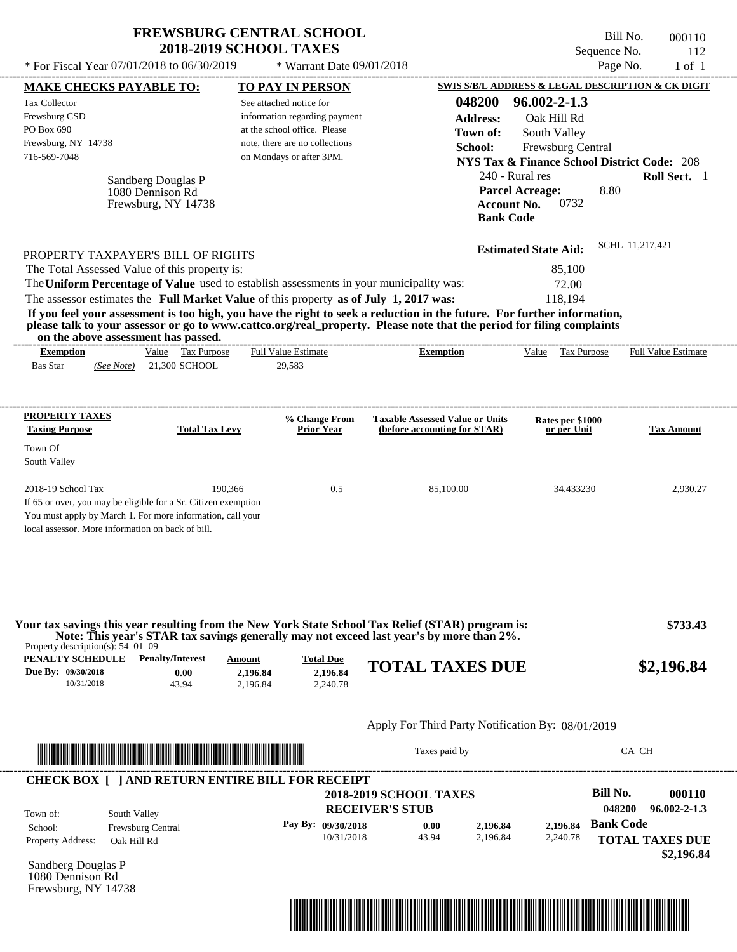| <b>FREWSBURG CENTRAL SCHOOL</b> |
|---------------------------------|
| <b>2018-2019 SCHOOL TAXES</b>   |

\* Warrant Date 09/01/2018

Bill No. 000110 Sequence No. 112<br>Page No. 1 of 1 \* For Fiscal Year 07/01/2018 to 06/30/2019  $\bullet$  Warrant Date 09/01/2018 Page No. 1 of 1

| <b>MAKE CHECKS PAYABLE TO:</b>                                                                                                                                                                          |                                                  |                                                                                                                         |                                | <b>TO PAY IN PERSON</b>                                                                  |                                                                                                                                                                                                                                                                                                                                           |                                        | <b>SWIS S/B/L ADDRESS &amp; LEGAL DESCRIPTION &amp; CK DIGIT</b>            |                            |                                              |
|---------------------------------------------------------------------------------------------------------------------------------------------------------------------------------------------------------|--------------------------------------------------|-------------------------------------------------------------------------------------------------------------------------|--------------------------------|------------------------------------------------------------------------------------------|-------------------------------------------------------------------------------------------------------------------------------------------------------------------------------------------------------------------------------------------------------------------------------------------------------------------------------------------|----------------------------------------|-----------------------------------------------------------------------------|----------------------------|----------------------------------------------|
| <b>Tax Collector</b><br>Frewsburg CSD<br>PO Box 690                                                                                                                                                     |                                                  |                                                                                                                         |                                | See attached notice for<br>information regarding payment<br>at the school office. Please |                                                                                                                                                                                                                                                                                                                                           | 048200<br><b>Address:</b><br>Town of:  | $96.002 - 2 - 1.3$<br>Oak Hill Rd<br>South Valley                           |                            |                                              |
| Frewsburg, NY 14738<br>716-569-7048                                                                                                                                                                     |                                                  |                                                                                                                         |                                | note, there are no collections<br>on Mondays or after 3PM.                               |                                                                                                                                                                                                                                                                                                                                           | School:                                | Frewsburg Central<br><b>NYS Tax &amp; Finance School District Code: 208</b> |                            |                                              |
|                                                                                                                                                                                                         | 1080 Dennison Rd                                 | Sandberg Douglas P<br>Frewsburg, NY 14738                                                                               |                                |                                                                                          |                                                                                                                                                                                                                                                                                                                                           | <b>Account No.</b><br><b>Bank Code</b> | 240 - Rural res<br><b>Parcel Acreage:</b><br>0732                           | 8.80                       | Roll Sect. 1                                 |
| PROPERTY TAXPAYER'S BILL OF RIGHTS                                                                                                                                                                      |                                                  |                                                                                                                         |                                |                                                                                          |                                                                                                                                                                                                                                                                                                                                           |                                        | <b>Estimated State Aid:</b>                                                 | SCHL 11,217,421            |                                              |
| The Total Assessed Value of this property is:                                                                                                                                                           |                                                  |                                                                                                                         |                                |                                                                                          | The Uniform Percentage of Value used to establish assessments in your municipality was:                                                                                                                                                                                                                                                   |                                        | 85,100<br>72.00                                                             |                            |                                              |
| on the above assessment has passed.                                                                                                                                                                     |                                                  |                                                                                                                         |                                |                                                                                          | The assessor estimates the Full Market Value of this property as of July 1, 2017 was:<br>If you feel your assessment is too high, you have the right to seek a reduction in the future. For further information,<br>please talk to your assessor or go to www.cattco.org/real_property. Please note that the period for filing complaints |                                        | 118.194                                                                     |                            |                                              |
| <b>Exemption</b><br><b>Bas Star</b>                                                                                                                                                                     |                                                  | Value Tax Purpose<br>(See Note) 21,300 SCHOOL                                                                           |                                | <b>Full Value Estimate</b><br>29,583                                                     | <b>Exemption</b>                                                                                                                                                                                                                                                                                                                          |                                        | Value Tax Purpose                                                           |                            | <b>Full Value Estimate</b>                   |
| <b>PROPERTY TAXES</b><br><b>Taxing Purpose</b>                                                                                                                                                          |                                                  | <b>Total Tax Levy</b>                                                                                                   |                                | % Change From<br><b>Prior Year</b>                                                       | <b>Taxable Assessed Value or Units</b><br>(before accounting for STAR)                                                                                                                                                                                                                                                                    |                                        | Rates per \$1000<br>or per Unit                                             |                            | <b>Tax Amount</b>                            |
| Town Of<br>South Valley                                                                                                                                                                                 |                                                  |                                                                                                                         |                                |                                                                                          |                                                                                                                                                                                                                                                                                                                                           |                                        |                                                                             |                            |                                              |
| 2018-19 School Tax<br>If 65 or over, you may be eligible for a Sr. Citizen exemption<br>You must apply by March 1. For more information, call your<br>local assessor. More information on back of bill. |                                                  |                                                                                                                         | 190,366                        | 0.5                                                                                      | 85,100.00                                                                                                                                                                                                                                                                                                                                 |                                        | 34.433230                                                                   |                            | 2,930.27                                     |
| Property description(s): $54$ 01 09<br>PENALTY SCHEDULE<br>Due By: 09/30/2018<br>10/31/2018                                                                                                             |                                                  | <b>Penalty/Interest</b><br>0.00<br>43.94                                                                                | Amount<br>2,196.84<br>2,196.84 | <b>Total Due</b><br>2,196.84<br>2,240.78                                                 | Your tax savings this year resulting from the New York State School Tax Relief (STAR) program is:<br>Note: This year's STAR tax savings generally may not exceed last year's by more than 2%.<br><b>TOTAL TAXES DUE</b>                                                                                                                   |                                        |                                                                             |                            | \$733.43<br>\$2,196.84                       |
|                                                                                                                                                                                                         |                                                  |                                                                                                                         |                                |                                                                                          | Apply For Third Party Notification By: 08/01/2019                                                                                                                                                                                                                                                                                         |                                        |                                                                             |                            |                                              |
|                                                                                                                                                                                                         |                                                  | <u> Indian American American Indian American Indian American Indian American Indian American Indian American Indian</u> |                                |                                                                                          |                                                                                                                                                                                                                                                                                                                                           |                                        |                                                                             | CA CH                      |                                              |
|                                                                                                                                                                                                         |                                                  |                                                                                                                         |                                | <b>CHECK BOX [ ] AND RETURN ENTIRE BILL FOR RECEIPT</b>                                  | <b>2018-2019 SCHOOL TAXES</b>                                                                                                                                                                                                                                                                                                             |                                        |                                                                             | <b>Bill No.</b>            | 000110                                       |
| Town of:<br>School:<br>Property Address:                                                                                                                                                                | South Valley<br>Frewsburg Central<br>Oak Hill Rd |                                                                                                                         |                                | Pay By: 09/30/2018<br>10/31/2018                                                         | <b>RECEIVER'S STUB</b><br>0.00<br>43.94                                                                                                                                                                                                                                                                                                   | 2,196.84<br>2,196.84                   | 2,196.84<br>2,240.78                                                        | 048200<br><b>Bank Code</b> | $96.002 - 2 - 1.3$<br><b>TOTAL TAXES DUE</b> |
| Sandberg Douglas P<br>1080 Dennison Rd<br>Frewsburg, NY 14738                                                                                                                                           |                                                  |                                                                                                                         |                                |                                                                                          |                                                                                                                                                                                                                                                                                                                                           |                                        |                                                                             |                            | \$2,196.84                                   |
|                                                                                                                                                                                                         |                                                  |                                                                                                                         |                                |                                                                                          | <u> 1989 - Andrea Stadt British, fransk politik (d. 1989)</u>                                                                                                                                                                                                                                                                             |                                        |                                                                             |                            |                                              |
|                                                                                                                                                                                                         |                                                  |                                                                                                                         |                                |                                                                                          |                                                                                                                                                                                                                                                                                                                                           |                                        |                                                                             |                            |                                              |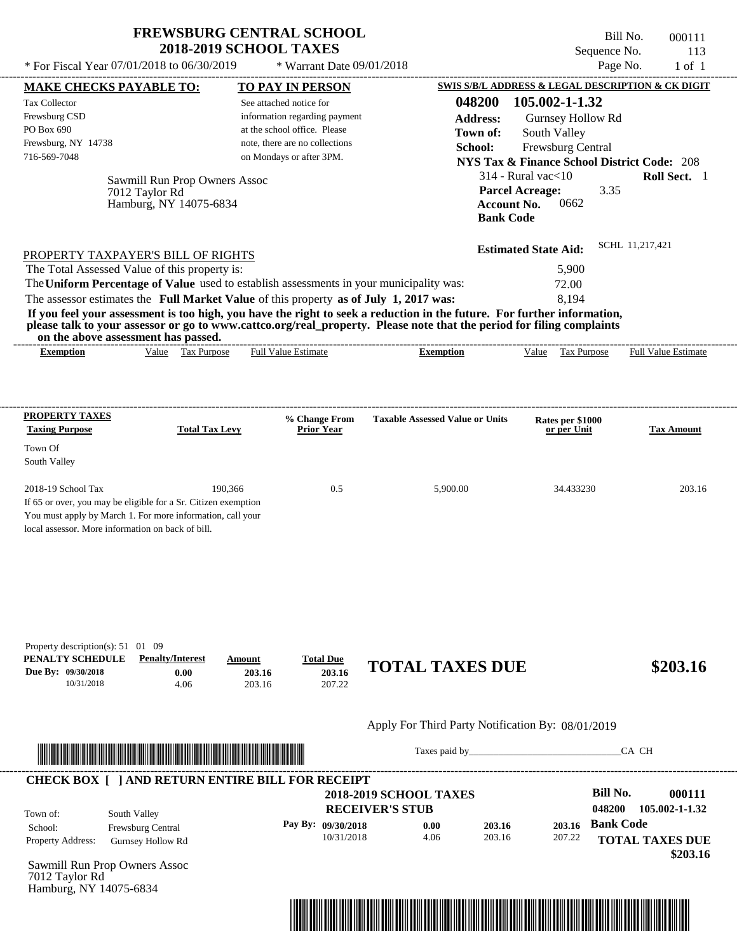\* Warrant Date 09/01/2018

 $*$  For Fiscal Year 07/01/2018 to 06/30/2019

Bill No. 000111 Sequence No. 113<br>Page No. 1 of 1

|                                                                                                                       | <b>MAKE CHECKS PAYABLE TO:</b>                  | <b>TO PAY IN PERSON</b>        |                    |                                                                                                                                                                                                                                                  | SWIS S/B/L ADDRESS & LEGAL DESCRIPTION & CK DIGIT |                                                        |                   |
|-----------------------------------------------------------------------------------------------------------------------|-------------------------------------------------|--------------------------------|--------------------|--------------------------------------------------------------------------------------------------------------------------------------------------------------------------------------------------------------------------------------------------|---------------------------------------------------|--------------------------------------------------------|-------------------|
| <b>Tax Collector</b>                                                                                                  |                                                 | See attached notice for        |                    | 048200                                                                                                                                                                                                                                           | 105.002-1-1.32                                    |                                                        |                   |
| Frewsburg CSD                                                                                                         |                                                 | information regarding payment  |                    | <b>Address:</b>                                                                                                                                                                                                                                  | Gurnsey Hollow Rd                                 |                                                        |                   |
| PO Box 690                                                                                                            |                                                 | at the school office. Please   |                    | Town of:                                                                                                                                                                                                                                         | South Valley                                      |                                                        |                   |
| Frewsburg, NY 14738                                                                                                   |                                                 | note, there are no collections |                    | School:                                                                                                                                                                                                                                          | Frewsburg Central                                 |                                                        |                   |
| 716-569-7048                                                                                                          |                                                 | on Mondays or after 3PM.       |                    |                                                                                                                                                                                                                                                  |                                                   | <b>NYS Tax &amp; Finance School District Code: 208</b> |                   |
|                                                                                                                       |                                                 |                                |                    |                                                                                                                                                                                                                                                  | $314$ - Rural vac $<$ 10                          |                                                        | Roll Sect. 1      |
|                                                                                                                       | Sawmill Run Prop Owners Assoc<br>7012 Taylor Rd |                                |                    |                                                                                                                                                                                                                                                  | <b>Parcel Acreage:</b>                            | 3.35                                                   |                   |
|                                                                                                                       | Hamburg, NY 14075-6834                          |                                |                    |                                                                                                                                                                                                                                                  | 0662<br><b>Account No.</b>                        |                                                        |                   |
|                                                                                                                       |                                                 |                                |                    | <b>Bank Code</b>                                                                                                                                                                                                                                 |                                                   |                                                        |                   |
|                                                                                                                       |                                                 |                                |                    |                                                                                                                                                                                                                                                  | <b>Estimated State Aid:</b>                       | SCHL 11,217,421                                        |                   |
| PROPERTY TAXPAYER'S BILL OF RIGHTS<br>The Total Assessed Value of this property is:                                   |                                                 |                                |                    |                                                                                                                                                                                                                                                  | 5,900                                             |                                                        |                   |
| The Uniform Percentage of Value used to establish assessments in your municipality was:                               |                                                 |                                |                    |                                                                                                                                                                                                                                                  | 72.00                                             |                                                        |                   |
|                                                                                                                       |                                                 |                                |                    |                                                                                                                                                                                                                                                  |                                                   |                                                        |                   |
| The assessor estimates the Full Market Value of this property as of July 1, 2017 was:                                 |                                                 |                                |                    |                                                                                                                                                                                                                                                  | 8,194                                             |                                                        |                   |
|                                                                                                                       |                                                 |                                |                    | If you feel your assessment is too high, you have the right to seek a reduction in the future. For further information,<br>please talk to your assessor or go to www.cattco.org/real_property. Please note that the period for filing complaints |                                                   |                                                        |                   |
| on the above assessment has passed.<br><b>Exemption</b>                                                               | Value Tax Purpose                               | <b>Full Value Estimate</b>     |                    | <b>Exemption</b>                                                                                                                                                                                                                                 |                                                   | Value Tax Purpose Full Value Estimate                  |                   |
|                                                                                                                       |                                                 |                                |                    |                                                                                                                                                                                                                                                  |                                                   |                                                        |                   |
|                                                                                                                       |                                                 |                                |                    |                                                                                                                                                                                                                                                  |                                                   |                                                        |                   |
| <b>PROPERTY TAXES</b>                                                                                                 |                                                 |                                | % Change From      | <b>Taxable Assessed Value or Units</b>                                                                                                                                                                                                           | Rates per \$1000                                  |                                                        |                   |
| <b>Taxing Purpose</b>                                                                                                 | <b>Total Tax Levy</b>                           |                                | <b>Prior Year</b>  |                                                                                                                                                                                                                                                  | or per Unit                                       |                                                        | <b>Tax Amount</b> |
| Town Of                                                                                                               |                                                 |                                |                    |                                                                                                                                                                                                                                                  |                                                   |                                                        |                   |
| South Valley                                                                                                          |                                                 |                                |                    |                                                                                                                                                                                                                                                  |                                                   |                                                        |                   |
| 2018-19 School Tax                                                                                                    |                                                 | 190,366                        | 0.5                | 5,900.00                                                                                                                                                                                                                                         | 34.433230                                         |                                                        | 203.16            |
| If 65 or over, you may be eligible for a Sr. Citizen exemption                                                        |                                                 |                                |                    |                                                                                                                                                                                                                                                  |                                                   |                                                        |                   |
| You must apply by March 1. For more information, call your                                                            |                                                 |                                |                    |                                                                                                                                                                                                                                                  |                                                   |                                                        |                   |
|                                                                                                                       |                                                 |                                |                    |                                                                                                                                                                                                                                                  |                                                   |                                                        |                   |
| local assessor. More information on back of bill.                                                                     |                                                 |                                |                    |                                                                                                                                                                                                                                                  |                                                   |                                                        |                   |
|                                                                                                                       |                                                 |                                |                    |                                                                                                                                                                                                                                                  |                                                   |                                                        |                   |
|                                                                                                                       |                                                 |                                |                    |                                                                                                                                                                                                                                                  |                                                   |                                                        |                   |
|                                                                                                                       |                                                 |                                |                    |                                                                                                                                                                                                                                                  |                                                   |                                                        |                   |
|                                                                                                                       |                                                 |                                |                    |                                                                                                                                                                                                                                                  |                                                   |                                                        |                   |
|                                                                                                                       |                                                 |                                |                    |                                                                                                                                                                                                                                                  |                                                   |                                                        |                   |
| Property description(s): $51 \quad 01 \quad 09$                                                                       |                                                 |                                |                    |                                                                                                                                                                                                                                                  |                                                   |                                                        |                   |
| PENALTY SCHEDULE                                                                                                      | <b>Penalty/Interest</b>                         | Amount                         | <b>Total Due</b>   |                                                                                                                                                                                                                                                  |                                                   |                                                        |                   |
| Due By: 09/30/2018<br>10/31/2018                                                                                      | 0.00<br>4.06                                    | 203.16<br>203.16               | 203.16<br>207.22   | <b>TOTAL TAXES DUE</b>                                                                                                                                                                                                                           |                                                   |                                                        |                   |
|                                                                                                                       |                                                 |                                |                    |                                                                                                                                                                                                                                                  |                                                   |                                                        |                   |
|                                                                                                                       |                                                 |                                |                    | Apply For Third Party Notification By: 08/01/2019                                                                                                                                                                                                |                                                   |                                                        | \$203.16          |
|                                                                                                                       |                                                 |                                |                    | Taxes paid by Taxes and by Taxes and by Taxes and by Taxes and by Taxes and the United States and the United States and the United States and States and States and States and States and States and States and States and Sta                   |                                                   | CA CH                                                  |                   |
| <u> 1999 - An Dùbhlachd ann an Dùbhaidh ann an Dùbhaidh an Dùbhaidh an Dùbhaidh an Dùbhaidh an Dùbhaidh an Dùbhai</u> |                                                 |                                |                    |                                                                                                                                                                                                                                                  |                                                   |                                                        |                   |
| <b>CHECK BOX [ ] AND RETURN ENTIRE BILL FOR RECEIPT</b>                                                               |                                                 |                                |                    |                                                                                                                                                                                                                                                  |                                                   |                                                        |                   |
|                                                                                                                       |                                                 |                                |                    | <b>2018-2019 SCHOOL TAXES</b>                                                                                                                                                                                                                    |                                                   | <b>Bill No.</b>                                        |                   |
| South Valley<br>Town of:                                                                                              |                                                 |                                |                    | <b>RECEIVER'S STUB</b>                                                                                                                                                                                                                           |                                                   | 048200<br>105.002-1-1.32                               |                   |
| School:                                                                                                               | Frewsburg Central                               |                                | Pay By: 09/30/2018 | 0.00<br>203.16                                                                                                                                                                                                                                   | 203.16                                            | <b>Bank Code</b>                                       | 000111            |
| Property Address:                                                                                                     | <b>Gurnsey Hollow Rd</b>                        |                                | 10/31/2018         | 203.16<br>4.06                                                                                                                                                                                                                                   | 207.22                                            | <b>TOTAL TAXES DUE</b>                                 |                   |
|                                                                                                                       |                                                 |                                |                    |                                                                                                                                                                                                                                                  |                                                   |                                                        |                   |
| Sawmill Run Prop Owners Assoc<br>7012 Taylor Rd                                                                       |                                                 |                                |                    |                                                                                                                                                                                                                                                  |                                                   |                                                        | \$203.16          |

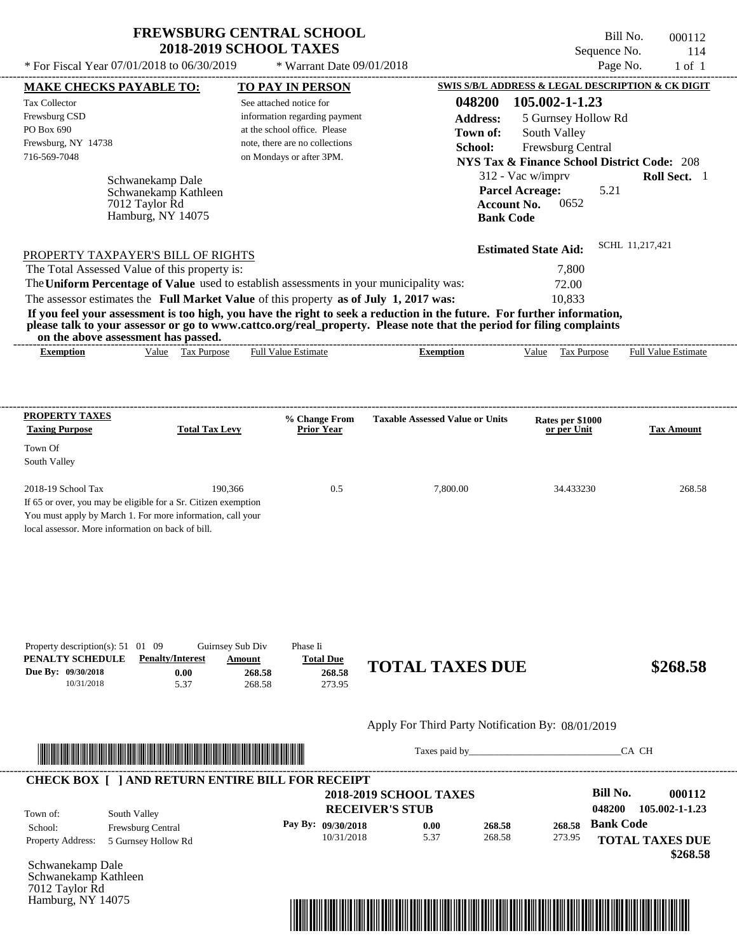7012 Taylor Rd Hamburg, NY 14075

Bill No. 000112 Sequence No.  $114$ <br>Page No.  $1 \text{ of } 1$ 

| * For Fiscal Year 07/01/2018 to 06/30/2019                                                                                                                                                                                                                                                                                                                                                                                                                                                                                                                         | * Warrant Date 09/01/2018                                                                                                                              |                                                                                             |                                                                                                                                                                                             | Page No.<br>$1$ of $1$                                                                                          |
|--------------------------------------------------------------------------------------------------------------------------------------------------------------------------------------------------------------------------------------------------------------------------------------------------------------------------------------------------------------------------------------------------------------------------------------------------------------------------------------------------------------------------------------------------------------------|--------------------------------------------------------------------------------------------------------------------------------------------------------|---------------------------------------------------------------------------------------------|---------------------------------------------------------------------------------------------------------------------------------------------------------------------------------------------|-----------------------------------------------------------------------------------------------------------------|
| <b>MAKE CHECKS PAYABLE TO:</b>                                                                                                                                                                                                                                                                                                                                                                                                                                                                                                                                     | <b>TO PAY IN PERSON</b>                                                                                                                                |                                                                                             |                                                                                                                                                                                             | SWIS S/B/L ADDRESS & LEGAL DESCRIPTION & CK DIGIT                                                               |
| <b>Tax Collector</b><br>Frewsburg CSD<br>PO Box 690<br>Frewsburg, NY 14738<br>716-569-7048<br>Schwanekamp Dale<br>Schwanekamp Kathleen<br>7012 Taylor Rd<br>Hamburg, NY 14075                                                                                                                                                                                                                                                                                                                                                                                      | See attached notice for<br>information regarding payment<br>at the school office. Please<br>note, there are no collections<br>on Mondays or after 3PM. | 048200<br><b>Address:</b><br>Town of:<br>School:<br><b>Account No.</b><br><b>Bank Code</b>  | 105.002-1-1.23<br>5 Gurnsey Hollow Rd<br>South Valley<br>Frewsburg Central<br><b>NYS Tax &amp; Finance School District Code: 208</b><br>312 - Vac w/imprv<br><b>Parcel Acreage:</b><br>0652 | Roll Sect. 1<br>5.21                                                                                            |
| PROPERTY TAXPAYER'S BILL OF RIGHTS<br>The Total Assessed Value of this property is:<br>The Uniform Percentage of Value used to establish assessments in your municipality was:<br>The assessor estimates the Full Market Value of this property as of July 1, 2017 was:<br>If you feel your assessment is too high, you have the right to seek a reduction in the future. For further information,<br>please talk to your assessor or go to www.cattco.org/real_property. Please note that the period for filing complaints<br>on the above assessment has passed. |                                                                                                                                                        |                                                                                             | <b>Estimated State Aid:</b><br>7,800<br>72.00<br>10,833                                                                                                                                     | SCHL 11,217,421                                                                                                 |
| Value Tax Purpose<br><b>Exemption</b>                                                                                                                                                                                                                                                                                                                                                                                                                                                                                                                              | <b>Full Value Estimate</b>                                                                                                                             | <b>Exemption</b>                                                                            | Tax Purpose<br>Value                                                                                                                                                                        | <b>Full Value Estimate</b>                                                                                      |
| <b>PROPERTY TAXES</b><br><b>Taxing Purpose</b><br><b>Total Tax Levy</b><br>Town Of<br>South Valley                                                                                                                                                                                                                                                                                                                                                                                                                                                                 | % Change From<br><b>Prior Year</b>                                                                                                                     | <b>Taxable Assessed Value or Units</b>                                                      | Rates per \$1000<br>or per Unit                                                                                                                                                             | Tax Amount                                                                                                      |
| 2018-19 School Tax<br>190,366<br>If 65 or over, you may be eligible for a Sr. Citizen exemption<br>You must apply by March 1. For more information, call your<br>local assessor. More information on back of bill.                                                                                                                                                                                                                                                                                                                                                 | 0.5                                                                                                                                                    | 7,800.00                                                                                    | 34.433230                                                                                                                                                                                   | 268.58                                                                                                          |
| Property description(s): $51 \quad 01 \quad 09$<br>Guirnsey Sub Div<br>PENALTY SCHEDULE<br><b>Penalty/Interest</b><br>Due By: 09/30/2018<br>0.00<br>10/31/2018<br>5.37                                                                                                                                                                                                                                                                                                                                                                                             | Phase Ii<br><b>Total Due</b><br><b>Amount</b><br>268.58<br>268.58<br>268.58<br>273.95                                                                  | <b>TOTAL TAXES DUE</b>                                                                      |                                                                                                                                                                                             | \$268.58                                                                                                        |
| <u> Indian American State and The Communication of the Communication of the Communication of the Communication of the Communication of the Communication of the Communication of the Communication of the Communication of the C</u>                                                                                                                                                                                                                                                                                                                               |                                                                                                                                                        | Apply For Third Party Notification By: 08/01/2019                                           |                                                                                                                                                                                             | CA CH                                                                                                           |
| <b>CHECK BOX [ ] AND RETURN ENTIRE BILL FOR RECEIPT</b>                                                                                                                                                                                                                                                                                                                                                                                                                                                                                                            |                                                                                                                                                        |                                                                                             |                                                                                                                                                                                             |                                                                                                                 |
| South Valley<br>Town of:<br>Frewsburg Central<br>School:<br>Property Address:<br>5 Gurnsey Hollow Rd<br>Schwanekamp Dale<br>Schwanekamp Kathleen                                                                                                                                                                                                                                                                                                                                                                                                                   | Pay By: 09/30/2018<br>10/31/2018                                                                                                                       | <b>2018-2019 SCHOOL TAXES</b><br><b>RECEIVER'S STUB</b><br>0.00<br>268.58<br>5.37<br>268.58 | 268.58<br>273.95                                                                                                                                                                            | <b>Bill No.</b><br>000112<br>048200<br>105.002-1-1.23<br><b>Bank Code</b><br><b>TOTAL TAXES DUE</b><br>\$268.58 |

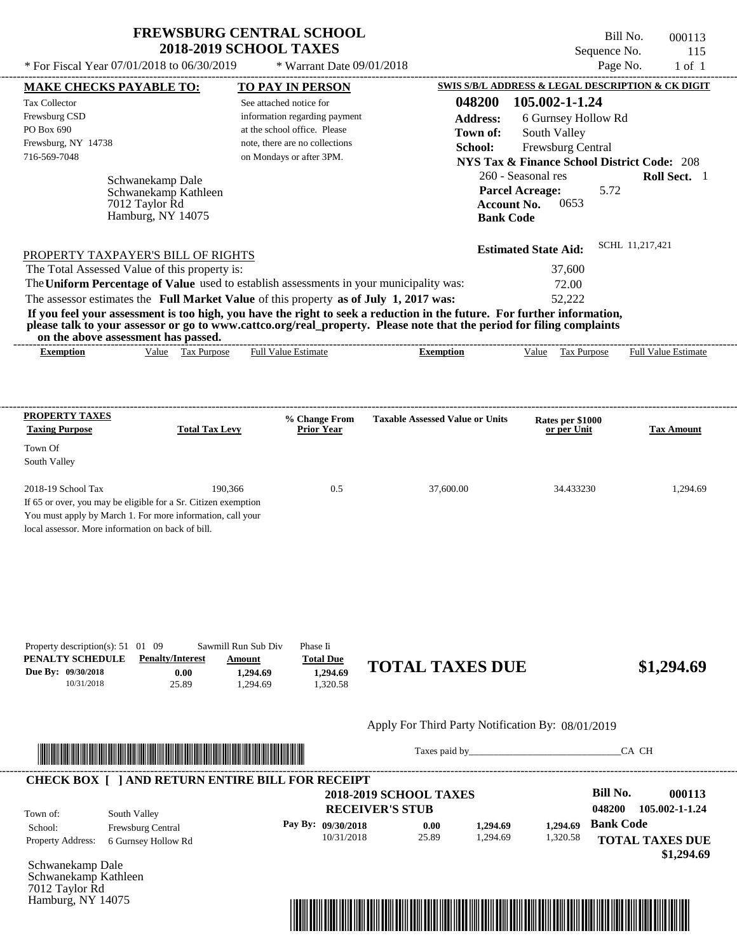$*$  For Fiscal Year 07/01/2018 to 06/30/2019

Hamburg, NY 14075

 $*$  Warrant Date 09/01/2018

Bill No. 000113 Sequence No. 115<br>Page No. 1 of 1

| <b>MAKE CHECKS PAYABLE TO:</b>                                                                      |                                                                                                                        | <b>TO PAY IN PERSON</b>       |                                  |                                                                                                                                                                                                                                                  |                             | SWIS S/B/L ADDRESS & LEGAL DESCRIPTION & CK DIGIT      |
|-----------------------------------------------------------------------------------------------------|------------------------------------------------------------------------------------------------------------------------|-------------------------------|----------------------------------|--------------------------------------------------------------------------------------------------------------------------------------------------------------------------------------------------------------------------------------------------|-----------------------------|--------------------------------------------------------|
| Tax Collector                                                                                       |                                                                                                                        | See attached notice for       |                                  | 048200                                                                                                                                                                                                                                           | 105.002-1-1.24              |                                                        |
| Frewsburg CSD                                                                                       |                                                                                                                        |                               | information regarding payment    | <b>Address:</b>                                                                                                                                                                                                                                  | 6 Gurnsey Hollow Rd         |                                                        |
| PO Box 690                                                                                          |                                                                                                                        | at the school office. Please  |                                  | Town of:                                                                                                                                                                                                                                         | South Valley                |                                                        |
| Frewsburg, NY 14738                                                                                 |                                                                                                                        |                               | note, there are no collections   | School:                                                                                                                                                                                                                                          | Frewsburg Central           |                                                        |
| 716-569-7048                                                                                        |                                                                                                                        | on Mondays or after 3PM.      |                                  |                                                                                                                                                                                                                                                  |                             | <b>NYS Tax &amp; Finance School District Code: 208</b> |
|                                                                                                     | Schwanekamp Dale                                                                                                       |                               |                                  |                                                                                                                                                                                                                                                  | 260 - Seasonal res          | Roll Sect. 1                                           |
|                                                                                                     | Schwanekamp Kathleen                                                                                                   |                               |                                  |                                                                                                                                                                                                                                                  | <b>Parcel Acreage:</b>      | 5.72                                                   |
|                                                                                                     | 7012 Taylor Rd                                                                                                         |                               |                                  |                                                                                                                                                                                                                                                  | Account No.<br>0653         |                                                        |
|                                                                                                     | Hamburg, NY 14075                                                                                                      |                               |                                  |                                                                                                                                                                                                                                                  | <b>Bank Code</b>            |                                                        |
|                                                                                                     |                                                                                                                        |                               |                                  |                                                                                                                                                                                                                                                  |                             | SCHL 11,217,421                                        |
| PROPERTY TAXPAYER'S BILL OF RIGHTS                                                                  |                                                                                                                        |                               |                                  |                                                                                                                                                                                                                                                  | <b>Estimated State Aid:</b> |                                                        |
| The Total Assessed Value of this property is:                                                       |                                                                                                                        |                               |                                  |                                                                                                                                                                                                                                                  | 37,600                      |                                                        |
|                                                                                                     |                                                                                                                        |                               |                                  | The Uniform Percentage of Value used to establish assessments in your municipality was:                                                                                                                                                          | 72.00                       |                                                        |
| The assessor estimates the Full Market Value of this property as of July 1, 2017 was:               |                                                                                                                        |                               |                                  |                                                                                                                                                                                                                                                  | 52,222                      |                                                        |
|                                                                                                     |                                                                                                                        |                               |                                  | If you feel your assessment is too high, you have the right to seek a reduction in the future. For further information,<br>please talk to your assessor or go to www.cattco.org/real_property. Please note that the period for filing complaints |                             |                                                        |
| on the above assessment has passed.                                                                 |                                                                                                                        |                               |                                  |                                                                                                                                                                                                                                                  |                             |                                                        |
| <b>Exemption</b>                                                                                    | Value Tax Purpose                                                                                                      | <b>Full Value Estimate</b>    |                                  | <b>Exemption</b>                                                                                                                                                                                                                                 | Value Tax Purpose           | <b>Full Value Estimate</b>                             |
|                                                                                                     |                                                                                                                        |                               |                                  |                                                                                                                                                                                                                                                  |                             |                                                        |
|                                                                                                     |                                                                                                                        |                               |                                  |                                                                                                                                                                                                                                                  |                             |                                                        |
|                                                                                                     |                                                                                                                        |                               |                                  |                                                                                                                                                                                                                                                  |                             |                                                        |
| <b>PROPERTY TAXES</b>                                                                               |                                                                                                                        |                               | % Change From                    | <b>Taxable Assessed Value or Units</b>                                                                                                                                                                                                           | Rates per \$1000            |                                                        |
| <b>Taxing Purpose</b>                                                                               | <b>Total Tax Levy</b>                                                                                                  |                               | <b>Prior Year</b>                |                                                                                                                                                                                                                                                  | or per Unit                 | <b>Tax Amount</b>                                      |
| Town Of                                                                                             |                                                                                                                        |                               |                                  |                                                                                                                                                                                                                                                  |                             |                                                        |
| South Valley                                                                                        |                                                                                                                        |                               |                                  |                                                                                                                                                                                                                                                  |                             |                                                        |
| 2018-19 School Tax                                                                                  | 190,366                                                                                                                |                               | 0.5                              | 37,600.00                                                                                                                                                                                                                                        | 34.433230                   | 1,294.69                                               |
| If 65 or over, you may be eligible for a Sr. Citizen exemption                                      |                                                                                                                        |                               |                                  |                                                                                                                                                                                                                                                  |                             |                                                        |
| You must apply by March 1. For more information, call your                                          |                                                                                                                        |                               |                                  |                                                                                                                                                                                                                                                  |                             |                                                        |
| local assessor. More information on back of bill.                                                   |                                                                                                                        |                               |                                  |                                                                                                                                                                                                                                                  |                             |                                                        |
|                                                                                                     |                                                                                                                        |                               |                                  |                                                                                                                                                                                                                                                  |                             |                                                        |
|                                                                                                     |                                                                                                                        |                               |                                  |                                                                                                                                                                                                                                                  |                             |                                                        |
|                                                                                                     |                                                                                                                        |                               |                                  |                                                                                                                                                                                                                                                  |                             |                                                        |
| Property description(s): $51 \quad 01 \quad 09$<br>PENALTY SCHEDULE                                 | <b>Penalty/Interest</b>                                                                                                | Sawmill Run Sub Div<br>Amount | Phase Ii<br><b>Total Due</b>     | <b>TOTAL TAXES DUE</b>                                                                                                                                                                                                                           |                             | \$1,294.69                                             |
| Due By: 09/30/2018<br>10/31/2018                                                                    | 0.00<br>25.89                                                                                                          | 1,294.69<br>1,294.69          | 1,294.69<br>1,320.58             |                                                                                                                                                                                                                                                  |                             |                                                        |
|                                                                                                     |                                                                                                                        |                               |                                  |                                                                                                                                                                                                                                                  |                             |                                                        |
|                                                                                                     |                                                                                                                        |                               |                                  |                                                                                                                                                                                                                                                  |                             |                                                        |
|                                                                                                     |                                                                                                                        |                               |                                  | Apply For Third Party Notification By: 08/01/2019                                                                                                                                                                                                |                             |                                                        |
|                                                                                                     |                                                                                                                        |                               |                                  | Taxes paid by                                                                                                                                                                                                                                    |                             | CA CH                                                  |
|                                                                                                     | <u> HERE IN DIE HERE IN DIE HERE IN DIE HERE IN DIE HERE IN DIE HERE IN DIE HERE IN DIE HERE IN DIE HERE IN DIE HE</u> |                               |                                  |                                                                                                                                                                                                                                                  |                             |                                                        |
|                                                                                                     |                                                                                                                        |                               |                                  |                                                                                                                                                                                                                                                  |                             | <b>Bill No.</b>                                        |
|                                                                                                     |                                                                                                                        |                               |                                  | <b>2018-2019 SCHOOL TAXES</b>                                                                                                                                                                                                                    |                             | 000113<br>048200<br>105.002-1-1.24                     |
|                                                                                                     | South Valley                                                                                                           |                               |                                  | <b>RECEIVER'S STUB</b>                                                                                                                                                                                                                           |                             |                                                        |
|                                                                                                     | Frewsburg Central                                                                                                      |                               | Pay By: 09/30/2018<br>10/31/2018 | 1,294.69<br>0.00                                                                                                                                                                                                                                 | 1,294.69                    | <b>Bank Code</b>                                       |
| <b>CHECK BOX [ ] AND RETURN ENTIRE BILL FOR RECEIPT</b><br>Town of:<br>School:<br>Property Address: | 6 Gurnsey Hollow Rd                                                                                                    |                               |                                  | 25.89<br>1,294.69                                                                                                                                                                                                                                | 1,320.58                    | <b>TOTAL TAXES DUE</b>                                 |
| Schwanekamp Dale                                                                                    |                                                                                                                        |                               |                                  |                                                                                                                                                                                                                                                  |                             | \$1,294.69                                             |
| Schwanekamp Kathleen<br>7012 Taylor Rd                                                              |                                                                                                                        |                               |                                  |                                                                                                                                                                                                                                                  |                             |                                                        |

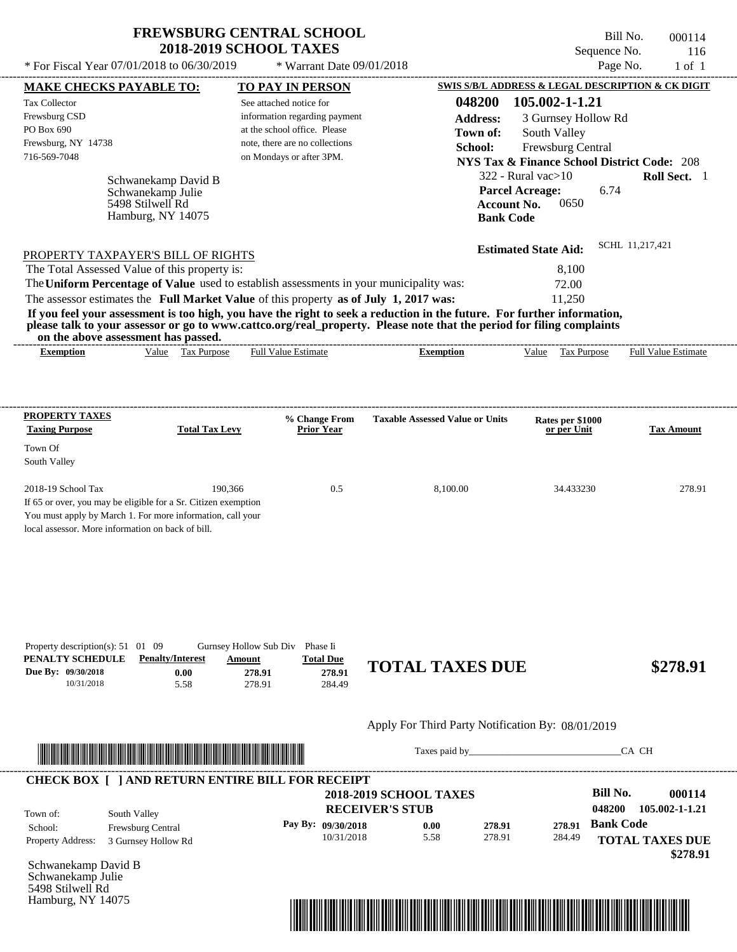07/01/2018 to 06/30/2019 \* Warrant Date 09/01/2018

5498 Stilwell Rd Hamburg, NY 14075

| * For Fiscal Year 07/01/2018 to 06/30/2019                                                                                                                                                                                                                                                                                                                                                                                                                                                                                                                         | * Warrant Date 09/01/2018                                                                                                                              |                                                                                                                      | Page No.                                                                                                                                                                        | $1$ of $1$                                                     |
|--------------------------------------------------------------------------------------------------------------------------------------------------------------------------------------------------------------------------------------------------------------------------------------------------------------------------------------------------------------------------------------------------------------------------------------------------------------------------------------------------------------------------------------------------------------------|--------------------------------------------------------------------------------------------------------------------------------------------------------|----------------------------------------------------------------------------------------------------------------------|---------------------------------------------------------------------------------------------------------------------------------------------------------------------------------|----------------------------------------------------------------|
| <b>MAKE CHECKS PAYABLE TO:</b>                                                                                                                                                                                                                                                                                                                                                                                                                                                                                                                                     | <b>TO PAY IN PERSON</b>                                                                                                                                |                                                                                                                      | SWIS S/B/L ADDRESS & LEGAL DESCRIPTION & CK DIGIT                                                                                                                               |                                                                |
| Tax Collector<br>Frewsburg CSD<br>PO Box 690<br>Frewsburg, NY 14738<br>716-569-7048<br>Schwanekamp David B<br>Schwanekamp Julie<br>5498 Stilwell Rd<br>Hamburg, NY 14075                                                                                                                                                                                                                                                                                                                                                                                           | See attached notice for<br>information regarding payment<br>at the school office. Please<br>note, there are no collections<br>on Mondays or after 3PM. | 048200<br><b>Address:</b><br>Town of:<br>School:<br><b>Parcel Acreage:</b><br><b>Account No.</b><br><b>Bank Code</b> | 105.002-1-1.21<br>3 Gurnsey Hollow Rd<br>South Valley<br>Frewsburg Central<br><b>NYS Tax &amp; Finance School District Code: 208</b><br>$322$ - Rural vac $>10$<br>6.74<br>0650 | Roll Sect. 1                                                   |
| PROPERTY TAXPAYER'S BILL OF RIGHTS<br>The Total Assessed Value of this property is:<br>The Uniform Percentage of Value used to establish assessments in your municipality was:<br>The assessor estimates the Full Market Value of this property as of July 1, 2017 was:<br>If you feel your assessment is too high, you have the right to seek a reduction in the future. For further information,<br>please talk to your assessor or go to www.cattco.org/real_property. Please note that the period for filing complaints<br>on the above assessment has passed. |                                                                                                                                                        |                                                                                                                      | <b>Estimated State Aid:</b><br>8,100<br>72.00<br>11,250                                                                                                                         | SCHL 11,217,421                                                |
| Value Tax Purpose<br><b>Exemption</b>                                                                                                                                                                                                                                                                                                                                                                                                                                                                                                                              | <b>Full Value Estimate</b>                                                                                                                             | <b>Exemption</b>                                                                                                     | Value Tax Purpose                                                                                                                                                               | <b>Full Value Estimate</b>                                     |
| <b>PROPERTY TAXES</b><br><b>Taxing Purpose</b><br><b>Total Tax Levy</b><br>Town Of<br>South Valley<br>2018-19 School Tax<br>190,366<br>If 65 or over, you may be eligible for a Sr. Citizen exemption<br>You must apply by March 1. For more information, call your<br>local assessor. More information on back of bill.                                                                                                                                                                                                                                           | % Change From<br><b>Prior Year</b><br>0.5                                                                                                              | <b>Taxable Assessed Value or Units</b><br>8,100.00                                                                   | Rates per \$1000<br>or per Unit<br>34.433230                                                                                                                                    | <b>Tax Amount</b><br>278.91                                    |
| Property description(s): 51 01 09<br>PENALTY SCHEDULE<br><b>Penalty/Interest</b><br>Due By: 09/30/2018<br>0.00<br>10/31/2018<br>5.58                                                                                                                                                                                                                                                                                                                                                                                                                               | Gurnsey Hollow Sub Div Phase Ii<br><b>Total Due</b><br>Amount<br>278.91<br>278.91<br>278.91<br>284.49                                                  | <b>TOTAL TAXES DUE</b>                                                                                               |                                                                                                                                                                                 | \$278.91                                                       |
| <u> In the second contract of the second contract of the second contract of the second contract of the second contract of the second contract of the second contract of the second contract of the second contract of the second</u>                                                                                                                                                                                                                                                                                                                               |                                                                                                                                                        | Apply For Third Party Notification By: 08/01/2019<br>Taxes paid by                                                   |                                                                                                                                                                                 | CA CH                                                          |
| <b>CHECK BOX [ ] AND RETURN ENTIRE BILL FOR RECEIPT</b>                                                                                                                                                                                                                                                                                                                                                                                                                                                                                                            |                                                                                                                                                        |                                                                                                                      |                                                                                                                                                                                 |                                                                |
| South Valley<br>Town of:<br>Frewsburg Central<br>School:<br><b>Property Address:</b><br>3 Gurnsey Hollow Rd<br>Schwanekamp David B<br>Schwanekamp Julie                                                                                                                                                                                                                                                                                                                                                                                                            | Pay By: 09/30/2018<br>10/31/2018                                                                                                                       | <b>2018-2019 SCHOOL TAXES</b><br><b>RECEIVER'S STUB</b><br>0.00<br>278.91<br>5.58<br>278.91                          | <b>Bill No.</b><br>048200<br><b>Bank Code</b><br>278.91<br>284.49                                                                                                               | 000114<br>105.002-1-1.21<br><b>TOTAL TAXES DUE</b><br>\$278.91 |

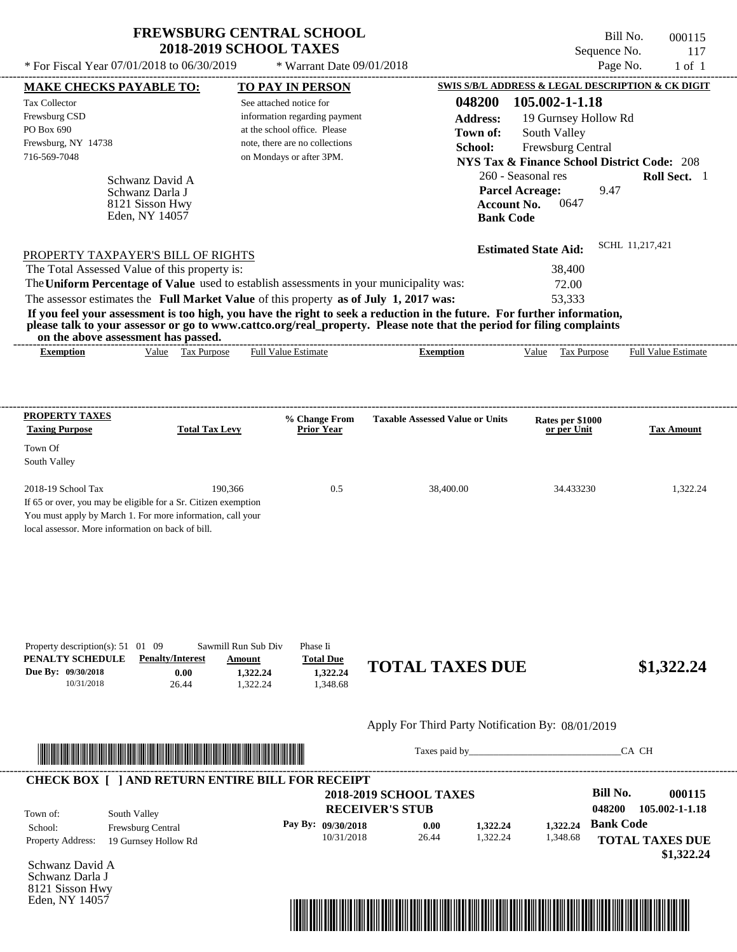$*$  For Fiscal Year 07/01/2018 to 06/30/2019

\* Warrant Date 09/01/2018

| <b>MAKE CHECKS PAYABLE TO:</b>                                                            |                                                                                                                      | <b>TO PAY IN PERSON</b>                                                                                       |                                                                                                                         | SWIS S/B/L ADDRESS & LEGAL DESCRIPTION & CK DIGIT      |                            |
|-------------------------------------------------------------------------------------------|----------------------------------------------------------------------------------------------------------------------|---------------------------------------------------------------------------------------------------------------|-------------------------------------------------------------------------------------------------------------------------|--------------------------------------------------------|----------------------------|
| <b>Tax Collector</b>                                                                      |                                                                                                                      | See attached notice for                                                                                       | 048200                                                                                                                  | 105.002-1-1.18                                         |                            |
| Frewsburg CSD                                                                             |                                                                                                                      | information regarding payment                                                                                 | <b>Address:</b>                                                                                                         | 19 Gurnsey Hollow Rd                                   |                            |
| PO Box 690                                                                                |                                                                                                                      | at the school office. Please                                                                                  | Town of:                                                                                                                | South Valley                                           |                            |
| Frewsburg, NY 14738<br>716-569-7048                                                       |                                                                                                                      | note, there are no collections<br>on Mondays or after 3PM.                                                    | School:                                                                                                                 | Frewsburg Central                                      |                            |
|                                                                                           |                                                                                                                      |                                                                                                               |                                                                                                                         | <b>NYS Tax &amp; Finance School District Code: 208</b> |                            |
|                                                                                           | Schwanz David A                                                                                                      |                                                                                                               |                                                                                                                         | 260 - Seasonal res                                     | Roll Sect. 1               |
|                                                                                           | Schwanz Darla J                                                                                                      |                                                                                                               |                                                                                                                         | <b>Parcel Acreage:</b><br>9.47                         |                            |
|                                                                                           | 8121 Sisson Hwy<br>Eden, NY 14057                                                                                    |                                                                                                               | <b>Account No.</b>                                                                                                      | 0647                                                   |                            |
|                                                                                           |                                                                                                                      |                                                                                                               | <b>Bank Code</b>                                                                                                        |                                                        |                            |
|                                                                                           |                                                                                                                      |                                                                                                               |                                                                                                                         | <b>Estimated State Aid:</b>                            | SCHL 11,217,421            |
| PROPERTY TAXPAYER'S BILL OF RIGHTS<br>The Total Assessed Value of this property is:       |                                                                                                                      |                                                                                                               |                                                                                                                         | 38,400                                                 |                            |
|                                                                                           |                                                                                                                      | The Uniform Percentage of Value used to establish assessments in your municipality was:                       |                                                                                                                         | 72.00                                                  |                            |
|                                                                                           |                                                                                                                      | The assessor estimates the Full Market Value of this property as of July 1, 2017 was:                         |                                                                                                                         | 53,333                                                 |                            |
|                                                                                           |                                                                                                                      |                                                                                                               | If you feel your assessment is too high, you have the right to seek a reduction in the future. For further information, |                                                        |                            |
| on the above assessment has passed.                                                       |                                                                                                                      |                                                                                                               | please talk to your assessor or go to www.cattco.org/real_property. Please note that the period for filing complaints   |                                                        |                            |
| <b>Exemption</b>                                                                          | Value Tax Purpose                                                                                                    | Full Value Estimate                                                                                           | <b>Exemption</b>                                                                                                        | Value Tax Purpose                                      | <b>Full Value Estimate</b> |
|                                                                                           |                                                                                                                      |                                                                                                               |                                                                                                                         |                                                        |                            |
|                                                                                           |                                                                                                                      |                                                                                                               |                                                                                                                         |                                                        |                            |
| <b>PROPERTY TAXES</b><br><b>Taxing Purpose</b>                                            | <b>Total Tax Levy</b>                                                                                                | % Change From<br><b>Prior Year</b>                                                                            | <b>Taxable Assessed Value or Units</b>                                                                                  | Rates per \$1000<br>or per Unit                        | <b>Tax Amount</b>          |
| Town Of                                                                                   |                                                                                                                      |                                                                                                               |                                                                                                                         |                                                        |                            |
| South Valley                                                                              |                                                                                                                      |                                                                                                               |                                                                                                                         |                                                        |                            |
| 2018-19 School Tax                                                                        | 190,366                                                                                                              | 0.5                                                                                                           | 38,400.00                                                                                                               | 34.433230                                              | 1,322.24                   |
| If 65 or over, you may be eligible for a Sr. Citizen exemption                            |                                                                                                                      |                                                                                                               |                                                                                                                         |                                                        |                            |
|                                                                                           | You must apply by March 1. For more information, call your                                                           |                                                                                                               |                                                                                                                         |                                                        |                            |
| local assessor. More information on back of bill.                                         |                                                                                                                      |                                                                                                               |                                                                                                                         |                                                        |                            |
|                                                                                           |                                                                                                                      |                                                                                                               |                                                                                                                         |                                                        |                            |
| Property description(s): 51 01 09<br>PENALTY SCHEDULE<br>Due By: 09/30/2018<br>10/31/2018 | <b>Penalty/Interest</b><br>0.00<br>26.44                                                                             | Sawmill Run Sub Div<br>Phase Ii<br><b>Total Due</b><br>Amount<br>1,322.24<br>1,322.24<br>1,322.24<br>1,348.68 | <b>TOTAL TAXES DUE</b>                                                                                                  |                                                        | \$1,322.24                 |
|                                                                                           |                                                                                                                      |                                                                                                               |                                                                                                                         |                                                        |                            |
|                                                                                           |                                                                                                                      |                                                                                                               | Apply For Third Party Notification By: 08/01/2019                                                                       |                                                        |                            |
|                                                                                           |                                                                                                                      |                                                                                                               |                                                                                                                         |                                                        | CA CH                      |
|                                                                                           | <u> HERE I AN DE HERE I AN DE HERE I AN DE HERE I AN DE HERE I AN DE HERE I AN DE HERE I AN DE HERE I AN DE HERE</u> |                                                                                                               |                                                                                                                         |                                                        |                            |
|                                                                                           |                                                                                                                      | <b>CHECK BOX [ ] AND RETURN ENTIRE BILL FOR RECEIPT</b>                                                       |                                                                                                                         |                                                        |                            |
|                                                                                           |                                                                                                                      |                                                                                                               | <b>2018-2019 SCHOOL TAXES</b>                                                                                           | <b>Bill No.</b>                                        | 000115                     |
| Town of:                                                                                  | South Valley                                                                                                         |                                                                                                               | <b>RECEIVER'S STUB</b>                                                                                                  | 048200                                                 | 105.002-1-1.18             |
| School:                                                                                   | Frewsburg Central                                                                                                    | Pay By: 09/30/2018                                                                                            | 0.00<br>1,322.24                                                                                                        | <b>Bank Code</b><br>1,322.24                           |                            |
| Property Address:                                                                         | 19 Gurnsey Hollow Rd                                                                                                 | 10/31/2018                                                                                                    | 1,322.24<br>26.44                                                                                                       | 1,348.68                                               | <b>TOTAL TAXES DUE</b>     |
| Schwanz David A                                                                           |                                                                                                                      |                                                                                                               |                                                                                                                         |                                                        | \$1,322.24                 |
| Schwanz Darla J                                                                           |                                                                                                                      |                                                                                                               |                                                                                                                         |                                                        |                            |
| 8121 Sisson Hwy                                                                           |                                                                                                                      |                                                                                                               |                                                                                                                         |                                                        |                            |
| Eden, NY 14057                                                                            |                                                                                                                      |                                                                                                               |                                                                                                                         |                                                        |                            |
|                                                                                           |                                                                                                                      |                                                                                                               |                                                                                                                         |                                                        |                            |
|                                                                                           |                                                                                                                      |                                                                                                               |                                                                                                                         |                                                        |                            |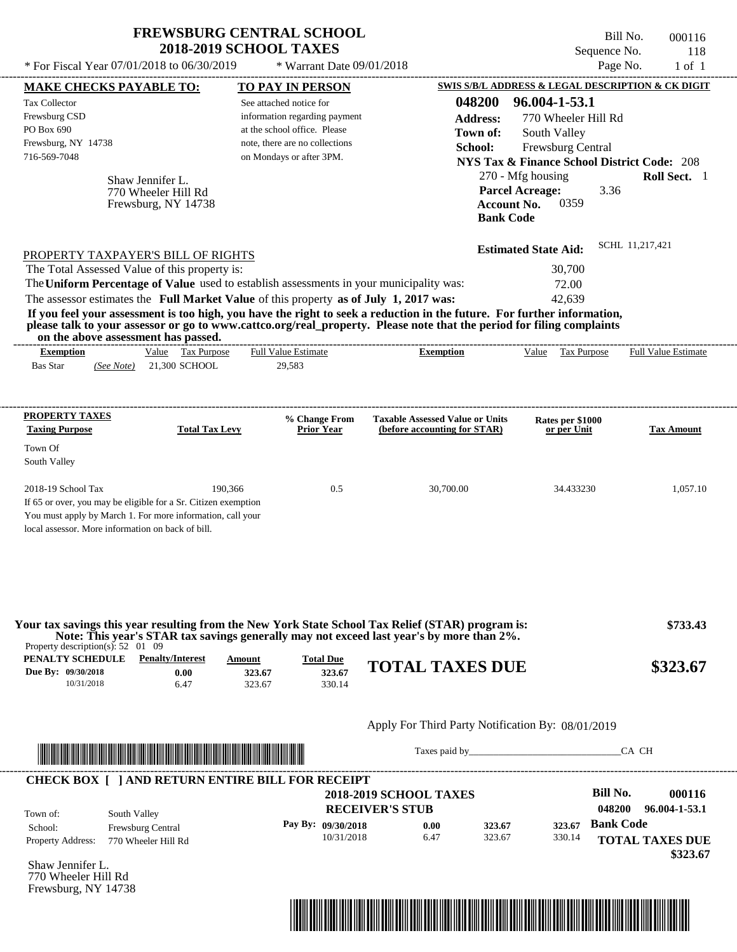| <b>FREWSBURG CENTRAL SCHOOL</b> |
|---------------------------------|
| <b>2018-2019 SCHOOL TAXES</b>   |

Bill No. 000116 Sequence No. 118  $*$  For Fiscal Year 07/01/2018 to 06/30/2019  $*$  Warrant Date 09/01/2018 Page No. 1 of 1

| <b>MAKE CHECKS PAYABLE TO:</b>                                                                                                                                                                                                       |                                                                |                                         |                            | <b>TO PAY IN PERSON</b>                                                                  |                                                                                                                                                                                                                                                                                                                                           |                           |                                                                                               |                            | <b>SWIS S/B/L ADDRESS &amp; LEGAL DESCRIPTION &amp; CK DIGIT</b> |
|--------------------------------------------------------------------------------------------------------------------------------------------------------------------------------------------------------------------------------------|----------------------------------------------------------------|-----------------------------------------|----------------------------|------------------------------------------------------------------------------------------|-------------------------------------------------------------------------------------------------------------------------------------------------------------------------------------------------------------------------------------------------------------------------------------------------------------------------------------------|---------------------------|-----------------------------------------------------------------------------------------------|----------------------------|------------------------------------------------------------------|
| <b>Tax Collector</b><br>Frewsburg CSD<br>PO Box 690                                                                                                                                                                                  |                                                                |                                         |                            | See attached notice for<br>information regarding payment<br>at the school office. Please |                                                                                                                                                                                                                                                                                                                                           | 048200<br><b>Address:</b> | 96.004-1-53.1<br>770 Wheeler Hill Rd                                                          |                            |                                                                  |
| Frewsburg, NY 14738<br>716-569-7048                                                                                                                                                                                                  |                                                                |                                         |                            | note, there are no collections<br>on Mondays or after 3PM.                               |                                                                                                                                                                                                                                                                                                                                           | Town of:<br>School:       | South Valley<br>Frewsburg Central                                                             |                            | <b>NYS Tax &amp; Finance School District Code: 208</b>           |
|                                                                                                                                                                                                                                      | Shaw Jennifer L.<br>770 Wheeler Hill Rd<br>Frewsburg, NY 14738 |                                         |                            |                                                                                          |                                                                                                                                                                                                                                                                                                                                           |                           | 270 - Mfg housing<br><b>Parcel Acreage:</b><br>0359<br><b>Account No.</b><br><b>Bank Code</b> | 3.36                       | Roll Sect. 1                                                     |
| PROPERTY TAXPAYER'S BILL OF RIGHTS                                                                                                                                                                                                   |                                                                |                                         |                            |                                                                                          |                                                                                                                                                                                                                                                                                                                                           |                           | <b>Estimated State Aid:</b>                                                                   |                            | SCHL 11,217,421                                                  |
| The Total Assessed Value of this property is:                                                                                                                                                                                        |                                                                |                                         |                            |                                                                                          | The Uniform Percentage of Value used to establish assessments in your municipality was:                                                                                                                                                                                                                                                   |                           | 30,700<br>72.00                                                                               |                            |                                                                  |
| on the above assessment has passed.                                                                                                                                                                                                  |                                                                |                                         |                            |                                                                                          | The assessor estimates the Full Market Value of this property as of July 1, 2017 was:<br>If you feel your assessment is too high, you have the right to seek a reduction in the future. For further information,<br>please talk to your assessor or go to www.cattco.org/real_property. Please note that the period for filing complaints |                           | 42,639                                                                                        |                            |                                                                  |
| <b>Exemption</b><br><b>Bas Star</b>                                                                                                                                                                                                  | (See Note) 21,300 SCHOOL                                       | Value Tax Purpose                       |                            | <b>Full Value Estimate</b><br>29,583                                                     | <b>Exemption</b>                                                                                                                                                                                                                                                                                                                          |                           | Value Tax Purpose                                                                             |                            | <b>Full Value Estimate</b>                                       |
| <b>PROPERTY TAXES</b><br><b>Taxing Purpose</b>                                                                                                                                                                                       |                                                                | <b>Total Tax Levy</b>                   |                            | % Change From<br><b>Prior Year</b>                                                       | <b>Taxable Assessed Value or Units</b><br>(before accounting for STAR)                                                                                                                                                                                                                                                                    |                           | Rates per \$1000<br>or per Unit                                                               |                            | <b>Tax Amount</b>                                                |
| Town Of<br>South Valley                                                                                                                                                                                                              |                                                                |                                         |                            |                                                                                          |                                                                                                                                                                                                                                                                                                                                           |                           |                                                                                               |                            |                                                                  |
| 2018-19 School Tax<br>If 65 or over, you may be eligible for a Sr. Citizen exemption<br>You must apply by March 1. For more information, call your<br>local assessor. More information on back of bill.                              |                                                                | 190,366                                 |                            | 0.5                                                                                      | 30,700.00                                                                                                                                                                                                                                                                                                                                 |                           | 34.433230                                                                                     |                            | 1,057.10                                                         |
| Property description(s): $52 \quad 01 \quad 09$<br>PENALTY SCHEDULE<br>Due By: 09/30/2018<br>10/31/2018                                                                                                                              |                                                                | <b>Penalty/Interest</b><br>0.00<br>6.47 | Amount<br>323.67<br>323.67 | <b>Total Due</b><br>323.67<br>330.14                                                     | Your tax savings this year resulting from the New York State School Tax Relief (STAR) program is:<br>Note: This year's STAR tax savings generally may not exceed last year's by more than 2%.<br><b>TOTAL TAXES DUE</b>                                                                                                                   |                           |                                                                                               |                            | \$733.43<br>\$323.67                                             |
|                                                                                                                                                                                                                                      |                                                                |                                         |                            |                                                                                          | Apply For Third Party Notification By: 08/01/2019                                                                                                                                                                                                                                                                                         |                           |                                                                                               |                            |                                                                  |
| <u> Indian American State and The Communication of the Communication of the Communication of the Communication of the Communication of the Communication of the Communication of the Communication of the Communication of the C</u> |                                                                |                                         |                            |                                                                                          |                                                                                                                                                                                                                                                                                                                                           |                           |                                                                                               |                            | CA CH                                                            |
| <b>CHECK BOX [ ] AND RETURN ENTIRE BILL FOR RECEIPT</b>                                                                                                                                                                              |                                                                |                                         |                            |                                                                                          | <b>2018-2019 SCHOOL TAXES</b>                                                                                                                                                                                                                                                                                                             |                           |                                                                                               | <b>Bill No.</b>            | 000116                                                           |
| Town of:<br>School:<br><b>Property Address:</b>                                                                                                                                                                                      | South Valley<br>Frewsburg Central<br>770 Wheeler Hill Rd       |                                         |                            | Pay By: 09/30/2018<br>10/31/2018                                                         | <b>RECEIVER'S STUB</b><br>0.00<br>6.47                                                                                                                                                                                                                                                                                                    | 323.67<br>323.67          | 323.67<br>330.14                                                                              | 048200<br><b>Bank Code</b> | 96.004-1-53.1<br><b>TOTAL TAXES DUE</b>                          |
| Shaw Jennifer L.<br>770 Wheeler Hill Rd<br>Frewsburg, NY 14738                                                                                                                                                                       |                                                                |                                         |                            |                                                                                          |                                                                                                                                                                                                                                                                                                                                           |                           |                                                                                               |                            | \$323.67                                                         |
|                                                                                                                                                                                                                                      |                                                                |                                         |                            |                                                                                          | <u> 1989 - Andrea Stadt British, fransk politik (d. 1989)</u>                                                                                                                                                                                                                                                                             |                           |                                                                                               |                            |                                                                  |
|                                                                                                                                                                                                                                      |                                                                |                                         |                            |                                                                                          |                                                                                                                                                                                                                                                                                                                                           |                           |                                                                                               |                            |                                                                  |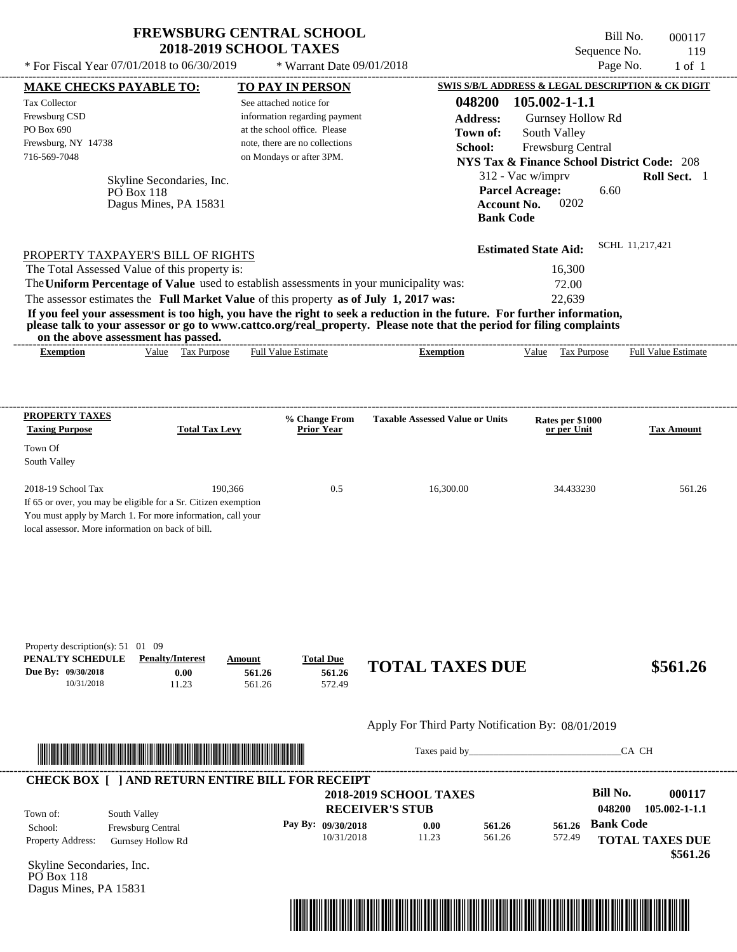\* Warrant Date 09/01/2018

 $*$  For Fiscal Year 07/01/2018 to 06/30/2019

Bill No. 000117 Sequence No. 119<br>Page No. 1 of 1

| 048200<br>105.002-1-1.1<br>See attached notice for<br>information regarding payment<br><b>Address:</b><br>Gurnsey Hollow Rd<br>at the school office. Please<br>South Valley<br>Town of:<br>note, there are no collections<br>School:<br>Frewsburg Central<br>716-569-7048<br>on Mondays or after 3PM.<br><b>NYS Tax &amp; Finance School District Code: 208</b><br>312 - Vac w/imprv<br>Skyline Secondaries, Inc.<br><b>Parcel Acreage:</b><br>6.60<br>$P\overrightarrow{O}$ Box 118<br>0202<br>Dagus Mines, PA 15831<br><b>Account No.</b><br><b>Bank Code</b><br>SCHL 11,217,421<br><b>Estimated State Aid:</b><br>PROPERTY TAXPAYER'S BILL OF RIGHTS<br>The Total Assessed Value of this property is:<br>16,300<br>The Uniform Percentage of Value used to establish assessments in your municipality was:<br>72.00<br>The assessor estimates the Full Market Value of this property as of July 1, 2017 was:<br>22,639<br>If you feel your assessment is too high, you have the right to seek a reduction in the future. For further information,<br>please talk to your assessor or go to www.cattco.org/real_property. Please note that the period for filing complaints<br>on the above assessment has passed.<br>Value Tax Purpose<br><b>Full Value Estimate</b><br><b>Exemption</b><br>Value Tax Purpose Full Value Estimate<br><b>Exemption</b><br><b>PROPERTY TAXES</b><br><b>Taxable Assessed Value or Units</b><br>% Change From<br>Rates per \$1000<br><b>Total Tax Levy</b><br><b>Taxing Purpose</b><br><b>Prior Year</b><br><b>Tax Amount</b><br>or per Unit<br>Town Of<br>South Valley<br>2018-19 School Tax<br>190,366<br>0.5<br>16,300.00<br>34.433230<br>561.26<br>If 65 or over, you may be eligible for a Sr. Citizen exemption<br>You must apply by March 1. For more information, call your<br>local assessor. More information on back of bill.<br>Property description(s): $51 \quad 01 \quad 09$<br>PENALTY SCHEDULE<br><b>Penalty/Interest</b><br><b>Total Due</b><br>Amount<br><b>TOTAL TAXES DUE</b><br>Due By: 09/30/2018<br>561.26<br>0.00<br>561.26<br>572.49<br>10/31/2018<br>11.23<br>561.26 | <b>MAKE CHECKS PAYABLE TO:</b> | <b>TO PAY IN PERSON</b> |            |       |  | <b>SWIS S/B/L ADDRESS &amp; LEGAL DESCRIPTION &amp; CK DIGIT</b> |
|--------------------------------------------------------------------------------------------------------------------------------------------------------------------------------------------------------------------------------------------------------------------------------------------------------------------------------------------------------------------------------------------------------------------------------------------------------------------------------------------------------------------------------------------------------------------------------------------------------------------------------------------------------------------------------------------------------------------------------------------------------------------------------------------------------------------------------------------------------------------------------------------------------------------------------------------------------------------------------------------------------------------------------------------------------------------------------------------------------------------------------------------------------------------------------------------------------------------------------------------------------------------------------------------------------------------------------------------------------------------------------------------------------------------------------------------------------------------------------------------------------------------------------------------------------------------------------------------------------------------------------------------------------------------------------------------------------------------------------------------------------------------------------------------------------------------------------------------------------------------------------------------------------------------------------------------------------------------------------------------------------------------------------------------------------------------------------------------------------------------------------|--------------------------------|-------------------------|------------|-------|--|------------------------------------------------------------------|
|                                                                                                                                                                                                                                                                                                                                                                                                                                                                                                                                                                                                                                                                                                                                                                                                                                                                                                                                                                                                                                                                                                                                                                                                                                                                                                                                                                                                                                                                                                                                                                                                                                                                                                                                                                                                                                                                                                                                                                                                                                                                                                                                | <b>Tax Collector</b>           |                         |            |       |  |                                                                  |
|                                                                                                                                                                                                                                                                                                                                                                                                                                                                                                                                                                                                                                                                                                                                                                                                                                                                                                                                                                                                                                                                                                                                                                                                                                                                                                                                                                                                                                                                                                                                                                                                                                                                                                                                                                                                                                                                                                                                                                                                                                                                                                                                | Frewsburg CSD                  |                         |            |       |  |                                                                  |
|                                                                                                                                                                                                                                                                                                                                                                                                                                                                                                                                                                                                                                                                                                                                                                                                                                                                                                                                                                                                                                                                                                                                                                                                                                                                                                                                                                                                                                                                                                                                                                                                                                                                                                                                                                                                                                                                                                                                                                                                                                                                                                                                | PO Box 690                     |                         |            |       |  |                                                                  |
|                                                                                                                                                                                                                                                                                                                                                                                                                                                                                                                                                                                                                                                                                                                                                                                                                                                                                                                                                                                                                                                                                                                                                                                                                                                                                                                                                                                                                                                                                                                                                                                                                                                                                                                                                                                                                                                                                                                                                                                                                                                                                                                                | Frewsburg, NY 14738            |                         |            |       |  |                                                                  |
|                                                                                                                                                                                                                                                                                                                                                                                                                                                                                                                                                                                                                                                                                                                                                                                                                                                                                                                                                                                                                                                                                                                                                                                                                                                                                                                                                                                                                                                                                                                                                                                                                                                                                                                                                                                                                                                                                                                                                                                                                                                                                                                                |                                |                         |            |       |  |                                                                  |
|                                                                                                                                                                                                                                                                                                                                                                                                                                                                                                                                                                                                                                                                                                                                                                                                                                                                                                                                                                                                                                                                                                                                                                                                                                                                                                                                                                                                                                                                                                                                                                                                                                                                                                                                                                                                                                                                                                                                                                                                                                                                                                                                |                                |                         |            |       |  | Roll Sect. 1                                                     |
|                                                                                                                                                                                                                                                                                                                                                                                                                                                                                                                                                                                                                                                                                                                                                                                                                                                                                                                                                                                                                                                                                                                                                                                                                                                                                                                                                                                                                                                                                                                                                                                                                                                                                                                                                                                                                                                                                                                                                                                                                                                                                                                                |                                |                         |            |       |  |                                                                  |
|                                                                                                                                                                                                                                                                                                                                                                                                                                                                                                                                                                                                                                                                                                                                                                                                                                                                                                                                                                                                                                                                                                                                                                                                                                                                                                                                                                                                                                                                                                                                                                                                                                                                                                                                                                                                                                                                                                                                                                                                                                                                                                                                |                                |                         |            |       |  |                                                                  |
|                                                                                                                                                                                                                                                                                                                                                                                                                                                                                                                                                                                                                                                                                                                                                                                                                                                                                                                                                                                                                                                                                                                                                                                                                                                                                                                                                                                                                                                                                                                                                                                                                                                                                                                                                                                                                                                                                                                                                                                                                                                                                                                                |                                |                         |            |       |  |                                                                  |
|                                                                                                                                                                                                                                                                                                                                                                                                                                                                                                                                                                                                                                                                                                                                                                                                                                                                                                                                                                                                                                                                                                                                                                                                                                                                                                                                                                                                                                                                                                                                                                                                                                                                                                                                                                                                                                                                                                                                                                                                                                                                                                                                |                                |                         |            |       |  |                                                                  |
|                                                                                                                                                                                                                                                                                                                                                                                                                                                                                                                                                                                                                                                                                                                                                                                                                                                                                                                                                                                                                                                                                                                                                                                                                                                                                                                                                                                                                                                                                                                                                                                                                                                                                                                                                                                                                                                                                                                                                                                                                                                                                                                                |                                |                         |            |       |  |                                                                  |
|                                                                                                                                                                                                                                                                                                                                                                                                                                                                                                                                                                                                                                                                                                                                                                                                                                                                                                                                                                                                                                                                                                                                                                                                                                                                                                                                                                                                                                                                                                                                                                                                                                                                                                                                                                                                                                                                                                                                                                                                                                                                                                                                |                                |                         |            |       |  |                                                                  |
|                                                                                                                                                                                                                                                                                                                                                                                                                                                                                                                                                                                                                                                                                                                                                                                                                                                                                                                                                                                                                                                                                                                                                                                                                                                                                                                                                                                                                                                                                                                                                                                                                                                                                                                                                                                                                                                                                                                                                                                                                                                                                                                                |                                |                         |            |       |  |                                                                  |
|                                                                                                                                                                                                                                                                                                                                                                                                                                                                                                                                                                                                                                                                                                                                                                                                                                                                                                                                                                                                                                                                                                                                                                                                                                                                                                                                                                                                                                                                                                                                                                                                                                                                                                                                                                                                                                                                                                                                                                                                                                                                                                                                |                                |                         |            |       |  |                                                                  |
|                                                                                                                                                                                                                                                                                                                                                                                                                                                                                                                                                                                                                                                                                                                                                                                                                                                                                                                                                                                                                                                                                                                                                                                                                                                                                                                                                                                                                                                                                                                                                                                                                                                                                                                                                                                                                                                                                                                                                                                                                                                                                                                                |                                |                         |            |       |  |                                                                  |
|                                                                                                                                                                                                                                                                                                                                                                                                                                                                                                                                                                                                                                                                                                                                                                                                                                                                                                                                                                                                                                                                                                                                                                                                                                                                                                                                                                                                                                                                                                                                                                                                                                                                                                                                                                                                                                                                                                                                                                                                                                                                                                                                |                                |                         |            |       |  |                                                                  |
|                                                                                                                                                                                                                                                                                                                                                                                                                                                                                                                                                                                                                                                                                                                                                                                                                                                                                                                                                                                                                                                                                                                                                                                                                                                                                                                                                                                                                                                                                                                                                                                                                                                                                                                                                                                                                                                                                                                                                                                                                                                                                                                                |                                |                         |            |       |  |                                                                  |
|                                                                                                                                                                                                                                                                                                                                                                                                                                                                                                                                                                                                                                                                                                                                                                                                                                                                                                                                                                                                                                                                                                                                                                                                                                                                                                                                                                                                                                                                                                                                                                                                                                                                                                                                                                                                                                                                                                                                                                                                                                                                                                                                |                                |                         |            |       |  |                                                                  |
|                                                                                                                                                                                                                                                                                                                                                                                                                                                                                                                                                                                                                                                                                                                                                                                                                                                                                                                                                                                                                                                                                                                                                                                                                                                                                                                                                                                                                                                                                                                                                                                                                                                                                                                                                                                                                                                                                                                                                                                                                                                                                                                                |                                |                         |            |       |  |                                                                  |
|                                                                                                                                                                                                                                                                                                                                                                                                                                                                                                                                                                                                                                                                                                                                                                                                                                                                                                                                                                                                                                                                                                                                                                                                                                                                                                                                                                                                                                                                                                                                                                                                                                                                                                                                                                                                                                                                                                                                                                                                                                                                                                                                |                                |                         |            |       |  |                                                                  |
|                                                                                                                                                                                                                                                                                                                                                                                                                                                                                                                                                                                                                                                                                                                                                                                                                                                                                                                                                                                                                                                                                                                                                                                                                                                                                                                                                                                                                                                                                                                                                                                                                                                                                                                                                                                                                                                                                                                                                                                                                                                                                                                                |                                |                         |            |       |  |                                                                  |
|                                                                                                                                                                                                                                                                                                                                                                                                                                                                                                                                                                                                                                                                                                                                                                                                                                                                                                                                                                                                                                                                                                                                                                                                                                                                                                                                                                                                                                                                                                                                                                                                                                                                                                                                                                                                                                                                                                                                                                                                                                                                                                                                |                                |                         |            |       |  |                                                                  |
|                                                                                                                                                                                                                                                                                                                                                                                                                                                                                                                                                                                                                                                                                                                                                                                                                                                                                                                                                                                                                                                                                                                                                                                                                                                                                                                                                                                                                                                                                                                                                                                                                                                                                                                                                                                                                                                                                                                                                                                                                                                                                                                                |                                |                         |            |       |  |                                                                  |
|                                                                                                                                                                                                                                                                                                                                                                                                                                                                                                                                                                                                                                                                                                                                                                                                                                                                                                                                                                                                                                                                                                                                                                                                                                                                                                                                                                                                                                                                                                                                                                                                                                                                                                                                                                                                                                                                                                                                                                                                                                                                                                                                |                                |                         |            |       |  |                                                                  |
|                                                                                                                                                                                                                                                                                                                                                                                                                                                                                                                                                                                                                                                                                                                                                                                                                                                                                                                                                                                                                                                                                                                                                                                                                                                                                                                                                                                                                                                                                                                                                                                                                                                                                                                                                                                                                                                                                                                                                                                                                                                                                                                                |                                |                         |            |       |  |                                                                  |
|                                                                                                                                                                                                                                                                                                                                                                                                                                                                                                                                                                                                                                                                                                                                                                                                                                                                                                                                                                                                                                                                                                                                                                                                                                                                                                                                                                                                                                                                                                                                                                                                                                                                                                                                                                                                                                                                                                                                                                                                                                                                                                                                |                                |                         |            |       |  |                                                                  |
|                                                                                                                                                                                                                                                                                                                                                                                                                                                                                                                                                                                                                                                                                                                                                                                                                                                                                                                                                                                                                                                                                                                                                                                                                                                                                                                                                                                                                                                                                                                                                                                                                                                                                                                                                                                                                                                                                                                                                                                                                                                                                                                                |                                |                         |            |       |  | \$561.26                                                         |
|                                                                                                                                                                                                                                                                                                                                                                                                                                                                                                                                                                                                                                                                                                                                                                                                                                                                                                                                                                                                                                                                                                                                                                                                                                                                                                                                                                                                                                                                                                                                                                                                                                                                                                                                                                                                                                                                                                                                                                                                                                                                                                                                |                                |                         |            |       |  |                                                                  |
|                                                                                                                                                                                                                                                                                                                                                                                                                                                                                                                                                                                                                                                                                                                                                                                                                                                                                                                                                                                                                                                                                                                                                                                                                                                                                                                                                                                                                                                                                                                                                                                                                                                                                                                                                                                                                                                                                                                                                                                                                                                                                                                                |                                |                         |            |       |  |                                                                  |
| CA CH<br>Taxes paid by                                                                                                                                                                                                                                                                                                                                                                                                                                                                                                                                                                                                                                                                                                                                                                                                                                                                                                                                                                                                                                                                                                                                                                                                                                                                                                                                                                                                                                                                                                                                                                                                                                                                                                                                                                                                                                                                                                                                                                                                                                                                                                         |                                |                         |            |       |  |                                                                  |
|                                                                                                                                                                                                                                                                                                                                                                                                                                                                                                                                                                                                                                                                                                                                                                                                                                                                                                                                                                                                                                                                                                                                                                                                                                                                                                                                                                                                                                                                                                                                                                                                                                                                                                                                                                                                                                                                                                                                                                                                                                                                                                                                |                                |                         |            |       |  | 000117                                                           |
| <b>Bill No.</b><br><b>2018-2019 SCHOOL TAXES</b>                                                                                                                                                                                                                                                                                                                                                                                                                                                                                                                                                                                                                                                                                                                                                                                                                                                                                                                                                                                                                                                                                                                                                                                                                                                                                                                                                                                                                                                                                                                                                                                                                                                                                                                                                                                                                                                                                                                                                                                                                                                                               |                                |                         |            |       |  |                                                                  |
| 048200<br><b>RECEIVER'S STUB</b><br>South Valley                                                                                                                                                                                                                                                                                                                                                                                                                                                                                                                                                                                                                                                                                                                                                                                                                                                                                                                                                                                                                                                                                                                                                                                                                                                                                                                                                                                                                                                                                                                                                                                                                                                                                                                                                                                                                                                                                                                                                                                                                                                                               | School:                        |                         |            | 0.00  |  |                                                                  |
| <b>Bank Code</b><br>Pay By: 09/30/2018<br>561.26<br>561.26<br>Frewsburg Central                                                                                                                                                                                                                                                                                                                                                                                                                                                                                                                                                                                                                                                                                                                                                                                                                                                                                                                                                                                                                                                                                                                                                                                                                                                                                                                                                                                                                                                                                                                                                                                                                                                                                                                                                                                                                                                                                                                                                                                                                                                |                                |                         | 10/31/2018 | 11.23 |  |                                                                  |
| $105.002 - 1 - 1.1$<br>561.26<br>572.49<br><b>TOTAL TAXES DUE</b><br>Gurnsey Hollow Rd                                                                                                                                                                                                                                                                                                                                                                                                                                                                                                                                                                                                                                                                                                                                                                                                                                                                                                                                                                                                                                                                                                                                                                                                                                                                                                                                                                                                                                                                                                                                                                                                                                                                                                                                                                                                                                                                                                                                                                                                                                         | $P\overrightarrow{O}$ Box 118  |                         |            |       |  |                                                                  |
| <b>CHECK BOX [ ] AND RETURN ENTIRE BILL FOR RECEIPT</b><br>Town of:<br>Property Address:<br>\$561.26<br>Skyline Secondaries, Inc.                                                                                                                                                                                                                                                                                                                                                                                                                                                                                                                                                                                                                                                                                                                                                                                                                                                                                                                                                                                                                                                                                                                                                                                                                                                                                                                                                                                                                                                                                                                                                                                                                                                                                                                                                                                                                                                                                                                                                                                              | Dagus Mines, PA 15831          |                         |            |       |  |                                                                  |

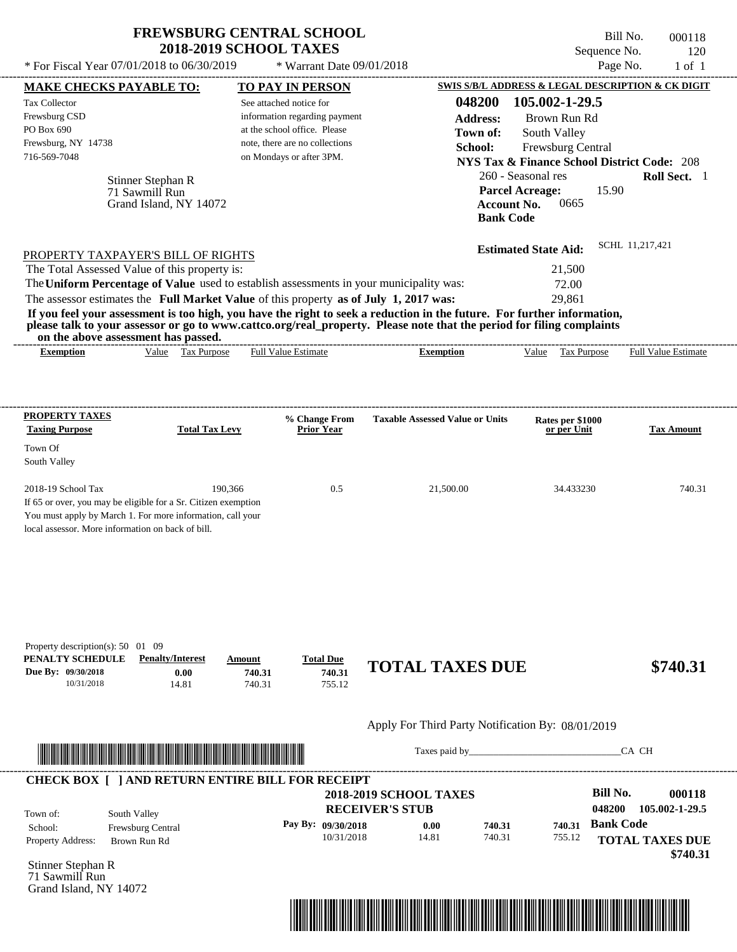| <b>FREWSBURG CENTRAL SCHOOL</b> |
|---------------------------------|
| <b>2018-2019 SCHOOL TAXES</b>   |

---------------------------------------------------------------------------------------------------------------------------------------------------------------------------------------------------- Bill No. 000118 Sequence No. 120  $*$  For Fiscal Year 07/01/2018 to 06/30/2019  $*$  Warrant Date 09/01/2018 Page No. 1 of 1

| <b>MAKE CHECKS PAYABLE TO:</b>                                                                                                                                                                                                                                                          |         | <b>TO PAY IN PERSON</b>            |                                                                                                                      | <b>SWIS S/B/L ADDRESS &amp; LEGAL DESCRIPTION &amp; CK DIGIT</b> |                            |
|-----------------------------------------------------------------------------------------------------------------------------------------------------------------------------------------------------------------------------------------------------------------------------------------|---------|------------------------------------|----------------------------------------------------------------------------------------------------------------------|------------------------------------------------------------------|----------------------------|
| Tax Collector                                                                                                                                                                                                                                                                           |         | See attached notice for            | 048200                                                                                                               | 105.002-1-29.5                                                   |                            |
| Frewsburg CSD                                                                                                                                                                                                                                                                           |         | information regarding payment      | <b>Address:</b>                                                                                                      | Brown Run Rd                                                     |                            |
| PO Box 690                                                                                                                                                                                                                                                                              |         | at the school office. Please       | Town of:                                                                                                             | South Valley                                                     |                            |
| Frewsburg, NY 14738<br>716-569-7048                                                                                                                                                                                                                                                     |         | note, there are no collections     | School:                                                                                                              | Frewsburg Central                                                |                            |
|                                                                                                                                                                                                                                                                                         |         | on Mondays or after 3PM.           |                                                                                                                      | <b>NYS Tax &amp; Finance School District Code: 208</b>           |                            |
| Stinner Stephan R                                                                                                                                                                                                                                                                       |         |                                    |                                                                                                                      | 260 - Seasonal res                                               | Roll Sect. 1               |
| 71 Sawmill Run                                                                                                                                                                                                                                                                          |         |                                    |                                                                                                                      | <b>Parcel Acreage:</b><br>15.90                                  |                            |
| Grand Island, NY 14072                                                                                                                                                                                                                                                                  |         |                                    | <b>Account No.</b><br><b>Bank Code</b>                                                                               | 0665                                                             |                            |
|                                                                                                                                                                                                                                                                                         |         |                                    |                                                                                                                      |                                                                  |                            |
|                                                                                                                                                                                                                                                                                         |         |                                    |                                                                                                                      | <b>Estimated State Aid:</b>                                      | SCHL 11,217,421            |
| PROPERTY TAXPAYER'S BILL OF RIGHTS                                                                                                                                                                                                                                                      |         |                                    |                                                                                                                      |                                                                  |                            |
| The Total Assessed Value of this property is:                                                                                                                                                                                                                                           |         |                                    |                                                                                                                      | 21,500                                                           |                            |
| The Uniform Percentage of Value used to establish assessments in your municipality was:                                                                                                                                                                                                 |         |                                    |                                                                                                                      | 72.00                                                            |                            |
| The assessor estimates the Full Market Value of this property as of July 1, 2017 was:                                                                                                                                                                                                   |         |                                    |                                                                                                                      | 29,861                                                           |                            |
| If you feel your assessment is too high, you have the right to seek a reduction in the future. For further information,<br>please talk to your assessor or go to www.cattco.org/real_property. Please note that the period for filing complaints<br>on the above assessment has passed. |         |                                    |                                                                                                                      |                                                                  |                            |
| Value Tax Purpose<br><b>Exemption</b>                                                                                                                                                                                                                                                   |         | <b>Full Value Estimate</b>         | <b>Exemption</b>                                                                                                     | Value Tax Purpose                                                | <b>Full Value Estimate</b> |
|                                                                                                                                                                                                                                                                                         |         |                                    |                                                                                                                      |                                                                  |                            |
|                                                                                                                                                                                                                                                                                         |         |                                    |                                                                                                                      |                                                                  |                            |
|                                                                                                                                                                                                                                                                                         |         |                                    |                                                                                                                      |                                                                  |                            |
| <b>PROPERTY TAXES</b><br><b>Total Tax Levy</b><br><b>Taxing Purpose</b>                                                                                                                                                                                                                 |         | % Change From<br><b>Prior Year</b> | <b>Taxable Assessed Value or Units</b>                                                                               | Rates per \$1000<br>or per Unit                                  | <b>Tax Amount</b>          |
|                                                                                                                                                                                                                                                                                         |         |                                    |                                                                                                                      |                                                                  |                            |
| Town Of<br>South Valley                                                                                                                                                                                                                                                                 |         |                                    |                                                                                                                      |                                                                  |                            |
|                                                                                                                                                                                                                                                                                         |         |                                    |                                                                                                                      |                                                                  |                            |
| 2018-19 School Tax                                                                                                                                                                                                                                                                      | 190,366 | 0.5                                | 21,500.00                                                                                                            | 34.433230                                                        | 740.31                     |
| If 65 or over, you may be eligible for a Sr. Citizen exemption                                                                                                                                                                                                                          |         |                                    |                                                                                                                      |                                                                  |                            |
| You must apply by March 1. For more information, call your                                                                                                                                                                                                                              |         |                                    |                                                                                                                      |                                                                  |                            |
| local assessor. More information on back of bill.                                                                                                                                                                                                                                       |         |                                    |                                                                                                                      |                                                                  |                            |
|                                                                                                                                                                                                                                                                                         |         |                                    |                                                                                                                      |                                                                  |                            |
|                                                                                                                                                                                                                                                                                         |         |                                    |                                                                                                                      |                                                                  |                            |
|                                                                                                                                                                                                                                                                                         |         |                                    |                                                                                                                      |                                                                  |                            |
|                                                                                                                                                                                                                                                                                         |         |                                    |                                                                                                                      |                                                                  |                            |
|                                                                                                                                                                                                                                                                                         |         |                                    |                                                                                                                      |                                                                  |                            |
|                                                                                                                                                                                                                                                                                         |         |                                    |                                                                                                                      |                                                                  |                            |
| Property description(s): $50 \quad 01 \quad 09$                                                                                                                                                                                                                                         |         |                                    |                                                                                                                      |                                                                  |                            |
| PENALTY SCHEDULE<br><b>Penalty/Interest</b>                                                                                                                                                                                                                                             | Amount  | <b>Total Due</b>                   |                                                                                                                      |                                                                  |                            |
| Due By: 09/30/2018<br>0.00                                                                                                                                                                                                                                                              | 740.31  | 740.31                             | <b>TOTAL TAXES DUE</b>                                                                                               |                                                                  | \$740.31                   |
| 10/31/2018<br>14.81                                                                                                                                                                                                                                                                     | 740.31  | 755.12                             |                                                                                                                      |                                                                  |                            |
|                                                                                                                                                                                                                                                                                         |         |                                    |                                                                                                                      |                                                                  |                            |
|                                                                                                                                                                                                                                                                                         |         |                                    | Apply For Third Party Notification By: 08/01/2019                                                                    |                                                                  |                            |
|                                                                                                                                                                                                                                                                                         |         |                                    |                                                                                                                      |                                                                  |                            |
| <u> In the second contract of the second contract of the second contract of the second contract of the second contract of the second contract of the second contract of the second contract of the second contract of the second</u>                                                    |         |                                    |                                                                                                                      |                                                                  | CA CH                      |
|                                                                                                                                                                                                                                                                                         |         |                                    |                                                                                                                      |                                                                  |                            |
| <b>CHECK BOX [ ] AND RETURN ENTIRE BILL FOR RECEIPT</b>                                                                                                                                                                                                                                 |         |                                    |                                                                                                                      | <b>Bill No.</b>                                                  | 000118                     |
|                                                                                                                                                                                                                                                                                         |         |                                    | <b>2018-2019 SCHOOL TAXES</b>                                                                                        | 048200                                                           | 105.002-1-29.5             |
| South Valley<br>Town of:                                                                                                                                                                                                                                                                |         |                                    | <b>RECEIVER'S STUB</b>                                                                                               |                                                                  |                            |
| School:<br>Frewsburg Central                                                                                                                                                                                                                                                            |         | Pay By: 09/30/2018<br>10/31/2018   | 740.31<br>0.00<br>14.81<br>740.31                                                                                    | <b>Bank Code</b><br>740.31<br>755.12                             |                            |
| Property Address:<br>Brown Run Rd                                                                                                                                                                                                                                                       |         |                                    |                                                                                                                      |                                                                  | <b>TOTAL TAXES DUE</b>     |
| Stinner Stephan R                                                                                                                                                                                                                                                                       |         |                                    |                                                                                                                      |                                                                  | \$740.31                   |
| 71 Sawmill Run                                                                                                                                                                                                                                                                          |         |                                    |                                                                                                                      |                                                                  |                            |
| Grand Island, NY 14072                                                                                                                                                                                                                                                                  |         |                                    |                                                                                                                      |                                                                  |                            |
|                                                                                                                                                                                                                                                                                         |         |                                    |                                                                                                                      |                                                                  |                            |
|                                                                                                                                                                                                                                                                                         |         |                                    | <u> 1989 - Andrea Stadt British, mark ar british bashkar ta shekara ta 1989 - Andrea Stadt British bashkar ta 19</u> |                                                                  |                            |
|                                                                                                                                                                                                                                                                                         |         |                                    |                                                                                                                      |                                                                  |                            |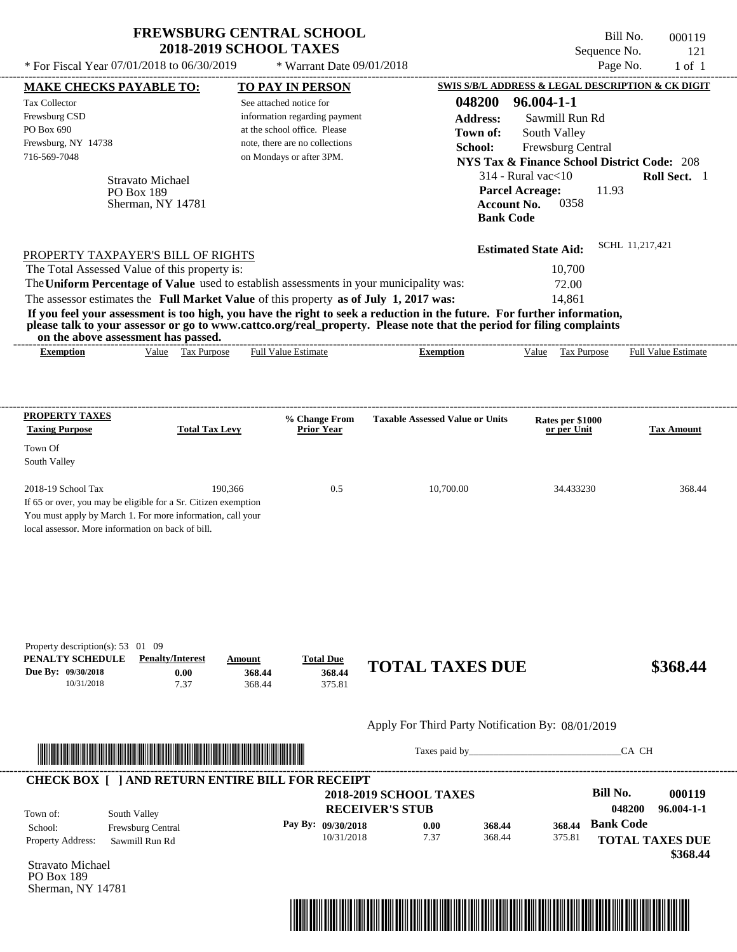| <b>FREWSBURG CENTRAL SCHOOL</b> |  |
|---------------------------------|--|
| <b>2018-2019 SCHOOL TAXES</b>   |  |

---------------------------------------------------------------------------------------------------------------------------------------------------------------------------------------------------- Bill No. 000119 Sequence No. 121 \* For Fiscal Year  $07/01/2018$  to  $06/30/2019$  \* Warrant Date  $09/01/2018$  Page No. 1 of 1

|                                                                                                                              |                                                                                                                       | See attached notice for                                                                 | 048200                                                                                                                                                                                                                                           | 96.004-1-1                                                                         |                                    |
|------------------------------------------------------------------------------------------------------------------------------|-----------------------------------------------------------------------------------------------------------------------|-----------------------------------------------------------------------------------------|--------------------------------------------------------------------------------------------------------------------------------------------------------------------------------------------------------------------------------------------------|------------------------------------------------------------------------------------|------------------------------------|
| Frewsburg CSD                                                                                                                |                                                                                                                       | information regarding payment                                                           | <b>Address:</b>                                                                                                                                                                                                                                  | Sawmill Run Rd                                                                     |                                    |
| PO Box 690                                                                                                                   |                                                                                                                       | at the school office. Please                                                            | Town of:                                                                                                                                                                                                                                         | South Valley                                                                       |                                    |
| Frewsburg, NY 14738<br>716-569-7048                                                                                          |                                                                                                                       | note, there are no collections<br>on Mondays or after 3PM.                              | School:                                                                                                                                                                                                                                          | Frewsburg Central                                                                  |                                    |
|                                                                                                                              | Stravato Michael                                                                                                      |                                                                                         |                                                                                                                                                                                                                                                  | <b>NYS Tax &amp; Finance School District Code: 208</b><br>$314$ - Rural vac $<$ 10 | Roll Sect. 1                       |
|                                                                                                                              | PO Box 189<br>Sherman, NY 14781                                                                                       |                                                                                         | <b>Bank Code</b>                                                                                                                                                                                                                                 | <b>Parcel Acreage:</b><br>11.93<br>0358<br><b>Account No.</b>                      |                                    |
|                                                                                                                              | PROPERTY TAXPAYER'S BILL OF RIGHTS                                                                                    |                                                                                         |                                                                                                                                                                                                                                                  | <b>Estimated State Aid:</b>                                                        | SCHL 11,217,421                    |
| The Total Assessed Value of this property is:                                                                                |                                                                                                                       |                                                                                         |                                                                                                                                                                                                                                                  | 10,700                                                                             |                                    |
|                                                                                                                              |                                                                                                                       | The Uniform Percentage of Value used to establish assessments in your municipality was: |                                                                                                                                                                                                                                                  | 72.00                                                                              |                                    |
|                                                                                                                              |                                                                                                                       | The assessor estimates the Full Market Value of this property as of July 1, 2017 was:   |                                                                                                                                                                                                                                                  | 14,861                                                                             |                                    |
| on the above assessment has passed.                                                                                          |                                                                                                                       |                                                                                         | If you feel your assessment is too high, you have the right to seek a reduction in the future. For further information,<br>please talk to your assessor or go to www.cattco.org/real_property. Please note that the period for filing complaints |                                                                                    |                                    |
| <b>Exemption</b>                                                                                                             | Value Tax Purpose                                                                                                     | <b>Full Value Estimate</b>                                                              | <b>Exemption</b>                                                                                                                                                                                                                                 | Value Tax Purpose                                                                  | <b>Full Value Estimate</b>         |
| <b>PROPERTY TAXES</b>                                                                                                        |                                                                                                                       | % Change From                                                                           | <b>Taxable Assessed Value or Units</b>                                                                                                                                                                                                           | Rates per \$1000                                                                   |                                    |
| <b>Taxing Purpose</b>                                                                                                        | <b>Total Tax Levy</b>                                                                                                 | <b>Prior Year</b>                                                                       |                                                                                                                                                                                                                                                  | or per Unit                                                                        | <b>Tax Amount</b>                  |
| Town Of                                                                                                                      |                                                                                                                       |                                                                                         |                                                                                                                                                                                                                                                  |                                                                                    |                                    |
| South Valley                                                                                                                 |                                                                                                                       |                                                                                         |                                                                                                                                                                                                                                                  |                                                                                    |                                    |
| 2018-19 School Tax                                                                                                           | 190,366                                                                                                               | 0.5                                                                                     | 10,700.00                                                                                                                                                                                                                                        | 34.433230                                                                          | 368.44                             |
| If 65 or over, you may be eligible for a Sr. Citizen exemption<br>You must apply by March 1. For more information, call your |                                                                                                                       |                                                                                         |                                                                                                                                                                                                                                                  |                                                                                    |                                    |
| local assessor. More information on back of bill.                                                                            |                                                                                                                       |                                                                                         |                                                                                                                                                                                                                                                  |                                                                                    |                                    |
| 10/31/2018                                                                                                                   | <b>Penalty/Interest</b><br>0.00<br>7.37                                                                               | <b>Total Due</b><br>Amount<br>368.44<br>368.44<br>368.44<br>375.81                      | <b>TOTAL TAXES DUE</b>                                                                                                                                                                                                                           |                                                                                    |                                    |
| Property description(s): 53 01 09<br>PENALTY SCHEDULE<br>Due By: 09/30/2018                                                  |                                                                                                                       |                                                                                         | Apply For Third Party Notification By: 08/01/2019                                                                                                                                                                                                |                                                                                    | \$368.44                           |
|                                                                                                                              | <u> Literatura de la contrada de la contrada de la contrada de la contrada de la contrada de la contrada de la co</u> |                                                                                         |                                                                                                                                                                                                                                                  |                                                                                    | CA CH                              |
|                                                                                                                              |                                                                                                                       | <b>CHECK BOX [ ] AND RETURN ENTIRE BILL FOR RECEIPT</b>                                 |                                                                                                                                                                                                                                                  |                                                                                    |                                    |
|                                                                                                                              |                                                                                                                       |                                                                                         | <b>2018-2019 SCHOOL TAXES</b>                                                                                                                                                                                                                    | <b>Bill No.</b>                                                                    |                                    |
| South Valley                                                                                                                 |                                                                                                                       |                                                                                         | <b>RECEIVER'S STUB</b>                                                                                                                                                                                                                           | 048200                                                                             |                                    |
|                                                                                                                              | Frewsburg Central                                                                                                     | Pay By: 09/30/2018                                                                      | 0.00<br>368.44                                                                                                                                                                                                                                   | <b>Bank Code</b><br>368.44                                                         | 000119<br>$96.004 - 1 - 1$         |
|                                                                                                                              | Sawmill Run Rd                                                                                                        | 10/31/2018                                                                              | 7.37<br>368.44                                                                                                                                                                                                                                   | 375.81                                                                             |                                    |
| Town of:<br>School:<br>Property Address:<br>Stravato Michael<br>PO Box 189<br>Sherman, NY 14781                              |                                                                                                                       |                                                                                         |                                                                                                                                                                                                                                                  |                                                                                    | <b>TOTAL TAXES DUE</b><br>\$368.44 |

**MAKE CHECKS PAYABLE TO: TO PAY IN PERSON SWIS S/B/L ADDRESS & LEGAL DESCRIPTION & CK DIGIT**

 $*$  Warrant Date 09/01/2018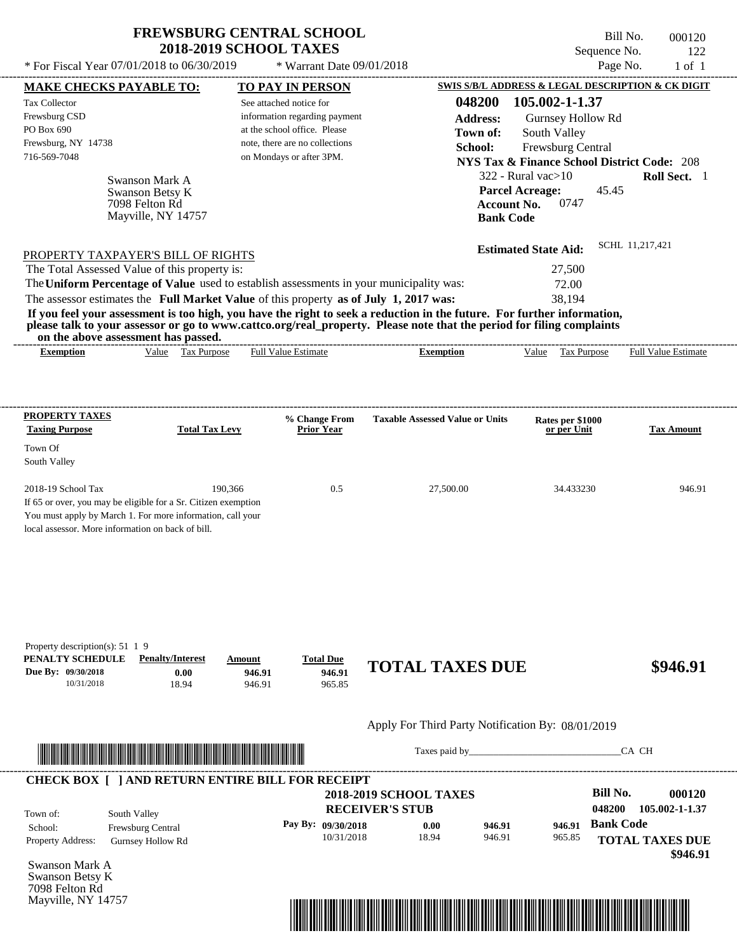$*$  For Fiscal Year  $07/01/2018$  to  $06/30/2019$ 

Mayville, NY 14757

 $*$  Warrant Date 09/01/2018

Bill No. 000120 Sequence No. 122<br>Page No. 1 of 1

|                                                                                 | <b>MAKE CHECKS PAYABLE TO:</b>                                                                                        | TO PAY IN PERSON                                                   |                                                                                                                         |                             | SWIS S/B/L ADDRESS & LEGAL DESCRIPTION & CK DIGIT      |
|---------------------------------------------------------------------------------|-----------------------------------------------------------------------------------------------------------------------|--------------------------------------------------------------------|-------------------------------------------------------------------------------------------------------------------------|-----------------------------|--------------------------------------------------------|
| Tax Collector                                                                   |                                                                                                                       | See attached notice for                                            | 048200                                                                                                                  | 105.002-1-1.37              |                                                        |
| Frewsburg CSD                                                                   |                                                                                                                       | information regarding payment                                      | <b>Address:</b>                                                                                                         | Gurnsey Hollow Rd           |                                                        |
| PO Box 690                                                                      |                                                                                                                       | at the school office. Please                                       | Town of:                                                                                                                | South Valley                |                                                        |
| Frewsburg, NY 14738                                                             |                                                                                                                       | note, there are no collections                                     |                                                                                                                         |                             |                                                        |
| 716-569-7048                                                                    |                                                                                                                       | on Mondays or after 3PM.                                           | School:                                                                                                                 | <b>Frewsburg Central</b>    |                                                        |
|                                                                                 |                                                                                                                       |                                                                    |                                                                                                                         |                             | <b>NYS Tax &amp; Finance School District Code: 208</b> |
|                                                                                 | Swanson Mark A                                                                                                        |                                                                    |                                                                                                                         | $322$ - Rural vac $>10$     | Roll Sect. 1                                           |
|                                                                                 | Swanson Betsy K                                                                                                       |                                                                    |                                                                                                                         | <b>Parcel Acreage:</b>      | 45.45                                                  |
|                                                                                 | 7098 Felton Rd                                                                                                        |                                                                    |                                                                                                                         | 0747<br><b>Account No.</b>  |                                                        |
|                                                                                 | Mayville, NY 14757                                                                                                    |                                                                    |                                                                                                                         | <b>Bank Code</b>            |                                                        |
|                                                                                 |                                                                                                                       |                                                                    |                                                                                                                         |                             | SCHL 11,217,421                                        |
|                                                                                 | PROPERTY TAXPAYER'S BILL OF RIGHTS                                                                                    |                                                                    |                                                                                                                         | <b>Estimated State Aid:</b> |                                                        |
| The Total Assessed Value of this property is:                                   |                                                                                                                       |                                                                    |                                                                                                                         | 27,500                      |                                                        |
|                                                                                 |                                                                                                                       |                                                                    | The Uniform Percentage of Value used to establish assessments in your municipality was:                                 | 72.00                       |                                                        |
|                                                                                 |                                                                                                                       |                                                                    | The assessor estimates the Full Market Value of this property as of July 1, 2017 was:                                   | 38,194                      |                                                        |
|                                                                                 |                                                                                                                       |                                                                    | If you feel your assessment is too high, you have the right to seek a reduction in the future. For further information, |                             |                                                        |
| on the above assessment has passed.                                             |                                                                                                                       |                                                                    | please talk to your assessor or go to www.cattco.org/real_property. Please note that the period for filing complaints   |                             |                                                        |
| <b>Exemption</b>                                                                | Value Tax Purpose                                                                                                     | Full Value Estimate                                                | <b>Exemption</b>                                                                                                        | Value Tax Purpose           | <b>Full Value Estimate</b>                             |
|                                                                                 |                                                                                                                       |                                                                    |                                                                                                                         |                             |                                                        |
|                                                                                 |                                                                                                                       |                                                                    |                                                                                                                         |                             |                                                        |
| <b>PROPERTY TAXES</b>                                                           |                                                                                                                       | % Change From                                                      | <b>Taxable Assessed Value or Units</b>                                                                                  | Rates per \$1000            |                                                        |
| <b>Taxing Purpose</b>                                                           | <b>Total Tax Levy</b>                                                                                                 | <b>Prior Year</b>                                                  |                                                                                                                         | or per Unit                 | <b>Tax Amount</b>                                      |
| Town Of                                                                         |                                                                                                                       |                                                                    |                                                                                                                         |                             |                                                        |
| South Valley                                                                    |                                                                                                                       |                                                                    |                                                                                                                         |                             |                                                        |
|                                                                                 |                                                                                                                       |                                                                    |                                                                                                                         |                             |                                                        |
| 2018-19 School Tax                                                              | 190,366                                                                                                               | 0.5                                                                | 27,500.00                                                                                                               | 34.433230                   | 946.91                                                 |
|                                                                                 | If 65 or over, you may be eligible for a Sr. Citizen exemption                                                        |                                                                    |                                                                                                                         |                             |                                                        |
|                                                                                 | You must apply by March 1. For more information, call your                                                            |                                                                    |                                                                                                                         |                             |                                                        |
| local assessor. More information on back of bill.                               |                                                                                                                       |                                                                    |                                                                                                                         |                             |                                                        |
|                                                                                 |                                                                                                                       |                                                                    |                                                                                                                         |                             |                                                        |
| 10/31/2018                                                                      | <b>Penalty/Interest</b><br>0.00<br>18.94                                                                              | <b>Total Due</b><br>Amount<br>946.91<br>946.91<br>946.91<br>965.85 | <b>TOTAL TAXES DUE</b>                                                                                                  |                             | \$946.91                                               |
|                                                                                 |                                                                                                                       |                                                                    | Apply For Third Party Notification By: 08/01/2019                                                                       |                             |                                                        |
| Property description(s): $51 \t1 \t9$<br>PENALTY SCHEDULE<br>Due By: 09/30/2018 |                                                                                                                       |                                                                    |                                                                                                                         |                             |                                                        |
|                                                                                 | <u> Literatura de la contrada de la contrada de la contrada de la contrada de la contrada de la contrada de la co</u> |                                                                    |                                                                                                                         |                             | CA CH                                                  |
|                                                                                 |                                                                                                                       | <b>CHECK BOX [ ] AND RETURN ENTIRE BILL FOR RECEIPT</b>            |                                                                                                                         |                             |                                                        |
|                                                                                 |                                                                                                                       |                                                                    | <b>2018-2019 SCHOOL TAXES</b>                                                                                           |                             | <b>Bill No.</b>                                        |
|                                                                                 |                                                                                                                       |                                                                    | <b>RECEIVER'S STUB</b>                                                                                                  |                             | 048200                                                 |
| Town of:                                                                        | South Valley                                                                                                          |                                                                    |                                                                                                                         |                             | <b>Bank Code</b>                                       |
|                                                                                 | Frewsburg Central                                                                                                     | Pay By: 09/30/2018                                                 | 946.91<br>0.00<br>10/31/2018<br>18.94<br>946.91                                                                         | 946.91<br>965.85            |                                                        |
| School:<br>Property Address:                                                    | <b>Gurnsey Hollow Rd</b>                                                                                              |                                                                    |                                                                                                                         |                             | 000120<br>105.002-1-1.37<br><b>TOTAL TAXES DUE</b>     |
| Swanson Mark A                                                                  |                                                                                                                       |                                                                    |                                                                                                                         |                             | \$946.91                                               |

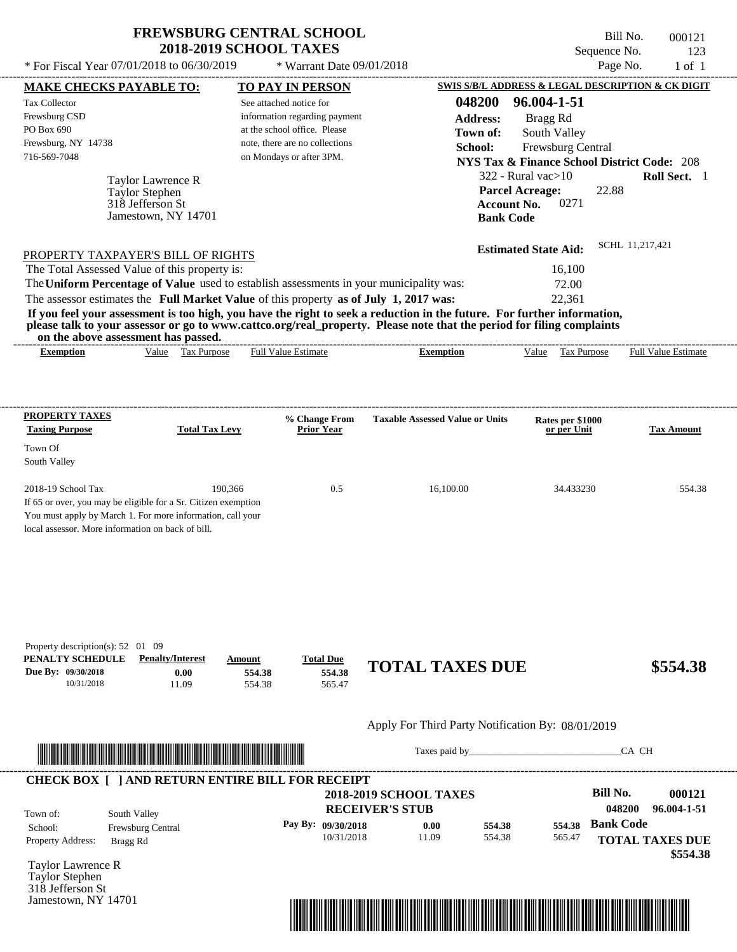$*$  For Fiscal Year 07/01/2018 to 06/30/2019

Jamestown, NY 14701

 $*$  Warrant Date 09/01/2018

Bill No. 000121 Sequence No. 123<br>Page No. 1 of 1

| <b>MAKE CHECKS PAYABLE TO:</b>                                                                          |                                                                                                                              | <b>TO PAY IN PERSON</b>        |                                      |                                                                                                                                                                                                                                                                      | SWIS S/B/L ADDRESS & LEGAL DESCRIPTION & CK DIGIT      |                  |                                    |
|---------------------------------------------------------------------------------------------------------|------------------------------------------------------------------------------------------------------------------------------|--------------------------------|--------------------------------------|----------------------------------------------------------------------------------------------------------------------------------------------------------------------------------------------------------------------------------------------------------------------|--------------------------------------------------------|------------------|------------------------------------|
| Tax Collector                                                                                           |                                                                                                                              | See attached notice for        |                                      | 048200                                                                                                                                                                                                                                                               | 96.004-1-51                                            |                  |                                    |
| Frewsburg CSD                                                                                           |                                                                                                                              | information regarding payment  |                                      | <b>Address:</b>                                                                                                                                                                                                                                                      | Bragg Rd                                               |                  |                                    |
| PO Box 690                                                                                              |                                                                                                                              | at the school office. Please   |                                      | Town of:                                                                                                                                                                                                                                                             | South Valley                                           |                  |                                    |
| Frewsburg, NY 14738                                                                                     |                                                                                                                              | note, there are no collections |                                      | School:                                                                                                                                                                                                                                                              | Frewsburg Central                                      |                  |                                    |
| 716-569-7048                                                                                            |                                                                                                                              | on Mondays or after 3PM.       |                                      |                                                                                                                                                                                                                                                                      | <b>NYS Tax &amp; Finance School District Code: 208</b> |                  |                                    |
|                                                                                                         | Taylor Lawrence R                                                                                                            |                                |                                      |                                                                                                                                                                                                                                                                      | $322$ - Rural vac $>10$                                |                  | Roll Sect. 1                       |
|                                                                                                         | Taylor Stephen                                                                                                               |                                |                                      |                                                                                                                                                                                                                                                                      | <b>Parcel Acreage:</b>                                 | 22.88            |                                    |
|                                                                                                         | 318 Jefferson St                                                                                                             |                                |                                      |                                                                                                                                                                                                                                                                      | 0271<br><b>Account No.</b>                             |                  |                                    |
|                                                                                                         | Jamestown, NY 14701                                                                                                          |                                |                                      |                                                                                                                                                                                                                                                                      | <b>Bank Code</b>                                       |                  |                                    |
|                                                                                                         |                                                                                                                              |                                |                                      |                                                                                                                                                                                                                                                                      | <b>Estimated State Aid:</b>                            | SCHL 11,217,421  |                                    |
| PROPERTY TAXPAYER'S BILL OF RIGHTS<br>The Total Assessed Value of this property is:                     |                                                                                                                              |                                |                                      |                                                                                                                                                                                                                                                                      | 16,100                                                 |                  |                                    |
| The Uniform Percentage of Value used to establish assessments in your municipality was:                 |                                                                                                                              |                                |                                      |                                                                                                                                                                                                                                                                      | 72.00                                                  |                  |                                    |
| The assessor estimates the Full Market Value of this property as of July 1, 2017 was:                   |                                                                                                                              |                                |                                      |                                                                                                                                                                                                                                                                      | 22,361                                                 |                  |                                    |
| <b>Exemption</b>                                                                                        | on the above assessment has passed.<br>Value Tax Purpose                                                                     | <b>Full Value Estimate</b>     |                                      | If you feel your assessment is too high, you have the right to seek a reduction in the future. For further information,<br>please talk to your assessor or go to www.cattco.org/real_property. Please note that the period for filing complaints<br><b>Exemption</b> | Value Tax Purpose                                      |                  | <b>Full Value Estimate</b>         |
|                                                                                                         |                                                                                                                              |                                |                                      |                                                                                                                                                                                                                                                                      |                                                        |                  |                                    |
| <b>PROPERTY TAXES</b>                                                                                   |                                                                                                                              |                                |                                      |                                                                                                                                                                                                                                                                      |                                                        |                  |                                    |
| <b>Taxing Purpose</b>                                                                                   | <b>Total Tax Levy</b>                                                                                                        |                                | % Change From<br>Prior Year          | <b>Taxable Assessed Value or Units</b>                                                                                                                                                                                                                               | Rates per \$1000<br>or per Unit                        |                  | Tax Amount                         |
| Town Of                                                                                                 |                                                                                                                              |                                |                                      |                                                                                                                                                                                                                                                                      |                                                        |                  |                                    |
| South Valley                                                                                            |                                                                                                                              |                                |                                      |                                                                                                                                                                                                                                                                      |                                                        |                  |                                    |
|                                                                                                         |                                                                                                                              |                                |                                      |                                                                                                                                                                                                                                                                      |                                                        |                  |                                    |
| 2018-19 School Tax<br>local assessor. More information on back of bill.                                 | If 65 or over, you may be eligible for a Sr. Citizen exemption<br>You must apply by March 1. For more information, call your | 190,366                        | 0.5                                  | 16,100.00                                                                                                                                                                                                                                                            | 34.433230                                              |                  | 554.38                             |
| Property description(s): $52 \quad 01 \quad 09$<br>PENALTY SCHEDULE<br>Due By: 09/30/2018<br>10/31/2018 | <b>Penalty/Interest</b><br>0.00<br>11.09                                                                                     | Amount<br>554.38<br>554.38     | <b>Total Due</b><br>554.38<br>565.47 | <b>TOTAL TAXES DUE</b>                                                                                                                                                                                                                                               |                                                        |                  | \$554.38                           |
|                                                                                                         |                                                                                                                              |                                |                                      | Apply For Third Party Notification By: 08/01/2019                                                                                                                                                                                                                    |                                                        |                  |                                    |
|                                                                                                         |                                                                                                                              |                                |                                      |                                                                                                                                                                                                                                                                      |                                                        | CA CH            |                                    |
| <b>CHECK BOX [ ] AND RETURN ENTIRE BILL FOR RECEIPT</b>                                                 |                                                                                                                              |                                |                                      |                                                                                                                                                                                                                                                                      |                                                        |                  |                                    |
|                                                                                                         |                                                                                                                              |                                |                                      | <b>2018-2019 SCHOOL TAXES</b>                                                                                                                                                                                                                                        |                                                        | <b>Bill No.</b>  | 000121                             |
| Town of:                                                                                                | South Valley                                                                                                                 |                                |                                      | <b>RECEIVER'S STUB</b>                                                                                                                                                                                                                                               |                                                        | 048200           | 96.004-1-51                        |
| School:                                                                                                 | Frewsburg Central                                                                                                            |                                | Pay By: 09/30/2018                   | 0.00                                                                                                                                                                                                                                                                 | 554.38<br>554.38                                       | <b>Bank Code</b> |                                    |
| Property Address:                                                                                       | Bragg Rd                                                                                                                     |                                | 10/31/2018                           | 11.09<br>554.38                                                                                                                                                                                                                                                      | 565.47                                                 |                  | <b>TOTAL TAXES DUE</b><br>\$554.38 |
| Taylor Lawrence R                                                                                       |                                                                                                                              |                                |                                      |                                                                                                                                                                                                                                                                      |                                                        |                  |                                    |

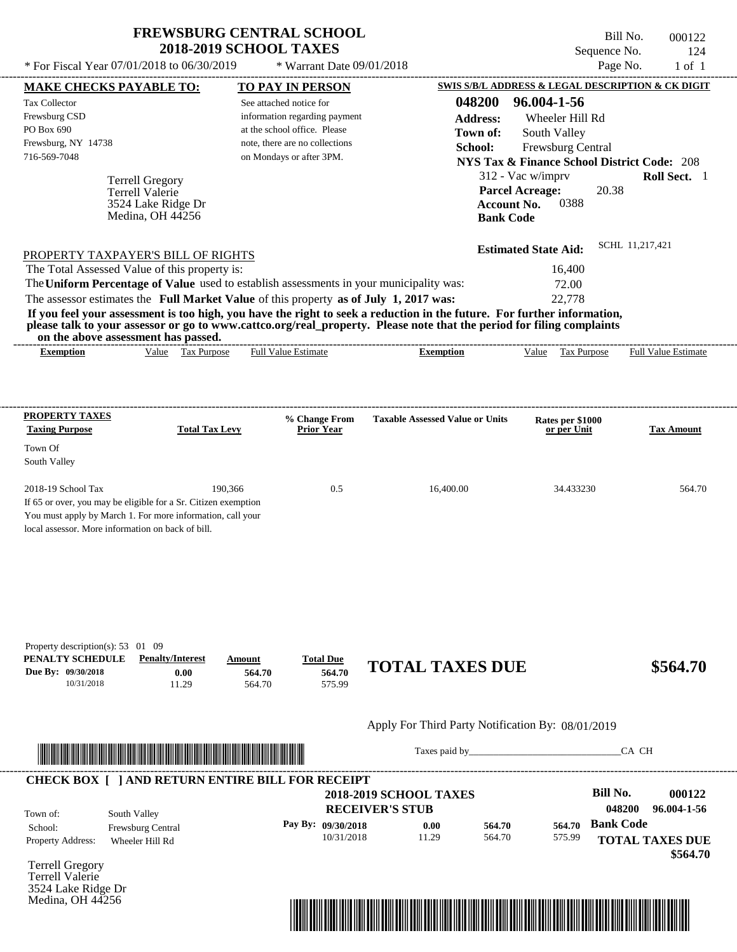\* For Fiscal Year  $07/01/2018$  to  $06/30/2019$  \* Warrant Date  $09/01/2018$  Page No. 1 of 1

 $*$  Warrant Date 09/01/2018

Bill No. 000122 Sequence No. 124

| <b>MAKE CHECKS PAYABLE TO:</b>                                 |                         |                       |        | <b>TO PAY IN PERSON</b>                                 |                                                                                                                                                                                                                  |                    |                                                        |                  | SWIS S/B/L ADDRESS & LEGAL DESCRIPTION & CK DIGIT |
|----------------------------------------------------------------|-------------------------|-----------------------|--------|---------------------------------------------------------|------------------------------------------------------------------------------------------------------------------------------------------------------------------------------------------------------------------|--------------------|--------------------------------------------------------|------------------|---------------------------------------------------|
| <b>Tax Collector</b>                                           |                         |                       |        | See attached notice for                                 |                                                                                                                                                                                                                  | 048200             | 96.004-1-56                                            |                  |                                                   |
| Frewsburg CSD                                                  |                         |                       |        | information regarding payment                           |                                                                                                                                                                                                                  | <b>Address:</b>    | Wheeler Hill Rd                                        |                  |                                                   |
| PO Box 690                                                     |                         |                       |        | at the school office. Please                            |                                                                                                                                                                                                                  | Town of:           | South Valley                                           |                  |                                                   |
| Frewsburg, NY 14738                                            |                         |                       |        | note, there are no collections                          |                                                                                                                                                                                                                  | School:            | Frewsburg Central                                      |                  |                                                   |
| 716-569-7048                                                   |                         |                       |        | on Mondays or after 3PM.                                |                                                                                                                                                                                                                  |                    | <b>NYS Tax &amp; Finance School District Code: 208</b> |                  |                                                   |
|                                                                | <b>Terrell Gregory</b>  |                       |        |                                                         |                                                                                                                                                                                                                  |                    | 312 - Vac w/imprv                                      |                  | Roll Sect. 1                                      |
|                                                                | Terrell Valerie         |                       |        |                                                         |                                                                                                                                                                                                                  |                    | <b>Parcel Acreage:</b>                                 | 20.38            |                                                   |
|                                                                | 3524 Lake Ridge Dr      |                       |        |                                                         |                                                                                                                                                                                                                  | <b>Account No.</b> | 0388                                                   |                  |                                                   |
|                                                                | Medina, OH 44256        |                       |        |                                                         |                                                                                                                                                                                                                  | <b>Bank Code</b>   |                                                        |                  |                                                   |
|                                                                |                         |                       |        |                                                         |                                                                                                                                                                                                                  |                    | <b>Estimated State Aid:</b>                            |                  | SCHL 11,217,421                                   |
| PROPERTY TAXPAYER'S BILL OF RIGHTS                             |                         |                       |        |                                                         |                                                                                                                                                                                                                  |                    |                                                        |                  |                                                   |
| The Total Assessed Value of this property is:                  |                         |                       |        |                                                         |                                                                                                                                                                                                                  |                    | 16,400                                                 |                  |                                                   |
|                                                                |                         |                       |        |                                                         | The Uniform Percentage of Value used to establish assessments in your municipality was:                                                                                                                          |                    | 72.00                                                  |                  |                                                   |
|                                                                |                         |                       |        |                                                         | The assessor estimates the Full Market Value of this property as of July 1, 2017 was:<br>If you feel your assessment is too high, you have the right to seek a reduction in the future. For further information, |                    | 22,778                                                 |                  |                                                   |
|                                                                |                         |                       |        |                                                         | please talk to your assessor or go to www.cattco.org/real_property. Please note that the period for filing complaints                                                                                            |                    |                                                        |                  |                                                   |
| on the above assessment has passed.<br><b>Exemption</b>        |                         | Value Tax Purpose     |        | <b>Full Value Estimate</b>                              | <b>Exemption</b>                                                                                                                                                                                                 |                    |                                                        |                  | Value Tax Purpose Full Value Estimate             |
|                                                                |                         |                       |        |                                                         |                                                                                                                                                                                                                  |                    |                                                        |                  |                                                   |
|                                                                |                         |                       |        |                                                         |                                                                                                                                                                                                                  |                    |                                                        |                  |                                                   |
| <b>PROPERTY TAXES</b>                                          |                         |                       |        |                                                         |                                                                                                                                                                                                                  |                    |                                                        |                  |                                                   |
| <b>Taxing Purpose</b>                                          |                         | <b>Total Tax Levy</b> |        | % Change From<br><b>Prior Year</b>                      | <b>Taxable Assessed Value or Units</b>                                                                                                                                                                           |                    | Rates per \$1000<br>or per Unit                        |                  | <b>Tax Amount</b>                                 |
| Town Of                                                        |                         |                       |        |                                                         |                                                                                                                                                                                                                  |                    |                                                        |                  |                                                   |
| South Valley                                                   |                         |                       |        |                                                         |                                                                                                                                                                                                                  |                    |                                                        |                  |                                                   |
| 2018-19 School Tax                                             |                         | 190,366               |        | 0.5                                                     | 16,400.00                                                                                                                                                                                                        |                    | 34.433230                                              |                  | 564.70                                            |
| If 65 or over, you may be eligible for a Sr. Citizen exemption |                         |                       |        |                                                         |                                                                                                                                                                                                                  |                    |                                                        |                  |                                                   |
| You must apply by March 1. For more information, call your     |                         |                       |        |                                                         |                                                                                                                                                                                                                  |                    |                                                        |                  |                                                   |
| local assessor. More information on back of bill.              |                         |                       |        |                                                         |                                                                                                                                                                                                                  |                    |                                                        |                  |                                                   |
|                                                                |                         |                       |        |                                                         |                                                                                                                                                                                                                  |                    |                                                        |                  |                                                   |
|                                                                |                         |                       |        |                                                         |                                                                                                                                                                                                                  |                    |                                                        |                  |                                                   |
|                                                                |                         |                       |        |                                                         |                                                                                                                                                                                                                  |                    |                                                        |                  |                                                   |
|                                                                |                         |                       |        |                                                         |                                                                                                                                                                                                                  |                    |                                                        |                  |                                                   |
|                                                                |                         |                       |        |                                                         |                                                                                                                                                                                                                  |                    |                                                        |                  |                                                   |
| Property description(s): 53 01 09                              |                         |                       |        |                                                         |                                                                                                                                                                                                                  |                    |                                                        |                  |                                                   |
| PENALTY SCHEDULE                                               | <b>Penalty/Interest</b> |                       | Amount | <b>Total Due</b>                                        |                                                                                                                                                                                                                  |                    |                                                        |                  |                                                   |
| Due By: 09/30/2018                                             |                         | 0.00                  | 564.70 | 564.70                                                  | <b>TOTAL TAXES DUE</b>                                                                                                                                                                                           |                    |                                                        |                  | \$564.70                                          |
| 10/31/2018                                                     |                         | 11.29                 | 564.70 | 575.99                                                  |                                                                                                                                                                                                                  |                    |                                                        |                  |                                                   |
|                                                                |                         |                       |        |                                                         |                                                                                                                                                                                                                  |                    |                                                        |                  |                                                   |
|                                                                |                         |                       |        |                                                         | Apply For Third Party Notification By: 08/01/2019                                                                                                                                                                |                    |                                                        |                  |                                                   |
|                                                                |                         |                       |        |                                                         |                                                                                                                                                                                                                  |                    | Taxes paid by                                          |                  | CA CH                                             |
|                                                                |                         |                       |        |                                                         |                                                                                                                                                                                                                  |                    |                                                        |                  |                                                   |
|                                                                |                         |                       |        | <b>CHECK BOX [ ] AND RETURN ENTIRE BILL FOR RECEIPT</b> | <b>2018-2019 SCHOOL TAXES</b>                                                                                                                                                                                    |                    |                                                        | <b>Bill No.</b>  | 000122                                            |
|                                                                |                         |                       |        |                                                         | <b>RECEIVER'S STUB</b>                                                                                                                                                                                           |                    |                                                        | 048200           | 96.004-1-56                                       |
| Town of:                                                       | South Valley            |                       |        |                                                         |                                                                                                                                                                                                                  |                    |                                                        | <b>Bank Code</b> |                                                   |
| School:                                                        | Frewsburg Central       |                       |        | Pay By: 09/30/2018<br>10/31/2018                        | 0.00<br>11.29                                                                                                                                                                                                    | 564.70<br>564.70   | 564.70<br>575.99                                       |                  |                                                   |
| Property Address:                                              | Wheeler Hill Rd         |                       |        |                                                         |                                                                                                                                                                                                                  |                    |                                                        |                  | <b>TOTAL TAXES DUE</b>                            |
| <b>Terrell Gregory</b>                                         |                         |                       |        |                                                         |                                                                                                                                                                                                                  |                    |                                                        |                  | \$564.70                                          |
| Terrell Valerie                                                |                         |                       |        |                                                         |                                                                                                                                                                                                                  |                    |                                                        |                  |                                                   |
| 3524 Lake Ridge Dr                                             |                         |                       |        |                                                         |                                                                                                                                                                                                                  |                    |                                                        |                  |                                                   |
| Medina, OH 44256                                               |                         |                       |        |                                                         |                                                                                                                                                                                                                  |                    |                                                        |                  |                                                   |
|                                                                |                         |                       |        |                                                         | <u> 1989 - Johann Stoff, Amerikaansk politiker († 1958)</u>                                                                                                                                                      |                    |                                                        |                  |                                                   |
|                                                                |                         |                       |        |                                                         |                                                                                                                                                                                                                  |                    |                                                        |                  |                                                   |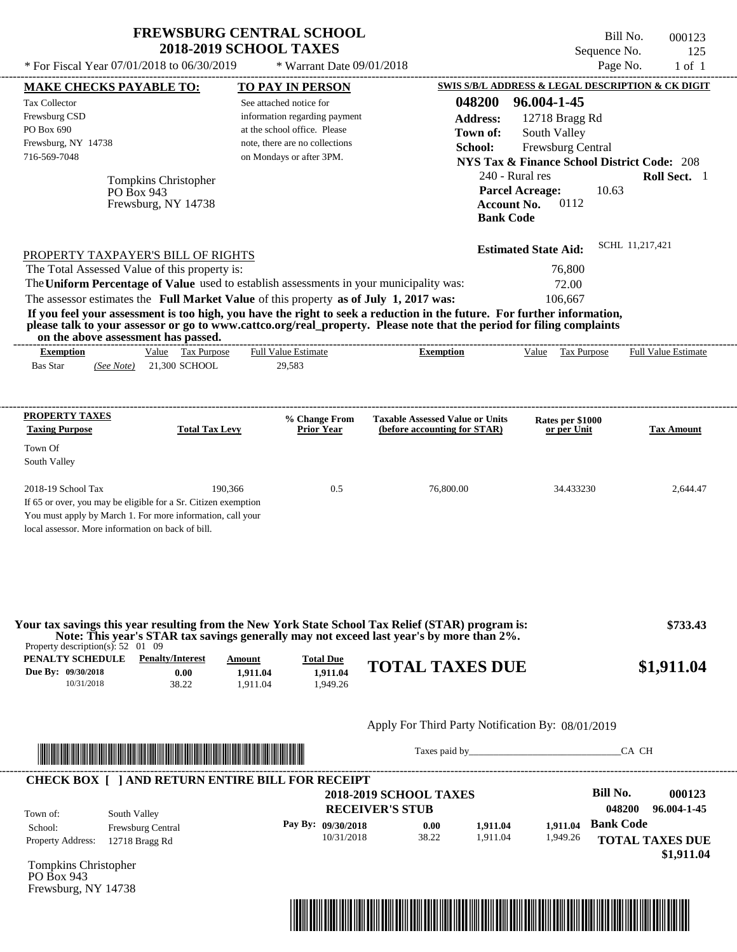| <b>FREWSBURG CENTRAL SCHOOL</b> |
|---------------------------------|
| <b>2018-2019 SCHOOL TAXES</b>   |

 $*$  Warrant Date 09/01/2018

 $*$  For Fiscal Year 07/01/2018 to 06/30/2019

Bill No. 000123 Sequence No. 125<br>Page No. 1 of 1

| <b>MAKE CHECKS PAYABLE TO:</b>                                                                          |                                                                                                                                                                                                                                      |                                | <b>TO PAY IN PERSON</b>                                  |                                                                                                                                                                                                                                                  |                                 | SWIS S/B/L ADDRESS & LEGAL DESCRIPTION & CK DIGIT      |
|---------------------------------------------------------------------------------------------------------|--------------------------------------------------------------------------------------------------------------------------------------------------------------------------------------------------------------------------------------|--------------------------------|----------------------------------------------------------|--------------------------------------------------------------------------------------------------------------------------------------------------------------------------------------------------------------------------------------------------|---------------------------------|--------------------------------------------------------|
| <b>Tax Collector</b><br>Frewsburg CSD                                                                   |                                                                                                                                                                                                                                      |                                | See attached notice for<br>information regarding payment | 048200<br><b>Address:</b>                                                                                                                                                                                                                        | 96.004-1-45<br>12718 Bragg Rd   |                                                        |
| PO Box 690                                                                                              |                                                                                                                                                                                                                                      |                                | at the school office. Please                             | Town of:                                                                                                                                                                                                                                         | South Valley                    |                                                        |
| Frewsburg, NY 14738                                                                                     |                                                                                                                                                                                                                                      |                                | note, there are no collections                           | School:                                                                                                                                                                                                                                          | Frewsburg Central               |                                                        |
| 716-569-7048                                                                                            |                                                                                                                                                                                                                                      |                                | on Mondays or after 3PM.                                 |                                                                                                                                                                                                                                                  |                                 | <b>NYS Tax &amp; Finance School District Code: 208</b> |
|                                                                                                         | Tompkins Christopher                                                                                                                                                                                                                 |                                |                                                          |                                                                                                                                                                                                                                                  | 240 - Rural res                 | Roll Sect. 1                                           |
|                                                                                                         | PO Box 943                                                                                                                                                                                                                           |                                |                                                          |                                                                                                                                                                                                                                                  | <b>Parcel Acreage:</b>          | 10.63                                                  |
|                                                                                                         | Frewsburg, NY 14738                                                                                                                                                                                                                  |                                |                                                          |                                                                                                                                                                                                                                                  | 0112<br><b>Account No.</b>      |                                                        |
|                                                                                                         |                                                                                                                                                                                                                                      |                                |                                                          |                                                                                                                                                                                                                                                  | <b>Bank Code</b>                |                                                        |
|                                                                                                         |                                                                                                                                                                                                                                      |                                |                                                          |                                                                                                                                                                                                                                                  | <b>Estimated State Aid:</b>     | SCHL 11.217.421                                        |
|                                                                                                         | PROPERTY TAXPAYER'S BILL OF RIGHTS<br>The Total Assessed Value of this property is:                                                                                                                                                  |                                |                                                          |                                                                                                                                                                                                                                                  | 76,800                          |                                                        |
|                                                                                                         | The Uniform Percentage of Value used to establish assessments in your municipality was:                                                                                                                                              |                                |                                                          |                                                                                                                                                                                                                                                  | 72.00                           |                                                        |
|                                                                                                         | The assessor estimates the Full Market Value of this property as of July 1, 2017 was:                                                                                                                                                |                                |                                                          |                                                                                                                                                                                                                                                  | 106,667                         |                                                        |
|                                                                                                         | on the above assessment has passed.                                                                                                                                                                                                  |                                |                                                          | If you feel your assessment is too high, you have the right to seek a reduction in the future. For further information,<br>please talk to your assessor or go to www.cattco.org/real_property. Please note that the period for filing complaints |                                 |                                                        |
| <b>Exemption</b>                                                                                        | Value Tax Purpose                                                                                                                                                                                                                    |                                | <b>Full Value Estimate</b>                               | <b>Exemption</b>                                                                                                                                                                                                                                 | Value Tax Purpose               | <b>Full Value Estimate</b>                             |
| <b>Bas Star</b>                                                                                         | (See Note) 21,300 SCHOOL                                                                                                                                                                                                             |                                | 29,583                                                   |                                                                                                                                                                                                                                                  |                                 |                                                        |
|                                                                                                         |                                                                                                                                                                                                                                      |                                |                                                          |                                                                                                                                                                                                                                                  |                                 |                                                        |
| <b>PROPERTY TAXES</b><br><b>Taxing Purpose</b>                                                          | <b>Total Tax Levy</b>                                                                                                                                                                                                                |                                | % Change From<br><b>Prior Year</b>                       | <b>Taxable Assessed Value or Units</b><br>(before accounting for STAR)                                                                                                                                                                           | Rates per \$1000<br>or per Unit | <b>Tax Amount</b>                                      |
| Town Of<br>South Valley                                                                                 |                                                                                                                                                                                                                                      |                                |                                                          |                                                                                                                                                                                                                                                  |                                 |                                                        |
| 2018-19 School Tax                                                                                      |                                                                                                                                                                                                                                      | 190,366                        | 0.5                                                      | 76,800.00                                                                                                                                                                                                                                        | 34.433230                       | 2,644.47                                               |
|                                                                                                         | If 65 or over, you may be eligible for a Sr. Citizen exemption<br>You must apply by March 1. For more information, call your<br>local assessor. More information on back of bill.                                                    |                                |                                                          |                                                                                                                                                                                                                                                  |                                 |                                                        |
| Property description(s): $52 \quad 01 \quad 09$<br>PENALTY SCHEDULE<br>Due By: 09/30/2018<br>10/31/2018 | <b>Penalty/Interest</b><br>0.00<br>38.22                                                                                                                                                                                             | Amount<br>1,911.04<br>1,911.04 | <b>Total Due</b><br>1,911.04<br>1,949.26                 | Your tax savings this year resulting from the New York State School Tax Relief (STAR) program is:<br>Note: This year's STAR tax savings generally may not exceed last year's by more than 2%.<br><b>TOTAL TAXES DUE</b>                          |                                 | \$733.43<br>\$1,911.04                                 |
|                                                                                                         |                                                                                                                                                                                                                                      |                                |                                                          |                                                                                                                                                                                                                                                  |                                 |                                                        |
|                                                                                                         |                                                                                                                                                                                                                                      |                                |                                                          | Apply For Third Party Notification By: 08/01/2019                                                                                                                                                                                                |                                 |                                                        |
|                                                                                                         | <u> In the second contract of the second contract of the second contract of the second contract of the second contract of the second contract of the second contract of the second contract of the second contract of the second</u> |                                |                                                          |                                                                                                                                                                                                                                                  |                                 | CA CH                                                  |
|                                                                                                         | <b>CHECK BOX [ ] AND RETURN ENTIRE BILL FOR RECEIPT</b>                                                                                                                                                                              |                                |                                                          | <b>2018-2019 SCHOOL TAXES</b>                                                                                                                                                                                                                    |                                 | <b>Bill No.</b><br>000123                              |
|                                                                                                         |                                                                                                                                                                                                                                      |                                |                                                          | <b>RECEIVER'S STUB</b>                                                                                                                                                                                                                           |                                 | 048200<br>96.004-1-45                                  |
| Town of:                                                                                                | South Valley                                                                                                                                                                                                                         |                                | Pay By: 09/30/2018                                       | 0.00                                                                                                                                                                                                                                             | 1,911.04                        | <b>Bank Code</b>                                       |
| School:<br><b>Property Address:</b>                                                                     | Frewsburg Central                                                                                                                                                                                                                    |                                | 10/31/2018                                               | 38.22<br>1,911.04                                                                                                                                                                                                                                | 1,911.04<br>1,949.26            | <b>TOTAL TAXES DUE</b>                                 |
|                                                                                                         | 12718 Bragg Rd                                                                                                                                                                                                                       |                                |                                                          |                                                                                                                                                                                                                                                  |                                 | \$1,911.04                                             |
| Tompkins Christopher<br>PO Box 943<br>Frewsburg, NY 14738                                               |                                                                                                                                                                                                                                      |                                |                                                          |                                                                                                                                                                                                                                                  |                                 |                                                        |
|                                                                                                         |                                                                                                                                                                                                                                      |                                |                                                          |                                                                                                                                                                                                                                                  |                                 |                                                        |
|                                                                                                         |                                                                                                                                                                                                                                      |                                |                                                          | <u> 1989 - Andrea Stadt British, fransk politik (d. 1989)</u>                                                                                                                                                                                    |                                 |                                                        |
|                                                                                                         |                                                                                                                                                                                                                                      |                                |                                                          |                                                                                                                                                                                                                                                  |                                 |                                                        |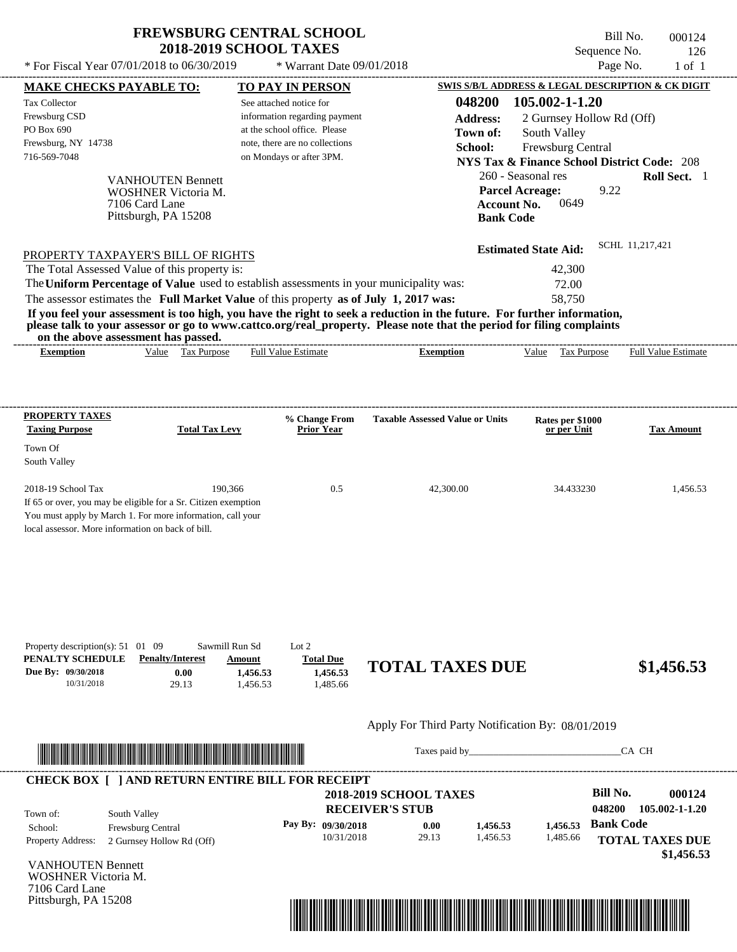$*$  For Fiscal Year 07/01/2018 to 06/30/2019

\* Warrant Date 09/01/2018

Bill No. 000124 Sequence No. 126<br>Page No. 1 of 1

| <b>MAKE CHECKS PAYABLE TO:</b>                                      |                                                                                                                         | <b>TO PAY IN PERSON</b>         |                                    |                                                   |                                                                                                                                                                                                                                |                                                        |                  | <b>SWIS S/B/L ADDRESS &amp; LEGAL DESCRIPTION &amp; CK DIGIT</b> |
|---------------------------------------------------------------------|-------------------------------------------------------------------------------------------------------------------------|---------------------------------|------------------------------------|---------------------------------------------------|--------------------------------------------------------------------------------------------------------------------------------------------------------------------------------------------------------------------------------|--------------------------------------------------------|------------------|------------------------------------------------------------------|
| <b>Tax Collector</b>                                                |                                                                                                                         | See attached notice for         |                                    |                                                   | 048200                                                                                                                                                                                                                         | 105.002-1-1.20                                         |                  |                                                                  |
| Frewsburg CSD                                                       |                                                                                                                         |                                 | information regarding payment      |                                                   | <b>Address:</b>                                                                                                                                                                                                                | 2 Gurnsey Hollow Rd (Off)                              |                  |                                                                  |
| PO Box 690                                                          |                                                                                                                         | at the school office. Please    |                                    |                                                   | Town of:                                                                                                                                                                                                                       | South Valley                                           |                  |                                                                  |
| Frewsburg, NY 14738                                                 |                                                                                                                         | note, there are no collections  |                                    |                                                   | School:                                                                                                                                                                                                                        | Frewsburg Central                                      |                  |                                                                  |
| 716-569-7048                                                        |                                                                                                                         | on Mondays or after 3PM.        |                                    |                                                   |                                                                                                                                                                                                                                | <b>NYS Tax &amp; Finance School District Code: 208</b> |                  |                                                                  |
|                                                                     | <b>VANHOUTEN Bennett</b>                                                                                                |                                 |                                    |                                                   |                                                                                                                                                                                                                                | 260 - Seasonal res                                     |                  | Roll Sect. 1                                                     |
|                                                                     | WOSHNER Victoria M.                                                                                                     |                                 |                                    |                                                   |                                                                                                                                                                                                                                | <b>Parcel Acreage:</b>                                 | 9.22             |                                                                  |
|                                                                     | 7106 Card Lane                                                                                                          |                                 |                                    |                                                   | <b>Account No.</b>                                                                                                                                                                                                             | 0649                                                   |                  |                                                                  |
|                                                                     | Pittsburgh, PA 15208                                                                                                    |                                 |                                    |                                                   | <b>Bank Code</b>                                                                                                                                                                                                               |                                                        |                  |                                                                  |
|                                                                     |                                                                                                                         |                                 |                                    |                                                   |                                                                                                                                                                                                                                | <b>Estimated State Aid:</b>                            | SCHL 11,217,421  |                                                                  |
|                                                                     | PROPERTY TAXPAYER'S BILL OF RIGHTS<br>The Total Assessed Value of this property is:                                     |                                 |                                    |                                                   |                                                                                                                                                                                                                                | 42,300                                                 |                  |                                                                  |
|                                                                     | The Uniform Percentage of Value used to establish assessments in your municipality was:                                 |                                 |                                    |                                                   |                                                                                                                                                                                                                                | 72.00                                                  |                  |                                                                  |
|                                                                     | The assessor estimates the Full Market Value of this property as of July 1, 2017 was:                                   |                                 |                                    |                                                   |                                                                                                                                                                                                                                | 58,750                                                 |                  |                                                                  |
|                                                                     | If you feel your assessment is too high, you have the right to seek a reduction in the future. For further information, |                                 |                                    |                                                   |                                                                                                                                                                                                                                |                                                        |                  |                                                                  |
|                                                                     | please talk to your assessor or go to www.cattco.org/real_property. Please note that the period for filing complaints   |                                 |                                    |                                                   |                                                                                                                                                                                                                                |                                                        |                  |                                                                  |
| <b>Exemption</b>                                                    | on the above assessment has passed.<br>Value Tax Purpose                                                                | <b>Full Value Estimate</b>      |                                    | <b>Exemption</b>                                  |                                                                                                                                                                                                                                | Value Tax Purpose Full Value Estimate                  |                  |                                                                  |
|                                                                     |                                                                                                                         |                                 |                                    |                                                   |                                                                                                                                                                                                                                |                                                        |                  |                                                                  |
|                                                                     |                                                                                                                         |                                 |                                    |                                                   |                                                                                                                                                                                                                                |                                                        |                  |                                                                  |
|                                                                     |                                                                                                                         |                                 |                                    |                                                   |                                                                                                                                                                                                                                |                                                        |                  |                                                                  |
| <b>PROPERTY TAXES</b><br><b>Taxing Purpose</b>                      | <b>Total Tax Levy</b>                                                                                                   |                                 | % Change From<br><b>Prior Year</b> | <b>Taxable Assessed Value or Units</b>            |                                                                                                                                                                                                                                | Rates per \$1000<br>or per Unit                        |                  | <b>Tax Amount</b>                                                |
| Town Of                                                             |                                                                                                                         |                                 |                                    |                                                   |                                                                                                                                                                                                                                |                                                        |                  |                                                                  |
| South Valley                                                        |                                                                                                                         |                                 |                                    |                                                   |                                                                                                                                                                                                                                |                                                        |                  |                                                                  |
| 2018-19 School Tax                                                  | 190,366                                                                                                                 |                                 | 0.5                                | 42,300.00                                         |                                                                                                                                                                                                                                | 34.433230                                              |                  | 1,456.53                                                         |
|                                                                     | If 65 or over, you may be eligible for a Sr. Citizen exemption                                                          |                                 |                                    |                                                   |                                                                                                                                                                                                                                |                                                        |                  |                                                                  |
|                                                                     | You must apply by March 1. For more information, call your                                                              |                                 |                                    |                                                   |                                                                                                                                                                                                                                |                                                        |                  |                                                                  |
| local assessor. More information on back of bill.                   |                                                                                                                         |                                 |                                    |                                                   |                                                                                                                                                                                                                                |                                                        |                  |                                                                  |
|                                                                     |                                                                                                                         |                                 |                                    |                                                   |                                                                                                                                                                                                                                |                                                        |                  |                                                                  |
|                                                                     |                                                                                                                         |                                 |                                    |                                                   |                                                                                                                                                                                                                                |                                                        |                  |                                                                  |
|                                                                     |                                                                                                                         |                                 |                                    |                                                   |                                                                                                                                                                                                                                |                                                        |                  |                                                                  |
|                                                                     |                                                                                                                         |                                 |                                    |                                                   |                                                                                                                                                                                                                                |                                                        |                  |                                                                  |
|                                                                     |                                                                                                                         |                                 |                                    |                                                   |                                                                                                                                                                                                                                |                                                        |                  |                                                                  |
|                                                                     |                                                                                                                         |                                 |                                    |                                                   |                                                                                                                                                                                                                                |                                                        |                  |                                                                  |
| Property description(s): $51 \quad 01 \quad 09$<br>PENALTY SCHEDULE | <b>Penalty/Interest</b>                                                                                                 | Sawmill Run Sd<br><b>Amount</b> | Lot $2$<br><b>Total Due</b>        |                                                   |                                                                                                                                                                                                                                |                                                        |                  |                                                                  |
| Due By: 09/30/2018                                                  | 0.00                                                                                                                    | 1,456.53                        | 1,456.53                           | <b>TOTAL TAXES DUE</b>                            |                                                                                                                                                                                                                                |                                                        |                  | \$1,456.53                                                       |
| 10/31/2018                                                          | 29.13                                                                                                                   | 1,456.53                        | 1,485.66                           |                                                   |                                                                                                                                                                                                                                |                                                        |                  |                                                                  |
|                                                                     |                                                                                                                         |                                 |                                    |                                                   |                                                                                                                                                                                                                                |                                                        |                  |                                                                  |
|                                                                     |                                                                                                                         |                                 |                                    | Apply For Third Party Notification By: 08/01/2019 |                                                                                                                                                                                                                                |                                                        |                  |                                                                  |
|                                                                     | <u> Indian American State (Indian American State Indian American Sta</u>                                                |                                 |                                    |                                                   | Taxes paid by Taxes and the Taxes and the Taxes and the Taxes and the Taxes and the Taxes and the Taxes and the Taxes and the Taxes and the Taxes and the Taxes and the Taxes and the Taxes and the Taxes and the Taxes and th |                                                        | CA CH            |                                                                  |
|                                                                     |                                                                                                                         |                                 |                                    |                                                   |                                                                                                                                                                                                                                |                                                        |                  |                                                                  |
|                                                                     | <b>CHECK BOX [ ] AND RETURN ENTIRE BILL FOR RECEIPT</b>                                                                 |                                 |                                    |                                                   |                                                                                                                                                                                                                                |                                                        | <b>Bill No.</b>  | 000124                                                           |
|                                                                     |                                                                                                                         |                                 |                                    | <b>2018-2019 SCHOOL TAXES</b>                     |                                                                                                                                                                                                                                |                                                        |                  |                                                                  |
| Town of:                                                            | South Valley                                                                                                            |                                 |                                    | <b>RECEIVER'S STUB</b>                            |                                                                                                                                                                                                                                |                                                        | 048200           | 105.002-1-1.20                                                   |
| School:                                                             | Frewsburg Central                                                                                                       |                                 | Pay By: 09/30/2018                 | 0.00                                              | 1,456.53                                                                                                                                                                                                                       | 1,456.53                                               | <b>Bank Code</b> |                                                                  |
| <b>Property Address:</b>                                            | 2 Gurnsey Hollow Rd (Off)                                                                                               |                                 | 10/31/2018                         | 29.13                                             | 1,456.53                                                                                                                                                                                                                       | 1,485.66                                               |                  | <b>TOTAL TAXES DUE</b>                                           |
| <b>VANHOUTEN Bennett</b>                                            |                                                                                                                         |                                 |                                    |                                                   |                                                                                                                                                                                                                                |                                                        |                  | \$1,456.53                                                       |
| <b>WOSHNER Victoria M.</b>                                          |                                                                                                                         |                                 |                                    |                                                   |                                                                                                                                                                                                                                |                                                        |                  |                                                                  |
| 7106 Card Lane                                                      |                                                                                                                         |                                 |                                    |                                                   |                                                                                                                                                                                                                                |                                                        |                  |                                                                  |
| Pittsburgh, PA 15208                                                |                                                                                                                         |                                 |                                    |                                                   |                                                                                                                                                                                                                                |                                                        |                  |                                                                  |

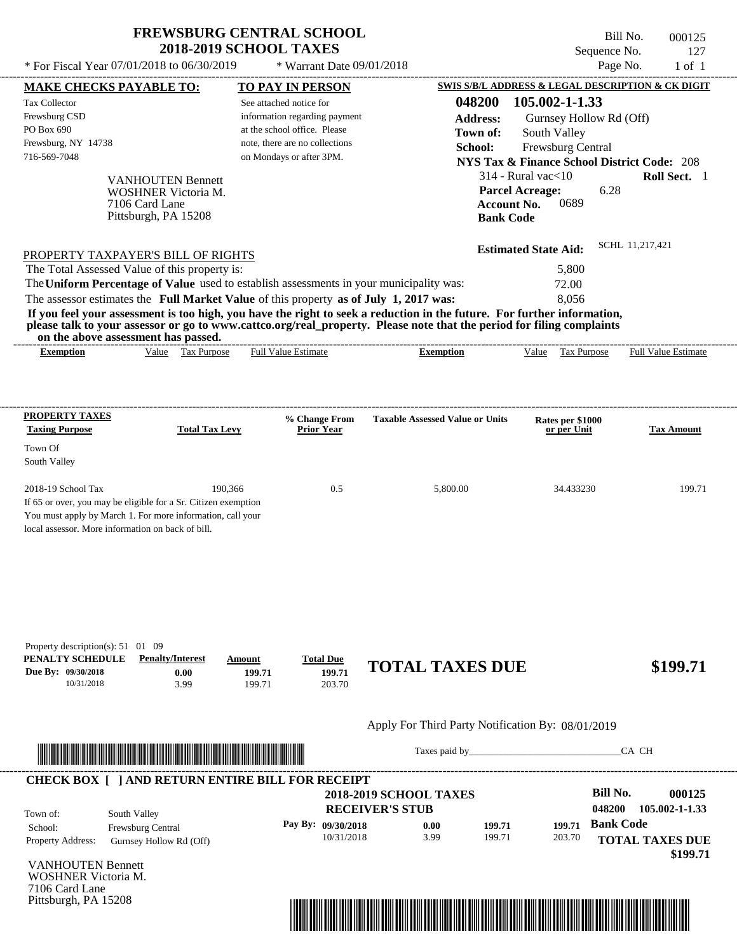\* For Fiscal Year  $07/01/2018$  to  $06/30/2019$  \* Warrant Date  $09/01/2018$  Page No.

 $*$  Warrant Date 09/01/2018

Bill No. 000125 Sequence No. 127<br>Page No. 1 of 1

| <b>MAKE CHECKS PAYABLE TO:</b>                                      |                                                                                                                        | <b>TO PAY IN PERSON</b>        |                    |                                                                                                                                                                                                                                                  | SWIS S/B/L ADDRESS & LEGAL DESCRIPTION & CK DIGIT      |                  |                        |
|---------------------------------------------------------------------|------------------------------------------------------------------------------------------------------------------------|--------------------------------|--------------------|--------------------------------------------------------------------------------------------------------------------------------------------------------------------------------------------------------------------------------------------------|--------------------------------------------------------|------------------|------------------------|
| <b>Tax Collector</b>                                                |                                                                                                                        | See attached notice for        |                    | 048200                                                                                                                                                                                                                                           | 105.002-1-1.33                                         |                  |                        |
| Frewsburg CSD                                                       |                                                                                                                        | information regarding payment  |                    | <b>Address:</b>                                                                                                                                                                                                                                  | Gurnsey Hollow Rd (Off)                                |                  |                        |
| PO Box 690                                                          |                                                                                                                        | at the school office. Please   |                    | Town of:                                                                                                                                                                                                                                         | South Valley                                           |                  |                        |
| Frewsburg, NY 14738                                                 |                                                                                                                        | note, there are no collections |                    | School:                                                                                                                                                                                                                                          | Frewsburg Central                                      |                  |                        |
| 716-569-7048                                                        |                                                                                                                        | on Mondays or after 3PM.       |                    |                                                                                                                                                                                                                                                  | <b>NYS Tax &amp; Finance School District Code: 208</b> |                  |                        |
|                                                                     |                                                                                                                        |                                |                    |                                                                                                                                                                                                                                                  | $314$ - Rural vac $<$ 10                               |                  | Roll Sect. 1           |
|                                                                     | <b>VANHOUTEN Bennett</b><br>WOSHNER Victoria M.                                                                        |                                |                    |                                                                                                                                                                                                                                                  | <b>Parcel Acreage:</b>                                 | 6.28             |                        |
|                                                                     | 7106 Card Lane                                                                                                         |                                |                    |                                                                                                                                                                                                                                                  | 0689<br><b>Account No.</b>                             |                  |                        |
|                                                                     | Pittsburgh, PA 15208                                                                                                   |                                |                    |                                                                                                                                                                                                                                                  | <b>Bank Code</b>                                       |                  |                        |
|                                                                     |                                                                                                                        |                                |                    |                                                                                                                                                                                                                                                  |                                                        |                  |                        |
|                                                                     | PROPERTY TAXPAYER'S BILL OF RIGHTS                                                                                     |                                |                    |                                                                                                                                                                                                                                                  | <b>Estimated State Aid:</b>                            | SCHL 11.217.421  |                        |
|                                                                     | The Total Assessed Value of this property is:                                                                          |                                |                    |                                                                                                                                                                                                                                                  | 5,800                                                  |                  |                        |
|                                                                     | The Uniform Percentage of Value used to establish assessments in your municipality was:                                |                                |                    |                                                                                                                                                                                                                                                  | 72.00                                                  |                  |                        |
|                                                                     | The assessor estimates the Full Market Value of this property as of July 1, 2017 was:                                  |                                |                    |                                                                                                                                                                                                                                                  | 8,056                                                  |                  |                        |
|                                                                     |                                                                                                                        |                                |                    | If you feel your assessment is too high, you have the right to seek a reduction in the future. For further information,<br>please talk to your assessor or go to www.cattco.org/real_property. Please note that the period for filing complaints |                                                        |                  |                        |
| <b>Exemption</b>                                                    | on the above assessment has passed.<br>Value Tax Purpose                                                               | <b>Full Value Estimate</b>     |                    | <b>Exemption</b>                                                                                                                                                                                                                                 | Value Tax Purpose Full Value Estimate                  |                  |                        |
|                                                                     |                                                                                                                        |                                |                    |                                                                                                                                                                                                                                                  |                                                        |                  |                        |
|                                                                     |                                                                                                                        |                                |                    |                                                                                                                                                                                                                                                  |                                                        |                  |                        |
| <b>PROPERTY TAXES</b>                                               |                                                                                                                        |                                | % Change From      | <b>Taxable Assessed Value or Units</b>                                                                                                                                                                                                           | Rates per \$1000                                       |                  |                        |
| <b>Taxing Purpose</b>                                               | <b>Total Tax Levy</b>                                                                                                  |                                | <b>Prior Year</b>  |                                                                                                                                                                                                                                                  | or per Unit                                            |                  | <b>Tax Amount</b>      |
| Town Of                                                             |                                                                                                                        |                                |                    |                                                                                                                                                                                                                                                  |                                                        |                  |                        |
| South Valley                                                        |                                                                                                                        |                                |                    |                                                                                                                                                                                                                                                  |                                                        |                  |                        |
| 2018-19 School Tax                                                  | 190,366                                                                                                                |                                | 0.5                | 5,800.00                                                                                                                                                                                                                                         | 34.433230                                              |                  | 199.71                 |
|                                                                     | If 65 or over, you may be eligible for a Sr. Citizen exemption                                                         |                                |                    |                                                                                                                                                                                                                                                  |                                                        |                  |                        |
|                                                                     | You must apply by March 1. For more information, call your                                                             |                                |                    |                                                                                                                                                                                                                                                  |                                                        |                  |                        |
| local assessor. More information on back of bill.                   |                                                                                                                        |                                |                    |                                                                                                                                                                                                                                                  |                                                        |                  |                        |
|                                                                     |                                                                                                                        |                                |                    |                                                                                                                                                                                                                                                  |                                                        |                  |                        |
|                                                                     |                                                                                                                        |                                |                    |                                                                                                                                                                                                                                                  |                                                        |                  |                        |
|                                                                     |                                                                                                                        |                                |                    |                                                                                                                                                                                                                                                  |                                                        |                  |                        |
|                                                                     |                                                                                                                        |                                |                    |                                                                                                                                                                                                                                                  |                                                        |                  |                        |
| Property description(s): $51 \quad 01 \quad 09$<br>PENALTY SCHEDULE | <b>Penalty/Interest</b>                                                                                                | Amount                         | <b>Total Due</b>   |                                                                                                                                                                                                                                                  |                                                        |                  |                        |
| Due By: 09/30/2018                                                  | 0.00                                                                                                                   | 199.71                         | 199.71             | <b>TOTAL TAXES DUE</b>                                                                                                                                                                                                                           |                                                        |                  | \$199.71               |
| 10/31/2018                                                          | 3.99                                                                                                                   | 199.71                         | 203.70             |                                                                                                                                                                                                                                                  |                                                        |                  |                        |
|                                                                     |                                                                                                                        |                                |                    | Apply For Third Party Notification By: 08/01/2019                                                                                                                                                                                                |                                                        |                  |                        |
|                                                                     |                                                                                                                        |                                |                    |                                                                                                                                                                                                                                                  |                                                        |                  |                        |
|                                                                     | <u> HERE IN DIE HERE IN DIE HERE IN DIE HERE IN DIE HERE IN DIE HERE IN DIE HERE IN DIE HERE IN DIE HERE IN DIE HE</u> |                                |                    | Taxes paid by                                                                                                                                                                                                                                    |                                                        |                  | CA CH                  |
|                                                                     | <b>CHECK BOX [ ] AND RETURN ENTIRE BILL FOR RECEIPT</b>                                                                |                                |                    |                                                                                                                                                                                                                                                  |                                                        |                  |                        |
|                                                                     |                                                                                                                        |                                |                    | <b>2018-2019 SCHOOL TAXES</b>                                                                                                                                                                                                                    |                                                        | <b>Bill No.</b>  | 000125                 |
| Town of:                                                            | South Valley                                                                                                           |                                |                    | <b>RECEIVER'S STUB</b>                                                                                                                                                                                                                           |                                                        | 048200           | 105.002-1-1.33         |
| School:                                                             | Frewsburg Central                                                                                                      |                                | Pay By: 09/30/2018 | 0.00<br>199.71                                                                                                                                                                                                                                   | 199.71                                                 | <b>Bank Code</b> |                        |
| Property Address:                                                   | Gurnsey Hollow Rd (Off)                                                                                                |                                | 10/31/2018         | 3.99<br>199.71                                                                                                                                                                                                                                   | 203.70                                                 |                  | <b>TOTAL TAXES DUE</b> |
|                                                                     |                                                                                                                        |                                |                    |                                                                                                                                                                                                                                                  |                                                        |                  | \$199.71               |
|                                                                     |                                                                                                                        |                                |                    |                                                                                                                                                                                                                                                  |                                                        |                  |                        |
|                                                                     |                                                                                                                        |                                |                    |                                                                                                                                                                                                                                                  |                                                        |                  |                        |
| <b>VANHOUTEN Bennett</b><br>WOSHNER Victoria M.                     |                                                                                                                        |                                |                    |                                                                                                                                                                                                                                                  |                                                        |                  |                        |
| 7106 Card Lane<br>Pittsburgh, PA 15208                              |                                                                                                                        |                                |                    |                                                                                                                                                                                                                                                  |                                                        |                  |                        |

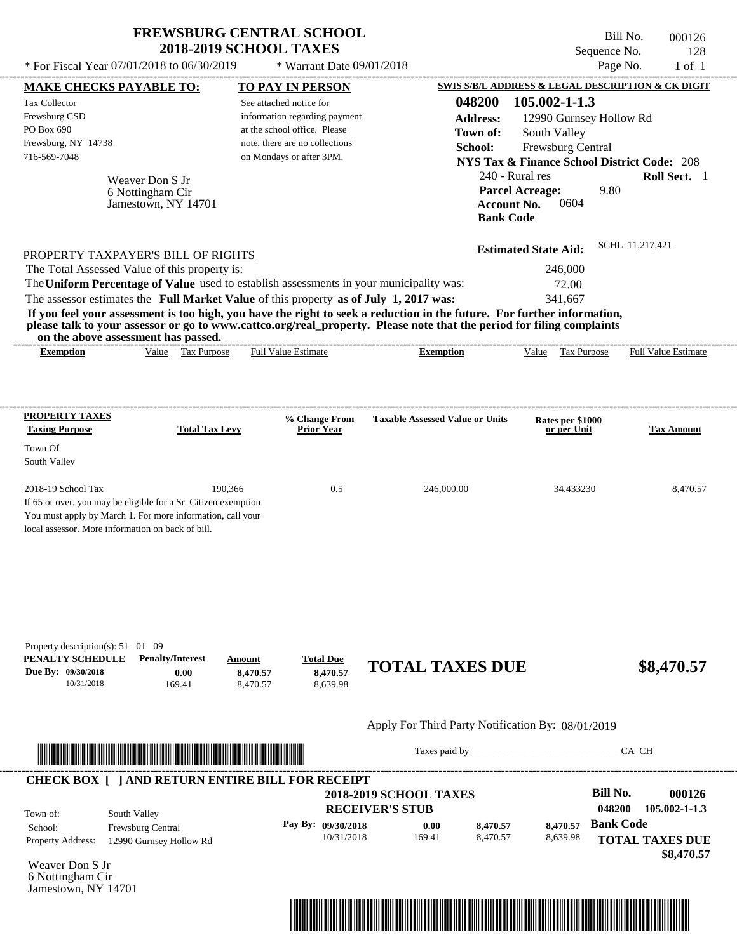| <b>FREWSBURG CENTRAL SCHOOL</b> |
|---------------------------------|
| <b>2018-2019 SCHOOL TAXES</b>   |

Bill No. 000126 Sequence No. 128  $*$  For Fiscal Year 07/01/2018 to 06/30/2019  $*$  Warrant Date 09/01/2018 Page No. 1 of 1

| <b>Tax Collector</b>                                                                                                                                                                                                                 | <b>MAKE CHECKS PAYABLE TO:</b>  |                       | <b>TO PAY IN PERSON</b>        |                                                                                                                         | SWIS S/B/L ADDRESS & LEGAL DESCRIPTION & CK DIGIT                                                                                                                                                                              |                     |                         |                                                                 |
|--------------------------------------------------------------------------------------------------------------------------------------------------------------------------------------------------------------------------------------|---------------------------------|-----------------------|--------------------------------|-------------------------------------------------------------------------------------------------------------------------|--------------------------------------------------------------------------------------------------------------------------------------------------------------------------------------------------------------------------------|---------------------|-------------------------|-----------------------------------------------------------------|
|                                                                                                                                                                                                                                      |                                 |                       | See attached notice for        | 048200                                                                                                                  |                                                                                                                                                                                                                                | $105.002 - 1 - 1.3$ |                         |                                                                 |
| Frewsburg CSD                                                                                                                                                                                                                        |                                 |                       | information regarding payment  | <b>Address:</b>                                                                                                         |                                                                                                                                                                                                                                |                     | 12990 Gurnsey Hollow Rd |                                                                 |
| PO Box 690                                                                                                                                                                                                                           |                                 |                       | at the school office. Please   | Town of:                                                                                                                |                                                                                                                                                                                                                                | South Valley        |                         |                                                                 |
| Frewsburg, NY 14738                                                                                                                                                                                                                  |                                 |                       | note, there are no collections | School:                                                                                                                 |                                                                                                                                                                                                                                | Frewsburg Central   |                         |                                                                 |
| 716-569-7048                                                                                                                                                                                                                         |                                 |                       | on Mondays or after 3PM.       |                                                                                                                         | <b>NYS Tax &amp; Finance School District Code: 208</b>                                                                                                                                                                         |                     |                         |                                                                 |
|                                                                                                                                                                                                                                      | Weaver Don S Jr                 |                       |                                |                                                                                                                         | 240 - Rural res                                                                                                                                                                                                                |                     |                         | Roll Sect. 1                                                    |
|                                                                                                                                                                                                                                      | 6 Nottingham Cir                |                       |                                |                                                                                                                         | <b>Parcel Acreage:</b>                                                                                                                                                                                                         |                     | 9.80                    |                                                                 |
|                                                                                                                                                                                                                                      | Jamestown, NY 14701             |                       |                                |                                                                                                                         | <b>Account No.</b>                                                                                                                                                                                                             | 0604                |                         |                                                                 |
|                                                                                                                                                                                                                                      |                                 |                       |                                |                                                                                                                         | <b>Bank Code</b>                                                                                                                                                                                                               |                     |                         |                                                                 |
| PROPERTY TAXPAYER'S BILL OF RIGHTS                                                                                                                                                                                                   |                                 |                       |                                |                                                                                                                         | <b>Estimated State Aid:</b>                                                                                                                                                                                                    |                     | SCHL 11.217.421         |                                                                 |
| The Total Assessed Value of this property is:                                                                                                                                                                                        |                                 |                       |                                |                                                                                                                         |                                                                                                                                                                                                                                | 246,000             |                         |                                                                 |
|                                                                                                                                                                                                                                      |                                 |                       |                                | The Uniform Percentage of Value used to establish assessments in your municipality was:                                 |                                                                                                                                                                                                                                | 72.00               |                         |                                                                 |
| The assessor estimates the Full Market Value of this property as of July 1, 2017 was:                                                                                                                                                |                                 |                       |                                |                                                                                                                         |                                                                                                                                                                                                                                | 341,667             |                         |                                                                 |
|                                                                                                                                                                                                                                      |                                 |                       |                                | If you feel your assessment is too high, you have the right to seek a reduction in the future. For further information, |                                                                                                                                                                                                                                |                     |                         |                                                                 |
| on the above assessment has passed.                                                                                                                                                                                                  |                                 |                       |                                | please talk to your assessor or go to www.cattco.org/real_property. Please note that the period for filing complaints   |                                                                                                                                                                                                                                |                     |                         |                                                                 |
| <b>Exemption</b>                                                                                                                                                                                                                     | Value Tax Purpose               |                       | <b>Full Value Estimate</b>     | <b>Exemption</b>                                                                                                        |                                                                                                                                                                                                                                | Value Tax Purpose   |                         | <b>Full Value Estimate</b>                                      |
| <b>PROPERTY TAXES</b>                                                                                                                                                                                                                |                                 |                       | % Change From                  | <b>Taxable Assessed Value or Units</b>                                                                                  |                                                                                                                                                                                                                                | Rates per \$1000    |                         |                                                                 |
| <b>Taxing Purpose</b>                                                                                                                                                                                                                |                                 | <b>Total Tax Levy</b> | <b>Prior Year</b>              |                                                                                                                         |                                                                                                                                                                                                                                | or per Unit         |                         | <b>Tax Amount</b>                                               |
| Town Of                                                                                                                                                                                                                              |                                 |                       |                                |                                                                                                                         |                                                                                                                                                                                                                                |                     |                         |                                                                 |
| South Valley                                                                                                                                                                                                                         |                                 |                       |                                |                                                                                                                         |                                                                                                                                                                                                                                |                     |                         |                                                                 |
| 2018-19 School Tax                                                                                                                                                                                                                   |                                 | 190,366               | 0.5                            | 246,000.00                                                                                                              |                                                                                                                                                                                                                                | 34.433230           |                         | 8,470.57                                                        |
| If 65 or over, you may be eligible for a Sr. Citizen exemption                                                                                                                                                                       |                                 |                       |                                |                                                                                                                         |                                                                                                                                                                                                                                |                     |                         |                                                                 |
| You must apply by March 1. For more information, call your                                                                                                                                                                           |                                 |                       |                                |                                                                                                                         |                                                                                                                                                                                                                                |                     |                         |                                                                 |
|                                                                                                                                                                                                                                      |                                 |                       |                                |                                                                                                                         |                                                                                                                                                                                                                                |                     |                         |                                                                 |
|                                                                                                                                                                                                                                      |                                 |                       |                                |                                                                                                                         |                                                                                                                                                                                                                                |                     |                         |                                                                 |
|                                                                                                                                                                                                                                      |                                 |                       |                                |                                                                                                                         |                                                                                                                                                                                                                                |                     |                         |                                                                 |
| local assessor. More information on back of bill.<br>Property description(s): $51 \quad 01 \quad 09$<br>PENALTY SCHEDULE<br>Due By: 09/30/2018<br>10/31/2018                                                                         | <b>Penalty/Interest</b><br>0.00 | Amount<br>8,470.57    | <b>Total Due</b><br>8,470.57   | <b>TOTAL TAXES DUE</b>                                                                                                  |                                                                                                                                                                                                                                |                     |                         |                                                                 |
|                                                                                                                                                                                                                                      | 169.41                          | 8,470.57              | 8,639.98                       | Apply For Third Party Notification By: 08/01/2019                                                                       |                                                                                                                                                                                                                                |                     |                         | \$8,470.57                                                      |
|                                                                                                                                                                                                                                      |                                 |                       |                                |                                                                                                                         |                                                                                                                                                                                                                                |                     |                         |                                                                 |
| <u> Indian American State and The Communication of the Communication of the Communication of the Communication of the Communication of the Communication of the Communication of the Communication of the Communication of the C</u> |                                 |                       |                                |                                                                                                                         | Taxes paid by Taxes and the Taxes and the Taxes and the Taxes and the Taxes and the Taxes and the Taxes and the Taxes and the Taxes and the Taxes and the Taxes and the Taxes and the Taxes and the Taxes and the Taxes and th |                     | CA CH                   |                                                                 |
| <b>CHECK BOX [ ] AND RETURN ENTIRE BILL FOR RECEIPT</b>                                                                                                                                                                              |                                 |                       |                                |                                                                                                                         |                                                                                                                                                                                                                                |                     |                         |                                                                 |
|                                                                                                                                                                                                                                      |                                 |                       |                                | <b>2018-2019 SCHOOL TAXES</b>                                                                                           |                                                                                                                                                                                                                                |                     | <b>Bill No.</b>         |                                                                 |
| Town of:                                                                                                                                                                                                                             | South Valley                    |                       |                                | <b>RECEIVER'S STUB</b>                                                                                                  |                                                                                                                                                                                                                                |                     | 048200                  |                                                                 |
|                                                                                                                                                                                                                                      | Frewsburg Central               |                       | Pay By: 09/30/2018             | 0.00                                                                                                                    | 8,470.57                                                                                                                                                                                                                       | 8,470.57            | <b>Bank Code</b>        |                                                                 |
| School:<br><b>Property Address:</b>                                                                                                                                                                                                  | 12990 Gurnsey Hollow Rd         |                       | 10/31/2018                     | 169.41                                                                                                                  | 8,470.57                                                                                                                                                                                                                       | 8,639.98            |                         | 000126<br>105.002-1-1.3<br><b>TOTAL TAXES DUE</b><br>\$8,470.57 |

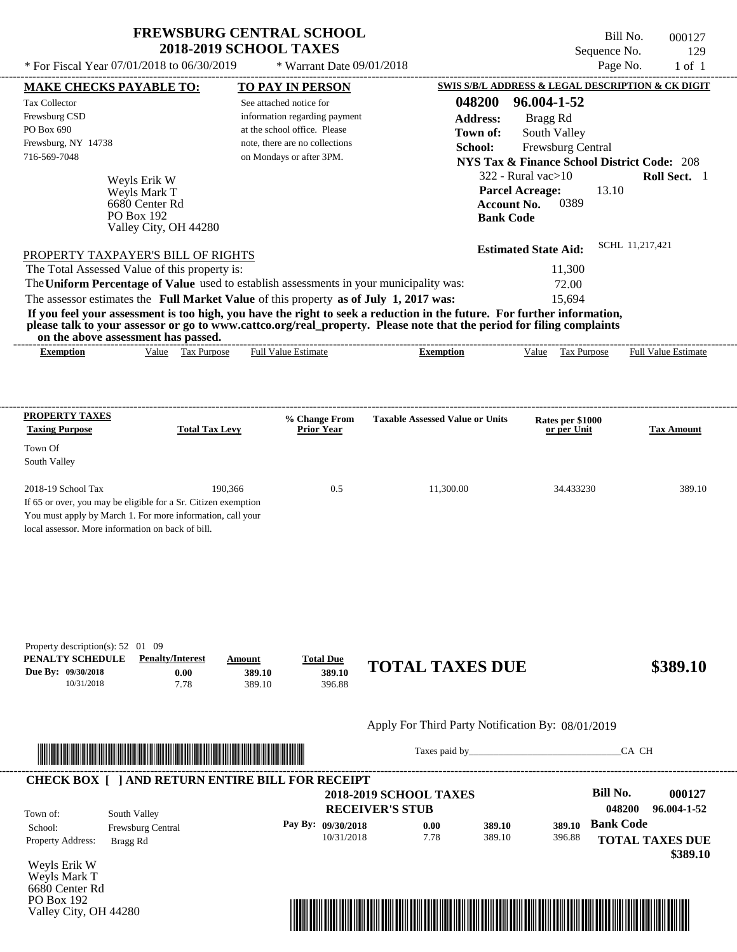\* For Fiscal Year  $07/01/2018$  to  $06/30/2019$  \* Warrant Date  $09/01/2018$  Page No.

\* Warrant Date 09/01/2018

Bill No. 000127 Sequence No. 129<br>Page No. 1 of 1

| <b>MAKE CHECKS PAYABLE TO:</b>                                                        |                                     |                         | <b>TO PAY IN PERSON</b>            |                                                                                                                         | SWIS S/B/L ADDRESS & LEGAL DESCRIPTION & CK DIGIT      |                        |                   |
|---------------------------------------------------------------------------------------|-------------------------------------|-------------------------|------------------------------------|-------------------------------------------------------------------------------------------------------------------------|--------------------------------------------------------|------------------------|-------------------|
| <b>Tax Collector</b>                                                                  |                                     | See attached notice for |                                    | 048200                                                                                                                  | 96.004-1-52                                            |                        |                   |
| Frewsburg CSD                                                                         |                                     |                         | information regarding payment      | <b>Address:</b>                                                                                                         | Bragg Rd                                               |                        |                   |
| PO Box 690                                                                            |                                     |                         | at the school office. Please       | Town of:                                                                                                                | South Valley                                           |                        |                   |
| Frewsburg, NY 14738                                                                   |                                     |                         | note, there are no collections     | School:                                                                                                                 | Frewsburg Central                                      |                        |                   |
| 716-569-7048                                                                          |                                     |                         | on Mondays or after 3PM.           |                                                                                                                         | <b>NYS Tax &amp; Finance School District Code: 208</b> |                        |                   |
|                                                                                       | Weyls Erik W                        |                         |                                    |                                                                                                                         | $322$ - Rural vac $>10$                                |                        | Roll Sect. 1      |
|                                                                                       | Weyls Mark T                        |                         |                                    |                                                                                                                         | <b>Parcel Acreage:</b>                                 | 13.10                  |                   |
|                                                                                       | 6680 Center Rd                      |                         |                                    |                                                                                                                         | 0389<br><b>Account No.</b>                             |                        |                   |
|                                                                                       | PO Box 192                          |                         |                                    |                                                                                                                         | <b>Bank Code</b>                                       |                        |                   |
|                                                                                       | Valley City, OH 44280               |                         |                                    |                                                                                                                         |                                                        |                        |                   |
| PROPERTY TAXPAYER'S BILL OF RIGHTS                                                    |                                     |                         |                                    |                                                                                                                         | <b>Estimated State Aid:</b>                            | SCHL 11.217.421        |                   |
| The Total Assessed Value of this property is:                                         |                                     |                         |                                    |                                                                                                                         | 11,300                                                 |                        |                   |
|                                                                                       |                                     |                         |                                    | The Uniform Percentage of Value used to establish assessments in your municipality was:                                 | 72.00                                                  |                        |                   |
| The assessor estimates the Full Market Value of this property as of July 1, 2017 was: |                                     |                         |                                    |                                                                                                                         | 15,694                                                 |                        |                   |
|                                                                                       |                                     |                         |                                    | If you feel your assessment is too high, you have the right to seek a reduction in the future. For further information, |                                                        |                        |                   |
|                                                                                       | on the above assessment has passed. |                         |                                    | please talk to your assessor or go to www.cattco.org/real_property. Please note that the period for filing complaints   |                                                        |                        |                   |
| <b>Exemption</b>                                                                      | Value Tax Purpose                   |                         | <b>Full Value Estimate</b>         | <b>Exemption</b>                                                                                                        | Value Tax Purpose Full Value Estimate                  |                        |                   |
|                                                                                       |                                     |                         |                                    |                                                                                                                         |                                                        |                        |                   |
|                                                                                       |                                     |                         |                                    |                                                                                                                         |                                                        |                        |                   |
|                                                                                       |                                     |                         |                                    |                                                                                                                         |                                                        |                        |                   |
| <b>PROPERTY TAXES</b><br><b>Taxing Purpose</b>                                        | <b>Total Tax Levy</b>               |                         | % Change From<br><b>Prior Year</b> | <b>Taxable Assessed Value or Units</b>                                                                                  | Rates per \$1000<br>or per Unit                        |                        | <b>Tax Amount</b> |
|                                                                                       |                                     |                         |                                    |                                                                                                                         |                                                        |                        |                   |
| Town Of                                                                               |                                     |                         |                                    |                                                                                                                         |                                                        |                        |                   |
| South Valley                                                                          |                                     |                         |                                    |                                                                                                                         |                                                        |                        |                   |
| 2018-19 School Tax                                                                    |                                     | 190,366                 | 0.5                                | 11,300.00                                                                                                               | 34.433230                                              |                        | 389.10            |
| If 65 or over, you may be eligible for a Sr. Citizen exemption                        |                                     |                         |                                    |                                                                                                                         |                                                        |                        |                   |
| You must apply by March 1. For more information, call your                            |                                     |                         |                                    |                                                                                                                         |                                                        |                        |                   |
| local assessor. More information on back of bill.                                     |                                     |                         |                                    |                                                                                                                         |                                                        |                        |                   |
|                                                                                       |                                     |                         |                                    |                                                                                                                         |                                                        |                        |                   |
|                                                                                       |                                     |                         |                                    |                                                                                                                         |                                                        |                        |                   |
|                                                                                       |                                     |                         |                                    |                                                                                                                         |                                                        |                        |                   |
| Property description(s): $52 \quad 01 \quad 09$<br>PENALTY SCHEDULE                   | <b>Penalty/Interest</b>             | Amount                  | <b>Total Due</b>                   | <b>TOTAL TAXES DUE</b>                                                                                                  |                                                        |                        | \$389.10          |
| Due By: 09/30/2018<br>10/31/2018                                                      | 0.00<br>7.78                        | 389.10<br>389.10        | 389.10<br>396.88                   |                                                                                                                         |                                                        |                        |                   |
|                                                                                       |                                     |                         |                                    | Apply For Third Party Notification By: 08/01/2019                                                                       |                                                        |                        |                   |
|                                                                                       |                                     |                         |                                    | Taxes paid by                                                                                                           |                                                        | CA CH                  |                   |
|                                                                                       |                                     |                         |                                    |                                                                                                                         |                                                        |                        |                   |
| <b>CHECK BOX [ ] AND RETURN ENTIRE BILL FOR RECEIPT</b>                               |                                     |                         |                                    |                                                                                                                         |                                                        |                        |                   |
|                                                                                       |                                     |                         |                                    | <b>2018-2019 SCHOOL TAXES</b>                                                                                           |                                                        | <b>Bill No.</b>        | 000127            |
| Town of:                                                                              | South Valley                        |                         |                                    | <b>RECEIVER'S STUB</b>                                                                                                  |                                                        | 048200                 | 96.004-1-52       |
| School:                                                                               | Frewsburg Central                   |                         | Pay By: 09/30/2018                 | 0.00<br>389.10                                                                                                          | 389.10                                                 | <b>Bank Code</b>       |                   |
| Property Address:                                                                     | Bragg Rd                            |                         | 10/31/2018                         | 7.78<br>389.10                                                                                                          | 396.88                                                 | <b>TOTAL TAXES DUE</b> |                   |
|                                                                                       |                                     |                         |                                    |                                                                                                                         |                                                        |                        | \$389.10          |
| Weyls Erik W                                                                          |                                     |                         |                                    |                                                                                                                         |                                                        |                        |                   |
| Weyls Mark T<br>6680 Center Rd                                                        |                                     |                         |                                    |                                                                                                                         |                                                        |                        |                   |

PO Box 192 Valley City, OH 44280

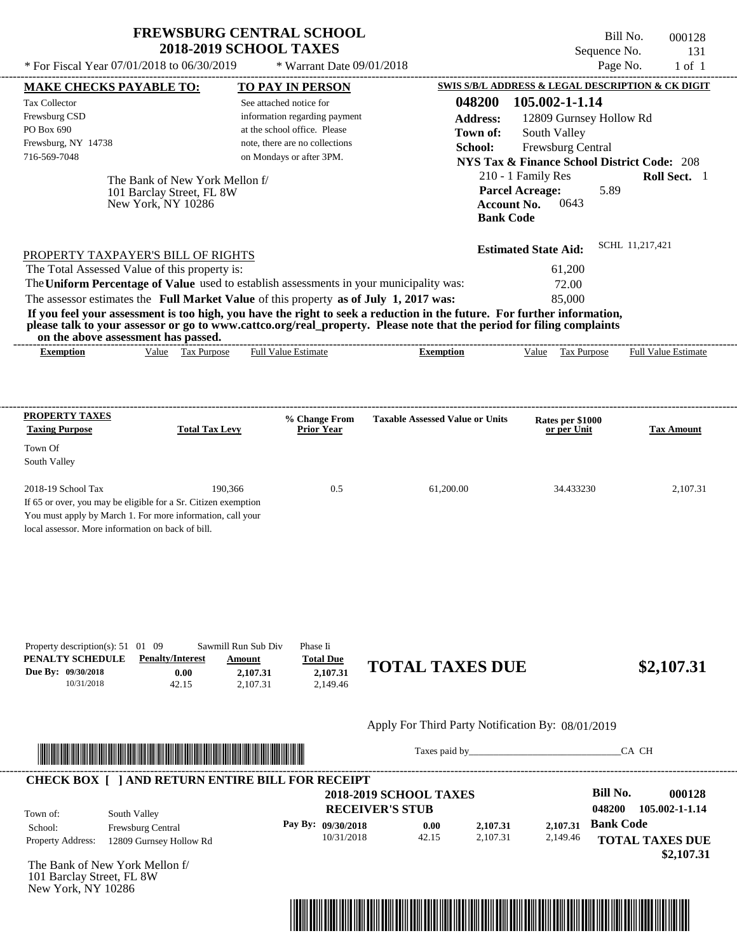\* For Fiscal Year 07/01/2018 to 06/30/2019  $\bullet$  Warrant Date 09/01/2018<br>
MAKE CUECKS DAVARE TO BAVALLE TO BAVAN DEDSON SWISSER ADDRESS & LEGAL DESCRIPTION & CK DIGIT

---------------------------------------------------------------------------------------------------------------------------------------------------------------------------------------------------- \* Warrant Date 09/01/2018

Bill No. 000128 Sequence No. 131

| <b>MAKE CHECKS PAYABLE TO:</b>                                                                                                                                                                                                                                                          |                                                                                   |                                                       | <b>TO PAY IN PERSON</b>                              |                                                   |                                        | SWIS S/B/L ADDRESS & LEGAL DESCRIPTION & CK DIGIT      |                  |                            |
|-----------------------------------------------------------------------------------------------------------------------------------------------------------------------------------------------------------------------------------------------------------------------------------------|-----------------------------------------------------------------------------------|-------------------------------------------------------|------------------------------------------------------|---------------------------------------------------|----------------------------------------|--------------------------------------------------------|------------------|----------------------------|
| <b>Tax Collector</b>                                                                                                                                                                                                                                                                    |                                                                                   | See attached notice for                               |                                                      |                                                   | 048200                                 | 105.002-1-1.14                                         |                  |                            |
| Frewsburg CSD                                                                                                                                                                                                                                                                           |                                                                                   |                                                       | information regarding payment                        |                                                   | <b>Address:</b>                        | 12809 Gurnsey Hollow Rd                                |                  |                            |
| PO Box 690                                                                                                                                                                                                                                                                              |                                                                                   |                                                       | at the school office. Please                         |                                                   | Town of:                               | South Valley                                           |                  |                            |
| Frewsburg, NY 14738<br>716-569-7048                                                                                                                                                                                                                                                     |                                                                                   |                                                       | note, there are no collections                       |                                                   | School:                                | Frewsburg Central                                      |                  |                            |
|                                                                                                                                                                                                                                                                                         |                                                                                   |                                                       | on Mondays or after 3PM.                             |                                                   |                                        | <b>NYS Tax &amp; Finance School District Code: 208</b> |                  |                            |
|                                                                                                                                                                                                                                                                                         | The Bank of New York Mellon f/<br>101 Barclay Street, FL 8W<br>New York, NY 10286 |                                                       |                                                      |                                                   | <b>Account No.</b><br><b>Bank Code</b> | 210 - 1 Family Res<br><b>Parcel Acreage:</b><br>0643   | 5.89             | Roll Sect. 1               |
|                                                                                                                                                                                                                                                                                         |                                                                                   |                                                       |                                                      |                                                   |                                        | <b>Estimated State Aid:</b>                            | SCHL 11,217,421  |                            |
| PROPERTY TAXPAYER'S BILL OF RIGHTS                                                                                                                                                                                                                                                      |                                                                                   |                                                       |                                                      |                                                   |                                        |                                                        |                  |                            |
| The Total Assessed Value of this property is:                                                                                                                                                                                                                                           |                                                                                   |                                                       |                                                      |                                                   |                                        | 61,200                                                 |                  |                            |
| The Uniform Percentage of Value used to establish assessments in your municipality was:<br>The assessor estimates the Full Market Value of this property as of July 1, 2017 was:                                                                                                        |                                                                                   |                                                       |                                                      |                                                   |                                        | 72.00<br>85,000                                        |                  |                            |
| If you feel your assessment is too high, you have the right to seek a reduction in the future. For further information,<br>please talk to your assessor or go to www.cattco.org/real_property. Please note that the period for filing complaints<br>on the above assessment has passed. |                                                                                   |                                                       |                                                      |                                                   |                                        |                                                        |                  |                            |
| <b>Exemption</b>                                                                                                                                                                                                                                                                        | Value Tax Purpose                                                                 | <b>Full Value Estimate</b>                            |                                                      | <b>Exemption</b>                                  |                                        | Value Tax Purpose                                      |                  | <b>Full Value Estimate</b> |
| <b>PROPERTY TAXES</b><br><b>Taxing Purpose</b><br>Town Of<br>South Valley                                                                                                                                                                                                               | <b>Total Tax Levy</b>                                                             |                                                       | % Change From<br><b>Prior Year</b>                   | <b>Taxable Assessed Value or Units</b>            |                                        | Rates per \$1000<br>or per Unit                        |                  | <b>Tax Amount</b>          |
| 2018-19 School Tax<br>If 65 or over, you may be eligible for a Sr. Citizen exemption<br>You must apply by March 1. For more information, call your<br>local assessor. More information on back of bill.                                                                                 | 190,366                                                                           |                                                       | 0.5                                                  | 61,200.00                                         |                                        | 34.433230                                              |                  | 2,107.31                   |
| Property description(s): 51 01 09<br>PENALTY SCHEDULE<br>Due By: 09/30/2018<br>10/31/2018                                                                                                                                                                                               | <b>Penalty/Interest</b><br>0.00<br>42.15                                          | Sawmill Run Sub Div<br>Amount<br>2,107.31<br>2,107.31 | Phase Ii<br><b>Total Due</b><br>2,107.31<br>2,149.46 | <b>TOTAL TAXES DUE</b>                            |                                        |                                                        |                  | \$2,107.31                 |
|                                                                                                                                                                                                                                                                                         |                                                                                   |                                                       |                                                      | Apply For Third Party Notification By: 08/01/2019 |                                        |                                                        |                  |                            |
| <u> In the second contract of the second contract of the second contract of the second contract of the second contract of the second contract of the second contract of the second contract of the second contract of the second</u>                                                    |                                                                                   |                                                       |                                                      |                                                   |                                        |                                                        | CA CH            |                            |
| <b>CHECK BOX [ ] AND RETURN ENTIRE BILL FOR RECEIPT</b>                                                                                                                                                                                                                                 |                                                                                   |                                                       |                                                      |                                                   |                                        |                                                        |                  |                            |
|                                                                                                                                                                                                                                                                                         |                                                                                   |                                                       |                                                      | <b>2018-2019 SCHOOL TAXES</b>                     |                                        |                                                        | <b>Bill No.</b>  | 000128                     |
| Town of:                                                                                                                                                                                                                                                                                | South Valley                                                                      |                                                       |                                                      | <b>RECEIVER'S STUB</b>                            |                                        |                                                        | 048200           | 105.002-1-1.14             |
| School:                                                                                                                                                                                                                                                                                 | Frewsburg Central                                                                 |                                                       | Pay By: 09/30/2018                                   | 0.00                                              | 2,107.31                               | 2,107.31                                               | <b>Bank Code</b> |                            |
| Property Address:                                                                                                                                                                                                                                                                       | 12809 Gurnsey Hollow Rd                                                           |                                                       | 10/31/2018                                           | 42.15                                             | 2,107.31                               | 2,149.46                                               |                  | <b>TOTAL TAXES DUE</b>     |
| The Bank of New York Mellon f/<br>101 Barclay Street, FL 8W<br>New York, NY 10286                                                                                                                                                                                                       |                                                                                   |                                                       |                                                      |                                                   |                                        |                                                        |                  | \$2,107.31                 |
|                                                                                                                                                                                                                                                                                         |                                                                                   |                                                       |                                                      |                                                   |                                        |                                                        |                  |                            |
|                                                                                                                                                                                                                                                                                         |                                                                                   |                                                       |                                                      |                                                   |                                        |                                                        |                  |                            |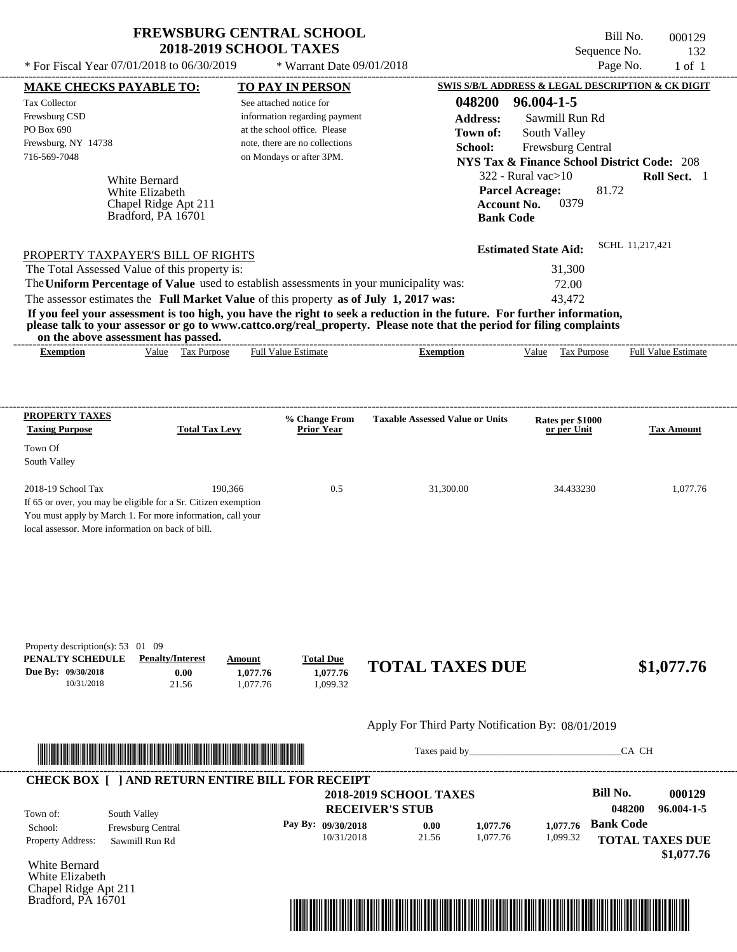$*$  For Fiscal Year 07/01/2018 to 06/30/2019

 $*$  Warrant Date 09/01/2018

Bill No. 000129 Sequence No. 132<br>Page No. 1 of 1

| <b>MAKE CHECKS PAYABLE TO:</b>                    |                                                                                                                         |                            | <b>TO PAY IN PERSON</b>        |                                                   |                    | <b>SWIS S/B/L ADDRESS &amp; LEGAL DESCRIPTION &amp; CK DIGIT</b>                                                                                                                                                               |                  |                        |
|---------------------------------------------------|-------------------------------------------------------------------------------------------------------------------------|----------------------------|--------------------------------|---------------------------------------------------|--------------------|--------------------------------------------------------------------------------------------------------------------------------------------------------------------------------------------------------------------------------|------------------|------------------------|
| <b>Tax Collector</b>                              |                                                                                                                         | See attached notice for    |                                |                                                   | 048200             | 96.004-1-5                                                                                                                                                                                                                     |                  |                        |
| Frewsburg CSD                                     |                                                                                                                         |                            | information regarding payment  |                                                   | <b>Address:</b>    | Sawmill Run Rd                                                                                                                                                                                                                 |                  |                        |
| PO Box 690                                        |                                                                                                                         |                            | at the school office. Please   |                                                   | Town of:           | South Valley                                                                                                                                                                                                                   |                  |                        |
| Frewsburg, NY 14738                               |                                                                                                                         |                            | note, there are no collections |                                                   | School:            | Frewsburg Central                                                                                                                                                                                                              |                  |                        |
| 716-569-7048                                      |                                                                                                                         |                            | on Mondays or after 3PM.       |                                                   |                    | <b>NYS Tax &amp; Finance School District Code: 208</b>                                                                                                                                                                         |                  |                        |
|                                                   |                                                                                                                         |                            |                                |                                                   |                    | $322$ - Rural vac $>10$                                                                                                                                                                                                        |                  | Roll Sect. 1           |
|                                                   | White Bernard<br>White Elizabeth                                                                                        |                            |                                |                                                   |                    | <b>Parcel Acreage:</b>                                                                                                                                                                                                         | 81.72            |                        |
|                                                   | Chapel Ridge Apt 211                                                                                                    |                            |                                |                                                   | <b>Account No.</b> | 0379                                                                                                                                                                                                                           |                  |                        |
|                                                   | Bradford, PA 16701                                                                                                      |                            |                                |                                                   | <b>Bank Code</b>   |                                                                                                                                                                                                                                |                  |                        |
|                                                   |                                                                                                                         |                            |                                |                                                   |                    |                                                                                                                                                                                                                                |                  |                        |
|                                                   | PROPERTY TAXPAYER'S BILL OF RIGHTS                                                                                      |                            |                                |                                                   |                    | <b>Estimated State Aid:</b>                                                                                                                                                                                                    | SCHL 11,217,421  |                        |
|                                                   | The Total Assessed Value of this property is:                                                                           |                            |                                |                                                   |                    | 31,300                                                                                                                                                                                                                         |                  |                        |
|                                                   | The Uniform Percentage of Value used to establish assessments in your municipality was:                                 |                            |                                |                                                   |                    | 72.00                                                                                                                                                                                                                          |                  |                        |
|                                                   | The assessor estimates the Full Market Value of this property as of July 1, 2017 was:                                   |                            |                                |                                                   |                    | 43,472                                                                                                                                                                                                                         |                  |                        |
|                                                   | If you feel your assessment is too high, you have the right to seek a reduction in the future. For further information, |                            |                                |                                                   |                    |                                                                                                                                                                                                                                |                  |                        |
|                                                   | please talk to your assessor or go to www.cattco.org/real_property. Please note that the period for filing complaints   |                            |                                |                                                   |                    |                                                                                                                                                                                                                                |                  |                        |
| <b>Exemption</b>                                  | on the above assessment has passed.<br>Value Tax Purpose                                                                | <b>Full Value Estimate</b> |                                | <b>Exemption</b>                                  |                    | Value Tax Purpose Full Value Estimate                                                                                                                                                                                          |                  |                        |
|                                                   |                                                                                                                         |                            |                                |                                                   |                    |                                                                                                                                                                                                                                |                  |                        |
|                                                   |                                                                                                                         |                            |                                |                                                   |                    |                                                                                                                                                                                                                                |                  |                        |
| <b>PROPERTY TAXES</b>                             |                                                                                                                         |                            | % Change From                  | <b>Taxable Assessed Value or Units</b>            |                    | Rates per \$1000                                                                                                                                                                                                               |                  |                        |
| <b>Taxing Purpose</b>                             | <b>Total Tax Levy</b>                                                                                                   |                            | <b>Prior Year</b>              |                                                   |                    | or per Unit                                                                                                                                                                                                                    |                  | <b>Tax Amount</b>      |
| Town Of                                           |                                                                                                                         |                            |                                |                                                   |                    |                                                                                                                                                                                                                                |                  |                        |
| South Valley                                      |                                                                                                                         |                            |                                |                                                   |                    |                                                                                                                                                                                                                                |                  |                        |
| 2018-19 School Tax                                |                                                                                                                         | 190,366                    | 0.5                            | 31,300.00                                         |                    | 34.433230                                                                                                                                                                                                                      |                  | 1,077.76               |
|                                                   | If 65 or over, you may be eligible for a Sr. Citizen exemption                                                          |                            |                                |                                                   |                    |                                                                                                                                                                                                                                |                  |                        |
|                                                   | You must apply by March 1. For more information, call your                                                              |                            |                                |                                                   |                    |                                                                                                                                                                                                                                |                  |                        |
| local assessor. More information on back of bill. |                                                                                                                         |                            |                                |                                                   |                    |                                                                                                                                                                                                                                |                  |                        |
|                                                   |                                                                                                                         |                            |                                |                                                   |                    |                                                                                                                                                                                                                                |                  |                        |
|                                                   |                                                                                                                         |                            |                                |                                                   |                    |                                                                                                                                                                                                                                |                  |                        |
|                                                   |                                                                                                                         |                            |                                |                                                   |                    |                                                                                                                                                                                                                                |                  |                        |
|                                                   |                                                                                                                         |                            |                                |                                                   |                    |                                                                                                                                                                                                                                |                  |                        |
|                                                   |                                                                                                                         |                            |                                |                                                   |                    |                                                                                                                                                                                                                                |                  |                        |
| Property description(s): $53 \quad 01 \quad 09$   |                                                                                                                         |                            |                                |                                                   |                    |                                                                                                                                                                                                                                |                  |                        |
| PENALTY SCHEDULE                                  | <b>Penalty/Interest</b>                                                                                                 | Amount                     | <b>Total Due</b>               | <b>TOTAL TAXES DUE</b>                            |                    |                                                                                                                                                                                                                                |                  |                        |
| Due By: 09/30/2018                                | 0.00                                                                                                                    | 1,077.76                   | 1,077.76                       |                                                   |                    |                                                                                                                                                                                                                                |                  | \$1,077.76             |
| 10/31/2018                                        | 21.56                                                                                                                   | 1,077.76                   | 1,099.32                       |                                                   |                    |                                                                                                                                                                                                                                |                  |                        |
|                                                   |                                                                                                                         |                            |                                | Apply For Third Party Notification By: 08/01/2019 |                    |                                                                                                                                                                                                                                |                  |                        |
|                                                   |                                                                                                                         |                            |                                |                                                   |                    |                                                                                                                                                                                                                                |                  |                        |
|                                                   | <u> HERE I AN DIE HERE IN DIE HERE IN DIE HERE IN DIE HERE IN DIE HERE IN DIE HERE IN DIE HERE IN DIE HERE IN DIE</u>   |                            |                                |                                                   |                    | Taxes paid by Taxes and the Taxes and the Taxes and the Taxes and the Taxes and the Taxes and the Taxes and the Taxes and the Taxes and the Taxes and the Taxes and the Taxes and the Taxes and the Taxes and the Taxes and th | CA CH            |                        |
|                                                   | <b>CHECK BOX [ ] AND RETURN ENTIRE BILL FOR RECEIPT</b>                                                                 |                            |                                |                                                   |                    |                                                                                                                                                                                                                                |                  |                        |
|                                                   |                                                                                                                         |                            |                                | <b>2018-2019 SCHOOL TAXES</b>                     |                    |                                                                                                                                                                                                                                | <b>Bill No.</b>  | 000129                 |
| Town of:                                          | South Valley                                                                                                            |                            |                                | <b>RECEIVER'S STUB</b>                            |                    |                                                                                                                                                                                                                                | 048200           | $96.004 - 1 - 5$       |
| School:                                           | Frewsburg Central                                                                                                       |                            | Pay By: 09/30/2018             | 0.00                                              | 1,077.76           | 1,077.76                                                                                                                                                                                                                       | <b>Bank Code</b> |                        |
| Property Address:                                 | Sawmill Run Rd                                                                                                          |                            | 10/31/2018                     | 21.56                                             | 1,077.76           | 1,099.32                                                                                                                                                                                                                       |                  | <b>TOTAL TAXES DUE</b> |
|                                                   |                                                                                                                         |                            |                                |                                                   |                    |                                                                                                                                                                                                                                |                  | \$1,077.76             |
| White Bernard                                     |                                                                                                                         |                            |                                |                                                   |                    |                                                                                                                                                                                                                                |                  |                        |
| White Elizabeth                                   |                                                                                                                         |                            |                                |                                                   |                    |                                                                                                                                                                                                                                |                  |                        |
| Chapel Ridge Apt 211                              |                                                                                                                         |                            |                                |                                                   |                    |                                                                                                                                                                                                                                |                  |                        |
| Bradford, PA 16701                                |                                                                                                                         |                            |                                |                                                   |                    |                                                                                                                                                                                                                                |                  |                        |

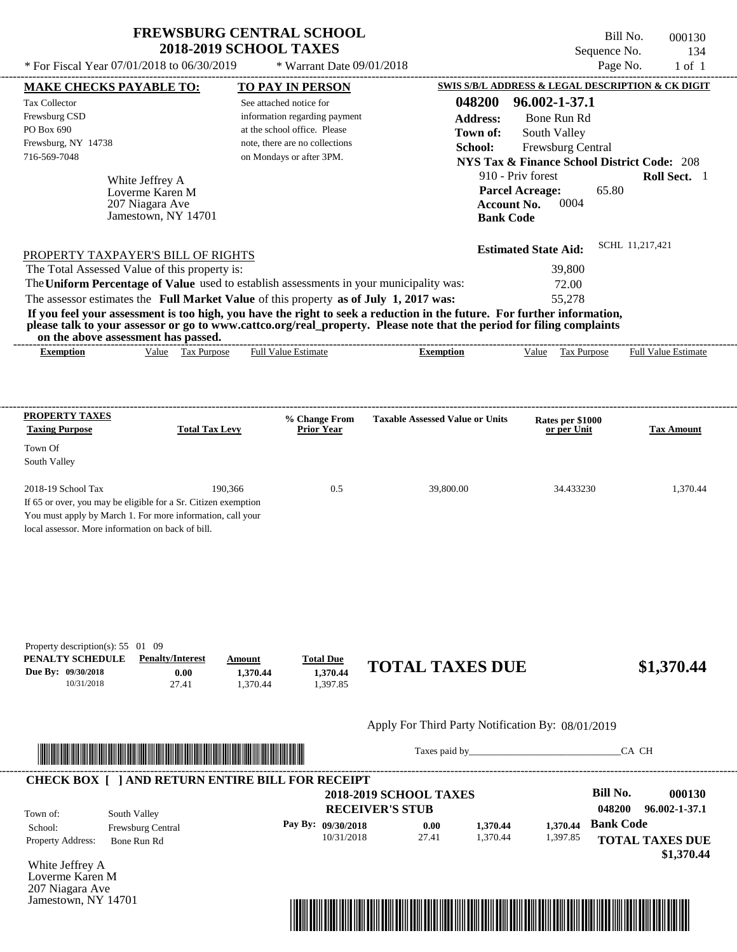$*$  For Fiscal Year 07/01/2018 to 06/30/2019

Jamestown, NY 14701

 $*$  Warrant Date 09/01/2018

Bill No. 000130 Sequence No. 134<br>Page No. 1 of 1

|                                                                                                                                                                                                                                               | <b>MAKE CHECKS PAYABLE TO:</b>     | <b>TO PAY IN PERSON</b>                  |                               |                                                   |                                                        |                  | SWIS S/B/L ADDRESS & LEGAL DESCRIPTION & CK DIGIT |
|-----------------------------------------------------------------------------------------------------------------------------------------------------------------------------------------------------------------------------------------------|------------------------------------|------------------------------------------|-------------------------------|---------------------------------------------------|--------------------------------------------------------|------------------|---------------------------------------------------|
| Tax Collector                                                                                                                                                                                                                                 |                                    | See attached notice for                  |                               | 048200                                            | 96.002-1-37.1                                          |                  |                                                   |
| Frewsburg CSD                                                                                                                                                                                                                                 |                                    | information regarding payment            |                               | <b>Address:</b>                                   | Bone Run Rd                                            |                  |                                                   |
| PO Box 690                                                                                                                                                                                                                                    |                                    | at the school office. Please             |                               | Town of:                                          | South Valley                                           |                  |                                                   |
| Frewsburg, NY 14738                                                                                                                                                                                                                           |                                    | note, there are no collections           |                               | School:                                           | Frewsburg Central                                      |                  |                                                   |
| 716-569-7048                                                                                                                                                                                                                                  |                                    | on Mondays or after 3PM.                 |                               |                                                   | <b>NYS Tax &amp; Finance School District Code: 208</b> |                  |                                                   |
|                                                                                                                                                                                                                                               |                                    |                                          |                               |                                                   | 910 - Priv forest                                      |                  | Roll Sect. 1                                      |
|                                                                                                                                                                                                                                               | White Jeffrey A<br>Loverme Karen M |                                          |                               |                                                   | <b>Parcel Acreage:</b>                                 | 65.80            |                                                   |
|                                                                                                                                                                                                                                               | 207 Niagara Ave                    |                                          |                               | <b>Account No.</b>                                | 0004                                                   |                  |                                                   |
|                                                                                                                                                                                                                                               | Jamestown, NY 14701                |                                          |                               | <b>Bank Code</b>                                  |                                                        |                  |                                                   |
|                                                                                                                                                                                                                                               |                                    |                                          |                               |                                                   |                                                        |                  |                                                   |
| PROPERTY TAXPAYER'S BILL OF RIGHTS                                                                                                                                                                                                            |                                    |                                          |                               |                                                   | <b>Estimated State Aid:</b>                            |                  | SCHL 11,217,421                                   |
| The Total Assessed Value of this property is:                                                                                                                                                                                                 |                                    |                                          |                               |                                                   | 39,800                                                 |                  |                                                   |
| The Uniform Percentage of Value used to establish assessments in your municipality was:                                                                                                                                                       |                                    |                                          |                               |                                                   | 72.00                                                  |                  |                                                   |
| The assessor estimates the Full Market Value of this property as of July 1, 2017 was:                                                                                                                                                         |                                    |                                          |                               |                                                   | 55,278                                                 |                  |                                                   |
| If you feel your assessment is too high, you have the right to seek a reduction in the future. For further information,                                                                                                                       |                                    |                                          |                               |                                                   |                                                        |                  |                                                   |
| please talk to your assessor or go to www.cattco.org/real_property. Please note that the period for filing complaints                                                                                                                         |                                    |                                          |                               |                                                   |                                                        |                  |                                                   |
| on the above assessment has passed.                                                                                                                                                                                                           |                                    |                                          |                               |                                                   |                                                        |                  |                                                   |
| <b>Exemption</b>                                                                                                                                                                                                                              | Value Tax Purpose                  | <b>Full Value Estimate</b>               |                               | <b>Exemption</b>                                  | Value Tax Purpose                                      |                  | <b>Full Value Estimate</b>                        |
|                                                                                                                                                                                                                                               |                                    |                                          |                               |                                                   |                                                        |                  |                                                   |
|                                                                                                                                                                                                                                               |                                    |                                          |                               |                                                   |                                                        |                  |                                                   |
| <b>PROPERTY TAXES</b>                                                                                                                                                                                                                         |                                    | % Change From                            |                               | <b>Taxable Assessed Value or Units</b>            | Rates per \$1000                                       |                  |                                                   |
| <b>Taxing Purpose</b>                                                                                                                                                                                                                         | <b>Total Tax Levy</b>              | <b>Prior Year</b>                        |                               |                                                   | or per Unit                                            |                  | Tax Amount                                        |
| Town Of                                                                                                                                                                                                                                       |                                    |                                          |                               |                                                   |                                                        |                  |                                                   |
| South Valley                                                                                                                                                                                                                                  |                                    |                                          |                               |                                                   |                                                        |                  |                                                   |
| 2018-19 School Tax                                                                                                                                                                                                                            | 190,366                            |                                          | 0.5                           | 39,800.00                                         | 34.433230                                              |                  | 1,370.44                                          |
| If 65 or over, you may be eligible for a Sr. Citizen exemption                                                                                                                                                                                |                                    |                                          |                               |                                                   |                                                        |                  |                                                   |
| You must apply by March 1. For more information, call your                                                                                                                                                                                    |                                    |                                          |                               |                                                   |                                                        |                  |                                                   |
| local assessor. More information on back of bill.                                                                                                                                                                                             |                                    |                                          |                               |                                                   |                                                        |                  |                                                   |
|                                                                                                                                                                                                                                               |                                    |                                          |                               |                                                   |                                                        |                  |                                                   |
|                                                                                                                                                                                                                                               |                                    |                                          |                               |                                                   |                                                        |                  |                                                   |
|                                                                                                                                                                                                                                               |                                    |                                          |                               |                                                   |                                                        |                  |                                                   |
|                                                                                                                                                                                                                                               |                                    |                                          |                               |                                                   |                                                        |                  |                                                   |
|                                                                                                                                                                                                                                               |                                    |                                          |                               |                                                   |                                                        |                  |                                                   |
|                                                                                                                                                                                                                                               |                                    |                                          |                               |                                                   |                                                        |                  |                                                   |
|                                                                                                                                                                                                                                               |                                    |                                          |                               |                                                   |                                                        |                  |                                                   |
|                                                                                                                                                                                                                                               | <b>Penalty/Interest</b>            | Amount                                   |                               |                                                   |                                                        |                  |                                                   |
|                                                                                                                                                                                                                                               | 0.00                               | <b>Total Due</b><br>1.370.44<br>1,370.44 |                               | <b>TOTAL TAXES DUE</b>                            |                                                        |                  | \$1,370.44                                        |
| 10/31/2018                                                                                                                                                                                                                                    | 27.41                              | 1,397.85<br>1,370.44                     |                               |                                                   |                                                        |                  |                                                   |
|                                                                                                                                                                                                                                               |                                    |                                          |                               |                                                   |                                                        |                  |                                                   |
|                                                                                                                                                                                                                                               |                                    |                                          |                               | Apply For Third Party Notification By: 08/01/2019 |                                                        |                  |                                                   |
|                                                                                                                                                                                                                                               |                                    |                                          |                               |                                                   |                                                        |                  | CA CH                                             |
|                                                                                                                                                                                                                                               |                                    |                                          |                               |                                                   |                                                        |                  |                                                   |
|                                                                                                                                                                                                                                               |                                    |                                          |                               |                                                   |                                                        |                  |                                                   |
|                                                                                                                                                                                                                                               |                                    |                                          | <b>2018-2019 SCHOOL TAXES</b> |                                                   |                                                        | <b>Bill No.</b>  |                                                   |
|                                                                                                                                                                                                                                               | South Valley                       |                                          | <b>RECEIVER'S STUB</b>        |                                                   |                                                        | 048200           |                                                   |
|                                                                                                                                                                                                                                               | Frewsburg Central                  | Pay By: 09/30/2018                       | 0.00                          | 1,370.44                                          | 1,370.44                                               | <b>Bank Code</b> |                                                   |
|                                                                                                                                                                                                                                               | Bone Run Rd                        |                                          | 10/31/2018<br>27.41           | 1,370.44                                          | 1,397.85                                               |                  | 000130<br>96.002-1-37.1                           |
|                                                                                                                                                                                                                                               |                                    |                                          |                               |                                                   |                                                        |                  |                                                   |
| Property description(s): $55 \quad 01 \quad 09$<br>PENALTY SCHEDULE<br>Due By: 09/30/2018<br><b>CHECK BOX [ ] AND RETURN ENTIRE BILL FOR RECEIPT</b><br>Town of:<br>School:<br><b>Property Address:</b><br>White Jeffrey A<br>Loverme Karen M |                                    |                                          |                               |                                                   |                                                        |                  | <b>TOTAL TAXES DUE</b><br>\$1,370.44              |

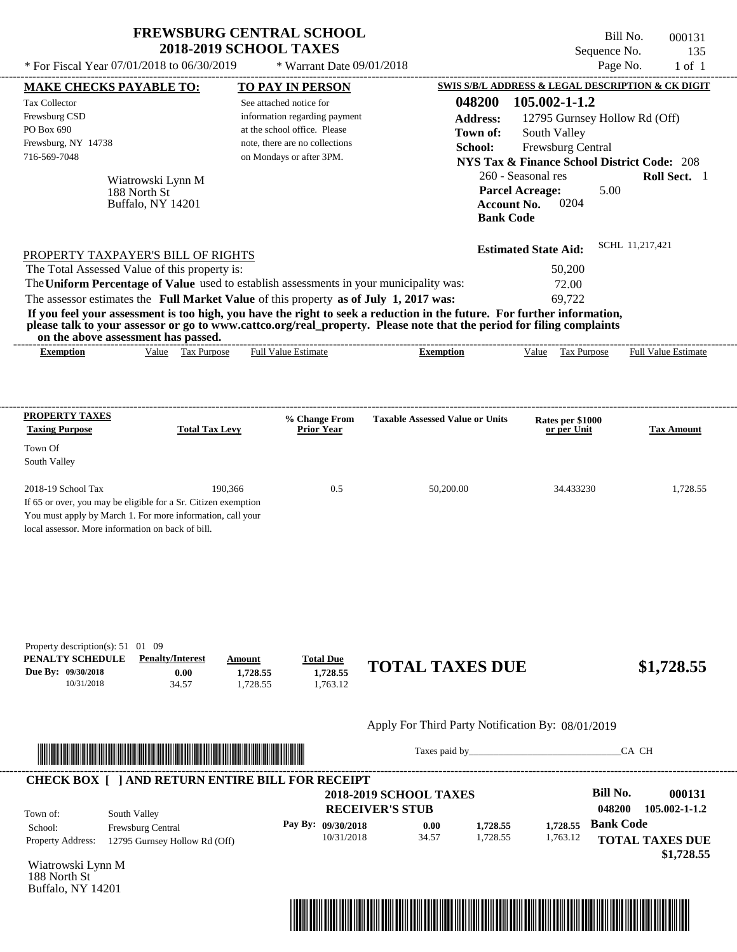Bill No. 000131 Sequence No. 135<br>Page No. 1 of 1

| * For Fiscal Year 07/01/2018 to 06/30/2019                                                                                                                                                                                                                                                                  |                                                 | * Warrant Date 09/01/2018                |                                                         |                                                              | Page No.<br>$1$ of $1$                     |
|-------------------------------------------------------------------------------------------------------------------------------------------------------------------------------------------------------------------------------------------------------------------------------------------------------------|-------------------------------------------------|------------------------------------------|---------------------------------------------------------|--------------------------------------------------------------|--------------------------------------------|
| <b>MAKE CHECKS PAYABLE TO:</b>                                                                                                                                                                                                                                                                              |                                                 | <b>TO PAY IN PERSON</b>                  |                                                         | SWIS S/B/L ADDRESS & LEGAL DESCRIPTION & CK DIGIT            |                                            |
| Tax Collector                                                                                                                                                                                                                                                                                               |                                                 | See attached notice for                  | 048200                                                  | 105.002-1-1.2                                                |                                            |
| Frewsburg CSD                                                                                                                                                                                                                                                                                               |                                                 | information regarding payment            | <b>Address:</b>                                         | 12795 Gurnsey Hollow Rd (Off)                                |                                            |
| PO Box 690                                                                                                                                                                                                                                                                                                  |                                                 | at the school office. Please             | Town of:                                                | South Valley                                                 |                                            |
| Frewsburg, NY 14738                                                                                                                                                                                                                                                                                         |                                                 | note, there are no collections           | School:                                                 | Frewsburg Central                                            |                                            |
| 716-569-7048                                                                                                                                                                                                                                                                                                |                                                 | on Mondays or after 3PM.                 |                                                         | <b>NYS Tax &amp; Finance School District Code: 208</b>       |                                            |
| Wiatrowski Lynn M<br>188 North St<br>Buffalo, NY 14201                                                                                                                                                                                                                                                      |                                                 |                                          | <b>Account No.</b>                                      | 260 - Seasonal res<br><b>Parcel Acreage:</b><br>5.00<br>0204 | Roll Sect. 1                               |
|                                                                                                                                                                                                                                                                                                             |                                                 |                                          | <b>Bank Code</b>                                        |                                                              |                                            |
| PROPERTY TAXPAYER'S BILL OF RIGHTS                                                                                                                                                                                                                                                                          |                                                 |                                          |                                                         | <b>Estimated State Aid:</b>                                  | SCHL 11,217,421                            |
| The Total Assessed Value of this property is:                                                                                                                                                                                                                                                               |                                                 |                                          |                                                         | 50,200                                                       |                                            |
| The Uniform Percentage of Value used to establish assessments in your municipality was:                                                                                                                                                                                                                     |                                                 |                                          |                                                         | 72.00                                                        |                                            |
| The assessor estimates the Full Market Value of this property as of July 1, 2017 was:                                                                                                                                                                                                                       |                                                 |                                          |                                                         | 69.722                                                       |                                            |
| If you feel your assessment is too high, you have the right to seek a reduction in the future. For further information,<br>please talk to your assessor or go to www.cattco.org/real_property. Please note that the period for filing complaints<br>on the above assessment has passed.<br><b>Exemption</b> | Value Tax Purpose                               | Full Value Estimate                      | <b>Exemption</b>                                        | Tax Purpose<br>Value                                         | Full Value Estimate                        |
|                                                                                                                                                                                                                                                                                                             |                                                 |                                          |                                                         |                                                              |                                            |
| <b>PROPERTY TAXES</b>                                                                                                                                                                                                                                                                                       |                                                 | % Change From                            | <b>Taxable Assessed Value or Units</b>                  | Rates per \$1000                                             |                                            |
| <b>Taxing Purpose</b>                                                                                                                                                                                                                                                                                       | <b>Total Tax Levy</b>                           | <b>Prior Year</b>                        |                                                         | or per Unit                                                  | <b>Tax Amount</b>                          |
| Town Of                                                                                                                                                                                                                                                                                                     |                                                 |                                          |                                                         |                                                              |                                            |
| South Valley                                                                                                                                                                                                                                                                                                |                                                 |                                          |                                                         |                                                              |                                            |
| 2018-19 School Tax<br>If 65 or over, you may be eligible for a Sr. Citizen exemption<br>You must apply by March 1. For more information, call your<br>local assessor. More information on back of bill.                                                                                                     | 190.366                                         | 0.5                                      | 50,200.00                                               | 34.433230                                                    | 1,728.55                                   |
| Property description(s): $51 \quad 01 \quad 09$<br>PENALTY SCHEDULE<br><b>Penalty/Interest</b><br>Due By: 09/30/2018<br>10/31/2018                                                                                                                                                                          | Amount<br>0.00<br>1,728.55<br>34.57<br>1,728.55 | <b>Total Due</b><br>1,728.55<br>1,763.12 | <b>TOTAL TAXES DUE</b>                                  |                                                              | \$1,728.55                                 |
|                                                                                                                                                                                                                                                                                                             |                                                 |                                          | Apply For Third Party Notification By: 08/01/2019       |                                                              |                                            |
|                                                                                                                                                                                                                                                                                                             |                                                 |                                          |                                                         |                                                              | CA CH                                      |
| <b>CHECK BOX [ ] AND RETURN ENTIRE BILL FOR RECEIPT</b>                                                                                                                                                                                                                                                     |                                                 |                                          |                                                         |                                                              |                                            |
| South Valley<br>Town of:                                                                                                                                                                                                                                                                                    |                                                 |                                          | <b>2018-2019 SCHOOL TAXES</b><br><b>RECEIVER'S STUB</b> | <b>Bill No.</b><br>048200                                    | 000131<br>105.002-1-1.2                    |
| School:<br>Frewsburg Central<br><b>Property Address:</b><br>12795 Gurnsey Hollow Rd (Off)                                                                                                                                                                                                                   |                                                 | Pay By: 09/30/2018<br>10/31/2018         | 1,728.55<br>0.00<br>34.57<br>1,728.55                   | 1,728.55<br>1,763.12                                         | <b>Bank Code</b><br><b>TOTAL TAXES DUE</b> |
| Wiatrowski Lynn M<br>188 North St<br>Buffalo, NY 14201                                                                                                                                                                                                                                                      |                                                 |                                          |                                                         |                                                              | \$1,728.55                                 |

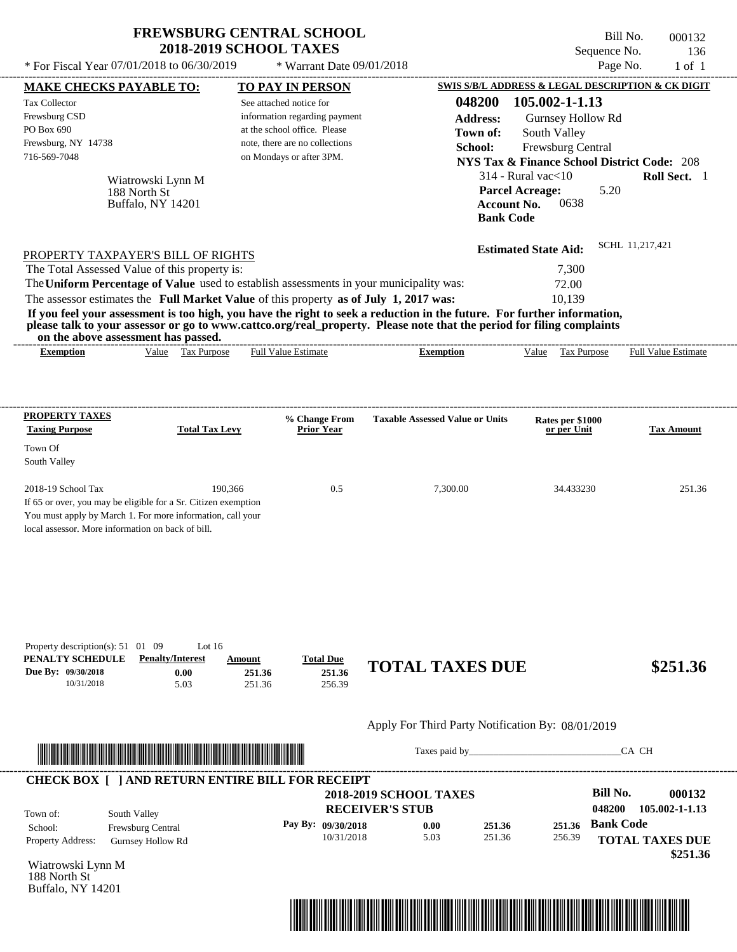Buffalo, NY 14201

Bill No. 000132 Sequence No. 136

| * For Fiscal Year 07/01/2018 to 06/30/2019                                                                                                                                                                                                                                                                                                                                                                                                                                                                                                                         | * Warrant Date 09/01/2018                                                                                                                              |                                                                                             |                                                                                                                                                              | Page No.<br>$1$ of $1$                                                                                          |
|--------------------------------------------------------------------------------------------------------------------------------------------------------------------------------------------------------------------------------------------------------------------------------------------------------------------------------------------------------------------------------------------------------------------------------------------------------------------------------------------------------------------------------------------------------------------|--------------------------------------------------------------------------------------------------------------------------------------------------------|---------------------------------------------------------------------------------------------|--------------------------------------------------------------------------------------------------------------------------------------------------------------|-----------------------------------------------------------------------------------------------------------------|
| <b>MAKE CHECKS PAYABLE TO:</b>                                                                                                                                                                                                                                                                                                                                                                                                                                                                                                                                     | <b>TO PAY IN PERSON</b>                                                                                                                                |                                                                                             |                                                                                                                                                              | SWIS S/B/L ADDRESS & LEGAL DESCRIPTION & CK DIGIT                                                               |
| <b>Tax Collector</b><br>Frewsburg CSD<br>PO Box 690<br>Frewsburg, NY 14738<br>716-569-7048<br>Wiatrowski Lynn M<br>188 North St<br>Buffalo, NY 14201                                                                                                                                                                                                                                                                                                                                                                                                               | See attached notice for<br>information regarding payment<br>at the school office. Please<br>note, there are no collections<br>on Mondays or after 3PM. | 048200<br><b>Address:</b><br>Town of:<br>School:<br><b>Bank Code</b>                        | 105.002-1-1.13<br>Gurnsey Hollow Rd<br>South Valley<br>Frewsburg Central<br>$314$ - Rural vac $<$ 10<br><b>Parcel Acreage:</b><br>0638<br><b>Account No.</b> | <b>NYS Tax &amp; Finance School District Code: 208</b><br>Roll Sect. 1<br>5.20                                  |
| PROPERTY TAXPAYER'S BILL OF RIGHTS<br>The Total Assessed Value of this property is:<br>The Uniform Percentage of Value used to establish assessments in your municipality was:<br>The assessor estimates the Full Market Value of this property as of July 1, 2017 was:<br>If you feel your assessment is too high, you have the right to seek a reduction in the future. For further information,<br>please talk to your assessor or go to www.cattco.org/real_property. Please note that the period for filing complaints<br>on the above assessment has passed. |                                                                                                                                                        |                                                                                             | <b>Estimated State Aid:</b><br>7,300<br>72.00<br>10,139                                                                                                      | SCHL 11,217,421                                                                                                 |
| Value Tax Purpose<br><b>Exemption</b>                                                                                                                                                                                                                                                                                                                                                                                                                                                                                                                              | <b>Full Value Estimate</b>                                                                                                                             | <b>Exemption</b>                                                                            | Tax Purpose<br>Value                                                                                                                                         | <b>Full Value Estimate</b>                                                                                      |
| <b>PROPERTY TAXES</b><br><b>Taxing Purpose</b><br><b>Total Tax Levy</b><br>Town Of                                                                                                                                                                                                                                                                                                                                                                                                                                                                                 | % Change From<br><b>Prior Year</b>                                                                                                                     | <b>Taxable Assessed Value or Units</b>                                                      | Rates per \$1000<br>or per Unit                                                                                                                              | <b>Tax Amount</b>                                                                                               |
| South Valley<br>2018-19 School Tax<br>190,366<br>If 65 or over, you may be eligible for a Sr. Citizen exemption<br>You must apply by March 1. For more information, call your<br>local assessor. More information on back of bill.                                                                                                                                                                                                                                                                                                                                 | 0.5                                                                                                                                                    | 7,300.00                                                                                    | 34.433230                                                                                                                                                    | 251.36                                                                                                          |
| Property description(s): $51 \quad 01 \quad 09$<br>Lot $16$<br>PENALTY SCHEDULE<br><b>Penalty/Interest</b><br>Due By: 09/30/2018<br>0.00<br>10/31/2018<br>5.03                                                                                                                                                                                                                                                                                                                                                                                                     | Amount<br><b>Total Due</b><br>251.36<br>251.36<br>251.36<br>256.39                                                                                     | <b>TOTAL TAXES DUE</b>                                                                      |                                                                                                                                                              | \$251.36                                                                                                        |
| <u> Literatura de la contrada de la contrada de la contrada de la contrada de la contrada de la contrada de la co</u>                                                                                                                                                                                                                                                                                                                                                                                                                                              |                                                                                                                                                        | Apply For Third Party Notification By: 08/01/2019                                           |                                                                                                                                                              | CA CH                                                                                                           |
| <b>CHECK BOX [ ] AND RETURN ENTIRE BILL FOR RECEIPT</b>                                                                                                                                                                                                                                                                                                                                                                                                                                                                                                            |                                                                                                                                                        |                                                                                             |                                                                                                                                                              |                                                                                                                 |
| South Valley<br>Town of:<br>Frewsburg Central<br>School:<br>Property Address:<br>Gurnsey Hollow Rd<br>Wiatrowski Lynn M                                                                                                                                                                                                                                                                                                                                                                                                                                            | Pay By: 09/30/2018<br>10/31/2018                                                                                                                       | <b>2018-2019 SCHOOL TAXES</b><br><b>RECEIVER'S STUB</b><br>0.00<br>251.36<br>5.03<br>251.36 | 251.36<br>256.39                                                                                                                                             | <b>Bill No.</b><br>000132<br>048200<br>105.002-1-1.13<br><b>Bank Code</b><br><b>TOTAL TAXES DUE</b><br>\$251.36 |

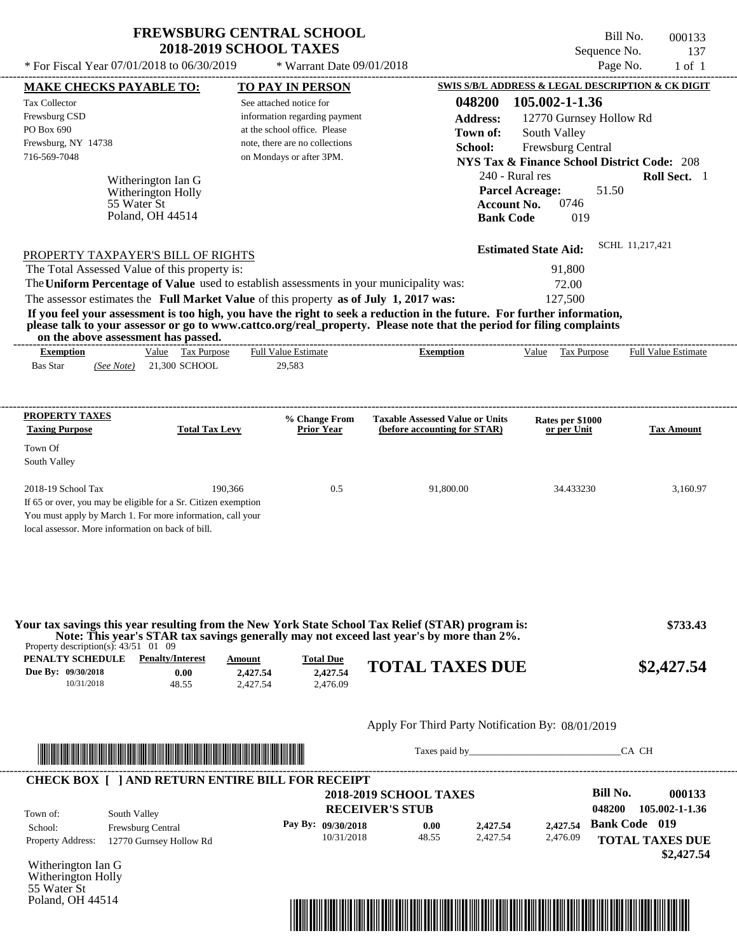\* For Fiscal Year  $07/01/2018$  to  $06/30/2019$  \* Warrant Date  $09/01/2018$  Page No. 1 of 1

 $*$  Warrant Date 09/01/2018

| <b>MAKE CHECKS PAYABLE TO:</b>                    |                                                                                                                                                                                                                                      | <b>TO PAY IN PERSON</b>        |                                  |                                                         |                      |                                                        |                 | SWIS S/B/L ADDRESS & LEGAL DESCRIPTION & CK DIGIT |
|---------------------------------------------------|--------------------------------------------------------------------------------------------------------------------------------------------------------------------------------------------------------------------------------------|--------------------------------|----------------------------------|---------------------------------------------------------|----------------------|--------------------------------------------------------|-----------------|---------------------------------------------------|
| <b>Tax Collector</b>                              |                                                                                                                                                                                                                                      | See attached notice for        |                                  |                                                         | 048200               | 105.002-1-1.36                                         |                 |                                                   |
| Frewsburg CSD                                     |                                                                                                                                                                                                                                      | information regarding payment  |                                  |                                                         | <b>Address:</b>      | 12770 Gurnsey Hollow Rd                                |                 |                                                   |
| PO Box 690                                        |                                                                                                                                                                                                                                      | at the school office. Please   |                                  |                                                         | Town of:             | South Valley                                           |                 |                                                   |
| Frewsburg, NY 14738<br>716-569-7048               |                                                                                                                                                                                                                                      | note, there are no collections |                                  |                                                         | School:              | Frewsburg Central                                      |                 |                                                   |
|                                                   |                                                                                                                                                                                                                                      | on Mondays or after 3PM.       |                                  |                                                         |                      | <b>NYS Tax &amp; Finance School District Code: 208</b> |                 |                                                   |
|                                                   | Witherington Ian G                                                                                                                                                                                                                   |                                |                                  |                                                         |                      | 240 - Rural res                                        |                 | Roll Sect. 1                                      |
|                                                   | Witherington Holly                                                                                                                                                                                                                   |                                |                                  |                                                         |                      | <b>Parcel Acreage:</b>                                 | 51.50           |                                                   |
|                                                   | 55 Water St<br>Poland, OH 44514                                                                                                                                                                                                      |                                |                                  |                                                         |                      | 0746<br><b>Account No.</b>                             |                 |                                                   |
|                                                   |                                                                                                                                                                                                                                      |                                |                                  |                                                         | <b>Bank Code</b>     | 019                                                    |                 |                                                   |
|                                                   |                                                                                                                                                                                                                                      |                                |                                  |                                                         |                      | <b>Estimated State Aid:</b>                            |                 | SCHL 11,217,421                                   |
|                                                   | PROPERTY TAXPAYER'S BILL OF RIGHTS                                                                                                                                                                                                   |                                |                                  |                                                         |                      |                                                        |                 |                                                   |
|                                                   | The Total Assessed Value of this property is:<br>The Uniform Percentage of Value used to establish assessments in your municipality was:                                                                                             |                                |                                  |                                                         |                      | 91,800                                                 |                 |                                                   |
|                                                   | The assessor estimates the Full Market Value of this property as of July 1, 2017 was:                                                                                                                                                |                                |                                  |                                                         |                      | 72.00<br>127,500                                       |                 |                                                   |
|                                                   | If you feel your assessment is too high, you have the right to seek a reduction in the future. For further information,                                                                                                              |                                |                                  |                                                         |                      |                                                        |                 |                                                   |
|                                                   | please talk to your assessor or go to www.cattco.org/real_property. Please note that the period for filing complaints<br>on the above assessment has passed.                                                                         |                                |                                  |                                                         |                      |                                                        |                 |                                                   |
| <b>Exemption</b>                                  | Value Tax Purpose                                                                                                                                                                                                                    | <b>Full Value Estimate</b>     |                                  | <b>Exemption</b>                                        |                      | Value Tax Purpose                                      |                 | <b>Full Value Estimate</b>                        |
| <b>Bas Star</b><br>(See Note)                     | 21,300 SCHOOL                                                                                                                                                                                                                        | 29,583                         |                                  |                                                         |                      |                                                        |                 |                                                   |
|                                                   |                                                                                                                                                                                                                                      |                                |                                  |                                                         |                      |                                                        |                 |                                                   |
| <b>PROPERTY TAXES</b>                             |                                                                                                                                                                                                                                      |                                | % Change From                    | <b>Taxable Assessed Value or Units</b>                  |                      |                                                        |                 |                                                   |
| <b>Taxing Purpose</b>                             | <b>Total Tax Levy</b>                                                                                                                                                                                                                |                                | <b>Prior Year</b>                | (before accounting for STAR)                            |                      | Rates per \$1000<br>or per Unit                        |                 | <b>Tax Amount</b>                                 |
| Town Of                                           |                                                                                                                                                                                                                                      |                                |                                  |                                                         |                      |                                                        |                 |                                                   |
| South Valley                                      |                                                                                                                                                                                                                                      |                                |                                  |                                                         |                      |                                                        |                 |                                                   |
|                                                   |                                                                                                                                                                                                                                      |                                |                                  |                                                         |                      |                                                        |                 |                                                   |
| 2018-19 School Tax                                | 190,366                                                                                                                                                                                                                              |                                | 0.5                              | 91,800.00                                               |                      | 34.433230                                              |                 | 3,160.97                                          |
|                                                   | If 65 or over, you may be eligible for a Sr. Citizen exemption<br>You must apply by March 1. For more information, call your                                                                                                         |                                |                                  |                                                         |                      |                                                        |                 |                                                   |
| local assessor. More information on back of bill. |                                                                                                                                                                                                                                      |                                |                                  |                                                         |                      |                                                        |                 |                                                   |
|                                                   |                                                                                                                                                                                                                                      |                                |                                  |                                                         |                      |                                                        |                 |                                                   |
|                                                   |                                                                                                                                                                                                                                      |                                |                                  |                                                         |                      |                                                        |                 |                                                   |
|                                                   |                                                                                                                                                                                                                                      |                                |                                  |                                                         |                      |                                                        |                 |                                                   |
|                                                   | Your tax savings this year resulting from the New York State School Tax Relief (STAR) program is:                                                                                                                                    |                                |                                  |                                                         |                      |                                                        |                 | \$733.43                                          |
| Property description(s): $43/51$ 01 09            | Note: This year's STAR tax savings generally may not exceed last year's by more than 2%.                                                                                                                                             |                                |                                  |                                                         |                      |                                                        |                 |                                                   |
| <b>PENALTY SCHEDULE</b> Penalty/Interest          |                                                                                                                                                                                                                                      | Amount                         | <b>Total Due</b>                 |                                                         |                      |                                                        |                 |                                                   |
| Due By: 09/30/2018                                | 0.00                                                                                                                                                                                                                                 | 2,427.54                       | 2,427.54                         | <b>TOTAL TAXES DUE</b>                                  |                      |                                                        |                 | \$2,427.54                                        |
| 10/31/2018                                        | 48.55                                                                                                                                                                                                                                | 2,427.54                       | 2.476.09                         |                                                         |                      |                                                        |                 |                                                   |
|                                                   |                                                                                                                                                                                                                                      |                                |                                  |                                                         |                      |                                                        |                 |                                                   |
|                                                   |                                                                                                                                                                                                                                      |                                |                                  | Apply For Third Party Notification By: 08/01/2019       |                      |                                                        |                 |                                                   |
|                                                   | <u> Indian American State and The Communication of the Communication of the Communication of the Communication of the Communication of the Communication of the Communication of the Communication of the Communication of the C</u> |                                |                                  |                                                         |                      | Taxes paid by                                          |                 | CA CH                                             |
|                                                   |                                                                                                                                                                                                                                      |                                |                                  |                                                         |                      |                                                        |                 |                                                   |
|                                                   | <b>CHECK BOX [ ] AND RETURN ENTIRE BILL FOR RECEIPT</b>                                                                                                                                                                              |                                |                                  |                                                         |                      |                                                        | <b>Bill No.</b> |                                                   |
|                                                   |                                                                                                                                                                                                                                      |                                |                                  | <b>2018-2019 SCHOOL TAXES</b><br><b>RECEIVER'S STUB</b> |                      |                                                        | 048200          | 000133<br>105.002-1-1.36                          |
| Town of:                                          | South Valley                                                                                                                                                                                                                         |                                |                                  |                                                         |                      |                                                        |                 | <b>Bank Code</b> 019                              |
| School:                                           | Frewsburg Central                                                                                                                                                                                                                    |                                | Pay By: 09/30/2018<br>10/31/2018 | 0.00<br>48.55                                           | 2,427.54<br>2,427.54 | 2,427.54<br>2,476.09                                   |                 |                                                   |
| Property Address:                                 | 12770 Gurnsey Hollow Rd                                                                                                                                                                                                              |                                |                                  |                                                         |                      |                                                        |                 | <b>TOTAL TAXES DUE</b>                            |
| Witherington Ian G                                |                                                                                                                                                                                                                                      |                                |                                  |                                                         |                      |                                                        |                 | \$2,427.54                                        |
| Witherington Holly                                |                                                                                                                                                                                                                                      |                                |                                  |                                                         |                      |                                                        |                 |                                                   |
| 55 Water St<br>Poland, OH 44514                   |                                                                                                                                                                                                                                      |                                |                                  |                                                         |                      |                                                        |                 |                                                   |
|                                                   |                                                                                                                                                                                                                                      |                                |                                  |                                                         |                      |                                                        |                 |                                                   |
|                                                   |                                                                                                                                                                                                                                      |                                |                                  | <u> 1989 - Johann Stoff, Amerikaansk politiker (</u>    |                      |                                                        |                 |                                                   |
|                                                   |                                                                                                                                                                                                                                      |                                |                                  |                                                         |                      |                                                        |                 |                                                   |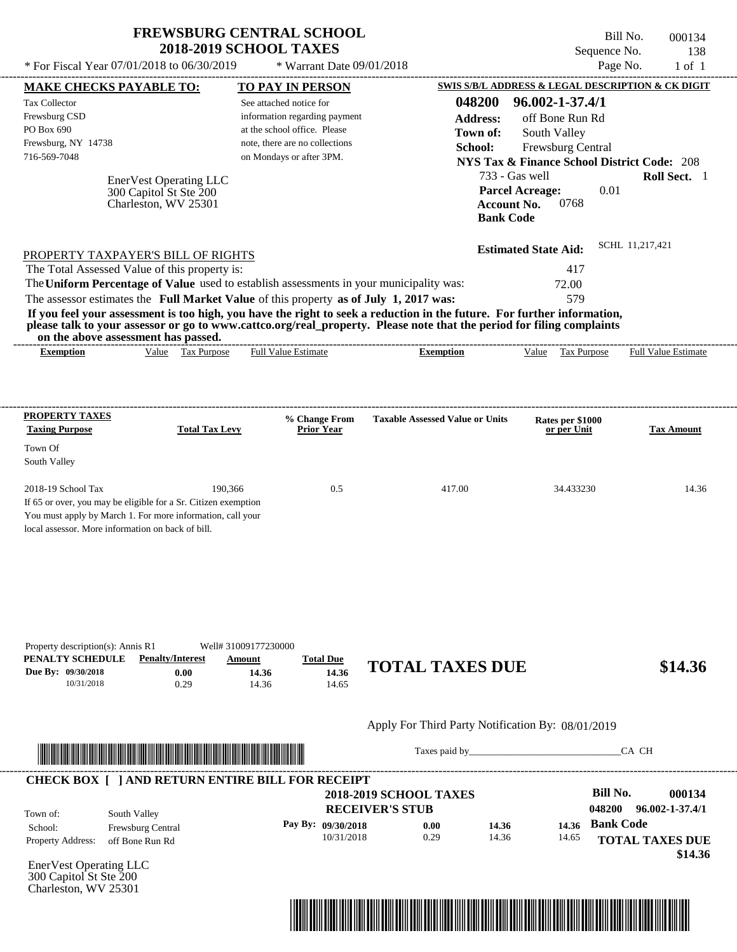| <b>FREWSBURG CENTRAL SCHOOL</b> |
|---------------------------------|
| <b>2018-2019 SCHOOL TAXES</b>   |

Bill No. 000134 Sequence No. 138<br>Page No. 1 of 1  $*$  For Fiscal Year 07/01/2018 to 06/30/2019  $*$  Warrant Date 09/01/2018 Page No. 1 of 1

| <b>MAKE CHECKS PAYABLE TO:</b><br><b>Tax Collector</b><br>Frewsburg CSD<br>PO Box 690<br>Frewsburg, NY 14738<br>716-569-7048 | EnerVest Operating LLC<br>300 Capitol St Ste 200<br>Charleston, WV 25301<br>PROPERTY TAXPAYER'S BILL OF RIGHTS<br>The Total Assessed Value of this property is:                                                                      | <b>TO PAY IN PERSON</b><br>See attached notice for<br>information regarding payment<br>at the school office. Please<br>note, there are no collections<br>on Mondays or after 3PM. | 048200<br><b>Address:</b><br>Town of:<br>School:                                                                                                                                                                                                 | 96.002-1-37.4/1<br>off Bone Run Rd<br>South Valley<br>Frewsburg Central<br><b>NYS Tax &amp; Finance School District Code: 208</b><br>733 - Gas well<br><b>Parcel Acreage:</b><br>0768<br><b>Account No.</b><br><b>Bank Code</b><br><b>Estimated State Aid:</b><br>417 | 0.01<br>SCHL 11,217,421   | Roll Sect. 1                      |
|------------------------------------------------------------------------------------------------------------------------------|--------------------------------------------------------------------------------------------------------------------------------------------------------------------------------------------------------------------------------------|-----------------------------------------------------------------------------------------------------------------------------------------------------------------------------------|--------------------------------------------------------------------------------------------------------------------------------------------------------------------------------------------------------------------------------------------------|-----------------------------------------------------------------------------------------------------------------------------------------------------------------------------------------------------------------------------------------------------------------------|---------------------------|-----------------------------------|
|                                                                                                                              | The Uniform Percentage of Value used to establish assessments in your municipality was:<br>The assessor estimates the Full Market Value of this property as of July 1, 2017 was:                                                     |                                                                                                                                                                                   |                                                                                                                                                                                                                                                  | 72.00<br>579                                                                                                                                                                                                                                                          |                           |                                   |
|                                                                                                                              | on the above assessment has passed.                                                                                                                                                                                                  |                                                                                                                                                                                   | If you feel your assessment is too high, you have the right to seek a reduction in the future. For further information,<br>please talk to your assessor or go to www.cattco.org/real_property. Please note that the period for filing complaints |                                                                                                                                                                                                                                                                       |                           |                                   |
| <b>Exemption</b>                                                                                                             | Value Tax Purpose                                                                                                                                                                                                                    | <b>Full Value Estimate</b>                                                                                                                                                        | <b>Exemption</b>                                                                                                                                                                                                                                 | Value Tax Purpose                                                                                                                                                                                                                                                     |                           | <b>Full Value Estimate</b>        |
| <b>PROPERTY TAXES</b>                                                                                                        |                                                                                                                                                                                                                                      | % Change From                                                                                                                                                                     | <b>Taxable Assessed Value or Units</b>                                                                                                                                                                                                           | Rates per \$1000                                                                                                                                                                                                                                                      |                           |                                   |
| <b>Taxing Purpose</b><br>Town Of                                                                                             | <b>Total Tax Levy</b>                                                                                                                                                                                                                | <b>Prior Year</b>                                                                                                                                                                 |                                                                                                                                                                                                                                                  | or per Unit                                                                                                                                                                                                                                                           |                           | <b>Tax Amount</b>                 |
| South Valley                                                                                                                 |                                                                                                                                                                                                                                      |                                                                                                                                                                                   |                                                                                                                                                                                                                                                  |                                                                                                                                                                                                                                                                       |                           |                                   |
| 2018-19 School Tax<br>local assessor. More information on back of bill.                                                      | 190,366<br>If 65 or over, you may be eligible for a Sr. Citizen exemption<br>You must apply by March 1. For more information, call your                                                                                              | 0.5                                                                                                                                                                               | 417.00                                                                                                                                                                                                                                           | 34.433230                                                                                                                                                                                                                                                             |                           | 14.36                             |
| Property description(s): Annis R1<br>PENALTY SCHEDULE<br>Due By: 09/30/2018<br>10/31/2018                                    | <b>Penalty/Interest</b><br>Amount<br>0.00<br>0.29                                                                                                                                                                                    | Well# 31009177230000<br><b>Total Due</b><br>14.36<br>14.36<br>14.36<br>14.65                                                                                                      | <b>TOTAL TAXES DUE</b>                                                                                                                                                                                                                           |                                                                                                                                                                                                                                                                       |                           | \$14.36                           |
|                                                                                                                              |                                                                                                                                                                                                                                      |                                                                                                                                                                                   | Apply For Third Party Notification By: 08/01/2019                                                                                                                                                                                                |                                                                                                                                                                                                                                                                       |                           |                                   |
|                                                                                                                              | <u> In the second contract of the second contract of the second contract of the second contract of the second contract of the second contract of the second contract of the second contract of the second contract of the second</u> |                                                                                                                                                                                   |                                                                                                                                                                                                                                                  |                                                                                                                                                                                                                                                                       | CA CH                     |                                   |
| Town of:                                                                                                                     | <b>CHECK BOX [ ] AND RETURN ENTIRE BILL FOR RECEIPT</b><br>South Valley                                                                                                                                                              |                                                                                                                                                                                   | <b>2018-2019 SCHOOL TAXES</b><br><b>RECEIVER'S STUB</b>                                                                                                                                                                                          |                                                                                                                                                                                                                                                                       | <b>Bill No.</b><br>048200 | 000134<br>96.002-1-37.4/1         |
| School:<br>Property Address:                                                                                                 | Frewsburg Central<br>off Bone Run Rd                                                                                                                                                                                                 | Pay By: 09/30/2018<br>10/31/2018                                                                                                                                                  | 0.00<br>0.29                                                                                                                                                                                                                                     | 14.36<br>14.36<br>14.36<br>14.65                                                                                                                                                                                                                                      | <b>Bank Code</b>          | <b>TOTAL TAXES DUE</b><br>\$14.36 |
| EnerVest Operating LLC<br>300 Capitol St Ste 200<br>Charleston, WV 25301                                                     |                                                                                                                                                                                                                                      |                                                                                                                                                                                   |                                                                                                                                                                                                                                                  |                                                                                                                                                                                                                                                                       |                           |                                   |

----------------------------------------------------------------------------------------------------------------------------------------------------------------------------------------------------

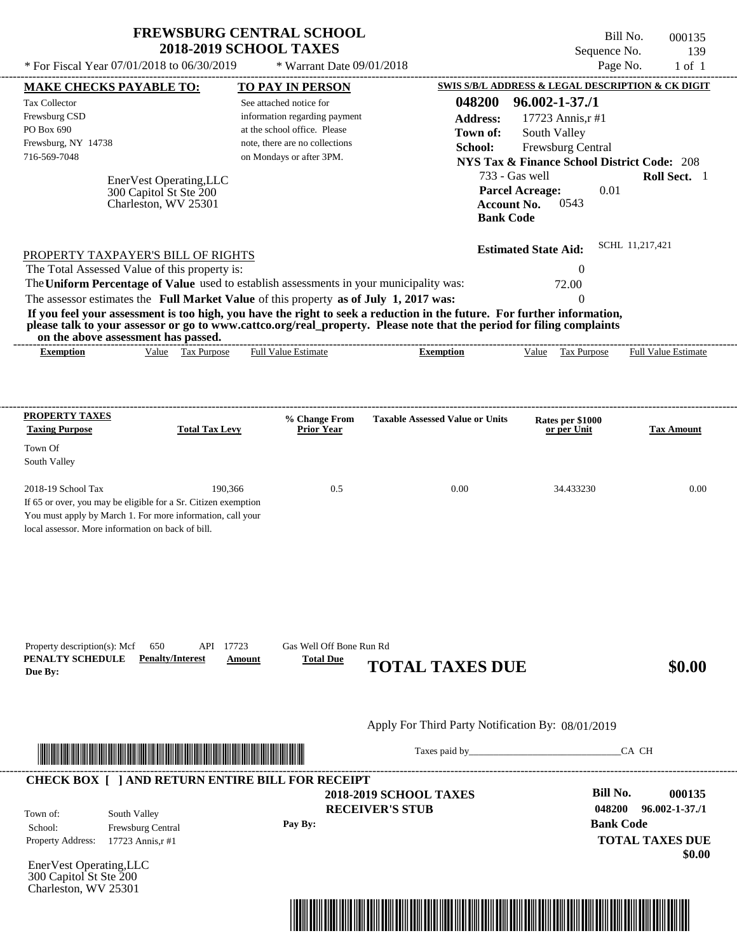| * For Fiscal Year 07/01/2018 to 06/30/2019                                                                                                                                                                                                                                                                  | <b>FREWSBURG CENTRAL SCHOOL</b><br><b>2018-2019 SCHOOL TAXES</b>                         | * Warrant Date 09/01/2018 |                                                   | Sequence No.                                                                                                                                                                                                                   | Bill No.<br>000135<br>139<br>Page No.<br>$1$ of $1$ |
|-------------------------------------------------------------------------------------------------------------------------------------------------------------------------------------------------------------------------------------------------------------------------------------------------------------|------------------------------------------------------------------------------------------|---------------------------|---------------------------------------------------|--------------------------------------------------------------------------------------------------------------------------------------------------------------------------------------------------------------------------------|-----------------------------------------------------|
| MAKE CHECKS PAYABLE TO:                                                                                                                                                                                                                                                                                     | TO PAY IN PERSON                                                                         |                           |                                                   | SWIS S/B/L ADDRESS & LEGAL DESCRIPTION & CK DIGIT                                                                                                                                                                              |                                                     |
| Tax Collector<br>Frewsburg CSD<br>PO Box 690                                                                                                                                                                                                                                                                | See attached notice for<br>information regarding payment<br>at the school office. Please |                           | 048200<br><b>Address:</b><br>Town of:             | $96.002 - 1 - 37.1$<br>17723 Annis, r#1<br>South Valley                                                                                                                                                                        |                                                     |
| Frewsburg, NY 14738<br>716-569-7048<br>EnerVest Operating, LLC                                                                                                                                                                                                                                              | note, there are no collections<br>on Mondays or after 3PM.                               |                           | School:                                           | Frewsburg Central<br><b>NYS Tax &amp; Finance School District Code: 208</b><br>733 - Gas well                                                                                                                                  | Roll Sect. 1                                        |
| 300 Capitol St Ste 200<br>Charleston, WV 25301                                                                                                                                                                                                                                                              |                                                                                          |                           | <b>Account No.</b><br><b>Bank Code</b>            | 0.01<br><b>Parcel Acreage:</b><br>0543                                                                                                                                                                                         |                                                     |
| PROPERTY TAXPAYER'S BILL OF RIGHTS<br>The Total Assessed Value of this property is:                                                                                                                                                                                                                         |                                                                                          |                           |                                                   | <b>Estimated State Aid:</b><br>$\theta$                                                                                                                                                                                        | SCHL 11,217,421                                     |
| The Uniform Percentage of Value used to establish assessments in your municipality was:<br>The assessor estimates the Full Market Value of this property as of July 1, 2017 was:<br>If you feel your assessment is too high, you have the right to seek a reduction in the future. For further information, |                                                                                          |                           |                                                   | 72.00<br>$\Omega$                                                                                                                                                                                                              |                                                     |
| please talk to your assessor or go to www.cattco.org/real_property. Please note that the period for filing complaints<br>on the above assessment has passed.                                                                                                                                                |                                                                                          |                           |                                                   |                                                                                                                                                                                                                                |                                                     |
| Value Tax Purpose<br><b>Exemption</b>                                                                                                                                                                                                                                                                       | <b>Full Value Estimate</b>                                                               |                           | <b>Exemption</b>                                  | Tax Purpose<br>Value                                                                                                                                                                                                           | Full Value Estimate                                 |
| PROPERTY TAXES                                                                                                                                                                                                                                                                                              |                                                                                          | % Change From             | <b>Taxable Assessed Value or Units</b>            | Rates per \$1000                                                                                                                                                                                                               |                                                     |
| <b>Taxing Purpose</b>                                                                                                                                                                                                                                                                                       | <b>Total Tax Levy</b>                                                                    | <b>Prior Year</b>         |                                                   | or per Unit                                                                                                                                                                                                                    | <b>Tax Amount</b>                                   |
| Town Of<br>South Valley                                                                                                                                                                                                                                                                                     |                                                                                          |                           |                                                   |                                                                                                                                                                                                                                |                                                     |
| 2018-19 School Tax<br>If 65 or over, you may be eligible for a Sr. Citizen exemption<br>You must apply by March 1. For more information, call your<br>local assessor. More information on back of bill.                                                                                                     | 190,366                                                                                  | 0.5                       | 0.00                                              | 34.433230                                                                                                                                                                                                                      | 0.00                                                |
| Property description(s): Mcf<br>650                                                                                                                                                                                                                                                                         | API 17723                                                                                | Gas Well Off Bone Run Rd  |                                                   |                                                                                                                                                                                                                                |                                                     |
| PENALTY SCHEDULE<br><b>Penalty/Interest</b><br>Due By:                                                                                                                                                                                                                                                      | Amount                                                                                   | <b>Total Due</b>          | <b>TOTAL TAXES DUE</b>                            |                                                                                                                                                                                                                                | \$0.00                                              |
|                                                                                                                                                                                                                                                                                                             |                                                                                          |                           | Apply For Third Party Notification By: 08/01/2019 |                                                                                                                                                                                                                                |                                                     |
|                                                                                                                                                                                                                                                                                                             |                                                                                          |                           |                                                   | Taxes paid by Taxes and the Taxes and the Taxes and the Taxes and the Taxes and the Taxes and the Taxes and the Taxes and the Taxes and the Taxes and the Taxes and the Taxes and the Taxes and the Taxes and the Taxes and th | CA CH                                               |
| <b>CHECK BOX [ ] AND RETURN ENTIRE BILL FOR RECEIPT</b>                                                                                                                                                                                                                                                     |                                                                                          | <b>RECEIVER'S STUB</b>    | <b>2018-2019 SCHOOL TAXES</b>                     | <b>Bill No.</b><br>048200                                                                                                                                                                                                      | 000135<br>$96.002 - 1 - 37.71$                      |
| South Valley<br>Town of:<br>School:<br>Frewsburg Central                                                                                                                                                                                                                                                    | Pay By:                                                                                  |                           |                                                   |                                                                                                                                                                                                                                | <b>Bank Code</b>                                    |
| Property Address:<br>17723 Annis, r#1                                                                                                                                                                                                                                                                       |                                                                                          |                           |                                                   |                                                                                                                                                                                                                                | <b>TOTAL TAXES DUE</b><br>\$0.00                    |
| EnerVest Operating, LLC<br>300 Capitol St Ste 200<br>Charleston, WV 25301                                                                                                                                                                                                                                   |                                                                                          |                           |                                                   |                                                                                                                                                                                                                                |                                                     |

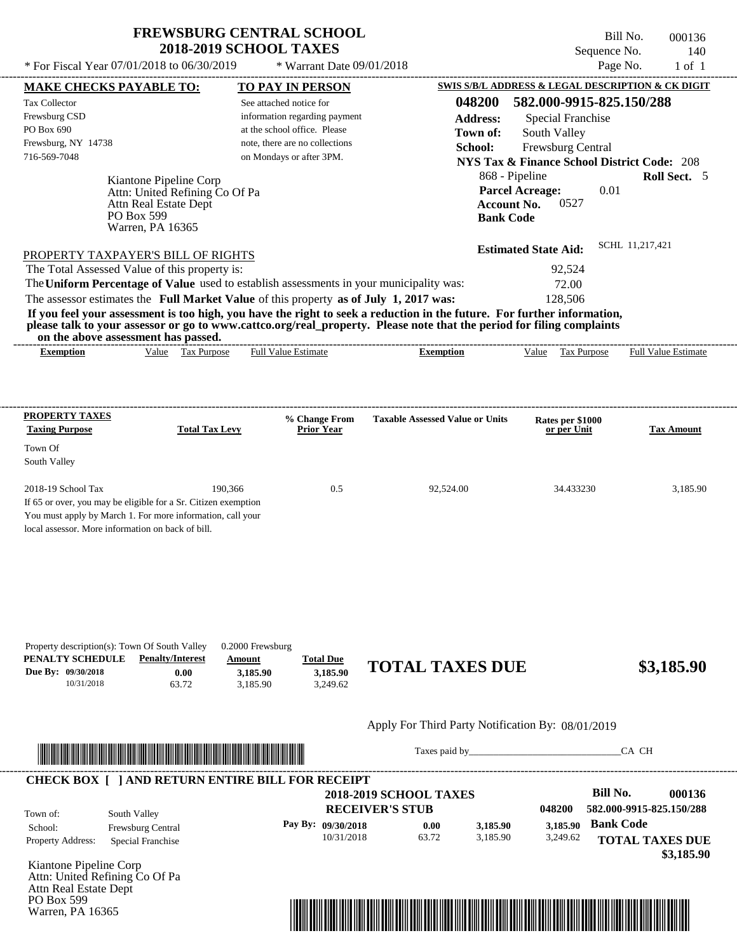PO Box 599 Warren, PA 16365

Bill No. 000136 Sequence No. 140<br>Page No. 1 of 1

| * For Fiscal Year 07/01/2018 to 06/30/2019                                                                                                                                                                                                                                                                                                                                                                                                                                                                                                                                                                                                                                                                                                     |                                                            | * Warrant Date 09/01/2018                                                                                                                              |                                                                                                  |                                                                                                                                                                                                                                                                              | Page No.<br>$1$ of $1$                                                                                            |
|------------------------------------------------------------------------------------------------------------------------------------------------------------------------------------------------------------------------------------------------------------------------------------------------------------------------------------------------------------------------------------------------------------------------------------------------------------------------------------------------------------------------------------------------------------------------------------------------------------------------------------------------------------------------------------------------------------------------------------------------|------------------------------------------------------------|--------------------------------------------------------------------------------------------------------------------------------------------------------|--------------------------------------------------------------------------------------------------|------------------------------------------------------------------------------------------------------------------------------------------------------------------------------------------------------------------------------------------------------------------------------|-------------------------------------------------------------------------------------------------------------------|
| <b>MAKE CHECKS PAYABLE TO:</b>                                                                                                                                                                                                                                                                                                                                                                                                                                                                                                                                                                                                                                                                                                                 |                                                            | <b>TO PAY IN PERSON</b>                                                                                                                                |                                                                                                  |                                                                                                                                                                                                                                                                              | SWIS S/B/L ADDRESS & LEGAL DESCRIPTION & CK DIGIT                                                                 |
| Tax Collector<br>Frewsburg CSD<br>PO Box 690<br>Frewsburg, NY 14738<br>716-569-7048<br>Kiantone Pipeline Corp<br>Attn Real Estate Dept<br>PO Box 599<br>Warren, PA 16365<br>PROPERTY TAXPAYER'S BILL OF RIGHTS<br>The Total Assessed Value of this property is:<br>The Uniform Percentage of Value used to establish assessments in your municipality was:<br>The assessor estimates the Full Market Value of this property as of July 1, 2017 was:<br>If you feel your assessment is too high, you have the right to seek a reduction in the future. For further information,<br>please talk to your assessor or go to www.cattco.org/real_property. Please note that the period for filing complaints<br>on the above assessment has passed. | Attn: United Refining Co Of Pa                             | See attached notice for<br>information regarding payment<br>at the school office. Please<br>note, there are no collections<br>on Mondays or after 3PM. | 048200<br><b>Address:</b><br>Town of:<br>School:<br><b>Account No.</b><br><b>Bank Code</b>       | 582.000-9915-825.150/288<br><b>Special Franchise</b><br>South Valley<br>Frewsburg Central<br><b>NYS Tax &amp; Finance School District Code: 208</b><br>868 - Pipeline<br><b>Parcel Acreage:</b><br>0.01<br>0527<br><b>Estimated State Aid:</b><br>92,524<br>72.00<br>128,506 | Roll Sect. 5<br>SCHL 11,217,421                                                                                   |
| <b>Exemption</b>                                                                                                                                                                                                                                                                                                                                                                                                                                                                                                                                                                                                                                                                                                                               | Value Tax Purpose                                          | <b>Full Value Estimate</b>                                                                                                                             | <b>Exemption</b>                                                                                 | Value Tax Purpose                                                                                                                                                                                                                                                            | <b>Full Value Estimate</b>                                                                                        |
|                                                                                                                                                                                                                                                                                                                                                                                                                                                                                                                                                                                                                                                                                                                                                |                                                            |                                                                                                                                                        |                                                                                                  |                                                                                                                                                                                                                                                                              |                                                                                                                   |
| <b>PROPERTY TAXES</b>                                                                                                                                                                                                                                                                                                                                                                                                                                                                                                                                                                                                                                                                                                                          |                                                            | % Change From                                                                                                                                          | <b>Taxable Assessed Value or Units</b>                                                           | Rates per \$1000                                                                                                                                                                                                                                                             |                                                                                                                   |
| <b>Taxing Purpose</b><br>Town Of<br>South Valley                                                                                                                                                                                                                                                                                                                                                                                                                                                                                                                                                                                                                                                                                               | <b>Total Tax Levy</b>                                      | <b>Prior Year</b>                                                                                                                                      |                                                                                                  | or per Unit                                                                                                                                                                                                                                                                  | <b>Tax Amount</b>                                                                                                 |
| 2018-19 School Tax<br>If 65 or over, you may be eligible for a Sr. Citizen exemption<br>You must apply by March 1. For more information, call your<br>local assessor. More information on back of bill.                                                                                                                                                                                                                                                                                                                                                                                                                                                                                                                                        | 190,366                                                    | 0.5                                                                                                                                                    | 92,524.00                                                                                        | 34.433230                                                                                                                                                                                                                                                                    | 3,185.90                                                                                                          |
| Property description(s): Town Of South Valley<br>PENALTY SCHEDULE<br><b>Penalty/Interest</b><br>Due By: 09/30/2018<br>10/31/2018<br>63.72                                                                                                                                                                                                                                                                                                                                                                                                                                                                                                                                                                                                      | 0.2000 Frewsburg<br>Amount<br>0.00<br>3,185.90<br>3,185.90 | <b>Total Due</b><br>3,185.90<br>3,249.62                                                                                                               | <b>TOTAL TAXES DUE</b>                                                                           |                                                                                                                                                                                                                                                                              | \$3,185.90                                                                                                        |
|                                                                                                                                                                                                                                                                                                                                                                                                                                                                                                                                                                                                                                                                                                                                                |                                                            |                                                                                                                                                        | Apply For Third Party Notification By: 08/01/2019                                                |                                                                                                                                                                                                                                                                              |                                                                                                                   |
| <u> In the second control of the second control of the second control of the second control of the second control of the second control of the second control of the second control of the second control of the second control </u>                                                                                                                                                                                                                                                                                                                                                                                                                                                                                                           |                                                            |                                                                                                                                                        | Taxes paid by                                                                                    |                                                                                                                                                                                                                                                                              | CA CH                                                                                                             |
| <b>CHECK BOX [ ] AND RETURN ENTIRE BILL FOR RECEIPT</b><br>South Valley<br>Town of:<br>Frewsburg Central<br>School:<br>Property Address:<br>Special Franchise                                                                                                                                                                                                                                                                                                                                                                                                                                                                                                                                                                                  |                                                            | Pay By: 09/30/2018<br>10/31/2018                                                                                                                       | <b>2018-2019 SCHOOL TAXES</b><br><b>RECEIVER'S STUB</b><br>0.00<br>3,185.90<br>63.72<br>3,185.90 | 048200<br>3,185.90<br>3,249.62                                                                                                                                                                                                                                               | <b>Bill No.</b><br>000136<br>582.000-9915-825.150/288<br><b>Bank Code</b><br><b>TOTAL TAXES DUE</b><br>\$3,185.90 |
| Kiantone Pipeline Corp<br>Attn: United Refining Co Of Pa<br>Attn Real Estate Dept                                                                                                                                                                                                                                                                                                                                                                                                                                                                                                                                                                                                                                                              |                                                            |                                                                                                                                                        |                                                                                                  |                                                                                                                                                                                                                                                                              |                                                                                                                   |

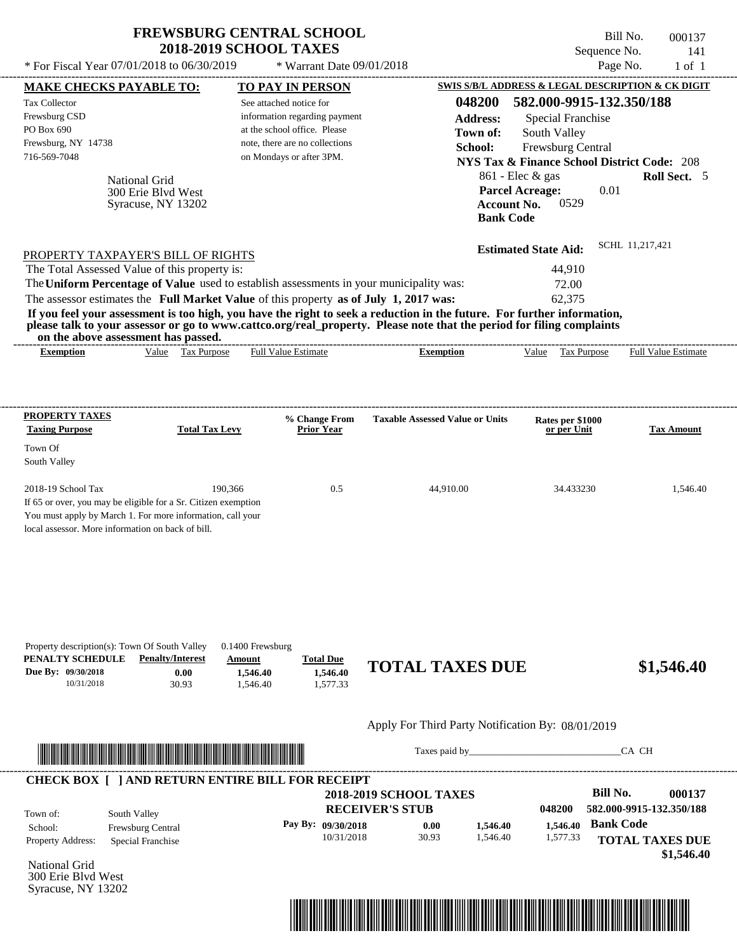| <b>FREWSBURG CENTRAL SCHOOL</b> |  |
|---------------------------------|--|
| <b>2018-2019 SCHOOL TAXES</b>   |  |

Syracuse, NY 13202

Bill No. 000137 Sequence No. 141

| * For Fiscal Year 07/01/2018 to 06/30/2019                                                                                                                                                                                                                                                                                                                                                                                                                                                                                                                         | * Warrant Date 09/01/2018                                                                                                                              |                                                                                                  | Page No.                                                                                                                                                                                                          | $1$ of $1$                                                                 |
|--------------------------------------------------------------------------------------------------------------------------------------------------------------------------------------------------------------------------------------------------------------------------------------------------------------------------------------------------------------------------------------------------------------------------------------------------------------------------------------------------------------------------------------------------------------------|--------------------------------------------------------------------------------------------------------------------------------------------------------|--------------------------------------------------------------------------------------------------|-------------------------------------------------------------------------------------------------------------------------------------------------------------------------------------------------------------------|----------------------------------------------------------------------------|
| <b>MAKE CHECKS PAYABLE TO:</b>                                                                                                                                                                                                                                                                                                                                                                                                                                                                                                                                     | <b>TO PAY IN PERSON</b>                                                                                                                                |                                                                                                  | SWIS S/B/L ADDRESS & LEGAL DESCRIPTION & CK DIGIT                                                                                                                                                                 |                                                                            |
| Tax Collector<br>Frewsburg CSD<br>PO Box 690<br>Frewsburg, NY 14738<br>716-569-7048<br><b>National Grid</b><br>300 Erie Blyd West<br>Syracuse, NY 13202                                                                                                                                                                                                                                                                                                                                                                                                            | See attached notice for<br>information regarding payment<br>at the school office. Please<br>note, there are no collections<br>on Mondays or after 3PM. | 048200<br><b>Address:</b><br>Town of:<br>School:<br><b>Account No.</b><br><b>Bank Code</b>       | 582.000-9915-132.350/188<br><b>Special Franchise</b><br>South Valley<br>Frewsburg Central<br><b>NYS Tax &amp; Finance School District Code: 208</b><br>861 - Elec & gas<br><b>Parcel Acreage:</b><br>0.01<br>0529 | Roll Sect. 5                                                               |
| PROPERTY TAXPAYER'S BILL OF RIGHTS<br>The Total Assessed Value of this property is:<br>The Uniform Percentage of Value used to establish assessments in your municipality was:<br>The assessor estimates the Full Market Value of this property as of July 1, 2017 was:<br>If you feel your assessment is too high, you have the right to seek a reduction in the future. For further information,<br>please talk to your assessor or go to www.cattco.org/real_property. Please note that the period for filing complaints<br>on the above assessment has passed. |                                                                                                                                                        | --------------------------------------                                                           | SCHL 11,217,421<br><b>Estimated State Aid:</b><br>44,910<br>72.00<br>62,375                                                                                                                                       |                                                                            |
| Value Tax Purpose<br><b>Exemption</b>                                                                                                                                                                                                                                                                                                                                                                                                                                                                                                                              | <b>Full Value Estimate</b>                                                                                                                             | <b>Exemption</b>                                                                                 | Value Tax Purpose                                                                                                                                                                                                 | <b>Full Value Estimate</b>                                                 |
| <b>PROPERTY TAXES</b><br><b>Taxing Purpose</b><br><b>Total Tax Levy</b><br>Town Of<br>South Valley<br>2018-19 School Tax<br>If 65 or over, you may be eligible for a Sr. Citizen exemption<br>You must apply by March 1. For more information, call your<br>local assessor. More information on back of bill.                                                                                                                                                                                                                                                      | % Change From<br><b>Prior Year</b><br>190,366<br>0.5                                                                                                   | <b>Taxable Assessed Value or Units</b><br>44,910.00                                              | Rates per \$1000<br>or per Unit<br>34.433230                                                                                                                                                                      | <b>Tax Amount</b><br>1,546.40                                              |
| Property description(s): Town Of South Valley<br>PENALTY SCHEDULE<br><b>Penalty/Interest</b><br>Due By: 09/30/2018<br>0.00<br>10/31/2018<br>30.93                                                                                                                                                                                                                                                                                                                                                                                                                  | 0.1400 Frewsburg<br><b>Total Due</b><br>Amount<br>1,546.40<br>1,546.40<br>1,577.33<br>1,546.40                                                         | <b>TOTAL TAXES DUE</b>                                                                           |                                                                                                                                                                                                                   | \$1,546.40                                                                 |
| <u> In the contract of the contract of the contract of the contract of the contract of the contract of the contract of the contract of the contract of the contract of the contract of the contract of the contract of the contr</u>                                                                                                                                                                                                                                                                                                                               |                                                                                                                                                        | Apply For Third Party Notification By: 08/01/2019<br>Taxes paid by                               | CA CH                                                                                                                                                                                                             |                                                                            |
| <b>CHECK BOX [ ] AND RETURN ENTIRE BILL FOR RECEIPT</b>                                                                                                                                                                                                                                                                                                                                                                                                                                                                                                            |                                                                                                                                                        |                                                                                                  |                                                                                                                                                                                                                   |                                                                            |
| South Valley<br>Town of:<br>Frewsburg Central<br>School:<br>Property Address:<br>Special Franchise<br><b>National Grid</b><br>300 Erie Blvd West                                                                                                                                                                                                                                                                                                                                                                                                                   | Pay By: 09/30/2018<br>10/31/2018                                                                                                                       | <b>2018-2019 SCHOOL TAXES</b><br><b>RECEIVER'S STUB</b><br>0.00<br>1,546.40<br>30.93<br>1,546.40 | <b>Bill No.</b><br>048200<br><b>Bank Code</b><br>1,546.40<br>1,577.33                                                                                                                                             | 000137<br>582.000-9915-132.350/188<br><b>TOTAL TAXES DUE</b><br>\$1,546.40 |

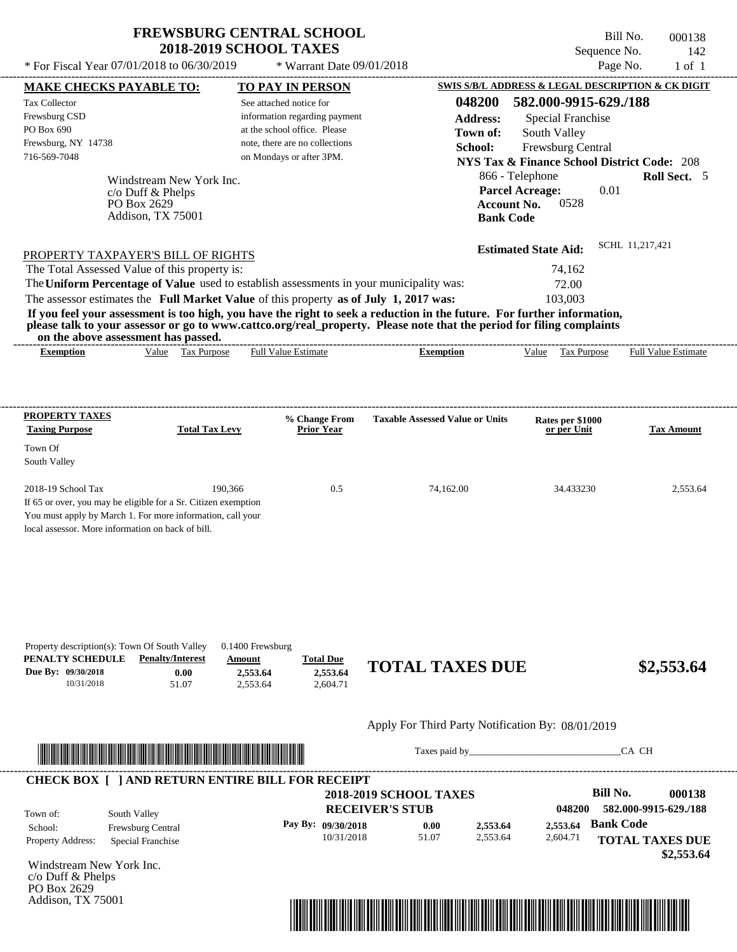PO Box 2629 Addison, TX 75001

Bill No. 000138 Sequence No. 142

| * For Fiscal Year 07/01/2018 to 06/30/2019                                                                                                                                                                                                                                                                                                                                                                                                                                                                                                                         | * Warrant Date 09/01/2018                                                                                                                              |                                                                                                  |                                                                                                                                                                                                        | Page No.<br>$1$ of $1$                                                                      |
|--------------------------------------------------------------------------------------------------------------------------------------------------------------------------------------------------------------------------------------------------------------------------------------------------------------------------------------------------------------------------------------------------------------------------------------------------------------------------------------------------------------------------------------------------------------------|--------------------------------------------------------------------------------------------------------------------------------------------------------|--------------------------------------------------------------------------------------------------|--------------------------------------------------------------------------------------------------------------------------------------------------------------------------------------------------------|---------------------------------------------------------------------------------------------|
| <b>MAKE CHECKS PAYABLE TO:</b>                                                                                                                                                                                                                                                                                                                                                                                                                                                                                                                                     | <b>TO PAY IN PERSON</b>                                                                                                                                |                                                                                                  | SWIS S/B/L ADDRESS & LEGAL DESCRIPTION & CK DIGIT                                                                                                                                                      |                                                                                             |
| Tax Collector<br>Frewsburg CSD<br>PO Box 690<br>Frewsburg, NY 14738<br>716-569-7048<br>Windstream New York Inc.<br>c/o Duff & Phelps<br>PO Box 2629<br>Addison, TX 75001                                                                                                                                                                                                                                                                                                                                                                                           | See attached notice for<br>information regarding payment<br>at the school office. Please<br>note, there are no collections<br>on Mondays or after 3PM. | 048200<br><b>Address:</b><br>Town of:<br>School:<br><b>Account No.</b><br><b>Bank Code</b>       | 582.000-9915-629./188<br>Special Franchise<br>South Valley<br>Frewsburg Central<br><b>NYS Tax &amp; Finance School District Code: 208</b><br>866 - Telephone<br><b>Parcel Acreage:</b><br>0.01<br>0528 | Roll Sect. 5                                                                                |
| PROPERTY TAXPAYER'S BILL OF RIGHTS<br>The Total Assessed Value of this property is:<br>The Uniform Percentage of Value used to establish assessments in your municipality was:<br>The assessor estimates the Full Market Value of this property as of July 1, 2017 was:<br>If you feel your assessment is too high, you have the right to seek a reduction in the future. For further information,<br>please talk to your assessor or go to www.cattco.org/real_property. Please note that the period for filing complaints<br>on the above assessment has passed. |                                                                                                                                                        |                                                                                                  | <b>Estimated State Aid:</b><br>74,162<br>72.00<br>103,003                                                                                                                                              | SCHL 11,217,421                                                                             |
| Value Tax Purpose<br><b>Exemption</b>                                                                                                                                                                                                                                                                                                                                                                                                                                                                                                                              | <b>Full Value Estimate</b>                                                                                                                             | <b>Exemption</b>                                                                                 | Value Tax Purpose                                                                                                                                                                                      | <b>Full Value Estimate</b>                                                                  |
| <b>PROPERTY TAXES</b><br><b>Taxing Purpose</b><br><b>Total Tax Levy</b><br>Town Of<br>South Valley<br>2018-19 School Tax<br>190,366<br>If 65 or over, you may be eligible for a Sr. Citizen exemption<br>You must apply by March 1. For more information, call your<br>local assessor. More information on back of bill.                                                                                                                                                                                                                                           | % Change From<br><b>Prior Year</b><br>0.5                                                                                                              | <b>Taxable Assessed Value or Units</b><br>74,162.00                                              | Rates per \$1000<br>or per Unit<br>34.433230                                                                                                                                                           | <b>Tax Amount</b><br>2,553.64                                                               |
| Property description(s): Town Of South Valley<br>PENALTY SCHEDULE<br><b>Penalty/Interest</b><br>Due By: 09/30/2018<br>0.00<br>10/31/2018<br>51.07                                                                                                                                                                                                                                                                                                                                                                                                                  | 0.1400 Frewsburg<br><b>Total Due</b><br>Amount<br>2,553.64<br>2,553.64<br>2,604.71<br>2,553.64                                                         | <b>TOTAL TAXES DUE</b>                                                                           |                                                                                                                                                                                                        | \$2,553.64                                                                                  |
| <u> In the second contract of the second contract of the second contract of the second contract of the second contract of the second contract of the second contract of the second contract of the second contract of the second</u>                                                                                                                                                                                                                                                                                                                               |                                                                                                                                                        | Apply For Third Party Notification By: 08/01/2019                                                | Taxes paid by                                                                                                                                                                                          | CA CH                                                                                       |
| <b>CHECK BOX [ ] AND RETURN ENTIRE BILL FOR RECEIPT</b>                                                                                                                                                                                                                                                                                                                                                                                                                                                                                                            |                                                                                                                                                        |                                                                                                  |                                                                                                                                                                                                        |                                                                                             |
| South Valley<br>Town of:<br>Frewsburg Central<br>School:<br>Property Address:<br>Special Franchise<br>Windstream New York Inc.<br>c/o Duff & Phelps                                                                                                                                                                                                                                                                                                                                                                                                                | Pay By: 09/30/2018<br>10/31/2018                                                                                                                       | <b>2018-2019 SCHOOL TAXES</b><br><b>RECEIVER'S STUB</b><br>0.00<br>2,553.64<br>51.07<br>2,553.64 | <b>Bill No.</b><br>048200<br>2,553.64<br>2,604.71                                                                                                                                                      | 000138<br>582.000-9915-629./188<br><b>Bank Code</b><br><b>TOTAL TAXES DUE</b><br>\$2,553.64 |

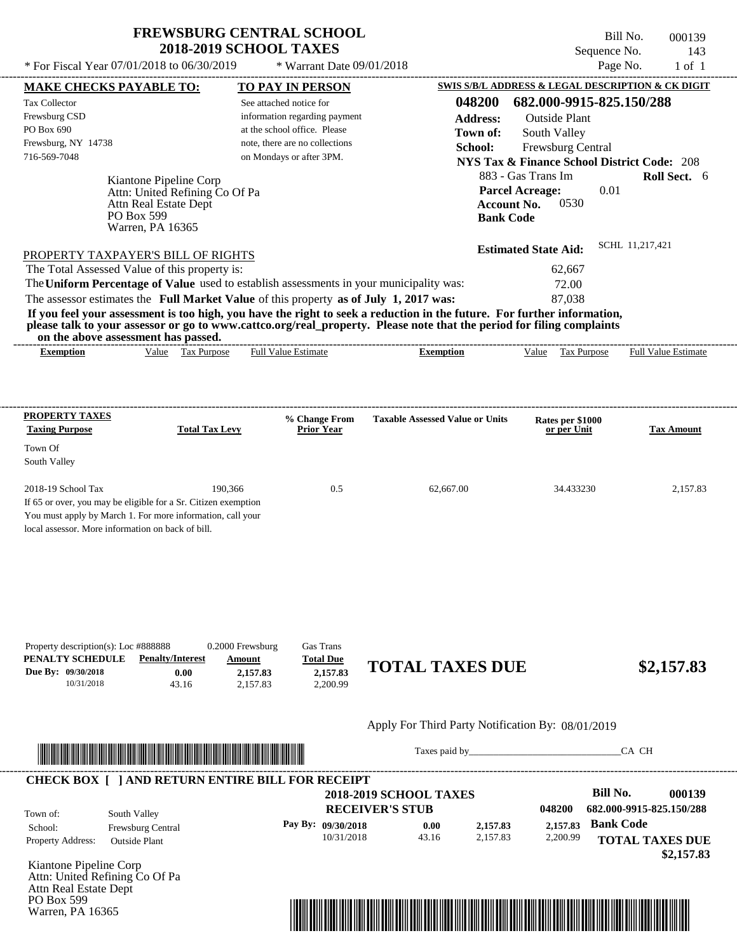Bill No. 000139 Sequence No. 143

| * For Fiscal Year 07/01/2018 to 06/30/2019                                                                              |                       | * Warrant Date 09/01/2018          |                                                   | Page No.                                               | $1$ of $1$          |
|-------------------------------------------------------------------------------------------------------------------------|-----------------------|------------------------------------|---------------------------------------------------|--------------------------------------------------------|---------------------|
| <b>MAKE CHECKS PAYABLE TO:</b>                                                                                          |                       | <b>TO PAY IN PERSON</b>            |                                                   | SWIS S/B/L ADDRESS & LEGAL DESCRIPTION & CK DIGIT      |                     |
| Tax Collector                                                                                                           |                       | See attached notice for            | 048200                                            | 682.000-9915-825.150/288                               |                     |
| Frewsburg CSD                                                                                                           |                       | information regarding payment      | <b>Address:</b>                                   | <b>Outside Plant</b>                                   |                     |
| PO Box 690                                                                                                              |                       | at the school office. Please       | Town of:                                          | South Valley                                           |                     |
| Frewsburg, NY 14738                                                                                                     |                       | note, there are no collections     | School:                                           | Frewsburg Central                                      |                     |
| 716-569-7048                                                                                                            |                       | on Mondays or after 3PM.           |                                                   | <b>NYS Tax &amp; Finance School District Code: 208</b> |                     |
|                                                                                                                         |                       |                                    |                                                   |                                                        |                     |
| Kiantone Pipeline Corp                                                                                                  |                       |                                    |                                                   | 883 - Gas Trans Im                                     | Roll Sect. 6        |
| Attn: United Refining Co Of Pa                                                                                          |                       |                                    |                                                   | 0.01<br><b>Parcel Acreage:</b>                         |                     |
| Attn Real Estate Dept<br>PO Box 599                                                                                     |                       |                                    |                                                   | 0530<br><b>Account No.</b>                             |                     |
| Warren, PA 16365                                                                                                        |                       |                                    | <b>Bank Code</b>                                  |                                                        |                     |
|                                                                                                                         |                       |                                    |                                                   |                                                        |                     |
| PROPERTY TAXPAYER'S BILL OF RIGHTS                                                                                      |                       |                                    |                                                   | <b>Estimated State Aid:</b>                            | SCHL 11,217,421     |
| The Total Assessed Value of this property is:                                                                           |                       |                                    |                                                   | 62,667                                                 |                     |
| The Uniform Percentage of Value used to establish assessments in your municipality was:                                 |                       |                                    |                                                   | 72.00                                                  |                     |
| The assessor estimates the Full Market Value of this property as of July 1, 2017 was:                                   |                       |                                    |                                                   | 87,038                                                 |                     |
| If you feel your assessment is too high, you have the right to seek a reduction in the future. For further information, |                       |                                    |                                                   |                                                        |                     |
| please talk to your assessor or go to www.cattco.org/real_property. Please note that the period for filing complaints   |                       |                                    |                                                   |                                                        |                     |
| on the above assessment has passed.                                                                                     |                       |                                    |                                                   |                                                        |                     |
| <b>Exemption</b>                                                                                                        | Value Tax Purpose     | <b>Full Value Estimate</b>         | <b>Exemption</b>                                  | Value Tax Purpose                                      | Full Value Estimate |
| PROPERTY TAXES<br><b>Taxing Purpose</b>                                                                                 | <b>Total Tax Levy</b> | % Change From<br><b>Prior Year</b> | <b>Taxable Assessed Value or Units</b>            | Rates per \$1000<br>or per Unit                        | <b>Tax Amount</b>   |
| Town Of                                                                                                                 |                       |                                    |                                                   |                                                        |                     |
| South Valley                                                                                                            |                       |                                    |                                                   |                                                        |                     |
|                                                                                                                         |                       |                                    |                                                   |                                                        |                     |
| 2018-19 School Tax                                                                                                      | 190,366               | 0.5                                | 62,667.00                                         | 34.433230                                              | 2,157.83            |
| If 65 or over, you may be eligible for a Sr. Citizen exemption                                                          |                       |                                    |                                                   |                                                        |                     |
| You must apply by March 1. For more information, call your                                                              |                       |                                    |                                                   |                                                        |                     |
| local assessor. More information on back of bill.                                                                       |                       |                                    |                                                   |                                                        |                     |
|                                                                                                                         |                       |                                    |                                                   |                                                        |                     |
|                                                                                                                         |                       |                                    |                                                   |                                                        |                     |
|                                                                                                                         |                       |                                    |                                                   |                                                        |                     |
|                                                                                                                         |                       |                                    |                                                   |                                                        |                     |
|                                                                                                                         |                       |                                    |                                                   |                                                        |                     |
|                                                                                                                         |                       |                                    |                                                   |                                                        |                     |
|                                                                                                                         |                       |                                    |                                                   |                                                        |                     |
| Property description(s): Loc #888888                                                                                    | 0.2000 Frewsburg      | Gas Trans                          |                                                   |                                                        |                     |
| <b>Penalty/Interest</b><br>PENALTY SCHEDULE                                                                             | Amount                | <b>Total Due</b>                   | <b>TOTAL TAXES DUE</b>                            |                                                        |                     |
| Due By: 09/30/2018<br>0.00                                                                                              | 2,157.83              | 2,157.83                           |                                                   |                                                        | \$2,157.83          |
| 10/31/2018<br>43.16                                                                                                     | 2,157.83              | 2,200.99                           |                                                   |                                                        |                     |
|                                                                                                                         |                       |                                    |                                                   |                                                        |                     |
|                                                                                                                         |                       |                                    | Apply For Third Party Notification By: 08/01/2019 |                                                        |                     |
|                                                                                                                         |                       |                                    |                                                   |                                                        |                     |



Taxes paid by\_\_\_\_\_\_\_\_\_\_\_\_\_\_\_\_\_\_\_\_\_\_\_\_\_\_\_\_\_\_\_CA CH

|                        |                          |          |          |       | <b>2018-2019 SCHOOL TAXES</b> |                          |                          |
|------------------------|--------------------------|----------|----------|-------|-------------------------------|--------------------------|--------------------------|
|                        | 682.000-9915-825.150/288 | 048200   |          |       | <b>RECEIVER'S STUB</b>        | South Valley             | Town of:                 |
|                        | <b>Bank Code</b>         | 2,157.83 | 2,157.83 | 0.00  | Pay By: 09/30/2018            | <b>Frewsburg Central</b> | School:                  |
| <b>TOTAL TAXES DUE</b> |                          | 2,200.99 | 2.157.83 | 43.16 | 10/31/2018                    | <b>Outside Plant</b>     | <b>Property Address:</b> |
|                        |                          |          |          |       |                               |                          |                          |

Kiantone Pipeline Corp Attn: United Refining Co Of Pa Attn Real Estate Dept PO Box 599 Warren, PA 16365

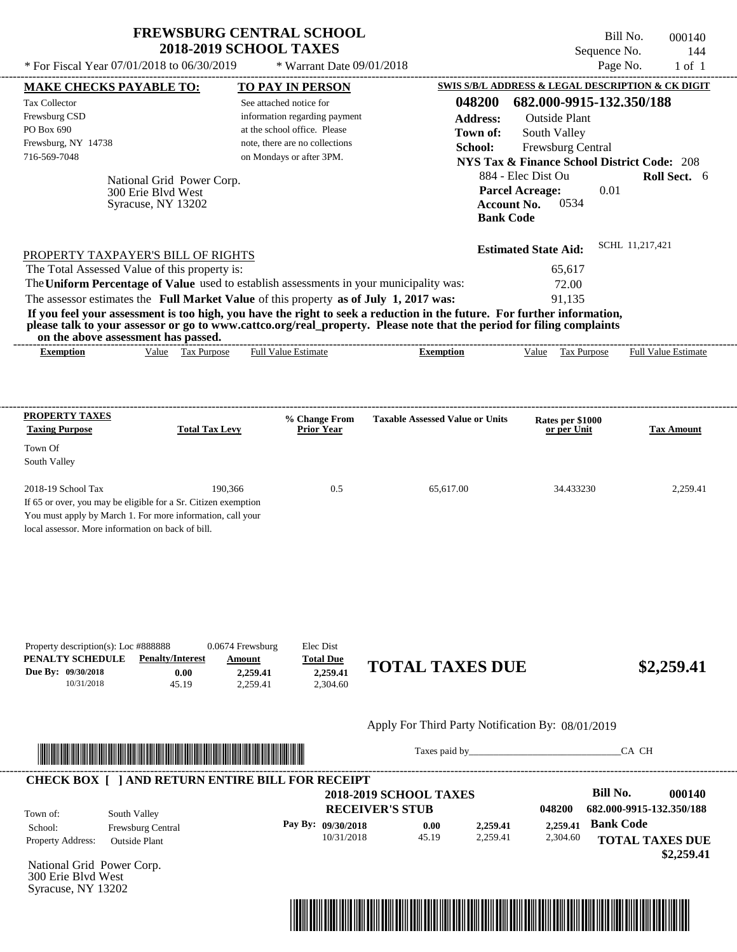| <b>FREWSBURG CENTRAL SCHOOL</b> |
|---------------------------------|
| <b>2018-2019 SCHOOL TAXES</b>   |

Bill No. 000140 Sequence No. 144

| * For Fiscal Year 07/01/2018 to 06/30/2019                                                                                                                                                                                                                                                                                                |                                                                     | * Warrant Date 09/01/2018                                                                                                                              |                                                         | Page No.                                                                                                                                                                                                                       | $1$ of $1$                           |
|-------------------------------------------------------------------------------------------------------------------------------------------------------------------------------------------------------------------------------------------------------------------------------------------------------------------------------------------|---------------------------------------------------------------------|--------------------------------------------------------------------------------------------------------------------------------------------------------|---------------------------------------------------------|--------------------------------------------------------------------------------------------------------------------------------------------------------------------------------------------------------------------------------|--------------------------------------|
| <b>MAKE CHECKS PAYABLE TO:</b>                                                                                                                                                                                                                                                                                                            |                                                                     | <b>TO PAY IN PERSON</b>                                                                                                                                |                                                         | <b>SWIS S/B/L ADDRESS &amp; LEGAL DESCRIPTION &amp; CK DIGIT</b>                                                                                                                                                               |                                      |
| <b>Tax Collector</b><br>Frewsburg CSD<br>PO Box 690<br>Frewsburg, NY 14738<br>716-569-7048<br>National Grid Power Corp.                                                                                                                                                                                                                   |                                                                     | See attached notice for<br>information regarding payment<br>at the school office. Please<br>note, there are no collections<br>on Mondays or after 3PM. | 048200<br><b>Address:</b><br>Town of:<br>School:        | 682.000-9915-132.350/188<br><b>Outside Plant</b><br>South Valley<br>Frewsburg Central<br><b>NYS Tax &amp; Finance School District Code: 208</b><br>884 - Elec Dist Ou                                                          | Roll Sect. 6                         |
| 300 Erie Blvd West<br>Syracuse, NY 13202                                                                                                                                                                                                                                                                                                  |                                                                     |                                                                                                                                                        |                                                         | <b>Parcel Acreage:</b><br>0.01<br>0534<br><b>Account No.</b><br><b>Bank Code</b>                                                                                                                                               |                                      |
| PROPERTY TAXPAYER'S BILL OF RIGHTS                                                                                                                                                                                                                                                                                                        |                                                                     |                                                                                                                                                        |                                                         | <b>Estimated State Aid:</b>                                                                                                                                                                                                    | SCHL 11,217,421                      |
| The Total Assessed Value of this property is:<br>The Uniform Percentage of Value used to establish assessments in your municipality was:                                                                                                                                                                                                  |                                                                     |                                                                                                                                                        |                                                         | 65,617                                                                                                                                                                                                                         |                                      |
| The assessor estimates the Full Market Value of this property as of July 1, 2017 was:<br>If you feel your assessment is too high, you have the right to seek a reduction in the future. For further information,<br>please talk to your assessor or go to www.cattco.org/real_property. Please note that the period for filing complaints |                                                                     |                                                                                                                                                        |                                                         | 72.00<br>91,135                                                                                                                                                                                                                |                                      |
| on the above assessment has passed.<br><b>Exemption</b>                                                                                                                                                                                                                                                                                   | Value Tax Purpose                                                   | <b>Full Value Estimate</b>                                                                                                                             | <b>Exemption</b>                                        | Value Tax Purpose                                                                                                                                                                                                              | <b>Full Value Estimate</b>           |
|                                                                                                                                                                                                                                                                                                                                           |                                                                     |                                                                                                                                                        |                                                         |                                                                                                                                                                                                                                |                                      |
| <b>PROPERTY TAXES</b><br><b>Taxing Purpose</b>                                                                                                                                                                                                                                                                                            | <b>Total Tax Levy</b>                                               | % Change From<br><b>Prior Year</b>                                                                                                                     | <b>Taxable Assessed Value or Units</b>                  | Rates per \$1000<br>or per Unit                                                                                                                                                                                                | <b>Tax Amount</b>                    |
| Town Of                                                                                                                                                                                                                                                                                                                                   |                                                                     |                                                                                                                                                        |                                                         |                                                                                                                                                                                                                                |                                      |
| South Valley                                                                                                                                                                                                                                                                                                                              |                                                                     |                                                                                                                                                        |                                                         |                                                                                                                                                                                                                                |                                      |
| 2018-19 School Tax<br>If 65 or over, you may be eligible for a Sr. Citizen exemption<br>You must apply by March 1. For more information, call your<br>local assessor. More information on back of bill.                                                                                                                                   | 190.366                                                             | 0.5                                                                                                                                                    | 65.617.00                                               | 34.433230                                                                                                                                                                                                                      | 2,259.41                             |
| Property description(s): Loc #888888<br>PENALTY SCHEDULE<br><b>Penalty/Interest</b><br>Due By: 09/30/2018<br>10/31/2018                                                                                                                                                                                                                   | 0.0674 Frewsburg<br>Amount<br>0.00<br>2,259.41<br>45.19<br>2,259.41 | Elec Dist<br><b>Total Due</b><br>2,259.41<br>2,304.60                                                                                                  | <b>TOTAL TAXES DUE</b>                                  |                                                                                                                                                                                                                                | \$2,259.41                           |
|                                                                                                                                                                                                                                                                                                                                           |                                                                     |                                                                                                                                                        | Apply For Third Party Notification By: 08/01/2019       |                                                                                                                                                                                                                                |                                      |
|                                                                                                                                                                                                                                                                                                                                           |                                                                     |                                                                                                                                                        |                                                         | Taxes paid by Taxes and the Taxes and the Taxes and the Taxes and the Taxes and the Taxes and the Taxes and the Taxes and the Taxes and the Taxes and the Taxes and the Taxes and the Taxes and the Taxes and the Taxes and th | CA CH                                |
| <b>CHECK BOX [ ] AND RETURN ENTIRE BILL FOR RECEIPT</b><br>South Valley<br>Town of:                                                                                                                                                                                                                                                       |                                                                     |                                                                                                                                                        | <b>2018-2019 SCHOOL TAXES</b><br><b>RECEIVER'S STUB</b> | <b>Bill No.</b><br>048200                                                                                                                                                                                                      | 000140<br>682.000-9915-132.350/188   |
| School:<br>Frewsburg Central<br>Property Address:<br><b>Outside Plant</b>                                                                                                                                                                                                                                                                 |                                                                     | Pay By: 09/30/2018<br>10/31/2018                                                                                                                       | 2,259.41<br>0.00<br>45.19<br>2,259.41                   | <b>Bank Code</b><br>2,259.41<br>2,304.60                                                                                                                                                                                       | <b>TOTAL TAXES DUE</b><br>\$2,259.41 |

National Grid Power Corp. 300 Erie Blvd West Syracuse, NY 13202

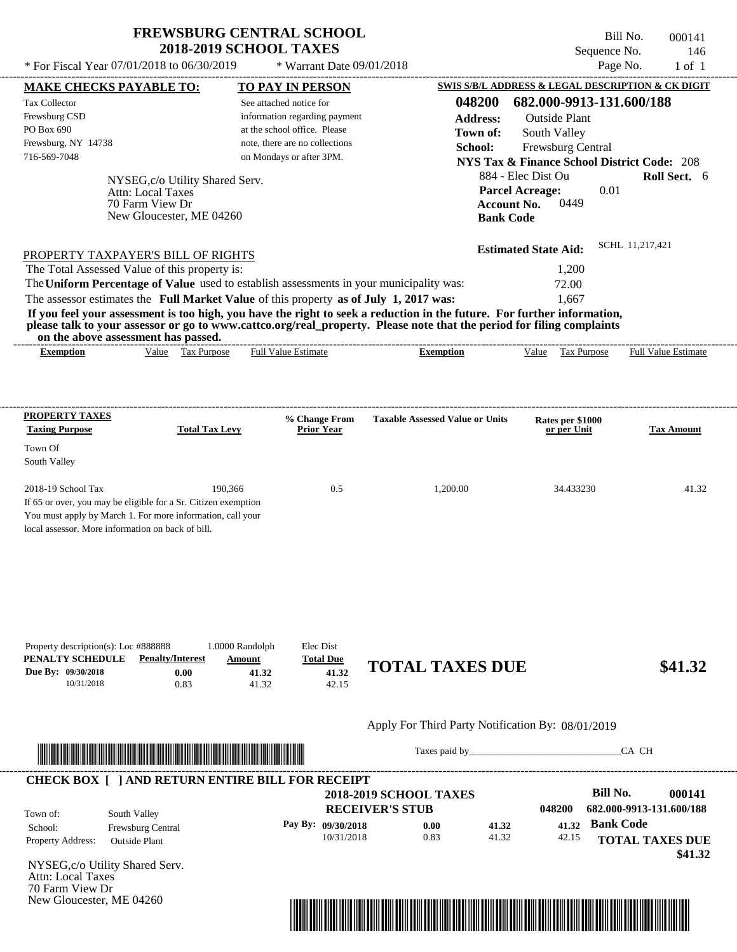\* For Fiscal Year  $07/01/2018$  to  $06/30/2019$  \* Warrant Date  $09/01/2018$  Page No. 1 of 1

\* Warrant Date 09/01/2018

Bill No. 000141 Sequence No. 146

| <b>MAKE CHECKS PAYABLE TO:</b>                                                          |                                                                                                                        | <b>TO PAY IN PERSON</b>        |                                                                                                                                                                                                                                                  |                             | <b>SWIS S/B/L ADDRESS &amp; LEGAL DESCRIPTION &amp; CK DIGIT</b> |
|-----------------------------------------------------------------------------------------|------------------------------------------------------------------------------------------------------------------------|--------------------------------|--------------------------------------------------------------------------------------------------------------------------------------------------------------------------------------------------------------------------------------------------|-----------------------------|------------------------------------------------------------------|
| <b>Tax Collector</b>                                                                    |                                                                                                                        | See attached notice for        | 048200                                                                                                                                                                                                                                           | 682.000-9913-131.600/188    |                                                                  |
| Frewsburg CSD                                                                           |                                                                                                                        | information regarding payment  | <b>Address:</b>                                                                                                                                                                                                                                  | <b>Outside Plant</b>        |                                                                  |
| PO Box 690                                                                              |                                                                                                                        | at the school office. Please   | Town of:                                                                                                                                                                                                                                         | South Valley                |                                                                  |
| Frewsburg, NY 14738                                                                     |                                                                                                                        | note, there are no collections | School:                                                                                                                                                                                                                                          | Frewsburg Central           |                                                                  |
| 716-569-7048                                                                            |                                                                                                                        | on Mondays or after 3PM.       |                                                                                                                                                                                                                                                  |                             | <b>NYS Tax &amp; Finance School District Code: 208</b>           |
|                                                                                         |                                                                                                                        |                                |                                                                                                                                                                                                                                                  | 884 - Elec Dist Ou          | Roll Sect. 6                                                     |
|                                                                                         | NYSEG, c/o Utility Shared Serv.<br>Attn: Local Taxes                                                                   |                                |                                                                                                                                                                                                                                                  | <b>Parcel Acreage:</b>      | 0.01                                                             |
|                                                                                         | 70 Farm View Dr                                                                                                        |                                |                                                                                                                                                                                                                                                  | 0449<br><b>Account No.</b>  |                                                                  |
|                                                                                         | New Gloucester, ME 04260                                                                                               |                                | <b>Bank Code</b>                                                                                                                                                                                                                                 |                             |                                                                  |
|                                                                                         |                                                                                                                        |                                |                                                                                                                                                                                                                                                  |                             |                                                                  |
| PROPERTY TAXPAYER'S BILL OF RIGHTS                                                      |                                                                                                                        |                                |                                                                                                                                                                                                                                                  | <b>Estimated State Aid:</b> | SCHL 11,217,421                                                  |
| The Total Assessed Value of this property is:                                           |                                                                                                                        |                                |                                                                                                                                                                                                                                                  | 1,200                       |                                                                  |
| The Uniform Percentage of Value used to establish assessments in your municipality was: |                                                                                                                        |                                |                                                                                                                                                                                                                                                  | 72.00                       |                                                                  |
| The assessor estimates the Full Market Value of this property as of July 1, 2017 was:   |                                                                                                                        |                                |                                                                                                                                                                                                                                                  | 1,667                       |                                                                  |
|                                                                                         |                                                                                                                        |                                | If you feel your assessment is too high, you have the right to seek a reduction in the future. For further information,<br>please talk to your assessor or go to www.cattco.org/real_property. Please note that the period for filing complaints |                             |                                                                  |
| on the above assessment has passed.                                                     |                                                                                                                        |                                |                                                                                                                                                                                                                                                  |                             |                                                                  |
| <b>Exemption</b>                                                                        | Value Tax Purpose                                                                                                      | <b>Full Value Estimate</b>     | <b>Exemption</b>                                                                                                                                                                                                                                 |                             | Value Tax Purpose Full Value Estimate                            |
|                                                                                         |                                                                                                                        |                                |                                                                                                                                                                                                                                                  |                             |                                                                  |
|                                                                                         |                                                                                                                        |                                |                                                                                                                                                                                                                                                  |                             |                                                                  |
| <b>PROPERTY TAXES</b>                                                                   |                                                                                                                        | % Change From                  | <b>Taxable Assessed Value or Units</b>                                                                                                                                                                                                           | Rates per \$1000            |                                                                  |
| <b>Taxing Purpose</b>                                                                   | <b>Total Tax Levy</b>                                                                                                  | <b>Prior Year</b>              |                                                                                                                                                                                                                                                  | or per Unit                 | <b>Tax Amount</b>                                                |
| Town Of                                                                                 |                                                                                                                        |                                |                                                                                                                                                                                                                                                  |                             |                                                                  |
| South Valley                                                                            |                                                                                                                        |                                |                                                                                                                                                                                                                                                  |                             |                                                                  |
|                                                                                         |                                                                                                                        |                                |                                                                                                                                                                                                                                                  |                             |                                                                  |
| 2018-19 School Tax                                                                      | 190,366                                                                                                                | 0.5                            | 1,200.00                                                                                                                                                                                                                                         | 34.433230                   | 41.32                                                            |
| If 65 or over, you may be eligible for a Sr. Citizen exemption                          |                                                                                                                        |                                |                                                                                                                                                                                                                                                  |                             |                                                                  |
| You must apply by March 1. For more information, call your                              |                                                                                                                        |                                |                                                                                                                                                                                                                                                  |                             |                                                                  |
| local assessor. More information on back of bill.                                       |                                                                                                                        |                                |                                                                                                                                                                                                                                                  |                             |                                                                  |
|                                                                                         |                                                                                                                        |                                |                                                                                                                                                                                                                                                  |                             |                                                                  |
|                                                                                         |                                                                                                                        |                                |                                                                                                                                                                                                                                                  |                             |                                                                  |
|                                                                                         |                                                                                                                        |                                |                                                                                                                                                                                                                                                  |                             |                                                                  |
|                                                                                         |                                                                                                                        |                                |                                                                                                                                                                                                                                                  |                             |                                                                  |
|                                                                                         |                                                                                                                        |                                |                                                                                                                                                                                                                                                  |                             |                                                                  |
| Property description(s): Loc #888888                                                    | 1.0000 Randolph                                                                                                        | Elec Dist                      |                                                                                                                                                                                                                                                  |                             |                                                                  |
| PENALTY SCHEDULE                                                                        | <b>Penalty/Interest</b><br>Amount                                                                                      | <b>Total Due</b>               | <b>TOTAL TAXES DUE</b>                                                                                                                                                                                                                           |                             | \$41.32                                                          |
| Due By: 09/30/2018                                                                      | 0.00                                                                                                                   | 41.32<br>41.32                 |                                                                                                                                                                                                                                                  |                             |                                                                  |
| 10/31/2018                                                                              | 0.83                                                                                                                   | 41.32<br>42.15                 |                                                                                                                                                                                                                                                  |                             |                                                                  |
|                                                                                         |                                                                                                                        |                                | Apply For Third Party Notification By: 08/01/2019                                                                                                                                                                                                |                             |                                                                  |
|                                                                                         |                                                                                                                        |                                |                                                                                                                                                                                                                                                  |                             |                                                                  |
|                                                                                         | <u> HERE IN DIE HERE IN DIE HERE IN DIE HERE IN DIE HERE IN DIE HERE IN DIE HERE IN DIE HERE IN DIE HERE IN DIE HE</u> |                                |                                                                                                                                                                                                                                                  | Taxes paid by               | CA CH                                                            |
| <b>CHECK BOX [ ] AND RETURN ENTIRE BILL FOR RECEIPT</b>                                 |                                                                                                                        |                                |                                                                                                                                                                                                                                                  |                             |                                                                  |
|                                                                                         |                                                                                                                        |                                | <b>2018-2019 SCHOOL TAXES</b>                                                                                                                                                                                                                    |                             | <b>Bill No.</b><br>000141                                        |
| South Valley<br>Town of:                                                                |                                                                                                                        |                                | <b>RECEIVER'S STUB</b>                                                                                                                                                                                                                           | 048200                      | 682.000-9913-131.600/188                                         |
| Frewsburg Central<br>School:                                                            |                                                                                                                        | Pay By: 09/30/2018             | 0.00<br>41.32                                                                                                                                                                                                                                    | 41.32                       | <b>Bank Code</b>                                                 |
| Property Address:<br><b>Outside Plant</b>                                               |                                                                                                                        | 10/31/2018                     | 0.83<br>41.32                                                                                                                                                                                                                                    | 42.15                       | <b>TOTAL TAXES DUE</b>                                           |
|                                                                                         |                                                                                                                        |                                |                                                                                                                                                                                                                                                  |                             | \$41.32                                                          |
| NYSEG,c/o Utility Shared Serv.                                                          |                                                                                                                        |                                |                                                                                                                                                                                                                                                  |                             |                                                                  |
| Attn: Local Taxes<br>70 Farm View Dr                                                    |                                                                                                                        |                                |                                                                                                                                                                                                                                                  |                             |                                                                  |
| New Gloucester, ME 04260                                                                |                                                                                                                        |                                |                                                                                                                                                                                                                                                  |                             |                                                                  |
|                                                                                         |                                                                                                                        |                                |                                                                                                                                                                                                                                                  |                             |                                                                  |